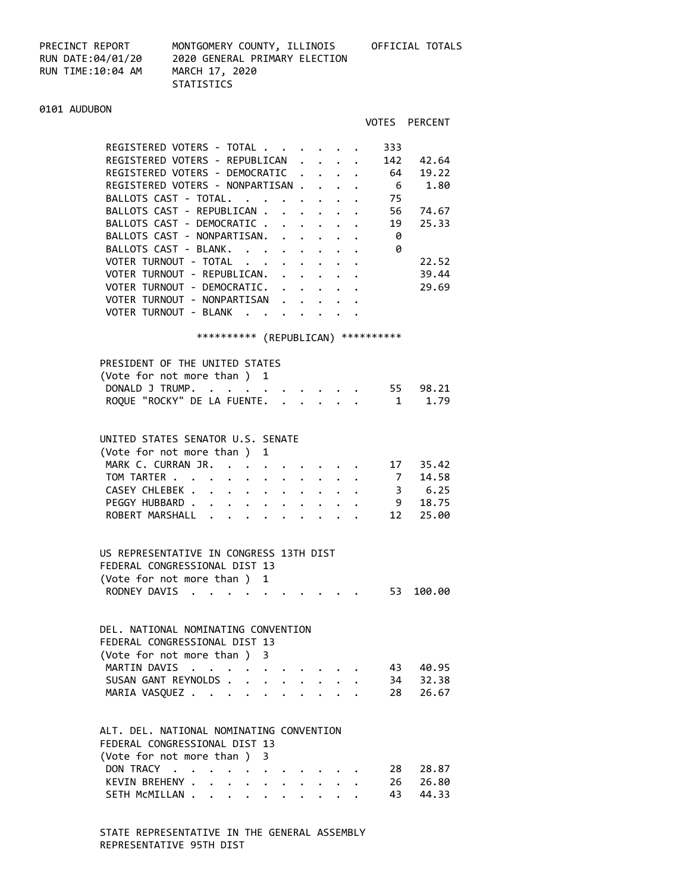RUN TIME:10:04 AM MARCH 17, 2020

PRECINCT REPORT MONTGOMERY COUNTY, ILLINOIS OFFICIAL TOTALS RUN DATE:04/01/20 2020 GENERAL PRIMARY ELECTION STATISTICS

#### 0101 AUDUBON

|                                                                 |            | VOTES PERCENT |
|-----------------------------------------------------------------|------------|---------------|
|                                                                 |            |               |
| REGISTERED VOTERS - TOTAL                                       | 333        |               |
| REGISTERED VOTERS - REPUBLICAN<br>$\sim$ $\sim$ $\sim$          | 142        | 42.64         |
| REGISTERED VOTERS - DEMOCRATIC.                                 | 64         | 19.22         |
| REGISTERED VOTERS - NONPARTISAN.<br>$\sim$ $\sim$ $\sim$ $\sim$ | 6          | 1.80          |
| BALLOTS CAST - TOTAL.                                           | 75         |               |
| BALLOTS CAST - REPUBLICAN                                       | 56         | 74.67         |
| BALLOTS CAST - DEMOCRATIC.                                      | 19         | 25.33         |
| BALLOTS CAST - NONPARTISAN.                                     | 0          |               |
| BALLOTS CAST - BLANK.<br>$\sim$ $\sim$ $\sim$                   | ø          |               |
| VOTER TURNOUT - TOTAL                                           |            | 22.52         |
| VOTER TURNOUT - REPUBLICAN.                                     |            | 39.44         |
| VOTER TURNOUT - DEMOCRATIC.                                     |            | 29.69         |
| VOTER TURNOUT - NONPARTISAN                                     |            |               |
| VOTER TURNOUT - BLANK                                           |            |               |
|                                                                 |            |               |
| **********<br>(REPUBLICAN)                                      | ********** |               |
|                                                                 |            |               |
| PRESIDENT OF THE UNITED STATES                                  |            |               |
| (Vote for not more than) 1                                      |            |               |
| DONALD J TRUMP.                                                 | 55         | 98.21         |
| ROQUE "ROCKY" DE LA FUENTE.                                     | 1          | 1.79          |
|                                                                 |            |               |

#### UNITED STATES SENATOR U.S. SENATE

| (Vote for not more than) 1  |  |  |  |  |  |  |
|-----------------------------|--|--|--|--|--|--|
| MARK C. CURRAN JR. 17 35.42 |  |  |  |  |  |  |
| TOM TARTER 7 14.58          |  |  |  |  |  |  |
| CASEY CHLEBEK 3 6.25        |  |  |  |  |  |  |
| PEGGY HUBBARD 9 18.75       |  |  |  |  |  |  |
| ROBERT MARSHALL 12 25.00    |  |  |  |  |  |  |
|                             |  |  |  |  |  |  |

## US REPRESENTATIVE IN CONGRESS 13TH DIST FEDERAL CONGRESSIONAL DIST 13 (Vote for not more than ) 1 RODNEY DAVIS . . . . . . . . . . 53 100.00

# DEL. NATIONAL NOMINATING CONVENTION FEDERAL CONGRESSIONAL DIST 13 (Vote for not more than ) 3 MARTIN DAVIS . . . . . . . . . . 43 40.95 SUSAN GANT REYNOLDS . . . . . . . . 34 32.38 MARIA VASQUEZ . . . . . . . . . . 28 26.67

#### ALT. DEL. NATIONAL NOMINATING CONVENTION FEDERAL CONGRESSIONAL DIST 13

|  | FLULNAL CUNGNESSIUNAL DIST IS |  |  |  |  |  |  |                        |
|--|-------------------------------|--|--|--|--|--|--|------------------------|
|  | (Vote for not more than) 3    |  |  |  |  |  |  |                        |
|  |                               |  |  |  |  |  |  | DON TRACY 28 28.87     |
|  |                               |  |  |  |  |  |  | KEVIN BREHENY 26 26.80 |
|  |                               |  |  |  |  |  |  | SETH MCMILLAN 43 44.33 |

 STATE REPRESENTATIVE IN THE GENERAL ASSEMBLY REPRESENTATIVE 95TH DIST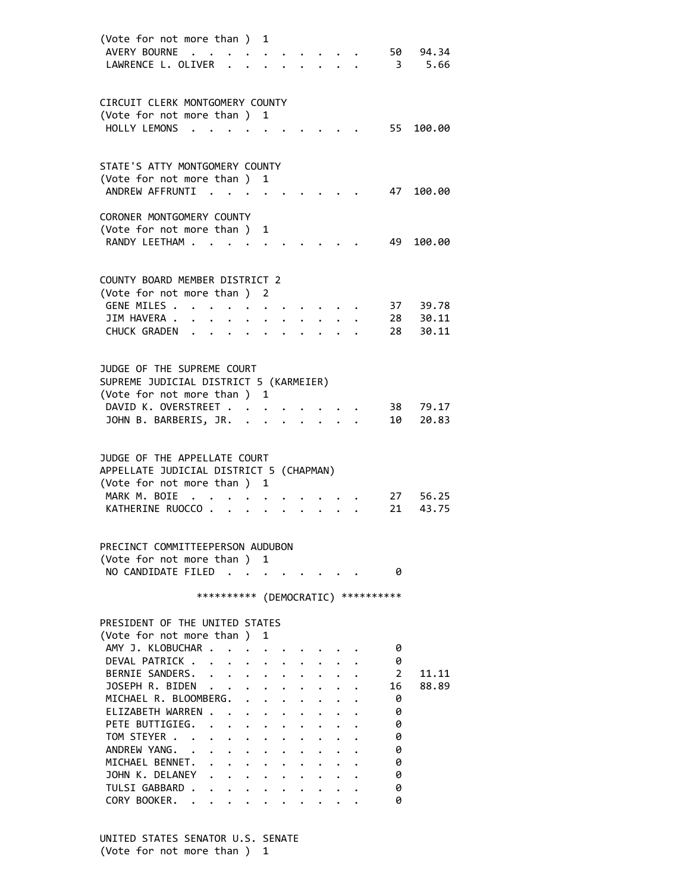| (Vote for not more than)<br>AVERY BOURNE .<br>LAWRENCE L. OLIVER             |                      |                                        | 1            |  |  | 50                      | 94.34<br>3 5.66      |
|------------------------------------------------------------------------------|----------------------|----------------------------------------|--------------|--|--|-------------------------|----------------------|
| CIRCUIT CLERK MONTGOMERY COUNTY<br>(Vote for not more than )<br>HOLLY LEMONS |                      |                                        | 1            |  |  | 55                      | 100.00               |
|                                                                              |                      |                                        |              |  |  |                         |                      |
| STATE'S ATTY MONTGOMERY COUNTY<br>(Vote for not more than ) 1                |                      |                                        |              |  |  |                         |                      |
| ANDREW AFFRUNTI                                                              | <b>College State</b> |                                        |              |  |  | 47                      | 100.00               |
| CORONER MONTGOMERY COUNTY                                                    |                      |                                        |              |  |  |                         |                      |
| (Vote for not more than)                                                     |                      |                                        | 1            |  |  |                         |                      |
| RANDY LEETHAM .                                                              |                      |                                        |              |  |  | 49                      | 100.00               |
| COUNTY BOARD MEMBER DISTRICT 2                                               |                      |                                        |              |  |  |                         |                      |
| (Vote for not more than ) 2                                                  |                      |                                        |              |  |  |                         |                      |
| GENE MILES .<br>JIM HAVERA .                                                 | $\ddot{\phantom{a}}$ | $\bullet$ .                            |              |  |  |                         | 37 39.78<br>28 30.11 |
| CHUCK GRADEN                                                                 |                      |                                        |              |  |  | 28                      | 30.11                |
|                                                                              |                      |                                        |              |  |  |                         |                      |
| JUDGE OF THE SUPREME COURT                                                   |                      |                                        |              |  |  |                         |                      |
| SUPREME JUDICIAL DISTRICT 5 (KARMEIER)                                       |                      |                                        |              |  |  |                         |                      |
| (Vote for not more than ) 1<br>DAVID K. OVERSTREET                           |                      |                                        |              |  |  |                         |                      |
| JOHN B. BARBERIS, JR.                                                        |                      |                                        |              |  |  | 38 —<br>10              | 79.17<br>20.83       |
|                                                                              |                      |                                        |              |  |  |                         |                      |
| JUDGE OF THE APPELLATE COURT                                                 |                      |                                        |              |  |  |                         |                      |
| APPELLATE JUDICIAL DISTRICT 5 (CHAPMAN)                                      |                      |                                        |              |  |  |                         |                      |
| (Vote for not more than ) 1                                                  |                      |                                        |              |  |  |                         |                      |
| MARK M. BOIE<br>$\cdot$ $\cdot$<br>KATHERINE RUOCCO.                         |                      |                                        |              |  |  | 27<br>21                | 56.25<br>43.75       |
|                                                                              |                      |                                        |              |  |  |                         |                      |
| PRECINCT COMMITTEEPERSON AUDUBON                                             |                      |                                        |              |  |  |                         |                      |
| (Vote for not more than ) 1                                                  |                      |                                        |              |  |  |                         |                      |
| NO CANDIDATE FILED.                                                          |                      | $\sim$ $\sim$                          |              |  |  | 0                       |                      |
|                                                                              | **********           |                                        |              |  |  | (DEMOCRATIC) ********** |                      |
| PRESIDENT OF THE UNITED STATES                                               |                      |                                        |              |  |  |                         |                      |
| (Vote for not more than)                                                     |                      |                                        | 1            |  |  |                         |                      |
| AMY J. KLOBUCHAR .                                                           |                      |                                        |              |  |  | 0                       |                      |
| DEVAL PATRICK<br>BERNIE SANDERS.                                             | $\ddot{\phantom{0}}$ |                                        |              |  |  | 0<br>$\overline{2}$     | 11.11                |
| JOSEPH R. BIDEN                                                              |                      | $\bullet$ .                            |              |  |  | 16                      | 88.89                |
| MICHAEL R. BLOOMBERG.                                                        |                      | $\mathbf{L}$                           |              |  |  | 0                       |                      |
| ELIZABETH WARREN                                                             |                      |                                        | $\mathbf{L}$ |  |  | 0                       |                      |
| PETE BUTTIGIEG.                                                              |                      |                                        |              |  |  | 0                       |                      |
| TOM STEYER                                                                   |                      | $\mathbf{z} = \mathbf{z} + \mathbf{z}$ |              |  |  | 0                       |                      |
| ANDREW YANG. .<br>MICHAEL BENNET. .                                          |                      |                                        |              |  |  | 0<br>0                  |                      |
| JOHN K. DELANEY                                                              |                      |                                        |              |  |  | 0                       |                      |
| TULSI GABBARD .                                                              |                      |                                        |              |  |  | 0                       |                      |
| CORY BOOKER. .                                                               |                      |                                        |              |  |  | 0                       |                      |

 UNITED STATES SENATOR U.S. SENATE (Vote for not more than ) 1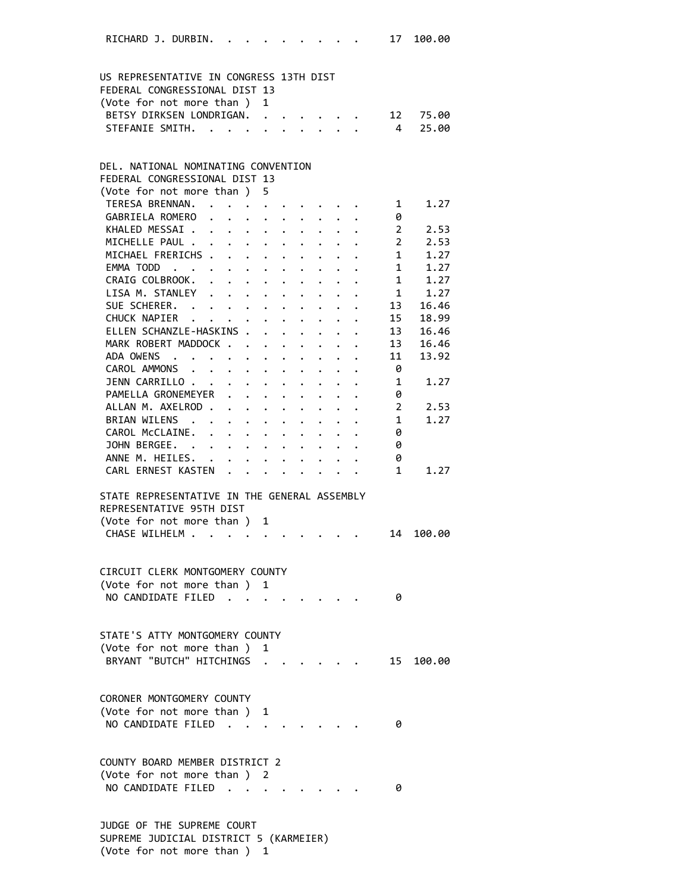| RICHARD J. DURBIN. .                                                     |  | the contract of the contract of the contract of the contract of the contract of the contract of the contract of                                                                                                                                                                                                                                                                                                                                                                                              |              |  |  | 17                | 100.00                                 |  |
|--------------------------------------------------------------------------|--|--------------------------------------------------------------------------------------------------------------------------------------------------------------------------------------------------------------------------------------------------------------------------------------------------------------------------------------------------------------------------------------------------------------------------------------------------------------------------------------------------------------|--------------|--|--|-------------------|----------------------------------------|--|
|                                                                          |  |                                                                                                                                                                                                                                                                                                                                                                                                                                                                                                              |              |  |  |                   |                                        |  |
| US REPRESENTATIVE IN CONGRESS 13TH DIST<br>FEDERAL CONGRESSIONAL DIST 13 |  |                                                                                                                                                                                                                                                                                                                                                                                                                                                                                                              |              |  |  |                   |                                        |  |
| (Vote for not more than)                                                 |  |                                                                                                                                                                                                                                                                                                                                                                                                                                                                                                              | $\mathbf{1}$ |  |  |                   |                                        |  |
| BETSY DIRKSEN LONDRIGAN. 12                                              |  |                                                                                                                                                                                                                                                                                                                                                                                                                                                                                                              |              |  |  |                   | 75.00                                  |  |
| STEFANIE SMITH.                                                          |  |                                                                                                                                                                                                                                                                                                                                                                                                                                                                                                              |              |  |  | $\overline{4}$    | 25.00                                  |  |
|                                                                          |  |                                                                                                                                                                                                                                                                                                                                                                                                                                                                                                              |              |  |  |                   |                                        |  |
| DEL. NATIONAL NOMINATING CONVENTION                                      |  |                                                                                                                                                                                                                                                                                                                                                                                                                                                                                                              |              |  |  |                   |                                        |  |
| FEDERAL CONGRESSIONAL DIST 13                                            |  |                                                                                                                                                                                                                                                                                                                                                                                                                                                                                                              |              |  |  |                   |                                        |  |
| (Vote for not more than ) 5                                              |  |                                                                                                                                                                                                                                                                                                                                                                                                                                                                                                              |              |  |  |                   |                                        |  |
| TERESA BRENNAN.                                                          |  |                                                                                                                                                                                                                                                                                                                                                                                                                                                                                                              |              |  |  |                   | 1.27<br>$1 \quad$                      |  |
| GABRIELA ROMERO                                                          |  |                                                                                                                                                                                                                                                                                                                                                                                                                                                                                                              |              |  |  | 0                 |                                        |  |
| KHALED MESSAI                                                            |  |                                                                                                                                                                                                                                                                                                                                                                                                                                                                                                              |              |  |  |                   | $2^{\sim}$<br>2.53                     |  |
| MICHELLE PAUL                                                            |  |                                                                                                                                                                                                                                                                                                                                                                                                                                                                                                              |              |  |  |                   | $2 \overline{ }$<br>2.53               |  |
| MICHAEL FRERICHS                                                         |  |                                                                                                                                                                                                                                                                                                                                                                                                                                                                                                              |              |  |  |                   | 1.27<br>$\frac{1}{1}$                  |  |
| EMMA TODD                                                                |  |                                                                                                                                                                                                                                                                                                                                                                                                                                                                                                              |              |  |  | 1                 | 1.27                                   |  |
| CRAIG COLBROOK.                                                          |  |                                                                                                                                                                                                                                                                                                                                                                                                                                                                                                              |              |  |  | 1                 | 1.27                                   |  |
| LISA M. STANLEY                                                          |  |                                                                                                                                                                                                                                                                                                                                                                                                                                                                                                              |              |  |  | $\mathbf{1}$      | 1.27                                   |  |
| SUE SCHERER.                                                             |  |                                                                                                                                                                                                                                                                                                                                                                                                                                                                                                              |              |  |  | 13                | 16.46                                  |  |
| CHUCK NAPIER                                                             |  |                                                                                                                                                                                                                                                                                                                                                                                                                                                                                                              |              |  |  | 15                | 18.99                                  |  |
| ELLEN SCHANZLE-HASKINS                                                   |  |                                                                                                                                                                                                                                                                                                                                                                                                                                                                                                              |              |  |  | 13                | 16.46                                  |  |
| MARK ROBERT MADDOCK                                                      |  |                                                                                                                                                                                                                                                                                                                                                                                                                                                                                                              |              |  |  | 13                | 16.46                                  |  |
| ADA OWENS                                                                |  |                                                                                                                                                                                                                                                                                                                                                                                                                                                                                                              |              |  |  | 11                | 13.92                                  |  |
| CAROL AMMONS                                                             |  |                                                                                                                                                                                                                                                                                                                                                                                                                                                                                                              |              |  |  | - 0               |                                        |  |
| JENN CARRILLO                                                            |  |                                                                                                                                                                                                                                                                                                                                                                                                                                                                                                              |              |  |  | 1                 | 1.27                                   |  |
| PAMELLA GRONEMEYER                                                       |  |                                                                                                                                                                                                                                                                                                                                                                                                                                                                                                              |              |  |  | 0                 |                                        |  |
| ALLAN M. AXELROD                                                         |  |                                                                                                                                                                                                                                                                                                                                                                                                                                                                                                              |              |  |  |                   | $2 \left( \frac{1}{2} \right)$<br>2.53 |  |
| BRIAN WILENS                                                             |  |                                                                                                                                                                                                                                                                                                                                                                                                                                                                                                              |              |  |  | 1                 | 1.27                                   |  |
| CAROL McCLAINE.                                                          |  |                                                                                                                                                                                                                                                                                                                                                                                                                                                                                                              |              |  |  | 0                 |                                        |  |
|                                                                          |  |                                                                                                                                                                                                                                                                                                                                                                                                                                                                                                              |              |  |  | 0                 |                                        |  |
| JOHN BERGEE.<br>ANNE M. HEILES. .                                        |  |                                                                                                                                                                                                                                                                                                                                                                                                                                                                                                              |              |  |  |                   |                                        |  |
| CARL ERNEST KASTEN                                                       |  | $\mathbf{r} = \mathbf{r} \times \mathbf{r} \times \mathbf{r} \times \mathbf{r} \times \mathbf{r} \times \mathbf{r} \times \mathbf{r} \times \mathbf{r} \times \mathbf{r} \times \mathbf{r} \times \mathbf{r} \times \mathbf{r} \times \mathbf{r} \times \mathbf{r} \times \mathbf{r} \times \mathbf{r} \times \mathbf{r} \times \mathbf{r} \times \mathbf{r} \times \mathbf{r} \times \mathbf{r} \times \mathbf{r} \times \mathbf{r} \times \mathbf{r} \times \mathbf{r} \times \mathbf{r} \times \mathbf{r$ |              |  |  | 0<br>$\mathbf{1}$ | 1.27                                   |  |
| STATE REPRESENTATIVE IN THE GENERAL ASSEMBLY                             |  |                                                                                                                                                                                                                                                                                                                                                                                                                                                                                                              |              |  |  |                   |                                        |  |
| REPRESENTATIVE 95TH DIST                                                 |  |                                                                                                                                                                                                                                                                                                                                                                                                                                                                                                              |              |  |  |                   |                                        |  |
| (Vote for not more than ) 1                                              |  |                                                                                                                                                                                                                                                                                                                                                                                                                                                                                                              |              |  |  |                   |                                        |  |
| CHASE WILHELM                                                            |  |                                                                                                                                                                                                                                                                                                                                                                                                                                                                                                              |              |  |  | 14                | 100.00                                 |  |
|                                                                          |  |                                                                                                                                                                                                                                                                                                                                                                                                                                                                                                              |              |  |  |                   |                                        |  |
| CIRCUIT CLERK MONTGOMERY COUNTY                                          |  |                                                                                                                                                                                                                                                                                                                                                                                                                                                                                                              |              |  |  |                   |                                        |  |
| (Vote for not more than) 1                                               |  |                                                                                                                                                                                                                                                                                                                                                                                                                                                                                                              |              |  |  |                   |                                        |  |
| NO CANDIDATE FILED.                                                      |  |                                                                                                                                                                                                                                                                                                                                                                                                                                                                                                              |              |  |  | 0                 |                                        |  |
|                                                                          |  |                                                                                                                                                                                                                                                                                                                                                                                                                                                                                                              |              |  |  |                   |                                        |  |
| STATE'S ATTY MONTGOMERY COUNTY                                           |  |                                                                                                                                                                                                                                                                                                                                                                                                                                                                                                              |              |  |  |                   |                                        |  |
| (Vote for not more than)                                                 |  |                                                                                                                                                                                                                                                                                                                                                                                                                                                                                                              | 1            |  |  |                   |                                        |  |
| BRYANT "BUTCH" HITCHINGS                                                 |  |                                                                                                                                                                                                                                                                                                                                                                                                                                                                                                              |              |  |  |                   | 15 100.00                              |  |
|                                                                          |  |                                                                                                                                                                                                                                                                                                                                                                                                                                                                                                              |              |  |  |                   |                                        |  |
| CORONER MONTGOMERY COUNTY                                                |  |                                                                                                                                                                                                                                                                                                                                                                                                                                                                                                              |              |  |  |                   |                                        |  |
| (Vote for not more than )                                                |  |                                                                                                                                                                                                                                                                                                                                                                                                                                                                                                              | 1            |  |  |                   |                                        |  |
| NO CANDIDATE FILED.                                                      |  |                                                                                                                                                                                                                                                                                                                                                                                                                                                                                                              |              |  |  | 0                 |                                        |  |
| COUNTY BOARD MEMBER DISTRICT 2                                           |  |                                                                                                                                                                                                                                                                                                                                                                                                                                                                                                              |              |  |  |                   |                                        |  |
| (Vote for not more than ) 2                                              |  |                                                                                                                                                                                                                                                                                                                                                                                                                                                                                                              |              |  |  |                   |                                        |  |
| NO CANDIDATE FILED.                                                      |  |                                                                                                                                                                                                                                                                                                                                                                                                                                                                                                              |              |  |  | 0                 |                                        |  |
|                                                                          |  |                                                                                                                                                                                                                                                                                                                                                                                                                                                                                                              |              |  |  |                   |                                        |  |
| JUDGE OF THE SUPREME COURT                                               |  |                                                                                                                                                                                                                                                                                                                                                                                                                                                                                                              |              |  |  |                   |                                        |  |
| SUPREME JUDICIAL DISTRICT 5 (KARMEIER)                                   |  |                                                                                                                                                                                                                                                                                                                                                                                                                                                                                                              |              |  |  |                   |                                        |  |

(Vote for not more than ) 1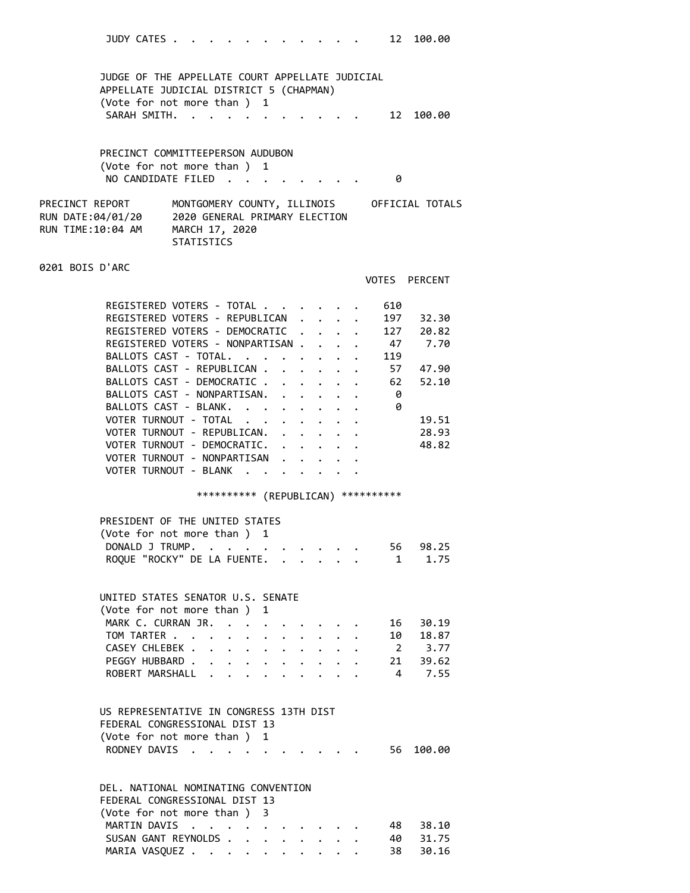| JUDY CATES |  |  |  |  |  |  | 12 100.00 |
|------------|--|--|--|--|--|--|-----------|
|            |  |  |  |  |  |  |           |

 JUDGE OF THE APPELLATE COURT APPELLATE JUDICIAL APPELLATE JUDICIAL DISTRICT 5 (CHAPMAN) (Vote for not more than ) 1 SARAH SMITH. . . . . . . . . . . . 12 100.00

 PRECINCT COMMITTEEPERSON AUDUBON (Vote for not more than ) 1 NO CANDIDATE FILED . . . . . . . . 0

| PRECINCT REPORT   | MONTGOMERY COUNTY, ILLINOIS   | OFFICIAL TOTALS |
|-------------------|-------------------------------|-----------------|
| RUN DATE:04/01/20 | 2020 GENERAL PRIMARY ELECTION |                 |
| RUN TIME:10:04 AM | MARCH 17, 2020                |                 |
|                   | <b>STATISTICS</b>             |                 |

0201 BOIS D'ARC

### VOTES PERCENT

| REGISTERED VOTERS - TOTAL        |  |  | 610 |       |
|----------------------------------|--|--|-----|-------|
| REGISTERED VOTERS - REPUBLICAN.  |  |  | 197 | 32.30 |
| REGISTERED VOTERS - DEMOCRATIC.  |  |  | 127 | 20.82 |
| REGISTERED VOTERS - NONPARTISAN. |  |  | 47  | 7.70  |
| BALLOTS CAST - TOTAL.            |  |  | 119 |       |
| BALLOTS CAST - REPUBLICAN .      |  |  | 57  | 47.90 |
| BALLOTS CAST - DEMOCRATIC        |  |  | 62  | 52.10 |
| BALLOTS CAST - NONPARTISAN.      |  |  | 0   |       |
| BALLOTS CAST - BLANK.            |  |  | 0   |       |
| VOTER TURNOUT - TOTAL            |  |  |     | 19.51 |
| VOTER TURNOUT - REPUBLICAN.      |  |  |     | 28.93 |
| VOTER TURNOUT - DEMOCRATIC.      |  |  |     | 48.82 |
| VOTER TURNOUT - NONPARTISAN      |  |  |     |       |
| VOTER TURNOUT - BLANK            |  |  |     |       |

# \*\*\*\*\*\*\*\*\*\* (REPUBLICAN) \*\*\*\*\*\*\*\*\*\*

| PRESIDENT OF THE UNITED STATES     |  |  |          |
|------------------------------------|--|--|----------|
| (Vote for not more than ) 1        |  |  |          |
| DONALD J TRUMP.                    |  |  | 56 98.25 |
| ROQUE "ROCKY" DE LA FUENTE. 1 1.75 |  |  |          |

#### UNITED STATES SENATOR U.S. SENATE

| (Vote for not more than) 1 |  |  |  |  |  |          |
|----------------------------|--|--|--|--|--|----------|
| MARK C. CURRAN JR.         |  |  |  |  |  | 16 30.19 |
| TOM TARTER 10 18.87        |  |  |  |  |  |          |
| CASEY CHLEBEK 2 3.77       |  |  |  |  |  |          |
| PEGGY HUBBARD 21 39.62     |  |  |  |  |  |          |
| ROBERT MARSHALL 4 7.55     |  |  |  |  |  |          |

# US REPRESENTATIVE IN CONGRESS 13TH DIST FEDERAL CONGRESSIONAL DIST 13 (Vote for not more than ) 1 RODNEY DAVIS . . . . . . . . . . 56 100.00

| DEL. NATIONAL NOMINATING CONVENTION |          |
|-------------------------------------|----------|
| FEDERAL CONGRESSIONAL DIST 13       |          |
| (Vote for not more than) 3          |          |
| MARTIN DAVIS                        | 48 38.10 |
| SUSAN GANT REYNOLDS                 | 40 31.75 |
| MARIA VASQUEZ 38 30.16              |          |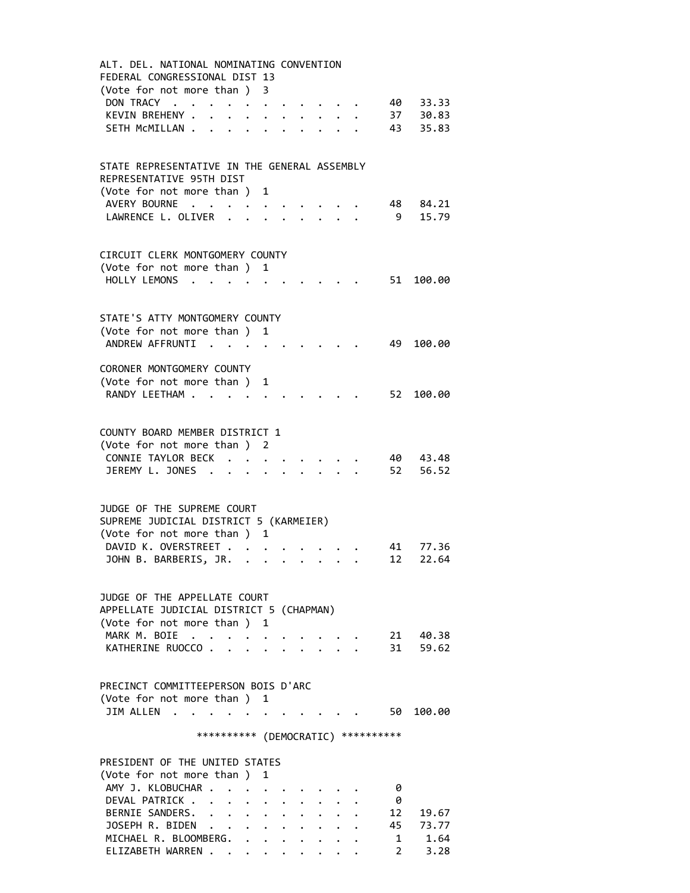| ALT. DEL. NATIONAL NOMINATING CONVENTION                                                                                                                                                                                                                                    |
|-----------------------------------------------------------------------------------------------------------------------------------------------------------------------------------------------------------------------------------------------------------------------------|
| FEDERAL CONGRESSIONAL DIST 13                                                                                                                                                                                                                                               |
| (Vote for not more than)<br>-3                                                                                                                                                                                                                                              |
|                                                                                                                                                                                                                                                                             |
| DON TRACY.<br>33.33<br>40 —<br>$\sim$<br>$\mathcal{A}$ . The contract of the contract of the contract of the contract of the contract of the contract of the contract of the contract of the contract of the contract of the contract of the contract of the contract of th |
| 37<br>KEVIN BREHENY .<br>30.83<br>$\ddot{\phantom{0}}$<br>$\ddot{\phantom{a}}$<br>$\ddot{\phantom{0}}$<br>$\bullet$                                                                                                                                                         |
| SETH MCMILLAN<br>43<br>35.83<br>$\bullet$ .                                                                                                                                                                                                                                 |
|                                                                                                                                                                                                                                                                             |
|                                                                                                                                                                                                                                                                             |
| STATE REPRESENTATIVE IN THE GENERAL ASSEMBLY                                                                                                                                                                                                                                |
| REPRESENTATIVE 95TH DIST                                                                                                                                                                                                                                                    |
| (Vote for not more than) 1                                                                                                                                                                                                                                                  |
|                                                                                                                                                                                                                                                                             |
| AVERY BOURNE<br>84.21<br>48 —                                                                                                                                                                                                                                               |
| 15.79<br>LAWRENCE L. OLIVER<br>- 9<br>$\ddot{\phantom{a}}$                                                                                                                                                                                                                  |
|                                                                                                                                                                                                                                                                             |
|                                                                                                                                                                                                                                                                             |
| CIRCUIT CLERK MONTGOMERY COUNTY                                                                                                                                                                                                                                             |
| (Vote for not more than ) 1                                                                                                                                                                                                                                                 |
| HOLLY LEMONS<br>51 100.00                                                                                                                                                                                                                                                   |
|                                                                                                                                                                                                                                                                             |
|                                                                                                                                                                                                                                                                             |
| STATE'S ATTY MONTGOMERY COUNTY                                                                                                                                                                                                                                              |
|                                                                                                                                                                                                                                                                             |
| (Vote for not more than)<br>1                                                                                                                                                                                                                                               |
| ANDREW AFFRUNTI<br>49<br>100.00                                                                                                                                                                                                                                             |
|                                                                                                                                                                                                                                                                             |
| CORONER MONTGOMERY COUNTY                                                                                                                                                                                                                                                   |
| (Vote for not more than)<br>1                                                                                                                                                                                                                                               |
| RANDY LEETHAM<br>52 100.00                                                                                                                                                                                                                                                  |
|                                                                                                                                                                                                                                                                             |
|                                                                                                                                                                                                                                                                             |
| COUNTY BOARD MEMBER DISTRICT 1                                                                                                                                                                                                                                              |
|                                                                                                                                                                                                                                                                             |
| (Vote for not more than)<br>2                                                                                                                                                                                                                                               |
| CONNIE TAYLOR BECK.<br>43.48<br>40                                                                                                                                                                                                                                          |
| JEREMY L. JONES .<br>52<br>56.52                                                                                                                                                                                                                                            |
|                                                                                                                                                                                                                                                                             |
|                                                                                                                                                                                                                                                                             |
| JUDGE OF THE SUPREME COURT                                                                                                                                                                                                                                                  |
| SUPREME JUDICIAL DISTRICT 5 (KARMEIER)                                                                                                                                                                                                                                      |
| (Vote for not more than)<br>1                                                                                                                                                                                                                                               |
| DAVID K. OVERSTREET .<br>41<br>77.36                                                                                                                                                                                                                                        |
| $\mathbf{z} = \mathbf{z} + \mathbf{z}$ , where $\mathbf{z}$                                                                                                                                                                                                                 |
| JOHN B. BARBERIS, JR.<br>12<br>22.64<br>$\bullet$ , $\bullet$ , $\bullet$                                                                                                                                                                                                   |
|                                                                                                                                                                                                                                                                             |
|                                                                                                                                                                                                                                                                             |
| JUDGE OF THE APPELLATE COURT                                                                                                                                                                                                                                                |
| APPELLATE JUDICIAL DISTRICT 5 (CHAPMAN)                                                                                                                                                                                                                                     |
| (Vote for not more than)<br>1                                                                                                                                                                                                                                               |
| MARK M. BOIE<br>21 40.38                                                                                                                                                                                                                                                    |
| KATHERINE RUOCCO.<br>31<br>59.62                                                                                                                                                                                                                                            |
|                                                                                                                                                                                                                                                                             |
|                                                                                                                                                                                                                                                                             |
| PRECINCT COMMITTEEPERSON BOIS D'ARC                                                                                                                                                                                                                                         |
|                                                                                                                                                                                                                                                                             |
| (Vote for not more than ) 1                                                                                                                                                                                                                                                 |
| JIM ALLEN.<br>50 100.00                                                                                                                                                                                                                                                     |
|                                                                                                                                                                                                                                                                             |
| *********** (DEMOCRATIC) **********                                                                                                                                                                                                                                         |
|                                                                                                                                                                                                                                                                             |
| PRESIDENT OF THE UNITED STATES                                                                                                                                                                                                                                              |
| (Vote for not more than)<br>1                                                                                                                                                                                                                                               |
| AMY J. KLOBUCHAR .<br>0<br>$\mathbf{r}$                                                                                                                                                                                                                                     |
| DEVAL PATRICK<br>0                                                                                                                                                                                                                                                          |
|                                                                                                                                                                                                                                                                             |
| BERNIE SANDERS.<br>12<br>19.67<br>$\ddot{\phantom{a}}$<br>$\mathbf{L}$<br>$\ddot{\phantom{0}}$<br>$\ddot{\phantom{a}}$                                                                                                                                                      |
| JOSEPH R. BIDEN<br>45<br>73.77                                                                                                                                                                                                                                              |
| MICHAEL R. BLOOMBERG.<br>$\mathbf{1}$<br>1.64                                                                                                                                                                                                                               |

ELIZABETH WARREN . . . . . . . . . 2 3.28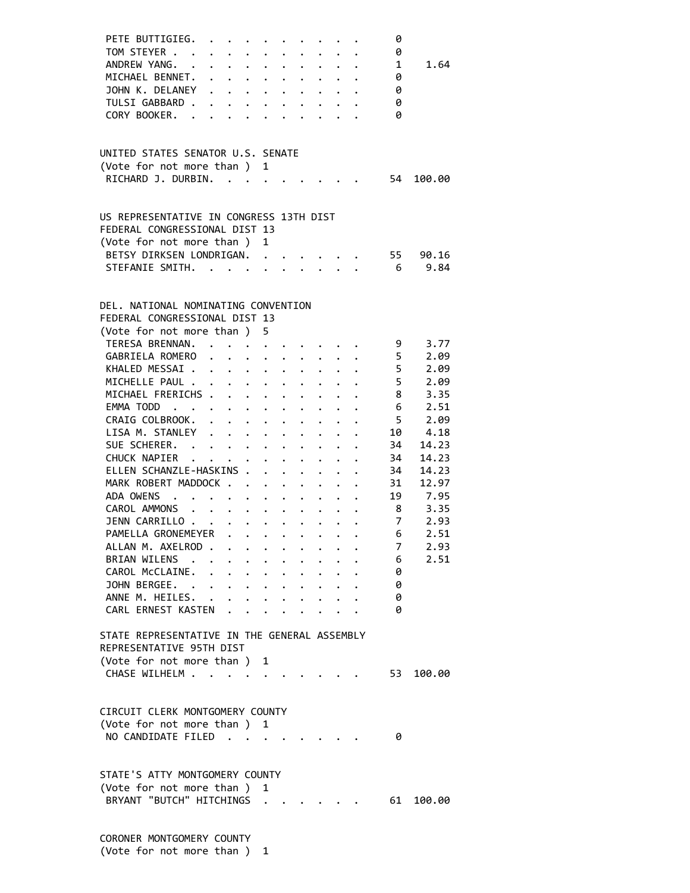| PETE BUTTIGIEG.                              |                      |                                                                                                                       |                                                             | $\mathcal{L}(\mathbf{z})$ , and $\mathcal{L}(\mathbf{z})$ , and $\mathcal{L}(\mathbf{z})$ |                                  |                                                                          |                      |                                              |                                            | 0              |         |  |
|----------------------------------------------|----------------------|-----------------------------------------------------------------------------------------------------------------------|-------------------------------------------------------------|-------------------------------------------------------------------------------------------|----------------------------------|--------------------------------------------------------------------------|----------------------|----------------------------------------------|--------------------------------------------|----------------|---------|--|
| TOM STEYER                                   |                      | $\mathbf{r}$ , $\mathbf{r}$ , $\mathbf{r}$ , $\mathbf{r}$                                                             |                                                             |                                                                                           |                                  |                                                                          |                      |                                              | $\cdot$ $\cdot$ $\cdot$                    | 0              |         |  |
| ANDREW YANG. .                               |                      |                                                                                                                       |                                                             | $\cdot$ $\cdot$ $\cdot$                                                                   | $\ddot{\bullet}$                 | $\ddot{\phantom{0}}$                                                     |                      |                                              | $\mathbf{r}$ , $\mathbf{r}$ , $\mathbf{r}$ | 1              | 1.64    |  |
| MICHAEL BENNET. .                            |                      |                                                                                                                       | $\ddot{\phantom{0}}$                                        | $\bullet$ .                                                                               |                                  | $\ddot{\bullet}$ $\ddot{\bullet}$                                        | $\ddot{\phantom{0}}$ |                                              |                                            | 0              |         |  |
| JOHN K. DELANEY                              | $\bullet$            |                                                                                                                       |                                                             | $\mathbf{r}$ , $\mathbf{r}$ , $\mathbf{r}$ , $\mathbf{r}$                                 |                                  | $\mathbf{r} = \mathbf{r} + \mathbf{r}$ , where $\mathbf{r} = \mathbf{r}$ |                      |                                              |                                            | 0              |         |  |
| TULSI GABBARD .                              |                      |                                                                                                                       |                                                             |                                                                                           |                                  |                                                                          |                      |                                              |                                            | 0              |         |  |
| CORY BOOKER. .                               |                      |                                                                                                                       |                                                             |                                                                                           |                                  |                                                                          |                      |                                              |                                            | 0              |         |  |
|                                              |                      |                                                                                                                       |                                                             |                                                                                           |                                  |                                                                          |                      |                                              |                                            |                |         |  |
|                                              |                      |                                                                                                                       |                                                             |                                                                                           |                                  |                                                                          |                      |                                              |                                            |                |         |  |
| UNITED STATES SENATOR U.S. SENATE            |                      |                                                                                                                       |                                                             |                                                                                           |                                  |                                                                          |                      |                                              |                                            |                |         |  |
| (Vote for not more than)                     |                      |                                                                                                                       |                                                             | 1                                                                                         |                                  |                                                                          |                      |                                              |                                            |                |         |  |
| RICHARD J. DURBIN.                           |                      | $\mathcal{L}(\mathbf{X})$ , and $\mathcal{L}(\mathbf{X})$ , and $\mathcal{L}(\mathbf{X})$                             |                                                             |                                                                                           |                                  |                                                                          |                      |                                              |                                            | 54             | 100.00  |  |
|                                              |                      |                                                                                                                       |                                                             |                                                                                           |                                  |                                                                          |                      |                                              |                                            |                |         |  |
| US REPRESENTATIVE IN CONGRESS 13TH DIST      |                      |                                                                                                                       |                                                             |                                                                                           |                                  |                                                                          |                      |                                              |                                            |                |         |  |
| FEDERAL CONGRESSIONAL DIST 13                |                      |                                                                                                                       |                                                             |                                                                                           |                                  |                                                                          |                      |                                              |                                            |                |         |  |
| (Vote for not more than ) 1                  |                      |                                                                                                                       |                                                             |                                                                                           |                                  |                                                                          |                      |                                              |                                            |                |         |  |
| BETSY DIRKSEN LONDRIGAN.                     |                      |                                                                                                                       |                                                             |                                                                                           |                                  |                                                                          |                      |                                              |                                            | 55             | 90.16   |  |
| STEFANIE SMITH.                              |                      |                                                                                                                       |                                                             |                                                                                           |                                  | $\ddot{\phantom{a}}$                                                     |                      | $\mathbf{r}$ $\mathbf{r}$                    |                                            | 6 <sup>6</sup> | 9.84    |  |
|                                              |                      |                                                                                                                       |                                                             |                                                                                           |                                  |                                                                          |                      |                                              |                                            |                |         |  |
|                                              |                      |                                                                                                                       |                                                             |                                                                                           |                                  |                                                                          |                      |                                              |                                            |                |         |  |
| DEL, NATIONAL NOMINATING CONVENTION          |                      |                                                                                                                       |                                                             |                                                                                           |                                  |                                                                          |                      |                                              |                                            |                |         |  |
| FEDERAL CONGRESSIONAL DIST 13                |                      |                                                                                                                       |                                                             |                                                                                           |                                  |                                                                          |                      |                                              |                                            |                |         |  |
| (Vote for not more than)                     |                      |                                                                                                                       |                                                             | 5                                                                                         |                                  |                                                                          |                      |                                              |                                            |                |         |  |
| TERESA BRENNAN. .                            |                      |                                                                                                                       |                                                             |                                                                                           |                                  |                                                                          |                      |                                              |                                            | 9              | 3.77    |  |
| GABRIELA ROMERO                              |                      | .                                                                                                                     |                                                             |                                                                                           |                                  |                                                                          |                      |                                              |                                            | - 5            | 2.09    |  |
| KHALED MESSAI                                |                      |                                                                                                                       |                                                             |                                                                                           |                                  |                                                                          |                      | $\mathbf{r} = \mathbf{r} \cdot \mathbf{r}$ . |                                            | 5              | 2.09    |  |
| MICHELLE PAUL                                |                      |                                                                                                                       |                                                             |                                                                                           |                                  | $\cdot$ $\cdot$ $\cdot$ $\cdot$ $\cdot$ $\cdot$                          |                      |                                              |                                            | 5              | 2.09    |  |
| MICHAEL FRERICHS                             |                      |                                                                                                                       |                                                             |                                                                                           |                                  |                                                                          |                      |                                              |                                            | 8              | 3.35    |  |
| EMMA TODD                                    |                      |                                                                                                                       |                                                             |                                                                                           |                                  |                                                                          |                      |                                              |                                            | 6              | 2.51    |  |
| CRAIG COLBROOK.                              |                      | $\ddot{\phantom{0}}$                                                                                                  |                                                             | $\ddot{\phantom{a}}$                                                                      |                                  |                                                                          |                      |                                              |                                            | $5^{\circ}$    | 2.09    |  |
| LISA M. STANLEY                              |                      | $\mathbf{1}^{\prime}$ , $\mathbf{1}^{\prime}$ , $\mathbf{1}^{\prime}$ , $\mathbf{1}^{\prime}$ , $\mathbf{1}^{\prime}$ |                                                             |                                                                                           |                                  |                                                                          |                      |                                              |                                            | 10             | 4.18    |  |
| SUE SCHERER.                                 |                      |                                                                                                                       |                                                             |                                                                                           | $\ddot{\phantom{0}}$             |                                                                          |                      |                                              |                                            | 34             | 14.23   |  |
|                                              |                      |                                                                                                                       |                                                             |                                                                                           |                                  |                                                                          |                      |                                              |                                            |                |         |  |
| CHUCK NAPIER                                 |                      |                                                                                                                       | $\mathbf{L}^{\text{max}}$ , where $\mathbf{L}^{\text{max}}$ |                                                                                           |                                  |                                                                          |                      |                                              | .                                          | 34             | 14.23   |  |
| ELLEN SCHANZLE-HASKINS .                     |                      |                                                                                                                       |                                                             |                                                                                           |                                  |                                                                          |                      |                                              |                                            | 34             | 14.23   |  |
| MARK ROBERT MADDOCK                          |                      |                                                                                                                       |                                                             |                                                                                           |                                  |                                                                          |                      | $\bullet$ .                                  |                                            | 31             | 12.97   |  |
| ADA OWENS                                    |                      |                                                                                                                       |                                                             | $\bullet$ .                                                                               |                                  | $\cdot$ $\cdot$ $\cdot$ $\cdot$                                          |                      |                                              |                                            |                | 19 7.95 |  |
| CAROL AMMONS                                 | $\ddot{\phantom{0}}$ | $\mathbf{L}$ and $\mathbf{L}$                                                                                         |                                                             |                                                                                           |                                  |                                                                          |                      |                                              |                                            | 8 <sup>8</sup> | 3.35    |  |
| JENN CARRILLO                                |                      |                                                                                                                       |                                                             |                                                                                           | $\mathbf{z} = \mathbf{z}$ .      | $\bullet$ .                                                              |                      |                                              |                                            | $\overline{7}$ | 2.93    |  |
| PAMELLA GRONEMEYER                           |                      |                                                                                                                       |                                                             | $\bullet$                                                                                 |                                  |                                                                          |                      |                                              |                                            | 6              | 2.51    |  |
| ALLAN M. AXELROD .                           |                      | $\sim$ $\sim$ $\sim$ $\sim$ $\sim$                                                                                    |                                                             |                                                                                           |                                  |                                                                          |                      |                                              |                                            | 7              | 2.93    |  |
| BRIAN WILENS                                 |                      |                                                                                                                       | $\ddot{\phantom{a}}$                                        | $\ddot{\phantom{0}}$                                                                      |                                  |                                                                          |                      |                                              |                                            | 6              | 2.51    |  |
| CAROL McCLAINE.                              | $\ddot{\phantom{0}}$ |                                                                                                                       | $\ddot{\phantom{a}}$                                        | $\bullet$ .                                                                               | $\bullet$ . The set of $\bullet$ | $\bullet$                                                                | $\ddot{\phantom{0}}$ |                                              |                                            | 0              |         |  |
| JOHN BERGEE.                                 |                      |                                                                                                                       |                                                             | $\bullet$ .                                                                               | $\ddot{\phantom{0}}$             | $\bullet$                                                                |                      |                                              |                                            | 0              |         |  |
| ANNE M. HEILES. .                            |                      |                                                                                                                       |                                                             |                                                                                           |                                  |                                                                          |                      |                                              |                                            | 0              |         |  |
| CARL ERNEST KASTEN.                          |                      |                                                                                                                       |                                                             |                                                                                           |                                  |                                                                          |                      |                                              |                                            | 0              |         |  |
|                                              |                      |                                                                                                                       |                                                             |                                                                                           |                                  |                                                                          |                      |                                              |                                            |                |         |  |
| STATE REPRESENTATIVE IN THE GENERAL ASSEMBLY |                      |                                                                                                                       |                                                             |                                                                                           |                                  |                                                                          |                      |                                              |                                            |                |         |  |
| REPRESENTATIVE 95TH DIST                     |                      |                                                                                                                       |                                                             |                                                                                           |                                  |                                                                          |                      |                                              |                                            |                |         |  |
| (Vote for not more than) 1                   |                      |                                                                                                                       |                                                             |                                                                                           |                                  |                                                                          |                      |                                              |                                            |                |         |  |
| CHASE WILHELM                                |                      |                                                                                                                       |                                                             |                                                                                           |                                  |                                                                          |                      |                                              |                                            | 53             | 100.00  |  |
|                                              |                      |                                                                                                                       |                                                             |                                                                                           |                                  |                                                                          |                      |                                              |                                            |                |         |  |
|                                              |                      |                                                                                                                       |                                                             |                                                                                           |                                  |                                                                          |                      |                                              |                                            |                |         |  |
| CIRCUIT CLERK MONTGOMERY COUNTY              |                      |                                                                                                                       |                                                             |                                                                                           |                                  |                                                                          |                      |                                              |                                            |                |         |  |
| (Vote for not more than ) 1                  |                      |                                                                                                                       |                                                             |                                                                                           |                                  |                                                                          |                      |                                              |                                            |                |         |  |
| NO CANDIDATE FILED                           |                      |                                                                                                                       |                                                             |                                                                                           |                                  |                                                                          |                      |                                              |                                            | 0              |         |  |
|                                              |                      |                                                                                                                       |                                                             |                                                                                           |                                  |                                                                          |                      |                                              |                                            |                |         |  |
|                                              |                      |                                                                                                                       |                                                             |                                                                                           |                                  |                                                                          |                      |                                              |                                            |                |         |  |
| STATE'S ATTY MONTGOMERY COUNTY               |                      |                                                                                                                       |                                                             |                                                                                           |                                  |                                                                          |                      |                                              |                                            |                |         |  |
| (Vote for not more than)                     |                      |                                                                                                                       |                                                             | 1                                                                                         |                                  |                                                                          |                      |                                              |                                            |                |         |  |
| BRYANT "BUTCH" HITCHINGS                     |                      |                                                                                                                       |                                                             |                                                                                           |                                  |                                                                          |                      |                                              |                                            | 61             | 100.00  |  |
|                                              |                      |                                                                                                                       |                                                             |                                                                                           |                                  |                                                                          |                      |                                              |                                            |                |         |  |
|                                              |                      |                                                                                                                       |                                                             |                                                                                           |                                  |                                                                          |                      |                                              |                                            |                |         |  |
| CORONER MONTGOMERY COUNTY                    |                      |                                                                                                                       |                                                             |                                                                                           |                                  |                                                                          |                      |                                              |                                            |                |         |  |

(Vote for not more than ) 1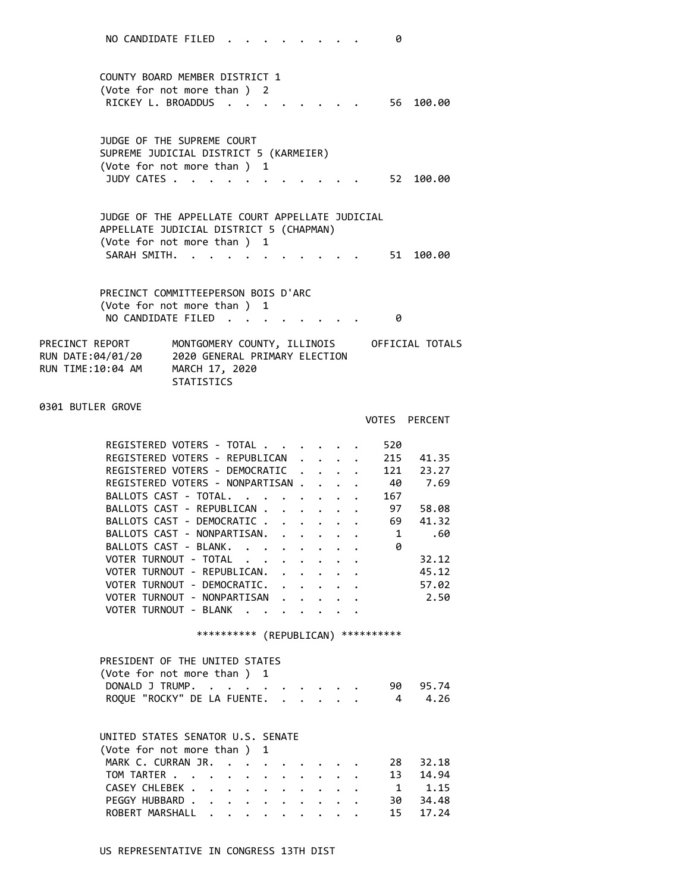COUNTY BOARD MEMBER DISTRICT 1 (Vote for not more than ) 2 RICKEY L. BROADDUS . . . . . . . . 56 100.00

 JUDGE OF THE SUPREME COURT SUPREME JUDICIAL DISTRICT 5 (KARMEIER) (Vote for not more than ) 1 JUDY CATES . . . . . . . . . . . . 52 100.00

 JUDGE OF THE APPELLATE COURT APPELLATE JUDICIAL APPELLATE JUDICIAL DISTRICT 5 (CHAPMAN) (Vote for not more than ) 1 SARAH SMITH. . . . . . . . . . . 51 100.00

 PRECINCT COMMITTEEPERSON BOIS D'ARC (Vote for not more than ) 1 NO CANDIDATE FILED . . . . . . . . 0

| PRECINCT REPORT   | MONTGOMERY COUNTY, ILLINOIS         | OFFICIAL TOTALS |
|-------------------|-------------------------------------|-----------------|
| RUN DATE:04/01/20 | 2020 GENERAL PRIMARY ELECTION       |                 |
| RUN TIME:10:04 AM | MARCH 17, 2020<br><b>STATISTICS</b> |                 |

0301 BUTLER GROVE

|                                 | <b>PERCENT</b><br><b>VOTES</b> |
|---------------------------------|--------------------------------|
| REGISTERED VOTERS - TOTAL.      | 520                            |
|                                 |                                |
| REGISTERED VOTERS - REPUBLICAN  | 215<br>41.35                   |
| REGISTERED VOTERS - DEMOCRATIC  | 121<br>23.27                   |
| REGISTERED VOTERS - NONPARTISAN | 40<br>7.69                     |
| BALLOTS CAST - TOTAL.           | 167                            |
| BALLOTS CAST - REPUBLICAN.      | 97<br>58.08                    |
| BALLOTS CAST - DEMOCRATIC.      | 69<br>41.32                    |
| BALLOTS CAST - NONPARTISAN.     | 1<br>.60                       |
| BALLOTS CAST - BLANK.           | 0                              |
| VOTER TURNOUT - TOTAL           | 32.12                          |
| VOTER TURNOUT - REPUBLICAN.     | 45.12                          |
| VOTER TURNOUT - DEMOCRATIC.     | 57.02                          |
| VOTER TURNOUT - NONPARTISAN     | 2.50                           |
| VOTER TURNOUT - BLANK           |                                |
|                                 |                                |
| **********<br>(REPUBLICAN)      | **********                     |

#### PRESIDENT OF THE UNITED STATES (Vote for not more than ) 1 DONALD J TRUMP. . . . . . . . . . 90 95.74 ROQUE "ROCKY" DE LA FUENTE. . . . . . 4 4.26

#### UNITED STATES SENATOR U.S. SENATE

| (Vote for not more than) 1  |  |  |  |  |  |  |
|-----------------------------|--|--|--|--|--|--|
| MARK C. CURRAN JR. 28 32.18 |  |  |  |  |  |  |
| TOM TARTER 13 14.94         |  |  |  |  |  |  |
| CASEY CHLEBEK 1 1.15        |  |  |  |  |  |  |
| PEGGY HUBBARD 30 34.48      |  |  |  |  |  |  |
| ROBERT MARSHALL 15 17.24    |  |  |  |  |  |  |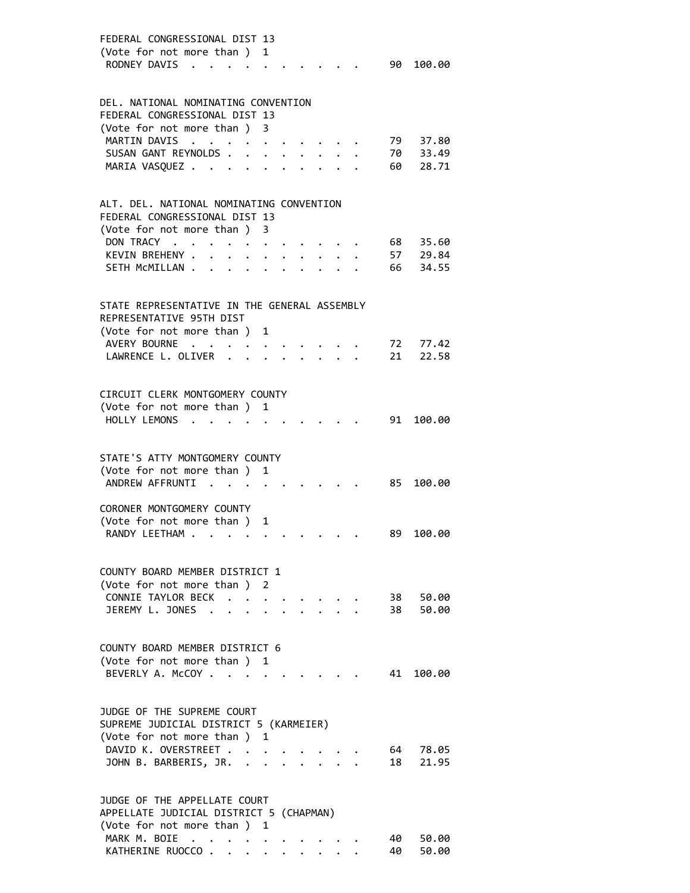| FEDERAL CONGRESSIONAL DIST 13<br>(Vote for not more than )<br>1<br>RODNEY DAVIS<br>$\sim$           | 90   | 100.00            |
|-----------------------------------------------------------------------------------------------------|------|-------------------|
| DEL. NATIONAL NOMINATING CONVENTION                                                                 |      |                   |
| FEDERAL CONGRESSIONAL DIST 13                                                                       |      |                   |
| (Vote for not more than ) 3                                                                         |      |                   |
| MARTIN DAVIS<br>$\ddot{\phantom{a}}$ . $\ddot{\phantom{a}}$                                         | 79   | 37.80             |
| SUSAN GANT REYNOLDS.                                                                                |      | 70 33.49          |
| MARIA VASQUEZ<br>$\ddot{\phantom{0}}$<br>$\ddot{\phantom{a}}$<br>$\sim$                             | 60 — | 28.71             |
|                                                                                                     |      |                   |
|                                                                                                     |      |                   |
| ALT. DEL. NATIONAL NOMINATING CONVENTION                                                            |      |                   |
| FEDERAL CONGRESSIONAL DIST 13                                                                       |      |                   |
| (Vote for not more than)<br>3                                                                       |      |                   |
| DON TRACY                                                                                           | 68   | 35.60<br>57 29.84 |
| KEVIN BREHENY .                                                                                     | 66   | 34.55             |
| SETH MCMILLAN .<br>$\ddot{\phantom{0}}$<br>$\bullet$ . The set of $\bullet$<br>$\ddot{\phantom{a}}$ |      |                   |
|                                                                                                     |      |                   |
| STATE REPRESENTATIVE IN THE GENERAL ASSEMBLY                                                        |      |                   |
| REPRESENTATIVE 95TH DIST                                                                            |      |                   |
| (Vote for not more than ) 1                                                                         |      |                   |
| AVERY BOURNE<br>$\cdot$ $\cdot$                                                                     |      | 72 77.42          |
| LAWRENCE L. OLIVER .                                                                                | 21   | 22.58             |
|                                                                                                     |      |                   |
|                                                                                                     |      |                   |
| CIRCUIT CLERK MONTGOMERY COUNTY                                                                     |      |                   |
| (Vote for not more than)<br>1                                                                       |      |                   |
| HOLLY LEMONS                                                                                        | 91   | 100.00            |
|                                                                                                     |      |                   |
| STATE'S ATTY MONTGOMERY COUNTY                                                                      |      |                   |
| (Vote for not more than)                                                                            |      |                   |
| 1<br>ANDREW AFFRUNTI<br>$\cdots$                                                                    | 85   | 100.00            |
|                                                                                                     |      |                   |
| CORONER MONTGOMERY COUNTY                                                                           |      |                   |
| (Vote for not more than)<br>1                                                                       |      |                   |
| RANDY LEETHAM .                                                                                     | 89   | 100.00            |
|                                                                                                     |      |                   |
|                                                                                                     |      |                   |
| COUNTY BOARD MEMBER DISTRICT 1                                                                      |      |                   |
| (Vote for not more than ) 2                                                                         |      |                   |
| CONNIE TAYLOR BECK                                                                                  |      | 38 50.00          |
| JEREMY L. JONES .                                                                                   | 38   | 50.00             |
|                                                                                                     |      |                   |
|                                                                                                     |      |                   |
| COUNTY BOARD MEMBER DISTRICT 6                                                                      |      |                   |
| (Vote for not more than ) 1                                                                         |      |                   |
| BEVERLY A. McCOY .<br><b><i>Contract Contract</i></b>                                               | 41   | 100.00            |
|                                                                                                     |      |                   |
| JUDGE OF THE SUPREME COURT                                                                          |      |                   |
| SUPREME JUDICIAL DISTRICT 5 (KARMEIER)                                                              |      |                   |
| (Vote for not more than ) 1                                                                         |      |                   |
| DAVID K. OVERSTREET                                                                                 |      | 64 78.05          |
| JOHN B. BARBERIS, JR. .<br>$\mathbf{r}$ . The set of $\mathbf{r}$                                   | 18   | 21.95             |
|                                                                                                     |      |                   |
|                                                                                                     |      |                   |
| JUDGE OF THE APPELLATE COURT                                                                        |      |                   |
| APPELLATE JUDICIAL DISTRICT 5 (CHAPMAN)                                                             |      |                   |
| (Vote for not more than ) 1                                                                         |      |                   |
| MARK M. BOIE                                                                                        | 40 — | 50.00             |
| KATHERINE RUOCCO                                                                                    | 40   | 50.00             |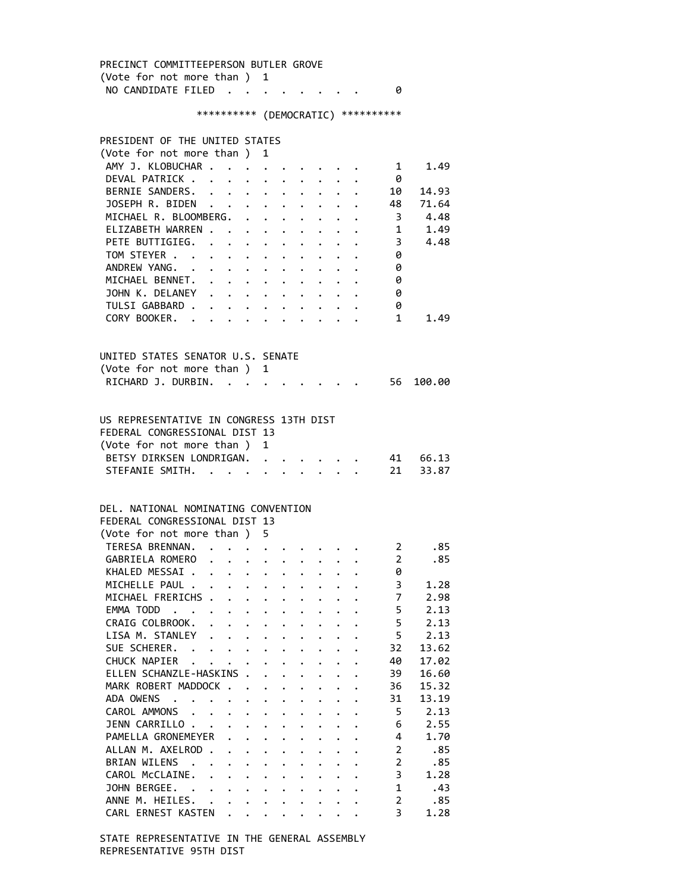PRECINCT COMMITTEEPERSON BUTLER GROVE (Vote for not more than ) 1 NO CANDIDATE FILED . . . . . . . . 0 \*\*\*\*\*\*\*\*\*\* (DEMOCRATIC) \*\*\*\*\*\*\*\*\*\* PRESIDENT OF THE UNITED STATES (Vote for not more than ) 1 AMY J. KLOBUCHAR . . . . . . . . . . 1 1.49 DEVAL PATRICK . . . . . . . . . . 0 BERNIE SANDERS. . . . . . . . . . 10 14.93 JOSEPH R. BIDEN . . . . . . . . . 48 71.64 MICHAEL R. BLOOMBERG. . . . . . . . 3 4.48 ELIZABETH WARREN . . . . . . . . . . 1 1.49<br>PETE BUTTIGIEG. . . . . . . . . . 3 4.48 PETE BUTTIGIEG. . . . . . . . . . 3 4.48<br>TOM STEYER . . . . . . . . . . . 0 TOM STEYER . . . . . . . . . . . ANDREW YANG. . . . . . . . . . . 0 MICHAEL BENNET. . . . . . . . . . 0<br>JOHN K. DELANEY . . . . . . . . . . 0 JOHN K. DELANEY . . . . . . . . . TULSI GABBARD . . . . . . . . . . 0 CORY BOOKER. . . . . . . . . . . 1 1.49 UNITED STATES SENATOR U.S. SENATE (Vote for not more than ) 1 RICHARD J. DURBIN. . . . . . . . . . 56 100.00 US REPRESENTATIVE IN CONGRESS 13TH DIST FEDERAL CONGRESSIONAL DIST 13 (Vote for not more than ) 1 BETSY DIRKSEN LONDRIGAN. . . . . . . 41 66.13 STEFANIE SMITH. . . . . . . . . . 21 33.87 DEL. NATIONAL NOMINATING CONVENTION FEDERAL CONGRESSIONAL DIST 13 (Vote for not more than ) 5 TERESA BRENNAN. . . . . . . . . . . 2 .85 GABRIELA ROMERO . . . . . . . . . 2 .85 KHALED MESSAI . . . . . . . . . . 0 MICHELLE PAUL . . . . . . . . . . 3 1.28 MICHAEL FRERICHS . . . . . . . . . 7 2.98 EMMA TODD . . . . . . . . . . . . 5 2.13 CRAIG COLBROOK. . . . . . . . . . 5 2.13 LISA M. STANLEY . . . . . . . . . . 5 2.13 SUE SCHERER. . . . . . . . . . . 32 13.62 CHUCK NAPIER . . . . . . . . . . 40 17.02 ELLEN SCHANZLE-HASKINS . . . . . . . 39 16.60 MARK ROBERT MADDOCK . . . . . . . . 36 15.32 ADA OWENS . . . . . . . . . . . 31 13.19 CAROL AMMONS . . . . . . . . . . . 5 2.13 JENN CARRILLO . . . . . . . . . . . 6 2.55 PAMELLA GRONEMEYER . . . . . . . . 4 1.70 ALLAN M. AXELROD . . . . . . . . . . 2 .85 BRIAN WILENS . . . . . . . . . . . 2 .85 CAROL McCLAINE. . . . . . . . . . 3 1.28 JOHN BERGEE. . . . . . . . . . . 1 .43 ANNE M. HEILES. . . . . . . . . . 2 .85 CARL ERNEST KASTEN . . . . . . . . 3 1.28

 STATE REPRESENTATIVE IN THE GENERAL ASSEMBLY REPRESENTATIVE 95TH DIST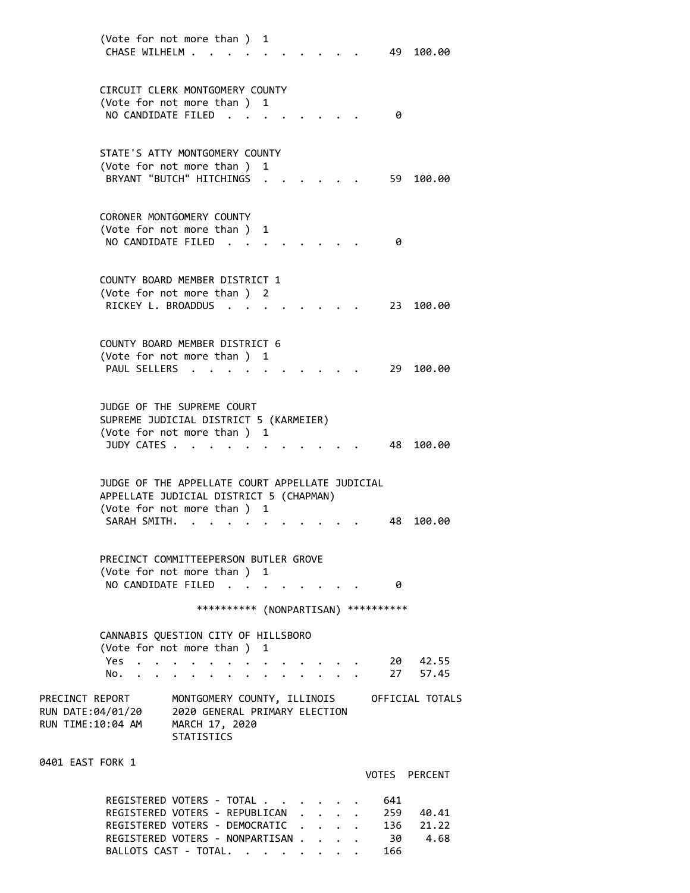| (Vote for not more than ) 1<br>CHASE WILHELM                                                                                       |                                                                                                     |            |   |               |                                      |  |            | 49 100.00                      |
|------------------------------------------------------------------------------------------------------------------------------------|-----------------------------------------------------------------------------------------------------|------------|---|---------------|--------------------------------------|--|------------|--------------------------------|
| CIRCUIT CLERK MONTGOMERY COUNTY<br>(Vote for not more than)                                                                        |                                                                                                     |            | 1 |               |                                      |  |            |                                |
| NO CANDIDATE FILED.                                                                                                                |                                                                                                     |            |   |               |                                      |  | 0          |                                |
| STATE'S ATTY MONTGOMERY COUNTY<br>(Vote for not more than ) 1<br>BRYANT "BUTCH" HITCHINGS                                          |                                                                                                     |            |   |               |                                      |  | 59         | 100.00                         |
| CORONER MONTGOMERY COUNTY<br>(Vote for not more than ) 1<br>NO CANDIDATE FILED                                                     |                                                                                                     |            |   |               |                                      |  | 0          |                                |
| COUNTY BOARD MEMBER DISTRICT 1<br>(Vote for not more than ) 2<br>RICKEY L. BROADDUS                                                |                                                                                                     |            |   |               |                                      |  | 23.        | 100.00                         |
| COUNTY BOARD MEMBER DISTRICT 6<br>(Vote for not more than )<br>PAUL SELLERS.                                                       |                                                                                                     |            | 1 |               |                                      |  | 29.        | 100.00                         |
| JUDGE OF THE SUPREME COURT<br>SUPREME JUDICIAL DISTRICT 5 (KARMEIER)<br>(Vote for not more than ) 1<br>JUDY CATES                  |                                                                                                     |            |   |               |                                      |  | 48 -       | 100.00                         |
| JUDGE OF THE APPELLATE COURT APPELLATE JUDICIAL<br>APPELLATE JUDICIAL DISTRICT 5 (CHAPMAN)<br>(Vote for not more than)             |                                                                                                     |            | 1 |               |                                      |  |            |                                |
| SARAH SMITH.                                                                                                                       |                                                                                                     |            |   |               |                                      |  | 48         | 100.00                         |
| PRECINCT COMMITTEEPERSON BUTLER GROVE<br>(Vote for not more than ) 1<br>NO CANDIDATE FILED                                         |                                                                                                     |            |   |               |                                      |  | 0          |                                |
|                                                                                                                                    |                                                                                                     | ********** |   | (NONPARTISAN) |                                      |  | ********** |                                |
| CANNABIS QUESTION CITY OF HILLSBORO<br>(Vote for not more than)                                                                    |                                                                                                     |            | 1 |               |                                      |  |            |                                |
| Yes<br>No.                                                                                                                         |                                                                                                     |            |   |               |                                      |  |            | 20 42.55<br>27 57.45           |
| PRECINCT REPORT<br>RUN DATE:04/01/20<br>RUN TIME:10:04 AM                                                                          | MONTGOMERY COUNTY, ILLINOIS<br>2020 GENERAL PRIMARY ELECTION<br>MARCH 17, 2020<br><b>STATISTICS</b> |            |   |               |                                      |  |            | OFFICIAL TOTALS                |
| 0401 EAST FORK 1                                                                                                                   |                                                                                                     |            |   |               |                                      |  |            | VOTES PERCENT                  |
| REGISTERED VOTERS - TOTAL<br>REGISTERED VOTERS - REPUBLICAN<br>REGISTERED VOTERS - DEMOCRATIC<br>REGISTERED VOTERS - NONPARTISAN . |                                                                                                     |            |   |               | $\mathbf{L}$<br>$\ddot{\phantom{0}}$ |  | 641<br>30  | 259 40.41<br>136 21.22<br>4.68 |

BALLOTS CAST - TOTAL. . . . . . . . 166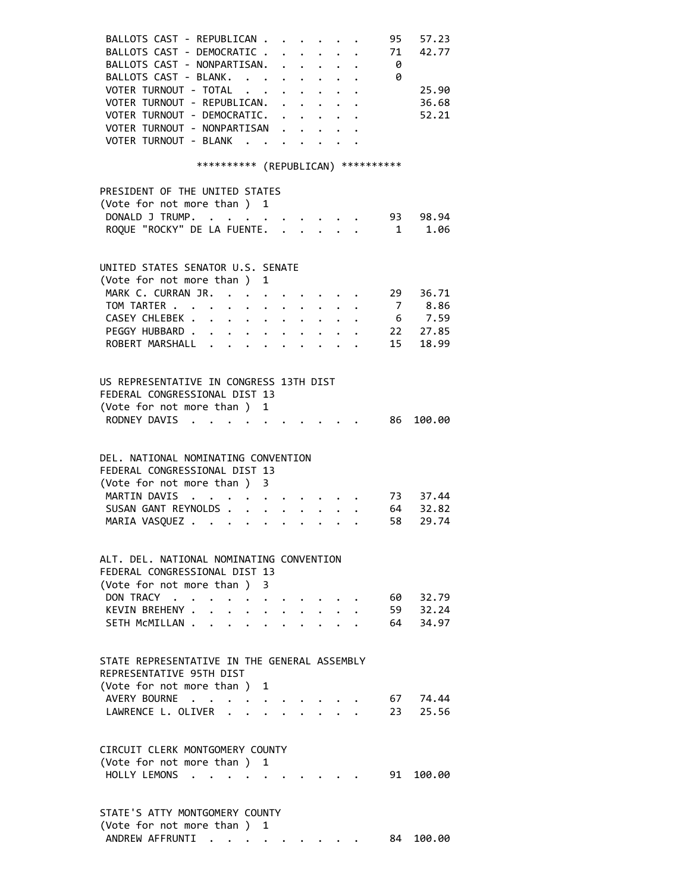| BALLOTS CAST - REPUBLICAN                                                                                             |                                                                                            |                                                                       |                         |                                          |                                                                       | 95                      | 57.23              |
|-----------------------------------------------------------------------------------------------------------------------|--------------------------------------------------------------------------------------------|-----------------------------------------------------------------------|-------------------------|------------------------------------------|-----------------------------------------------------------------------|-------------------------|--------------------|
| BALLOTS CAST - DEMOCRATIC.                                                                                            |                                                                                            |                                                                       |                         |                                          |                                                                       | 71                      | 42.77              |
| BALLOTS CAST - NONPARTISAN.                                                                                           |                                                                                            |                                                                       |                         | $\mathbf{r} = \mathbf{r} + \mathbf{r}$   |                                                                       | - 0                     |                    |
| BALLOTS CAST - BLANK.                                                                                                 |                                                                                            |                                                                       |                         | $\mathbf{r} = \mathbf{r} - \mathbf{r}$ . |                                                                       | 0                       |                    |
| VOTER TURNOUT - TOTAL                                                                                                 |                                                                                            |                                                                       |                         |                                          | $\mathbf{r}$ , and $\mathbf{r}$ , and $\mathbf{r}$ , and $\mathbf{r}$ |                         | 25.90              |
| VOTER TURNOUT - REPUBLICAN.                                                                                           |                                                                                            |                                                                       |                         |                                          | $\ddot{\phantom{0}}$                                                  |                         | 36.68              |
| VOTER TURNOUT - DEMOCRATIC.                                                                                           |                                                                                            |                                                                       |                         |                                          |                                                                       |                         | 52.21              |
| VOTER TURNOUT - NONPARTISAN                                                                                           |                                                                                            |                                                                       |                         |                                          |                                                                       |                         |                    |
| VOTER TURNOUT - BLANK .                                                                                               |                                                                                            | $\cdots$                                                              |                         |                                          |                                                                       |                         |                    |
|                                                                                                                       |                                                                                            |                                                                       |                         |                                          |                                                                       |                         |                    |
| *********** (REPUBLICAN) ***********                                                                                  |                                                                                            |                                                                       |                         |                                          |                                                                       |                         |                    |
|                                                                                                                       |                                                                                            |                                                                       |                         |                                          |                                                                       |                         |                    |
| PRESIDENT OF THE UNITED STATES                                                                                        |                                                                                            |                                                                       |                         |                                          |                                                                       |                         |                    |
| (Vote for not more than) 1                                                                                            |                                                                                            |                                                                       |                         |                                          |                                                                       |                         |                    |
| DONALD J TRUMP.                                                                                                       |                                                                                            |                                                                       |                         |                                          |                                                                       |                         | $\cdot$ 93 98.94   |
| ROQUE "ROCKY" DE LA FUENTE.                                                                                           |                                                                                            |                                                                       |                         |                                          |                                                                       | $\overline{\mathbf{1}}$ | 1.06               |
|                                                                                                                       |                                                                                            |                                                                       |                         |                                          |                                                                       |                         |                    |
|                                                                                                                       |                                                                                            |                                                                       |                         |                                          |                                                                       |                         |                    |
| UNITED STATES SENATOR U.S. SENATE                                                                                     |                                                                                            |                                                                       |                         |                                          |                                                                       |                         |                    |
| (Vote for not more than ) 1                                                                                           |                                                                                            |                                                                       |                         |                                          |                                                                       |                         |                    |
| MARK C. CURRAN JR.<br>$\mathcal{L}^{\mathcal{L}}$ , and $\mathcal{L}^{\mathcal{L}}$ , and $\mathcal{L}^{\mathcal{L}}$ |                                                                                            | $\mathbf{r}$ , and $\mathbf{r}$ , and $\mathbf{r}$ , and $\mathbf{r}$ |                         |                                          |                                                                       |                         | 29 36.71           |
| TOM TARTER                                                                                                            |                                                                                            | $\ddot{\phantom{0}}$                                                  |                         |                                          | $\cdot$ $\cdot$ $\cdot$ $\cdot$ $\cdot$ $\cdot$                       |                         | 7 8.86             |
| CASEY CHLEBEK 6 7.59                                                                                                  |                                                                                            |                                                                       |                         |                                          |                                                                       |                         |                    |
| PEGGY HUBBARD                                                                                                         |                                                                                            |                                                                       |                         |                                          |                                                                       |                         | $\cdot$ . 22 27.85 |
| ROBERT MARSHALL                                                                                                       |                                                                                            |                                                                       |                         |                                          |                                                                       | 15                      | 18.99              |
|                                                                                                                       |                                                                                            |                                                                       |                         |                                          |                                                                       |                         |                    |
|                                                                                                                       |                                                                                            |                                                                       |                         |                                          |                                                                       |                         |                    |
| US REPRESENTATIVE IN CONGRESS 13TH DIST                                                                               |                                                                                            |                                                                       |                         |                                          |                                                                       |                         |                    |
| FEDERAL CONGRESSIONAL DIST 13                                                                                         |                                                                                            |                                                                       |                         |                                          |                                                                       |                         |                    |
| (Vote for not more than ) 1                                                                                           |                                                                                            |                                                                       |                         |                                          |                                                                       |                         |                    |
| RODNEY DAVIS<br>$\mathbf{r}$ , $\mathbf{r}$ , $\mathbf{r}$ , $\mathbf{r}$ , $\mathbf{r}$ , $\mathbf{r}$               |                                                                                            |                                                                       |                         |                                          |                                                                       |                         | 86 100.00          |
|                                                                                                                       |                                                                                            |                                                                       |                         |                                          |                                                                       |                         |                    |
|                                                                                                                       |                                                                                            |                                                                       |                         |                                          |                                                                       |                         |                    |
| DEL. NATIONAL NOMINATING CONVENTION                                                                                   |                                                                                            |                                                                       |                         |                                          |                                                                       |                         |                    |
| FEDERAL CONGRESSIONAL DIST 13                                                                                         |                                                                                            |                                                                       |                         |                                          |                                                                       |                         |                    |
| (Vote for not more than ) 3                                                                                           |                                                                                            |                                                                       |                         |                                          |                                                                       |                         |                    |
| MARTIN DAVIS<br>$\mathbf{1} \times \mathbf{1} \times \mathbf{1} \times \mathbf{1}$                                    |                                                                                            | and a series of the series of                                         |                         |                                          |                                                                       |                         | 73 37.44           |
| SUSAN GANT REYNOLDS                                                                                                   |                                                                                            | .                                                                     |                         |                                          |                                                                       |                         | 64 32.82           |
| MARIA VASQUEZ                                                                                                         |                                                                                            | $\cdot$                                                               |                         |                                          |                                                                       | 58                      | 29.74              |
|                                                                                                                       |                                                                                            |                                                                       |                         |                                          |                                                                       |                         |                    |
|                                                                                                                       |                                                                                            |                                                                       |                         |                                          |                                                                       |                         |                    |
| ALT. DEL. NATIONAL NOMINATING CONVENTION<br>FEDERAL CONGRESSIONAL DIST 13                                             |                                                                                            |                                                                       |                         |                                          |                                                                       |                         |                    |
|                                                                                                                       |                                                                                            |                                                                       |                         |                                          |                                                                       |                         |                    |
| (Vote for not more than) 3                                                                                            |                                                                                            |                                                                       |                         |                                          |                                                                       |                         |                    |
| DON TRACY<br>$\ddot{\phantom{0}}$                                                                                     | $\mathbf{a} = \mathbf{a} + \mathbf{a} + \mathbf{a} + \mathbf{a} + \mathbf{a} + \mathbf{a}$ |                                                                       |                         |                                          |                                                                       | 60 —                    | 32.79              |
| KEVIN BREHENY .<br>$\ddot{\phantom{0}}$<br>$\sim$                                                                     | $\ddot{\phantom{0}}$                                                                       | $\cdot$ $\cdot$ $\cdot$ $\cdot$ $\cdot$                               |                         |                                          |                                                                       |                         | 59 32.24           |
| SETH MCMILLAN                                                                                                         |                                                                                            |                                                                       | $\cdot$ $\cdot$ $\cdot$ |                                          |                                                                       |                         | 64 34.97           |
|                                                                                                                       |                                                                                            |                                                                       |                         |                                          |                                                                       |                         |                    |
| STATE REPRESENTATIVE IN THE GENERAL ASSEMBLY                                                                          |                                                                                            |                                                                       |                         |                                          |                                                                       |                         |                    |
| REPRESENTATIVE 95TH DIST                                                                                              |                                                                                            |                                                                       |                         |                                          |                                                                       |                         |                    |
|                                                                                                                       |                                                                                            |                                                                       |                         |                                          |                                                                       |                         |                    |
| (Vote for not more than )<br>AVERY BOURNE                                                                             |                                                                                            | 1                                                                     |                         |                                          |                                                                       | 67                      |                    |
| LAWRENCE L. OLIVER.                                                                                                   | $\bullet$                                                                                  | $\bullet$ . In the case of the case of the $\bullet$<br>.             |                         |                                          |                                                                       | 23                      | 74.44<br>25.56     |
|                                                                                                                       | $\sim$                                                                                     |                                                                       |                         |                                          |                                                                       |                         |                    |
|                                                                                                                       |                                                                                            |                                                                       |                         |                                          |                                                                       |                         |                    |
| CIRCUIT CLERK MONTGOMERY COUNTY                                                                                       |                                                                                            |                                                                       |                         |                                          |                                                                       |                         |                    |
| (Vote for not more than) 1                                                                                            |                                                                                            |                                                                       |                         |                                          |                                                                       |                         |                    |
| HOLLY LEMONS<br>$\sim$                                                                                                |                                                                                            |                                                                       |                         |                                          |                                                                       |                         | 91 100.00          |
|                                                                                                                       |                                                                                            |                                                                       |                         |                                          |                                                                       |                         |                    |
|                                                                                                                       |                                                                                            |                                                                       |                         |                                          |                                                                       |                         |                    |
| STATE'S ATTY MONTGOMERY COUNTY                                                                                        |                                                                                            |                                                                       |                         |                                          |                                                                       |                         |                    |
| (Vote for not more than)                                                                                              |                                                                                            | 1                                                                     |                         |                                          |                                                                       |                         |                    |
| ANDREW AFFRUNTI                                                                                                       |                                                                                            |                                                                       |                         |                                          |                                                                       | 84                      | 100.00             |
|                                                                                                                       |                                                                                            |                                                                       |                         |                                          |                                                                       |                         |                    |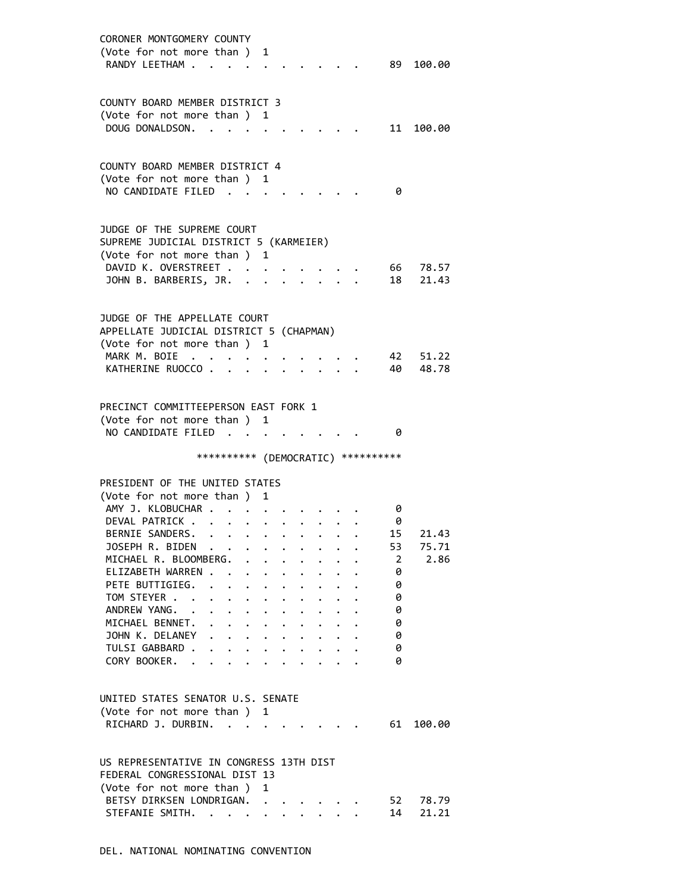| CORONER MONTGOMERY COUNTY                                                                                                              |
|----------------------------------------------------------------------------------------------------------------------------------------|
| (Vote for not more than) 1                                                                                                             |
| RANDY LEETHAM<br>89 100.00                                                                                                             |
|                                                                                                                                        |
|                                                                                                                                        |
| COUNTY BOARD MEMBER DISTRICT 3                                                                                                         |
| (Vote for not more than)<br>1                                                                                                          |
| DOUG DONALDSON.<br>11<br>100.00                                                                                                        |
|                                                                                                                                        |
|                                                                                                                                        |
| COUNTY BOARD MEMBER DISTRICT 4                                                                                                         |
| (Vote for not more than ) 1                                                                                                            |
| NO CANDIDATE FILED<br>0                                                                                                                |
|                                                                                                                                        |
|                                                                                                                                        |
| JUDGE OF THE SUPREME COURT                                                                                                             |
|                                                                                                                                        |
| SUPREME JUDICIAL DISTRICT 5 (KARMEIER)                                                                                                 |
| (Vote for not more than ) 1                                                                                                            |
| DAVID K. OVERSTREET<br>66<br>78.57                                                                                                     |
| 18<br>JOHN B. BARBERIS, JR. .<br>21.43                                                                                                 |
|                                                                                                                                        |
|                                                                                                                                        |
| JUDGE OF THE APPELLATE COURT                                                                                                           |
| APPELLATE JUDICIAL DISTRICT 5 (CHAPMAN)                                                                                                |
| (Vote for not more than ) 1                                                                                                            |
| MARK M. BOIE.<br>42<br>51.22                                                                                                           |
| 40<br>KATHERINE RUOCCO.<br>48.78                                                                                                       |
|                                                                                                                                        |
|                                                                                                                                        |
| PRECINCT COMMITTEEPERSON EAST FORK 1                                                                                                   |
| (Vote for not more than ) 1                                                                                                            |
| NO CANDIDATE FILED<br>0                                                                                                                |
|                                                                                                                                        |
| *********** (DEMOCRATIC) **********                                                                                                    |
|                                                                                                                                        |
| PRESIDENT OF THE UNITED STATES                                                                                                         |
| (Vote for not more than )<br>1                                                                                                         |
| AMY J. KLOBUCHAR .<br>0                                                                                                                |
|                                                                                                                                        |
| DEVAL PATRICK<br>0                                                                                                                     |
| BERNIE SANDERS.<br>15<br>21.43                                                                                                         |
| JOSEPH R. BIDEN<br>75.71<br>53                                                                                                         |
| MICHAEL R. BLOOMBERG.<br>2.86<br>$\overline{2}$                                                                                        |
| ELIZABETH WARREN<br>0<br>$\ddot{\phantom{1}}$<br>$\ddot{\phantom{0}}$<br>$\sim$<br>$\ddot{\phantom{0}}$<br>$\bullet$                   |
| PETE BUTTIGIEG.<br>$\mathbf{L} = \mathbf{L} \times \mathbf{L}$<br>0<br>$\cdot$ $\cdot$ $\cdot$ $\cdot$ $\cdot$ $\cdot$ $\cdot$ $\cdot$ |
| TOM STEYER<br>0<br>$\cdot$ $\cdot$ $\cdot$ $\cdot$ $\cdot$ $\cdot$ $\cdot$ $\cdot$<br>$\cdot$ $\cdot$                                  |
| ANDREW YANG. .<br>0<br>$\mathbf{r} = \mathbf{r} + \mathbf{r}$ , where $\mathbf{r} = \mathbf{r}$<br>$\cdot$ $\cdot$ $\cdot$ $\cdot$     |
| MICHAEL BENNET. .<br>0<br>$\bullet$ .<br><br><br><br><br><br><br><br><br><br><br><br><br><br>$\cdot$ $\cdot$ $\cdot$ $\cdot$ $\cdot$   |
| JOHN K. DELANEY<br>0                                                                                                                   |
| TULSI GABBARD .<br>0<br>$\ddot{\phantom{a}}$<br>$\bullet$ $\bullet$ $\bullet$                                                          |
| CORY BOOKER. .<br>0                                                                                                                    |
|                                                                                                                                        |
|                                                                                                                                        |
| UNITED STATES SENATOR U.S. SENATE                                                                                                      |
| (Vote for not more than)<br>1                                                                                                          |
| RICHARD J. DURBIN.<br>61<br>100.00                                                                                                     |
|                                                                                                                                        |
|                                                                                                                                        |
| US REPRESENTATIVE IN CONGRESS 13TH DIST                                                                                                |
|                                                                                                                                        |
|                                                                                                                                        |
| FEDERAL CONGRESSIONAL DIST 13                                                                                                          |
| (Vote for not more than)<br>1                                                                                                          |
| BETSY DIRKSEN LONDRIGAN.<br>52<br>78.79<br>STEFANIE SMITH.<br>14<br>21.21                                                              |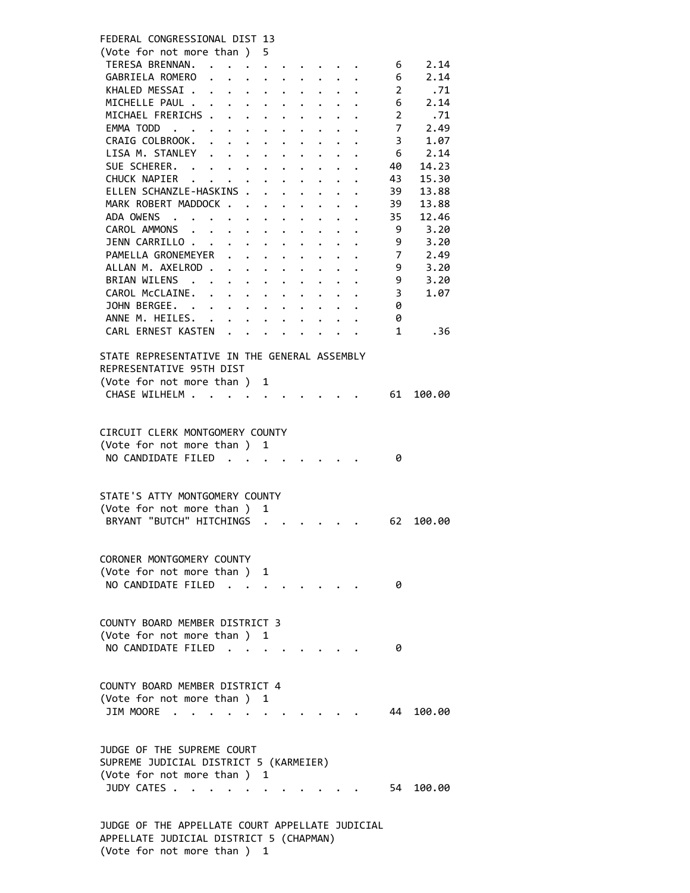| FEDERAL CONGRESSIONAL DIST 13                                             |                                                                                                               |
|---------------------------------------------------------------------------|---------------------------------------------------------------------------------------------------------------|
| (Vote for not more than ) 5                                               |                                                                                                               |
| TERESA BRENNAN.                                                           | 2.14<br>6                                                                                                     |
| GABRIELA ROMERO                                                           | 2.14<br>6                                                                                                     |
| KHALED MESSAI .<br>$\mathbf{L} = \mathbf{L} \times \mathbf{L}$            | $\overline{2}$<br>.71<br>$\ddot{\phantom{0}}$<br>$\ddot{\phantom{0}}$                                         |
| MICHELLE PAUL                                                             | 2.14<br>6<br>$\ddot{\phantom{a}}$                                                                             |
| MICHAEL FRERICHS                                                          | $\overline{2}$<br>.71<br>$\ddot{\phantom{0}}$<br>$\ddot{\phantom{0}}$<br>$\ddot{\phantom{0}}$                 |
| EMMA TODD                                                                 | $\overline{7}$<br>2.49<br>$\bullet$<br>$\ddot{\phantom{0}}$                                                   |
| CRAIG COLBROOK.<br>$\ddot{\phantom{a}}$<br>$\ddotsc$                      | 3<br>1.07<br>$\ddot{\phantom{0}}$<br>$\ddot{\phantom{0}}$                                                     |
| LISA M. STANLEY<br>$\ddot{\phantom{0}}$<br>$\sim$<br>$\ddot{\phantom{0}}$ | 6<br>2.14<br>$\ddot{\phantom{0}}$                                                                             |
| SUE SCHERER. .<br>$\mathbf{r} = \mathbf{r} + \mathbf{r}$ .                | 14.23<br>40<br>$\ddot{\phantom{0}}$                                                                           |
| CHUCK NAPIER                                                              | 43<br>15.30                                                                                                   |
| ELLEN SCHANZLE-HASKINS .                                                  | 39<br>13.88<br>$\mathbf{r}$<br>$\ddot{\phantom{0}}$<br>$\sim$<br>$\ddot{\phantom{0}}$<br>$\ddot{\phantom{0}}$ |
| MARK ROBERT MADDOCK                                                       | 39<br>13.88<br>$\cdot$ $\cdot$ $\cdot$ $\cdot$<br>$\ddot{\phantom{0}}$                                        |
| ADA OWENS                                                                 | 35<br>12.46<br>$\ddot{\phantom{a}}$<br>$\ddot{\phantom{0}}$<br>$\ddot{\phantom{a}}$                           |
| CAROL AMMONS                                                              | 3.20<br>9<br>$\ddotsc$ . The contract of $\ddotsc$                                                            |
| JENN CARRILLO                                                             | 3.20<br>9<br>$\ddot{\phantom{0}}$<br>$\bullet$ .                                                              |
| PAMELLA GRONEMEYER<br>$\ddot{\phantom{0}}$                                | $\overline{7}$<br>2.49<br>$\bullet$                                                                           |
| ALLAN M. AXELROD.<br>$\ddot{\phantom{0}}$                                 | 9<br>3.20<br>$\ddot{\phantom{0}}$                                                                             |
| BRIAN WILENS .<br>$\ddotsc$ . The contract of $\ddotsc$                   | 9<br>3.20<br>$\ddot{\phantom{0}}$<br>$\bullet$ .                                                              |
| CAROL MCCLAINE.<br>$\mathbf{r}$                                           | 3<br>1.07<br>$\mathbf{r} = \mathbf{r} + \mathbf{r} + \mathbf{r}$<br>$\sim$                                    |
| JOHN BERGEE.                                                              | 0                                                                                                             |
| ANNE M. HEILES. .                                                         | $\cdot$ $\cdot$ $\cdot$ $\cdot$ $\cdot$ $\cdot$<br>0<br>$\ddot{\phantom{a}}$                                  |
| CARL ERNEST KASTEN                                                        | $\mathbf{1}$<br>. 36                                                                                          |
|                                                                           |                                                                                                               |
| STATE REPRESENTATIVE IN THE GENERAL ASSEMBLY                              |                                                                                                               |
| REPRESENTATIVE 95TH DIST                                                  |                                                                                                               |
| (Vote for not more than ) 1                                               |                                                                                                               |
| CHASE WILHELM                                                             | 61<br>100.00                                                                                                  |
|                                                                           |                                                                                                               |
|                                                                           |                                                                                                               |
| CIRCUIT CLERK MONTGOMERY COUNTY                                           |                                                                                                               |
| (Vote for not more than ) 1                                               |                                                                                                               |
| NO CANDIDATE FILED                                                        | 0                                                                                                             |
|                                                                           |                                                                                                               |
| STATE'S ATTY MONTGOMERY COUNTY                                            |                                                                                                               |
| (Vote for not more than ) 1                                               |                                                                                                               |
| BRYANT "BUTCH" HITCHINGS                                                  |                                                                                                               |
|                                                                           | 62<br>100.00                                                                                                  |
|                                                                           |                                                                                                               |
| CORONER MONTGOMERY COUNTY                                                 |                                                                                                               |
| (Vote for not more than) 1                                                |                                                                                                               |
| NO CANDIDATE FILED.                                                       | 0                                                                                                             |
|                                                                           |                                                                                                               |
|                                                                           |                                                                                                               |
| COUNTY BOARD MEMBER DISTRICT 3                                            |                                                                                                               |
| (Vote for not more than )                                                 | 1                                                                                                             |
| NO CANDIDATE FILED                                                        | ø                                                                                                             |
|                                                                           |                                                                                                               |
|                                                                           |                                                                                                               |
| COUNTY BOARD MEMBER DISTRICT 4                                            |                                                                                                               |
| (Vote for not more than) 1                                                |                                                                                                               |
| JIM MOORE                                                                 | 44 100.00                                                                                                     |
|                                                                           |                                                                                                               |
|                                                                           |                                                                                                               |
| JUDGE OF THE SUPREME COURT                                                |                                                                                                               |
| SUPREME JUDICIAL DISTRICT 5 (KARMEIER)                                    |                                                                                                               |
| (Vote for not more than ) 1                                               |                                                                                                               |
| JUDY CATES                                                                | 54 100.00                                                                                                     |
|                                                                           |                                                                                                               |
|                                                                           |                                                                                                               |
| JUDGE OF THE APPELLATE COURT APPELLATE JUDICIAL                           |                                                                                                               |

 APPELLATE JUDICIAL DISTRICT 5 (CHAPMAN) (Vote for not more than ) 1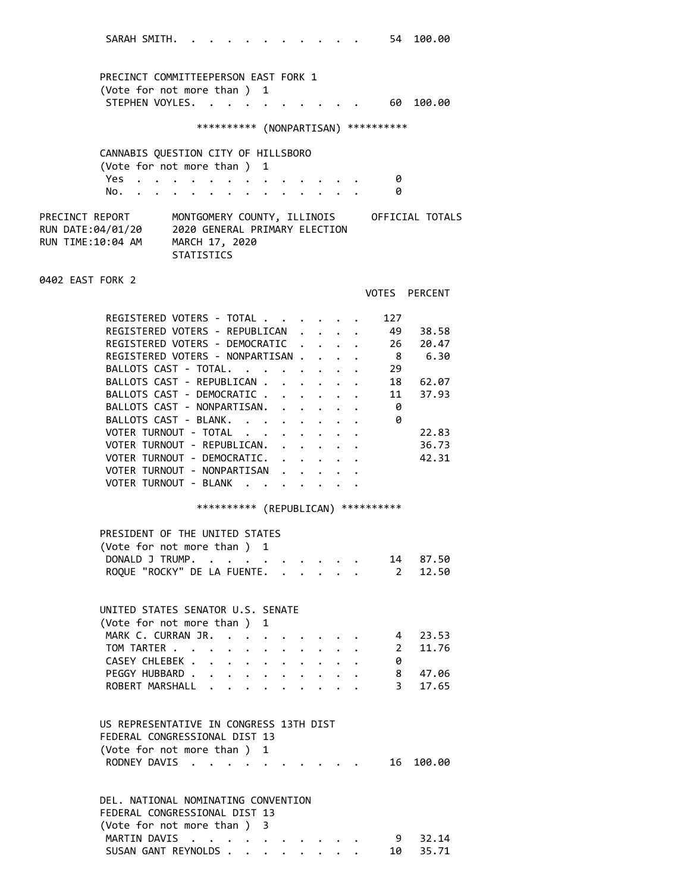SARAH SMITH. . . . . . . . . . . . 54 100.00 PRECINCT COMMITTEEPERSON EAST FORK 1 (Vote for not more than ) 1 STEPHEN VOYLES. . . . . . . . . . 60 100.00 \*\*\*\*\*\*\*\*\*\* (NONPARTISAN) \*\*\*\*\*\*\*\*\*\* CANNABIS QUESTION CITY OF HILLSBORO (Vote for not more than ) 1 Yes . . . . . . . . . . . . . . 0 No. . . . . . . . . . . . . . . 0 PRECINCT REPORT MONTGOMERY COUNTY, ILLINOIS OFFICIAL TOTALS RUN DATE:04/01/20 2020 GENERAL PRIMARY ELECTION RUN TIME:10:04 AM MARCH 17, 2020 STATISTICS 0402 EAST FORK 2 VOTES PERCENT REGISTERED VOTERS - TOTAL . . . . . . 127 REGISTERED VOTERS - REPUBLICAN . . . . 49 38.58 REGISTERED VOTERS - DEMOCRATIC . . . . 26 20.47 REGISTERED VOTERS - NONPARTISAN . . . . 8 6.30<br>BALLOTS CAST - TOTAL. . . . . . . . 29 BALLOTS CAST - TOTAL. . . . . . . . BALLOTS CAST - REPUBLICAN  $\cdots$  . . . . 18 62.07 BALLOTS CAST - DEMOCRATIC . . . . . . 11 37.93 BALLOTS CAST - NONPARTISAN. . . . . . 0 BALLOTS CAST - BLANK. . . . . . . . 0 VOTER TURNOUT - TOTAL . . . . . . . . 22.83<br>VOTER TURNOUT - REPUBLICAN. . . . . . . 36.73 VOTER TURNOUT - REPUBLICAN. . . . . . VOTER TURNOUT - DEMOCRATIC. . . . . . 42.31 VOTER TURNOUT - NONPARTISAN . . . . . VOTER TURNOUT - BLANK . . . . . . \*\*\*\*\*\*\*\*\*\* (REPUBLICAN) \*\*\*\*\*\*\*\*\*\* PRESIDENT OF THE UNITED STATES (Vote for not more than ) 1 DONALD J TRUMP. . . . . . . . . . 14 87.50 ROQUE "ROCKY" DE LA FUENTE. . . . . . 2 12.50 UNITED STATES SENATOR U.S. SENATE (Vote for not more than ) 1 MARK C. CURRAN JR. . . . . . . . . 4 23.53 TOM TARTER . . . . . . . . . . . 2 11.76 CASEY CHLEBEK . . . . . . . . . . 0 PEGGY HUBBARD . . . . . . . . . . 8 47.06 ROBERT MARSHALL . . . . . . . . . . 3 17.65 US REPRESENTATIVE IN CONGRESS 13TH DIST FEDERAL CONGRESSIONAL DIST 13 (Vote for not more than ) 1 RODNEY DAVIS . . . . . . . . . . 16 100.00 DEL. NATIONAL NOMINATING CONVENTION FEDERAL CONGRESSIONAL DIST 13 (Vote for not more than ) 3 MARTIN DAVIS . . . . . . . . . . 9 32.14

SUSAN GANT REYNOLDS . . . . . . . . 10 35.71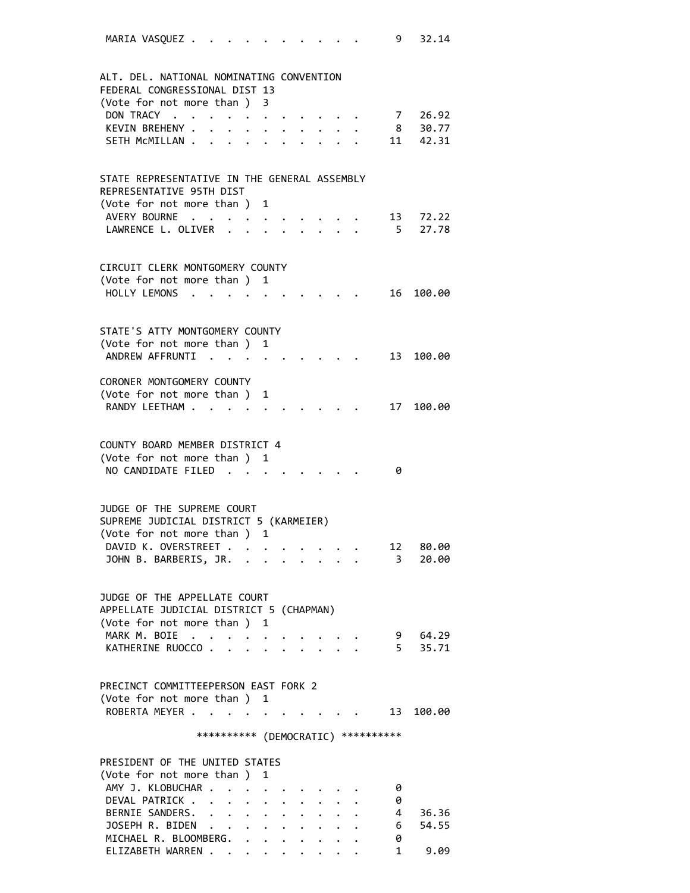| 32.14<br>9<br>MARIA VASQUEZ                                                                                                                                                                                                                                                                                                  |
|------------------------------------------------------------------------------------------------------------------------------------------------------------------------------------------------------------------------------------------------------------------------------------------------------------------------------|
| ALT. DEL. NATIONAL NOMINATING CONVENTION<br>FEDERAL CONGRESSIONAL DIST 13                                                                                                                                                                                                                                                    |
| (Vote for not more than )<br>3                                                                                                                                                                                                                                                                                               |
| DON TRACY<br>7 26.92<br>$\mathcal{A}(\mathbf{r})$ , and $\mathcal{A}(\mathbf{r})$ , and $\mathcal{A}(\mathbf{r})$ , and                                                                                                                                                                                                      |
| KEVIN BREHENY .<br>8 30.77<br>$\ddot{\phantom{0}}$<br>$\ddot{\bullet}$ . The set of the set of the set of the set of the set of the set of the set of the set of the set of the set of the set of the set of the set of the set of the set of the set of the set of the set of the set of t<br>$\bullet$ $\bullet$ $\bullet$ |
| 11 42.31<br>SETH MCMILLAN<br>$\ddot{\phantom{0}}$                                                                                                                                                                                                                                                                            |
|                                                                                                                                                                                                                                                                                                                              |
| STATE REPRESENTATIVE IN THE GENERAL ASSEMBLY<br>REPRESENTATIVE 95TH DIST                                                                                                                                                                                                                                                     |
| (Vote for not more than ) 1                                                                                                                                                                                                                                                                                                  |
| AVERY BOURNE<br>13 72.22                                                                                                                                                                                                                                                                                                     |
| LAWRENCE L. OLIVER<br>5 27.78                                                                                                                                                                                                                                                                                                |
| CIRCUIT CLERK MONTGOMERY COUNTY                                                                                                                                                                                                                                                                                              |
| (Vote for not more than ) 1                                                                                                                                                                                                                                                                                                  |
| HOLLY LEMONS<br>16<br>100.00                                                                                                                                                                                                                                                                                                 |
|                                                                                                                                                                                                                                                                                                                              |
| STATE'S ATTY MONTGOMERY COUNTY                                                                                                                                                                                                                                                                                               |
| (Vote for not more than ) 1                                                                                                                                                                                                                                                                                                  |
| ANDREW AFFRUNTI<br>13<br>100.00                                                                                                                                                                                                                                                                                              |
|                                                                                                                                                                                                                                                                                                                              |
| CORONER MONTGOMERY COUNTY                                                                                                                                                                                                                                                                                                    |
| (Vote for not more than ) 1                                                                                                                                                                                                                                                                                                  |
| RANDY LEETHAM<br>17<br>100.00                                                                                                                                                                                                                                                                                                |
|                                                                                                                                                                                                                                                                                                                              |
| COUNTY BOARD MEMBER DISTRICT 4                                                                                                                                                                                                                                                                                               |
| (Vote for not more than ) 1                                                                                                                                                                                                                                                                                                  |
| NO CANDIDATE FILED.<br>0                                                                                                                                                                                                                                                                                                     |
|                                                                                                                                                                                                                                                                                                                              |
|                                                                                                                                                                                                                                                                                                                              |
| JUDGE OF THE SUPREME COURT                                                                                                                                                                                                                                                                                                   |
| SUPREME JUDICIAL DISTRICT 5 (KARMEIER)<br>(Vote for not more than ) 1                                                                                                                                                                                                                                                        |
| DAVID K. OVERSTREET<br>12 80.00                                                                                                                                                                                                                                                                                              |
| JOHN B. BARBERIS, JR.<br>$\overline{\mathbf{3}}$<br>20.00                                                                                                                                                                                                                                                                    |
|                                                                                                                                                                                                                                                                                                                              |
|                                                                                                                                                                                                                                                                                                                              |
| JUDGE OF THE APPELLATE COURT                                                                                                                                                                                                                                                                                                 |
| APPELLATE JUDICIAL DISTRICT 5 (CHAPMAN)                                                                                                                                                                                                                                                                                      |
| (Vote for not more than ) 1<br>MARK M. BOIE<br>9 64.29                                                                                                                                                                                                                                                                       |
| KATHERINE RUOCCO<br>5 35.71                                                                                                                                                                                                                                                                                                  |
|                                                                                                                                                                                                                                                                                                                              |
|                                                                                                                                                                                                                                                                                                                              |
| PRECINCT COMMITTEEPERSON EAST FORK 2                                                                                                                                                                                                                                                                                         |
| (Vote for not more than ) 1                                                                                                                                                                                                                                                                                                  |
| ROBERTA MEYER<br>$\cdot$ 13 100.00                                                                                                                                                                                                                                                                                           |
| *********** (DEMOCRATIC) **********                                                                                                                                                                                                                                                                                          |
|                                                                                                                                                                                                                                                                                                                              |
| PRESIDENT OF THE UNITED STATES                                                                                                                                                                                                                                                                                               |
| (Vote for not more than ) 1                                                                                                                                                                                                                                                                                                  |
| AMY J. KLOBUCHAR<br>0                                                                                                                                                                                                                                                                                                        |
| DEVAL PATRICK<br>0<br>$\ddot{\phantom{0}}$                                                                                                                                                                                                                                                                                   |
| BERNIE SANDERS.<br>4 36.36                                                                                                                                                                                                                                                                                                   |
| JOSEPH R. BIDEN<br>6 54.55<br>MICHAEL R. BLOOMBERG.<br>0                                                                                                                                                                                                                                                                     |
|                                                                                                                                                                                                                                                                                                                              |

ELIZABETH WARREN . . . . . . . . . 1 9.09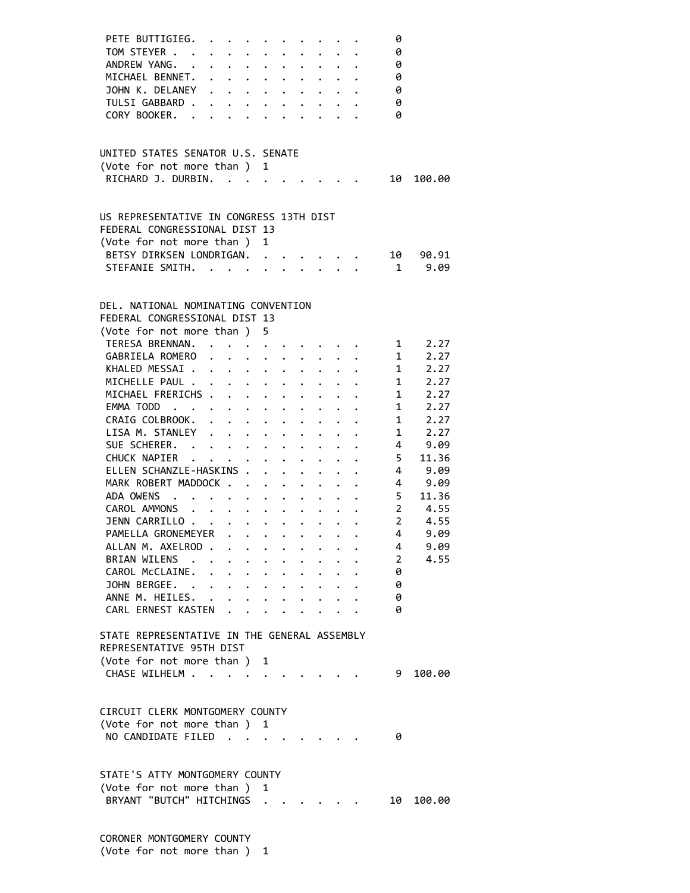| PETE BUTTIGIEG.                              |                                                                          |                                                                          |                                 |                                                                                                                                                                                                                                       |                         |                      |                      | 0                      |                                                           |
|----------------------------------------------|--------------------------------------------------------------------------|--------------------------------------------------------------------------|---------------------------------|---------------------------------------------------------------------------------------------------------------------------------------------------------------------------------------------------------------------------------------|-------------------------|----------------------|----------------------|------------------------|-----------------------------------------------------------|
| TOM STEYER                                   |                                                                          |                                                                          |                                 | $\ddot{\phantom{0}}$                                                                                                                                                                                                                  | $\ddot{\phantom{0}}$    |                      |                      | 0                      |                                                           |
| ANDREW YANG. .                               |                                                                          | $\ddot{\phantom{a}}$ . $\ddot{\phantom{a}}$                              |                                 | $\ddot{\phantom{0}}$                                                                                                                                                                                                                  | $\ddot{\phantom{0}}$    | $\ddot{\phantom{0}}$ |                      | 0                      |                                                           |
| MICHAEL BENNET.                              |                                                                          | $\mathbf{r} = \mathbf{r} + \mathbf{r}$ , where $\mathbf{r}$              |                                 | $\ddot{\phantom{a}}$                                                                                                                                                                                                                  |                         |                      |                      | 0                      |                                                           |
| JOHN K. DELANEY                              | $\ddot{\phantom{0}}$                                                     | $\cdots$                                                                 |                                 |                                                                                                                                                                                                                                       |                         |                      |                      | 0                      |                                                           |
| TULSI GABBARD.                               |                                                                          |                                                                          |                                 |                                                                                                                                                                                                                                       |                         |                      |                      | 0                      |                                                           |
| CORY BOOKER.                                 |                                                                          |                                                                          |                                 |                                                                                                                                                                                                                                       |                         |                      |                      | 0                      |                                                           |
|                                              |                                                                          |                                                                          |                                 |                                                                                                                                                                                                                                       |                         |                      |                      |                        |                                                           |
|                                              |                                                                          |                                                                          |                                 |                                                                                                                                                                                                                                       |                         |                      |                      |                        |                                                           |
| UNITED STATES SENATOR U.S. SENATE            |                                                                          |                                                                          |                                 |                                                                                                                                                                                                                                       |                         |                      |                      |                        |                                                           |
| (Vote for not more than ) 1                  |                                                                          |                                                                          |                                 |                                                                                                                                                                                                                                       |                         |                      |                      |                        |                                                           |
| RICHARD J. DURBIN.                           |                                                                          |                                                                          |                                 |                                                                                                                                                                                                                                       |                         |                      |                      | 10                     | 100.00                                                    |
|                                              |                                                                          |                                                                          |                                 |                                                                                                                                                                                                                                       |                         |                      |                      |                        |                                                           |
| US REPRESENTATIVE IN CONGRESS 13TH DIST      |                                                                          |                                                                          |                                 |                                                                                                                                                                                                                                       |                         |                      |                      |                        |                                                           |
| FEDERAL CONGRESSIONAL DIST 13                |                                                                          |                                                                          |                                 |                                                                                                                                                                                                                                       |                         |                      |                      |                        |                                                           |
| (Vote for not more than)                     |                                                                          |                                                                          | $\mathbf{1}$                    |                                                                                                                                                                                                                                       |                         |                      |                      |                        |                                                           |
| BETSY DIRKSEN LONDRIGAN. .                   |                                                                          |                                                                          |                                 |                                                                                                                                                                                                                                       |                         |                      |                      | 10                     | 90.91                                                     |
| STEFANIE SMITH.                              |                                                                          |                                                                          |                                 |                                                                                                                                                                                                                                       | $\ddot{\phantom{1}}$    | $\mathbf{L}$         |                      |                        | 9.09<br>$1 \quad \blacksquare$                            |
|                                              |                                                                          |                                                                          |                                 |                                                                                                                                                                                                                                       |                         |                      |                      |                        |                                                           |
|                                              |                                                                          |                                                                          |                                 |                                                                                                                                                                                                                                       |                         |                      |                      |                        |                                                           |
| DEL. NATIONAL NOMINATING CONVENTION          |                                                                          |                                                                          |                                 |                                                                                                                                                                                                                                       |                         |                      |                      |                        |                                                           |
| FEDERAL CONGRESSIONAL DIST 13                |                                                                          |                                                                          |                                 |                                                                                                                                                                                                                                       |                         |                      |                      |                        |                                                           |
| (Vote for not more than)                     |                                                                          |                                                                          | 5.                              |                                                                                                                                                                                                                                       |                         |                      |                      |                        |                                                           |
| TERESA BRENNAN. .                            |                                                                          |                                                                          |                                 |                                                                                                                                                                                                                                       |                         |                      |                      |                        | $1 \t2.27$                                                |
| GABRIELA ROMERO                              |                                                                          | .                                                                        |                                 |                                                                                                                                                                                                                                       |                         |                      |                      | $1 \quad \blacksquare$ | 2.27                                                      |
| KHALED MESSAI.                               |                                                                          | $\cdot$ $\cdot$ $\cdot$ $\cdot$ $\cdot$ $\cdot$ $\cdot$                  |                                 |                                                                                                                                                                                                                                       |                         |                      |                      | $1 \quad \blacksquare$ | 2.27                                                      |
| MICHELLE PAUL .                              |                                                                          | $\cdot$ $\cdot$ $\cdot$ $\cdot$ $\cdot$ $\cdot$                          |                                 |                                                                                                                                                                                                                                       |                         |                      |                      | $1 \quad \blacksquare$ | 2.27                                                      |
| MICHAEL FRERICHS .                           |                                                                          | $\ddot{\phantom{0}}$                                                     | $\cdot$ $\cdot$ $\cdot$ $\cdot$ |                                                                                                                                                                                                                                       |                         |                      |                      | $1 \quad \blacksquare$ | 2.27                                                      |
| EMMA TODD                                    |                                                                          |                                                                          |                                 | $\mathbf{r} = \mathbf{r} \cdot \mathbf{r}$ .                                                                                                                                                                                          |                         |                      |                      |                        | 2.27                                                      |
| CRAIG COLBROOK.                              |                                                                          |                                                                          |                                 |                                                                                                                                                                                                                                       |                         |                      |                      | 1                      | $\frac{1}{2}$<br>2.27                                     |
| LISA M. STANLEY                              | $\mathbf{r}$                                                             | $\mathbf{L}^{\text{max}}$                                                |                                 |                                                                                                                                                                                                                                       |                         |                      |                      | 1                      | 2.27                                                      |
|                                              |                                                                          |                                                                          | $\ddot{\phantom{0}}$            |                                                                                                                                                                                                                                       |                         |                      |                      |                        | $\overline{4}$                                            |
| SUE SCHERER.                                 |                                                                          |                                                                          |                                 | $\ddot{\phantom{a}}$                                                                                                                                                                                                                  | $\ddot{\phantom{0}}$    | $\ddot{\phantom{0}}$ |                      |                        | 9.09                                                      |
| CHUCK NAPIER                                 |                                                                          |                                                                          |                                 |                                                                                                                                                                                                                                       | $\ddot{\phantom{0}}$    |                      |                      | $5 -$                  | 11.36                                                     |
| ELLEN SCHANZLE-HASKINS .                     |                                                                          |                                                                          | $\ddot{\phantom{0}}$            |                                                                                                                                                                                                                                       | $\ddot{\phantom{0}}$    | $\ddot{\phantom{0}}$ | $\ddot{\phantom{1}}$ |                        | 4 9.09                                                    |
| MARK ROBERT MADDOCK                          |                                                                          |                                                                          |                                 |                                                                                                                                                                                                                                       | $\bullet$ .             | $\ddot{\phantom{0}}$ |                      |                        | 4 9.09                                                    |
| ADA OWENS.                                   | $\mathbf{r}$ , $\mathbf{r}$ , $\mathbf{r}$ , $\mathbf{r}$ , $\mathbf{r}$ |                                                                          |                                 |                                                                                                                                                                                                                                       |                         |                      |                      |                        | 5 11.36                                                   |
| CAROL AMMONS<br>$\ddot{\phantom{0}}$         |                                                                          | $\sim$ $\sim$                                                            |                                 | $\bullet$ , $\bullet$ , $\bullet$ , $\bullet$                                                                                                                                                                                         |                         |                      |                      |                        | $\begin{array}{ccc} 2 & & 4.55 \\ 2 & & 4.55 \end{array}$ |
| JENN CARRILLO                                |                                                                          |                                                                          |                                 | $\ddot{\bullet}$ . The set of the set of the set of the set of the set of the set of the set of the set of the set of the set of the set of the set of the set of the set of the set of the set of the set of the set of the set of t | $\ddot{\phantom{0}}$    |                      |                      |                        |                                                           |
| PAMELLA GRONEMEYER                           |                                                                          |                                                                          |                                 | $\bullet$                                                                                                                                                                                                                             |                         |                      |                      | $\overline{4}$         | 9.09                                                      |
| ALLAN M. AXELROD .                           |                                                                          | $\cdots$                                                                 |                                 |                                                                                                                                                                                                                                       |                         |                      |                      | 4                      | 9.09                                                      |
| BRIAN WILENS .                               |                                                                          | $\cdot$ $\cdot$ $\cdot$                                                  |                                 | $\ddot{\phantom{0}}$                                                                                                                                                                                                                  |                         |                      |                      | $2^{\circ}$            | 4.55                                                      |
| CAROL McCLAINE. .                            |                                                                          | $\mathbf{r} = \mathbf{r} + \mathbf{r}$ , where $\mathbf{r} = \mathbf{r}$ |                                 |                                                                                                                                                                                                                                       | $\cdot$ $\cdot$ $\cdot$ | $\ddot{\phantom{0}}$ |                      | 0                      |                                                           |
| JOHN BERGEE.                                 |                                                                          | $\mathbf{r} = \mathbf{r} + \mathbf{r}$ , where $\mathbf{r} = \mathbf{r}$ |                                 |                                                                                                                                                                                                                                       | $\cdot$ $\cdot$ $\cdot$ |                      |                      | 0                      |                                                           |
| ANNE M. HEILES. .                            |                                                                          |                                                                          |                                 |                                                                                                                                                                                                                                       |                         |                      |                      | 0                      |                                                           |
| CARL ERNEST KASTEN                           |                                                                          |                                                                          |                                 |                                                                                                                                                                                                                                       |                         |                      |                      | 0                      |                                                           |
|                                              |                                                                          |                                                                          |                                 |                                                                                                                                                                                                                                       |                         |                      |                      |                        |                                                           |
| STATE REPRESENTATIVE IN THE GENERAL ASSEMBLY |                                                                          |                                                                          |                                 |                                                                                                                                                                                                                                       |                         |                      |                      |                        |                                                           |
| REPRESENTATIVE 95TH DIST                     |                                                                          |                                                                          |                                 |                                                                                                                                                                                                                                       |                         |                      |                      |                        |                                                           |
| (Vote for not more than) 1                   |                                                                          |                                                                          |                                 |                                                                                                                                                                                                                                       |                         |                      |                      |                        |                                                           |
| CHASE WILHELM                                |                                                                          |                                                                          |                                 |                                                                                                                                                                                                                                       |                         |                      |                      | 9                      | 100.00                                                    |
|                                              |                                                                          |                                                                          |                                 |                                                                                                                                                                                                                                       |                         |                      |                      |                        |                                                           |
|                                              |                                                                          |                                                                          |                                 |                                                                                                                                                                                                                                       |                         |                      |                      |                        |                                                           |
| CIRCUIT CLERK MONTGOMERY COUNTY              |                                                                          |                                                                          |                                 |                                                                                                                                                                                                                                       |                         |                      |                      |                        |                                                           |
| (Vote for not more than ) 1                  |                                                                          |                                                                          |                                 |                                                                                                                                                                                                                                       |                         |                      |                      |                        |                                                           |
| NO CANDIDATE FILED                           |                                                                          |                                                                          |                                 |                                                                                                                                                                                                                                       |                         |                      |                      | 0                      |                                                           |
|                                              |                                                                          |                                                                          |                                 |                                                                                                                                                                                                                                       |                         |                      |                      |                        |                                                           |
|                                              |                                                                          |                                                                          |                                 |                                                                                                                                                                                                                                       |                         |                      |                      |                        |                                                           |
| STATE'S ATTY MONTGOMERY COUNTY               |                                                                          |                                                                          |                                 |                                                                                                                                                                                                                                       |                         |                      |                      |                        |                                                           |
| (Vote for not more than)                     |                                                                          |                                                                          | 1                               |                                                                                                                                                                                                                                       |                         |                      |                      |                        |                                                           |
| BRYANT "BUTCH" HITCHINGS .                   |                                                                          |                                                                          |                                 |                                                                                                                                                                                                                                       |                         |                      |                      | 10                     | 100.00                                                    |
|                                              |                                                                          |                                                                          |                                 |                                                                                                                                                                                                                                       |                         |                      |                      |                        |                                                           |
|                                              |                                                                          |                                                                          |                                 |                                                                                                                                                                                                                                       |                         |                      |                      |                        |                                                           |
| CORONER MONTGOMERY COUNTY                    |                                                                          |                                                                          |                                 |                                                                                                                                                                                                                                       |                         |                      |                      |                        |                                                           |

(Vote for not more than ) 1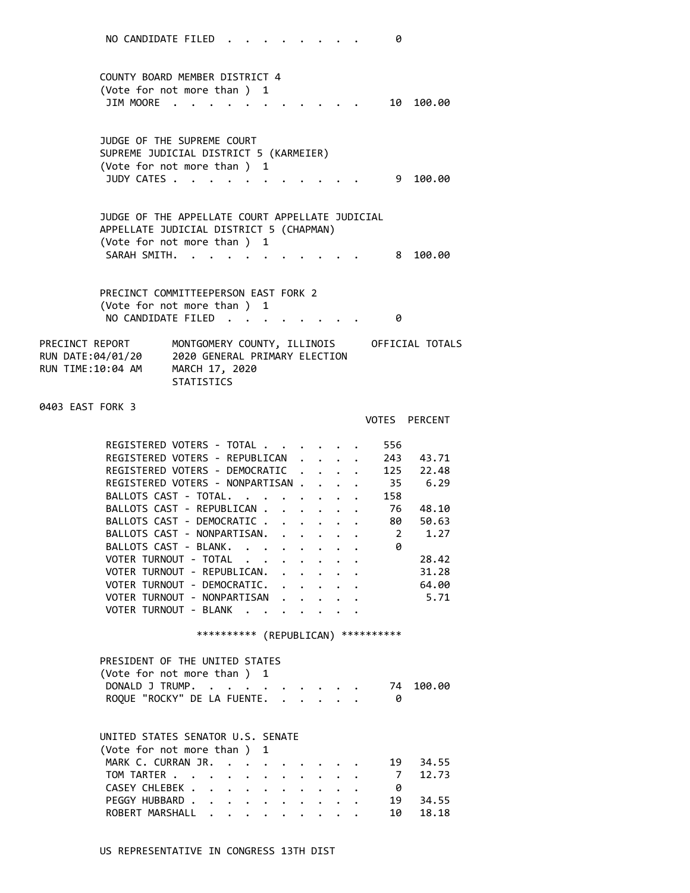| NO CANDIDATE FILED.<br>0                                                                                                                                                                                                                                                                                        |                |
|-----------------------------------------------------------------------------------------------------------------------------------------------------------------------------------------------------------------------------------------------------------------------------------------------------------------|----------------|
| COUNTY BOARD MEMBER DISTRICT 4<br>(Vote for not more than ) 1<br><b>JIM MOORE</b><br>10                                                                                                                                                                                                                         | 100.00         |
| JUDGE OF THE SUPREME COURT<br>SUPREME JUDICIAL DISTRICT 5 (KARMEIER)                                                                                                                                                                                                                                            |                |
| (Vote for not more than ) 1<br>JUDY CATES<br>9                                                                                                                                                                                                                                                                  | 100.00         |
| JUDGE OF THE APPELLATE COURT APPELLATE JUDICIAL<br>APPELLATE JUDICIAL DISTRICT 5 (CHAPMAN)<br>(Vote for not more than ) 1<br>SARAH SMITH.                                                                                                                                                                       | 100.00         |
| 8<br>PRECINCT COMMITTEEPERSON EAST FORK 2                                                                                                                                                                                                                                                                       |                |
| (Vote for not more than ) 1<br>NO CANDIDATE FILED<br>0<br>$\overline{\phantom{a}}$                                                                                                                                                                                                                              |                |
| MONTGOMERY COUNTY, ILLINOIS<br>OFFICIAL TOTALS<br>PRECINCT REPORT<br>2020 GENERAL PRIMARY ELECTION<br>RUN DATE:04/01/20<br>RUN TIME:10:04 AM<br>MARCH 17, 2020<br><b>STATISTICS</b>                                                                                                                             |                |
| 0403 EAST FORK 3<br>VOTES PERCENT                                                                                                                                                                                                                                                                               |                |
| REGISTERED VOTERS - TOTAL<br>556<br>REGISTERED VOTERS - REPUBLICAN<br>243                                                                                                                                                                                                                                       | 43.71          |
| 125<br>REGISTERED VOTERS - DEMOCRATIC<br>REGISTERED VOTERS - NONPARTISAN<br>35 6.29                                                                                                                                                                                                                             | 22.48          |
| BALLOTS CAST - TOTAL.<br>158<br>$\mathbf{r}$ . The set of $\mathbf{r}$<br>$\ddot{\bullet}$ . The set of the set of the set of the set of the set of the set of the set of the set of the set of the set of the set of the set of the set of the set of the set of the set of the set of the set of the set of t |                |
| BALLOTS CAST - REPUBLICAN .<br>76<br>$\ddot{\phantom{0}}$<br>BALLOTS CAST - DEMOCRATIC<br>80 —                                                                                                                                                                                                                  | 48.10<br>50.63 |
| BALLOTS CAST - NONPARTISAN.<br>2                                                                                                                                                                                                                                                                                | 1.27           |
| BALLOTS CAST - BLANK.<br>0                                                                                                                                                                                                                                                                                      |                |
| VOTER TURNOUT - TOTAL                                                                                                                                                                                                                                                                                           | 28.42          |
| VOTER TURNOUT - REPUBLICAN.<br>VOTER TURNOUT - DEMOCRATIC.                                                                                                                                                                                                                                                      | 31.28          |
| VOTER TURNOUT - NONPARTISAN<br>$\mathbf{L} = \mathbf{L}$                                                                                                                                                                                                                                                        | 64.00          |
|                                                                                                                                                                                                                                                                                                                 |                |
| VOTER TURNOUT - BLANK .<br>$\cdot$ $\cdot$<br>$\sim$ $\sim$<br>$\ddot{\phantom{0}}$                                                                                                                                                                                                                             | 5.71           |
| *********** (REPUBLICAN) ***********                                                                                                                                                                                                                                                                            |                |
| PRESIDENT OF THE UNITED STATES                                                                                                                                                                                                                                                                                  |                |
| (Vote for not more than ) 1                                                                                                                                                                                                                                                                                     |                |
| DONALD J TRUMP.<br>74<br>$\cdot$ $\cdot$<br>ROQUE "ROCKY" DE LA FUENTE.<br>$\mathbf{r}$ and $\mathbf{r}$ and $\mathbf{r}$<br>- 0                                                                                                                                                                                | 100.00         |
|                                                                                                                                                                                                                                                                                                                 |                |
| UNITED STATES SENATOR U.S. SENATE<br>(Vote for not more than ) 1                                                                                                                                                                                                                                                |                |
| MARK C. CURRAN JR. .<br>19                                                                                                                                                                                                                                                                                      | 34.55          |
| TOM TARTER<br>$\overline{7}$                                                                                                                                                                                                                                                                                    | 12.73          |
| CASEY CHLEBEK<br>- 0<br>$\mathbf{r}$<br>$\mathbf{L}$<br>$\ddot{\phantom{0}}$<br>PEGGY HUBBARD<br>19<br>$\bullet$ . The set of $\bullet$                                                                                                                                                                         | 34.55          |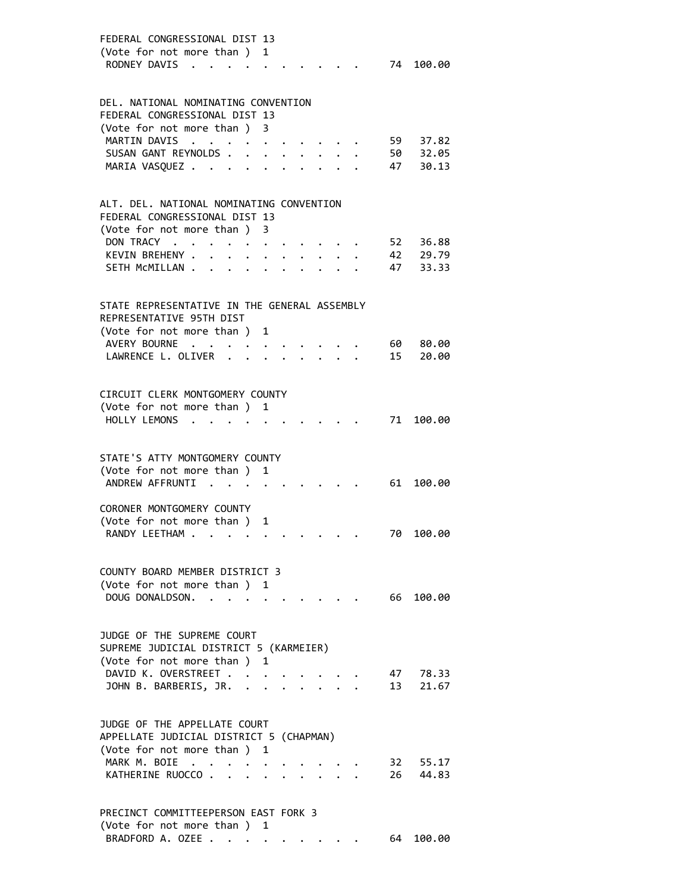| FEDERAL CONGRESSIONAL DIST 13<br>(Vote for not more than)<br>1<br>RODNEY DAVIS<br>74 100.00              |  |
|----------------------------------------------------------------------------------------------------------|--|
| DEL. NATIONAL NOMINATING CONVENTION                                                                      |  |
| FEDERAL CONGRESSIONAL DIST 13                                                                            |  |
| (Vote for not more than)<br>3                                                                            |  |
| <b>MARTIN DAVIS</b><br>59 37.82<br>$\ddot{\phantom{a}}$<br>$\sim$ $\sim$                                 |  |
| SUSAN GANT REYNOLDS.<br>50 32.05<br>$\ddot{\phantom{a}}$<br>$\ddot{\phantom{0}}$<br>$\ddot{\phantom{a}}$ |  |
| 47<br>MARIA VASQUEZ<br>30.13                                                                             |  |
|                                                                                                          |  |
| ALT. DEL. NATIONAL NOMINATING CONVENTION                                                                 |  |
| FEDERAL CONGRESSIONAL DIST 13                                                                            |  |
| (Vote for not more than)<br>3                                                                            |  |
| DON TRACY<br>52 36.88<br>$\bullet$ . The set of $\bullet$                                                |  |
| KEVIN BREHENY .<br>42 29.79<br>$\bullet$<br>$\ddot{\phantom{0}}$<br>$\bullet$ . The set of $\bullet$     |  |
| 47<br>SETH MCMILLAN<br>33.33                                                                             |  |
|                                                                                                          |  |
| STATE REPRESENTATIVE IN THE GENERAL ASSEMBLY                                                             |  |
| REPRESENTATIVE 95TH DIST                                                                                 |  |
| (Vote for not more than) 1                                                                               |  |
| AVERY BOURNE<br>80.00<br>60 —<br>$\ddot{\phantom{a}}$                                                    |  |
| LAWRENCE L. OLIVER .<br>15<br>20.00<br>$\ddot{\phantom{a}}$                                              |  |
|                                                                                                          |  |
|                                                                                                          |  |
| CIRCUIT CLERK MONTGOMERY COUNTY                                                                          |  |
| (Vote for not more than)<br>1                                                                            |  |
| HOLLY LEMONS<br>71<br>100.00<br>$\sim 10^{-1}$                                                           |  |
|                                                                                                          |  |
| STATE'S ATTY MONTGOMERY COUNTY                                                                           |  |
| (Vote for not more than )<br>1<br>ANDREW AFFRUNTI<br>100.00                                              |  |
| 61                                                                                                       |  |
| CORONER MONTGOMERY COUNTY                                                                                |  |
| (Vote for not more than )<br>1                                                                           |  |
| RANDY LEETHAM<br>70 100.00                                                                               |  |
|                                                                                                          |  |
| COUNTY BOARD MEMBER DISTRICT 3                                                                           |  |
| (Vote for not more than ) 1                                                                              |  |
| DOUG DONALDSON. .<br>66 100.00                                                                           |  |
|                                                                                                          |  |
| JUDGE OF THE SUPREME COURT                                                                               |  |
| SUPREME JUDICIAL DISTRICT 5 (KARMEIER)                                                                   |  |
|                                                                                                          |  |
| (Vote for not more than ) 1<br>DAVID K. OVERSTREET<br>47 78.33                                           |  |
|                                                                                                          |  |
| JOHN B. BARBERIS, JR. .<br>13<br>21.67                                                                   |  |
|                                                                                                          |  |
| JUDGE OF THE APPELLATE COURT                                                                             |  |
| APPELLATE JUDICIAL DISTRICT 5 (CHAPMAN)                                                                  |  |
| (Vote for not more than ) 1                                                                              |  |
| MARK M. BOIE<br>32 55.17                                                                                 |  |
| 26 44.83<br>KATHERINE RUOCCO<br>$\sim$ $\sim$                                                            |  |
|                                                                                                          |  |
| PRECINCT COMMITTEEPERSON EAST FORK 3                                                                     |  |
| (Vote for not more than ) 1                                                                              |  |
| BRADFORD A. OZEE<br>100.00<br>64                                                                         |  |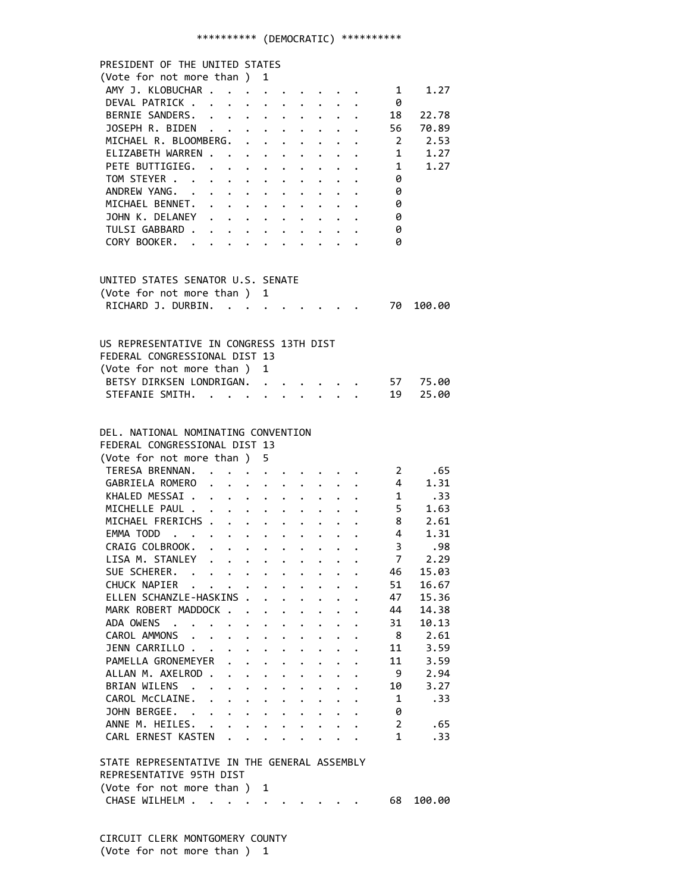# \*\*\*\*\*\*\*\*\*\* (DEMOCRATIC) \*\*\*\*\*\*\*\*\*\*

| PRESIDENT OF THE UNITED STATES                                                                 |                                                       |                                      |                      |                                                                 |                      |                      |                                                |                      |                                                                                                                         |                                     |                    |
|------------------------------------------------------------------------------------------------|-------------------------------------------------------|--------------------------------------|----------------------|-----------------------------------------------------------------|----------------------|----------------------|------------------------------------------------|----------------------|-------------------------------------------------------------------------------------------------------------------------|-------------------------------------|--------------------|
| (Vote for not more than ) 1                                                                    |                                                       |                                      |                      |                                                                 |                      |                      |                                                |                      |                                                                                                                         |                                     |                    |
| AMY J. KLOBUCHAR                                                                               |                                                       |                                      |                      |                                                                 |                      |                      |                                                |                      | $\ddot{i}$                                                                                                              | $\mathbf{1}$                        | 1.27               |
| DEVAL PATRICK                                                                                  |                                                       |                                      |                      |                                                                 |                      |                      |                                                |                      |                                                                                                                         | - 0                                 |                    |
| BERNIE SANDERS. 18                                                                             |                                                       |                                      |                      |                                                                 |                      |                      |                                                |                      |                                                                                                                         |                                     | 22.78              |
| JOSEPH R. BIDEN 56 70.89                                                                       |                                                       |                                      |                      |                                                                 |                      |                      |                                                |                      |                                                                                                                         |                                     |                    |
| MICHAEL R. BLOOMBERG. 2 2.53                                                                   |                                                       |                                      |                      |                                                                 |                      |                      |                                                |                      |                                                                                                                         |                                     |                    |
|                                                                                                |                                                       |                                      |                      |                                                                 |                      |                      |                                                |                      |                                                                                                                         |                                     |                    |
| ELIZABETH WARREN 1 1.27                                                                        |                                                       |                                      |                      |                                                                 |                      |                      |                                                |                      |                                                                                                                         |                                     |                    |
| PETE BUTTIGIEG. 1                                                                              |                                                       |                                      |                      |                                                                 |                      |                      |                                                |                      |                                                                                                                         |                                     | 1.27               |
| TOM STEYER                                                                                     |                                                       |                                      |                      |                                                                 |                      |                      |                                                |                      |                                                                                                                         | $\theta$                            |                    |
| ANDREW YANG.                                                                                   |                                                       |                                      |                      |                                                                 |                      |                      |                                                |                      |                                                                                                                         | $\begin{matrix} 0 \ 0 \end{matrix}$ |                    |
| MICHAEL BENNET.                                                                                |                                                       |                                      |                      |                                                                 |                      |                      |                                                |                      |                                                                                                                         |                                     |                    |
| JOHN K. DELANEY                                                                                |                                                       |                                      |                      |                                                                 |                      |                      |                                                |                      |                                                                                                                         | $\theta$                            |                    |
| TULSI GABBARD                                                                                  |                                                       |                                      |                      |                                                                 |                      |                      |                                                |                      |                                                                                                                         | 0                                   |                    |
| CORY BOOKER. 0                                                                                 |                                                       |                                      |                      |                                                                 |                      |                      |                                                |                      |                                                                                                                         |                                     |                    |
|                                                                                                |                                                       |                                      |                      |                                                                 |                      |                      |                                                |                      |                                                                                                                         |                                     |                    |
|                                                                                                |                                                       |                                      |                      |                                                                 |                      |                      |                                                |                      |                                                                                                                         |                                     |                    |
| UNITED STATES SENATOR U.S. SENATE                                                              |                                                       |                                      |                      |                                                                 |                      |                      |                                                |                      |                                                                                                                         |                                     |                    |
|                                                                                                |                                                       |                                      |                      |                                                                 |                      |                      |                                                |                      |                                                                                                                         |                                     |                    |
| (Vote for not more than ) 1<br>RICHARD J. DURBIN. 70                                           |                                                       |                                      |                      |                                                                 |                      |                      |                                                |                      |                                                                                                                         |                                     | 100.00             |
|                                                                                                |                                                       |                                      |                      |                                                                 |                      |                      |                                                |                      |                                                                                                                         |                                     |                    |
|                                                                                                |                                                       |                                      |                      |                                                                 |                      |                      |                                                |                      |                                                                                                                         |                                     |                    |
| US REPRESENTATIVE IN CONGRESS 13TH DIST                                                        |                                                       |                                      |                      |                                                                 |                      |                      |                                                |                      |                                                                                                                         |                                     |                    |
| FEDERAL CONGRESSIONAL DIST 13                                                                  |                                                       |                                      |                      |                                                                 |                      |                      |                                                |                      |                                                                                                                         |                                     |                    |
| (Vote for not more than ) 1                                                                    |                                                       |                                      |                      |                                                                 |                      |                      |                                                |                      |                                                                                                                         |                                     |                    |
| BETSY DIRKSEN LONDRIGAN.                                                                       |                                                       |                                      |                      |                                                                 |                      |                      |                                                |                      |                                                                                                                         |                                     | 57 75.00           |
| STEFANIE SMITH.                                                                                |                                                       |                                      |                      |                                                                 |                      |                      | $\cdot$ $\cdot$ $\cdot$ $\cdot$ $\cdot$        |                      |                                                                                                                         |                                     | 19 25.00           |
|                                                                                                |                                                       |                                      |                      |                                                                 |                      |                      |                                                |                      |                                                                                                                         |                                     |                    |
|                                                                                                |                                                       |                                      |                      |                                                                 |                      |                      |                                                |                      |                                                                                                                         |                                     |                    |
| DEL. NATIONAL NOMINATING CONVENTION                                                            |                                                       |                                      |                      |                                                                 |                      |                      |                                                |                      |                                                                                                                         |                                     |                    |
|                                                                                                |                                                       |                                      |                      |                                                                 |                      |                      |                                                |                      |                                                                                                                         |                                     |                    |
| FEDERAL CONGRESSIONAL DIST 13                                                                  |                                                       |                                      |                      |                                                                 |                      |                      |                                                |                      |                                                                                                                         |                                     |                    |
| (Vote for not more than) 5                                                                     |                                                       |                                      |                      |                                                                 |                      |                      |                                                |                      |                                                                                                                         |                                     |                    |
| TERESA BRENNAN. 2 .65<br>GABRIELA ROMERO 4 1.31<br>KHALED MESSAI 1 .33<br>MICHELLE PAUL 5 1.63 |                                                       |                                      |                      |                                                                 |                      |                      |                                                |                      |                                                                                                                         |                                     |                    |
|                                                                                                |                                                       |                                      |                      |                                                                 |                      |                      |                                                |                      |                                                                                                                         |                                     |                    |
|                                                                                                |                                                       |                                      |                      |                                                                 |                      |                      |                                                |                      |                                                                                                                         |                                     |                    |
|                                                                                                |                                                       |                                      |                      |                                                                 |                      |                      |                                                |                      |                                                                                                                         |                                     |                    |
| MICHAEL FRERICHS 8                                                                             |                                                       |                                      |                      |                                                                 |                      |                      |                                                |                      |                                                                                                                         |                                     | 2.61               |
| EMMA TODD 4                                                                                    |                                                       |                                      |                      |                                                                 |                      |                      |                                                |                      |                                                                                                                         |                                     | 1.31               |
| CRAIG COLBROOK.                                                                                |                                                       |                                      |                      |                                                                 |                      |                      |                                                |                      |                                                                                                                         |                                     | $3^{\circ}$<br>.98 |
| LISA M. STANLEY                                                                                |                                                       |                                      |                      |                                                                 |                      |                      |                                                |                      |                                                                                                                         | $\overline{7}$                      | 2.29               |
| SUE SCHERER.                                                                                   |                                                       |                                      |                      |                                                                 |                      |                      |                                                |                      |                                                                                                                         | 46                                  | 15.03              |
| CHUCK NAPIER                                                                                   |                                                       |                                      |                      |                                                                 |                      |                      |                                                |                      |                                                                                                                         | 51                                  | 16.67              |
| ELLEN SCHANZLE-HASKINS .                                                                       |                                                       |                                      |                      |                                                                 |                      | $\ddot{\phantom{a}}$ |                                                |                      |                                                                                                                         | 47                                  | 15.36              |
| MARK ROBERT MADDOCK                                                                            |                                                       |                                      |                      | $\mathbf{L}$                                                    | $\ddot{\phantom{0}}$ | $\ddot{\phantom{0}}$ | $\mathbf{L}$                                   | $\mathbf{r}$         | $\ddot{\phantom{a}}$                                                                                                    | 44                                  | 14.38              |
| ADA OWENS                                                                                      | $\mathcal{A}$ , and $\mathcal{A}$ , and $\mathcal{A}$ |                                      |                      |                                                                 |                      |                      |                                                |                      |                                                                                                                         | 31                                  | 10.13              |
|                                                                                                |                                                       |                                      |                      | $\ddot{\phantom{0}}$                                            | $\ddot{\phantom{0}}$ | $\ddot{\phantom{0}}$ | $\ddot{\phantom{0}}$                           | $\mathbf{L}$         | $\ddot{\phantom{a}}$                                                                                                    |                                     |                    |
| CAROL AMMONS                                                                                   |                                                       |                                      |                      | $\ddot{\phantom{0}}$                                            | $\ddot{\phantom{0}}$ | $\ddot{\phantom{0}}$ | $\mathbf{L}$                                   | $\mathbf{L}$         |                                                                                                                         | - 8                                 | 2.61               |
| JENN CARRILLO                                                                                  |                                                       | $\bullet$ .                          | $\ddot{\phantom{0}}$ | $\bullet$ .                                                     | $\ddot{\phantom{0}}$ | $\ddot{\phantom{0}}$ | $\ddot{\phantom{0}}$                           | $\ddot{\phantom{a}}$ |                                                                                                                         | 11                                  | 3.59               |
| PAMELLA GRONEMEYER                                                                             |                                                       | $\ddot{\phantom{a}}$                 | $\ddot{\phantom{a}}$ | $\ddot{\phantom{0}}$                                            | $\ddot{\phantom{0}}$ | $\ddot{\bullet}$     | $\ddot{\phantom{0}}$                           | $\ddot{\phantom{a}}$ |                                                                                                                         | 11                                  | 3.59               |
| ALLAN M. AXELROD.                                                                              |                                                       | $\ddot{\phantom{a}}$                 |                      | $\bullet$ .<br><br><br><br><br><br><br><br><br><br><br><br><br> | $\ddot{\phantom{0}}$ | $\ddot{\phantom{a}}$ | $\ddot{\bullet}$                               |                      |                                                                                                                         | - 9                                 | 2.94               |
| BRIAN WILENS .                                                                                 |                                                       |                                      |                      | $\ddot{\phantom{a}}$                                            | $\ddot{\phantom{a}}$ |                      |                                                |                      |                                                                                                                         | 10                                  | 3.27               |
| CAROL McCLAINE.                                                                                |                                                       | $\ddot{\phantom{0}}$<br>$\mathbf{r}$ | $\ddot{\phantom{0}}$ | $\ddot{\phantom{a}}$                                            | $\ddot{\phantom{a}}$ |                      | $\ddot{\phantom{0}}$                           |                      |                                                                                                                         | $\mathbf{1}$                        | .33                |
| JOHN BERGEE. .                                                                                 |                                                       | $\mathbf{r}$<br>$\ddot{\phantom{0}}$ |                      | $\cdot$ $\cdot$ $\cdot$                                         | $\ddot{\phantom{0}}$ | $\ddot{\phantom{0}}$ | $\mathbf{L}$                                   | $\mathbf{L}$         | $\ddot{\phantom{a}}$                                                                                                    | 0                                   |                    |
| ANNE M. HEILES.                                                                                |                                                       | $\ddot{\phantom{0}}$<br>$\mathbf{r}$ |                      | $\ddot{\phantom{a}}$                                            | $\ddot{\phantom{0}}$ |                      | $\ddot{\phantom{a}}$                           | $\ddotsc$            |                                                                                                                         | $\mathbf{2}$                        | .65                |
| CARL ERNEST KASTEN.                                                                            |                                                       |                                      | $\mathbf{L}$         | $\ddot{\phantom{a}}$                                            | $\ddot{\phantom{0}}$ |                      | $\mathbf{r}$ and $\mathbf{r}$ and $\mathbf{r}$ |                      |                                                                                                                         | $\mathbf{1}$                        | .33                |
|                                                                                                |                                                       |                                      |                      |                                                                 |                      |                      |                                                |                      |                                                                                                                         |                                     |                    |
| STATE REPRESENTATIVE IN THE GENERAL ASSEMBLY                                                   |                                                       |                                      |                      |                                                                 |                      |                      |                                                |                      |                                                                                                                         |                                     |                    |
| REPRESENTATIVE 95TH DIST                                                                       |                                                       |                                      |                      |                                                                 |                      |                      |                                                |                      |                                                                                                                         |                                     |                    |
| (Vote for not more than ) 1                                                                    |                                                       |                                      |                      |                                                                 |                      |                      |                                                |                      |                                                                                                                         |                                     |                    |
| CHASE WILHELM                                                                                  |                                                       |                                      |                      |                                                                 |                      |                      |                                                |                      | $\mathbf{r} = \mathbf{r} - \mathbf{r}$ , where $\mathbf{r} = \mathbf{r} - \mathbf{r}$ , where $\mathbf{r} = \mathbf{r}$ | 68                                  | 100.00             |
|                                                                                                |                                                       |                                      |                      |                                                                 |                      |                      |                                                |                      |                                                                                                                         |                                     |                    |
|                                                                                                |                                                       |                                      |                      |                                                                 |                      |                      |                                                |                      |                                                                                                                         |                                     |                    |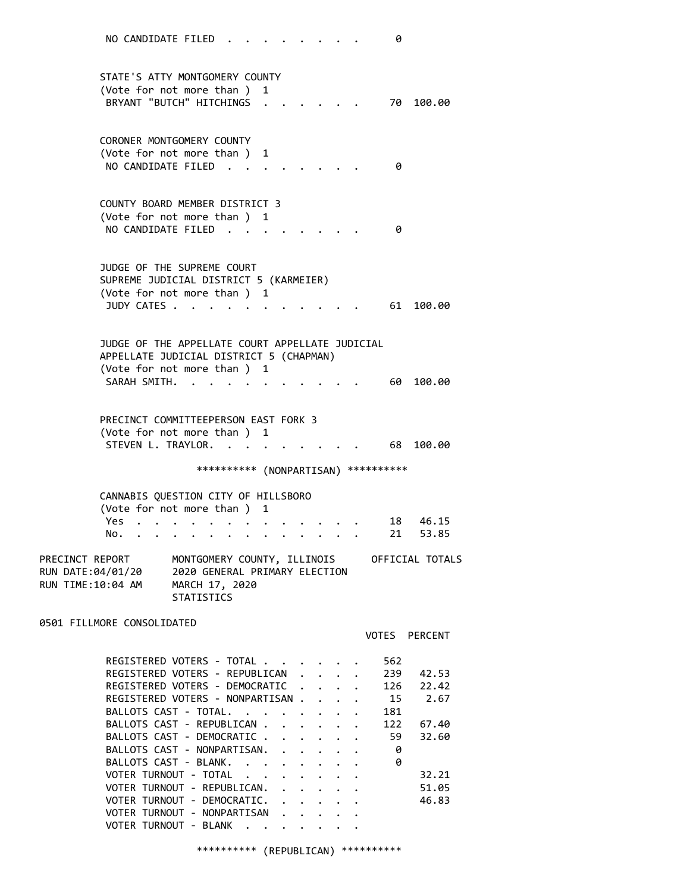STATE'S ATTY MONTGOMERY COUNTY (Vote for not more than ) 1 BRYANT "BUTCH" HITCHINGS . . . . . . 70 100.00 CORONER MONTGOMERY COUNTY (Vote for not more than ) 1 NO CANDIDATE FILED . . . . . . . . 0 COUNTY BOARD MEMBER DISTRICT 3 (Vote for not more than ) 1 NO CANDIDATE FILED . . . . . . . . 0 JUDGE OF THE SUPREME COURT SUPREME JUDICIAL DISTRICT 5 (KARMEIER) (Vote for not more than ) 1 JUDY CATES . . . . . . . . . . . 61 100.00 JUDGE OF THE APPELLATE COURT APPELLATE JUDICIAL APPELLATE JUDICIAL DISTRICT 5 (CHAPMAN) (Vote for not more than ) 1 SARAH SMITH. . . . . . . . . . . . 60 100.00 PRECINCT COMMITTEEPERSON EAST FORK 3 (Vote for not more than ) 1 STEVEN L. TRAYLOR. . . . . . . . . 68 100.00 \*\*\*\*\*\*\*\*\*\* (NONPARTISAN) \*\*\*\*\*\*\*\*\*\* CANNABIS QUESTION CITY OF HILLSBORO (Vote for not more than ) 1 Yes . . . . . . . . . . . . . . 18 46.15 No. . . . . . . . . . . . . . 21 53.85 PRECINCT REPORT MONTGOMERY COUNTY, ILLINOIS OFFICIAL TOTALS RUN DATE:04/01/20 2020 GENERAL PRIMARY ELECTION RUN TIME:10:04 AM MARCH 17, 2020 STATISTICS 0501 FILLMORE CONSOLIDATED VOTES PERCENT REGISTERED VOTERS - TOTAL . . . . . . 562

| REGISTERED VOIERS - IUTAL.         |  |  | ∠סכ |       |
|------------------------------------|--|--|-----|-------|
| REGISTERED VOTERS - REPUBLICAN     |  |  | 239 | 42.53 |
| REGISTERED VOTERS - DEMOCRATIC     |  |  | 126 | 22.42 |
| REGISTERED VOTERS - NONPARTISAN    |  |  | 15  | 2.67  |
| BALLOTS CAST - TOTAL.              |  |  | 181 |       |
| BALLOTS CAST - REPUBLICAN          |  |  | 122 | 67.40 |
| BALLOTS CAST - DEMOCRATIC          |  |  | 59  | 32.60 |
| BALLOTS CAST - NONPARTISAN.        |  |  | 0   |       |
| BALLOTS CAST - BLANK.              |  |  | 0   |       |
| VOTER TURNOUT - TOTAL<br>$\cdot$ . |  |  |     | 32.21 |
| VOTER TURNOUT - REPUBLICAN.        |  |  |     | 51.05 |
| VOTER TURNOUT - DEMOCRATIC. .      |  |  |     | 46.83 |
| VOTER TURNOUT - NONPARTISAN .      |  |  |     |       |
| VOTER TURNOUT - BLANK              |  |  |     |       |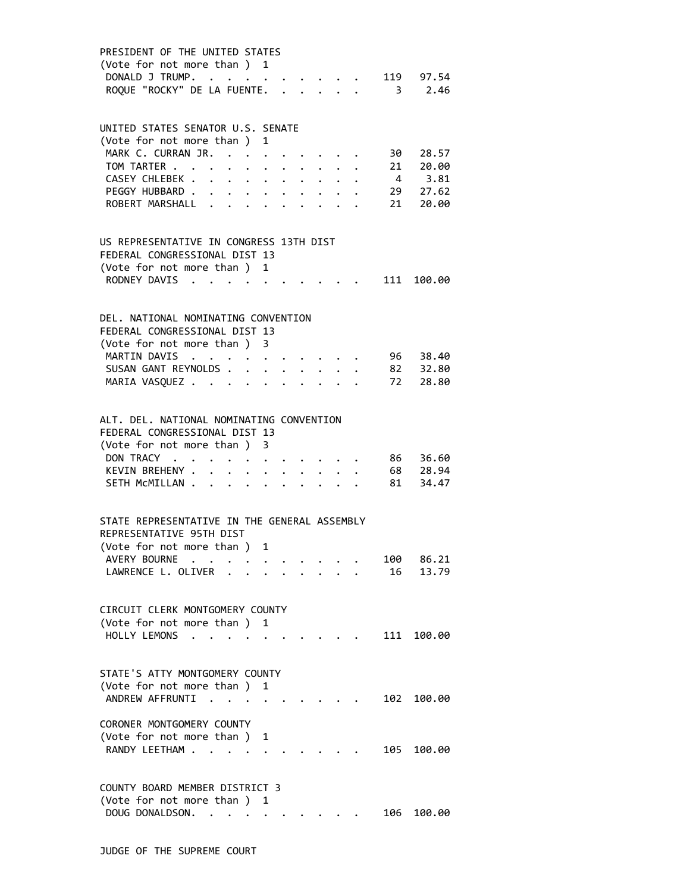| PRESIDENT OF THE UNITED STATES<br>(Vote for not more than) 1<br>DONALD J TRUMP. .<br>119 97.54<br>$3 \t 2.46$<br>ROQUE "ROCKY" DE LA FUENTE.<br>$\mathbf{r} = \mathbf{r} \times \mathbf{r}$<br>$\Delta \sim 10^{-11}$                                                                                                                                               |
|---------------------------------------------------------------------------------------------------------------------------------------------------------------------------------------------------------------------------------------------------------------------------------------------------------------------------------------------------------------------|
| UNITED STATES SENATOR U.S. SENATE<br>(Vote for not more than )<br>$\mathbf{1}$<br>MARK C. CURRAN JR.<br>30 28.57<br>$\ddot{\phantom{a}}$<br>TOM TARTER<br>$21 20.00$<br>4 3.81<br>CASEY CHLEBEK .<br>$\ddot{\phantom{0}}$<br>$\bullet$ .<br>$\bullet$ .<br>29 27.62<br>PEGGY HUBBARD<br>$\ddot{\phantom{0}}$<br>21 20.00<br>ROBERT MARSHALL<br>$\ddot{\phantom{0}}$ |
| US REPRESENTATIVE IN CONGRESS 13TH DIST<br>FEDERAL CONGRESSIONAL DIST 13<br>(Vote for not more than )<br>1<br>RODNEY DAVIS.<br>111 100.00                                                                                                                                                                                                                           |
| DEL. NATIONAL NOMINATING CONVENTION<br>FFDFRAL CONGRESSIONAL DIST 13<br>(Vote for not more than) 3<br>MARTIN DAVIS<br>96 38.40<br>SUSAN GANT REYNOLDS.<br>82      32.80<br>72       28.80<br>MARIA VASQUEZ<br>$\bullet$<br>$\ddot{\phantom{0}}$                                                                                                                     |
| ALT. DEL. NATIONAL NOMINATING CONVENTION<br>FEDERAL CONGRESSIONAL DIST 13<br>(Vote for not more than)<br>3<br>DON TRACY .<br>86 36.60<br>$\ddot{\phantom{0}}$<br>KEVIN BREHENY .<br>68       28.94<br>81       34.47<br>SETH MCMILLAN.                                                                                                                              |
| STATE REPRESENTATIVE IN THE GENERAL ASSEMBLY<br>REPRESENTATTVE 95TH DTST<br>(Vote for not more than )<br>AVERY BOURNE<br>86.21<br>100<br>LAWRENCE L. OLIVER<br>13.79<br>16                                                                                                                                                                                          |
| CIRCUIT CLERK MONTGOMERY COUNTY<br>(Vote for not more than) 1<br>HOLLY LEMONS<br>111<br>100.00<br>$\ddot{\phantom{0}}$                                                                                                                                                                                                                                              |
| STATE'S ATTY MONTGOMERY COUNTY<br>(Vote for not more than ) 1<br>ANDREW AFFRUNTI<br>102<br>100.00<br>$\cdot$ .                                                                                                                                                                                                                                                      |
| CORONER MONTGOMERY COUNTY<br>(Vote for not more than)<br>1<br>RANDY LEETHAM.<br>105<br>100.00                                                                                                                                                                                                                                                                       |
| COUNTY BOARD MEMBER DISTRICT 3<br>(Vote for not more than ) 1<br>DOUG DONALDSON.<br>106<br>100.00                                                                                                                                                                                                                                                                   |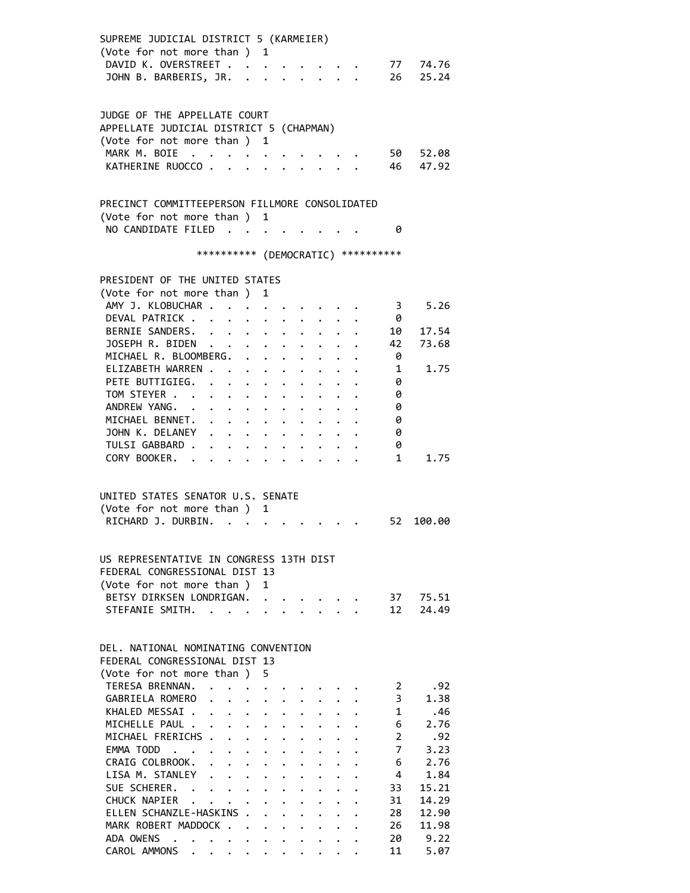| SUPREME JUDICIAL DISTRICT 5 (KARMEIER)<br>(Vote for not more than)                     |                                                           |                      | $\mathbf{1}$                               |                                                                 |                                                                    |                      |                         |                         |                      |
|----------------------------------------------------------------------------------------|-----------------------------------------------------------|----------------------|--------------------------------------------|-----------------------------------------------------------------|--------------------------------------------------------------------|----------------------|-------------------------|-------------------------|----------------------|
| DAVID K. OVERSTREET                                                                    |                                                           |                      |                                            |                                                                 |                                                                    |                      |                         |                         | $\cdot$ , . 77 74.76 |
| JOHN B. BARBERIS, JR.                                                                  |                                                           |                      |                                            |                                                                 |                                                                    |                      |                         |                         | 26 25.24             |
|                                                                                        |                                                           |                      |                                            |                                                                 |                                                                    |                      |                         |                         |                      |
| JUDGE OF THE APPELLATE COURT                                                           |                                                           |                      |                                            |                                                                 |                                                                    |                      |                         |                         |                      |
| APPELLATE JUDICIAL DISTRICT 5 (CHAPMAN)                                                |                                                           |                      |                                            |                                                                 |                                                                    |                      |                         |                         |                      |
| (Vote for not more than ) 1                                                            |                                                           |                      |                                            |                                                                 |                                                                    |                      |                         |                         |                      |
| MARK M. BOIE<br>$\ddot{\phantom{1}}$                                                   | $\sim$ $\sim$                                             | $\cdots$             |                                            |                                                                 |                                                                    |                      |                         | 50                      | 52.08                |
| KATHERINE RUOCCO                                                                       |                                                           |                      | $\mathbf{r}$ , $\mathbf{r}$ , $\mathbf{r}$ |                                                                 | $\cdots$                                                           |                      |                         | 46                      | 47.92                |
|                                                                                        |                                                           |                      |                                            |                                                                 |                                                                    |                      |                         |                         |                      |
|                                                                                        |                                                           |                      |                                            |                                                                 |                                                                    |                      |                         |                         |                      |
| PRECINCT COMMITTEEPERSON FILLMORE CONSOLIDATED                                         |                                                           |                      |                                            |                                                                 |                                                                    |                      |                         |                         |                      |
| (Vote for not more than ) 1                                                            |                                                           |                      |                                            |                                                                 |                                                                    |                      |                         |                         |                      |
| NO CANDIDATE FILED                                                                     |                                                           |                      |                                            |                                                                 |                                                                    |                      |                         | 0                       |                      |
|                                                                                        |                                                           |                      |                                            |                                                                 |                                                                    |                      |                         |                         |                      |
|                                                                                        | *********** (DEMOCRATIC) **********                       |                      |                                            |                                                                 |                                                                    |                      |                         |                         |                      |
|                                                                                        |                                                           |                      |                                            |                                                                 |                                                                    |                      |                         |                         |                      |
| PRESIDENT OF THE UNITED STATES                                                         |                                                           |                      |                                            |                                                                 |                                                                    |                      |                         |                         |                      |
| (Vote for not more than ) 1                                                            |                                                           |                      |                                            |                                                                 |                                                                    |                      |                         |                         |                      |
| AMY J. KLOBUCHAR .                                                                     | $\ddot{\phantom{a}}$                                      |                      |                                            |                                                                 |                                                                    |                      |                         | $3^{\circ}$             | 5.26                 |
| DEVAL PATRICK.                                                                         |                                                           |                      |                                            |                                                                 |                                                                    |                      |                         | - 0                     |                      |
| BERNIE SANDERS.                                                                        | $\mathbf{L}^{\text{max}}$                                 | $\ddot{\phantom{0}}$ | $\ddot{\phantom{0}}$                       | $\ddot{\phantom{0}}$                                            | $\ddot{\phantom{0}}$                                               |                      |                         | 10                      | 17.54                |
| JOSEPH R. BIDEN                                                                        | .                                                         |                      |                                            |                                                                 |                                                                    |                      |                         | 42                      | 73.68                |
| MICHAEL R. BLOOMBERG.                                                                  |                                                           |                      | $\cdot$ $\cdot$ $\cdot$                    | $\ddot{\phantom{0}}$                                            | $\ddot{\phantom{0}}$                                               |                      |                         | 0                       |                      |
| ELIZABETH WARREN.                                                                      |                                                           |                      | $\cdot$ $\cdot$ $\cdot$ $\cdot$ $\cdot$    |                                                                 |                                                                    |                      |                         | $\mathbf{1}$            | 1.75                 |
| PETE BUTTIGIEG.                                                                        |                                                           |                      |                                            |                                                                 |                                                                    |                      |                         | 0                       |                      |
| TOM STEYER                                                                             |                                                           |                      |                                            |                                                                 |                                                                    |                      |                         | 0                       |                      |
| ANDREW YANG.                                                                           |                                                           |                      |                                            | $\bullet$ .<br><br><br><br><br><br><br><br><br><br><br><br><br> |                                                                    |                      |                         | 0                       |                      |
| MICHAEL BENNET.                                                                        |                                                           |                      |                                            |                                                                 |                                                                    |                      |                         | 0                       |                      |
| JOHN K. DELANEY                                                                        | $\mathbf{1}$ , $\mathbf{1}$ , $\mathbf{1}$ , $\mathbf{1}$ |                      |                                            | $\ddot{\phantom{0}}$                                            | $\ddot{\phantom{0}}$                                               |                      |                         | 0                       |                      |
| TULSI GABBARD .                                                                        | $\mathbf{r} = \mathbf{r} + \mathbf{r} + \mathbf{r}$       |                      |                                            |                                                                 | $\ddot{\phantom{0}}$                                               | $\ddot{\phantom{0}}$ |                         | 0                       |                      |
| CORY BOOKER.                                                                           | $\mathbf{r}$ , $\mathbf{r}$                               |                      |                                            |                                                                 | $\sim$ $\sim$                                                      |                      |                         | 1                       | 1.75                 |
|                                                                                        |                                                           |                      |                                            |                                                                 |                                                                    |                      |                         |                         |                      |
|                                                                                        |                                                           |                      |                                            |                                                                 |                                                                    |                      |                         |                         |                      |
| UNITED STATES SENATOR U.S. SENATE                                                      |                                                           |                      |                                            |                                                                 |                                                                    |                      |                         |                         |                      |
| (Vote for not more than)                                                               |                                                           |                      | 1                                          |                                                                 |                                                                    |                      |                         |                         |                      |
| RICHARD J. DURBIN. .                                                                   |                                                           |                      |                                            |                                                                 |                                                                    |                      |                         |                         | 52 100.00            |
|                                                                                        |                                                           |                      |                                            |                                                                 |                                                                    |                      |                         |                         |                      |
|                                                                                        |                                                           |                      |                                            |                                                                 |                                                                    |                      |                         |                         |                      |
| US REPRESENTATIVE IN CONGRESS 13TH DIST                                                |                                                           |                      |                                            |                                                                 |                                                                    |                      |                         |                         |                      |
| FEDERAL CONGRESSIONAL DIST 13                                                          |                                                           |                      |                                            |                                                                 |                                                                    |                      |                         |                         |                      |
| (Vote for not more than)                                                               |                                                           |                      | $\mathbf{1}$                               |                                                                 |                                                                    |                      |                         |                         |                      |
| BETSY DIRKSEN LONDRIGAN.                                                               |                                                           |                      |                                            |                                                                 | $\mathbf{r} = \mathbf{r} + \mathbf{r} + \mathbf{r} + \mathbf{r}$ . |                      |                         | 37                      | 75.51                |
| STEFANIE SMITH.                                                                        |                                                           |                      |                                            |                                                                 |                                                                    | $\mathbf{A}$         |                         | 12                      | 24.49                |
|                                                                                        |                                                           |                      |                                            |                                                                 |                                                                    |                      |                         |                         |                      |
| DEL, NATIONAL NOMINATING CONVENTION                                                    |                                                           |                      |                                            |                                                                 |                                                                    |                      |                         |                         |                      |
| FEDERAL CONGRESSIONAL DIST 13                                                          |                                                           |                      |                                            |                                                                 |                                                                    |                      |                         |                         |                      |
| (Vote for not more than)                                                               |                                                           |                      | 5.                                         |                                                                 |                                                                    |                      |                         |                         |                      |
| TERESA BRENNAN.                                                                        |                                                           |                      |                                            |                                                                 |                                                                    |                      |                         | $\mathbf{2}$            | .92                  |
| GABRIELA ROMERO                                                                        |                                                           |                      | $\cdot$ $\cdot$ $\cdot$ $\cdot$ $\cdot$    |                                                                 |                                                                    |                      |                         | $\overline{\mathbf{3}}$ | 1.38                 |
| KHALED MESSAI.                                                                         | $\ddot{\phantom{0}}$                                      |                      |                                            |                                                                 |                                                                    |                      |                         | 1                       | .46                  |
| MICHELLE PAUL .                                                                        | $\cdot$ $\cdot$ $\cdot$ $\cdot$ $\cdot$ $\cdot$           |                      |                                            |                                                                 |                                                                    |                      |                         | 6                       | 2.76                 |
| MICHAEL FRERICHS                                                                       |                                                           | $\ddot{\phantom{0}}$ |                                            | $\mathbf{L}^{\text{max}}$ , and $\mathbf{L}^{\text{max}}$       |                                                                    |                      |                         | $\overline{2}$          | .92                  |
| EMMA TODD                                                                              |                                                           |                      |                                            | $\mathbf{r}$ $\mathbf{r}$                                       | $\ddot{\phantom{0}}$                                               |                      |                         | $7^{\circ}$             | 3.23                 |
| CRAIG COLBROOK.                                                                        |                                                           |                      |                                            |                                                                 |                                                                    |                      | $\cdot$ $\cdot$ $\cdot$ | 6                       | 2.76                 |
| LISA M. STANLEY                                                                        |                                                           |                      |                                            |                                                                 |                                                                    |                      |                         | $\overline{4}$          | 1.84                 |
| SUE SCHERER.                                                                           |                                                           |                      |                                            |                                                                 |                                                                    |                      |                         | 33                      | 15.21                |
| CHUCK NAPIER                                                                           |                                                           |                      |                                            |                                                                 |                                                                    |                      |                         | 31                      | 14.29                |
| ELLEN SCHANZLE-HASKINS .                                                               |                                                           |                      | $\mathbf{r}$                               | $\ddot{\phantom{0}}$                                            |                                                                    |                      |                         | 28                      | 12.90                |
| MARK ROBERT MADDOCK                                                                    |                                                           |                      |                                            | $\mathbf{z} = \mathbf{z}$ . The $\mathbf{z}$                    | $\ddot{\phantom{0}}$                                               |                      |                         | 26                      | 11.98                |
| ADA OWENS<br>$\mathcal{A}=\mathcal{A}=\mathcal{A}=\mathcal{A}=\mathcal{A}=\mathcal{A}$ |                                                           |                      | $\sim$                                     | $\ddot{\phantom{0}}$                                            | $\ddot{\phantom{0}}$                                               | $\ddot{\phantom{0}}$ | $\ddot{\phantom{a}}$    | 20                      | 9.22                 |
| CAROL AMMONS                                                                           |                                                           |                      |                                            |                                                                 |                                                                    |                      |                         | 11                      | 5.07                 |
|                                                                                        |                                                           |                      |                                            |                                                                 |                                                                    |                      |                         |                         |                      |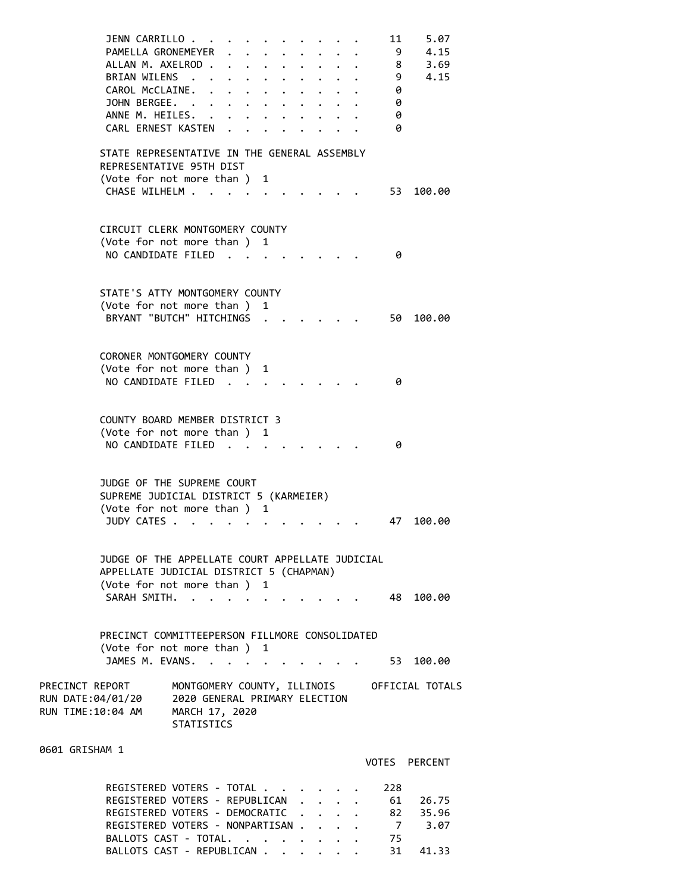| JENN CARRILLO.<br>PAMELLA GRONEMEYER<br>ALLAN M. AXELROD .<br>BRIAN WILENS .<br>CAROL McCLAINE. .<br>JOHN BERGEE. .<br>ANNE M. HEILES.<br>CARL ERNEST KASTEN | $\cdot$ $\cdot$                                                                                     | $\mathbf{r} = \mathbf{r}$<br>$\ddot{\phantom{a}}$<br>$\ddot{\phantom{a}}$<br><b>Contract Contract</b><br>$\bullet$ . | $\ddot{\phantom{0}}$ |  |  | 11<br>-9<br>8<br>9<br>0<br>0<br>0<br>0 | 5.07<br>4.15<br>3.69<br>4.15 |
|--------------------------------------------------------------------------------------------------------------------------------------------------------------|-----------------------------------------------------------------------------------------------------|----------------------------------------------------------------------------------------------------------------------|----------------------|--|--|----------------------------------------|------------------------------|
| STATE REPRESENTATIVE IN THE GENERAL ASSEMBLY<br>REPRESENTATIVE 95TH DIST<br>(Vote for not more than) 1                                                       |                                                                                                     |                                                                                                                      |                      |  |  |                                        |                              |
| CHASE WILHELM                                                                                                                                                |                                                                                                     |                                                                                                                      |                      |  |  | 53                                     | 100.00                       |
| CIRCUIT CLERK MONTGOMERY COUNTY<br>(Vote for not more than) 1                                                                                                |                                                                                                     |                                                                                                                      |                      |  |  |                                        |                              |
| NO CANDIDATE FILED.                                                                                                                                          |                                                                                                     |                                                                                                                      |                      |  |  | 0                                      |                              |
| STATE'S ATTY MONTGOMERY COUNTY                                                                                                                               |                                                                                                     |                                                                                                                      | 1                    |  |  |                                        |                              |
| (Vote for not more than )<br>BRYANT "BUTCH" HITCHINGS                                                                                                        |                                                                                                     |                                                                                                                      |                      |  |  | 50                                     | 100.00                       |
| CORONER MONTGOMERY COUNTY                                                                                                                                    |                                                                                                     |                                                                                                                      |                      |  |  |                                        |                              |
| (Vote for not more than )<br>NO CANDIDATE FILED.                                                                                                             |                                                                                                     |                                                                                                                      | 1                    |  |  | 0                                      |                              |
| COUNTY BOARD MEMBER DISTRICT 3                                                                                                                               |                                                                                                     |                                                                                                                      |                      |  |  |                                        |                              |
| (Vote for not more than ) 1<br>NO CANDIDATE FILED.                                                                                                           |                                                                                                     | $\sim$                                                                                                               |                      |  |  | 0                                      |                              |
| JUDGE OF THE SUPREME COURT<br>SUPREME JUDICIAL DISTRICT 5 (KARMEIER)                                                                                         |                                                                                                     |                                                                                                                      |                      |  |  |                                        |                              |
| (Vote for not more than ) 1<br>JUDY CATES .                                                                                                                  |                                                                                                     |                                                                                                                      |                      |  |  | 47                                     | 100.00                       |
| JUDGE OF THE APPELLATE COURT APPELLATE JUDICIAL                                                                                                              |                                                                                                     |                                                                                                                      |                      |  |  |                                        |                              |
| APPELLATE JUDICIAL DISTRICT 5 (CHAPMAN)<br>(Vote for not more than)                                                                                          |                                                                                                     |                                                                                                                      | 1                    |  |  |                                        |                              |
| SARAH SMITH.                                                                                                                                                 |                                                                                                     |                                                                                                                      |                      |  |  | 48.                                    | 100.00                       |
| PRECINCT COMMITTEEPERSON FILLMORE CONSOLIDATED<br>(Vote for not more than ) 1                                                                                |                                                                                                     |                                                                                                                      |                      |  |  |                                        |                              |
| JAMES M. EVANS.                                                                                                                                              | $\mathbf{r}$ . The set of $\mathbf{r}$                                                              |                                                                                                                      |                      |  |  | 53                                     | 100.00                       |
| PRECINCT REPORT<br>RUN DATE:04/01/20<br>RUN TIME:10:04 AM                                                                                                    | MONTGOMERY COUNTY, ILLINOIS<br>2020 GENERAL PRIMARY ELECTION<br>MARCH 17, 2020<br><b>STATISTICS</b> |                                                                                                                      |                      |  |  |                                        | OFFICIAL TOTALS              |
| 0601 GRISHAM 1                                                                                                                                               |                                                                                                     |                                                                                                                      |                      |  |  |                                        | VOTES PERCENT                |
| REGISTERED VOTERS - TOTAL.<br>REGISTERED VOTERS - REPUBLICAN<br>REGISTERED VOTERS - DEMOCRATIC                                                               |                                                                                                     |                                                                                                                      |                      |  |  | 228<br>61<br>82                        | 26.75<br>35.96               |

REGISTERED VOTERS - NONPARTISAN . . . . 7 3.07 BALLOTS CAST - TOTAL. . . . . . . . 75 BALLOTS CAST - REPUBLICAN . . . . . . 31 41.33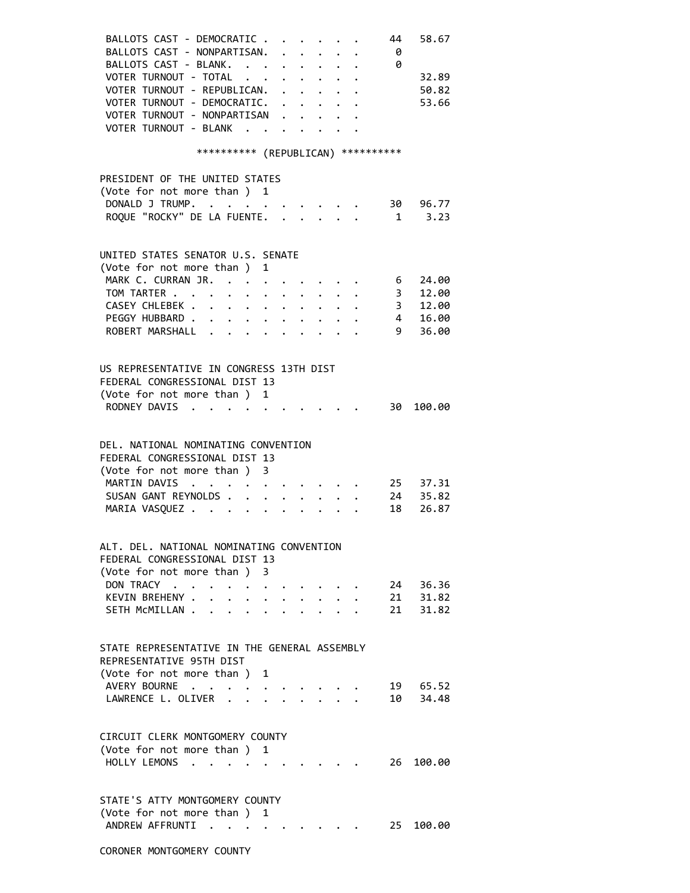| BALLOTS CAST - DEMOCRATIC<br>BALLOTS CAST - NONPARTISAN.                                                                                                       |                                                                       | $\cdot$ $\cdot$ $\cdot$ $\cdot$ $\cdot$ |  | 44<br>- 0               | 58.67      |
|----------------------------------------------------------------------------------------------------------------------------------------------------------------|-----------------------------------------------------------------------|-----------------------------------------|--|-------------------------|------------|
| BALLOTS CAST - BLANK.                                                                                                                                          |                                                                       | $\cdot$ $\cdot$ $\cdot$ $\cdot$ $\cdot$ |  | - 0                     |            |
| VOTER TURNOUT - TOTAL                                                                                                                                          |                                                                       |                                         |  |                         | 32.89      |
| VOTER TURNOUT - REPUBLICAN.                                                                                                                                    |                                                                       |                                         |  |                         | 50.82      |
| VOTER TURNOUT - DEMOCRATIC.                                                                                                                                    |                                                                       |                                         |  |                         | 53.66      |
| VOTER TURNOUT - NONPARTISAN                                                                                                                                    |                                                                       |                                         |  |                         |            |
| VOTER TURNOUT - BLANK                                                                                                                                          |                                                                       | $\cdot$ $\cdot$ $\cdot$ $\cdot$         |  |                         |            |
| *********** (REPUBLICAN) ***********                                                                                                                           |                                                                       |                                         |  |                         |            |
| PRESIDENT OF THE UNITED STATES                                                                                                                                 |                                                                       |                                         |  |                         |            |
| (Vote for not more than ) 1                                                                                                                                    |                                                                       |                                         |  |                         |            |
| DONALD J TRUMP.                                                                                                                                                |                                                                       |                                         |  |                         | 30 96.77   |
| ROQUE "ROCKY" DE LA FUENTE.                                                                                                                                    |                                                                       |                                         |  |                         | $1 \t3.23$ |
|                                                                                                                                                                |                                                                       |                                         |  |                         |            |
| UNITED STATES SENATOR U.S. SENATE                                                                                                                              |                                                                       |                                         |  |                         |            |
| (Vote for not more than)<br>1                                                                                                                                  |                                                                       |                                         |  |                         |            |
| MARK C. CURRAN JR.                                                                                                                                             |                                                                       |                                         |  | 6                       | 24.00      |
| TOM TARTER                                                                                                                                                     |                                                                       |                                         |  | 3 <sup>7</sup>          | 12.00      |
| CASEY CHLEBEK                                                                                                                                                  |                                                                       |                                         |  | $\overline{\mathbf{3}}$ | 12.00      |
| PEGGY HUBBARD                                                                                                                                                  |                                                                       |                                         |  | $\frac{4}{1}$           | 16.00      |
| ROBERT MARSHALL                                                                                                                                                |                                                                       |                                         |  | 9                       | 36.00      |
|                                                                                                                                                                |                                                                       |                                         |  |                         |            |
| US REPRESENTATIVE IN CONGRESS 13TH DIST                                                                                                                        |                                                                       |                                         |  |                         |            |
| FEDERAL CONGRESSIONAL DIST 13                                                                                                                                  |                                                                       |                                         |  |                         |            |
| (Vote for not more than ) 1                                                                                                                                    |                                                                       |                                         |  |                         |            |
| RODNEY DAVIS                                                                                                                                                   |                                                                       |                                         |  |                         | 30 100.00  |
|                                                                                                                                                                |                                                                       |                                         |  |                         |            |
| DEL, NATIONAL NOMINATING CONVENTION                                                                                                                            |                                                                       |                                         |  |                         |            |
| FEDERAL CONGRESSIONAL DIST 13                                                                                                                                  |                                                                       |                                         |  |                         |            |
| (Vote for not more than ) 3                                                                                                                                    |                                                                       |                                         |  |                         |            |
| MARTIN DAVIS<br>$\mathbf{r} = \mathbf{r} + \mathbf{r} + \mathbf{r} + \mathbf{r} + \mathbf{r} + \mathbf{r} + \mathbf{r} + \mathbf{r} + \mathbf{r} + \mathbf{r}$ |                                                                       |                                         |  |                         | 25 37.31   |
| SUSAN GANT REYNOLDS                                                                                                                                            | $\mathbf{r}$ , and $\mathbf{r}$ , and $\mathbf{r}$ , and $\mathbf{r}$ |                                         |  |                         | 24 35.82   |
| MARIA VASQUEZ                                                                                                                                                  | $\mathbf{L}$ and $\mathbf{L}$                                         |                                         |  | 18                      | 26.87      |
|                                                                                                                                                                |                                                                       |                                         |  |                         |            |
| ALT. DEL. NATIONAL NOMINATING CONVENTION                                                                                                                       |                                                                       |                                         |  |                         |            |
| FEDERAL CONGRESSIONAL DIST 13                                                                                                                                  |                                                                       |                                         |  |                         |            |
| (Vote for not more than )<br>3.                                                                                                                                |                                                                       |                                         |  |                         |            |
| DON TRACY.<br>$\ddot{\phantom{1}}$                                                                                                                             |                                                                       |                                         |  | 24                      | 36.36      |
| KEVIN BREHENY .<br>$\bullet$<br>$\ddot{\phantom{0}}$                                                                                                           | $\bullet$ .                                                           |                                         |  | 21                      | 31.82      |
| SETH MCMILLAN<br>$\mathbf{r}$ , $\mathbf{r}$ , $\mathbf{r}$<br>$\bullet$                                                                                       |                                                                       |                                         |  | 21                      | 31.82      |
|                                                                                                                                                                |                                                                       |                                         |  |                         |            |
| STATE REPRESENTATIVE IN THE GENERAL ASSEMBLY                                                                                                                   |                                                                       |                                         |  |                         |            |
| REPRESENTATIVE 95TH DIST                                                                                                                                       |                                                                       |                                         |  |                         |            |
| (Vote for not more than )<br>1                                                                                                                                 |                                                                       |                                         |  |                         |            |
| AVERY BOURNE<br>$\mathcal{L}^{\text{max}}$ , $\mathcal{L}^{\text{max}}$                                                                                        |                                                                       |                                         |  | 19                      | 65.52      |
| LAWRENCE L. OLIVER .                                                                                                                                           |                                                                       |                                         |  | 10                      | 34.48      |
| $\ddot{\phantom{a}}$                                                                                                                                           |                                                                       |                                         |  |                         |            |
| CIRCUIT CLERK MONTGOMERY COUNTY                                                                                                                                |                                                                       |                                         |  |                         |            |
| (Vote for not more than ) 1                                                                                                                                    |                                                                       |                                         |  |                         |            |
| HOLLY LEMONS                                                                                                                                                   |                                                                       |                                         |  | 26                      | 100.00     |
| $\cdot$ $\cdot$ $\cdot$<br>$\bullet$                                                                                                                           |                                                                       |                                         |  |                         |            |
| STATE'S ATTY MONTGOMERY COUNTY                                                                                                                                 |                                                                       |                                         |  |                         |            |
|                                                                                                                                                                |                                                                       |                                         |  |                         |            |
| (Vote for not more than )<br>1                                                                                                                                 |                                                                       |                                         |  |                         |            |
| ANDREW AFFRUNTI                                                                                                                                                |                                                                       |                                         |  | 25                      | 100.00     |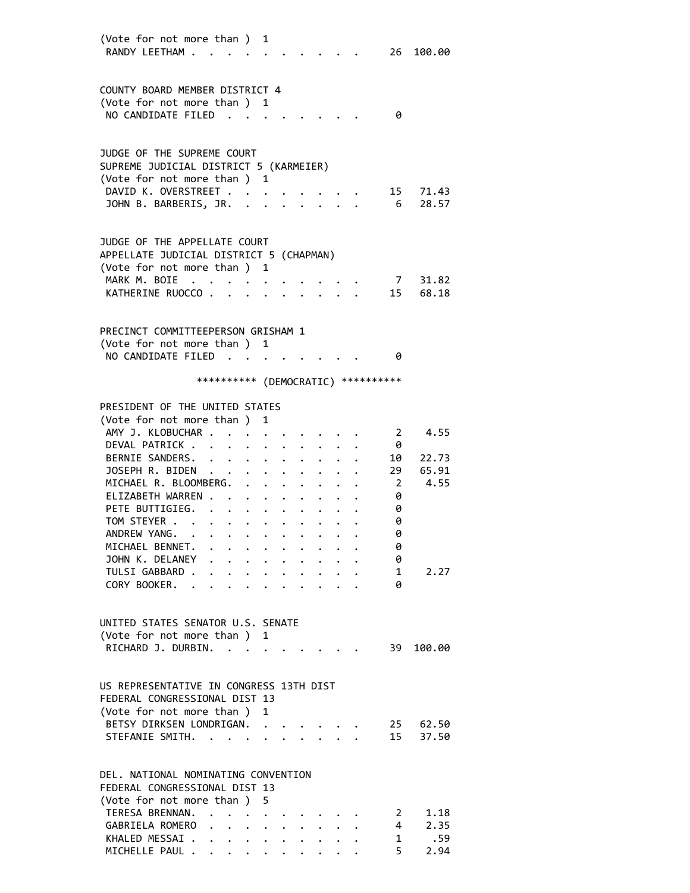| (Vote for not more than ) 1<br>RANDY LEETHAM                         |                                                                                                                                                                                                                               |                           |                      |                      |                      |                                                                 |                         |                 | 26 100.00      |
|----------------------------------------------------------------------|-------------------------------------------------------------------------------------------------------------------------------------------------------------------------------------------------------------------------------|---------------------------|----------------------|----------------------|----------------------|-----------------------------------------------------------------|-------------------------|-----------------|----------------|
|                                                                      |                                                                                                                                                                                                                               |                           |                      |                      |                      |                                                                 |                         |                 |                |
|                                                                      |                                                                                                                                                                                                                               |                           |                      |                      |                      |                                                                 |                         |                 |                |
| COUNTY BOARD MEMBER DISTRICT 4                                       |                                                                                                                                                                                                                               |                           |                      |                      |                      |                                                                 |                         |                 |                |
| (Vote for not more than ) 1<br>NO CANDIDATE FILED                    | $\sim$                                                                                                                                                                                                                        |                           |                      |                      |                      |                                                                 |                         | 0               |                |
|                                                                      |                                                                                                                                                                                                                               |                           |                      |                      |                      |                                                                 |                         |                 |                |
|                                                                      |                                                                                                                                                                                                                               |                           |                      |                      |                      |                                                                 |                         |                 |                |
| JUDGE OF THE SUPREME COURT<br>SUPREME JUDICIAL DISTRICT 5 (KARMEIER) |                                                                                                                                                                                                                               |                           |                      |                      |                      |                                                                 |                         |                 |                |
| (Vote for not more than ) 1                                          |                                                                                                                                                                                                                               |                           |                      |                      |                      |                                                                 |                         |                 |                |
| DAVID K. OVERSTREET                                                  |                                                                                                                                                                                                                               |                           |                      |                      |                      |                                                                 |                         |                 | 15 71.43       |
| JOHN B. BARBERIS, JR.                                                |                                                                                                                                                                                                                               |                           |                      |                      |                      |                                                                 | $\cdot$ $\cdot$ $\cdot$ | $6\overline{6}$ | 28.57          |
|                                                                      |                                                                                                                                                                                                                               |                           |                      |                      |                      |                                                                 |                         |                 |                |
| JUDGE OF THE APPELLATE COURT                                         |                                                                                                                                                                                                                               |                           |                      |                      |                      |                                                                 |                         |                 |                |
| APPELLATE JUDICIAL DISTRICT 5 (CHAPMAN)                              |                                                                                                                                                                                                                               |                           |                      |                      |                      |                                                                 |                         |                 |                |
| (Vote for not more than ) 1                                          |                                                                                                                                                                                                                               |                           |                      |                      |                      |                                                                 |                         |                 |                |
| MARK M. BOIE                                                         |                                                                                                                                                                                                                               |                           |                      |                      |                      |                                                                 |                         |                 | 7 31.82        |
| KATHERINE RUOCCO.                                                    |                                                                                                                                                                                                                               |                           |                      |                      |                      |                                                                 |                         |                 | 15 68.18       |
|                                                                      |                                                                                                                                                                                                                               |                           |                      |                      |                      |                                                                 |                         |                 |                |
|                                                                      |                                                                                                                                                                                                                               |                           |                      |                      |                      |                                                                 |                         |                 |                |
| PRECINCT COMMITTEEPERSON GRISHAM 1                                   |                                                                                                                                                                                                                               |                           |                      |                      |                      |                                                                 |                         |                 |                |
| (Vote for not more than ) 1<br>NO CANDIDATE FILED.                   |                                                                                                                                                                                                                               |                           |                      |                      |                      |                                                                 |                         | 0               |                |
|                                                                      |                                                                                                                                                                                                                               |                           |                      |                      |                      |                                                                 |                         |                 |                |
|                                                                      | *********** (DEMOCRATIC) **********                                                                                                                                                                                           |                           |                      |                      |                      |                                                                 |                         |                 |                |
|                                                                      |                                                                                                                                                                                                                               |                           |                      |                      |                      |                                                                 |                         |                 |                |
| PRESIDENT OF THE UNITED STATES                                       |                                                                                                                                                                                                                               |                           |                      |                      |                      |                                                                 |                         |                 |                |
| (Vote for not more than )                                            |                                                                                                                                                                                                                               |                           | 1                    |                      |                      |                                                                 |                         |                 |                |
| AMY J. KLOBUCHAR .                                                   |                                                                                                                                                                                                                               |                           |                      |                      |                      |                                                                 |                         | 2               | 4.55           |
| DEVAL PATRICK.                                                       |                                                                                                                                                                                                                               |                           |                      |                      |                      |                                                                 |                         | 0               |                |
| BERNIE SANDERS.<br>JOSEPH R. BIDEN                                   | $\ddotsc$                                                                                                                                                                                                                     |                           |                      |                      |                      |                                                                 |                         | 10<br>29        | 22.73<br>65.91 |
| MICHAEL R. BLOOMBERG.                                                |                                                                                                                                                                                                                               |                           |                      |                      |                      |                                                                 |                         | $\overline{2}$  | 4.55           |
| ELIZABETH WARREN                                                     |                                                                                                                                                                                                                               |                           |                      |                      |                      |                                                                 |                         | 0               |                |
| PETE BUTTIGIEG.                                                      |                                                                                                                                                                                                                               | $\ddot{\phantom{0}}$      |                      | $\ddot{\phantom{0}}$ |                      |                                                                 |                         | 0               |                |
| TOM STEYER                                                           |                                                                                                                                                                                                                               |                           |                      |                      |                      | $\bullet$ .<br><br><br><br><br><br><br><br><br><br><br><br><br> |                         | 0               |                |
| ANDREW YANG.                                                         | . The contract of the contract of the contract of the contract of the contract of the contract of the contract of the contract of the contract of the contract of the contract of the contract of the contract of the contrac |                           |                      |                      |                      |                                                                 |                         | 0               |                |
| MICHAEL BENNET. .                                                    |                                                                                                                                                                                                                               |                           |                      |                      |                      |                                                                 |                         | 0               |                |
| JOHN K. DELANEY                                                      | $\mathbf{r} = \mathbf{r}$                                                                                                                                                                                                     |                           |                      |                      |                      |                                                                 |                         | 0               |                |
| TULSI GABBARD.                                                       | $\bullet$ .                                                                                                                                                                                                                   | $\ddot{\phantom{a}}$      | $\ddot{\phantom{0}}$ |                      | $\ddot{\phantom{0}}$ |                                                                 |                         | $1 \quad$       | 2.27           |
| CORY BOOKER. .                                                       | $\mathbf{L}^{\text{max}}$                                                                                                                                                                                                     | $\mathbf{L}^{\text{max}}$ |                      |                      |                      |                                                                 |                         | 0               |                |
|                                                                      |                                                                                                                                                                                                                               |                           |                      |                      |                      |                                                                 |                         |                 |                |
|                                                                      |                                                                                                                                                                                                                               |                           |                      |                      |                      |                                                                 |                         |                 |                |
| UNITED STATES SENATOR U.S. SENATE                                    |                                                                                                                                                                                                                               |                           |                      |                      |                      |                                                                 |                         |                 |                |
| (Vote for not more than ) 1                                          |                                                                                                                                                                                                                               |                           |                      |                      |                      |                                                                 |                         |                 |                |
| RICHARD J. DURBIN.                                                   |                                                                                                                                                                                                                               | $\mathbf{L} = \mathbf{L}$ |                      |                      |                      |                                                                 |                         | 39              | 100.00         |
|                                                                      |                                                                                                                                                                                                                               |                           |                      |                      |                      |                                                                 |                         |                 |                |
| US REPRESENTATIVE IN CONGRESS 13TH DIST                              |                                                                                                                                                                                                                               |                           |                      |                      |                      |                                                                 |                         |                 |                |
| FEDERAL CONGRESSIONAL DIST 13                                        |                                                                                                                                                                                                                               |                           |                      |                      |                      |                                                                 |                         |                 |                |
| (Vote for not more than ) 1                                          |                                                                                                                                                                                                                               |                           |                      |                      |                      |                                                                 |                         |                 |                |
| BETSY DIRKSEN LONDRIGAN.                                             |                                                                                                                                                                                                                               |                           |                      |                      |                      |                                                                 |                         |                 | 25 62.50       |
| STEFANIE SMITH.                                                      |                                                                                                                                                                                                                               |                           |                      |                      |                      |                                                                 |                         |                 | 15 37.50       |
|                                                                      |                                                                                                                                                                                                                               |                           |                      |                      |                      |                                                                 |                         |                 |                |
| DEL, NATIONAL NOMINATING CONVENTION                                  |                                                                                                                                                                                                                               |                           |                      |                      |                      |                                                                 |                         |                 |                |
| FEDERAL CONGRESSIONAL DIST 13                                        |                                                                                                                                                                                                                               |                           |                      |                      |                      |                                                                 |                         |                 |                |
| (Vote for not more than)                                             |                                                                                                                                                                                                                               |                           | 5.                   |                      |                      |                                                                 |                         |                 |                |
| TERESA BRENNAN.                                                      |                                                                                                                                                                                                                               |                           |                      |                      |                      |                                                                 |                         | $2^{\circ}$     | 1.18           |
| GABRIELA ROMERO                                                      |                                                                                                                                                                                                                               |                           |                      |                      |                      |                                                                 |                         | $4\overline{ }$ | 2.35           |
| KHALED MESSAI                                                        |                                                                                                                                                                                                                               |                           |                      |                      |                      |                                                                 |                         | $\mathbf{1}$    | .59            |
| MICHELLE PAUL                                                        |                                                                                                                                                                                                                               |                           |                      |                      |                      |                                                                 |                         | $5 -$           | 2.94           |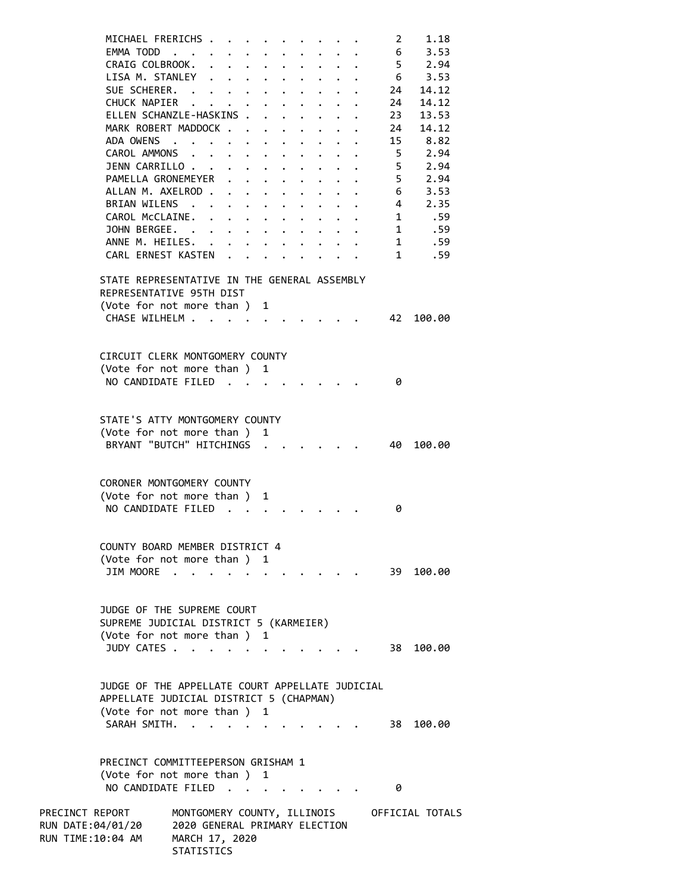| MICHAEL FRERICHS .                                                                                                       |                                                 |                                                                                                 |             |                                                         |                      |                                 |                         | 2               | 1.18                                        |
|--------------------------------------------------------------------------------------------------------------------------|-------------------------------------------------|-------------------------------------------------------------------------------------------------|-------------|---------------------------------------------------------|----------------------|---------------------------------|-------------------------|-----------------|---------------------------------------------|
| EMMA TODD                                                                                                                |                                                 |                                                                                                 |             |                                                         |                      |                                 |                         | $6\overline{6}$ | 3.53                                        |
| CRAIG COLBROOK.                                                                                                          |                                                 |                                                                                                 |             |                                                         |                      |                                 |                         | 5 <sup>5</sup>  | 2.94                                        |
| LISA M. STANLEY                                                                                                          |                                                 |                                                                                                 | $\bullet$ . |                                                         |                      |                                 |                         |                 | $6 \t 3.53$                                 |
| SUE SCHERER.                                                                                                             |                                                 |                                                                                                 |             |                                                         |                      |                                 |                         | 24              | 14.12                                       |
| CHUCK NAPIER                                                                                                             |                                                 |                                                                                                 |             |                                                         | $\ddot{\phantom{0}}$ |                                 | $\cdot$ $\cdot$ $\cdot$ | 24              | 14.12                                       |
| ELLEN SCHANZLE-HASKINS                                                                                                   |                                                 |                                                                                                 |             |                                                         |                      | $\ddot{\phantom{a}}$            |                         | 23              | 13.53                                       |
| MARK ROBERT MADDOCK                                                                                                      |                                                 |                                                                                                 |             |                                                         |                      |                                 |                         | 24              | 14.12                                       |
| ADA OWENS                                                                                                                |                                                 |                                                                                                 |             |                                                         |                      |                                 |                         | 15              | 8.82                                        |
| CAROL AMMONS                                                                                                             |                                                 |                                                                                                 |             |                                                         |                      |                                 |                         | 5 <sup>5</sup>  | 2.94                                        |
| JENN CARRILLO                                                                                                            |                                                 |                                                                                                 |             |                                                         |                      |                                 |                         | 5<br>5          | 2.94<br>2.94                                |
| PAMELLA GRONEMEYER<br>ALLAN M. AXELROD                                                                                   |                                                 |                                                                                                 | $\bullet$ . |                                                         |                      |                                 |                         | $6\overline{6}$ | 3.53                                        |
| BRIAN WILENS                                                                                                             |                                                 |                                                                                                 |             |                                                         | $\ddot{\phantom{0}}$ | $\cdot$ $\cdot$ $\cdot$ $\cdot$ |                         | $4 \quad$       | 2.35                                        |
| CAROL McCLAINE.                                                                                                          |                                                 |                                                                                                 |             |                                                         |                      | $\cdot$ $\cdot$ $\cdot$ $\cdot$ |                         |                 | 1 .59                                       |
| JOHN BERGEE.                                                                                                             |                                                 |                                                                                                 |             |                                                         |                      |                                 |                         |                 | 1 .59                                       |
| ANNE M. HEILES. .                                                                                                        |                                                 |                                                                                                 |             | $\cdot$ $\cdot$ $\cdot$ $\cdot$ $\cdot$ $\cdot$ $\cdot$ |                      |                                 |                         |                 | 1 .59                                       |
| CARL ERNEST KASTEN                                                                                                       |                                                 |                                                                                                 |             |                                                         |                      |                                 |                         |                 | 1 .59                                       |
|                                                                                                                          |                                                 |                                                                                                 |             |                                                         |                      |                                 |                         |                 |                                             |
| STATE REPRESENTATIVE IN THE GENERAL ASSEMBLY<br>REPRESENTATIVE 95TH DIST<br>(Vote for not more than ) 1<br>CHASE WILHELM |                                                 |                                                                                                 |             |                                                         |                      |                                 |                         | 42              | 100.00                                      |
|                                                                                                                          |                                                 |                                                                                                 |             |                                                         |                      |                                 |                         |                 |                                             |
| CIRCUIT CLERK MONTGOMERY COUNTY                                                                                          |                                                 |                                                                                                 |             |                                                         |                      |                                 |                         |                 |                                             |
| (Vote for not more than ) 1                                                                                              |                                                 |                                                                                                 |             |                                                         |                      |                                 |                         |                 |                                             |
| NO CANDIDATE FILED                                                                                                       |                                                 |                                                                                                 |             |                                                         |                      |                                 |                         | 0               |                                             |
|                                                                                                                          |                                                 |                                                                                                 |             |                                                         |                      |                                 |                         |                 |                                             |
|                                                                                                                          |                                                 |                                                                                                 |             |                                                         |                      |                                 |                         |                 |                                             |
| STATE'S ATTY MONTGOMERY COUNTY                                                                                           |                                                 |                                                                                                 |             |                                                         |                      |                                 |                         |                 |                                             |
| (Vote for not more than ) 1                                                                                              |                                                 |                                                                                                 |             |                                                         |                      |                                 |                         |                 |                                             |
| BRYANT "BUTCH" HITCHINGS                                                                                                 |                                                 |                                                                                                 |             |                                                         |                      |                                 |                         | 40              | 100.00                                      |
|                                                                                                                          |                                                 |                                                                                                 |             |                                                         |                      |                                 |                         |                 |                                             |
| CORONER MONTGOMERY COUNTY                                                                                                |                                                 |                                                                                                 |             |                                                         |                      |                                 |                         |                 |                                             |
| (Vote for not more than ) 1                                                                                              |                                                 |                                                                                                 |             |                                                         |                      |                                 |                         |                 |                                             |
| NO CANDIDATE FILED                                                                                                       |                                                 |                                                                                                 |             |                                                         |                      |                                 |                         | 0               |                                             |
|                                                                                                                          |                                                 |                                                                                                 |             |                                                         |                      |                                 |                         |                 |                                             |
|                                                                                                                          |                                                 |                                                                                                 |             |                                                         |                      |                                 |                         |                 |                                             |
| COUNTY BOARD MEMBER DISTRICT 4                                                                                           |                                                 |                                                                                                 |             |                                                         |                      |                                 |                         |                 |                                             |
| (Vote for not more than) 1                                                                                               |                                                 |                                                                                                 |             |                                                         |                      |                                 |                         |                 |                                             |
| JIM MOORE                                                                                                                |                                                 |                                                                                                 |             |                                                         |                      |                                 |                         |                 | 39 100.00                                   |
|                                                                                                                          |                                                 |                                                                                                 |             |                                                         |                      |                                 |                         |                 |                                             |
|                                                                                                                          |                                                 |                                                                                                 |             |                                                         |                      |                                 |                         |                 |                                             |
| JUDGE OF THE SUPREME COURT                                                                                               |                                                 |                                                                                                 |             |                                                         |                      |                                 |                         |                 |                                             |
| SUPREME JUDICIAL DISTRICT 5 (KARMEIER)                                                                                   |                                                 |                                                                                                 |             |                                                         |                      |                                 |                         |                 |                                             |
| (Vote for not more than ) 1                                                                                              |                                                 |                                                                                                 |             |                                                         |                      |                                 |                         |                 |                                             |
| JUDY CATES                                                                                                               |                                                 |                                                                                                 |             |                                                         |                      |                                 |                         | 38 -            | 100.00                                      |
|                                                                                                                          |                                                 |                                                                                                 |             |                                                         |                      |                                 |                         |                 |                                             |
| JUDGE OF THE APPELLATE COURT APPELLATE JUDICIAL                                                                          |                                                 |                                                                                                 |             |                                                         |                      |                                 |                         |                 |                                             |
| APPELLATE JUDICIAL DISTRICT 5 (CHAPMAN)                                                                                  |                                                 |                                                                                                 |             |                                                         |                      |                                 |                         |                 |                                             |
| (Vote for not more than ) 1                                                                                              |                                                 |                                                                                                 |             |                                                         |                      |                                 |                         |                 |                                             |
| SARAH SMITH.                                                                                                             |                                                 | $\mathcal{L}^{\mathcal{L}}$ , and $\mathcal{L}^{\mathcal{L}}$ , and $\mathcal{L}^{\mathcal{L}}$ |             |                                                         |                      |                                 |                         | 38              | 100.00                                      |
|                                                                                                                          |                                                 |                                                                                                 |             |                                                         |                      |                                 |                         |                 |                                             |
|                                                                                                                          |                                                 |                                                                                                 |             |                                                         |                      |                                 |                         |                 |                                             |
| PRECINCT COMMITTEEPERSON GRISHAM 1                                                                                       |                                                 |                                                                                                 |             |                                                         |                      |                                 |                         |                 |                                             |
| (Vote for not more than ) 1                                                                                              |                                                 |                                                                                                 |             |                                                         |                      |                                 |                         |                 |                                             |
| NO CANDIDATE FILED                                                                                                       |                                                 |                                                                                                 |             |                                                         |                      |                                 |                         | 0               |                                             |
|                                                                                                                          |                                                 |                                                                                                 |             |                                                         |                      |                                 |                         |                 |                                             |
| PRECINCT REPORT                                                                                                          |                                                 |                                                                                                 |             |                                                         |                      |                                 |                         |                 | MONTGOMERY COUNTY, ILLINOIS OFFICIAL TOTALS |
| RUN DATE:04/01/20<br>RUN TIME:10:04 AM                                                                                   | 2020 GENERAL PRIMARY ELECTION<br>MARCH 17, 2020 |                                                                                                 |             |                                                         |                      |                                 |                         |                 |                                             |
|                                                                                                                          |                                                 |                                                                                                 |             |                                                         |                      |                                 |                         |                 |                                             |

**STATISTICS**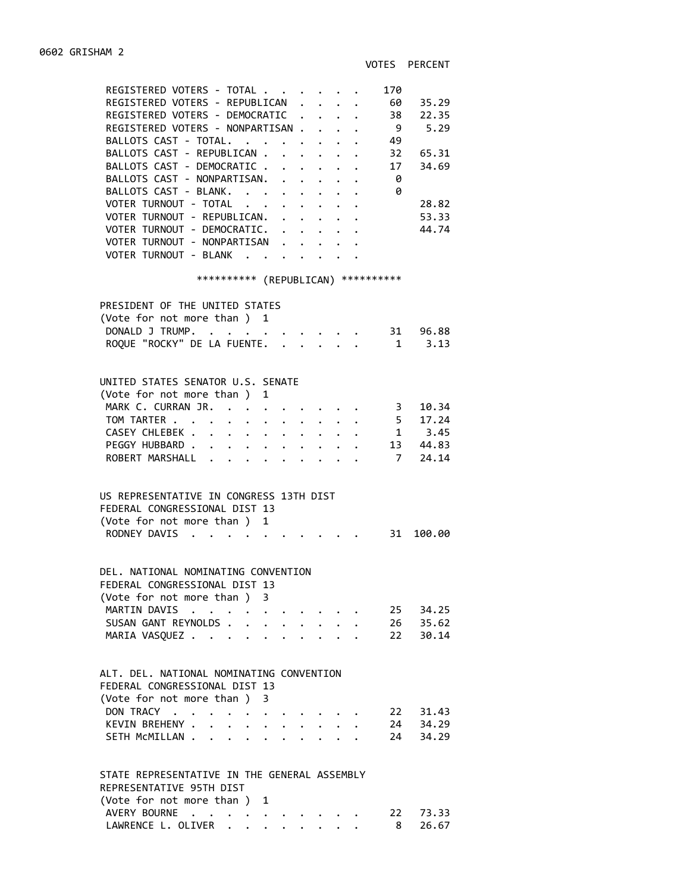| REGISTERED VOTERS - TOTAL<br>170                                                                                         |       |
|--------------------------------------------------------------------------------------------------------------------------|-------|
| REGISTERED VOTERS - REPUBLICAN .                                                                                         |       |
| $\cdot$ . 60 35.29<br>REGISTERED VOTERS - DEMOCRATIC                                                                     |       |
| 38 22.35<br>9 5.29<br>REGISTERED VOTERS - NONPARTISAN<br>$\bullet$ .<br><br><br><br><br><br><br><br><br><br><br><br><br> |       |
| BALLOTS CAST - TOTAL.<br>49                                                                                              |       |
| BALLOTS CAST - REPUBLICAN 32 65.31                                                                                       |       |
| BALLOTS CAST - DEMOCRATIC 17                                                                                             | 34.69 |
| BALLOTS CAST - NONPARTISAN.<br>- 0                                                                                       |       |
| BALLOTS CAST - BLANK. 0                                                                                                  |       |
| VOTER TURNOUT - TOTAL                                                                                                    | 28.82 |
| VOTER TURNOUT - REPUBLICAN.                                                                                              | 53.33 |
| VOTER TURNOUT - DEMOCRATIC.                                                                                              | 44.74 |
| VOTER TURNOUT - NONPARTISAN                                                                                              |       |
| VOTER TURNOUT - BLANK                                                                                                    |       |
|                                                                                                                          |       |
| ********** (REPUBLICAN) **********                                                                                       |       |
| PRESIDENT OF THE UNITED STATES                                                                                           |       |
| (Vote for not more than ) 1                                                                                              |       |
| DONALD J TRUMP. 31 96.88                                                                                                 |       |
| $1 \t3.13$<br>ROQUE "ROCKY" DE LA FUENTE.                                                                                |       |
|                                                                                                                          |       |
|                                                                                                                          |       |
| UNITED STATES SENATOR U.S. SENATE                                                                                        |       |
| (Vote for not more than)<br>1                                                                                            |       |
| MARK C. CURRAN JR.                                                                                                       |       |
| 3 10.34<br>5 17.24<br>1 3.45<br>TOM TARTER                                                                               |       |
| CASEY CHLEBEK<br>13 44.83                                                                                                |       |
| PEGGY HUBBARD<br>ROBERT MARSHALL<br>7, 24.14                                                                             |       |
|                                                                                                                          |       |
|                                                                                                                          |       |
| US REPRESENTATIVE IN CONGRESS 13TH DIST                                                                                  |       |
| FEDERAL CONGRESSIONAL DIST 13                                                                                            |       |
| (Vote for not more than ) 1                                                                                              |       |
| RODNEY DAVIS<br>$\cdot$ 31 100.00<br>$\ddot{\phantom{a}}$                                                                |       |
|                                                                                                                          |       |
| DEL, NATIONAL NOMINATING CONVENTION                                                                                      |       |
| FEDERAL CONGRESSIONAL DIST 13                                                                                            |       |
| (Vote for not more than ) 3                                                                                              |       |
| MARTIN DAVIS<br>25 34.25<br>$\mathbf{z} = \mathbf{z} + \mathbf{z} + \mathbf{z}$                                          |       |
| SUSAN GANT REYNOLDS.<br>26 35.62<br>22 30.14                                                                             |       |
| MARIA VASQUEZ                                                                                                            |       |
|                                                                                                                          |       |
| ALT. DEL. NATIONAL NOMINATING CONVENTION                                                                                 |       |
| FEDERAL CONGRESSIONAL DIST 13                                                                                            |       |
| (Vote for not more than)<br>3                                                                                            |       |
| DON TRACY<br>22 31.43                                                                                                    |       |
| KEVIN BREHENY .<br>$\ddot{\phantom{a}}$<br>$\ddot{\phantom{0}}$                                                          |       |
| 24 34.29<br>24 34.29<br>SETH MCMILLAN.<br>$\ddot{\phantom{0}}$<br>$\ddot{\phantom{0}}$                                   |       |
|                                                                                                                          |       |
|                                                                                                                          |       |
| STATE REPRESENTATIVE IN THE GENERAL ASSEMBLY                                                                             |       |

## REPRESENTATIVE 95TH DIST (Vote for not more than ) 1 AVERY BOURNE . . . . . . . . . . 22 73.33 LAWRENCE L. OLIVER . . . . . . . . 8 26.67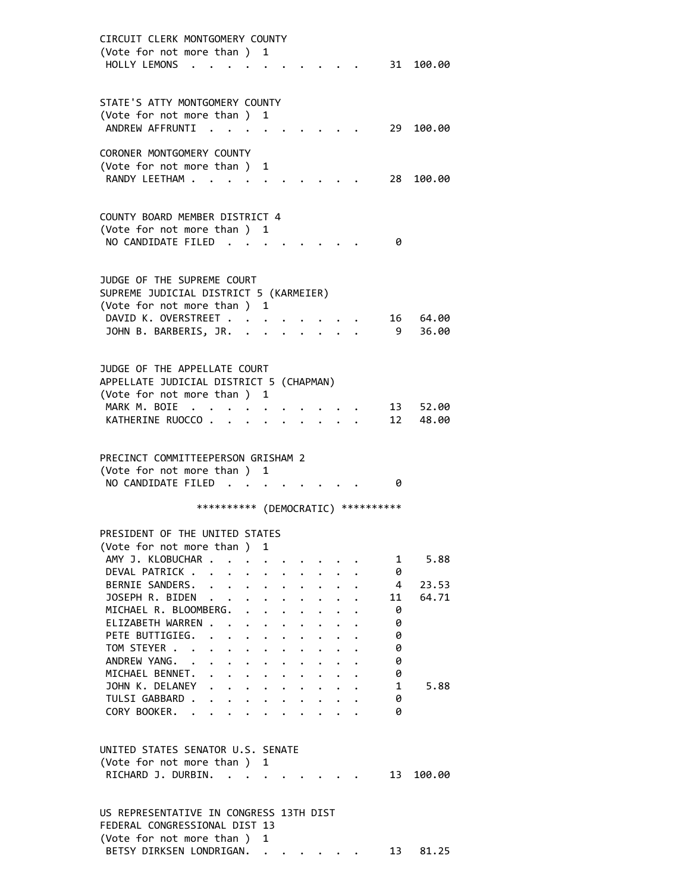| CIRCUIT CLERK MONTGOMERY COUNTY                                                                                                                                          |
|--------------------------------------------------------------------------------------------------------------------------------------------------------------------------|
| (Vote for not more than ) 1                                                                                                                                              |
| HOLLY LEMONS.<br>31 100.00                                                                                                                                               |
|                                                                                                                                                                          |
| STATE'S ATTY MONTGOMERY COUNTY                                                                                                                                           |
| (Vote for not more than)<br>1                                                                                                                                            |
| ANDREW AFFRUNTI .<br>29<br>100.00                                                                                                                                        |
| CORONER MONTGOMERY COUNTY                                                                                                                                                |
| (Vote for not more than )<br>1                                                                                                                                           |
| RANDY LEETHAM<br>28<br>100.00                                                                                                                                            |
|                                                                                                                                                                          |
| COUNTY BOARD MEMBER DISTRICT 4                                                                                                                                           |
| (Vote for not more than) 1                                                                                                                                               |
| NO CANDIDATE FILED<br>0                                                                                                                                                  |
|                                                                                                                                                                          |
|                                                                                                                                                                          |
| JUDGE OF THE SUPREME COURT                                                                                                                                               |
| SUPREME JUDICIAL DISTRICT 5 (KARMEIER)<br>(Vote for not more than)<br>1                                                                                                  |
| DAVID K. OVERSTREET .<br>64.00<br>16                                                                                                                                     |
| JOHN B. BARBERIS, JR. .<br>9<br>36.00                                                                                                                                    |
|                                                                                                                                                                          |
|                                                                                                                                                                          |
| JUDGE OF THE APPELLATE COURT                                                                                                                                             |
| APPELLATE JUDICIAL DISTRICT 5 (CHAPMAN)<br>(Vote for not more than )<br>1                                                                                                |
| MARK M. BOIE<br>13<br>52.00<br>$\cdot$ .                                                                                                                                 |
| 12<br>KATHERINE RUOCCO<br>48.00<br><b>Contract Contract Contract</b>                                                                                                     |
|                                                                                                                                                                          |
|                                                                                                                                                                          |
| PRECINCT COMMITTEEPERSON GRISHAM 2<br>(Vote for not more than) 1                                                                                                         |
| NO CANDIDATE FILED<br>0<br>$\sim$<br>$\sim$ $\sim$                                                                                                                       |
|                                                                                                                                                                          |
| **********<br>(DEMOCRATIC) ***********                                                                                                                                   |
| PRESIDENT OF THE UNITED STATES                                                                                                                                           |
| (Vote for not more than )<br>1                                                                                                                                           |
| AMY J. KLOBUCHAR<br>5.88<br>1                                                                                                                                            |
| DEVAL PATRICK<br>$1 - 1 - 1$<br>0                                                                                                                                        |
| BERNIE SANDERS.<br>4<br>23.53                                                                                                                                            |
| JOSEPH R. BIDEN<br>11<br>64.71<br>$\ddot{\phantom{0}}$                                                                                                                   |
| MICHAEL R. BLOOMBERG. .<br>0<br>$\bullet$                                                                                                                                |
| ELIZABETH WARREN .<br>0<br>$\mathcal{L}(\mathbf{z})$ , and $\mathcal{L}(\mathbf{z})$                                                                                     |
| PETE BUTTIGIEG.<br>0<br>$\ddot{\phantom{a}}$<br>$\cdot$ $\cdot$ $\cdot$<br>$\ddot{\phantom{0}}$<br>$\mathbf{a} = \mathbf{a} + \mathbf{a} + \mathbf{a}$ .                 |
| TOM STEYER<br>0<br>$\ddot{\phantom{0}}$                                                                                                                                  |
| ANDREW YANG. .<br>0<br>$\mathbf{L} = \mathbf{L} \mathbf{L}$<br>$\ddot{\phantom{0}}$<br>MICHAEL BENNET.<br>$\mathbf{r}$ , $\mathbf{r}$ , $\mathbf{r}$ , $\mathbf{r}$<br>0 |
| $\cdot$ $\cdot$ $\cdot$<br>$\ddot{\phantom{0}}$<br>JOHN K. DELANEY<br>.<br>$\mathbf{1}$<br>5.88                                                                          |
| TULSI GABBARD .<br>.<br>0                                                                                                                                                |
| CORY BOOKER. .<br>0<br>$\ddot{\phantom{0}}$<br>$\cdot$ $\cdot$ $\cdot$ $\cdot$ $\cdot$ $\cdot$ $\cdot$<br>$\ddot{\phantom{0}}$                                           |
|                                                                                                                                                                          |
| UNITED STATES SENATOR U.S. SENATE                                                                                                                                        |
| (Vote for not more than ) 1                                                                                                                                              |
| RICHARD J. DURBIN.<br>13<br>100.00<br>$\mathbf{r}$ . The set of $\mathbf{r}$                                                                                             |
|                                                                                                                                                                          |
|                                                                                                                                                                          |
| US REPRESENTATIVE IN CONGRESS 13TH DIST                                                                                                                                  |
| FEDERAL CONGRESSIONAL DIST 13                                                                                                                                            |
| (Vote for not more than )<br>1<br>BETSY DIRKSEN LONDRIGAN.<br>13<br>81.25                                                                                                |
|                                                                                                                                                                          |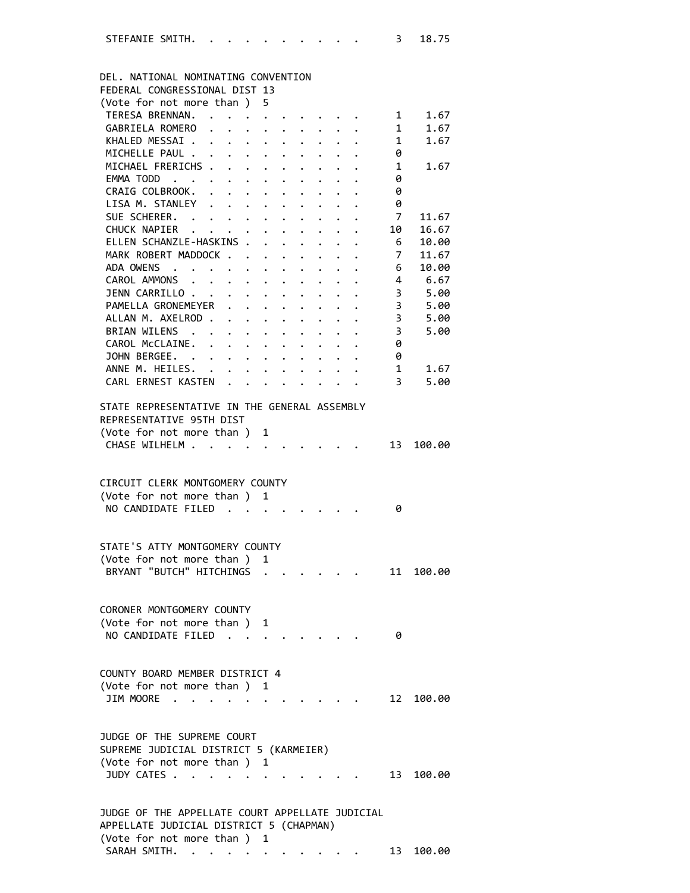| DEL. NATIONAL NOMINATING CONVENTION<br>FEDERAL CONGRESSIONAL DIST 13                                                                          |                                                     |                      |                      |                      |                      |                                        |                |           |
|-----------------------------------------------------------------------------------------------------------------------------------------------|-----------------------------------------------------|----------------------|----------------------|----------------------|----------------------|----------------------------------------|----------------|-----------|
|                                                                                                                                               |                                                     |                      |                      |                      |                      |                                        |                |           |
| (Vote for not more than)                                                                                                                      | 5                                                   |                      |                      |                      |                      |                                        |                |           |
| TERESA BRENNAN.                                                                                                                               |                                                     |                      |                      |                      |                      |                                        | $1 \quad$      | 1.67      |
| GABRIELA ROMERO                                                                                                                               |                                                     |                      |                      |                      |                      |                                        | 1              | 1.67      |
| KHALED MESSAI.<br>$\mathbf{1}$ . $\mathbf{1}$ . $\mathbf{1}$                                                                                  |                                                     | $\ddot{\phantom{0}}$ | $\ddot{\phantom{0}}$ | $\ddot{\phantom{0}}$ |                      |                                        | 1              | 1.67      |
| MICHELLE PAUL .                                                                                                                               | $\cdot$ $\cdot$ $\cdot$ $\cdot$                     |                      |                      |                      |                      |                                        | 0              |           |
| MICHAEL FRERICHS                                                                                                                              | $\ddot{\phantom{0}}$                                | $\ddot{\phantom{0}}$ | $\ddot{\phantom{0}}$ |                      |                      |                                        | 1              | 1.67      |
| EMMA TODD<br>$\mathbf{z} = \mathbf{z}$ . The set of $\mathbf{z}$                                                                              |                                                     | $\bullet$            | $\bullet$            |                      |                      |                                        | 0              |           |
| CRAIG COLBROOK.<br>$\ddotsc$<br>$\ddot{\phantom{0}}$                                                                                          | $\ddot{\phantom{0}}$                                |                      |                      |                      |                      |                                        | 0              |           |
| LISA M. STANLEY<br>$\cdot$ $\cdot$ $\cdot$ $\cdot$                                                                                            | $\ddot{\phantom{0}}$                                |                      |                      |                      |                      |                                        | 0              |           |
| SUE SCHERER. .<br>$\mathbf{r} = \mathbf{r} + \mathbf{r}$                                                                                      | $\ddot{\phantom{0}}$                                |                      |                      |                      |                      |                                        | 7              | 11.67     |
| CHUCK NAPIER                                                                                                                                  |                                                     | $\ddot{\phantom{0}}$ |                      |                      |                      |                                        | 10             | 16.67     |
| ELLEN SCHANZLE-HASKINS .                                                                                                                      | $\mathbf{L}^{\text{max}}$                           | $\mathbf{L}$         | $\mathbf{r}$         | $\mathbf{r}$         | $\mathbf{L}$         | $\ddot{\phantom{a}}$                   | 6              | 10.00     |
|                                                                                                                                               |                                                     |                      |                      |                      |                      |                                        |                |           |
| MARK ROBERT MADDOCK                                                                                                                           |                                                     |                      |                      | $\mathbf{L}$         |                      |                                        | 7 <sup>7</sup> | 11.67     |
| ADA OWENS<br>$\sim$ $\sim$ $\sim$<br>$\sim$ $\sim$                                                                                            | $\ddot{\phantom{0}}$                                | $\ddot{\phantom{0}}$ | $\ddot{\phantom{0}}$ | $\ddot{\phantom{0}}$ |                      |                                        | 6              | 10.00     |
| CAROL AMMONS .<br>$\mathbf{z} = \mathbf{z} + \mathbf{z}$ . The set of $\mathbf{z}$                                                            | $\ddot{\phantom{0}}$                                | $\ddot{\phantom{0}}$ | $\bullet$            | $\bullet$            |                      |                                        | 4              | 6.67      |
| JENN CARRILLO                                                                                                                                 | $\ddot{\phantom{0}}$<br>$\ddot{\phantom{0}}$        | $\ddot{\phantom{0}}$ | $\ddot{\phantom{0}}$ |                      |                      |                                        | 3              | 5.00      |
| PAMELLA GRONEMEYER                                                                                                                            | $\mathbf{L}$<br>$\ddot{\phantom{0}}$                |                      |                      |                      |                      |                                        | 3              | 5.00      |
| ALLAN M. AXELROD                                                                                                                              | $\ddot{\phantom{a}}$<br>$\bullet$ .                 |                      |                      |                      |                      |                                        | 3              | 5.00      |
| BRIAN WILENS .                                                                                                                                | $\mathbf{L} = \mathbf{L} \times \mathbf{L}$         | $\ddot{\phantom{0}}$ |                      |                      |                      |                                        | 3              | 5.00      |
| CAROL McCLAINE.                                                                                                                               |                                                     |                      |                      |                      |                      |                                        |                |           |
|                                                                                                                                               |                                                     | $\ddot{\phantom{0}}$ | $\ddot{\phantom{0}}$ | $\mathbf{L}$         | $\sim$               |                                        | 0              |           |
| JOHN BERGEE.                                                                                                                                  | $\mathbf{r} = \mathbf{r} + \mathbf{r} + \mathbf{r}$ |                      | $\mathbf{L}$         | $\mathbf{L}$         |                      |                                        | 0              |           |
| ANNE M. HEILES. .                                                                                                                             | $\ddot{\phantom{0}}$                                | $\ddot{\phantom{0}}$ | $\ddot{\phantom{0}}$ |                      | $\ddot{\phantom{1}}$ |                                        | $1 \quad$      | 1.67      |
| CARL ERNEST KASTEN                                                                                                                            |                                                     |                      | $\ddot{\phantom{a}}$ |                      |                      | $\mathbf{r} = \mathbf{r} + \mathbf{r}$ | 3 <sup>7</sup> | 5.00      |
| STATE REPRESENTATIVE IN THE GENERAL ASSEMBLY<br>REPRESENTATIVE 95TH DIST<br>(Vote for not more than)<br>CHASE WILHELM<br>$\ddot{\phantom{a}}$ | 1<br>$\ddot{\phantom{a}}$                           |                      | $\cdots$             |                      |                      |                                        | 13             | 100.00    |
| CIRCUIT CLERK MONTGOMERY COUNTY                                                                                                               |                                                     |                      |                      |                      |                      |                                        |                |           |
| (Vote for not more than)                                                                                                                      | 1                                                   |                      |                      |                      |                      |                                        |                |           |
| NO CANDIDATE FILED                                                                                                                            |                                                     |                      |                      |                      |                      |                                        | 0              |           |
| STATE'S ATTY MONTGOMERY COUNTY                                                                                                                |                                                     |                      |                      |                      |                      |                                        |                |           |
| (Vote for not more than )                                                                                                                     | 1                                                   |                      |                      |                      |                      |                                        |                |           |
| BRYANT "BUTCH" HITCHINGS                                                                                                                      |                                                     |                      |                      |                      |                      |                                        | 11             | 100.00    |
|                                                                                                                                               |                                                     |                      |                      |                      |                      |                                        |                |           |
| CORONER MONTGOMERY COUNTY                                                                                                                     |                                                     |                      |                      |                      |                      |                                        |                |           |
| (Vote for not more than)                                                                                                                      | 1                                                   |                      |                      |                      |                      |                                        |                |           |
| NO CANDIDATE FILED.                                                                                                                           |                                                     |                      |                      |                      |                      |                                        | 0              |           |
|                                                                                                                                               |                                                     |                      |                      |                      |                      |                                        |                |           |
|                                                                                                                                               |                                                     |                      |                      |                      |                      |                                        |                |           |
| COUNTY BOARD MEMBER DISTRICT 4                                                                                                                |                                                     |                      |                      |                      |                      |                                        |                |           |
| (Vote for not more than) 1                                                                                                                    |                                                     |                      |                      |                      |                      |                                        |                |           |
| JIM MOORE                                                                                                                                     |                                                     |                      |                      |                      |                      |                                        |                | 12 100.00 |
| JUDGE OF THE SUPREME COURT                                                                                                                    |                                                     |                      |                      |                      |                      |                                        |                |           |
| SUPREME JUDICIAL DISTRICT 5 (KARMEIER)                                                                                                        |                                                     |                      |                      |                      |                      |                                        |                |           |
| (Vote for not more than ) 1                                                                                                                   |                                                     |                      |                      |                      |                      |                                        |                |           |
| JUDY CATES .<br>$\mathbf{r}$ , $\mathbf{r}$ , $\mathbf{r}$                                                                                    |                                                     |                      |                      |                      |                      |                                        | 13             | 100.00    |
| JUDGE OF THE APPELLATE COURT APPELLATE JUDICIAL<br>APPELLATE JUDICIAL DISTRICT 5 (CHAPMAN)                                                    |                                                     |                      |                      |                      |                      |                                        |                |           |
| (Vote for not more than ) 1                                                                                                                   |                                                     |                      |                      |                      |                      |                                        |                |           |

SARAH SMITH. . . . . . . . . . . 13 100.00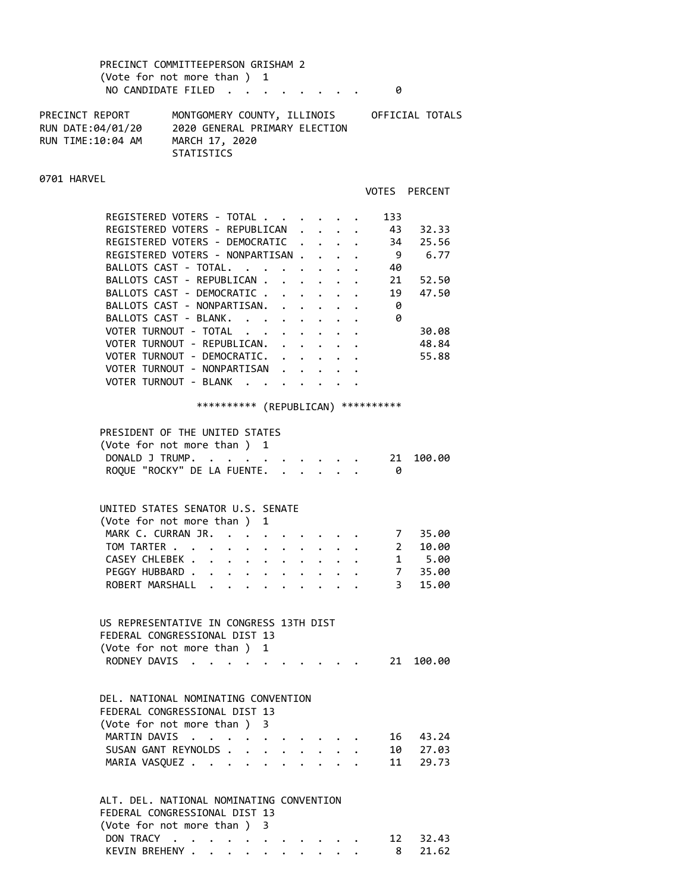# PRECINCT COMMITTEEPERSON GRISHAM 2 (Vote for not more than ) 1 NO CANDIDATE FILED . . . . . . . . 0

PRECINCT REPORT MONTGOMERY COUNTY, ILLINOIS OFFICIAL TOTALS RUN DATE:04/01/20 2020 GENERAL PRIMARY ELECTION RUN TIME:10:04 AM MARCH 17, 2020 STATISTICS

#### 0701 HARVEL

VOTES PERCENT

| REGISTERED VOTERS - TOTAL.       |  |  | 133 |       |
|----------------------------------|--|--|-----|-------|
| REGISTERED VOTERS - REPUBLICAN   |  |  | 43  | 32.33 |
| REGISTERED VOTERS - DEMOCRATIC   |  |  | 34  | 25.56 |
| REGISTERED VOTERS - NONPARTISAN. |  |  | 9   | 6.77  |
| BALLOTS CAST - TOTAL.            |  |  | 40  |       |
| BALLOTS CAST - REPUBLICAN.       |  |  | 21  | 52.50 |
| BALLOTS CAST - DEMOCRATIC.       |  |  | 19  | 47.50 |
| BALLOTS CAST - NONPARTISAN.      |  |  | 0   |       |
| BALLOTS CAST - BLANK.            |  |  | 0   |       |
| VOTER TURNOUT - TOTAL            |  |  |     | 30.08 |
| VOTER TURNOUT - REPUBLICAN.      |  |  |     | 48.84 |
| VOTER TURNOUT - DEMOCRATIC.      |  |  |     | 55.88 |
| VOTER TURNOUT - NONPARTISAN      |  |  |     |       |
| VOTER TURNOUT - BLANK            |  |  |     |       |
|                                  |  |  |     |       |

# \*\*\*\*\*\*\*\*\*\* (REPUBLICAN) \*\*\*\*\*\*\*\*\*\*

| PRESIDENT OF THE UNITED STATES<br>(Vote for not more than ) 1<br>DONALD J TRUMP.<br>21 100.00<br>ROQUE "ROCKY" DE LA FUENTE.<br>ø                                                                                                                     |
|-------------------------------------------------------------------------------------------------------------------------------------------------------------------------------------------------------------------------------------------------------|
| UNITED STATES SENATOR U.S. SENATE<br>(Vote for not more than) 1<br>MARK C. CURRAN JR.<br>7 35.00<br>TOM TARTER 2<br>10.00<br>CASEY CHLEBEK 1 5.00<br>7 35.00<br>PEGGY HUBBARD<br>$3^{\circ}$<br>ROBERT MARSHALL<br>15.00                              |
| US REPRESENTATIVE IN CONGRESS 13TH DIST<br>FEDERAL CONGRESSIONAL DIST 13<br>(Vote for not more than) 1<br>RODNEY DAVIS<br>21 100.00                                                                                                                   |
| DEL, NATIONAL NOMINATING CONVENTION<br>FEDERAL CONGRESSIONAL DIST 13<br>(Vote for not more than ) 3<br>MARTIN DAVIS<br>16 43.24<br>SUSAN GANT REYNOLDS<br>10 27.03<br>11<br>MARIA VASQUEZ<br>29.73<br>$\cdot$ $\cdot$ $\cdot$ $\cdot$ $\cdot$ $\cdot$ |
| ALT. DEL. NATIONAL NOMINATING CONVENTION<br>FEDERAL CONGRESSIONAL DIST 13<br>(Vote for not more than ) 3                                                                                                                                              |

| DON TRACY     |  |  |  |  |  |  | 12 32.43 |
|---------------|--|--|--|--|--|--|----------|
| KEVIN BREHENY |  |  |  |  |  |  | 8 21.62  |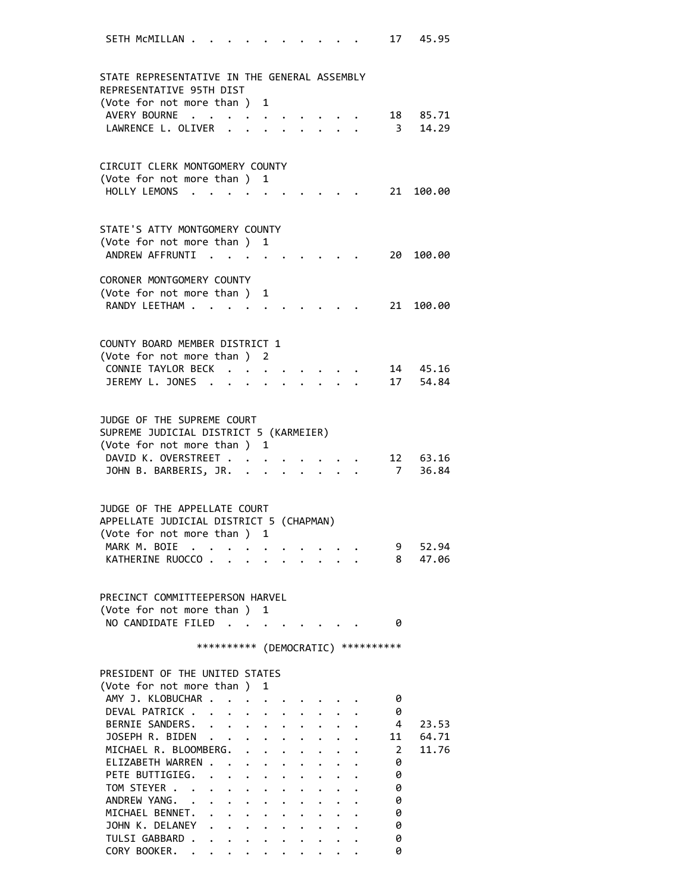| SETH MCMILLAN .                                                          |                                     |                                                                 |                                |                      |                                            |                      |  |                         | 17 45.95  |
|--------------------------------------------------------------------------|-------------------------------------|-----------------------------------------------------------------|--------------------------------|----------------------|--------------------------------------------|----------------------|--|-------------------------|-----------|
|                                                                          |                                     |                                                                 |                                |                      |                                            |                      |  |                         |           |
| STATE REPRESENTATIVE IN THE GENERAL ASSEMBLY<br>REPRESENTATIVE 95TH DIST |                                     |                                                                 |                                |                      |                                            |                      |  |                         |           |
| (Vote for not more than ) 1                                              |                                     |                                                                 |                                |                      |                                            |                      |  |                         |           |
| AVERY BOURNE                                                             |                                     |                                                                 |                                |                      |                                            |                      |  |                         | 18 85.71  |
| LAWRENCE L. OLIVER                                                       |                                     |                                                                 |                                |                      |                                            |                      |  | $\overline{\mathbf{3}}$ | 14.29     |
|                                                                          |                                     |                                                                 |                                |                      |                                            |                      |  |                         |           |
| CIRCUIT CLERK MONTGOMERY COUNTY                                          |                                     |                                                                 |                                |                      |                                            |                      |  |                         |           |
| (Vote for not more than ) 1                                              |                                     |                                                                 |                                |                      |                                            |                      |  |                         |           |
| HOLLY LEMONS                                                             |                                     |                                                                 |                                |                      |                                            |                      |  |                         | 21 100.00 |
|                                                                          |                                     |                                                                 |                                |                      |                                            |                      |  |                         |           |
| STATE'S ATTY MONTGOMERY COUNTY                                           |                                     |                                                                 |                                |                      |                                            |                      |  |                         |           |
| (Vote for not more than ) 1                                              |                                     |                                                                 |                                |                      |                                            |                      |  |                         |           |
| ANDREW AFFRUNTI                                                          |                                     |                                                                 |                                |                      |                                            |                      |  |                         | 20 100.00 |
|                                                                          |                                     |                                                                 |                                |                      |                                            |                      |  |                         |           |
| CORONER MONTGOMERY COUNTY<br>(Vote for not more than )                   |                                     |                                                                 | 1                              |                      |                                            |                      |  |                         |           |
| RANDY LEETHAM                                                            |                                     |                                                                 |                                |                      |                                            |                      |  |                         | 21 100.00 |
|                                                                          |                                     |                                                                 |                                |                      |                                            |                      |  |                         |           |
|                                                                          |                                     |                                                                 |                                |                      |                                            |                      |  |                         |           |
| COUNTY BOARD MEMBER DISTRICT 1                                           |                                     |                                                                 |                                |                      |                                            |                      |  |                         |           |
| (Vote for not more than ) 2<br>CONNIE TAYLOR BECK                        |                                     |                                                                 |                                |                      |                                            |                      |  |                         | 14 45.16  |
| JEREMY L. JONES                                                          |                                     |                                                                 | $\sim$<br>$\ddot{\phantom{a}}$ |                      |                                            | $\sim$ $\sim$ $\sim$ |  |                         | 17 54.84  |
|                                                                          |                                     |                                                                 |                                |                      |                                            |                      |  |                         |           |
|                                                                          |                                     |                                                                 |                                |                      |                                            |                      |  |                         |           |
| JUDGE OF THE SUPREME COURT                                               |                                     |                                                                 |                                |                      |                                            |                      |  |                         |           |
| SUPREME JUDICIAL DISTRICT 5 (KARMEIER)<br>(Vote for not more than ) 1    |                                     |                                                                 |                                |                      |                                            |                      |  |                         |           |
| DAVID K. OVERSTREET                                                      |                                     |                                                                 |                                |                      |                                            |                      |  |                         | 12 63.16  |
| JOHN B. BARBERIS, JR.                                                    |                                     |                                                                 |                                |                      | $\mathbf{r}$ , $\mathbf{r}$ , $\mathbf{r}$ |                      |  | $7\overline{ }$         | 36.84     |
|                                                                          |                                     |                                                                 |                                |                      |                                            |                      |  |                         |           |
| JUDGE OF THE APPELLATE COURT                                             |                                     |                                                                 |                                |                      |                                            |                      |  |                         |           |
| APPELLATE JUDICIAL DISTRICT 5 (CHAPMAN)                                  |                                     |                                                                 |                                |                      |                                            |                      |  |                         |           |
| (Vote for not more than)                                                 |                                     |                                                                 | 1                              |                      |                                            |                      |  |                         |           |
| MARK M. BOIE.                                                            |                                     |                                                                 |                                |                      |                                            |                      |  | 9                       | 52.94     |
| KATHERINE RUOCCO.                                                        |                                     |                                                                 |                                |                      |                                            |                      |  | 8                       | 47.06     |
|                                                                          |                                     |                                                                 |                                |                      |                                            |                      |  |                         |           |
| PRECINCT COMMITTEEPERSON HARVEL                                          |                                     |                                                                 |                                |                      |                                            |                      |  |                         |           |
| (Vote for not more than)                                                 |                                     |                                                                 | 1                              |                      |                                            |                      |  |                         |           |
| NO CANDIDATE FILED                                                       | $\sim$                              | $\mathcal{L}(\mathbf{z})$ , and $\mathcal{L}(\mathbf{z})$ , and |                                |                      |                                            |                      |  | 0                       |           |
|                                                                          | *********** (DEMOCRATIC) ********** |                                                                 |                                |                      |                                            |                      |  |                         |           |
|                                                                          |                                     |                                                                 |                                |                      |                                            |                      |  |                         |           |
| PRESIDENT OF THE UNITED STATES                                           |                                     |                                                                 |                                |                      |                                            |                      |  |                         |           |
| (Vote for not more than)<br>AMY J. KLOBUCHAR .                           |                                     |                                                                 | 1                              |                      |                                            |                      |  |                         |           |
| DEVAL PATRICK .                                                          |                                     | $\ddot{\phantom{a}}$                                            |                                |                      |                                            |                      |  | 0<br>0                  |           |
| BERNIE SANDERS.                                                          | $\ddot{\phantom{0}}$                | $\ddot{\bullet}$                                                |                                |                      |                                            |                      |  | 4                       | 23.53     |
| JOSEPH R. BIDEN                                                          |                                     |                                                                 |                                |                      |                                            |                      |  | 11                      | 64.71     |
| MICHAEL R. BLOOMBERG.                                                    |                                     |                                                                 |                                |                      |                                            |                      |  | $\mathbf{2}^{\prime}$   | 11.76     |
| ELIZABETH WARREN                                                         |                                     |                                                                 | $\mathbf{L}$                   | $\ddot{\phantom{a}}$ | $\ddot{\phantom{0}}$                       |                      |  | 0                       |           |
| PETE BUTTIGIEG.<br>TOM STEYER                                            | $\cdot$ $\cdot$ $\cdot$ $\cdot$     |                                                                 |                                | $\ddot{\phantom{0}}$ | $\ddot{\phantom{0}}$                       |                      |  | 0<br>0                  |           |
| ANDREW YANG. .                                                           | $\cdot$ $\cdot$ $\cdot$ $\cdot$     | $\mathbf{r} = \mathbf{r} + \mathbf{r}$                          |                                |                      |                                            |                      |  | 0                       |           |
| MICHAEL BENNET. .                                                        |                                     | $\mathbf{r} = \mathbf{r} + \mathbf{r}$                          |                                |                      |                                            |                      |  | 0                       |           |
| JOHN K. DELANEY                                                          | $\ddot{\phantom{0}}$                | $\mathbf{r} = \mathbf{r} + \mathbf{r}$ , where $\mathbf{r}$     |                                |                      |                                            |                      |  | 0                       |           |
| TULSI GABBARD .                                                          | $\bullet$ .                         |                                                                 |                                |                      |                                            |                      |  | 0                       |           |
| CORY BOOKER.                                                             |                                     |                                                                 |                                |                      |                                            |                      |  | 0                       |           |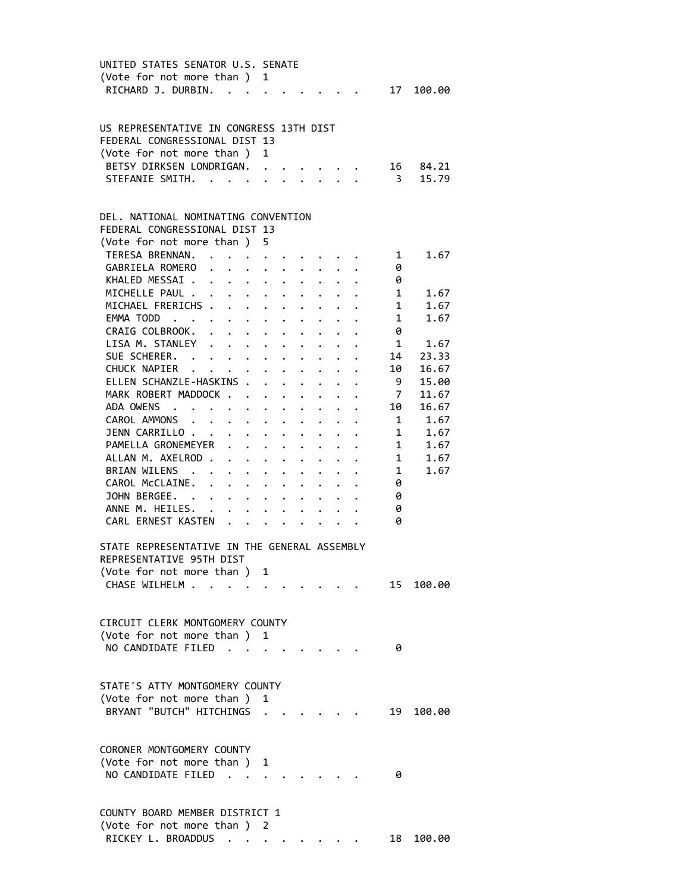| UNITED STATES SENATOR U.S. SENATE                                                                           |                                                                     |                                          |                      |                                 |                         |                      |                         |                                |
|-------------------------------------------------------------------------------------------------------------|---------------------------------------------------------------------|------------------------------------------|----------------------|---------------------------------|-------------------------|----------------------|-------------------------|--------------------------------|
| (Vote for not more than ) 1                                                                                 |                                                                     |                                          |                      |                                 |                         |                      |                         |                                |
| RICHARD J. DURBIN.<br>$\ddot{\phantom{a}}$                                                                  |                                                                     |                                          |                      |                                 |                         |                      | 17                      | 100.00                         |
|                                                                                                             |                                                                     |                                          |                      |                                 |                         |                      |                         |                                |
|                                                                                                             |                                                                     |                                          |                      |                                 |                         |                      |                         |                                |
| US REPRESENTATIVE IN CONGRESS 13TH DIST                                                                     |                                                                     |                                          |                      |                                 |                         |                      |                         |                                |
| FEDERAL CONGRESSIONAL DIST 13                                                                               |                                                                     |                                          |                      |                                 |                         |                      |                         |                                |
| (Vote for not more than)                                                                                    | $\mathbf{1}$                                                        |                                          |                      |                                 |                         |                      |                         |                                |
| BETSY DIRKSEN LONDRIGAN.                                                                                    |                                                                     |                                          |                      |                                 |                         |                      | 16                      | 84.21                          |
|                                                                                                             |                                                                     |                                          |                      |                                 |                         |                      | $\overline{\mathbf{3}}$ |                                |
| STEFANIE SMITH.                                                                                             |                                                                     |                                          |                      |                                 |                         |                      |                         | 15.79                          |
|                                                                                                             |                                                                     |                                          |                      |                                 |                         |                      |                         |                                |
|                                                                                                             |                                                                     |                                          |                      |                                 |                         |                      |                         |                                |
| DEL. NATIONAL NOMINATING CONVENTION                                                                         |                                                                     |                                          |                      |                                 |                         |                      |                         |                                |
| FEDERAL CONGRESSIONAL DIST 13                                                                               |                                                                     |                                          |                      |                                 |                         |                      |                         |                                |
| (Vote for not more than ) 5                                                                                 |                                                                     |                                          |                      |                                 |                         |                      |                         |                                |
| TERESA BRENNAN.                                                                                             |                                                                     | $\mathbf{r} = \mathbf{r} + \mathbf{r}$ . |                      |                                 |                         |                      | $1 \quad$               | 1.67                           |
| GABRIELA ROMERO                                                                                             |                                                                     |                                          |                      |                                 |                         |                      | 0                       |                                |
| KHALED MESSAI.<br>$\cdot$ $\cdot$ $\cdot$                                                                   |                                                                     | $\ddot{\phantom{0}}$                     | $\ddot{\phantom{0}}$ |                                 |                         |                      | 0                       |                                |
| MICHELLE PAUL .<br>$\mathbf{1}$ $\mathbf{1}$ $\mathbf{1}$ $\mathbf{1}$ $\mathbf{1}$<br>$\ddot{\phantom{0}}$ |                                                                     |                                          | $\ddot{\phantom{a}}$ |                                 |                         |                      | $1 \quad$               | 1.67                           |
| MICHAEL FRERICHS .<br>$\mathbf{1}$ $\mathbf{1}$ $\mathbf{1}$ $\mathbf{1}$ $\mathbf{1}$                      |                                                                     | $\ddot{\phantom{0}}$                     | $\ddot{\phantom{0}}$ |                                 | $\ddot{\phantom{0}}$    |                      | $1 \quad$               | 1.67                           |
| EMMA TODD<br>$\mathbf{r} = \mathbf{r} + \mathbf{r}$ , where $\mathbf{r} = \mathbf{r}$                       |                                                                     | $\bullet$ .                              | $\bullet$ .          |                                 | $\ddot{\phantom{0}}$    |                      | $1 \quad$               | 1.67                           |
| CRAIG COLBROOK.<br>$\cdot$ $\cdot$ $\cdot$ $\cdot$ $\cdot$                                                  |                                                                     |                                          |                      |                                 |                         |                      | 0                       |                                |
| LISA M. STANLEY .                                                                                           |                                                                     |                                          | $\ddot{\phantom{0}}$ | $\ddot{\phantom{0}}$            |                         |                      | 1                       | 1.67                           |
| $\ddot{\phantom{0}}$                                                                                        | $\bullet$ .<br><br><br><br><br><br><br><br><br><br><br><br><br><br> | $\bullet$ .                              | $\ddot{\phantom{0}}$ |                                 |                         |                      |                         |                                |
| SUE SCHERER.<br>$\mathbf{r} = \mathbf{r} + \mathbf{r}$ , where $\mathbf{r}$                                 |                                                                     |                                          |                      |                                 |                         |                      | 14                      | 23.33                          |
| CHUCK NAPIER                                                                                                |                                                                     |                                          | $\ddot{\phantom{0}}$ |                                 |                         |                      | 10                      | 16.67                          |
| ELLEN SCHANZLE-HASKINS .                                                                                    | $\mathbf{r}$                                                        |                                          | $\ddot{\phantom{0}}$ | $\ddot{\phantom{a}}$            |                         |                      | 9                       | 15.00                          |
| MARK ROBERT MADDOCK                                                                                         |                                                                     |                                          |                      | $\cdot$ $\cdot$ $\cdot$ $\cdot$ | $\ddot{\phantom{0}}$    |                      | 7                       | 11.67                          |
| ADA OWENS<br>$\cdot$ $\cdot$ $\cdot$ $\cdot$ $\cdot$ $\cdot$ $\cdot$                                        |                                                                     |                                          |                      |                                 | $\cdot$ $\cdot$ $\cdot$ |                      | 10                      | 16.67                          |
| CAROL AMMONS .<br>$\bullet$ . The set of $\bullet$                                                          |                                                                     |                                          |                      | $\bullet$ .                     | $\ddot{\phantom{0}}$    |                      |                         | 1.67<br>$1 \quad \blacksquare$ |
| JENN CARRILLO                                                                                               | $\cdot$ $\cdot$ $\cdot$ $\cdot$ $\cdot$                             |                                          |                      | $\bullet$ .                     | $\bullet$ .             |                      | $1 \quad \blacksquare$  | 1.67                           |
| PAMELLA GRONEMEYER                                                                                          |                                                                     | $\bullet$ .                              | $\ddot{\phantom{0}}$ |                                 |                         |                      | $1 \quad \blacksquare$  | 1.67                           |
| ALLAN M. AXELROD.                                                                                           | $\mathbf{L} = \mathbf{L} \mathbf{L}$                                |                                          |                      |                                 |                         |                      | $1 \quad$               | 1.67                           |
| BRIAN WILENS .                                                                                              | $\bullet$ .<br><br><br><br><br><br><br><br><br><br><br><br><br>     | $\ddot{\phantom{0}}$                     | $\ddot{\phantom{0}}$ |                                 |                         |                      | 1                       | 1.67                           |
| CAROL McCLAINE.<br>$\ddot{\phantom{a}}$<br>$\mathbf{r} = \mathbf{r} + \mathbf{r}$                           |                                                                     | $\ddot{\phantom{0}}$                     | $\ddot{\phantom{0}}$ |                                 |                         |                      | 0                       |                                |
| JOHN BERGEE.<br>$\mathbf{r}$ , $\mathbf{r}$ , $\mathbf{r}$ , $\mathbf{r}$ , $\mathbf{r}$                    |                                                                     |                                          |                      |                                 |                         |                      | 0                       |                                |
| ANNE M. HEILES. .                                                                                           | $\cdot$ $\cdot$ $\cdot$ $\cdot$                                     |                                          |                      |                                 |                         | $\ddot{\phantom{0}}$ | 0                       |                                |
| CARL ERNEST KASTEN                                                                                          |                                                                     |                                          |                      |                                 |                         |                      | 0                       |                                |
| $\ddot{\phantom{0}}$                                                                                        |                                                                     |                                          |                      |                                 | $\ddotsc$               |                      |                         |                                |
|                                                                                                             |                                                                     |                                          |                      |                                 |                         |                      |                         |                                |
| STATE REPRESENTATIVE IN THE GENERAL ASSEMBLY                                                                |                                                                     |                                          |                      |                                 |                         |                      |                         |                                |
| REPRESENTATIVE 95TH DIST                                                                                    |                                                                     |                                          |                      |                                 |                         |                      |                         |                                |
| (Vote for not more than ) 1                                                                                 |                                                                     |                                          |                      |                                 |                         |                      |                         |                                |
| CHASE WILHELM                                                                                               |                                                                     |                                          |                      |                                 |                         |                      |                         | 15 100.00                      |
|                                                                                                             |                                                                     |                                          |                      |                                 |                         |                      |                         |                                |
|                                                                                                             |                                                                     |                                          |                      |                                 |                         |                      |                         |                                |
| CIRCUIT CLERK MONTGOMERY COUNTY                                                                             |                                                                     |                                          |                      |                                 |                         |                      |                         |                                |
| (Vote for not more than )                                                                                   | 1                                                                   |                                          |                      |                                 |                         |                      |                         |                                |
| NO CANDIDATE FILED.                                                                                         |                                                                     |                                          |                      |                                 |                         |                      | 0                       |                                |
|                                                                                                             |                                                                     |                                          |                      |                                 |                         |                      |                         |                                |
|                                                                                                             |                                                                     |                                          |                      |                                 |                         |                      |                         |                                |
| STATE'S ATTY MONTGOMERY COUNTY                                                                              |                                                                     |                                          |                      |                                 |                         |                      |                         |                                |
| (Vote for not more than)                                                                                    | 1                                                                   |                                          |                      |                                 |                         |                      |                         |                                |
| BRYANT "BUTCH" HITCHINGS .                                                                                  |                                                                     |                                          |                      |                                 |                         |                      |                         |                                |
|                                                                                                             |                                                                     |                                          |                      |                                 |                         |                      | 19                      | 100.00                         |
|                                                                                                             |                                                                     |                                          |                      |                                 |                         |                      |                         |                                |
|                                                                                                             |                                                                     |                                          |                      |                                 |                         |                      |                         |                                |
| CORONER MONTGOMERY COUNTY                                                                                   |                                                                     |                                          |                      |                                 |                         |                      |                         |                                |
| (Vote for not more than)                                                                                    | 1                                                                   |                                          |                      |                                 |                         |                      |                         |                                |
| NO CANDIDATE FILED.                                                                                         |                                                                     |                                          |                      |                                 |                         |                      | 0                       |                                |
|                                                                                                             |                                                                     |                                          |                      |                                 |                         |                      |                         |                                |
|                                                                                                             |                                                                     |                                          |                      |                                 |                         |                      |                         |                                |
| COUNTY BOARD MEMBER DISTRICT 1                                                                              |                                                                     |                                          |                      |                                 |                         |                      |                         |                                |
| (Vote for not more than)                                                                                    | 2                                                                   |                                          |                      |                                 |                         |                      |                         |                                |
| RICKEY L. BROADDUS .                                                                                        |                                                                     |                                          |                      |                                 |                         |                      | 18                      | 100.00                         |
|                                                                                                             |                                                                     |                                          |                      |                                 |                         |                      |                         |                                |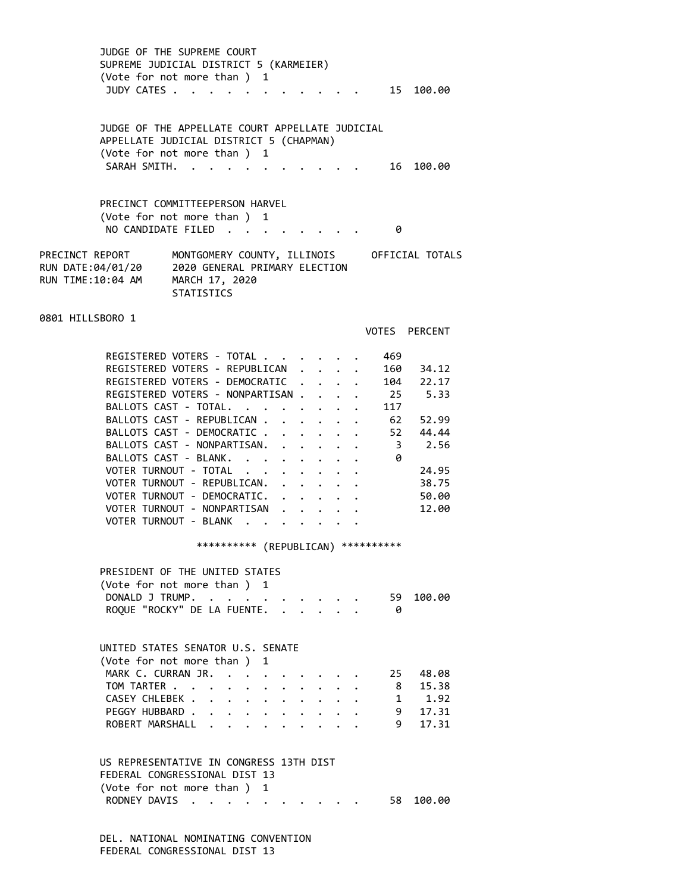JUDGE OF THE SUPREME COURT SUPREME JUDICIAL DISTRICT 5 (KARMEIER) (Vote for not more than ) 1 JUDY CATES . . . . . . . . . . . . 15 100.00 JUDGE OF THE APPELLATE COURT APPELLATE JUDICIAL APPELLATE JUDICIAL DISTRICT 5 (CHAPMAN) (Vote for not more than ) 1 SARAH SMITH. . . . . . . . . . . 16 100.00 PRECINCT COMMITTEEPERSON HARVEL (Vote for not more than ) 1 NO CANDIDATE FILED . . . . . . . . 0 PRECINCT REPORT MONTGOMERY COUNTY, ILLINOIS OFFICIAL TOTALS RUN DATE:04/01/20 2020 GENERAL PRIMARY ELECTION RUN TIME:10:04 AM MARCH 17, 2020 STATISTICS 0801 HILLSBORO 1 VOTES PERCENT REGISTERED VOTERS - TOTAL . . . . . . 469 REGISTERED VOTERS - REPUBLICAN . . . . 160 34.12 REGISTERED VOTERS - DEMOCRATIC . . . . 104 22.17 REGISTERED VOTERS - NONPARTISAN . . . . 25 5.33 BALLOTS CAST - TOTAL.  $\cdot \cdot \cdot \cdot \cdot \cdot \cdot \cdot \cdot 117$ BALLOTS CAST - REPUBLICAN . . . . . . 62 52.99 BALLOTS CAST - DEMOCRATIC . . . . . . 52 44.44 BALLOTS CAST - NONPARTISAN. . . . . . 3 2.56 BALLOTS CAST - BLANK. . . . . . . . 0 VOTER TURNOUT - TOTAL . . . . . . . 24.95 VOTER TURNOUT - REPUBLICAN. . . . . . 38.75 VOTER TURNOUT - DEMOCRATIC. . . . . . 50.00 VOTER TURNOUT - NONPARTISAN . . . . . 12.00 VOTER TURNOUT - BLANK . . . . . . \*\*\*\*\*\*\*\*\*\* (REPUBLICAN) \*\*\*\*\*\*\*\*\*\* PRESIDENT OF THE UNITED STATES (Vote for not more than ) 1 DONALD J TRUMP. . . . . . . . . . . 59 100.00 ROQUE "ROCKY" DE LA FUENTE. . . . . . 0 UNITED STATES SENATOR U.S. SENATE (Vote for not more than ) 1 MARK C. CURRAN JR. . . . . . . . . . 25 48.08<br>TOM TARTER . . . . . . . . . . . 8 15.38 TOM TARTER . . . . . . . . . . . CASEY CHLEBEK . . . . . . . . . . PEGGY HUBBARD . . . . . . . . . . 9 17.31 ROBERT MARSHALL . . . . . . . . . 9 17.31 US REPRESENTATIVE IN CONGRESS 13TH DIST FEDERAL CONGRESSIONAL DIST 13 (Vote for not more than ) 1 RODNEY DAVIS . . . . . . . . . . 58 100.00

> DEL. NATIONAL NOMINATING CONVENTION FEDERAL CONGRESSIONAL DIST 13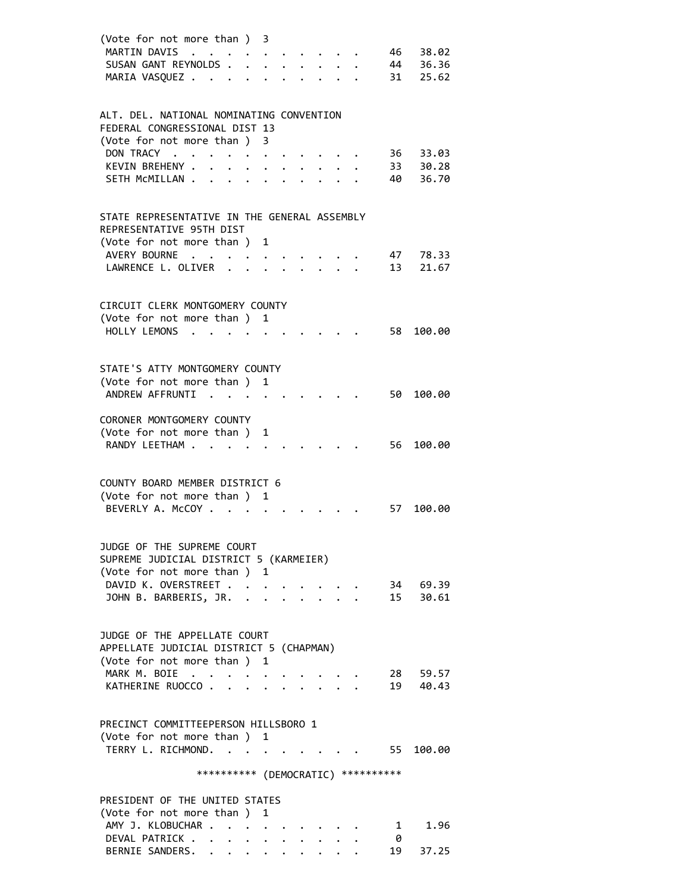| (Vote for not more than ) 3<br>MARTIN DAVIS                               | $\mathbf{L}^{\text{max}}$ , and $\mathbf{L}^{\text{max}}$ |                                               |                                                         |                                                                                                            |              |                      | 46       | 38.02             |
|---------------------------------------------------------------------------|-----------------------------------------------------------|-----------------------------------------------|---------------------------------------------------------|------------------------------------------------------------------------------------------------------------|--------------|----------------------|----------|-------------------|
| SUSAN GANT REYNOLDS.<br>MARIA VASQUEZ                                     |                                                           | $\mathbf{L}$                                  |                                                         | $\cdot$ $\cdot$ $\cdot$ $\cdot$ $\cdot$ $\cdot$<br>$\cdot$ $\cdot$ $\cdot$ $\cdot$ $\cdot$ $\cdot$ $\cdot$ |              |                      | 44<br>31 | 36.36<br>25.62    |
| ALT. DEL. NATIONAL NOMINATING CONVENTION<br>FEDERAL CONGRESSIONAL DIST 13 |                                                           |                                               |                                                         |                                                                                                            |              |                      |          |                   |
| (Vote for not more than ) 3<br>DON TRACY                                  |                                                           |                                               |                                                         |                                                                                                            |              |                      | 36       | 33.03             |
| KEVIN BREHENY .<br>SETH MCMILLAN                                          | $\cdot$ $\cdot$ $\cdot$                                   |                                               |                                                         | $\cdot$ $\cdot$ $\cdot$ $\cdot$ $\cdot$ $\cdot$                                                            | $\mathbf{L}$ |                      | 40       | 33 30.28<br>36.70 |
|                                                                           |                                                           |                                               |                                                         |                                                                                                            |              |                      |          |                   |
| STATE REPRESENTATIVE IN THE GENERAL ASSEMBLY<br>REPRESENTATIVE 95TH DIST  |                                                           |                                               |                                                         |                                                                                                            |              |                      |          |                   |
| (Vote for not more than ) 1<br>AVERY BOURNE                               |                                                           |                                               |                                                         |                                                                                                            |              |                      | 47       | 78.33             |
| LAWRENCE L. OLIVER                                                        |                                                           |                                               |                                                         |                                                                                                            |              |                      | 13       | 21.67             |
| CIRCUIT CLERK MONTGOMERY COUNTY                                           |                                                           |                                               |                                                         |                                                                                                            |              |                      |          |                   |
| (Vote for not more than )<br>HOLLY LEMONS                                 |                                                           |                                               | 1                                                       |                                                                                                            |              |                      | 58       | 100.00            |
|                                                                           |                                                           |                                               |                                                         |                                                                                                            |              |                      |          |                   |
| STATE'S ATTY MONTGOMERY COUNTY                                            |                                                           |                                               |                                                         |                                                                                                            |              |                      |          |                   |
| (Vote for not more than )                                                 |                                                           |                                               | 1                                                       |                                                                                                            |              |                      |          |                   |
| ANDREW AFFRUNTI                                                           | $\mathbf{r}$ . The set of $\mathbf{r}$                    |                                               |                                                         |                                                                                                            |              |                      | 50       | 100.00            |
| CORONER MONTGOMERY COUNTY                                                 |                                                           |                                               |                                                         |                                                                                                            |              |                      |          |                   |
| (Vote for not more than) 1<br>RANDY LEETHAM                               |                                                           |                                               |                                                         |                                                                                                            |              |                      | 56       | 100.00            |
|                                                                           |                                                           |                                               |                                                         |                                                                                                            |              |                      |          |                   |
| COUNTY BOARD MEMBER DISTRICT 6                                            |                                                           |                                               |                                                         |                                                                                                            |              |                      |          |                   |
| (Vote for not more than)<br>BEVERLY A. MCCOY.                             |                                                           |                                               | 1                                                       |                                                                                                            |              |                      | 57       | 100.00            |
|                                                                           |                                                           |                                               |                                                         |                                                                                                            |              |                      |          |                   |
| JUDGE OF THE SUPREME COURT                                                |                                                           |                                               |                                                         |                                                                                                            |              |                      |          |                   |
| SUPREME JUDICIAL DISTRICT 5 (KARMEIER)<br>(Vote for not more than ) 1     |                                                           |                                               |                                                         |                                                                                                            |              |                      |          |                   |
| DAVID K. OVERSTREET                                                       |                                                           |                                               |                                                         |                                                                                                            |              |                      |          | 34 69.39          |
| JOHN B. BARBERIS, JR.                                                     |                                                           |                                               |                                                         |                                                                                                            |              | $\ddot{\phantom{a}}$ |          | 15 30.61          |
| JUDGE OF THE APPELLATE COURT                                              |                                                           |                                               |                                                         |                                                                                                            |              |                      |          |                   |
| APPELLATE JUDICIAL DISTRICT 5 (CHAPMAN)                                   |                                                           |                                               |                                                         |                                                                                                            |              |                      |          |                   |
| (Vote for not more than ) 1<br>MARK M. BOIE                               |                                                           |                                               |                                                         |                                                                                                            |              |                      | 28       | 59.57             |
| KATHERINE RUOCCO                                                          |                                                           | $\sim$ $\sim$                                 | $\bullet$ .<br><br><br><br><br><br><br><br><br><br><br> | $\cdot$ $\cdot$ $\cdot$ $\cdot$ $\cdot$                                                                    |              |                      |          | 19 40.43          |
|                                                                           |                                                           |                                               |                                                         |                                                                                                            |              |                      |          |                   |
| PRECINCT COMMITTEEPERSON HILLSBORO 1                                      |                                                           |                                               |                                                         |                                                                                                            |              |                      |          |                   |
| (Vote for not more than) 1<br>TERRY L. RICHMOND.                          |                                                           |                                               |                                                         |                                                                                                            |              |                      |          | 55 100.00         |
|                                                                           | *********** (DEMOCRATIC) ***********                      |                                               |                                                         |                                                                                                            |              |                      |          |                   |
| PRESIDENT OF THE UNITED STATES                                            |                                                           |                                               |                                                         |                                                                                                            |              |                      |          |                   |
| (Vote for not more than )<br>AMY J. KLOBUCHAR .                           |                                                           | $\mathbf{z} = \mathbf{z} + \mathbf{z}$        | 1                                                       |                                                                                                            |              |                      | 1        | 1.96              |
| DEVAL PATRICK                                                             |                                                           | $\bullet$ , $\bullet$ , $\bullet$ , $\bullet$ |                                                         |                                                                                                            |              |                      | -0       |                   |
| BERNIE SANDERS.                                                           | $\mathbf{L}^{\text{max}}$                                 |                                               |                                                         |                                                                                                            |              |                      | 19       | 37.25             |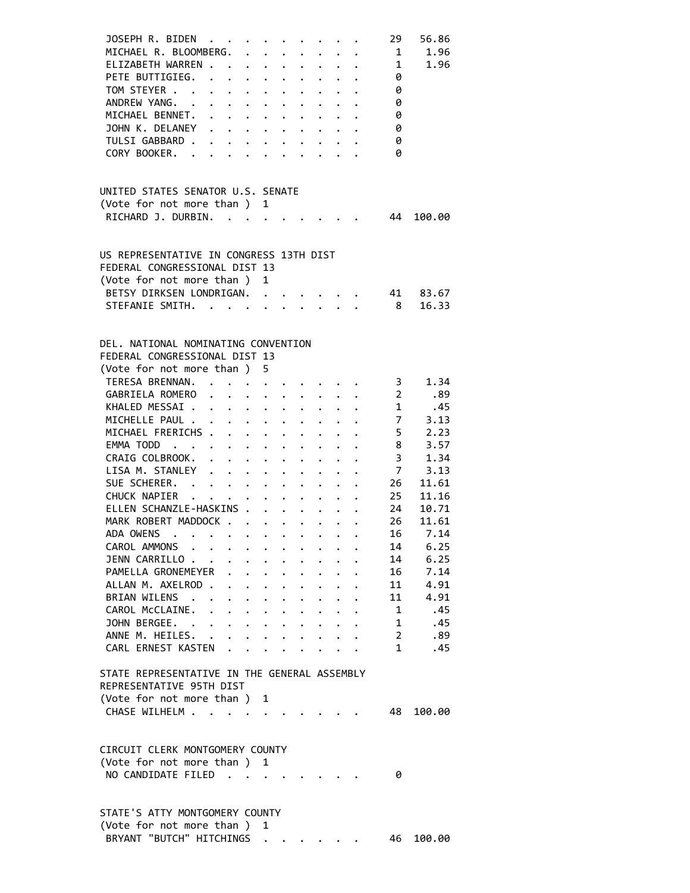| JOSEPH R. BIDEN<br>MICHAEL R. BLOOMBERG.<br>ELIZABETH WARREN.<br>PETE BUTTIGIEG.<br>TOM STEYER<br>ANDREW YANG.<br>MICHAEL BENNET.<br>JOHN K. DELANEY<br>TULSI GABBARD .<br>CORY BOOKER. . | $\cdot$ $\cdot$ $\cdot$ $\cdot$ $\cdot$ $\cdot$ $\cdot$<br>$\mathbf{L} = \mathbf{L} \times \mathbf{L}$<br>$\mathbf{r} = \mathbf{r} + \mathbf{r}$ .<br>$\mathbf{r} = \mathbf{r} + \mathbf{r} + \mathbf{r}$ .<br>$\mathbf{r}$ , $\mathbf{r}$ , $\mathbf{r}$ , $\mathbf{r}$ , $\mathbf{r}$ , $\mathbf{r}$ , $\mathbf{r}$<br>$\mathbf{r}$ | $\mathbf{r}$ , $\mathbf{r}$ , $\mathbf{r}$ , $\mathbf{r}$ , $\mathbf{r}$ , $\mathbf{r}$<br>$\cdot$ $\cdot$ $\cdot$ $\cdot$ $\cdot$                                                                                                                                                                                                                                                                                           | $\cdot$ $\cdot$ $\cdot$ $\cdot$ $\cdot$ $\cdot$ $\cdot$<br>$\ddot{\phantom{0}}$ | $\cdot$ $\cdot$ $\cdot$ $\cdot$                                  | $\cdot$ $\cdot$ $\cdot$ $\cdot$ $\cdot$                         |                      | $\mathbf{1}$ $\mathbf{1}$ $\mathbf{1}$ $\mathbf{1}$ | 29<br>$\mathbf{1}$<br>$\mathbf{1}$<br>0<br>0<br>0<br>0<br>0<br>0<br>0 | 56.86<br>1.96<br>1.96 |
|-------------------------------------------------------------------------------------------------------------------------------------------------------------------------------------------|---------------------------------------------------------------------------------------------------------------------------------------------------------------------------------------------------------------------------------------------------------------------------------------------------------------------------------------|------------------------------------------------------------------------------------------------------------------------------------------------------------------------------------------------------------------------------------------------------------------------------------------------------------------------------------------------------------------------------------------------------------------------------|---------------------------------------------------------------------------------|------------------------------------------------------------------|-----------------------------------------------------------------|----------------------|-----------------------------------------------------|-----------------------------------------------------------------------|-----------------------|
| UNITED STATES SENATOR U.S. SENATE                                                                                                                                                         |                                                                                                                                                                                                                                                                                                                                       |                                                                                                                                                                                                                                                                                                                                                                                                                              |                                                                                 |                                                                  |                                                                 |                      |                                                     |                                                                       |                       |
| (Vote for not more than)<br>RICHARD J. DURBIN.                                                                                                                                            |                                                                                                                                                                                                                                                                                                                                       |                                                                                                                                                                                                                                                                                                                                                                                                                              | 1                                                                               |                                                                  |                                                                 |                      |                                                     | 44                                                                    | 100.00                |
| US REPRESENTATIVE IN CONGRESS 13TH DIST<br>FEDERAL CONGRESSIONAL DIST 13<br>(Vote for not more than)<br>BETSY DIRKSEN LONDRIGAN.<br>STEFANIE SMITH.                                       |                                                                                                                                                                                                                                                                                                                                       |                                                                                                                                                                                                                                                                                                                                                                                                                              | 1                                                                               |                                                                  |                                                                 |                      |                                                     | 41<br>$\overline{\mathbf{8}}$                                         | 83.67<br>16.33        |
| DEL. NATIONAL NOMINATING CONVENTION                                                                                                                                                       |                                                                                                                                                                                                                                                                                                                                       |                                                                                                                                                                                                                                                                                                                                                                                                                              |                                                                                 |                                                                  |                                                                 |                      |                                                     |                                                                       |                       |
| FEDERAL CONGRESSIONAL DIST 13                                                                                                                                                             |                                                                                                                                                                                                                                                                                                                                       |                                                                                                                                                                                                                                                                                                                                                                                                                              |                                                                                 |                                                                  |                                                                 |                      |                                                     |                                                                       |                       |
| (Vote for not more than)                                                                                                                                                                  |                                                                                                                                                                                                                                                                                                                                       |                                                                                                                                                                                                                                                                                                                                                                                                                              | 5                                                                               |                                                                  |                                                                 |                      |                                                     |                                                                       |                       |
| TERESA BRENNAN.                                                                                                                                                                           |                                                                                                                                                                                                                                                                                                                                       | $\mathbf{r} = \mathbf{r} + \mathbf{r} + \mathbf{r} + \mathbf{r} + \mathbf{r} + \mathbf{r} + \mathbf{r} + \mathbf{r} + \mathbf{r} + \mathbf{r} + \mathbf{r} + \mathbf{r} + \mathbf{r} + \mathbf{r} + \mathbf{r} + \mathbf{r} + \mathbf{r} + \mathbf{r} + \mathbf{r} + \mathbf{r} + \mathbf{r} + \mathbf{r} + \mathbf{r} + \mathbf{r} + \mathbf{r} + \mathbf{r} + \mathbf{r} + \mathbf{r} + \mathbf{r} + \mathbf{r} + \mathbf$ |                                                                                 |                                                                  |                                                                 |                      |                                                     | 3<br>$\overline{2}$                                                   | 1.34                  |
| GABRIELA ROMERO                                                                                                                                                                           |                                                                                                                                                                                                                                                                                                                                       |                                                                                                                                                                                                                                                                                                                                                                                                                              |                                                                                 |                                                                  |                                                                 |                      |                                                     | 1                                                                     | .89                   |
| KHALED MESSAI<br>MICHELLE PAUL .                                                                                                                                                          |                                                                                                                                                                                                                                                                                                                                       |                                                                                                                                                                                                                                                                                                                                                                                                                              |                                                                                 |                                                                  |                                                                 |                      |                                                     | 7 <sup>7</sup>                                                        | .45<br>3.13           |
| MICHAEL FRERICHS                                                                                                                                                                          |                                                                                                                                                                                                                                                                                                                                       | $\bullet$ .                                                                                                                                                                                                                                                                                                                                                                                                                  | $\ddot{\phantom{0}}$                                                            | $\mathbf{L}$                                                     | $\ddot{\phantom{0}}$                                            | $\mathbf{L}$         |                                                     | $\overline{\phantom{0}}$                                              | 2.23                  |
| EMMA TODD                                                                                                                                                                                 |                                                                                                                                                                                                                                                                                                                                       | $\mathbf{r} = \mathbf{r} + \mathbf{r} + \mathbf{r}$ .                                                                                                                                                                                                                                                                                                                                                                        |                                                                                 |                                                                  | $\ddot{\phantom{0}}$                                            | $\ddot{\phantom{0}}$ |                                                     | 8                                                                     | 3.57                  |
| CRAIG COLBROOK.                                                                                                                                                                           | $\ddot{\phantom{0}}$                                                                                                                                                                                                                                                                                                                  | $\cdot$ $\cdot$ $\cdot$ $\cdot$ $\cdot$                                                                                                                                                                                                                                                                                                                                                                                      |                                                                                 |                                                                  | $\ddot{\phantom{0}}$                                            |                      | $\ddot{\phantom{a}}$                                | $\overline{3}$                                                        | 1.34                  |
| LISA M. STANLEY .                                                                                                                                                                         |                                                                                                                                                                                                                                                                                                                                       | $\mathbf{L} = \mathbf{L}$                                                                                                                                                                                                                                                                                                                                                                                                    |                                                                                 | $\bullet$ .<br><br><br><br><br><br><br><br><br><br><br><br><br>  |                                                                 | $\ddot{\phantom{0}}$ |                                                     | $\overline{7}$                                                        | 3.13                  |
| SUE SCHERER.                                                                                                                                                                              |                                                                                                                                                                                                                                                                                                                                       |                                                                                                                                                                                                                                                                                                                                                                                                                              |                                                                                 | $\mathbf{r} = \mathbf{r} + \mathbf{r} + \mathbf{r} + \mathbf{r}$ |                                                                 |                      |                                                     | 26                                                                    | 11.61                 |
| CHUCK NAPIER                                                                                                                                                                              |                                                                                                                                                                                                                                                                                                                                       | $\bullet$ , $\bullet$ , $\bullet$ , $\bullet$                                                                                                                                                                                                                                                                                                                                                                                |                                                                                 | $\cdots$ $\cdots$                                                |                                                                 |                      |                                                     | 25                                                                    | 11.16                 |
| ELLEN SCHANZLE-HASKINS .                                                                                                                                                                  |                                                                                                                                                                                                                                                                                                                                       |                                                                                                                                                                                                                                                                                                                                                                                                                              | $\mathbf{A}^{\text{max}}$                                                       |                                                                  |                                                                 |                      |                                                     | 24                                                                    | 10.71                 |
| MARK ROBERT MADDOCK                                                                                                                                                                       |                                                                                                                                                                                                                                                                                                                                       |                                                                                                                                                                                                                                                                                                                                                                                                                              |                                                                                 |                                                                  | $\ddot{\phantom{a}}$                                            |                      |                                                     | 26                                                                    | 11.61                 |
| ADA OWENS                                                                                                                                                                                 |                                                                                                                                                                                                                                                                                                                                       |                                                                                                                                                                                                                                                                                                                                                                                                                              |                                                                                 |                                                                  |                                                                 |                      |                                                     |                                                                       | 16 7.14               |
| CAROL AMMONS                                                                                                                                                                              |                                                                                                                                                                                                                                                                                                                                       |                                                                                                                                                                                                                                                                                                                                                                                                                              |                                                                                 |                                                                  |                                                                 |                      |                                                     | 14                                                                    | 6.25                  |
| JENN CARRILLO                                                                                                                                                                             |                                                                                                                                                                                                                                                                                                                                       |                                                                                                                                                                                                                                                                                                                                                                                                                              |                                                                                 |                                                                  |                                                                 |                      |                                                     | 14                                                                    | 6.25                  |
| PAMELLA GRONEMEYER                                                                                                                                                                        |                                                                                                                                                                                                                                                                                                                                       |                                                                                                                                                                                                                                                                                                                                                                                                                              |                                                                                 |                                                                  |                                                                 |                      |                                                     | 16                                                                    | 7.14                  |
| ALLAN M. AXELROD .                                                                                                                                                                        |                                                                                                                                                                                                                                                                                                                                       | $\ddot{\phantom{a}}$                                                                                                                                                                                                                                                                                                                                                                                                         |                                                                                 | $\cdot$ $\cdot$ $\cdot$ $\cdot$                                  |                                                                 |                      |                                                     | 11                                                                    | 4.91                  |
| BRIAN WILENS .                                                                                                                                                                            |                                                                                                                                                                                                                                                                                                                                       | $\cdot$ $\cdot$ $\cdot$ $\cdot$ $\cdot$ $\cdot$ $\cdot$                                                                                                                                                                                                                                                                                                                                                                      |                                                                                 |                                                                  |                                                                 |                      |                                                     | 11                                                                    | 4.91                  |
| CAROL McCLAINE.                                                                                                                                                                           | $\ddot{\phantom{0}}$                                                                                                                                                                                                                                                                                                                  |                                                                                                                                                                                                                                                                                                                                                                                                                              |                                                                                 |                                                                  |                                                                 |                      |                                                     | 1                                                                     | .45                   |
| JOHN BERGEE. .                                                                                                                                                                            |                                                                                                                                                                                                                                                                                                                                       | $\mathbf{r} = \mathbf{r} + \mathbf{r}$ , where $\mathbf{r} = \mathbf{r}$                                                                                                                                                                                                                                                                                                                                                     |                                                                                 |                                                                  | $\bullet$ .<br><br><br><br><br><br><br><br><br><br><br><br><br> |                      |                                                     | 1                                                                     | .45                   |
| ANNE M. HEILES.                                                                                                                                                                           |                                                                                                                                                                                                                                                                                                                                       |                                                                                                                                                                                                                                                                                                                                                                                                                              |                                                                                 |                                                                  | $\cdot$ $\cdot$                                                 | $\mathbf{L}$         |                                                     | $\overline{2}$                                                        | .89                   |
| CARL ERNEST KASTEN                                                                                                                                                                        |                                                                                                                                                                                                                                                                                                                                       |                                                                                                                                                                                                                                                                                                                                                                                                                              |                                                                                 |                                                                  |                                                                 |                      |                                                     | $\mathbf{1}$                                                          | .45                   |
| STATE REPRESENTATIVE IN THE GENERAL ASSEMBLY                                                                                                                                              |                                                                                                                                                                                                                                                                                                                                       |                                                                                                                                                                                                                                                                                                                                                                                                                              |                                                                                 |                                                                  |                                                                 |                      |                                                     |                                                                       |                       |
| REPRESENTATIVE 95TH DIST                                                                                                                                                                  |                                                                                                                                                                                                                                                                                                                                       |                                                                                                                                                                                                                                                                                                                                                                                                                              |                                                                                 |                                                                  |                                                                 |                      |                                                     |                                                                       |                       |
| (Vote for not more than )                                                                                                                                                                 |                                                                                                                                                                                                                                                                                                                                       |                                                                                                                                                                                                                                                                                                                                                                                                                              | 1                                                                               |                                                                  |                                                                 |                      |                                                     |                                                                       |                       |
| CHASE WILHELM                                                                                                                                                                             |                                                                                                                                                                                                                                                                                                                                       |                                                                                                                                                                                                                                                                                                                                                                                                                              |                                                                                 |                                                                  |                                                                 |                      |                                                     | 48                                                                    | 100.00                |
|                                                                                                                                                                                           |                                                                                                                                                                                                                                                                                                                                       |                                                                                                                                                                                                                                                                                                                                                                                                                              |                                                                                 |                                                                  |                                                                 |                      |                                                     |                                                                       |                       |
|                                                                                                                                                                                           |                                                                                                                                                                                                                                                                                                                                       |                                                                                                                                                                                                                                                                                                                                                                                                                              |                                                                                 |                                                                  |                                                                 |                      |                                                     |                                                                       |                       |
| CIRCUIT CLERK MONTGOMERY COUNTY                                                                                                                                                           |                                                                                                                                                                                                                                                                                                                                       |                                                                                                                                                                                                                                                                                                                                                                                                                              |                                                                                 |                                                                  |                                                                 |                      |                                                     |                                                                       |                       |
| (Vote for not more than ) 1                                                                                                                                                               |                                                                                                                                                                                                                                                                                                                                       |                                                                                                                                                                                                                                                                                                                                                                                                                              |                                                                                 |                                                                  |                                                                 |                      |                                                     |                                                                       |                       |
| NO CANDIDATE FILED                                                                                                                                                                        |                                                                                                                                                                                                                                                                                                                                       |                                                                                                                                                                                                                                                                                                                                                                                                                              |                                                                                 |                                                                  |                                                                 |                      |                                                     | 0                                                                     |                       |
|                                                                                                                                                                                           |                                                                                                                                                                                                                                                                                                                                       |                                                                                                                                                                                                                                                                                                                                                                                                                              |                                                                                 |                                                                  |                                                                 |                      |                                                     |                                                                       |                       |
|                                                                                                                                                                                           |                                                                                                                                                                                                                                                                                                                                       |                                                                                                                                                                                                                                                                                                                                                                                                                              |                                                                                 |                                                                  |                                                                 |                      |                                                     |                                                                       |                       |
| STATE'S ATTY MONTGOMERY COUNTY                                                                                                                                                            |                                                                                                                                                                                                                                                                                                                                       |                                                                                                                                                                                                                                                                                                                                                                                                                              |                                                                                 |                                                                  |                                                                 |                      |                                                     |                                                                       |                       |
| (Vote for not more than ) 1<br>BRYANT "BUTCH" HITCHINGS                                                                                                                                   |                                                                                                                                                                                                                                                                                                                                       |                                                                                                                                                                                                                                                                                                                                                                                                                              |                                                                                 |                                                                  |                                                                 |                      |                                                     | 46                                                                    | 100.00                |
|                                                                                                                                                                                           |                                                                                                                                                                                                                                                                                                                                       |                                                                                                                                                                                                                                                                                                                                                                                                                              | $\ddot{\phantom{0}}$                                                            |                                                                  |                                                                 |                      |                                                     |                                                                       |                       |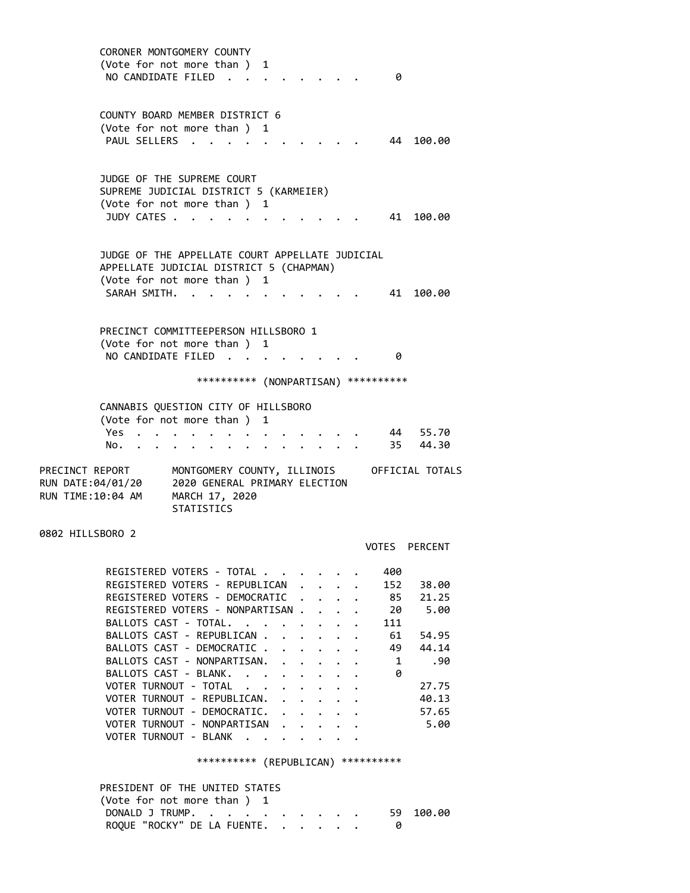CORONER MONTGOMERY COUNTY (Vote for not more than ) 1 NO CANDIDATE FILED . . . . . . . . 0 COUNTY BOARD MEMBER DISTRICT 6 (Vote for not more than ) 1 PAUL SELLERS . . . . . . . . . . . 44 100.00 JUDGE OF THE SUPREME COURT SUPREME JUDICIAL DISTRICT 5 (KARMEIER) (Vote for not more than ) 1 JUDY CATES . . . . . . . . . . . . 41 100.00 JUDGE OF THE APPELLATE COURT APPELLATE JUDICIAL APPELLATE JUDICIAL DISTRICT 5 (CHAPMAN) (Vote for not more than ) 1 SARAH SMITH. . . . . . . . . . . 41 100.00 PRECINCT COMMITTEEPERSON HILLSBORO 1 (Vote for not more than ) 1 NO CANDIDATE FILED . . . . . . . . 0 \*\*\*\*\*\*\*\*\*\* (NONPARTISAN) \*\*\*\*\*\*\*\*\*\* CANNABIS QUESTION CITY OF HILLSBORO (Vote for not more than ) 1 Yes . . . . . . . . . . . . . 44 55.70 No. . . . . . . . . . . . . . 35 44.30 PRECINCT REPORT MONTGOMERY COUNTY, ILLINOIS OFFICIAL TOTALS RUN DATE:04/01/20 2020 GENERAL PRIMARY ELECTION RUN TIME:10:04 AM MARCH 17, 2020 STATISTICS 0802 HILLSBORO 2 VOTES PERCENT REGISTERED VOTERS - TOTAL . . . . . . 400 REGISTERED VOTERS - REPUBLICAN . . . . 152 38.00 REGISTERED VOTERS - DEMOCRATIC . . . . 85 21.25 REGISTERED VOTERS - NONPARTISAN . . . . 20 5.00 BALLOTS CAST - TOTAL. . . . . . . . 111 BALLOTS CAST - REPUBLICAN . . . . . . 61 54.95 BALLOTS CAST - DEMOCRATIC . . . . . . 49 44.14 BALLOTS CAST - NONPARTISAN. . . . . . 1 .90 BALLOTS CAST - BLANK. . . . . . . . 0 VOTER TURNOUT - TOTAL . . . . . . . 27.75 VOTER TURNOUT - REPUBLICAN. . . . . . 40.13 VOTER TURNOUT - DEMOCRATIC. . . . . . 57.65 VOTER TURNOUT - NONPARTISAN . . . . . 5.00 VOTER TURNOUT - BLANK . . . . . \*\*\*\*\*\*\*\*\*\* (REPUBLICAN) \*\*\*\*\*\*\*\*\*\* PRESIDENT OF THE UNITED STATES (Vote for not more than ) 1 DONALD J TRUMP. . . . . . . . . . 59 100.00 ROQUE "ROCKY" DE LA FUENTE. . . . . . 0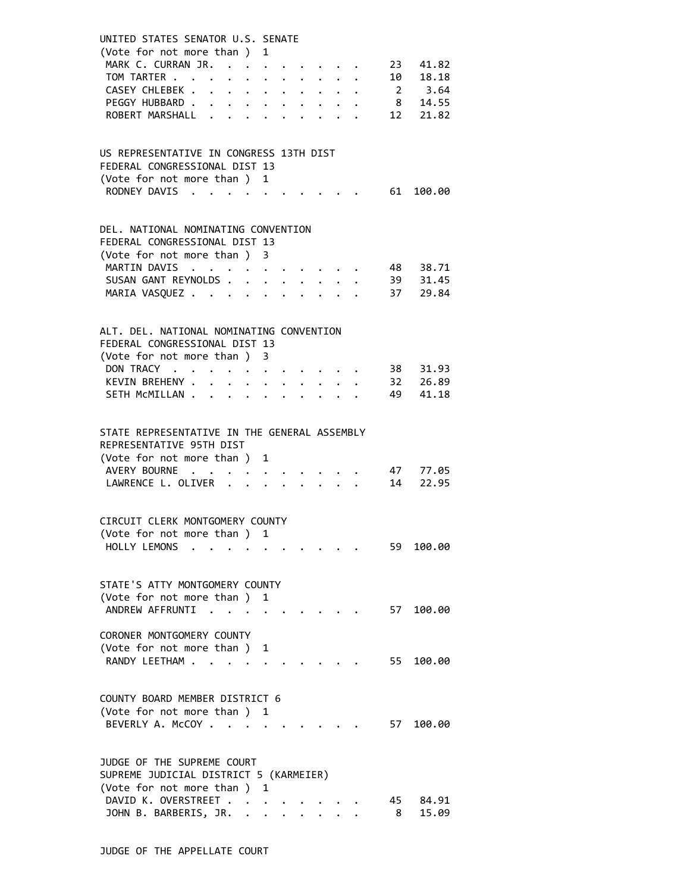| UNITED STATES SENATOR U.S. SENATE<br>(Vote for not more than ) 1 |                                              |                                                                                                                                                                                       |                      |                      |  |                                                         |                                                                       |      |                                  |  |
|------------------------------------------------------------------|----------------------------------------------|---------------------------------------------------------------------------------------------------------------------------------------------------------------------------------------|----------------------|----------------------|--|---------------------------------------------------------|-----------------------------------------------------------------------|------|----------------------------------|--|
| MARK C. CURRAN JR.<br>TOM TARTER                                 |                                              |                                                                                                                                                                                       |                      |                      |  |                                                         |                                                                       |      | 23 41.82                         |  |
| CASEY CHLEBEK                                                    |                                              |                                                                                                                                                                                       |                      |                      |  |                                                         | $\mathbf{r}$ , and $\mathbf{r}$ , and $\mathbf{r}$ , and $\mathbf{r}$ |      | 10 18.18<br>2 3.64<br>8 14.55    |  |
| PEGGY HUBBARD                                                    | $\ddot{\phantom{0}}$                         |                                                                                                                                                                                       |                      |                      |  |                                                         |                                                                       |      |                                  |  |
| ROBERT MARSHALL                                                  |                                              |                                                                                                                                                                                       |                      |                      |  |                                                         |                                                                       |      | 12 21.82                         |  |
|                                                                  |                                              |                                                                                                                                                                                       |                      |                      |  |                                                         |                                                                       |      |                                  |  |
| US REPRESENTATIVE IN CONGRESS 13TH DIST                          |                                              |                                                                                                                                                                                       |                      |                      |  |                                                         |                                                                       |      |                                  |  |
| FEDERAL CONGRESSIONAL DIST 13                                    |                                              |                                                                                                                                                                                       |                      |                      |  |                                                         |                                                                       |      |                                  |  |
| (Vote for not more than ) 1                                      |                                              |                                                                                                                                                                                       |                      |                      |  |                                                         |                                                                       |      |                                  |  |
| RODNEY DAVIS                                                     |                                              |                                                                                                                                                                                       |                      |                      |  |                                                         |                                                                       |      | . 61 100.00                      |  |
|                                                                  |                                              |                                                                                                                                                                                       |                      |                      |  |                                                         |                                                                       |      |                                  |  |
| DEL. NATIONAL NOMINATING CONVENTION                              |                                              |                                                                                                                                                                                       |                      |                      |  |                                                         |                                                                       |      |                                  |  |
| FEDERAL CONGRESSIONAL DIST 13                                    |                                              |                                                                                                                                                                                       |                      |                      |  |                                                         |                                                                       |      |                                  |  |
| (Vote for not more than ) 3                                      |                                              |                                                                                                                                                                                       |                      |                      |  |                                                         |                                                                       |      |                                  |  |
| MARTIN DAVIS                                                     |                                              |                                                                                                                                                                                       |                      |                      |  |                                                         |                                                                       |      |                                  |  |
| SUSAN GANT REYNOLDS                                              |                                              |                                                                                                                                                                                       |                      |                      |  |                                                         |                                                                       |      | 48 38.71<br>39 31.45<br>37 29.84 |  |
| MARIA VASQUEZ                                                    |                                              |                                                                                                                                                                                       | $\ddot{\phantom{0}}$ |                      |  |                                                         |                                                                       |      |                                  |  |
|                                                                  |                                              |                                                                                                                                                                                       |                      |                      |  |                                                         |                                                                       |      |                                  |  |
| ALT. DEL. NATIONAL NOMINATING CONVENTION                         |                                              |                                                                                                                                                                                       |                      |                      |  |                                                         |                                                                       |      |                                  |  |
| FEDERAL CONGRESSIONAL DIST 13                                    |                                              |                                                                                                                                                                                       |                      |                      |  |                                                         |                                                                       |      |                                  |  |
| (Vote for not more than ) 3                                      |                                              |                                                                                                                                                                                       |                      |                      |  |                                                         |                                                                       |      |                                  |  |
| DON TRACY                                                        |                                              | $\mathbf{a}^{\prime}=\mathbf{a}^{\prime}=\mathbf{a}^{\prime}=\mathbf{a}^{\prime}=\mathbf{a}^{\prime}=\mathbf{a}^{\prime}=\mathbf{a}^{\prime}=\mathbf{a}^{\prime}=\mathbf{a}^{\prime}$ |                      |                      |  |                                                         |                                                                       |      | 38 31.93                         |  |
| KEVIN BREHENY                                                    | $\mathbf{A}$                                 | $\ddot{\phantom{0}}$                                                                                                                                                                  |                      |                      |  | $\cdot$ $\cdot$ $\cdot$ $\cdot$ $\cdot$ $\cdot$ $\cdot$ |                                                                       |      | 32       26.89<br>49       41.18 |  |
| SETH MCMILLAN .                                                  | $\ddot{\phantom{0}}$<br>$\ddot{\phantom{0}}$ | $\sim$                                                                                                                                                                                |                      |                      |  |                                                         |                                                                       |      |                                  |  |
|                                                                  |                                              |                                                                                                                                                                                       |                      |                      |  |                                                         |                                                                       |      |                                  |  |
| STATE REPRESENTATIVE IN THE GENERAL ASSEMBLY                     |                                              |                                                                                                                                                                                       |                      |                      |  |                                                         |                                                                       |      |                                  |  |
| REPRESENTATIVE 95TH DIST                                         |                                              |                                                                                                                                                                                       |                      |                      |  |                                                         |                                                                       |      |                                  |  |
| (Vote for not more than ) 1                                      |                                              |                                                                                                                                                                                       |                      |                      |  |                                                         |                                                                       |      |                                  |  |
| AVERY BOURNE                                                     |                                              |                                                                                                                                                                                       |                      |                      |  |                                                         |                                                                       |      | 47 77.05                         |  |
| LAWRENCE L. OLIVER                                               |                                              |                                                                                                                                                                                       |                      |                      |  |                                                         |                                                                       | 14   | 22.95                            |  |
|                                                                  |                                              |                                                                                                                                                                                       |                      |                      |  |                                                         |                                                                       |      |                                  |  |
| CIRCUIT CLERK MONTGOMERY COUNTY                                  |                                              |                                                                                                                                                                                       |                      |                      |  |                                                         |                                                                       |      |                                  |  |
| (Vote for not more than ) 1                                      |                                              |                                                                                                                                                                                       |                      |                      |  |                                                         |                                                                       |      |                                  |  |
| HOLLY LEMONS                                                     |                                              |                                                                                                                                                                                       |                      |                      |  |                                                         |                                                                       | 59 - | 100.00                           |  |
|                                                                  |                                              |                                                                                                                                                                                       |                      |                      |  |                                                         |                                                                       |      |                                  |  |
| STATE'S ATTY MONTGOMERY COUNTY                                   |                                              |                                                                                                                                                                                       |                      |                      |  |                                                         |                                                                       |      |                                  |  |
| (Vote for not more than ) 1                                      |                                              |                                                                                                                                                                                       |                      |                      |  |                                                         |                                                                       |      |                                  |  |
| ANDREW AFFRUNTI                                                  |                                              | $\sim$ $\sim$                                                                                                                                                                         |                      |                      |  |                                                         |                                                                       | 57   | 100.00                           |  |
|                                                                  |                                              |                                                                                                                                                                                       |                      |                      |  |                                                         |                                                                       |      |                                  |  |
| CORONER MONTGOMERY COUNTY                                        |                                              |                                                                                                                                                                                       |                      |                      |  |                                                         |                                                                       |      |                                  |  |
| (Vote for not more than ) 1                                      |                                              |                                                                                                                                                                                       |                      |                      |  |                                                         |                                                                       |      |                                  |  |
| RANDY LEETHAM                                                    |                                              |                                                                                                                                                                                       |                      |                      |  |                                                         |                                                                       | 55   | 100.00                           |  |
|                                                                  |                                              |                                                                                                                                                                                       |                      |                      |  |                                                         |                                                                       |      |                                  |  |
| COUNTY BOARD MEMBER DISTRICT 6                                   |                                              |                                                                                                                                                                                       |                      |                      |  |                                                         |                                                                       |      |                                  |  |
| (Vote for not more than ) 1                                      |                                              |                                                                                                                                                                                       |                      |                      |  |                                                         |                                                                       |      |                                  |  |
| BEVERLY A. McCOY                                                 |                                              |                                                                                                                                                                                       |                      |                      |  |                                                         |                                                                       | 57   | 100.00                           |  |
|                                                                  |                                              |                                                                                                                                                                                       |                      |                      |  |                                                         |                                                                       |      |                                  |  |
| JUDGE OF THE SUPREME COURT                                       |                                              |                                                                                                                                                                                       |                      |                      |  |                                                         |                                                                       |      |                                  |  |
| SUPREME JUDICIAL DISTRICT 5 (KARMEIER)                           |                                              |                                                                                                                                                                                       |                      |                      |  |                                                         |                                                                       |      |                                  |  |
| (Vote for not more than ) 1                                      |                                              |                                                                                                                                                                                       |                      |                      |  |                                                         |                                                                       |      |                                  |  |
| DAVID K. OVERSTREET                                              |                                              |                                                                                                                                                                                       |                      |                      |  |                                                         |                                                                       |      | 45 84.91                         |  |
| JOHN B. BARBERIS, JR. .                                          |                                              |                                                                                                                                                                                       | $\mathbf{r}$         | $\ddot{\phantom{0}}$ |  |                                                         |                                                                       | 8    | 15.09                            |  |
|                                                                  |                                              |                                                                                                                                                                                       |                      |                      |  |                                                         |                                                                       |      |                                  |  |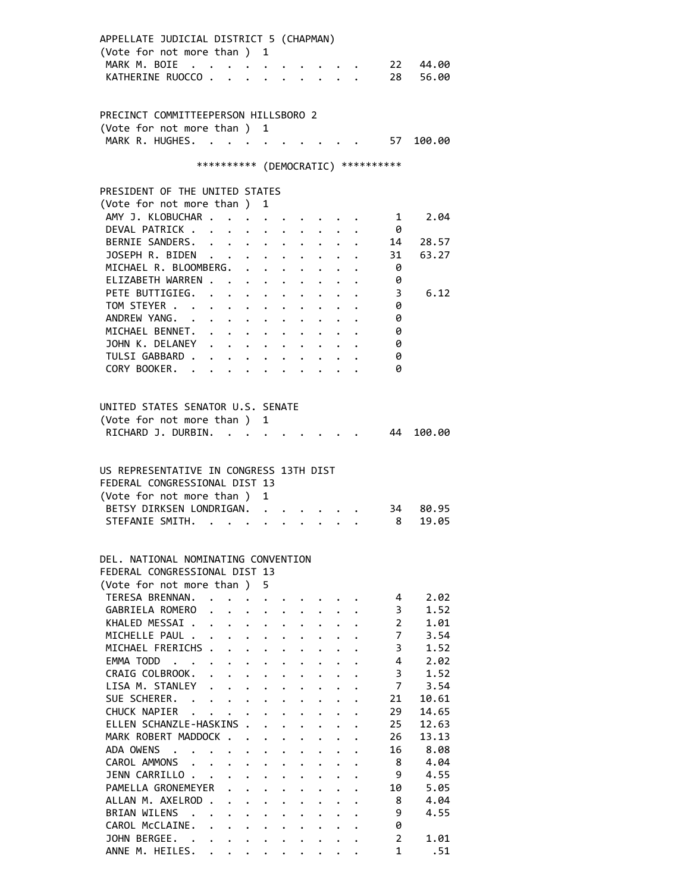| APPELLATE JUDICIAL DISTRICT 5 (CHAPMAN)<br>(Vote for not more than ) 1<br>MARK M. BOIE |                                                           |                                                                 |                                              |                                              |                      |                      |                                     |                      |
|----------------------------------------------------------------------------------------|-----------------------------------------------------------|-----------------------------------------------------------------|----------------------------------------------|----------------------------------------------|----------------------|----------------------|-------------------------------------|----------------------|
| KATHERINE RUOCCO.                                                                      |                                                           | $\ddot{\phantom{a}}$                                            | $\cdot$ $\cdot$                              |                                              |                      | $\ddot{\phantom{0}}$ |                                     | 22 44.00<br>28 56.00 |
|                                                                                        |                                                           |                                                                 |                                              |                                              |                      |                      |                                     |                      |
| PRECINCT COMMITTEEPERSON HILLSBORO 2                                                   |                                                           |                                                                 |                                              |                                              |                      |                      |                                     |                      |
| (Vote for not more than ) 1                                                            |                                                           |                                                                 |                                              |                                              |                      |                      |                                     |                      |
| MARK R. HUGHES.                                                                        |                                                           |                                                                 |                                              |                                              |                      |                      |                                     | 57 100.00            |
|                                                                                        |                                                           |                                                                 |                                              |                                              |                      |                      |                                     |                      |
|                                                                                        |                                                           |                                                                 |                                              |                                              |                      |                      | *********** (DEMOCRATIC) ********** |                      |
| PRESIDENT OF THE UNITED STATES                                                         |                                                           |                                                                 |                                              |                                              |                      |                      |                                     |                      |
| (Vote for not more than)                                                               |                                                           |                                                                 | 1                                            |                                              |                      |                      |                                     |                      |
| AMY J. KLOBUCHAR .                                                                     |                                                           |                                                                 |                                              |                                              |                      |                      | 1                                   | 2.04                 |
| DEVAL PATRICK .                                                                        |                                                           |                                                                 |                                              |                                              |                      |                      | 0                                   |                      |
| BERNIE SANDERS.                                                                        |                                                           | $\ddot{\phantom{0}}$                                            |                                              |                                              |                      |                      | 14                                  | 28.57                |
| JOSEPH R. BIDEN<br>MICHAEL R. BLOOMBERG.                                               | $\ddot{\phantom{a}}$                                      |                                                                 | $\mathbf{L}$                                 | $\ddot{\phantom{0}}$                         |                      |                      | 31                                  | 63.27                |
| ELIZABETH WARREN.                                                                      |                                                           | $\mathbf{L}$                                                    | $\mathbf{L}^{\text{max}}$                    |                                              |                      |                      | 0<br>0                              |                      |
| PETE BUTTIGIEG.                                                                        |                                                           |                                                                 |                                              | $\ddot{\phantom{0}}$                         |                      |                      | 3                                   | 6.12                 |
| TOM STEYER                                                                             |                                                           |                                                                 |                                              |                                              |                      |                      | 0                                   |                      |
| ANDREW YANG.                                                                           |                                                           | $\mathbf{z} = \mathbf{z} + \mathbf{z}$                          |                                              |                                              |                      |                      | 0                                   |                      |
| MICHAEL BENNET.                                                                        |                                                           | $\bullet$ .<br><br><br><br><br><br><br><br><br><br><br><br><br> |                                              |                                              |                      |                      | 0                                   |                      |
| JOHN K. DELANEY                                                                        |                                                           | $\ddotsc$                                                       |                                              |                                              |                      |                      | 0                                   |                      |
| TULSI GABBARD .                                                                        |                                                           | $\mathbf{L}$ $\mathbf{L}$                                       | $\ddot{\phantom{0}}$                         |                                              |                      |                      | 0                                   |                      |
| CORY BOOKER.                                                                           |                                                           |                                                                 |                                              |                                              |                      |                      | ø                                   |                      |
|                                                                                        |                                                           |                                                                 |                                              |                                              |                      |                      |                                     |                      |
|                                                                                        |                                                           |                                                                 |                                              |                                              |                      |                      |                                     |                      |
| UNITED STATES SENATOR U.S. SENATE                                                      |                                                           |                                                                 |                                              |                                              |                      |                      |                                     |                      |
| (Vote for not more than)                                                               |                                                           |                                                                 | 1                                            |                                              |                      |                      | 44                                  |                      |
| RICHARD J. DURBIN.                                                                     |                                                           |                                                                 |                                              |                                              |                      |                      |                                     | 100.00               |
|                                                                                        |                                                           |                                                                 |                                              |                                              |                      |                      |                                     |                      |
| US REPRESENTATIVE IN CONGRESS 13TH DIST                                                |                                                           |                                                                 |                                              |                                              |                      |                      |                                     |                      |
| FFDFRAL CONGRESSIONAL DIST 13                                                          |                                                           |                                                                 |                                              |                                              |                      |                      |                                     |                      |
| (Vote for not more than)                                                               |                                                           |                                                                 | 1                                            |                                              |                      |                      |                                     |                      |
| BETSY DIRKSEN LONDRIGAN.                                                               |                                                           |                                                                 |                                              |                                              |                      |                      | 34 —                                | 80.95                |
| STEFANIE SMITH. .                                                                      |                                                           |                                                                 |                                              |                                              |                      |                      | 8                                   | 19.05                |
|                                                                                        |                                                           |                                                                 |                                              |                                              |                      |                      |                                     |                      |
| DEL, NATIONAL NOMINATING CONVENTION                                                    |                                                           |                                                                 |                                              |                                              |                      |                      |                                     |                      |
| FEDERAL CONGRESSIONAL DIST 13                                                          |                                                           |                                                                 |                                              |                                              |                      |                      |                                     |                      |
| (Vote for not more than)                                                               |                                                           |                                                                 | 5                                            |                                              |                      |                      |                                     |                      |
| TERESA BRENNAN.                                                                        |                                                           |                                                                 |                                              |                                              |                      |                      | 4                                   | 2.02                 |
| GABRIELA ROMERO                                                                        | $\ddot{\phantom{a}}$<br>$\ddot{\phantom{0}}$              | $\ddot{\phantom{0}}$                                            |                                              |                                              |                      |                      | 3                                   | 1.52                 |
| KHALED MESSAI.                                                                         | $\mathbf{L}^{\text{max}}$                                 |                                                                 |                                              |                                              |                      |                      | $\overline{2}$                      | 1.01                 |
| MICHELLE PAUL .                                                                        | $\bullet$ . $\bullet$                                     | $\ddot{\phantom{0}}$                                            |                                              |                                              |                      |                      | $\overline{7}$                      | 3.54                 |
| MICHAEL FRERICHS .                                                                     | $\ddot{\phantom{0}}$                                      | $\mathbf{r}$                                                    | $\ddot{\phantom{0}}$                         | $\ddot{\phantom{0}}$                         |                      |                      | 3                                   | 1.52<br>2.02         |
| EMMA TODD<br>CRAIG COLBROOK.                                                           |                                                           | $\ddot{\phantom{0}}$<br>$\mathbf{L} = \mathbf{L}$               | $\ddot{\phantom{0}}$                         | $\ddot{\phantom{0}}$                         |                      |                      | 4<br>3                              | 1.52                 |
| LISA M. STANLEY                                                                        | $\mathbf{L}$                                              | $\ddot{\phantom{0}}$                                            | $\mathbf{L}$                                 |                                              |                      |                      | $\overline{7}$                      | 3.54                 |
| SUE SCHERER. .                                                                         | $\mathbf{r} = \mathbf{r} + \mathbf{r}$ . The $\mathbf{r}$ |                                                                 | $\ddot{\phantom{0}}$<br>$\ddot{\phantom{0}}$ | $\ddot{\phantom{a}}$                         |                      |                      | 21                                  | 10.61                |
| CHUCK NAPIER                                                                           |                                                           | $\ddot{\phantom{0}}$                                            |                                              | $\ddot{\phantom{0}}$<br>$\ddot{\phantom{a}}$ |                      |                      | 29                                  | 14.65                |
| ELLEN SCHANZLE-HASKINS.                                                                |                                                           |                                                                 | $\ddot{\phantom{a}}$                         |                                              |                      |                      | 25                                  | 12.63                |
| MARK ROBERT MADDOCK                                                                    |                                                           |                                                                 | $\ddot{\phantom{0}}$                         | $\ddot{\phantom{a}}$                         |                      |                      | 26                                  | 13.13                |
| ADA OWENS                                                                              |                                                           |                                                                 | $\ddot{\phantom{0}}$                         | $\ddot{\phantom{0}}$                         |                      |                      | 16                                  | 8.08                 |
| CAROL AMMONS                                                                           | $\mathbf{r}$ , $\mathbf{r}$                               | $\mathbf{r}$                                                    | $\mathbf{L}$                                 | $\ddot{\phantom{0}}$                         |                      |                      | 8                                   | 4.04                 |
| JENN CARRILLO.                                                                         | $\sim$ $\sim$                                             | $\mathbf{r}$                                                    | $\mathbf{L}$                                 |                                              |                      |                      | 9                                   | 4.55                 |
| PAMELLA GRONEMEYER                                                                     |                                                           | $\mathbf{r}$                                                    | $\mathbf{A}^{\text{max}}$                    | $\ddot{\phantom{a}}$                         | $\ddot{\phantom{0}}$ |                      | 10                                  | 5.05                 |
| ALLAN M. AXELROD.                                                                      |                                                           |                                                                 |                                              | $\ddot{\phantom{0}}$                         |                      |                      | 8                                   | 4.04                 |
| BRIAN WILENS .                                                                         |                                                           | $\ddot{\phantom{0}}$                                            |                                              | $\ddot{\phantom{a}}$                         |                      |                      | 9                                   | 4.55                 |
| CAROL McCLAINE.                                                                        | $\ddot{\phantom{0}}$                                      |                                                                 |                                              |                                              |                      |                      | 0                                   |                      |
| JOHN BERGEE. .                                                                         |                                                           |                                                                 |                                              |                                              |                      |                      | $\overline{2}$                      | 1.01                 |
| ANNE M. HEILES.                                                                        |                                                           |                                                                 |                                              |                                              |                      |                      | $\mathbf{1}$                        | .51                  |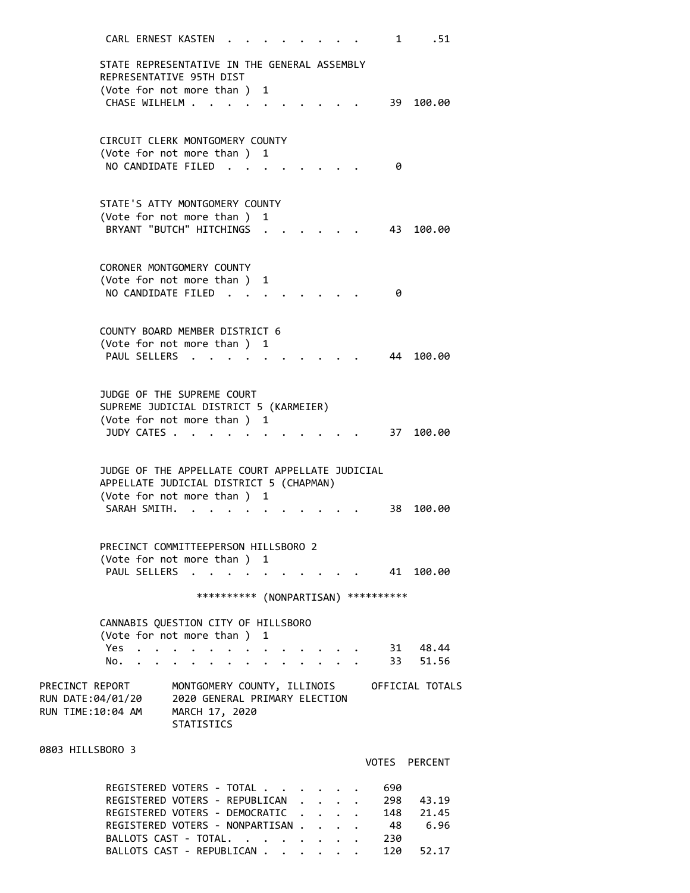CARL ERNEST KASTEN . . . . . . . . 1 .51 STATE REPRESENTATIVE IN THE GENERAL ASSEMBLY REPRESENTATIVE 95TH DIST (Vote for not more than ) 1 CHASE WILHELM . . . . . . . . . . . 39 100.00 CIRCUIT CLERK MONTGOMERY COUNTY (Vote for not more than ) 1 NO CANDIDATE FILED . . . . . . . . 0 STATE'S ATTY MONTGOMERY COUNTY (Vote for not more than ) 1 BRYANT "BUTCH" HITCHINGS . . . . . . 43 100.00 CORONER MONTGOMERY COUNTY (Vote for not more than ) 1 NO CANDIDATE FILED . . . . . . . . 0 COUNTY BOARD MEMBER DISTRICT 6 (Vote for not more than ) 1 PAUL SELLERS . . . . . . . . . . 44 100.00 JUDGE OF THE SUPREME COURT SUPREME JUDICIAL DISTRICT 5 (KARMEIER) (Vote for not more than ) 1 JUDY CATES . . . . . . . . . . . . 37 100.00 JUDGE OF THE APPELLATE COURT APPELLATE JUDICIAL APPELLATE JUDICIAL DISTRICT 5 (CHAPMAN) (Vote for not more than ) 1 SARAH SMITH. . . . . . . . . . . . 38 100.00 PRECINCT COMMITTEEPERSON HILLSBORO 2 (Vote for not more than ) 1 PAUL SELLERS . . . . . . . . . . 41 100.00 \*\*\*\*\*\*\*\*\*\* (NONPARTISAN) \*\*\*\*\*\*\*\*\*\* CANNABIS QUESTION CITY OF HILLSBORO (Vote for not more than ) 1 Yes . . . . . . . . . . . . . . 31 48.44 No. . . . . . . . . . . . . . 33 51.56 PRECINCT REPORT MONTGOMERY COUNTY, ILLINOIS OFFICIAL TOTALS RUN DATE:04/01/20 2020 GENERAL PRIMARY ELECTION RUN TIME:10:04 AM MARCH 17, 2020 STATISTICS 0803 HILLSBORO 3 VOTES PERCENT REGISTERED VOTERS - TOTAL . . . . . . 690 REGISTERED VOTERS - REPUBLICAN . . . . 298 43.19 REGISTERED VOTERS - DEMOCRATIC . . . . 148 21.45 REGISTERED VOTERS - NONPARTISAN . . . . 48 6.96 BALLOTS CAST - TOTAL. . . . . . . . 230

BALLOTS CAST - REPUBLICAN . . . . . . 120 52.17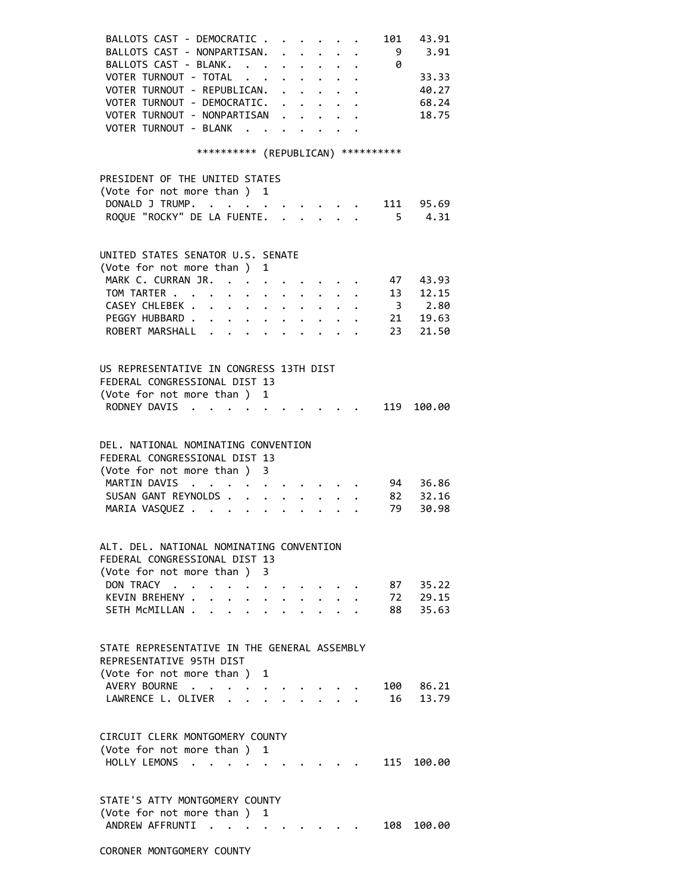| BALLOTS CAST - DEMOCRATIC<br>BALLOTS CAST - NONPARTISAN.<br>BALLOTS CAST - BLANK. 0                 |                                                                                                                                                                                                                                                                                                                                                                                                                              |                                   |                                                                                                    |                      |                      |                                 |              | $\begin{array}{cccccccccccccc} . & . & . & . & . & . & . \end{array}$ | 101<br>- 9 | 43.91<br>3.91  |
|-----------------------------------------------------------------------------------------------------|------------------------------------------------------------------------------------------------------------------------------------------------------------------------------------------------------------------------------------------------------------------------------------------------------------------------------------------------------------------------------------------------------------------------------|-----------------------------------|----------------------------------------------------------------------------------------------------|----------------------|----------------------|---------------------------------|--------------|-----------------------------------------------------------------------|------------|----------------|
| VOTER TURNOUT - TOTAL<br>VOTER TURNOUT - REPUBLICAN.                                                |                                                                                                                                                                                                                                                                                                                                                                                                                              |                                   |                                                                                                    |                      |                      |                                 |              |                                                                       |            | 33.33<br>40.27 |
| VOTER TURNOUT - DEMOCRATIC.                                                                         |                                                                                                                                                                                                                                                                                                                                                                                                                              |                                   |                                                                                                    |                      |                      |                                 |              |                                                                       |            | 68.24          |
| VOTER TURNOUT - NONPARTISAN                                                                         |                                                                                                                                                                                                                                                                                                                                                                                                                              |                                   |                                                                                                    |                      |                      |                                 |              |                                                                       |            | 18.75          |
| VOTER TURNOUT - BLANK                                                                               |                                                                                                                                                                                                                                                                                                                                                                                                                              |                                   |                                                                                                    |                      |                      | $\cdot$ $\cdot$ $\cdot$ $\cdot$ |              |                                                                       |            |                |
|                                                                                                     | *********** (REPUBLICAN) ***********                                                                                                                                                                                                                                                                                                                                                                                         |                                   |                                                                                                    |                      |                      |                                 |              |                                                                       |            |                |
| PRESIDENT OF THE UNITED STATES<br>(Vote for not more than ) 1                                       |                                                                                                                                                                                                                                                                                                                                                                                                                              |                                   |                                                                                                    |                      |                      |                                 |              |                                                                       |            |                |
| DONALD J TRUMP.                                                                                     |                                                                                                                                                                                                                                                                                                                                                                                                                              |                                   |                                                                                                    |                      |                      |                                 |              |                                                                       |            | . 111 95.69    |
| ROQUE "ROCKY" DE LA FUENTE.                                                                         |                                                                                                                                                                                                                                                                                                                                                                                                                              |                                   |                                                                                                    |                      |                      |                                 | $\mathbf{L}$ |                                                                       |            | $5 \t 4.31$    |
| UNITED STATES SENATOR U.S. SENATE                                                                   |                                                                                                                                                                                                                                                                                                                                                                                                                              |                                   |                                                                                                    |                      |                      |                                 |              |                                                                       |            |                |
| (Vote for not more than)                                                                            |                                                                                                                                                                                                                                                                                                                                                                                                                              |                                   | 1                                                                                                  |                      |                      |                                 |              |                                                                       |            |                |
| MARK C. CURRAN JR.                                                                                  |                                                                                                                                                                                                                                                                                                                                                                                                                              |                                   |                                                                                                    |                      |                      |                                 |              |                                                                       |            | 47 43.93       |
| TOM TARTER 13<br>CASEY CHLEBEK                                                                      |                                                                                                                                                                                                                                                                                                                                                                                                                              |                                   |                                                                                                    |                      |                      |                                 |              |                                                                       |            | 12.15          |
| PEGGY HUBBARD                                                                                       |                                                                                                                                                                                                                                                                                                                                                                                                                              |                                   |                                                                                                    |                      |                      |                                 |              |                                                                       |            |                |
| ROBERT MARSHALL                                                                                     |                                                                                                                                                                                                                                                                                                                                                                                                                              |                                   |                                                                                                    |                      |                      |                                 |              |                                                                       |            |                |
|                                                                                                     |                                                                                                                                                                                                                                                                                                                                                                                                                              |                                   |                                                                                                    |                      |                      |                                 |              |                                                                       |            |                |
| US REPRESENTATIVE IN CONGRESS 13TH DIST                                                             |                                                                                                                                                                                                                                                                                                                                                                                                                              |                                   |                                                                                                    |                      |                      |                                 |              |                                                                       |            |                |
| FEDERAL CONGRESSIONAL DIST 13<br>(Vote for not more than ) 1                                        |                                                                                                                                                                                                                                                                                                                                                                                                                              |                                   |                                                                                                    |                      |                      |                                 |              |                                                                       |            |                |
| RODNEY DAVIS                                                                                        |                                                                                                                                                                                                                                                                                                                                                                                                                              |                                   |                                                                                                    |                      |                      |                                 |              |                                                                       |            | . 119 100.00   |
| DEL, NATIONAL NOMINATING CONVENTION<br>FEDERAL CONGRESSIONAL DIST 13<br>(Vote for not more than ) 3 |                                                                                                                                                                                                                                                                                                                                                                                                                              |                                   |                                                                                                    |                      |                      |                                 |              |                                                                       |            |                |
| MARTIN DAVIS                                                                                        | $\mathbf{u} = \mathbf{u} + \mathbf{u} + \mathbf{u} + \mathbf{u} + \mathbf{u} + \mathbf{u} + \mathbf{u} + \mathbf{u} + \mathbf{u} + \mathbf{u} + \mathbf{u} + \mathbf{u} + \mathbf{u} + \mathbf{u} + \mathbf{u} + \mathbf{u} + \mathbf{u} + \mathbf{u} + \mathbf{u} + \mathbf{u} + \mathbf{u} + \mathbf{u} + \mathbf{u} + \mathbf{u} + \mathbf{u} + \mathbf{u} + \mathbf{u} + \mathbf{u} + \mathbf{u} + \mathbf{u} + \mathbf$ |                                   |                                                                                                    |                      |                      |                                 |              |                                                                       | 94         | 36.86          |
| SUSAN GANT REYNOLDS<br>MARIA VASQUEZ                                                                |                                                                                                                                                                                                                                                                                                                                                                                                                              |                                   | $\mathbf{r}$ , and $\mathbf{r}$ , and $\mathbf{r}$ , and $\mathbf{r}$<br>$\mathbf{L}^{\text{max}}$ |                      | $\ddot{\phantom{a}}$ |                                 |              |                                                                       | 82<br>79   | 32.16<br>30.98 |
|                                                                                                     |                                                                                                                                                                                                                                                                                                                                                                                                                              |                                   |                                                                                                    |                      |                      |                                 |              |                                                                       |            |                |
| ALT. DEL. NATIONAL NOMINATING CONVENTION<br>FEDERAL CONGRESSIONAL DIST 13                           |                                                                                                                                                                                                                                                                                                                                                                                                                              |                                   |                                                                                                    |                      |                      |                                 |              |                                                                       |            |                |
| (Vote for not more than )<br>DON TRACY.                                                             | $\ddot{\phantom{1}}$                                                                                                                                                                                                                                                                                                                                                                                                         |                                   | 3                                                                                                  |                      |                      |                                 |              |                                                                       | 87 —       | 35.22          |
| KEVIN BREHENY .                                                                                     |                                                                                                                                                                                                                                                                                                                                                                                                                              | $\bullet$ .                       | $\bullet$                                                                                          | $\ddot{\phantom{0}}$ |                      |                                 |              |                                                                       | 72         | 29.15          |
| SETH MCMILLAN                                                                                       | $\bullet$                                                                                                                                                                                                                                                                                                                                                                                                                    | <b>Contract Contract Contract</b> |                                                                                                    |                      |                      |                                 |              |                                                                       | 88         | 35.63          |
| STATE REPRESENTATIVE IN THE GENERAL ASSEMBLY<br>REPRESENTATIVE 95TH DIST                            |                                                                                                                                                                                                                                                                                                                                                                                                                              |                                   |                                                                                                    |                      |                      |                                 |              |                                                                       |            |                |
| (Vote for not more than )                                                                           |                                                                                                                                                                                                                                                                                                                                                                                                                              |                                   | 1                                                                                                  |                      |                      |                                 |              |                                                                       |            |                |
| AVERY BOURNE                                                                                        |                                                                                                                                                                                                                                                                                                                                                                                                                              |                                   |                                                                                                    |                      |                      |                                 |              |                                                                       | 100        | 86.21          |
| LAWRENCE L. OLIVER .                                                                                |                                                                                                                                                                                                                                                                                                                                                                                                                              |                                   |                                                                                                    |                      |                      |                                 |              |                                                                       | 16         | 13.79          |
| CIRCUIT CLERK MONTGOMERY COUNTY                                                                     |                                                                                                                                                                                                                                                                                                                                                                                                                              |                                   |                                                                                                    |                      |                      |                                 |              |                                                                       |            |                |
| (Vote for not more than ) 1                                                                         |                                                                                                                                                                                                                                                                                                                                                                                                                              |                                   |                                                                                                    |                      |                      |                                 |              |                                                                       |            |                |
| HOLLY LEMONS                                                                                        | $\cdot$ $\cdot$ $\cdot$                                                                                                                                                                                                                                                                                                                                                                                                      |                                   |                                                                                                    |                      |                      |                                 |              |                                                                       |            | 115 100.00     |
| STATE'S ATTY MONTGOMERY COUNTY                                                                      |                                                                                                                                                                                                                                                                                                                                                                                                                              |                                   |                                                                                                    |                      |                      |                                 |              |                                                                       |            |                |
| (Vote for not more than )                                                                           |                                                                                                                                                                                                                                                                                                                                                                                                                              |                                   | 1                                                                                                  |                      |                      |                                 |              |                                                                       |            |                |
| ANDREW AFFRUNTI                                                                                     | $\sim$                                                                                                                                                                                                                                                                                                                                                                                                                       |                                   |                                                                                                    |                      |                      |                                 |              |                                                                       | 108        | 100.00         |

CORONER MONTGOMERY COUNTY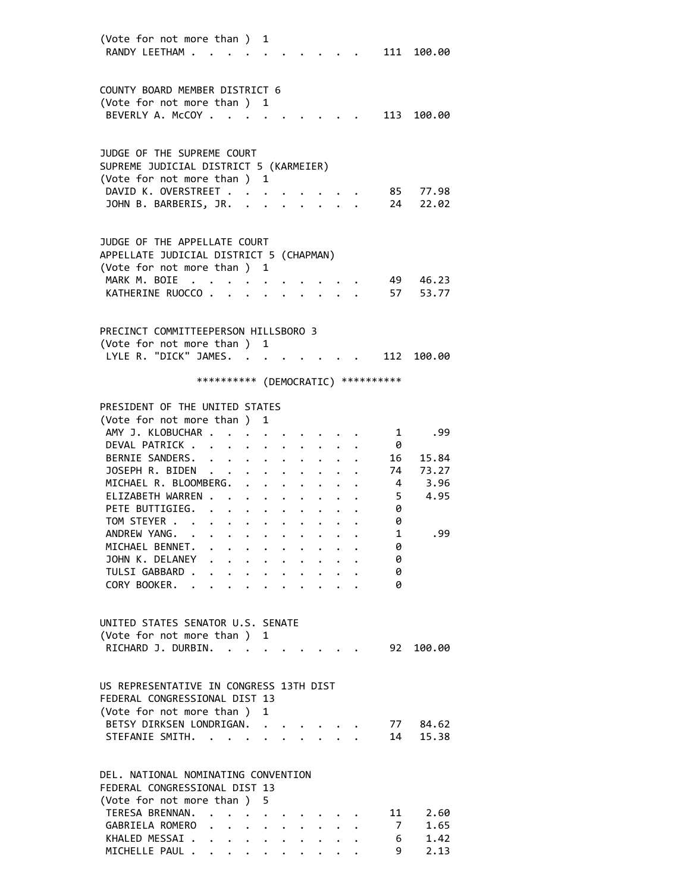| (Vote for not more than )               |                                                                                                                                                                                                                                                                                                                                                                                                                                                                                                                               |                                                                             | 1                    |                      |                                                                       |  |                                     |            |
|-----------------------------------------|-------------------------------------------------------------------------------------------------------------------------------------------------------------------------------------------------------------------------------------------------------------------------------------------------------------------------------------------------------------------------------------------------------------------------------------------------------------------------------------------------------------------------------|-----------------------------------------------------------------------------|----------------------|----------------------|-----------------------------------------------------------------------|--|-------------------------------------|------------|
| RANDY LEETHAM                           |                                                                                                                                                                                                                                                                                                                                                                                                                                                                                                                               |                                                                             |                      |                      |                                                                       |  |                                     | 111 100.00 |
|                                         |                                                                                                                                                                                                                                                                                                                                                                                                                                                                                                                               |                                                                             |                      |                      |                                                                       |  |                                     |            |
|                                         |                                                                                                                                                                                                                                                                                                                                                                                                                                                                                                                               |                                                                             |                      |                      |                                                                       |  |                                     |            |
| COUNTY BOARD MEMBER DISTRICT 6          |                                                                                                                                                                                                                                                                                                                                                                                                                                                                                                                               |                                                                             |                      |                      |                                                                       |  |                                     |            |
| (Vote for not more than ) 1             |                                                                                                                                                                                                                                                                                                                                                                                                                                                                                                                               |                                                                             |                      |                      |                                                                       |  |                                     |            |
| BEVERLY A. McCOY                        |                                                                                                                                                                                                                                                                                                                                                                                                                                                                                                                               |                                                                             |                      |                      |                                                                       |  | 113                                 | 100.00     |
|                                         |                                                                                                                                                                                                                                                                                                                                                                                                                                                                                                                               |                                                                             |                      |                      |                                                                       |  |                                     |            |
|                                         |                                                                                                                                                                                                                                                                                                                                                                                                                                                                                                                               |                                                                             |                      |                      |                                                                       |  |                                     |            |
| JUDGE OF THE SUPREME COURT              |                                                                                                                                                                                                                                                                                                                                                                                                                                                                                                                               |                                                                             |                      |                      |                                                                       |  |                                     |            |
| SUPREME JUDICIAL DISTRICT 5 (KARMEIER)  |                                                                                                                                                                                                                                                                                                                                                                                                                                                                                                                               |                                                                             |                      |                      |                                                                       |  |                                     |            |
| (Vote for not more than ) 1             |                                                                                                                                                                                                                                                                                                                                                                                                                                                                                                                               |                                                                             |                      |                      |                                                                       |  |                                     |            |
| DAVID K. OVERSTREET                     |                                                                                                                                                                                                                                                                                                                                                                                                                                                                                                                               |                                                                             |                      |                      |                                                                       |  |                                     | 85 77.98   |
| JOHN B. BARBERIS, JR. .                 |                                                                                                                                                                                                                                                                                                                                                                                                                                                                                                                               |                                                                             |                      |                      |                                                                       |  | 24                                  | 22.02      |
|                                         |                                                                                                                                                                                                                                                                                                                                                                                                                                                                                                                               |                                                                             |                      |                      |                                                                       |  |                                     |            |
|                                         |                                                                                                                                                                                                                                                                                                                                                                                                                                                                                                                               |                                                                             |                      |                      |                                                                       |  |                                     |            |
|                                         |                                                                                                                                                                                                                                                                                                                                                                                                                                                                                                                               |                                                                             |                      |                      |                                                                       |  |                                     |            |
| JUDGE OF THE APPELLATE COURT            |                                                                                                                                                                                                                                                                                                                                                                                                                                                                                                                               |                                                                             |                      |                      |                                                                       |  |                                     |            |
| APPELLATE JUDICIAL DISTRICT 5 (CHAPMAN) |                                                                                                                                                                                                                                                                                                                                                                                                                                                                                                                               |                                                                             |                      |                      |                                                                       |  |                                     |            |
| (Vote for not more than ) 1             |                                                                                                                                                                                                                                                                                                                                                                                                                                                                                                                               |                                                                             |                      |                      |                                                                       |  |                                     |            |
| MARK M. BOIE<br>$\ddot{\phantom{a}}$    |                                                                                                                                                                                                                                                                                                                                                                                                                                                                                                                               |                                                                             |                      |                      |                                                                       |  |                                     | 49 46.23   |
| KATHERINE RUOCCO.                       |                                                                                                                                                                                                                                                                                                                                                                                                                                                                                                                               | $\bullet$                                                                   |                      |                      |                                                                       |  | 57                                  | 53.77      |
|                                         |                                                                                                                                                                                                                                                                                                                                                                                                                                                                                                                               |                                                                             |                      |                      |                                                                       |  |                                     |            |
|                                         |                                                                                                                                                                                                                                                                                                                                                                                                                                                                                                                               |                                                                             |                      |                      |                                                                       |  |                                     |            |
| PRECINCT COMMITTEEPERSON HILLSBORO 3    |                                                                                                                                                                                                                                                                                                                                                                                                                                                                                                                               |                                                                             |                      |                      |                                                                       |  |                                     |            |
| (Vote for not more than ) 1             |                                                                                                                                                                                                                                                                                                                                                                                                                                                                                                                               |                                                                             |                      |                      |                                                                       |  |                                     |            |
| LYLE R. "DICK" JAMES.                   |                                                                                                                                                                                                                                                                                                                                                                                                                                                                                                                               |                                                                             |                      |                      |                                                                       |  |                                     | 112 100.00 |
|                                         |                                                                                                                                                                                                                                                                                                                                                                                                                                                                                                                               |                                                                             |                      |                      |                                                                       |  |                                     |            |
|                                         |                                                                                                                                                                                                                                                                                                                                                                                                                                                                                                                               |                                                                             |                      |                      |                                                                       |  | *********** (DEMOCRATIC) ********** |            |
|                                         |                                                                                                                                                                                                                                                                                                                                                                                                                                                                                                                               |                                                                             |                      |                      |                                                                       |  |                                     |            |
| PRESIDENT OF THE UNITED STATES          |                                                                                                                                                                                                                                                                                                                                                                                                                                                                                                                               |                                                                             |                      |                      |                                                                       |  |                                     |            |
| (Vote for not more than ) 1             |                                                                                                                                                                                                                                                                                                                                                                                                                                                                                                                               |                                                                             |                      |                      |                                                                       |  |                                     |            |
| AMY J. KLOBUCHAR                        |                                                                                                                                                                                                                                                                                                                                                                                                                                                                                                                               |                                                                             |                      |                      |                                                                       |  | 1                                   | .99        |
| DEVAL PATRICK                           |                                                                                                                                                                                                                                                                                                                                                                                                                                                                                                                               |                                                                             |                      |                      |                                                                       |  | -0                                  |            |
| BERNIE SANDERS.                         |                                                                                                                                                                                                                                                                                                                                                                                                                                                                                                                               |                                                                             |                      |                      |                                                                       |  |                                     |            |
|                                         |                                                                                                                                                                                                                                                                                                                                                                                                                                                                                                                               | $\ddot{\phantom{0}}$                                                        | $\ddot{\phantom{0}}$ | $\ddot{\phantom{0}}$ |                                                                       |  | 16                                  | 15.84      |
| JOSEPH R. BIDEN                         |                                                                                                                                                                                                                                                                                                                                                                                                                                                                                                                               | $\ddot{\phantom{0}}$                                                        |                      |                      |                                                                       |  | 74                                  | 73.27      |
| MICHAEL R. BLOOMBERG.                   |                                                                                                                                                                                                                                                                                                                                                                                                                                                                                                                               |                                                                             |                      | $\bullet$            |                                                                       |  |                                     | 4 3.96     |
| ELIZABETH WARREN .                      |                                                                                                                                                                                                                                                                                                                                                                                                                                                                                                                               |                                                                             |                      | $\ddot{\phantom{0}}$ |                                                                       |  | - 5                                 | 4.95       |
| PETE BUTTIGIEG.                         |                                                                                                                                                                                                                                                                                                                                                                                                                                                                                                                               | $\bullet$ .<br><br><br><br><br><br><br><br><br><br><br><br><br><br><br><br> |                      |                      |                                                                       |  | 0                                   |            |
| TOM STEYER                              |                                                                                                                                                                                                                                                                                                                                                                                                                                                                                                                               |                                                                             |                      |                      |                                                                       |  | 0                                   |            |
| ANDREW YANG.                            | $\mathcal{A}(\mathcal{A})$ , and $\mathcal{A}(\mathcal{A})$ , and $\mathcal{A}(\mathcal{A})$                                                                                                                                                                                                                                                                                                                                                                                                                                  |                                                                             |                      |                      |                                                                       |  | $\mathbf{1}$                        | .99        |
| MICHAEL BENNET.                         | $\mathbf{r}$ , and $\mathbf{r}$ , and $\mathbf{r}$ , and $\mathbf{r}$                                                                                                                                                                                                                                                                                                                                                                                                                                                         |                                                                             |                      |                      |                                                                       |  | 0                                   |            |
| JOHN K. DELANEY                         | $\mathbf{r} = \mathbf{r} + \mathbf{r} + \mathbf{r} + \mathbf{r} + \mathbf{r} + \mathbf{r} + \mathbf{r} + \mathbf{r}$                                                                                                                                                                                                                                                                                                                                                                                                          |                                                                             |                      |                      |                                                                       |  | 0                                   |            |
| TULSI GABBARD .                         |                                                                                                                                                                                                                                                                                                                                                                                                                                                                                                                               |                                                                             |                      |                      | $\mathbf{r}$ , and $\mathbf{r}$ , and $\mathbf{r}$ , and $\mathbf{r}$ |  | 0                                   |            |
| CORY BOOKER. .                          | $\mathbf{r}$ , and $\mathbf{r}$ , and $\mathbf{r}$ , and $\mathbf{r}$ , and $\mathbf{r}$                                                                                                                                                                                                                                                                                                                                                                                                                                      |                                                                             |                      |                      |                                                                       |  | 0                                   |            |
|                                         |                                                                                                                                                                                                                                                                                                                                                                                                                                                                                                                               |                                                                             |                      |                      |                                                                       |  |                                     |            |
|                                         |                                                                                                                                                                                                                                                                                                                                                                                                                                                                                                                               |                                                                             |                      |                      |                                                                       |  |                                     |            |
| UNITED STATES SENATOR U.S. SENATE       |                                                                                                                                                                                                                                                                                                                                                                                                                                                                                                                               |                                                                             |                      |                      |                                                                       |  |                                     |            |
| (Vote for not more than ) 1             |                                                                                                                                                                                                                                                                                                                                                                                                                                                                                                                               |                                                                             |                      |                      |                                                                       |  |                                     |            |
| RICHARD J. DURBIN.                      |                                                                                                                                                                                                                                                                                                                                                                                                                                                                                                                               |                                                                             |                      |                      |                                                                       |  | 92                                  | 100.00     |
|                                         |                                                                                                                                                                                                                                                                                                                                                                                                                                                                                                                               |                                                                             |                      |                      |                                                                       |  |                                     |            |
|                                         |                                                                                                                                                                                                                                                                                                                                                                                                                                                                                                                               |                                                                             |                      |                      |                                                                       |  |                                     |            |
| US REPRESENTATIVE IN CONGRESS 13TH DIST |                                                                                                                                                                                                                                                                                                                                                                                                                                                                                                                               |                                                                             |                      |                      |                                                                       |  |                                     |            |
|                                         |                                                                                                                                                                                                                                                                                                                                                                                                                                                                                                                               |                                                                             |                      |                      |                                                                       |  |                                     |            |
| FEDERAL CONGRESSIONAL DIST 13           |                                                                                                                                                                                                                                                                                                                                                                                                                                                                                                                               |                                                                             |                      |                      |                                                                       |  |                                     |            |
| (Vote for not more than ) 1             |                                                                                                                                                                                                                                                                                                                                                                                                                                                                                                                               |                                                                             |                      |                      |                                                                       |  |                                     |            |
| BETSY DIRKSEN LONDRIGAN.                |                                                                                                                                                                                                                                                                                                                                                                                                                                                                                                                               |                                                                             |                      |                      |                                                                       |  |                                     | 77 84.62   |
| STEFANIE SMITH.                         |                                                                                                                                                                                                                                                                                                                                                                                                                                                                                                                               |                                                                             |                      |                      | $\ddot{\phantom{0}}$                                                  |  | 14                                  | 15.38      |
|                                         |                                                                                                                                                                                                                                                                                                                                                                                                                                                                                                                               |                                                                             |                      |                      |                                                                       |  |                                     |            |
|                                         |                                                                                                                                                                                                                                                                                                                                                                                                                                                                                                                               |                                                                             |                      |                      |                                                                       |  |                                     |            |
| DEL. NATIONAL NOMINATING CONVENTION     |                                                                                                                                                                                                                                                                                                                                                                                                                                                                                                                               |                                                                             |                      |                      |                                                                       |  |                                     |            |
| FEDERAL CONGRESSIONAL DIST 13           |                                                                                                                                                                                                                                                                                                                                                                                                                                                                                                                               |                                                                             |                      |                      |                                                                       |  |                                     |            |
| (Vote for not more than ) 5             |                                                                                                                                                                                                                                                                                                                                                                                                                                                                                                                               |                                                                             |                      |                      |                                                                       |  |                                     |            |
| TERESA BRENNAN.                         |                                                                                                                                                                                                                                                                                                                                                                                                                                                                                                                               |                                                                             |                      |                      |                                                                       |  | 11                                  | 2.60       |
| GABRIELA ROMERO                         | $\cdot$ $\cdot$ $\cdot$ $\cdot$ $\cdot$                                                                                                                                                                                                                                                                                                                                                                                                                                                                                       |                                                                             |                      |                      | $\mathbf{r} = \mathbf{r} + \mathbf{r}$ , where $\mathbf{r}$           |  | 7                                   | 1.65       |
| KHALED MESSAI .                         |                                                                                                                                                                                                                                                                                                                                                                                                                                                                                                                               |                                                                             |                      |                      |                                                                       |  | 6                                   | 1.42       |
| MICHELLE PAUL .                         | $\bullet \qquad \bullet \qquad \bullet \qquad \bullet \qquad \bullet$<br>$\label{eq:reduced} \begin{array}{lllllllllllllllllllll} \mathbf{1}_{\mathbf{1}_{\mathbf{1}_{\mathbf{1}_{\mathbf{1}_{\mathbf{1}}}}\mathbf{1}_{\mathbf{1}_{\mathbf{1}}\mathbf{1}_{\mathbf{1}}\mathbf{1}_{\mathbf{1}}\mathbf{1}_{\mathbf{1}}\mathbf{1}_{\mathbf{1}}\mathbf{1}_{\mathbf{1}}\mathbf{1}_{\mathbf{1}}\mathbf{1}_{\mathbf{1}}\mathbf{1}_{\mathbf{1}}\mathbf{1}_{\mathbf{1}}\mathbf{1}_{\mathbf{1}}\mathbf{1}_{\mathbf{1}}\mathbf{1}_{\math$ |                                                                             |                      | $\bullet$ .          |                                                                       |  | 9                                   | 2.13       |
|                                         |                                                                                                                                                                                                                                                                                                                                                                                                                                                                                                                               |                                                                             |                      |                      |                                                                       |  |                                     |            |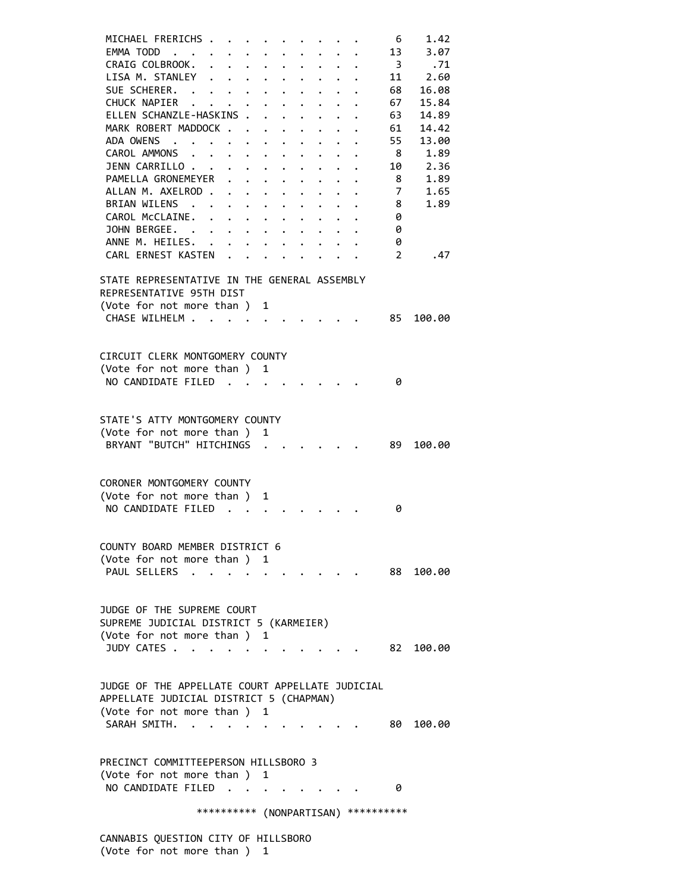|  | MICHAEL FRERICHS .<br>EMMA TODD<br>CRAIG COLBROOK.<br>LISA M. STANLEY<br>SUE SCHERER.<br>CHUCK NAPIER<br>ELLEN SCHANZLE-HASKINS .<br>MARK ROBERT MADDOCK<br>ADA OWENS<br>CAROL AMMONS<br>JENN CARRILLO<br>PAMELLA GRONEMEYER<br>ALLAN M. AXELROD<br>BRIAN WILENS .<br>CAROL McCLAINE.<br>JOHN BERGEE. | $\mathbf{L}$ | $\mathbf{r} = \mathbf{r} + \mathbf{r}$<br>$\sim$ $\sim$ $\sim$<br>$\cdot$ $\cdot$ $\cdot$ | $\bullet$ . $\bullet$<br>$\ddot{\phantom{0}}$<br>$\ddot{\phantom{a}}$<br>$\ddot{\phantom{0}}$ | $\bullet$ .<br>$\mathbf{L}$<br>$\bullet$ .<br>$\ddot{\phantom{0}}$ | $\ddot{\phantom{0}}$<br>$\ddot{\phantom{a}}$<br>$\bullet$ .<br><br><br><br><br><br><br><br><br><br><br><br><br><br><br>$\bullet$ .<br><br><br><br><br><br><br><br><br><br><br><br><br><br>$\bullet$ .<br><br><br><br><br><br><br><br><br><br><br><br><br><br><br>$\ddot{\phantom{0}}$<br>$\ddot{\phantom{0}}$<br>$\bullet$ .<br><br><br><br><br><br><br><br><br><br><br><br><br><br><br><br><br>$\mathbf{r} = \mathbf{r} + \mathbf{r}$ , where $\mathbf{r} = \mathbf{r}$ | $\ddot{\phantom{0}}$<br>$\ddot{\phantom{0}}$<br>$\ddot{\phantom{0}}$<br>$\ddot{\phantom{0}}$<br>$\ddot{\phantom{0}}$<br>$\bullet$ .<br>$\ddot{\phantom{0}}$<br>$\ddot{\phantom{0}}$<br>$\ddot{\phantom{0}}$<br>$\ddot{\bullet}$ | $\ddot{\phantom{0}}$<br>$\mathbf{L}$<br>$\ddot{\phantom{0}}$<br>$\bullet$<br>$\ddot{\phantom{0}}$<br>$\ddot{\phantom{0}}$ |  | 6<br>13<br>$\overline{\mathbf{3}}$<br>11<br>68<br>67<br>63<br>61<br>55<br>- 8<br>10<br>8<br>7<br>8<br>0<br>0 | 1.42<br>3.07<br>.71<br>2.60<br>16.08<br>15.84<br>14.89<br>14.42<br>13.00<br>1.89<br>2.36<br>1.89<br>1.65<br>1.89 |
|--|-------------------------------------------------------------------------------------------------------------------------------------------------------------------------------------------------------------------------------------------------------------------------------------------------------|--------------|-------------------------------------------------------------------------------------------|-----------------------------------------------------------------------------------------------|--------------------------------------------------------------------|--------------------------------------------------------------------------------------------------------------------------------------------------------------------------------------------------------------------------------------------------------------------------------------------------------------------------------------------------------------------------------------------------------------------------------------------------------------------------|---------------------------------------------------------------------------------------------------------------------------------------------------------------------------------------------------------------------------------|---------------------------------------------------------------------------------------------------------------------------|--|--------------------------------------------------------------------------------------------------------------|------------------------------------------------------------------------------------------------------------------|
|  | ANNE M. HEILES. .<br>CARL ERNEST KASTEN                                                                                                                                                                                                                                                               |              |                                                                                           |                                                                                               |                                                                    |                                                                                                                                                                                                                                                                                                                                                                                                                                                                          |                                                                                                                                                                                                                                 |                                                                                                                           |  | 0<br>$\mathfrak{D}$                                                                                          |                                                                                                                  |
|  |                                                                                                                                                                                                                                                                                                       |              |                                                                                           |                                                                                               |                                                                    |                                                                                                                                                                                                                                                                                                                                                                                                                                                                          |                                                                                                                                                                                                                                 |                                                                                                                           |  |                                                                                                              | .47                                                                                                              |
|  | STATE REPRESENTATIVE IN THE GENERAL ASSEMBLY<br>REPRESENTATIVE 95TH DIST<br>(Vote for not more than )<br>CHASE WILHELM .                                                                                                                                                                              |              | $\cdot$ .                                                                                 |                                                                                               | 1<br>$\sim$ $\sim$ $\sim$ $\sim$                                   |                                                                                                                                                                                                                                                                                                                                                                                                                                                                          |                                                                                                                                                                                                                                 |                                                                                                                           |  | 85                                                                                                           | 100.00                                                                                                           |
|  |                                                                                                                                                                                                                                                                                                       |              |                                                                                           |                                                                                               |                                                                    |                                                                                                                                                                                                                                                                                                                                                                                                                                                                          |                                                                                                                                                                                                                                 |                                                                                                                           |  |                                                                                                              |                                                                                                                  |
|  | CIRCUIT CLERK MONTGOMERY COUNTY<br>(Vote for not more than ) 1<br>NO CANDIDATE FILED                                                                                                                                                                                                                  |              |                                                                                           |                                                                                               |                                                                    |                                                                                                                                                                                                                                                                                                                                                                                                                                                                          |                                                                                                                                                                                                                                 |                                                                                                                           |  | 0                                                                                                            |                                                                                                                  |
|  | STATE'S ATTY MONTGOMERY COUNTY<br>(Vote for not more than ) 1<br>BRYANT "BUTCH" HITCHINGS                                                                                                                                                                                                             |              |                                                                                           |                                                                                               |                                                                    |                                                                                                                                                                                                                                                                                                                                                                                                                                                                          |                                                                                                                                                                                                                                 |                                                                                                                           |  | 89 -                                                                                                         | 100.00                                                                                                           |
|  | CORONER MONTGOMERY COUNTY<br>(Vote for not more than ) 1<br>NO CANDIDATE FILED                                                                                                                                                                                                                        |              |                                                                                           | $\mathbf{L}$ $\mathbf{L}$ $\mathbf{L}$                                                        |                                                                    |                                                                                                                                                                                                                                                                                                                                                                                                                                                                          |                                                                                                                                                                                                                                 |                                                                                                                           |  | 0                                                                                                            |                                                                                                                  |
|  | COUNTY BOARD MEMBER DISTRICT 6<br>(Vote for not more than) 1<br>PAUL SELLERS                                                                                                                                                                                                                          |              |                                                                                           |                                                                                               |                                                                    |                                                                                                                                                                                                                                                                                                                                                                                                                                                                          |                                                                                                                                                                                                                                 |                                                                                                                           |  |                                                                                                              | 88 100.00                                                                                                        |
|  | JUDGE OF THE SUPREME COURT<br>SUPREME JUDICIAL DISTRICT 5 (KARMEIER)<br>(Vote for not more than ) 1<br>JUDY CATES                                                                                                                                                                                     |              |                                                                                           |                                                                                               |                                                                    |                                                                                                                                                                                                                                                                                                                                                                                                                                                                          |                                                                                                                                                                                                                                 |                                                                                                                           |  | 82.                                                                                                          | 100.00                                                                                                           |
|  | JUDGE OF THE APPELLATE COURT APPELLATE JUDICIAL<br>APPELLATE JUDICIAL DISTRICT 5 (CHAPMAN)<br>(Vote for not more than ) 1<br>SARAH SMITH.                                                                                                                                                             |              |                                                                                           |                                                                                               |                                                                    |                                                                                                                                                                                                                                                                                                                                                                                                                                                                          |                                                                                                                                                                                                                                 |                                                                                                                           |  |                                                                                                              | 80 100.00                                                                                                        |
|  | PRECINCT COMMITTEEPERSON HILLSBORO 3<br>(Vote for not more than) 1<br>NO CANDIDATE FILED                                                                                                                                                                                                              |              |                                                                                           |                                                                                               |                                                                    |                                                                                                                                                                                                                                                                                                                                                                                                                                                                          |                                                                                                                                                                                                                                 |                                                                                                                           |  | 0                                                                                                            |                                                                                                                  |
|  |                                                                                                                                                                                                                                                                                                       |              |                                                                                           |                                                                                               |                                                                    |                                                                                                                                                                                                                                                                                                                                                                                                                                                                          |                                                                                                                                                                                                                                 |                                                                                                                           |  | *********** (NONPARTISAN) ***********                                                                        |                                                                                                                  |
|  |                                                                                                                                                                                                                                                                                                       |              |                                                                                           |                                                                                               |                                                                    |                                                                                                                                                                                                                                                                                                                                                                                                                                                                          |                                                                                                                                                                                                                                 |                                                                                                                           |  |                                                                                                              |                                                                                                                  |

 CANNABIS QUESTION CITY OF HILLSBORO (Vote for not more than ) 1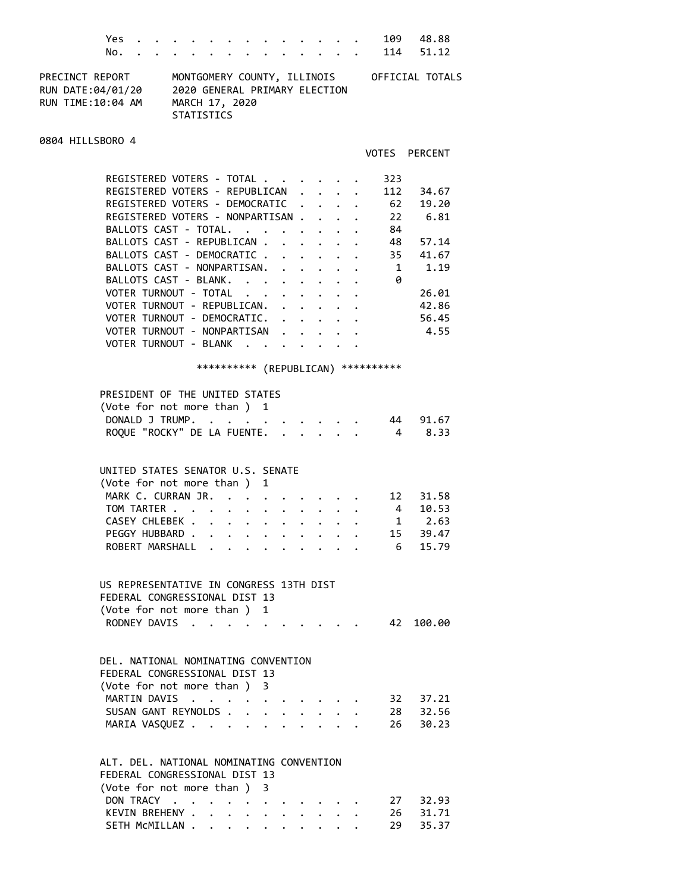| Yes                                                                                                                                                                                                                                                                                                                                                                                                                             |                                                                                                     |                                                                        |                            |                                                              |                                          |                                                 | 109 48.88                                                                              |  |
|---------------------------------------------------------------------------------------------------------------------------------------------------------------------------------------------------------------------------------------------------------------------------------------------------------------------------------------------------------------------------------------------------------------------------------|-----------------------------------------------------------------------------------------------------|------------------------------------------------------------------------|----------------------------|--------------------------------------------------------------|------------------------------------------|-------------------------------------------------|----------------------------------------------------------------------------------------|--|
| No.                                                                                                                                                                                                                                                                                                                                                                                                                             |                                                                                                     |                                                                        |                            |                                                              |                                          |                                                 | 114 51.12                                                                              |  |
| PRECINCT REPORT<br>RUN DATE:04/01/20<br>RUN TIME: 10:04 AM                                                                                                                                                                                                                                                                                                                                                                      | MONTGOMERY COUNTY, ILLINOIS<br>2020 GENERAL PRIMARY ELECTION<br>MARCH 17, 2020<br><b>STATISTICS</b> |                                                                        |                            |                                                              |                                          |                                                 | OFFICIAL TOTALS                                                                        |  |
| 0804 HILLSBORO 4                                                                                                                                                                                                                                                                                                                                                                                                                |                                                                                                     |                                                                        |                            |                                                              |                                          | VOTES                                           | <b>PERCENT</b>                                                                         |  |
|                                                                                                                                                                                                                                                                                                                                                                                                                                 |                                                                                                     |                                                                        |                            |                                                              |                                          |                                                 |                                                                                        |  |
| REGISTERED VOTERS - TOTAL<br>REGISTERED VOTERS - REPUBLICAN<br>REGISTERED VOTERS - DEMOCRATIC<br>REGISTERED VOTERS - NONPARTISAN.<br>BALLOTS CAST - TOTAL.<br>BALLOTS CAST - REPUBLICAN .<br>BALLOTS CAST - DEMOCRATIC .<br>BALLOTS CAST - NONPARTISAN.<br>BALLOTS CAST - BLANK.<br>VOTER TURNOUT - TOTAL<br>VOTER TURNOUT - REPUBLICAN.<br>VOTER TURNOUT - DEMOCRATIC.<br>VOTER TURNOUT - NONPARTISAN<br>VOTER TURNOUT - BLANK |                                                                                                     | $\mathbf{L}$<br>$\ddot{\phantom{a}}$<br>$\sim$ $\sim$ $\sim$<br>$\sim$ | $\bullet$<br>$\sim$ $\sim$ | $\ddot{\phantom{0}}$<br>$\mathbf{r}$<br>$\ddot{\phantom{0}}$ |                                          | 323<br>112<br>62<br>22<br>84<br>35<br>1<br>0    | 34.67<br>19.20<br>6.81<br>48 57.14<br>41.67<br>1.19<br>26.01<br>42.86<br>56.45<br>4.55 |  |
| PRESIDENT OF THE UNITED STATES<br>(Vote for not more than)<br>DONALD J TRUMP.<br>ROQUE "ROCKY" DE LA FUENTE.                                                                                                                                                                                                                                                                                                                    |                                                                                                     | **********                                                             | - 1                        |                                                              |                                          | (REPUBLICAN) **********<br>44<br>$\overline{4}$ | 91.67<br>8.33                                                                          |  |
| UNITED STATES SENATOR U.S. SENATE<br>(Vote for not more than )<br>MARK C. CURRAN JR.<br>TOM TARTER<br>CASEY CHLEBEK                                                                                                                                                                                                                                                                                                             |                                                                                                     |                                                                        | 1                          |                                                              |                                          |                                                 | 12 31.58<br>4 10.53                                                                    |  |
| PEGGY HUBBARD<br>ROBERT MARSHALL                                                                                                                                                                                                                                                                                                                                                                                                |                                                                                                     | $\mathbf{A}$                                                           |                            |                                                              |                                          |                                                 | $\begin{array}{ccc} 1 & 2.63 \\ 15 & 39.47 \end{array}$<br>$6$ 15.79                   |  |
| US REPRESENTATIVE IN CONGRESS 13TH DIST<br>FEDERAL CONGRESSIONAL DIST 13<br>(Vote for not more than) 1                                                                                                                                                                                                                                                                                                                          |                                                                                                     |                                                                        |                            |                                                              |                                          | 42                                              |                                                                                        |  |
| RODNEY DAVIS<br>DEL. NATIONAL NOMINATING CONVENTION<br>FEDERAL CONGRESSIONAL DIST 13                                                                                                                                                                                                                                                                                                                                            |                                                                                                     |                                                                        |                            |                                                              |                                          |                                                 | 100.00                                                                                 |  |
| (Vote for not more than ) 3<br>MARTIN DAVIS<br>SUSAN GANT REYNOLDS<br>MARIA VASQUEZ                                                                                                                                                                                                                                                                                                                                             |                                                                                                     |                                                                        | $\ddot{\phantom{0}}$       | $\ddot{\phantom{0}}$                                         | $\mathbf{r} = \mathbf{r} + \mathbf{r}$ . | 26                                              | 32 37.21<br>28 32.56<br>30.23                                                          |  |

### ALT. DEL. NATIONAL NOMINATING CONVENTION FEDERAL CONGRESSIONAL DIST 13 (Vote for not more than ) 3 DON TRACY . . . . . . . . . . . 27 32.93 KEVIN BREHENY . . . . . . . . . . 26 31.71 SETH McMILLAN . . . . . . . . . . 29 35.37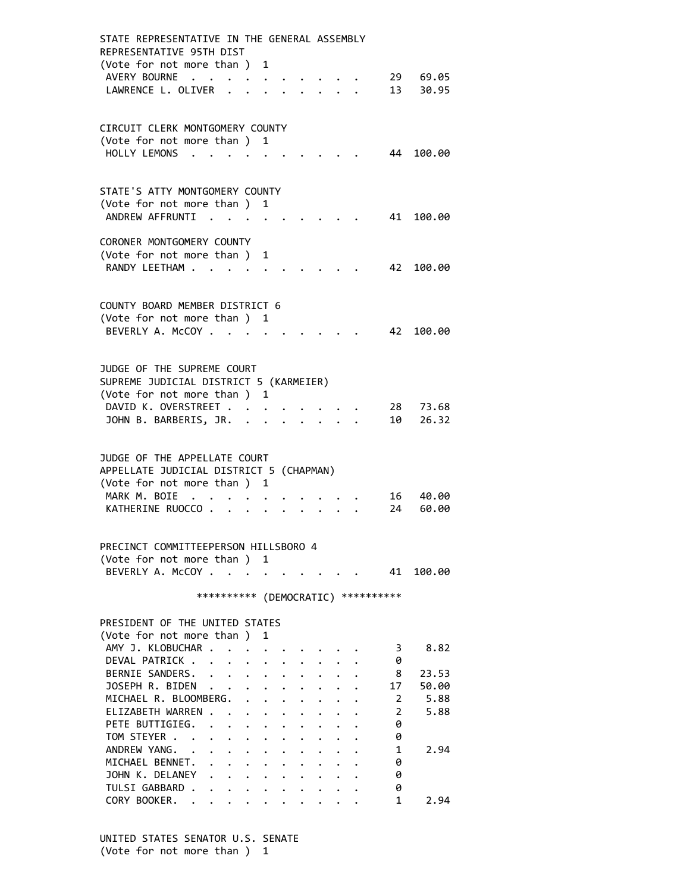| STATE REPRESENTATIVE IN THE GENERAL ASSEMBLY<br>REPRESENTATIVE 95TH DIST |                                   |                                         |                      |                                  |                      |                      |                                                         |                         |           |
|--------------------------------------------------------------------------|-----------------------------------|-----------------------------------------|----------------------|----------------------------------|----------------------|----------------------|---------------------------------------------------------|-------------------------|-----------|
| (Vote for not more than) 1                                               |                                   |                                         |                      |                                  |                      |                      |                                                         |                         |           |
| AVERY BOURNE                                                             | $\ddot{\phantom{a}}$<br>$\bullet$ | $\bullet$ .<br><br><br><br><br><br><br> |                      |                                  |                      |                      |                                                         |                         | 29 69.05  |
| LAWRENCE L. OLIVER .                                                     |                                   |                                         |                      |                                  |                      |                      |                                                         | 13                      | 30.95     |
|                                                                          |                                   |                                         |                      |                                  |                      |                      |                                                         |                         |           |
| CIRCUIT CLERK MONTGOMERY COUNTY                                          |                                   |                                         |                      |                                  |                      |                      |                                                         |                         |           |
| (Vote for not more than ) 1                                              |                                   |                                         |                      |                                  |                      |                      |                                                         |                         |           |
| HOLLY LEMONS                                                             |                                   |                                         |                      |                                  |                      |                      |                                                         | 44                      | 100.00    |
|                                                                          |                                   |                                         |                      |                                  |                      |                      |                                                         |                         |           |
|                                                                          |                                   |                                         |                      |                                  |                      |                      |                                                         |                         |           |
| STATE'S ATTY MONTGOMERY COUNTY                                           |                                   |                                         |                      |                                  |                      |                      |                                                         |                         |           |
| (Vote for not more than)                                                 |                                   |                                         | 1                    |                                  |                      |                      |                                                         |                         |           |
| ANDREW AFFRUNTI                                                          |                                   |                                         |                      |                                  |                      |                      |                                                         |                         | 41 100.00 |
| CORONER MONTGOMERY COUNTY                                                |                                   |                                         |                      |                                  |                      |                      |                                                         |                         |           |
| (Vote for not more than ) 1                                              |                                   |                                         |                      |                                  |                      |                      |                                                         |                         |           |
| RANDY LEETHAM                                                            |                                   |                                         |                      |                                  |                      |                      |                                                         | 42                      | 100.00    |
|                                                                          |                                   |                                         |                      |                                  |                      |                      |                                                         |                         |           |
|                                                                          |                                   |                                         |                      |                                  |                      |                      |                                                         |                         |           |
| COUNTY BOARD MEMBER DISTRICT 6                                           |                                   |                                         |                      |                                  |                      |                      |                                                         |                         |           |
| (Vote for not more than ) 1                                              |                                   |                                         |                      |                                  |                      |                      |                                                         |                         |           |
| BEVERLY A. McCOY .                                                       | $\sim$ $\sim$                     |                                         |                      |                                  |                      |                      |                                                         | 42                      | 100.00    |
|                                                                          |                                   |                                         |                      |                                  |                      |                      |                                                         |                         |           |
| JUDGE OF THE SUPREME COURT                                               |                                   |                                         |                      |                                  |                      |                      |                                                         |                         |           |
| SUPREME JUDICIAL DISTRICT 5 (KARMEIER)                                   |                                   |                                         |                      |                                  |                      |                      |                                                         |                         |           |
| (Vote for not more than ) 1                                              |                                   |                                         |                      |                                  |                      |                      |                                                         |                         |           |
| DAVID K. OVERSTREET                                                      |                                   |                                         |                      |                                  |                      |                      |                                                         | 28                      | 73.68     |
| JOHN B. BARBERIS, JR. .                                                  |                                   |                                         |                      |                                  |                      |                      |                                                         | 10                      | 26.32     |
|                                                                          |                                   |                                         |                      |                                  |                      |                      |                                                         |                         |           |
|                                                                          |                                   |                                         |                      |                                  |                      |                      |                                                         |                         |           |
| JUDGE OF THE APPELLATE COURT                                             |                                   |                                         |                      |                                  |                      |                      |                                                         |                         |           |
| APPELLATE JUDICIAL DISTRICT 5 (CHAPMAN)<br>(Vote for not more than ) 1   |                                   |                                         |                      |                                  |                      |                      |                                                         |                         |           |
| MARK M. BOIE<br>$\cdot$ .                                                |                                   |                                         |                      |                                  |                      |                      |                                                         | 16                      | 40.00     |
| KATHERINE RUOCCO.                                                        |                                   |                                         |                      |                                  |                      |                      |                                                         | 24                      | 60.00     |
|                                                                          |                                   |                                         |                      |                                  |                      |                      |                                                         |                         |           |
|                                                                          |                                   |                                         |                      |                                  |                      |                      |                                                         |                         |           |
| PRECINCT COMMITTEEPERSON HILLSBORO 4                                     |                                   |                                         |                      |                                  |                      |                      |                                                         |                         |           |
| (Vote for not more than ) 1                                              |                                   |                                         |                      |                                  |                      |                      |                                                         |                         |           |
| BEVERLY A. McCOY                                                         |                                   |                                         |                      |                                  |                      |                      |                                                         | 41                      | 100.00    |
|                                                                          | **********                        |                                         |                      |                                  |                      |                      |                                                         | (DEMOCRATIC) ********** |           |
|                                                                          |                                   |                                         |                      |                                  |                      |                      |                                                         |                         |           |
| PRESIDENT OF THE UNITED STATES                                           |                                   |                                         |                      |                                  |                      |                      |                                                         |                         |           |
| (Vote for not more than)                                                 |                                   |                                         | 1                    |                                  |                      |                      |                                                         |                         |           |
| AMY J. KLOBUCHAR .                                                       |                                   |                                         |                      |                                  |                      |                      |                                                         | 3                       | 8.82      |
| DEVAL PATRICK                                                            |                                   |                                         |                      |                                  |                      |                      |                                                         | 0                       |           |
| BERNIE SANDERS.                                                          | $\mathbf{L} = \mathbf{L}$         | $\ddot{\phantom{0}}$                    | $\ddot{\phantom{0}}$ |                                  |                      |                      |                                                         | 8                       | 23.53     |
| JOSEPH R. BIDEN                                                          | $\ddot{\phantom{0}}$              |                                         |                      | $\cdot$ $\cdot$                  |                      | $\ddot{\phantom{0}}$ |                                                         | 17                      | 50.00     |
| MICHAEL R. BLOOMBERG.                                                    |                                   | $\ddot{\phantom{0}}$                    |                      | $\cdot$ $\cdot$                  | $\ddot{\phantom{0}}$ |                      |                                                         | 2                       | 5.88      |
| ELIZABETH WARREN .<br>PETE BUTTIGIEG.                                    |                                   |                                         |                      | $\ddot{\bullet}$                 |                      |                      |                                                         | 2                       | 5.88      |
| TOM STEYER                                                               | $\ddot{\phantom{a}}$              | $\ddot{\phantom{0}}$                    | $\ddot{\phantom{0}}$ | $\bullet$ . The set of $\bullet$ |                      |                      |                                                         | 0<br>0                  |           |
| ANDREW YANG.                                                             | $\mathbf{L}^{\text{max}}$         | $\bullet$                               |                      |                                  |                      |                      |                                                         | 1                       | 2.94      |
| MICHAEL BENNET.                                                          | $\bullet$ .                       | $\ddot{\phantom{0}}$                    |                      |                                  |                      |                      |                                                         | 0                       |           |
| JOHN K. DELANEY                                                          | $\cdot$ $\cdot$ $\cdot$           |                                         | $\ddot{\phantom{0}}$ | $\ddot{\phantom{0}}$             | $\ddot{\phantom{0}}$ |                      |                                                         | 0                       |           |
| TULSI GABBARD .                                                          | $\cdot$ $\cdot$ $\cdot$ $\cdot$   |                                         |                      |                                  |                      |                      | $\cdot$ $\cdot$ $\cdot$ $\cdot$ $\cdot$ $\cdot$ $\cdot$ | 0                       |           |
| CORY BOOKER.                                                             |                                   |                                         |                      |                                  |                      |                      |                                                         | 1                       | 2.94      |

 UNITED STATES SENATOR U.S. SENATE (Vote for not more than ) 1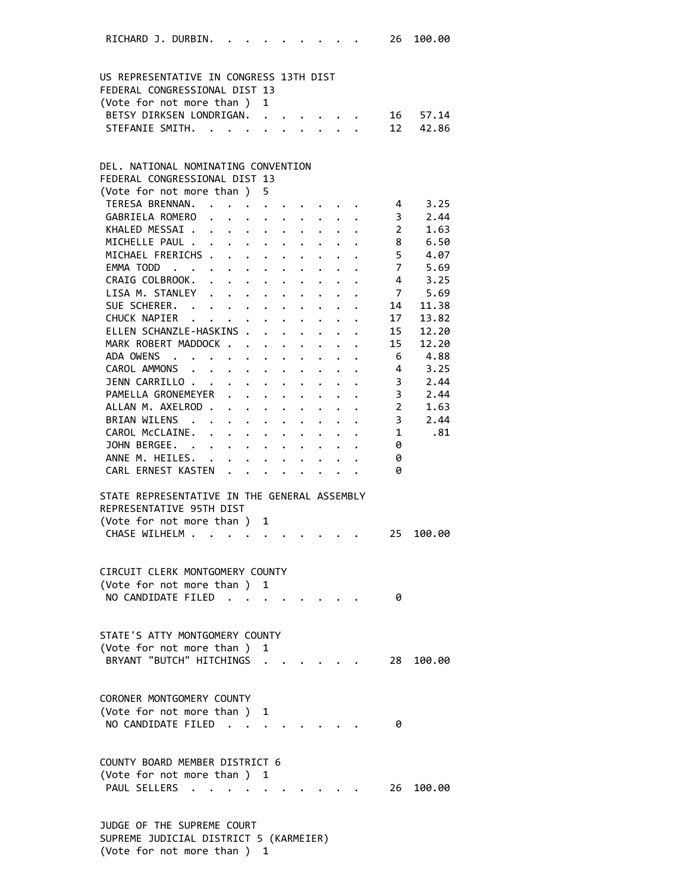| RICHARD J. DURBIN.                                    |  |                                                    |                                                                                            |                                                                               |  |                                                                 | 26                       | 100.00      |  |
|-------------------------------------------------------|--|----------------------------------------------------|--------------------------------------------------------------------------------------------|-------------------------------------------------------------------------------|--|-----------------------------------------------------------------|--------------------------|-------------|--|
|                                                       |  |                                                    |                                                                                            |                                                                               |  |                                                                 |                          |             |  |
| US REPRESENTATIVE IN CONGRESS 13TH DIST               |  |                                                    |                                                                                            |                                                                               |  |                                                                 |                          |             |  |
| FEDERAL CONGRESSIONAL DIST 13                         |  |                                                    | $\mathbf{1}$                                                                               |                                                                               |  |                                                                 |                          |             |  |
| (Vote for not more than )<br>BETSY DIRKSEN LONDRIGAN. |  |                                                    |                                                                                            |                                                                               |  |                                                                 | 16                       | 57.14       |  |
| STEFANIE SMITH.                                       |  |                                                    |                                                                                            |                                                                               |  |                                                                 | 12                       | 42.86       |  |
|                                                       |  |                                                    |                                                                                            |                                                                               |  |                                                                 |                          |             |  |
| DEL. NATIONAL NOMINATING CONVENTION                   |  |                                                    |                                                                                            |                                                                               |  |                                                                 |                          |             |  |
| FEDERAL CONGRESSIONAL DIST 13                         |  |                                                    |                                                                                            |                                                                               |  |                                                                 |                          |             |  |
| (Vote for not more than ) 5                           |  |                                                    |                                                                                            |                                                                               |  |                                                                 |                          |             |  |
| TERESA BRENNAN. 4 3.25                                |  |                                                    |                                                                                            |                                                                               |  |                                                                 |                          |             |  |
| GABRIELA ROMERO                                       |  |                                                    |                                                                                            |                                                                               |  |                                                                 | $\overline{\mathbf{3}}$  | 2.44        |  |
| KHALED MESSAI                                         |  |                                                    |                                                                                            |                                                                               |  |                                                                 | $\overline{\phantom{a}}$ | 1.63        |  |
| MICHELLE PAUL                                         |  |                                                    |                                                                                            |                                                                               |  |                                                                 | 8                        | 6.50        |  |
| MICHAEL FRERICHS                                      |  |                                                    |                                                                                            |                                                                               |  |                                                                 | $5 -$                    | 4.07        |  |
| EMMA TODD                                             |  |                                                    |                                                                                            |                                                                               |  |                                                                 | $\overline{7}$           | 5.69        |  |
| CRAIG COLBROOK.                                       |  |                                                    |                                                                                            |                                                                               |  |                                                                 | $\overline{4}$           | 3.25        |  |
| LISA M. STANLEY                                       |  |                                                    |                                                                                            |                                                                               |  |                                                                 |                          | 7 5.69      |  |
| SUE SCHERER.                                          |  |                                                    |                                                                                            |                                                                               |  |                                                                 | 14                       | 11.38       |  |
| CHUCK NAPIER                                          |  |                                                    |                                                                                            |                                                                               |  | $\cdot$ $\cdot$ $\cdot$ $\cdot$ $\cdot$ $\cdot$ $\cdot$ $\cdot$ | 17                       | 13.82       |  |
| ELLEN SCHANZLE-HASKINS .                              |  |                                                    |                                                                                            | $\mathbf{r} = \mathbf{r} - \mathbf{r} = \mathbf{r} - \mathbf{r} = \mathbf{r}$ |  |                                                                 | 15                       | 12.20       |  |
| MARK ROBERT MADDOCK                                   |  |                                                    |                                                                                            |                                                                               |  |                                                                 | 15                       | 12.20       |  |
| ADA OWENS                                             |  |                                                    |                                                                                            |                                                                               |  |                                                                 | - 6                      | 4.88        |  |
| CAROL AMMONS                                          |  |                                                    |                                                                                            |                                                                               |  |                                                                 | $\overline{\mathbf{4}}$  | 3.25        |  |
| JENN CARRILLO                                         |  |                                                    | $\mathbf{r} = \mathbf{r} + \mathbf{r} + \mathbf{r} + \mathbf{r} + \mathbf{r} + \mathbf{r}$ |                                                                               |  |                                                                 | $\overline{\mathbf{3}}$  | 2.44        |  |
| PAMELLA GRONEMEYER                                    |  |                                                    |                                                                                            |                                                                               |  |                                                                 | $\overline{\mathbf{3}}$  | 2.44        |  |
| ALLAN M. AXELROD 2                                    |  |                                                    |                                                                                            |                                                                               |  |                                                                 |                          | 1.63        |  |
| BRIAN WILENS .                                        |  |                                                    |                                                                                            |                                                                               |  |                                                                 |                          | $3 \t 2.44$ |  |
| CAROL McCLAINE.                                       |  |                                                    |                                                                                            |                                                                               |  |                                                                 | 1                        | .81         |  |
| JOHN BERGEE.                                          |  |                                                    |                                                                                            |                                                                               |  |                                                                 | 0                        |             |  |
| ANNE M. HEILES. .                                     |  | $\mathbf{r}$ , and $\mathbf{r}$ , and $\mathbf{r}$ |                                                                                            |                                                                               |  |                                                                 | 0                        |             |  |
| CARL ERNEST KASTEN                                    |  |                                                    |                                                                                            |                                                                               |  |                                                                 | 0                        |             |  |
| STATE REPRESENTATIVE IN THE GENERAL ASSEMBLY          |  |                                                    |                                                                                            |                                                                               |  |                                                                 |                          |             |  |
| REPRESENTATIVE 95TH DIST                              |  |                                                    |                                                                                            |                                                                               |  |                                                                 |                          |             |  |
| (Vote for not more than ) 1                           |  |                                                    |                                                                                            |                                                                               |  |                                                                 |                          |             |  |
| CHASE WILHELM                                         |  |                                                    |                                                                                            |                                                                               |  |                                                                 | 25                       | 100.00      |  |
|                                                       |  |                                                    |                                                                                            |                                                                               |  |                                                                 |                          |             |  |
| CIRCUIT CLERK MONTGOMERY COUNTY                       |  |                                                    |                                                                                            |                                                                               |  |                                                                 |                          |             |  |
| (Vote for not more than) 1                            |  |                                                    |                                                                                            |                                                                               |  |                                                                 |                          |             |  |
| NO CANDIDATE FILED.                                   |  |                                                    |                                                                                            |                                                                               |  |                                                                 | 0                        |             |  |
|                                                       |  |                                                    |                                                                                            |                                                                               |  |                                                                 |                          |             |  |
| STATE'S ATTY MONTGOMERY COUNTY                        |  |                                                    |                                                                                            |                                                                               |  |                                                                 |                          |             |  |
| (Vote for not more than)                              |  |                                                    | 1                                                                                          |                                                                               |  |                                                                 |                          |             |  |
| BRYANT "BUTCH" HITCHINGS                              |  |                                                    |                                                                                            |                                                                               |  |                                                                 | 28.                      | 100.00      |  |
|                                                       |  |                                                    |                                                                                            |                                                                               |  |                                                                 |                          |             |  |
| CORONER MONTGOMERY COUNTY                             |  |                                                    |                                                                                            |                                                                               |  |                                                                 |                          |             |  |
| (Vote for not more than )<br>NO CANDIDATE FILED       |  |                                                    | 1                                                                                          |                                                                               |  |                                                                 |                          |             |  |
|                                                       |  |                                                    |                                                                                            |                                                                               |  |                                                                 | 0                        |             |  |
| COUNTY BOARD MEMBER DISTRICT 6                        |  |                                                    |                                                                                            |                                                                               |  |                                                                 |                          |             |  |
| (Vote for not more than ) 1                           |  |                                                    |                                                                                            |                                                                               |  |                                                                 |                          |             |  |
| PAUL SELLERS .                                        |  |                                                    |                                                                                            |                                                                               |  |                                                                 |                          | 26 100.00   |  |
|                                                       |  |                                                    |                                                                                            |                                                                               |  |                                                                 |                          |             |  |
| JUDGE OF THE SUPREME COURT                            |  |                                                    |                                                                                            |                                                                               |  |                                                                 |                          |             |  |
| SUPREME JUDICIAL DISTRICT 5 (KARMEIER)                |  |                                                    |                                                                                            |                                                                               |  |                                                                 |                          |             |  |

(Vote for not more than ) 1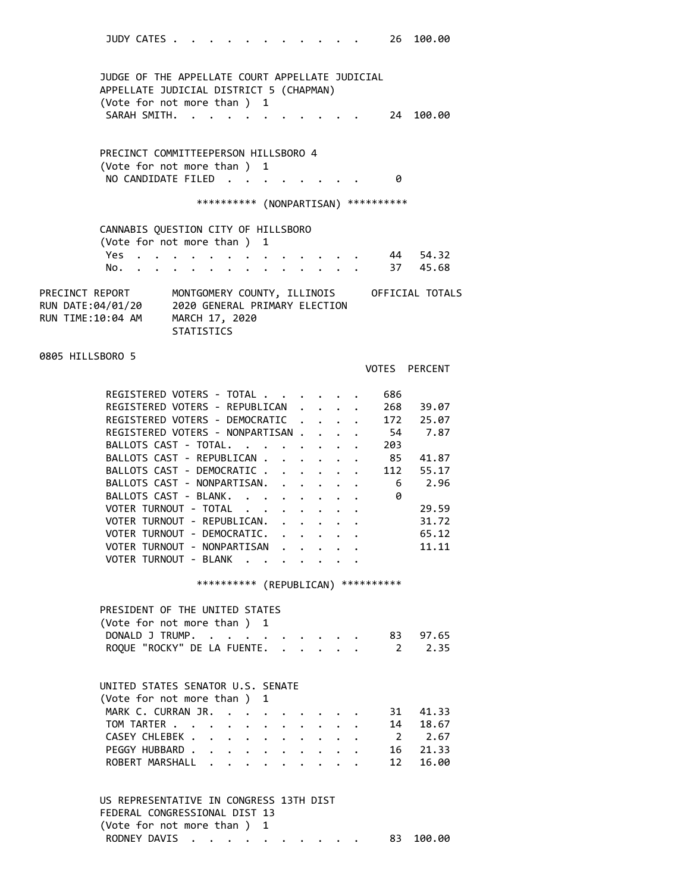JUDY CATES . . . . . . . . . . . 26 100.00 JUDGE OF THE APPELLATE COURT APPELLATE JUDICIAL APPELLATE JUDICIAL DISTRICT 5 (CHAPMAN) (Vote for not more than ) 1 SARAH SMITH. . . . . . . . . . . 24 100.00 PRECINCT COMMITTEEPERSON HILLSBORO 4 (Vote for not more than ) 1 NO CANDIDATE FILED . . . . . . . . 0 \*\*\*\*\*\*\*\*\*\* (NONPARTISAN) \*\*\*\*\*\*\*\*\*\* CANNABIS QUESTION CITY OF HILLSBORO (Vote for not more than ) 1 Yes . . . . . . . . . . . . . . 44 54.32 No. . . . . . . . . . . . . . 37 45.68 PRECINCT REPORT MONTGOMERY COUNTY, ILLINOIS OFFICIAL TOTALS RUN DATE:04/01/20 2020 GENERAL PRIMARY ELECTION RUN TIME:10:04 AM MARCH 17, 2020 **STATISTICS** 0805 HILLSBORO 5 VOTES PERCENT REGISTERED VOTERS - TOTAL . . . . . . 686 REGISTERED VOTERS - REPUBLICAN . . . . 268 39.07 REGISTERED VOTERS - DEMOCRATIC . . . . 172 25.07 REGISTERED VOTERS - NONPARTISAN . . . . 54 7.87 BALLOTS CAST - TOTAL. . . . . . . . 203 BALLOTS CAST - REPUBLICAN . . . . . . 85 41.87 BALLOTS CAST - DEMOCRATIC . . . . . . 112 55.17 BALLOTS CAST - NONPARTISAN. . . . . . 6 2.96 BALLOTS CAST - BLANK. . . . . . . . 0 VOTER TURNOUT - TOTAL . . . . . . . . 29.59 VOTER TURNOUT - REPUBLICAN. . . . . . 31.72 VOTER TURNOUT - DEMOCRATIC. . . . . . 65.12 VOTER TURNOUT - NONPARTISAN . . . . . 11.11 VOTER TURNOUT - BLANK . . . \*\*\*\*\*\*\*\*\*\* (REPUBLICAN) \*\*\*\*\*\*\*\*\*\* PRESIDENT OF THE UNITED STATES (Vote for not more than ) 1 DONALD J TRUMP. . . . . . . . . . 83 97.65 ROQUE "ROCKY" DE LA FUENTE. . . . . . 2 2.35 UNITED STATES SENATOR U.S. SENATE (Vote for not more than ) 1 MARK C. CURRAN JR. . . . . . . . . 31 41.33 TOM TARTER . . . . . . . . . . . . 14 18.67 CASEY CHLEBEK . . . . . . . . . . 2 2.67 PEGGY HUBBARD . . . . . . . . . . 16 21.33 ROBERT MARSHALL . . . . . . . . . 12 16.00 US REPRESENTATIVE IN CONGRESS 13TH DIST FEDERAL CONGRESSIONAL DIST 13 (Vote for not more than ) 1

RODNEY DAVIS . . . . . . . . . . 83 100.00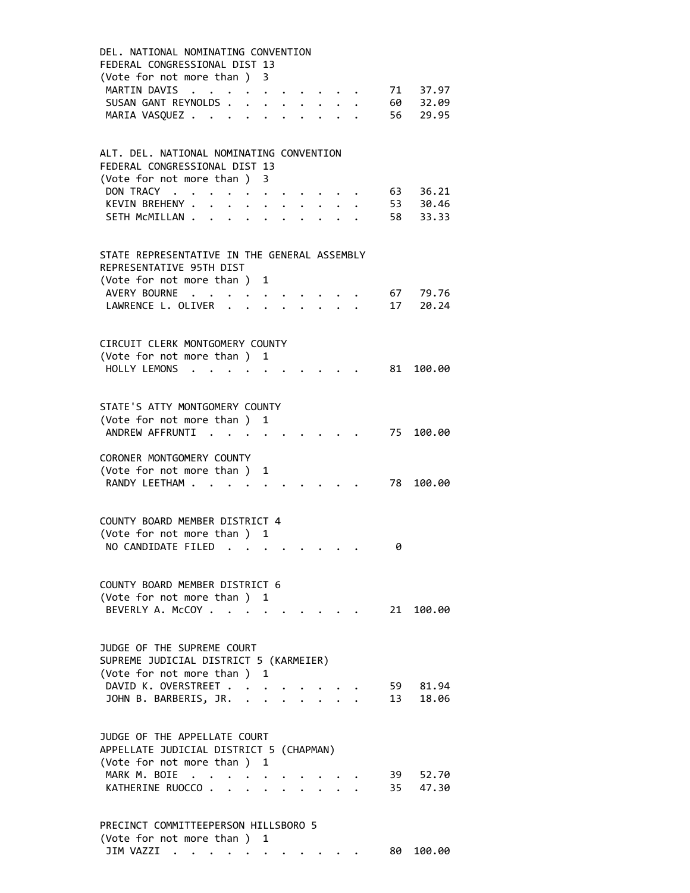| DEL, NATIONAL NOMINATING CONVENTION<br>FEDERAL CONGRESSIONAL DIST 13<br>(Vote for not more than ) 3                                                                                                                    |
|------------------------------------------------------------------------------------------------------------------------------------------------------------------------------------------------------------------------|
| MARTIN DAVIS<br>71 37.97<br>$\mathcal{A}=\mathcal{A}=\mathcal{A}=\mathcal{A}=\mathcal{A}$                                                                                                                              |
| $\bullet$ .<br><br><br><br><br><br><br><br><br><br><br><br><br><br><br><br><br><br><br><br><br><br><br><br><br><br><br>60<br>SUSAN GANT REYNOLDS.<br>32.09<br>$\mathbf{L} = \mathbf{L} \times \mathbf{L}$<br>$\bullet$ |
| 56<br>MARIA VASQUEZ<br>29.95                                                                                                                                                                                           |
|                                                                                                                                                                                                                        |
| ALT. DEL. NATIONAL NOMINATING CONVENTION<br>FEDERAL CONGRESSIONAL DIST 13<br>(Vote for not more than )<br>3                                                                                                            |
| DON TRACY .<br>36.21<br>63<br>$\ddot{\phantom{0}}$<br>$\mathcal{A}=\mathcal{A}=\mathcal{A}=\mathcal{A}=\mathcal{A}=\mathcal{A}$                                                                                        |
| 53 30.46<br>KEVIN BREHENY .<br>$\cdot$ $\cdot$ $\cdot$ $\cdot$ $\cdot$ $\cdot$ $\cdot$<br>$\ddot{\phantom{a}}$                                                                                                         |
| 58<br>SETH MCMILLAN<br>33.33                                                                                                                                                                                           |
|                                                                                                                                                                                                                        |
| STATE REPRESENTATIVE IN THE GENERAL ASSEMBLY<br>REPRESENTATIVE 95TH DIST                                                                                                                                               |
| (Vote for not more than )<br>1                                                                                                                                                                                         |
| AVERY BOURNE<br>67<br>79.76<br>$\mathbf{r}$ . The set of $\mathbf{r}$                                                                                                                                                  |
| 17<br>20.24<br>LAWRENCE L. OLIVER                                                                                                                                                                                      |
| CIRCUIT CLERK MONTGOMERY COUNTY                                                                                                                                                                                        |
| (Vote for not more than ) 1                                                                                                                                                                                            |
| HOLLY LEMONS<br>81<br>100.00<br>$\cdot$ $\cdot$ $\cdot$<br>$\bullet$                                                                                                                                                   |
|                                                                                                                                                                                                                        |
| STATE'S ATTY MONTGOMERY COUNTY                                                                                                                                                                                         |
| (Vote for not more than )<br>1<br>ANDREW AFFRUNTI                                                                                                                                                                      |
| 75<br>100.00<br>$\sim$                                                                                                                                                                                                 |
| CORONER MONTGOMERY COUNTY                                                                                                                                                                                              |
| (Vote for not more than )<br>1                                                                                                                                                                                         |
| RANDY LEETHAM<br>78<br>100.00                                                                                                                                                                                          |
|                                                                                                                                                                                                                        |
| COUNTY BOARD MEMBER DISTRICT 4                                                                                                                                                                                         |
| (Vote for not more than) 1<br>NO CANDIDATE FILED<br>0                                                                                                                                                                  |
|                                                                                                                                                                                                                        |
| COUNTY BOARD MEMBER DISTRICT 6                                                                                                                                                                                         |
| (Vote for not more than ) 1                                                                                                                                                                                            |
| 21 100.00<br>BEVERLY A. McCOY                                                                                                                                                                                          |
|                                                                                                                                                                                                                        |
| JUDGE OF THE SUPREME COURT<br>SUPREME JUDICIAL DISTRICT 5 (KARMEIER)                                                                                                                                                   |
| (Vote for not more than ) 1                                                                                                                                                                                            |
| DAVID K. OVERSTREET<br>59 81.94                                                                                                                                                                                        |
| JOHN B. BARBERIS, JR. .<br>13<br>18.06<br>$\cdot$ $\cdot$<br>$\cdot$ $\cdot$ $\cdot$ $\cdot$                                                                                                                           |
| JUDGE OF THE APPELLATE COURT<br>APPELLATE JUDICIAL DISTRICT 5 (CHAPMAN)                                                                                                                                                |
| (Vote for not more than ) 1                                                                                                                                                                                            |
| MARK M. BOIE<br>39<br>52.70<br>$\cdot$ $\cdot$ $\cdot$<br>KATHERINE RUOCCO.<br>35<br>47.30<br>$\ddot{\phantom{a}}$<br>$\mathbf{r}$ , $\mathbf{r}$ , $\mathbf{r}$<br>$\sim$ $\sim$                                      |
|                                                                                                                                                                                                                        |
| PRECINCT COMMITTEEPERSON HILLSBORO 5<br>(Vote for not more than) 1                                                                                                                                                     |

JIM VAZZI . . . . . . . . . . . 80 100.00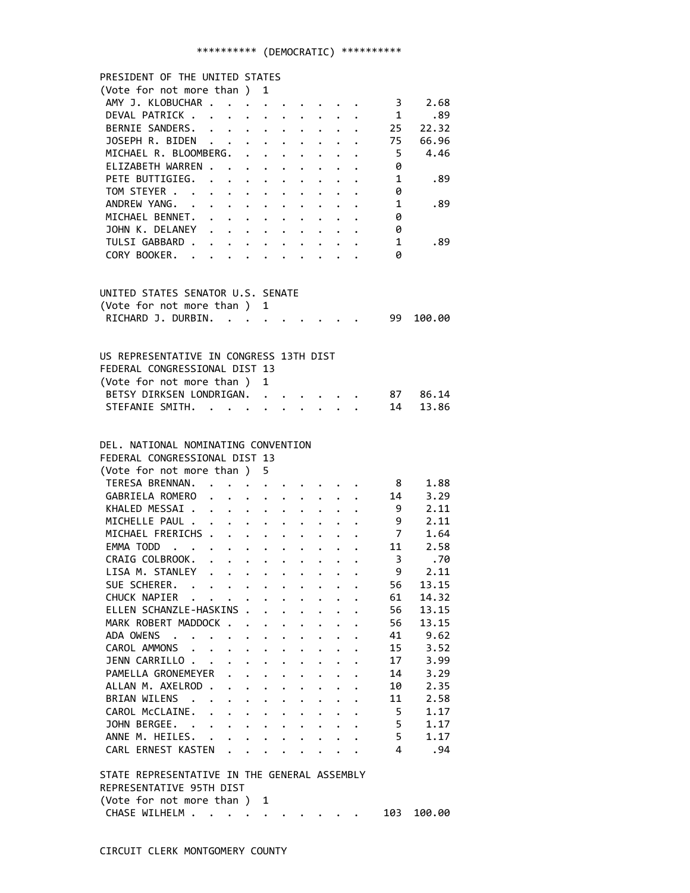## \*\*\*\*\*\*\*\*\*\* (DEMOCRATIC) \*\*\*\*\*\*\*\*\*\*

| PRESIDENT OF THE UNITED STATES                  |                                                                  |                      |                      |                         |                                                                           |                      |                      |                              |          |
|-------------------------------------------------|------------------------------------------------------------------|----------------------|----------------------|-------------------------|---------------------------------------------------------------------------|----------------------|----------------------|------------------------------|----------|
| (Vote for not more than) 1                      |                                                                  |                      |                      |                         |                                                                           |                      |                      |                              |          |
| AMY J. KLOBUCHAR                                |                                                                  |                      |                      |                         |                                                                           |                      |                      | $\cdots$ $\cdots$ $\cdots$ 3 | 2.68     |
| DEVAL PATRICK                                   |                                                                  |                      |                      |                         | $\begin{array}{cccccccccccccc} . & . & . & . & . & . & . & . \end{array}$ |                      |                      | $\mathbf 1$                  | .89      |
| BERNIE SANDERS. 25                              |                                                                  |                      |                      |                         |                                                                           |                      |                      |                              | 22.32    |
| JOSEPH R. BIDEN 75 66.96                        |                                                                  |                      |                      |                         |                                                                           |                      |                      |                              |          |
| MICHAEL R. BLOOMBERG. .                         |                                                                  |                      |                      |                         | $\cdot$ $\cdot$ $\cdot$ $\cdot$ $\cdot$ $\cdot$ $\cdot$ $\cdot$           |                      |                      | $5^{\circ}$                  | 4.46     |
| ELIZABETH WARREN                                |                                                                  |                      |                      |                         |                                                                           |                      |                      | $\theta$                     |          |
| PETE BUTTIGIEG.                                 |                                                                  |                      |                      |                         |                                                                           |                      |                      | 1                            | .89      |
| TOM STEYER                                      |                                                                  |                      |                      |                         |                                                                           |                      |                      | 0                            |          |
| ANDREW YANG.                                    | $\mathbf{r} = \mathbf{r} + \mathbf{r} + \mathbf{r} + \mathbf{r}$ |                      |                      | $\bullet$               |                                                                           |                      |                      | $\overline{\mathbf{1}}$      | .89      |
| MICHAEL BENNET.                                 |                                                                  |                      |                      |                         |                                                                           |                      |                      | 0                            |          |
| JOHN K. DELANEY                                 |                                                                  |                      |                      |                         |                                                                           |                      |                      | 0                            |          |
| TULSI GABBARD                                   |                                                                  |                      |                      |                         |                                                                           |                      |                      | 1                            | .89      |
| CORY BOOKER.                                    |                                                                  |                      |                      |                         |                                                                           |                      |                      | 0                            |          |
|                                                 |                                                                  |                      |                      |                         |                                                                           |                      |                      |                              |          |
|                                                 |                                                                  |                      |                      |                         |                                                                           |                      |                      |                              |          |
| UNITED STATES SENATOR U.S. SENATE               |                                                                  |                      |                      |                         |                                                                           |                      |                      |                              |          |
| (Vote for not more than ) 1                     |                                                                  |                      |                      |                         |                                                                           |                      |                      |                              |          |
| RICHARD J. DURBIN.                              |                                                                  |                      |                      |                         |                                                                           |                      |                      | 99                           | 100.00   |
|                                                 |                                                                  |                      |                      |                         |                                                                           |                      |                      |                              |          |
|                                                 |                                                                  |                      |                      |                         |                                                                           |                      |                      |                              |          |
| US REPRESENTATIVE IN CONGRESS 13TH DIST         |                                                                  |                      |                      |                         |                                                                           |                      |                      |                              |          |
| FEDERAL CONGRESSIONAL DIST 13                   |                                                                  |                      |                      |                         |                                                                           |                      |                      |                              |          |
| (Vote for not more than ) 1                     |                                                                  |                      |                      |                         |                                                                           |                      |                      |                              |          |
| BETSY DIRKSEN LONDRIGAN. .                      |                                                                  |                      |                      |                         |                                                                           |                      |                      |                              | 87 86.14 |
| STEFANIE SMITH.                                 |                                                                  |                      |                      | $\mathbf{r}$            | $\mathbf{r}$                                                              |                      |                      |                              | 14 13.86 |
|                                                 |                                                                  |                      |                      |                         |                                                                           |                      |                      |                              |          |
|                                                 |                                                                  |                      |                      |                         |                                                                           |                      |                      |                              |          |
| DEL. NATIONAL NOMINATING CONVENTION             |                                                                  |                      |                      |                         |                                                                           |                      |                      |                              |          |
| FEDERAL CONGRESSIONAL DIST 13                   |                                                                  |                      |                      |                         |                                                                           |                      |                      |                              |          |
| (Vote for not more than ) 5                     |                                                                  |                      |                      |                         |                                                                           |                      |                      |                              |          |
| TERESA BRENNAN.                                 |                                                                  |                      |                      |                         |                                                                           |                      |                      | 8 <sub>1</sub>               | 1.88     |
| GABRIELA ROMERO<br>$\ddot{\phantom{0}}$         | $\mathbf{r} = \mathbf{r} + \mathbf{r} + \mathbf{r} + \mathbf{r}$ |                      |                      |                         |                                                                           |                      |                      | 14                           | 3.29     |
| KHALED MESSAI                                   | $\mathbf{r} = \mathbf{r} + \mathbf{r} + \mathbf{r} + \mathbf{r}$ |                      |                      | $\ddot{\phantom{0}}$    |                                                                           |                      |                      | - 9                          | 2.11     |
| MICHELLE PAUL                                   |                                                                  |                      |                      |                         | $\mathbf{L}$ and $\mathbf{L}$                                             |                      |                      | 9                            | 2.11     |
| MICHAEL FRERICHS 7                              |                                                                  |                      |                      |                         |                                                                           |                      |                      |                              | 1.64     |
| EMMA TODD                                       |                                                                  |                      |                      |                         |                                                                           |                      |                      | 11                           | 2.58     |
| CRAIG COLBROOK.                                 |                                                                  |                      |                      |                         |                                                                           |                      |                      | 3                            | .70      |
| LISA M. STANLEY                                 |                                                                  |                      |                      |                         |                                                                           |                      |                      | 9                            | 2.11     |
| SUE SCHERER.                                    |                                                                  |                      |                      |                         |                                                                           |                      |                      | 56                           | 13.15    |
| CHUCK NAPIER                                    |                                                                  |                      |                      |                         |                                                                           |                      |                      | 61                           | 14.32    |
| ELLEN SCHANZLE-HASKINS .                        |                                                                  |                      |                      | $\ddot{\phantom{0}}$    |                                                                           |                      |                      | 56                           | 13.15    |
| MARK ROBERT MADDOCK                             |                                                                  | $\ddot{\phantom{0}}$ | $\sim$               | $\ddot{\phantom{0}}$    | $\mathbf{r}$                                                              | $\ddot{\phantom{0}}$ | $\ddot{\phantom{a}}$ | 56                           | 13.15    |
| ADA OWENS                                       |                                                                  |                      | $\ddot{\phantom{1}}$ | $\ddot{\phantom{0}}$    | $\ddot{\phantom{0}}$                                                      | $\ddot{\phantom{0}}$ |                      | 41                           | 9.62     |
| CAROL AMMONS                                    |                                                                  |                      |                      | $\ddot{\phantom{0}}$    | $\ddot{\phantom{0}}$                                                      | $\ddot{\phantom{0}}$ |                      | 15                           | 3.52     |
| JENN CARRILLO                                   | $\ddot{\phantom{0}}$                                             | $\ddot{\phantom{0}}$ | $\ddot{\phantom{0}}$ | $\ddot{\phantom{0}}$    | $\ddot{\phantom{0}}$                                                      | $\ddot{\phantom{0}}$ | $\ddot{\phantom{0}}$ | 17                           | 3.99     |
| PAMELLA GRONEMEYER<br>$\ddot{\phantom{a}}$      | $\ddot{\phantom{0}}$                                             | $\ddot{\phantom{0}}$ | $\ddot{\phantom{0}}$ | $\ddot{\phantom{0}}$    | $\bullet$ .                                                               | $\bullet$            | $\ddot{\phantom{0}}$ | 14                           | 3.29     |
| ALLAN M. AXELROD.<br>$\bullet$                  | $\bullet$ .                                                      | $\ddot{\phantom{0}}$ | $\bullet$            | $\ddot{\phantom{0}}$    | $\bullet$ .                                                               | $\bullet$            |                      | 10                           | 2.35     |
| BRIAN WILENS .                                  | $\bullet$                                                        | $\ddot{\phantom{a}}$ |                      |                         |                                                                           |                      |                      | 11                           | 2.58     |
| CAROL McCLAINE.<br>$\mathbf{r}$<br>$\mathbf{L}$ | $\ddot{\phantom{0}}$                                             | $\ddot{\phantom{0}}$ | $\ddot{\phantom{0}}$ | $\ddot{\phantom{0}}$    | $\ddot{\phantom{0}}$                                                      |                      |                      | 5                            | 1.17     |
| JOHN BERGEE. .<br>$\ddot{\phantom{0}}$          | $\cdot$ $\cdot$ $\cdot$                                          |                      | $\ddot{\phantom{0}}$ | $\ddot{\phantom{0}}$    | $\sim$                                                                    | $\sim$               | $\ddot{\phantom{0}}$ | 5                            | 1.17     |
| ANNE M. HEILES.<br>$\mathbf{L} = \mathbf{L}$    | $\mathbf{L}$                                                     |                      |                      | $\cdot$ $\cdot$ $\cdot$ | $\ddot{\phantom{0}}$                                                      | $\ddot{\phantom{0}}$ |                      | 5                            | 1.17     |
| CARL ERNEST KASTEN.                             | $\mathbf{L}$                                                     |                      |                      |                         | $\mathbf{r} = \mathbf{r} + \mathbf{r} + \mathbf{r}$                       | $\ddot{\phantom{0}}$ |                      | 4                            | .94      |
|                                                 |                                                                  |                      |                      |                         |                                                                           |                      |                      |                              |          |
| STATE REPRESENTATIVE IN THE GENERAL ASSEMBLY    |                                                                  |                      |                      |                         |                                                                           |                      |                      |                              |          |
| REPRESENTATIVE 95TH DIST                        |                                                                  |                      |                      |                         |                                                                           |                      |                      |                              |          |
| (Vote for not more than ) 1                     |                                                                  |                      |                      |                         |                                                                           |                      |                      |                              |          |
| CHASE WILHELM                                   |                                                                  |                      |                      |                         |                                                                           |                      |                      | 103                          | 100.00   |
|                                                 |                                                                  |                      |                      |                         |                                                                           |                      |                      |                              |          |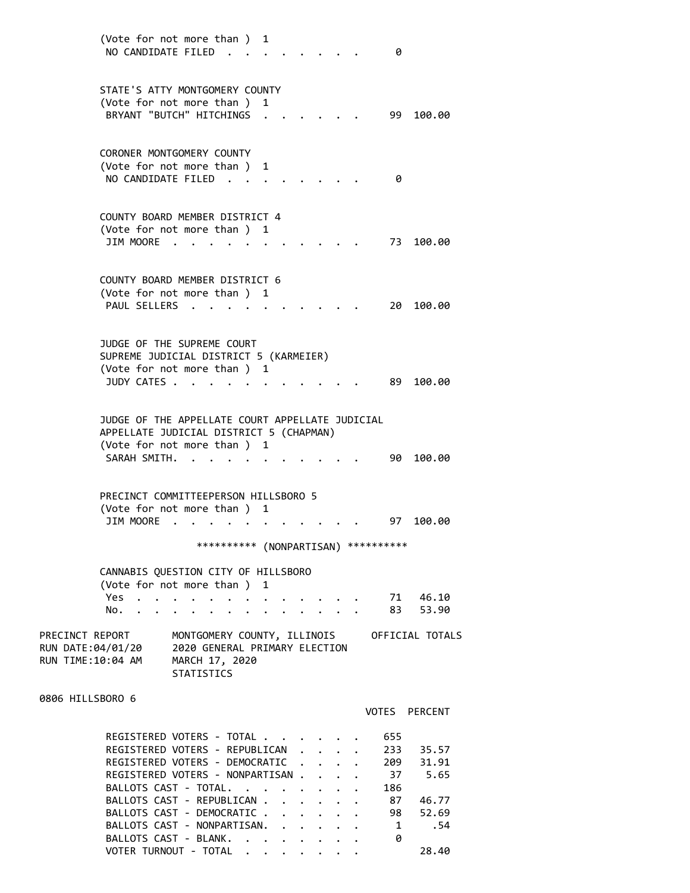| NO CANDIDATE FILED                                        | (Vote for not more than ) 1                                                                                                                                                                                                                               |               |                      |            | 0                                                                                            |
|-----------------------------------------------------------|-----------------------------------------------------------------------------------------------------------------------------------------------------------------------------------------------------------------------------------------------------------|---------------|----------------------|------------|----------------------------------------------------------------------------------------------|
|                                                           | STATE'S ATTY MONTGOMERY COUNTY<br>(Vote for not more than )<br>BRYANT "BUTCH" HITCHINGS                                                                                                                                                                   | 1             |                      |            | 99 -<br>100.00                                                                               |
| NO CANDIDATE FILED                                        | CORONER MONTGOMERY COUNTY<br>(Vote for not more than)                                                                                                                                                                                                     | 1             |                      |            | 0                                                                                            |
| JIM MOORE .                                               | COUNTY BOARD MEMBER DISTRICT 4<br>(Vote for not more than ) 1                                                                                                                                                                                             |               |                      |            | 73<br>100.00                                                                                 |
| PAUL SELLERS .                                            | COUNTY BOARD MEMBER DISTRICT 6<br>(Vote for not more than)                                                                                                                                                                                                | 1             |                      |            | 20 100.00                                                                                    |
| JUDY CATES .                                              | JUDGE OF THE SUPREME COURT<br>SUPREME JUDICIAL DISTRICT 5 (KARMEIER)<br>(Vote for not more than)                                                                                                                                                          | 1             |                      |            | 89 -<br>100.00                                                                               |
| SARAH SMITH.                                              | JUDGE OF THE APPELLATE COURT APPELLATE JUDICIAL<br>APPELLATE JUDICIAL DISTRICT 5 (CHAPMAN)<br>(Vote for not more than )                                                                                                                                   | 1             |                      |            | 90<br>100.00                                                                                 |
| JIM MOORE                                                 | PRECINCT COMMITTEEPERSON HILLSBORO 5<br>(Vote for not more than)                                                                                                                                                                                          | 1             |                      |            | 97 100.00                                                                                    |
|                                                           | *********** (NONPARTISAN)                                                                                                                                                                                                                                 |               |                      | ********** |                                                                                              |
| Yes.<br>$\ddot{\phantom{0}}$<br>No.                       | CANNABIS QUESTION CITY OF HILLSBORO<br>(Vote for not more than)                                                                                                                                                                                           | 1             |                      |            | 71 46.10<br>53.90<br>83.                                                                     |
| PRECINCT REPORT<br>RUN DATE:04/01/20<br>RUN TIME:10:04 AM | MONTGOMERY COUNTY, ILLINOIS<br>2020 GENERAL PRIMARY ELECTION<br>MARCH 17, 2020<br><b>STATISTICS</b>                                                                                                                                                       |               |                      |            | OFFICIAL TOTALS                                                                              |
| 0806 HILLSBORO 6                                          |                                                                                                                                                                                                                                                           |               |                      |            | VOTES PERCENT                                                                                |
|                                                           | REGISTERED VOTERS - TOTAL .<br>REGISTERED VOTERS - REPUBLICAN<br>REGISTERED VOTERS - DEMOCRATIC<br>REGISTERED VOTERS - NONPARTISAN.<br>BALLOTS CAST - TOTAL.<br>BALLOTS CAST - REPUBLICAN .<br>BALLOTS CAST - DEMOCRATIC .<br>BALLOTS CAST - NONPARTISAN. | $\sim$ $\sim$ | $\ddot{\phantom{0}}$ | 655<br>186 | 233<br>35.57<br>31.91<br>209<br>37 5.65<br>87<br>46.77<br>52.69<br>98<br>.54<br>$\mathbf{1}$ |

BALLOTS CAST - BLANK. . . . . . . . 0

VOTER TURNOUT - TOTAL . . . . . . . 28.40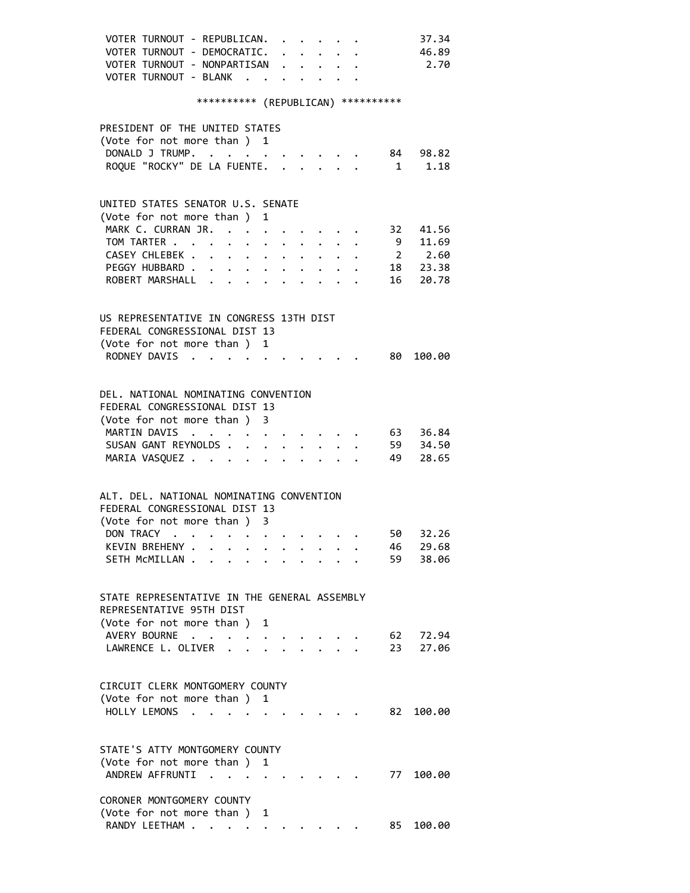| VOTER TURNOUT - REPUBLICAN.<br>37.34                                                                                        |
|-----------------------------------------------------------------------------------------------------------------------------|
| VOTER TURNOUT - DEMOCRATIC.<br>46.89                                                                                        |
| VOTER TURNOUT - NONPARTISAN<br>2.70                                                                                         |
| VOTER TURNOUT - BLANK .                                                                                                     |
|                                                                                                                             |
| *********** (REPUBLICAN) **********                                                                                         |
|                                                                                                                             |
| PRESIDENT OF THE UNITED STATES                                                                                              |
| (Vote for not more than ) 1                                                                                                 |
| DONALD J TRUMP.<br>84 98.82<br>$\mathcal{L}(\mathcal{A})$ , and $\mathcal{L}(\mathcal{A})$ , and $\mathcal{L}(\mathcal{A})$ |
| ROQUE "ROCKY" DE LA FUENTE.<br>1.18<br>$\mathbf{1}$<br>$\ddot{\phantom{0}}$<br>$\mathbf{L}$                                 |
|                                                                                                                             |
| UNITED STATES SENATOR U.S. SENATE                                                                                           |
| (Vote for not more than ) 1                                                                                                 |
| MARK C. CURRAN JR. .<br>41.56<br>32                                                                                         |
| 9 11.69                                                                                                                     |
| TOM TARTER<br>2 2.60                                                                                                        |
| CASEY CHLEBEK .<br>$\ddot{\phantom{0}}$<br>$\ddot{\phantom{0}}$<br>$\ddot{\phantom{a}}$                                     |
| 18 23.38<br>PEGGY HUBBARD.<br>$\cdot$ $\cdot$ $\cdot$ $\cdot$<br>$\bullet$                                                  |
| ROBERT MARSHALL<br>16<br>20.78<br>$\bullet$                                                                                 |
|                                                                                                                             |
| US REPRESENTATIVE IN CONGRESS 13TH DIST                                                                                     |
| FEDERAL CONGRESSIONAL DIST 13                                                                                               |
| (Vote for not more than ) 1                                                                                                 |
| RODNEY DAVIS<br>80<br>100.00                                                                                                |
|                                                                                                                             |
|                                                                                                                             |
| DEL, NATIONAL NOMINATING CONVENTION                                                                                         |
| FEDERAL CONGRESSIONAL DIST 13                                                                                               |
| (Vote for not more than ) 3                                                                                                 |
| MARTIN DAVIS<br>63 36.84                                                                                                    |
| 59 34.50<br>SUSAN GANT REYNOLDS.<br>$\ddot{\phantom{a}}$                                                                    |
| 49<br>MARIA VASQUEZ<br>28.65<br>$\ddot{\phantom{0}}$                                                                        |
|                                                                                                                             |
|                                                                                                                             |
| ALT. DEL. NATIONAL NOMINATING CONVENTION                                                                                    |
| FEDERAL CONGRESSIONAL DIST 13                                                                                               |
| (Vote for not more than ) 3                                                                                                 |
| DON TRACY<br>50<br>32.26                                                                                                    |
| KEVIN BREHENY .<br>29.68<br>46                                                                                              |
| SETH MCMILLAN.<br>59<br>38.06                                                                                               |
|                                                                                                                             |
|                                                                                                                             |
| STATE REPRESENTATIVE IN THE GENERAL ASSEMBLY                                                                                |
| REPRESENTATIVE 95TH DIST                                                                                                    |
| (Vote for not more than )<br>1                                                                                              |
| AVERY BOURNE<br>62<br>72.94                                                                                                 |
| LAWRENCE L. OLIVER<br>23<br>27.06                                                                                           |
|                                                                                                                             |
| CIRCUIT CLERK MONTGOMERY COUNTY                                                                                             |
| (Vote for not more than ) 1                                                                                                 |
| HOLLY LEMONS<br>82.<br>100.00<br>$\cdot$ $\cdot$                                                                            |
|                                                                                                                             |
|                                                                                                                             |
| STATE'S ATTY MONTGOMERY COUNTY                                                                                              |
| (Vote for not more than )<br>1                                                                                              |
| ANDREW AFFRUNTI<br>77<br>100.00<br>$\sim$                                                                                   |
|                                                                                                                             |
| CORONER MONTGOMERY COUNTY                                                                                                   |
| (Vote for not more than)<br>1                                                                                               |
| RANDY LEETHAM<br>85<br>100.00                                                                                               |
|                                                                                                                             |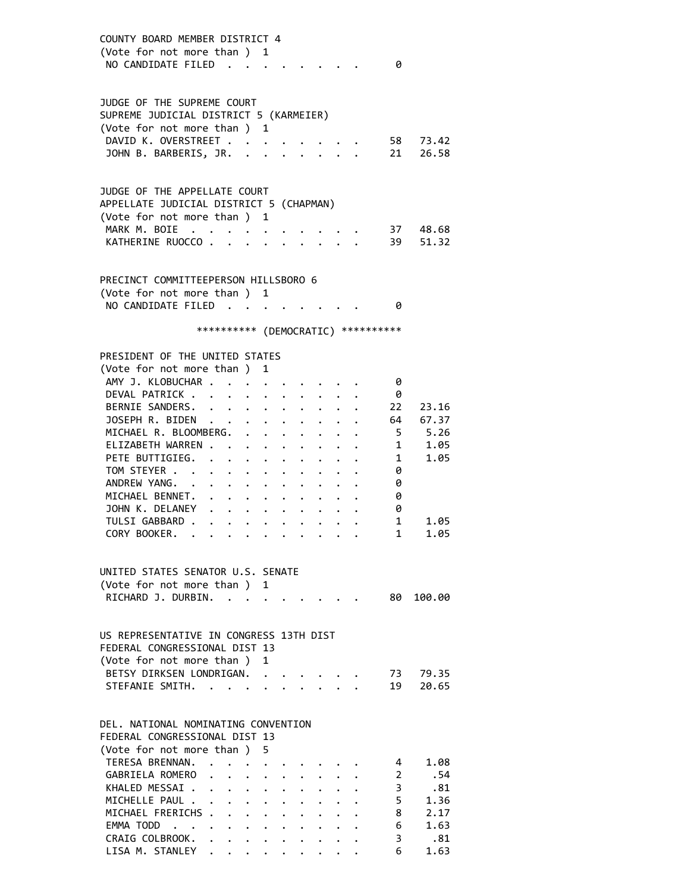COUNTY BOARD MEMBER DISTRICT 4 (Vote for not more than ) 1 NO CANDIDATE FILED . . . . . . . . 0 JUDGE OF THE SUPREME COURT SUPREME JUDICIAL DISTRICT 5 (KARMEIER) (Vote for not more than ) 1 DAVID K. OVERSTREET . . . . DAVID K. OVERSTREET . . . . . . . . 58 73.42<br>JOHN B. BARBERIS, JR. . . . . . . . 21 26.58 JUDGE OF THE APPELLATE COURT APPELLATE JUDICIAL DISTRICT 5 (CHAPMAN) (Vote for not more than ) 1 MARK M. BOIE . . . . . . . . . . 37 48.68 KATHERINE RUOCCO . . . . . . . . . 39 51.32 PRECINCT COMMITTEEPERSON HILLSBORO 6 (Vote for not more than ) 1 NO CANDIDATE FILED . . . . . . . . 0 \*\*\*\*\*\*\*\*\*\* (DEMOCRATIC) \*\*\*\*\*\*\*\*\*\* PRESIDENT OF THE UNITED STATES (Vote for not more than ) 1 AMY J. KLOBUCHAR . . . . . . . . . . 0 DEVAL PATRICK . . . . . . . . . . 0 BERNIE SANDERS. . . . . . . . . . 22 23.16 JOSEPH R. BIDEN . . . . . . . . . . . 64 67.37<br>MICHAEL R. BLOOMBERG. . . . . . . . . 5 5.26<br>ELIZABETH WARREN . . . . . . . . . . . 1 1.05<br>PETE BUTTIGIEG. . . . . . . . . . . 1 1.05<br>TOM STEYER . . . . . . . . . . . . 0 MICHAEL R. BLOOMBERG. . . . . . . . ELIZABETH WARREN . . . . . . . . . PETE BUTTIGIEG. . . . . . . . . . TOM STEYER . . . . . . . . . . . 0<br>ANDREW YANG. . . . . . . . . . . 0 ANDREW YANG. . . . . . . . . . . MICHAEL BENNET. . . . . . . . . . 0 JOHN K. DELANEY . . . . . . . . . . 0 TULSI GABBARD . . . . . . . . . . 1 1.05<br>CORY BOOKER. . . . . . . . . . . 1 1.05 CORY BOOKER. . . . . . . . . . . UNITED STATES SENATOR U.S. SENATE (Vote for not more than ) 1 RICHARD J. DURBIN. . . . . . . . . . 80 100.00 US REPRESENTATIVE IN CONGRESS 13TH DIST FEDERAL CONGRESSIONAL DIST 13 (Vote for not more than ) 1 BETSY DIRKSEN LONDRIGAN. . . . . . . 73 79.35 STEFANIE SMITH. . . . . . . . . . . 19 20.65 DEL. NATIONAL NOMINATING CONVENTION FEDERAL CONGRESSIONAL DIST 13 (Vote for not more than ) 5 TERESA BRENNAN. . . . . . . . . . 4 1.08 GABRIELA ROMERO . . . . . . . . . 2 .54 KHALED MESSAI . . . . . . . . . . . 3 .81 MICHELLE PAUL . . . . . . . . . . . 5 1.36 MICHAEL FRERICHS . . . . . . . . . 8 2.17 EMMA TODD . . . . . . . . . . . . 6 1.63<br>CRAIG COLBROOK. . . . . . . . . . 3 .81 CRAIG COLBROOK. . . . . . . . . . . 3 .81 LISA M. STANLEY . . . . . . . . . . 6 1.63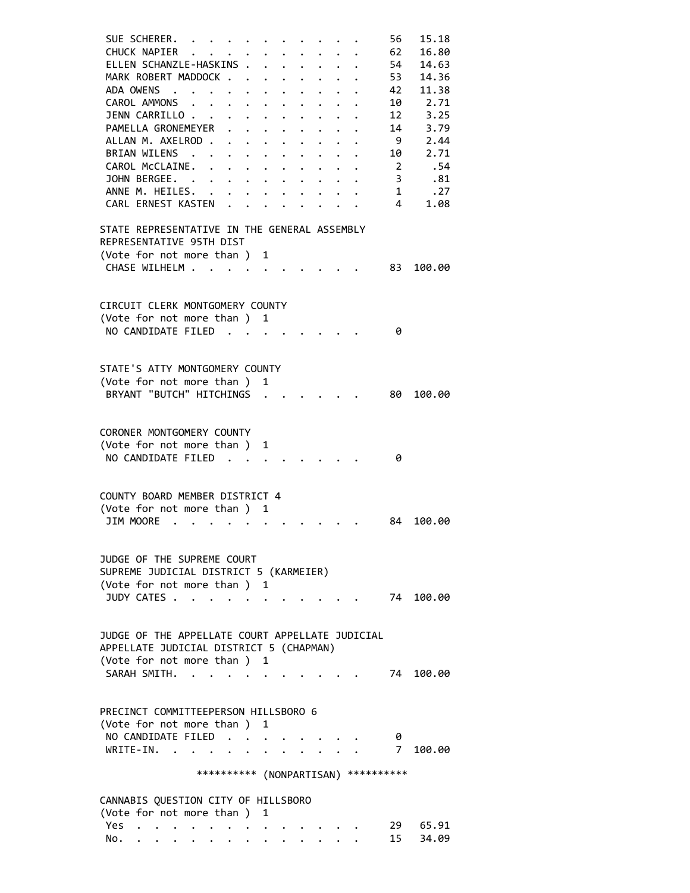| SUE SCHERER.<br>$\sim$ $\sim$ $\sim$ $\sim$                                                                          | 56           | 15.18     |
|----------------------------------------------------------------------------------------------------------------------|--------------|-----------|
| CHUCK NAPIER                                                                                                         | 62           | 16.80     |
| ELLEN SCHANZLE-HASKINS .<br>$\sim$ $\sim$<br>$\ddot{\phantom{0}}$<br>$\ddot{\phantom{0}}$                            | 54           | 14.63     |
| MARK ROBERT MADDOCK.<br>$\ddot{\phantom{0}}$<br>$\ddot{\phantom{0}}$<br>$\ddot{\phantom{0}}$<br>$\ddot{\phantom{0}}$ | 53           | 14.36     |
| ADA OWENS<br>$\sim$ $\sim$<br>$\bullet$<br>$\bullet$                                                                 | 42           | 11.38     |
| CAROL AMMONS .<br>$\bullet$ , $\bullet$ , $\bullet$ , $\bullet$<br>$\bullet$<br>$\bullet$<br>$\ddot{\phantom{0}}$    | 10           | 2.71      |
| JENN CARRILLO<br>$\bullet$ .                                                                                         | 12           | 3.25      |
| PAMELLA GRONEMEYER                                                                                                   | 14           | 3.79      |
| ALLAN M. AXELROD.                                                                                                    | -9           | 2.44      |
| $\ddot{\phantom{a}}$<br>$\ddot{\phantom{0}}$<br>$\bullet$<br>$\ddot{\phantom{0}}$                                    |              |           |
| BRIAN WILENS .<br>$\ddot{\phantom{0}}$<br>$\ddot{\phantom{0}}$<br>$\ddot{\phantom{0}}$                               | 10           | 2.71      |
| CAROL McCLAINE.<br>$\ddot{\phantom{a}}$<br>$\cdot$ $\cdot$ $\cdot$ $\cdot$<br>$\bullet$ . The set of $\bullet$       | 2            | .54       |
| JOHN BERGEE.<br>$\ddot{\phantom{0}}$<br>$\ddot{\phantom{0}}$<br>$\ddot{\phantom{0}}$                                 | 3            | .81       |
| ANNE M. HEILES. .                                                                                                    | $\mathbf{1}$ | .27       |
| CARL ERNEST KASTEN .                                                                                                 | 4            | 1.08      |
|                                                                                                                      |              |           |
| STATE REPRESENTATIVE IN THE GENERAL ASSEMBLY                                                                         |              |           |
| REPRESENTATIVE 95TH DIST                                                                                             |              |           |
| (Vote for not more than)<br>1                                                                                        |              |           |
| CHASE WILHELM                                                                                                        | 83           | 100.00    |
|                                                                                                                      |              |           |
|                                                                                                                      |              |           |
| CIRCUIT CLERK MONTGOMERY COUNTY                                                                                      |              |           |
| (Vote for not more than ) 1                                                                                          |              |           |
| NO CANDIDATE FILED.                                                                                                  | 0            |           |
|                                                                                                                      |              |           |
|                                                                                                                      |              |           |
|                                                                                                                      |              |           |
| STATE'S ATTY MONTGOMERY COUNTY                                                                                       |              |           |
| (Vote for not more than ) 1                                                                                          |              |           |
| BRYANT "BUTCH" HITCHINGS                                                                                             | 80.          | 100.00    |
|                                                                                                                      |              |           |
|                                                                                                                      |              |           |
| CORONER MONTGOMERY COUNTY                                                                                            |              |           |
| (Vote for not more than ) 1                                                                                          |              |           |
| NO CANDIDATE FILED.                                                                                                  | 0            |           |
|                                                                                                                      |              |           |
|                                                                                                                      |              |           |
| COUNTY BOARD MEMBER DISTRICT 4                                                                                       |              |           |
| (Vote for not more than)<br>1                                                                                        |              |           |
| <b>JIM MOORE</b>                                                                                                     | 84           | 100.00    |
|                                                                                                                      |              |           |
|                                                                                                                      |              |           |
|                                                                                                                      |              |           |
| JUDGE OF THE SUPREME COURT                                                                                           |              |           |
| SUPREME JUDICIAL DISTRICT 5 (KARMEIER)                                                                               |              |           |
| (Vote for not more than )<br>1                                                                                       |              |           |
| JUDY CATES .<br>$\ddot{\phantom{a}}$                                                                                 |              | 74 100.00 |
|                                                                                                                      |              |           |
|                                                                                                                      |              |           |
| JUDGE OF THE APPELLATE COURT APPELLATE JUDICIAL                                                                      |              |           |
| APPELLATE JUDICIAL DISTRICT 5 (CHAPMAN)                                                                              |              |           |
| (Vote for not more than )<br>1                                                                                       |              |           |
| SARAH SMITH.<br>$\sim$                                                                                               | 74           | 100.00    |
|                                                                                                                      |              |           |
|                                                                                                                      |              |           |
| PRECINCT COMMITTEEPERSON HILLSBORO 6                                                                                 |              |           |
| (Vote for not more than ) 1                                                                                          |              |           |
|                                                                                                                      |              |           |
| NO CANDIDATE FILED                                                                                                   | 0            |           |
| WRITE-IN.                                                                                                            | $7^{\circ}$  | 100.00    |
|                                                                                                                      |              |           |
| *********** (NONPARTISAN) ***********                                                                                |              |           |
|                                                                                                                      |              |           |
| CANNABIS QUESTION CITY OF HILLSBORO                                                                                  |              |           |
| (Vote for not more than)<br>1                                                                                        |              |           |
| Yes                                                                                                                  |              | 29 65.91  |
| No.                                                                                                                  | 15           | 34.09     |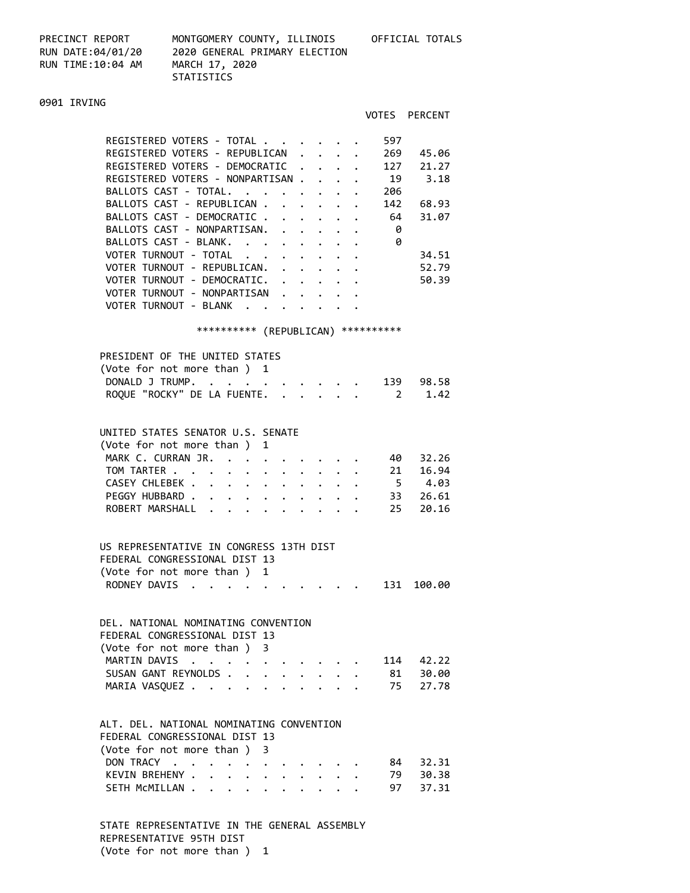PRECINCT REPORT<br>RUN DATE:04/01/20<br>RUN TIME:10:04 AM

PRECINCT REPORT MONTGOMERY COUNTY, ILLINOIS OFFICIAL TOTALS RUN DATE:04/01/20 2020 GENERAL PRIMARY ELECTION<br>RUN TIME:10:04 AM MARCH 17, 2020 STATISTICS

### 0901 IRVING

|                                                                                                         |              |                      |                                               |                      | VOTES | PERCENT                                |
|---------------------------------------------------------------------------------------------------------|--------------|----------------------|-----------------------------------------------|----------------------|-------|----------------------------------------|
|                                                                                                         |              |                      |                                               |                      |       |                                        |
| REGISTERED VOTERS - TOTAL                                                                               |              |                      |                                               |                      | 597   |                                        |
| REGISTERED VOTERS - REPUBLICAN                                                                          |              |                      | $\mathbf{r}$ , $\mathbf{r}$ , $\mathbf{r}$    |                      | 269   | 45.06                                  |
| REGISTERED VOTERS - DEMOCRATIC                                                                          |              | $\ddot{\phantom{0}}$ |                                               | $\ddot{\phantom{a}}$ | 127   | 21.27                                  |
| REGISTERED VOTERS - NONPARTISAN                                                                         |              |                      |                                               |                      | 19    | 3.18                                   |
| BALLOTS CAST - TOTAL.                                                                                   |              |                      |                                               |                      | 206   |                                        |
| BALLOTS CAST - REPUBLICAN                                                                               |              |                      |                                               |                      | 142   | 68.93                                  |
| BALLOTS CAST - DEMOCRATIC                                                                               |              |                      |                                               |                      | 64    | 31.07                                  |
| BALLOTS CAST - NONPARTISAN.                                                                             |              |                      |                                               |                      | 0     |                                        |
| BALLOTS CAST - BLANK.                                                                                   |              |                      |                                               |                      | 0     |                                        |
| $\ddot{\phantom{a}}$<br>VOTER TURNOUT - TOTAL                                                           |              |                      |                                               |                      |       | 34.51                                  |
| VOTER TURNOUT - REPUBLICAN.                                                                             |              |                      |                                               |                      |       | 52.79                                  |
| VOTER TURNOUT - DEMOCRATIC.                                                                             |              |                      |                                               |                      |       | 50.39                                  |
| VOTER TURNOUT - NONPARTISAN                                                                             |              |                      |                                               |                      |       |                                        |
| VOTER TURNOUT - BLANK                                                                                   |              |                      |                                               |                      |       |                                        |
|                                                                                                         |              |                      |                                               |                      |       |                                        |
| *********** (REPUBLICAN) ***********                                                                    |              |                      |                                               |                      |       |                                        |
| PRESIDENT OF THE UNITED STATES                                                                          |              |                      |                                               |                      |       |                                        |
| (Vote for not more than ) 1                                                                             |              |                      |                                               |                      |       |                                        |
| DONALD J TRUMP.<br>$\ddotsc$<br>$\bullet$<br>$\bullet$ .<br><br><br>$\bullet$                           |              |                      |                                               |                      |       | 139 98.58                              |
| ROQUE "ROCKY" DE LA FUENTE. .                                                                           |              |                      |                                               |                      |       | 1.42<br>$2 \left( \frac{1}{2} \right)$ |
|                                                                                                         |              |                      |                                               |                      |       |                                        |
|                                                                                                         |              |                      |                                               |                      |       |                                        |
| UNITED STATES SENATOR U.S. SENATE                                                                       |              |                      |                                               |                      |       |                                        |
| (Vote for not more than ) 1                                                                             |              |                      |                                               |                      |       |                                        |
| MARK C. CURRAN JR.                                                                                      |              |                      |                                               |                      |       | 40 32.26                               |
| TOM TARTER<br>$\mathbf{r}$ , $\mathbf{r}$ , $\mathbf{r}$ , $\mathbf{r}$ , $\mathbf{r}$ , $\mathbf{r}$   |              |                      |                                               |                      | 21    | 16.94                                  |
| CASEY CHLEBEK                                                                                           | $\bullet$ .  |                      | $\bullet$ , $\bullet$ , $\bullet$ , $\bullet$ |                      |       | 5 4.03                                 |
| PEGGY HUBBARD<br><b>All All Annual</b>                                                                  |              |                      |                                               |                      |       | 33 26.61                               |
| ROBERT MARSHALL                                                                                         |              |                      |                                               |                      | 25    | 20.16                                  |
|                                                                                                         |              |                      |                                               |                      |       |                                        |
|                                                                                                         |              |                      |                                               |                      |       |                                        |
| US REPRESENTATIVE IN CONGRESS 13TH DIST                                                                 |              |                      |                                               |                      |       |                                        |
| FEDERAL CONGRESSIONAL DIST 13                                                                           |              |                      |                                               |                      |       |                                        |
| (Vote for not more than)<br>1                                                                           |              |                      |                                               |                      |       |                                        |
| RODNEY DAVIS                                                                                            |              |                      |                                               |                      | 131   | 100.00                                 |
|                                                                                                         |              |                      |                                               |                      |       |                                        |
| DEL. NATIONAL NOMINATING CONVENTION                                                                     |              |                      |                                               |                      |       |                                        |
| FEDERAL CONGRESSIONAL DIST 13                                                                           |              |                      |                                               |                      |       |                                        |
| (Vote for not more than ) 3                                                                             |              |                      |                                               |                      |       |                                        |
|                                                                                                         |              |                      |                                               |                      | 114   | 42.22                                  |
| MARTIN DAVIS<br>$\mathcal{A}=\mathcal{A}=\mathcal{A}$ .<br>$\ddot{\phantom{0}}$<br>SUSAN GANT REYNOLDS. |              |                      |                                               |                      | 81    | 30.00                                  |
| $\ddot{\phantom{a}}$                                                                                    | $\mathbf{r}$ | $\ddot{\phantom{0}}$ |                                               | $\bullet$            |       | 27.78                                  |
| MARIA VASQUEZ                                                                                           | $\bullet$    | $\ddot{\phantom{0}}$ |                                               | $\bullet$ .          | 75    |                                        |
|                                                                                                         |              |                      |                                               |                      |       |                                        |
| ALT. DEL. NATIONAL NOMINATING CONVENTION                                                                |              |                      |                                               |                      |       |                                        |
| FEDERAL CONGRESSIONAL DIST 13                                                                           |              |                      |                                               |                      |       |                                        |
| (Vote for not more than)<br>3                                                                           |              |                      |                                               |                      |       |                                        |
| DON TRACY<br>$\ddot{\phantom{0}}$<br>$\bullet$<br>$\bullet$ .                                           |              |                      |                                               |                      | 84    | 32.31                                  |
| KEVIN BREHENY .<br>$\ddot{\phantom{0}}$<br>$\ddot{\phantom{0}}$<br>$\ddot{\phantom{0}}$                 |              | $\ddot{\phantom{0}}$ |                                               |                      | 79    | 30.38                                  |
| SETH MCMILLAN.<br>$\ddot{\phantom{0}}$<br>$\ddot{\phantom{0}}$<br>$\ddot{\phantom{0}}$<br>$\bullet$ .   |              |                      |                                               |                      | 97    | 37.31                                  |
|                                                                                                         |              |                      |                                               |                      |       |                                        |

 STATE REPRESENTATIVE IN THE GENERAL ASSEMBLY REPRESENTATIVE 95TH DIST (Vote for not more than ) 1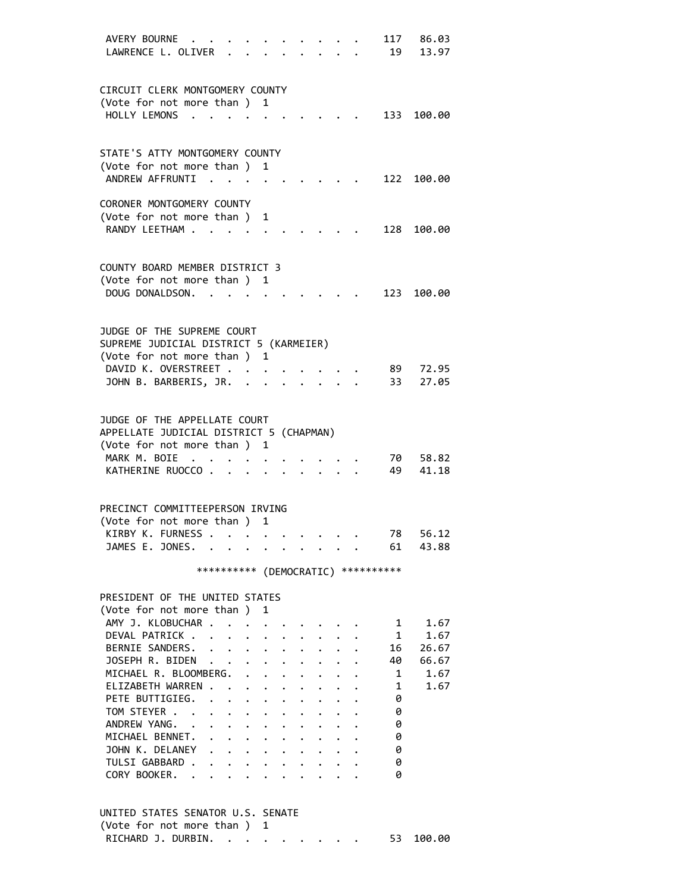| AVERY BOURNE<br>LAWRENCE L. OLIVER                             |                                     |                         |                      |              |  |  | 117<br>19  | 86.03<br>13.97 |
|----------------------------------------------------------------|-------------------------------------|-------------------------|----------------------|--------------|--|--|------------|----------------|
| CIRCUIT CLERK MONTGOMERY COUNTY                                |                                     |                         |                      |              |  |  |            |                |
| (Vote for not more than )                                      |                                     |                         |                      | 1            |  |  |            |                |
| HOLLY LEMONS                                                   | $\sim$                              |                         |                      |              |  |  |            | 133 100.00     |
| STATE'S ATTY MONTGOMERY COUNTY                                 |                                     |                         |                      |              |  |  |            |                |
| (Vote for not more than)                                       |                                     |                         |                      | 1            |  |  |            |                |
| ANDREW AFFRUNTI                                                |                                     |                         |                      |              |  |  |            | 122 100.00     |
| CORONER MONTGOMERY COUNTY                                      |                                     |                         |                      |              |  |  |            |                |
| (Vote for not more than)                                       |                                     |                         |                      | 1            |  |  |            |                |
| RANDY LEETHAM                                                  |                                     |                         |                      |              |  |  |            | 128 100.00     |
| COUNTY BOARD MEMBER DISTRICT 3                                 |                                     |                         |                      |              |  |  |            |                |
| (Vote for not more than) 1                                     |                                     |                         |                      |              |  |  |            |                |
| DOUG DONALDSON.                                                | $\sim$ $\sim$                       |                         |                      |              |  |  |            | 123 100.00     |
| JUDGE OF THE SUPREME COURT                                     |                                     |                         |                      |              |  |  |            |                |
| SUPREME JUDICIAL DISTRICT 5 (KARMEIER)                         |                                     |                         |                      |              |  |  |            |                |
| (Vote for not more than ) 1                                    |                                     |                         |                      |              |  |  |            |                |
| DAVID K. OVERSTREET                                            |                                     |                         |                      |              |  |  | 89 —<br>33 | 72.95          |
| JOHN B. BARBERIS, JR.                                          |                                     |                         |                      |              |  |  |            | 27.05          |
| JUDGE OF THE APPELLATE COURT                                   |                                     |                         |                      |              |  |  |            |                |
| APPELLATE JUDICIAL DISTRICT 5 (CHAPMAN)                        |                                     |                         |                      |              |  |  |            |                |
| (Vote for not more than ) 1<br>MARK M. BOIE.                   |                                     |                         |                      |              |  |  | 70         | 58.82          |
| KATHERINE RUOCCO.                                              |                                     |                         |                      |              |  |  | 49         | 41.18          |
|                                                                |                                     |                         |                      |              |  |  |            |                |
| PRECINCT COMMITTEEPERSON IRVING<br>(Vote for not more than ) 1 |                                     |                         |                      |              |  |  |            |                |
| KIRBY K. FURNESS                                               |                                     |                         |                      |              |  |  | 78         | 56.12          |
| JAMES E. JONES.                                                |                                     |                         |                      |              |  |  | 61         | 43.88          |
|                                                                | *********** (DEMOCRATIC) ********** |                         |                      |              |  |  |            |                |
| PRESIDENT OF THE UNITED STATES                                 |                                     |                         |                      |              |  |  |            |                |
| (Vote for not more than)                                       |                                     |                         |                      | 1            |  |  |            |                |
| AMY J. KLOBUCHAR .                                             |                                     |                         |                      |              |  |  | 1          | 1.67           |
| DEVAL PATRICK                                                  |                                     | $\bullet$               |                      |              |  |  | 1          | 1.67           |
| BERNIE SANDERS.<br>JOSEPH R. BIDEN                             |                                     | $\ddot{\phantom{a}}$    | $\ddot{\phantom{0}}$ |              |  |  | 16         | 26.67          |
| MICHAEL R. BLOOMBERG.                                          |                                     |                         | $\mathbf{r}$         |              |  |  | 40<br>1    | 66.67<br>1.67  |
| ELIZABETH WARREN                                               |                                     |                         |                      | $\mathbf{r}$ |  |  | 1          | 1.67           |
| PETE BUTTIGIEG.                                                |                                     | $\ddot{\phantom{a}}$    | $\ddot{\phantom{0}}$ |              |  |  | 0          |                |
| TOM STEYER                                                     |                                     | $\cdot$ $\cdot$ $\cdot$ |                      |              |  |  | 0          |                |
| ANDREW YANG. .                                                 |                                     | $\ddot{\phantom{0}}$    |                      |              |  |  | 0          |                |
| MICHAEL BENNET.                                                |                                     |                         |                      |              |  |  | 0          |                |
| JOHN K. DELANEY                                                |                                     |                         |                      |              |  |  | 0          |                |
| TULSI GABBARD .<br>CORY BOOKER.                                |                                     |                         |                      |              |  |  | 0<br>0     |                |
|                                                                |                                     |                         |                      |              |  |  |            |                |

| UNITED STATES SENATOR U.S. SENATE |           |
|-----------------------------------|-----------|
| (Vote for not more than ) 1       |           |
| RICHARD J. DURBIN.                | 53 100.00 |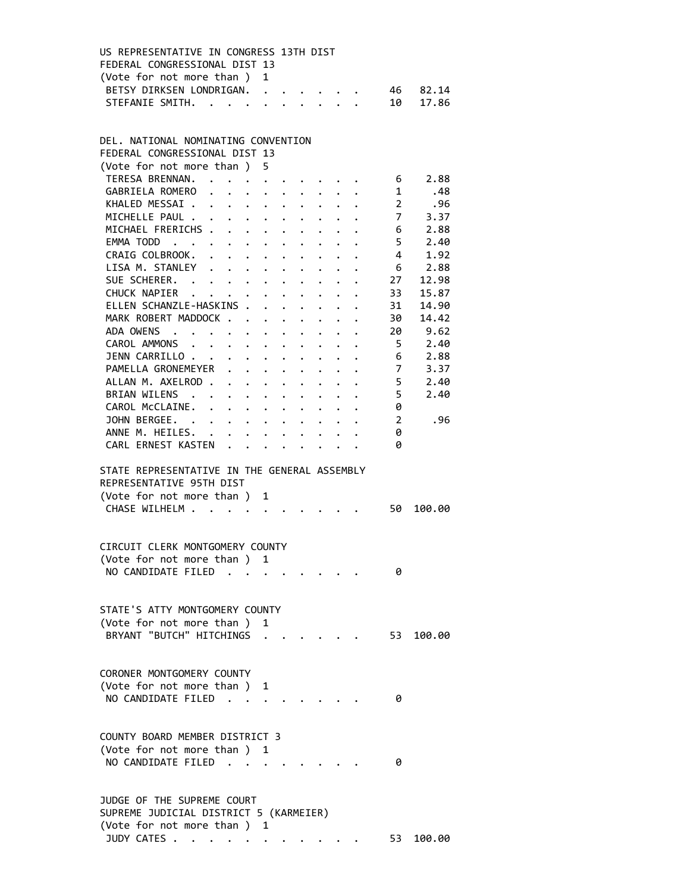| FEDERAL CONGRESSIONAL DIST 13 |  |  |                                         |                                                      |
|-------------------------------|--|--|-----------------------------------------|------------------------------------------------------|
| (Vote for not more than) 1    |  |  |                                         |                                                      |
|                               |  |  |                                         | 46 82.14                                             |
|                               |  |  |                                         |                                                      |
|                               |  |  | US REPRESENTATIVE IN CONGRESS 13TH DIST | BETSY DIRKSEN LONDRIGAN.<br>STEFANIE SMITH. 10 17.86 |

### DEL. NATIONAL NOMINATING CONVENTION FEDERAL CONGRESSIONAL DIST 13 (Vote for not more than ) 5 TERESA BRENNAN. . . . . . . . . . . 6 2.88 GABRIELA ROMERO . . . . . . . . . 1 .48 KHALED MESSAI . . . . . . . . . . 2 . 96 MICHELLE PAUL . . . . . . . . . . . 7 3.37 MICHAEL FRERICHS . . . . . . . . . 6 2.88 EMMA TODD . . . . . . . . . . . . 5 2.40<br>CRAIG COLBROOK. . . . . . . . . . 4 1.92 CRAIG COLBROOK. . . . . . . . . . 4 1.92 LISA M. STANLEY . . . . . . . . . . 6 2.88 SUE SCHERER. . . . . . . . . . . 27 12.98 CHUCK NAPIER . . . . . . . . . . 33 15.87 ELLEN SCHANZLE-HASKINS . . . . . . . 31 14.90 MARK ROBERT MADDOCK . . . . . . . . 30 14.42 ADA OWENS . . . . . . . . . . . . 20 9.62 CAROL AMMONS . . . . . . . . . . 5 2.40 JENN CARRILLO . . . . . . . . . . 6 2.88 PAMELLA GRONEMEYER . . . . . . . . 7 3.37 ALLAN M. AXELROD . . . . . . . . . . 5 2.40 BRIAN WILENS . . . . . . . . . . . 5 2.40 CAROL McCLAINE. . . . . . . . . . 0 JOHN BERGEE. . . . . . . . . . . 2 .96 ANNE M. HEILES. . . . . . . . . . 0 CARL ERNEST KASTEN . . . . . . . . 0 STATE REPRESENTATIVE IN THE GENERAL ASSEMBLY REPRESENTATIVE 95TH DIST (Vote for not more than ) 1 CHASE WILHELM . . . . . . . . . . . 50 100.00 CIRCUIT CLERK MONTGOMERY COUNTY (Vote for not more than ) 1 NO CANDIDATE FILED . . . . . . . . 0 STATE'S ATTY MONTGOMERY COUNTY (Vote for not more than ) 1 BRYANT "BUTCH" HITCHINGS . . . . . . 53 100.00 CORONER MONTGOMERY COUNTY (Vote for not more than ) 1 NO CANDIDATE FILED . . . . . . . . 0 COUNTY BOARD MEMBER DISTRICT 3 (Vote for not more than ) 1 NO CANDIDATE FILED . . . . . . . . 0 JUDGE OF THE SUPREME COURT SUPREME JUDICIAL DISTRICT 5 (KARMEIER) (Vote for not more than ) 1

JUDY CATES . . . . . . . . . . . . 53 100.00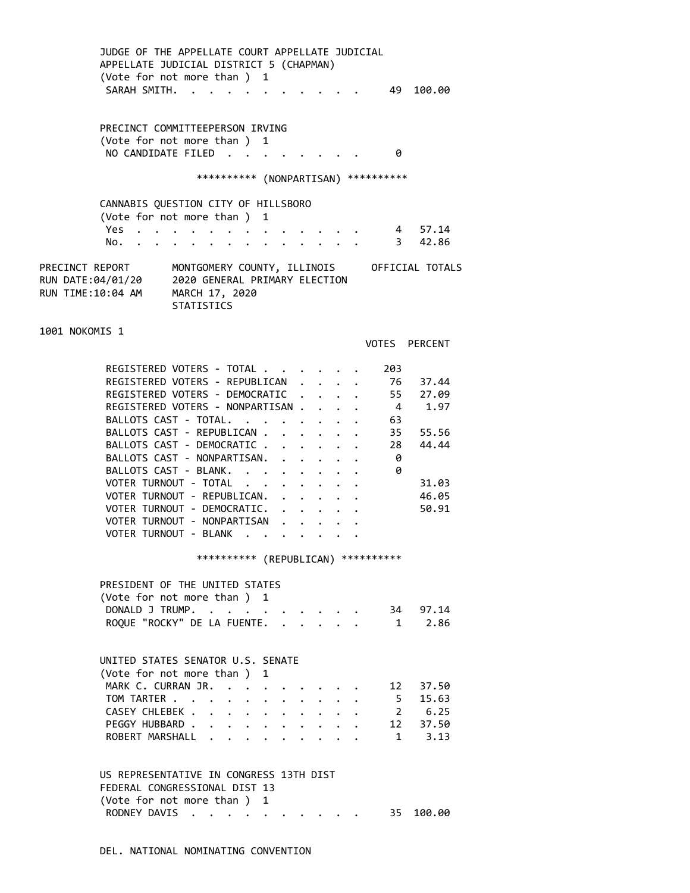JUDGE OF THE APPELLATE COURT APPELLATE JUDICIAL APPELLATE JUDICIAL DISTRICT 5 (CHAPMAN) (Vote for not more than ) 1 SARAH SMITH. . . . . . . . . . . 49 100.00

 PRECINCT COMMITTEEPERSON IRVING (Vote for not more than ) 1 NO CANDIDATE FILED . . . . . . . . 0

### \*\*\*\*\*\*\*\*\*\* (NONPARTISAN) \*\*\*\*\*\*\*\*\*\*

### CANNABIS QUESTION CITY OF HILLSBORO (Vote for not more than ) 1 Yes . . . . . . . . . . . . . 4 57.14 No. . . . . . . . . . . . . . 3 42.86 PRECINCT REPORT MONTGOMERY COUNTY, ILLINOIS OFFICIAL TOTALS

RUN DATE:04/01/20 2020 GENERAL PRIMARY ELECTION RUN TIME:10:04 AM MARCH 17, 2020 **STATISTICS** 

1001 NOKOMIS 1

VOTES PERCENT

| REGISTERED VOTERS - TOTAL          |  |  | 203 |       |
|------------------------------------|--|--|-----|-------|
| REGISTERED VOTERS - REPUBLICAN     |  |  | 76  | 37.44 |
| REGISTERED VOTERS - DEMOCRATIC.    |  |  | 55  | 27.09 |
| REGISTERED VOTERS - NONPARTISAN.   |  |  | 4   | 1.97  |
| BALLOTS CAST - TOTAL.              |  |  | 63  |       |
| BALLOTS CAST - REPUBLICAN          |  |  | 35  | 55.56 |
| BALLOTS CAST - DEMOCRATIC          |  |  | 28  | 44.44 |
| BALLOTS CAST - NONPARTISAN.        |  |  | 0   |       |
| BALLOTS CAST - BLANK.              |  |  | 0   |       |
| VOTER TURNOUT - TOTAL<br>$\cdot$ . |  |  |     | 31.03 |
| VOTER TURNOUT - REPUBLICAN.        |  |  |     | 46.05 |
| VOTER TURNOUT - DEMOCRATIC. .      |  |  |     | 50.91 |
| VOTER TURNOUT - NONPARTISAN        |  |  |     |       |
| VOTER TURNOUT - BLANK              |  |  |     |       |

\*\*\*\*\*\*\*\*\*\* (REPUBLICAN) \*\*\*\*\*\*\*\*\*\*

| PRESIDENT OF THE UNITED STATES     |  |  |          |
|------------------------------------|--|--|----------|
| (Vote for not more than ) 1        |  |  |          |
| DONALD J TRUMP.                    |  |  | 34 97.14 |
| ROQUE "ROCKY" DE LA FUENTE. 1 2.86 |  |  |          |

|  | UNITED STATES SENATOR U.S. SENATE |  |  |  |  |  |  |
|--|-----------------------------------|--|--|--|--|--|--|
|  | (Vote for not more than) 1        |  |  |  |  |  |  |
|  | MARK C. CURRAN JR. 12 37.50       |  |  |  |  |  |  |
|  | TOM TARTER 5 15.63                |  |  |  |  |  |  |
|  | CASEY CHLEBEK 2 6.25              |  |  |  |  |  |  |
|  | PEGGY HUBBARD 12 37.50            |  |  |  |  |  |  |
|  | ROBERT MARSHALL 1 3.13            |  |  |  |  |  |  |

### US REPRESENTATIVE IN CONGRESS 13TH DIST FEDERAL CONGRESSIONAL DIST 13 (Vote for not more than ) 1 RODNEY DAVIS . . . . . . . . . . 35 100.00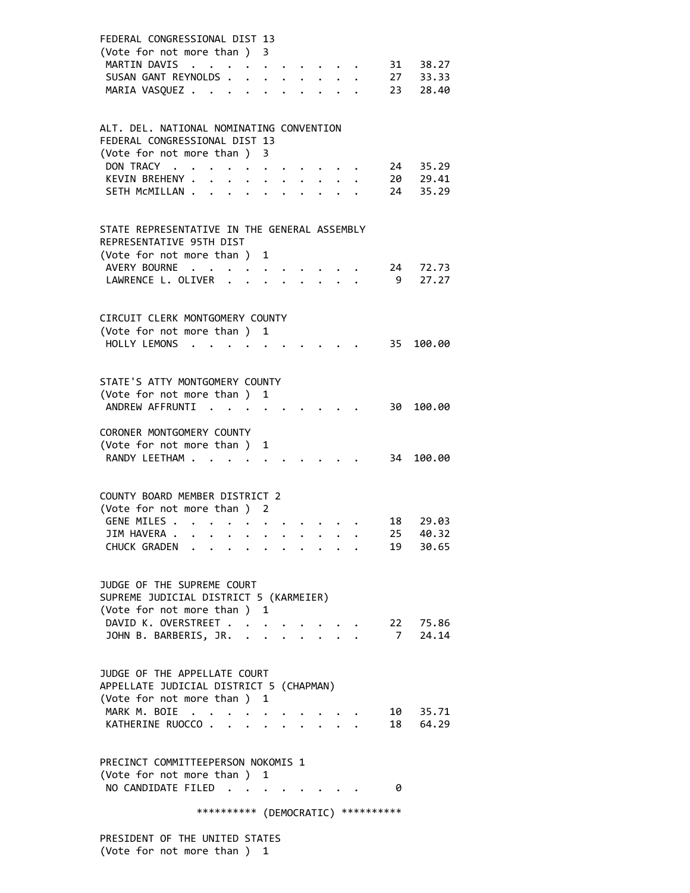| ALT. DEL. NATIONAL NOMINATING CONVENTION<br>FEDERAL CONGRESSIONAL DIST 13<br>(Vote for not more than)<br>3<br>DON TRACY.<br>35.29<br>24<br>$\sim$<br>29.41<br>KEVIN BREHENY .<br>20<br>35.29<br>SETH MCMILLAN.<br>24<br>STATE REPRESENTATIVE IN THE GENERAL ASSEMBLY<br>REPRESENTATIVE 95TH DIST<br>(Vote for not more than )<br>1<br>AVERY BOURNE<br>72.73<br>24<br>LAWRENCE L. OLIVER .<br>- 9<br>27.27<br>CIRCUIT CLERK MONTGOMERY COUNTY<br>(Vote for not more than ) 1<br>HOLLY LEMONS<br>35<br>100.00<br>STATE'S ATTY MONTGOMERY COUNTY<br>(Vote for not more than)<br>1<br>ANDREW AFFRUNTI<br>30<br>100.00<br><b>Contract</b><br>CORONER MONTGOMERY COUNTY<br>(Vote for not more than )<br>1<br>RANDY LEETHAM<br>100.00<br>34<br>COUNTY BOARD MEMBER DISTRICT 2<br>(Vote for not more than ) 2<br>GENE MILES .<br>18<br>29.03<br>$\cdot$ .<br>$\ddot{\phantom{0}}$<br>25<br>40.32<br>JIM HAVERA<br>CHUCK GRADEN<br>19<br>30.65<br>JUDGE OF THE SUPREME COURT<br>SUPREME JUDICIAL DISTRICT 5 (KARMEIER)<br>(Vote for not more than ) 1<br>DAVID K. OVERSTREET<br>22 75.86<br>$7^{\circ}$<br>JOHN B. BARBERIS, JR.<br>24.14<br>$\mathbf{r} = \mathbf{r}$ | 31 38.27<br>33.33<br>28.40 |
|---------------------------------------------------------------------------------------------------------------------------------------------------------------------------------------------------------------------------------------------------------------------------------------------------------------------------------------------------------------------------------------------------------------------------------------------------------------------------------------------------------------------------------------------------------------------------------------------------------------------------------------------------------------------------------------------------------------------------------------------------------------------------------------------------------------------------------------------------------------------------------------------------------------------------------------------------------------------------------------------------------------------------------------------------------------------------------------------------------------------------------------------------------------|----------------------------|
|                                                                                                                                                                                                                                                                                                                                                                                                                                                                                                                                                                                                                                                                                                                                                                                                                                                                                                                                                                                                                                                                                                                                                               |                            |
|                                                                                                                                                                                                                                                                                                                                                                                                                                                                                                                                                                                                                                                                                                                                                                                                                                                                                                                                                                                                                                                                                                                                                               |                            |
|                                                                                                                                                                                                                                                                                                                                                                                                                                                                                                                                                                                                                                                                                                                                                                                                                                                                                                                                                                                                                                                                                                                                                               |                            |
|                                                                                                                                                                                                                                                                                                                                                                                                                                                                                                                                                                                                                                                                                                                                                                                                                                                                                                                                                                                                                                                                                                                                                               |                            |
|                                                                                                                                                                                                                                                                                                                                                                                                                                                                                                                                                                                                                                                                                                                                                                                                                                                                                                                                                                                                                                                                                                                                                               |                            |
|                                                                                                                                                                                                                                                                                                                                                                                                                                                                                                                                                                                                                                                                                                                                                                                                                                                                                                                                                                                                                                                                                                                                                               |                            |
|                                                                                                                                                                                                                                                                                                                                                                                                                                                                                                                                                                                                                                                                                                                                                                                                                                                                                                                                                                                                                                                                                                                                                               |                            |
| JUDGE OF THE APPELLATE COURT<br>APPELLATE JUDICIAL DISTRICT 5 (CHAPMAN)<br>(Vote for not more than ) 1<br>MARK M. BOIE<br>35.71<br>10 —<br>18<br>KATHERINE RUOCCO.<br>64.29<br>$\overline{a}$                                                                                                                                                                                                                                                                                                                                                                                                                                                                                                                                                                                                                                                                                                                                                                                                                                                                                                                                                                 |                            |
| PRECINCT COMMITTEEPERSON NOKOMIS 1<br>(Vote for not more than ) 1<br>NO CANDIDATE FILED<br>0<br>*********** (DEMOCRATIC) **********                                                                                                                                                                                                                                                                                                                                                                                                                                                                                                                                                                                                                                                                                                                                                                                                                                                                                                                                                                                                                           |                            |

 PRESIDENT OF THE UNITED STATES (Vote for not more than ) 1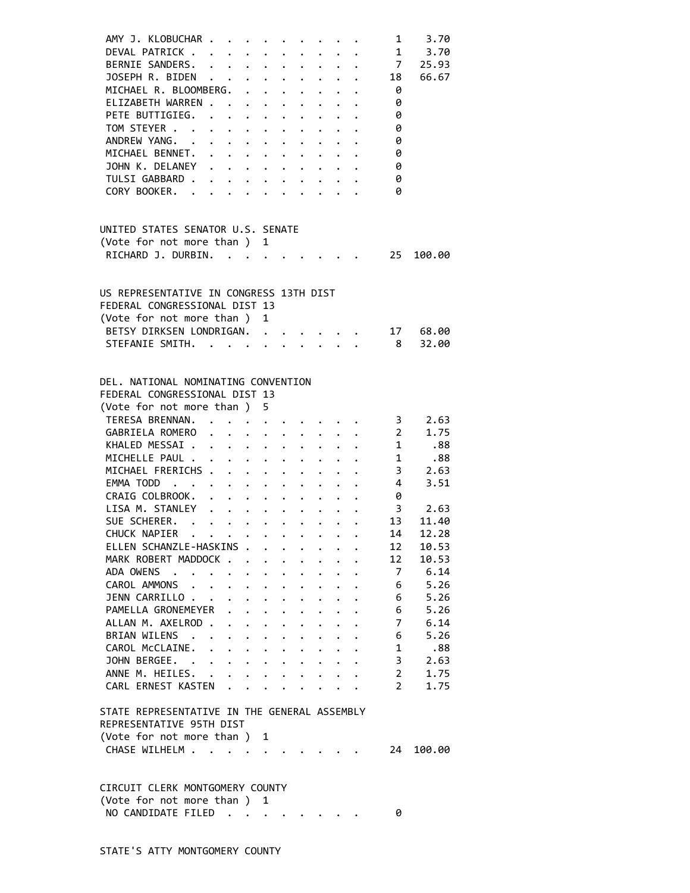| AMY J. KLOBUCHAR .                                                       |                                                                                                                       | . The contract of the contract of the contract of the contract of the contract of the contract of the contract of the contract of the contract of the contract of the contract of the contract of the contract of the contrac |                      |                      |                                                                    |                           |                                          |                                          | $1 \quad \blacksquare$ | 3.70                 |
|--------------------------------------------------------------------------|-----------------------------------------------------------------------------------------------------------------------|-------------------------------------------------------------------------------------------------------------------------------------------------------------------------------------------------------------------------------|----------------------|----------------------|--------------------------------------------------------------------|---------------------------|------------------------------------------|------------------------------------------|------------------------|----------------------|
| DEVAL PATRICK .                                                          |                                                                                                                       | $\mathbf{r}$ , and $\mathbf{r}$ , and $\mathbf{r}$ , and $\mathbf{r}$ , and $\mathbf{r}$                                                                                                                                      |                      |                      |                                                                    |                           |                                          |                                          |                        | 1 3.70               |
| BERNIE SANDERS.                                                          |                                                                                                                       |                                                                                                                                                                                                                               |                      |                      |                                                                    |                           |                                          |                                          | $\overline{7}$         | 25.93                |
| JOSEPH R. BIDEN                                                          |                                                                                                                       |                                                                                                                                                                                                                               |                      |                      | $\mathbf{r} = \mathbf{r} + \mathbf{r} + \mathbf{r} + \mathbf{r}$ . |                           |                                          |                                          | $\cdot$ $\cdot$ 18     | 66.67                |
| MICHAEL R. BLOOMBERG. .                                                  |                                                                                                                       |                                                                                                                                                                                                                               |                      |                      | $\mathbf{r} = \mathbf{r} + \mathbf{r} + \mathbf{r}$ .              |                           |                                          |                                          | - 0                    |                      |
| ELIZABETH WARREN                                                         |                                                                                                                       |                                                                                                                                                                                                                               |                      |                      | $\cdot$ $\cdot$ $\cdot$ $\cdot$ $\cdot$                            |                           |                                          |                                          | 0                      |                      |
| PETE BUTTIGIEG. .                                                        |                                                                                                                       | $\mathbf{L}^{\text{max}}$                                                                                                                                                                                                     | $\ddot{\phantom{0}}$ |                      |                                                                    |                           |                                          |                                          | 0                      |                      |
|                                                                          |                                                                                                                       |                                                                                                                                                                                                                               |                      |                      |                                                                    |                           |                                          |                                          |                        |                      |
| TOM STEYER                                                               |                                                                                                                       | $\mathbf{z} = \mathbf{z} + \mathbf{z}$ , where $\mathbf{z} = \mathbf{z}$                                                                                                                                                      |                      |                      | $\mathbf{L} = \mathbf{L}$                                          | $\ddot{\phantom{a}}$      |                                          |                                          | 0                      |                      |
| ANDREW YANG. .                                                           | $\ddot{\phantom{0}}$                                                                                                  | $\mathbf{r} = \mathbf{r} + \mathbf{r} + \mathbf{r} + \mathbf{r} + \mathbf{r}$                                                                                                                                                 |                      |                      |                                                                    |                           |                                          | $\mathbf{L}^{\text{max}}$                | 0                      |                      |
| MICHAEL BENNET.                                                          | $\mathbf{r}$ , $\mathbf{r}$ , $\mathbf{r}$ , $\mathbf{r}$ , $\mathbf{r}$ , $\mathbf{r}$ , $\mathbf{r}$ , $\mathbf{r}$ |                                                                                                                                                                                                                               |                      |                      |                                                                    |                           |                                          |                                          | 0                      |                      |
| JOHN K. DELANEY                                                          |                                                                                                                       |                                                                                                                                                                                                                               |                      |                      |                                                                    |                           |                                          |                                          | 0                      |                      |
| TULSI GABBARD                                                            |                                                                                                                       |                                                                                                                                                                                                                               |                      |                      |                                                                    |                           |                                          |                                          | 0                      |                      |
| CORY BOOKER.                                                             |                                                                                                                       |                                                                                                                                                                                                                               |                      |                      |                                                                    |                           |                                          |                                          | ø                      |                      |
|                                                                          |                                                                                                                       |                                                                                                                                                                                                                               |                      |                      |                                                                    |                           |                                          |                                          |                        |                      |
| UNITED STATES SENATOR U.S. SENATE                                        |                                                                                                                       |                                                                                                                                                                                                                               |                      |                      |                                                                    |                           |                                          |                                          |                        |                      |
| (Vote for not more than ) 1                                              |                                                                                                                       |                                                                                                                                                                                                                               |                      |                      |                                                                    |                           |                                          |                                          |                        |                      |
| RICHARD J. DURBIN.                                                       |                                                                                                                       | $\mathbf{r}$ . The set of $\mathbf{r}$                                                                                                                                                                                        |                      |                      |                                                                    |                           |                                          |                                          | 25                     | 100.00               |
|                                                                          |                                                                                                                       |                                                                                                                                                                                                                               |                      |                      |                                                                    |                           |                                          |                                          |                        |                      |
|                                                                          |                                                                                                                       |                                                                                                                                                                                                                               |                      |                      |                                                                    |                           |                                          |                                          |                        |                      |
| US REPRESENTATIVE IN CONGRESS 13TH DIST<br>FEDERAL CONGRESSIONAL DIST 13 |                                                                                                                       |                                                                                                                                                                                                                               |                      |                      |                                                                    |                           |                                          |                                          |                        |                      |
|                                                                          |                                                                                                                       |                                                                                                                                                                                                                               |                      |                      |                                                                    |                           |                                          |                                          |                        |                      |
| (Vote for not more than)                                                 |                                                                                                                       |                                                                                                                                                                                                                               | $\mathbf{1}$         |                      |                                                                    |                           |                                          |                                          |                        |                      |
| BETSY DIRKSEN LONDRIGAN.                                                 |                                                                                                                       |                                                                                                                                                                                                                               |                      |                      | $\ddot{\phantom{a}}$                                               |                           |                                          |                                          | 17                     | 68.00                |
| STEFANIE SMITH.                                                          |                                                                                                                       |                                                                                                                                                                                                                               |                      |                      | $\mathbf{r} = \mathbf{r} \cdot \mathbf{r}$                         |                           |                                          |                                          | 8                      | 32.00                |
|                                                                          |                                                                                                                       |                                                                                                                                                                                                                               |                      |                      |                                                                    |                           |                                          |                                          |                        |                      |
| DEL. NATIONAL NOMINATING CONVENTION                                      |                                                                                                                       |                                                                                                                                                                                                                               |                      |                      |                                                                    |                           |                                          |                                          |                        |                      |
|                                                                          |                                                                                                                       |                                                                                                                                                                                                                               |                      |                      |                                                                    |                           |                                          |                                          |                        |                      |
| FEDERAL CONGRESSIONAL DIST 13                                            |                                                                                                                       |                                                                                                                                                                                                                               |                      |                      |                                                                    |                           |                                          |                                          |                        |                      |
| (Vote for not more than) 5                                               |                                                                                                                       |                                                                                                                                                                                                                               |                      |                      |                                                                    |                           |                                          |                                          |                        |                      |
| TERESA BRENNAN.                                                          |                                                                                                                       |                                                                                                                                                                                                                               |                      |                      |                                                                    |                           |                                          |                                          |                        | $3\qquad 2.63$       |
| GABRIELA ROMERO                                                          |                                                                                                                       | $\mathbf{z} = \mathbf{z} + \mathbf{z}$                                                                                                                                                                                        |                      |                      |                                                                    |                           |                                          |                                          |                        | 2 1.75<br>1 .88      |
| KHALED MESSAI                                                            |                                                                                                                       |                                                                                                                                                                                                                               |                      |                      |                                                                    |                           |                                          | $\ddot{\phantom{0}}$                     |                        |                      |
| MICHELLE PAUL                                                            |                                                                                                                       |                                                                                                                                                                                                                               |                      |                      |                                                                    |                           |                                          |                                          |                        | 1.88                 |
| MICHAEL FRERICHS                                                         |                                                                                                                       |                                                                                                                                                                                                                               |                      |                      |                                                                    |                           |                                          | $\ddot{\phantom{a}}$                     |                        | $3\quad 2.63$        |
| EMMA TODD                                                                |                                                                                                                       |                                                                                                                                                                                                                               |                      |                      |                                                                    |                           |                                          | $\mathbf{z} = \mathbf{z} + \mathbf{z}$ . | $\overline{4}$         | 3.51                 |
| CRAIG COLBROOK.                                                          | $\ddot{\phantom{0}}$                                                                                                  | $\cdot$ $\cdot$ $\cdot$ $\cdot$ $\cdot$ $\cdot$ $\cdot$                                                                                                                                                                       |                      |                      |                                                                    |                           |                                          |                                          | 0                      |                      |
| LISA M. STANLEY                                                          |                                                                                                                       |                                                                                                                                                                                                                               |                      |                      | $\mathbf{z} = \mathbf{z} + \mathbf{z}$ . The $\mathbf{z}$          |                           |                                          |                                          |                        |                      |
| SUE SCHERER. .                                                           | $\cdot$ $\cdot$ $\cdot$ $\cdot$ $\cdot$ $\cdot$ $\cdot$ $\cdot$                                                       |                                                                                                                                                                                                                               |                      |                      |                                                                    | $\sim 10^{-11}$           |                                          |                                          | 13                     | $3 \t 2.63$<br>11.40 |
| CHUCK NAPIER                                                             |                                                                                                                       |                                                                                                                                                                                                                               |                      |                      |                                                                    |                           | $\bullet$ .                              |                                          | 14                     |                      |
| $\ddot{\phantom{a}}$                                                     |                                                                                                                       | $\mathcal{L}(\mathbf{z})$ , and $\mathcal{L}(\mathbf{z})$ , and $\mathcal{L}(\mathbf{z})$                                                                                                                                     |                      |                      | $\sim$ $\sim$                                                      |                           |                                          |                                          |                        | 12.28                |
| ELLEN SCHANZLE-HASKINS .                                                 |                                                                                                                       |                                                                                                                                                                                                                               |                      |                      |                                                                    |                           |                                          |                                          | 12                     | 10.53                |
| MARK ROBERT MADDOCK                                                      |                                                                                                                       |                                                                                                                                                                                                                               |                      |                      | $\ddot{\phantom{0}}$                                               | $\mathbf{L}^{\text{max}}$ | $\ddot{\phantom{0}}$                     |                                          | 12                     | 10.53                |
| ADA OWENS<br>$\cdot$ $\cdot$                                             | $\ddot{\phantom{1}}$                                                                                                  | $\ddot{\phantom{0}}$                                                                                                                                                                                                          | $\ddot{\phantom{a}}$ | $\ddot{\phantom{0}}$ | $\ddot{\phantom{0}}$                                               | $\ddot{\phantom{0}}$      | $\ddot{\phantom{0}}$                     |                                          | 7                      | 6.14                 |
| CAROL AMMONS                                                             |                                                                                                                       | $\ddot{\phantom{0}}$                                                                                                                                                                                                          | $\ddot{\phantom{0}}$ | $\ddot{\phantom{0}}$ | $\ddot{\phantom{0}}$                                               |                           |                                          |                                          | 6                      | 5.26                 |
| JENN CARRILLO                                                            |                                                                                                                       |                                                                                                                                                                                                                               |                      |                      |                                                                    |                           |                                          |                                          | 6                      | 5.26                 |
| PAMELLA GRONEMEYER                                                       |                                                                                                                       |                                                                                                                                                                                                                               |                      |                      |                                                                    |                           |                                          |                                          | 6                      | 5.26                 |
| ALLAN M. AXELROD .                                                       |                                                                                                                       |                                                                                                                                                                                                                               |                      |                      |                                                                    |                           |                                          |                                          | 7                      | 6.14                 |
| BRIAN WILENS<br>$\sim$                                                   |                                                                                                                       |                                                                                                                                                                                                                               |                      |                      |                                                                    |                           |                                          |                                          | 6                      | 5.26                 |
| CAROL McCLAINE.                                                          | $\ddot{\phantom{0}}$                                                                                                  | $\ddot{\phantom{0}}$                                                                                                                                                                                                          | $\ddot{\phantom{0}}$ | $\ddot{\phantom{0}}$ | $\ddot{\phantom{0}}$                                               | $\mathbf{L}$              | $\ddot{\phantom{0}}$                     |                                          | 1                      | .88                  |
| JOHN BERGEE.                                                             |                                                                                                                       | $\mathbf{L}$ $\mathbf{L}$                                                                                                                                                                                                     |                      |                      |                                                                    |                           |                                          |                                          | 3                      | 2.63                 |
|                                                                          |                                                                                                                       |                                                                                                                                                                                                                               |                      | $\ddot{\phantom{1}}$ | $\ddot{\phantom{0}}$                                               | $\mathbf{L}^{\text{max}}$ | $\ddot{\phantom{0}}$                     |                                          |                        |                      |
| ANNE M. HEILES.                                                          | $\sim$ $\sim$                                                                                                         | $\ddot{\phantom{0}}$                                                                                                                                                                                                          | $\ddot{\phantom{0}}$ | $\ddot{\phantom{0}}$ | $\ddot{\phantom{0}}$                                               |                           | $\cdot$ $\cdot$                          |                                          | $\overline{2}$         | 1.75                 |
| CARL ERNEST KASTEN                                                       |                                                                                                                       |                                                                                                                                                                                                                               |                      |                      | $\ddot{\phantom{a}}$                                               |                           | $\mathbf{r} = \mathbf{r} + \mathbf{r}$ . |                                          | $\overline{2}$         | 1.75                 |
| STATE REPRESENTATIVE IN THE GENERAL ASSEMBLY                             |                                                                                                                       |                                                                                                                                                                                                                               |                      |                      |                                                                    |                           |                                          |                                          |                        |                      |
| REPRESENTATIVE 95TH DIST                                                 |                                                                                                                       |                                                                                                                                                                                                                               |                      |                      |                                                                    |                           |                                          |                                          |                        |                      |
| (Vote for not more than ) 1                                              |                                                                                                                       |                                                                                                                                                                                                                               |                      |                      |                                                                    |                           |                                          |                                          |                        |                      |
|                                                                          |                                                                                                                       |                                                                                                                                                                                                                               |                      |                      |                                                                    |                           |                                          |                                          | 24                     |                      |
| CHASE WILHELM                                                            |                                                                                                                       | $\cdots$                                                                                                                                                                                                                      |                      |                      |                                                                    |                           |                                          |                                          |                        | 100.00               |
|                                                                          |                                                                                                                       |                                                                                                                                                                                                                               |                      |                      |                                                                    |                           |                                          |                                          |                        |                      |
| CIRCUIT CLERK MONTGOMERY COUNTY                                          |                                                                                                                       |                                                                                                                                                                                                                               |                      |                      |                                                                    |                           |                                          |                                          |                        |                      |
| (Vote for not more than)                                                 |                                                                                                                       |                                                                                                                                                                                                                               | 1                    |                      |                                                                    |                           |                                          |                                          |                        |                      |
| NO CANDIDATE FILED.                                                      |                                                                                                                       |                                                                                                                                                                                                                               |                      |                      |                                                                    |                           |                                          |                                          |                        |                      |
|                                                                          |                                                                                                                       | $\ddot{\phantom{0}}$                                                                                                                                                                                                          |                      | $\ddotsc$            |                                                                    |                           |                                          |                                          | 0                      |                      |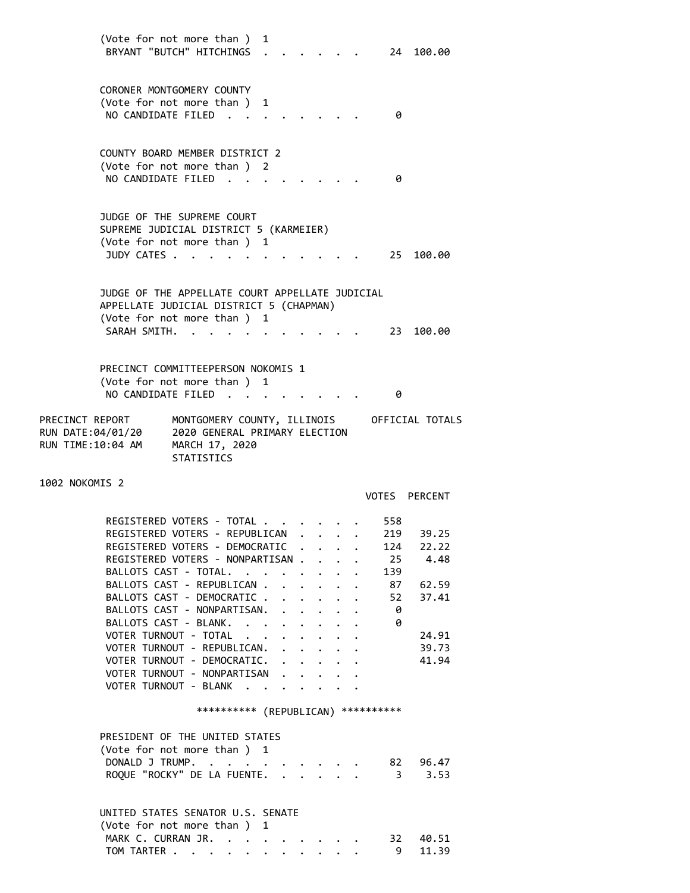(Vote for not more than ) 1 BRYANT "BUTCH" HITCHINGS . . . . . . 24 100.00 CORONER MONTGOMERY COUNTY (Vote for not more than ) 1 NO CANDIDATE FILED . . . . . . . . 0 COUNTY BOARD MEMBER DISTRICT 2 (Vote for not more than ) 2 NO CANDIDATE FILED . . . . . . . . 0 JUDGE OF THE SUPREME COURT SUPREME JUDICIAL DISTRICT 5 (KARMEIER) (Vote for not more than ) 1 JUDY CATES . . . . . . . . . . . . 25 100.00 JUDGE OF THE APPELLATE COURT APPELLATE JUDICIAL APPELLATE JUDICIAL DISTRICT 5 (CHAPMAN) (Vote for not more than ) 1 SARAH SMITH. . . . . . . . . . . 23 100.00 PRECINCT COMMITTEEPERSON NOKOMIS 1 (Vote for not more than ) 1 NO CANDIDATE FILED . . . . . . . . 0 PRECINCT REPORT MONTGOMERY COUNTY, ILLINOIS OFFICIAL TOTALS RUN DATE:04/01/20 2020 GENERAL PRIMARY ELECTION RUN TIME:10:04 AM MARCH 17, 2020 STATISTICS 1002 NOKOMIS 2 VOTES PERCENT REGISTERED VOTERS - TOTAL . . . . . . 558 REGISTERED VOTERS - REPUBLICAN . . . . 219 39.25 REGISTERED VOTERS - DEMOCRATIC . . . . 124 22.22 REGISTERED VOTERS - NONPARTISAN . . . . 25 4.48 BALLOTS CAST - TOTAL. . . . . . . . 139 BALLOTS CAST - REPUBLICAN . . . . . . 87 62.59 BALLOTS CAST - DEMOCRATIC . . . . . . 52 37.41 BALLOTS CAST - NONPARTISAN. . . . . . 0<br>BALLOTS CAST - BLANK. . . . . . . . 0 BALLOTS CAST - BLANK. . . . . . . . VOTER TURNOUT - TOTAL . . . . . . . 24.91 VOTER TURNOUT - REPUBLICAN. . . . . . 39.73 VOTER TURNOUT - DEMOCRATIC. . . . . . 41.94 VOTER TURNOUT - NONPARTISAN . . . . . VOTER TURNOUT - BLANK . . . . . . \*\*\*\*\*\*\*\*\*\* (REPUBLICAN) \*\*\*\*\*\*\*\*\*\* PRESIDENT OF THE UNITED STATES (Vote for not more than ) 1 DONALD J TRUMP. . . . . . . . . . 82 96.47 ROQUE "ROCKY" DE LA FUENTE. . . . . . 3 3.53 UNITED STATES SENATOR U.S. SENATE

 (Vote for not more than ) 1 MARK C. CURRAN JR. . . . . . . . . 32 40.51 TOM TARTER . . . . . . . . . . . . 9 11.39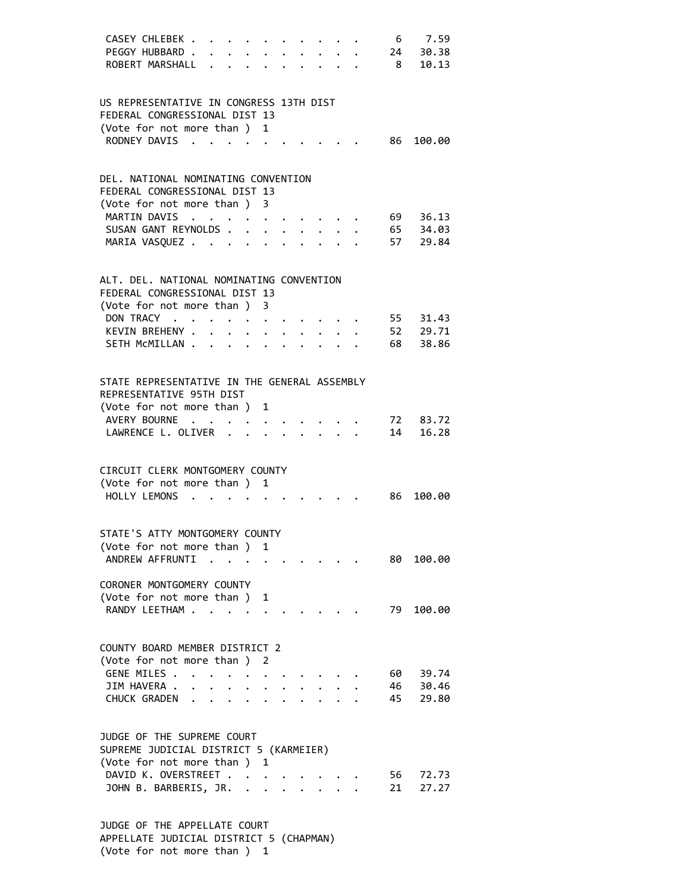| CASEY CHLEBEK<br>PEGGY HUBBARD.<br>ROBERT MARSHALL                                                                      |                                              | $\cdot$ $\cdot$ $\cdot$ $\cdot$ $\cdot$ $\cdot$ $\cdot$ $\cdot$                                                                                                                                                                                   |                                         |                                           | $\sim$ 8 | 6 7.59<br>24 30.38<br>10.13      |  |
|-------------------------------------------------------------------------------------------------------------------------|----------------------------------------------|---------------------------------------------------------------------------------------------------------------------------------------------------------------------------------------------------------------------------------------------------|-----------------------------------------|-------------------------------------------|----------|----------------------------------|--|
| US REPRESENTATIVE IN CONGRESS 13TH DIST<br>FEDERAL CONGRESSIONAL DIST 13<br>(Vote for not more than )<br>RODNEY DAVIS   | $\sim$ $\sim$                                | $\mathbf{1}$<br>$\mathbf{r}$ . The contract of the contract of the contract of the contract of the contract of the contract of the contract of the contract of the contract of the contract of the contract of the contract of the contract of th |                                         |                                           |          | 86<br>100.00                     |  |
| DEL, NATIONAL NOMINATING CONVENTION<br>FEDERAL CONGRESSIONAL DIST 13<br>(Vote for not more than ) 3                     |                                              |                                                                                                                                                                                                                                                   |                                         |                                           |          |                                  |  |
| MARTIN DAVIS<br>SUSAN GANT REYNOLDS<br>MARIA VASQUEZ                                                                    |                                              | $\cdot$ $\cdot$ $\cdot$ $\cdot$ $\cdot$ $\cdot$ $\cdot$<br>$\cdot$ $\cdot$ $\cdot$                                                                                                                                                                |                                         | $\mathbf{r} = \mathbf{r} + \mathbf{r}$    |          | 69 36.13<br>65 34.03<br>57 29.84 |  |
| ALT. DEL. NATIONAL NOMINATING CONVENTION<br>FEDERAL CONGRESSIONAL DIST 13<br>(Vote for not more than ) 3<br>DON TRACY   |                                              |                                                                                                                                                                                                                                                   |                                         |                                           |          | 55 31.43                         |  |
| KEVIN BREHENY<br>SETH MCMILLAN                                                                                          |                                              |                                                                                                                                                                                                                                                   |                                         | $\cdot$ $\cdot$ $\cdot$ $\cdot$           |          | 52 29.71<br>38.86<br>68          |  |
| STATE REPRESENTATIVE IN THE GENERAL ASSEMBLY<br>REPRESENTATIVE 95TH DIST<br>(Vote for not more than ) 1                 |                                              |                                                                                                                                                                                                                                                   |                                         |                                           |          |                                  |  |
| AVERY BOURNE<br>LAWRENCE L. OLIVER                                                                                      |                                              |                                                                                                                                                                                                                                                   | $\cdot$ $\cdot$ $\cdot$ $\cdot$ $\cdot$ | $\sim$ $\sim$ $\sim$ $\sim$ $\sim$ $\sim$ |          | 72<br>83.72<br>14<br>16.28       |  |
| CIRCUIT CLERK MONTGOMERY COUNTY<br>(Vote for not more than ) 1<br>$HOLIY IFMONS$                                        |                                              |                                                                                                                                                                                                                                                   |                                         |                                           |          | 86<br>100.00                     |  |
| STATE'S ATTY MONTGOMERY COUNTY<br>(Vote for not more than ) 1<br>ANDREW AFFRUNTI                                        |                                              | $\sim 100$ km s $^{-1}$                                                                                                                                                                                                                           |                                         |                                           |          | 80 -<br>100.00                   |  |
| CORONER MONTGOMERY COUNTY<br>(Vote for not more than ) 1<br>RANDY LEETHAM                                               |                                              |                                                                                                                                                                                                                                                   |                                         |                                           |          | 79<br>100.00                     |  |
| COUNTY BOARD MEMBER DISTRICT 2<br>(Vote for not more than ) 2<br>GENE MILES .<br>JIM HAVERA .                           |                                              |                                                                                                                                                                                                                                                   |                                         |                                           |          | 60<br>39.74                      |  |
| CHUCK GRADEN<br>JUDGE OF THE SUPREME COURT                                                                              | $\ddot{\phantom{0}}$<br>$\ddot{\phantom{a}}$ |                                                                                                                                                                                                                                                   |                                         |                                           |          | 46<br>30.46<br>45<br>29.80       |  |
| SUPREME JUDICIAL DISTRICT 5 (KARMEIER)<br>(Vote for not more than ) 1<br>DAVID K. OVERSTREET<br>JOHN B. BARBERIS, JR. . |                                              |                                                                                                                                                                                                                                                   |                                         |                                           |          | 56<br>72.73<br>21<br>27.27       |  |
|                                                                                                                         |                                              |                                                                                                                                                                                                                                                   |                                         |                                           |          |                                  |  |

 JUDGE OF THE APPELLATE COURT APPELLATE JUDICIAL DISTRICT 5 (CHAPMAN) (Vote for not more than ) 1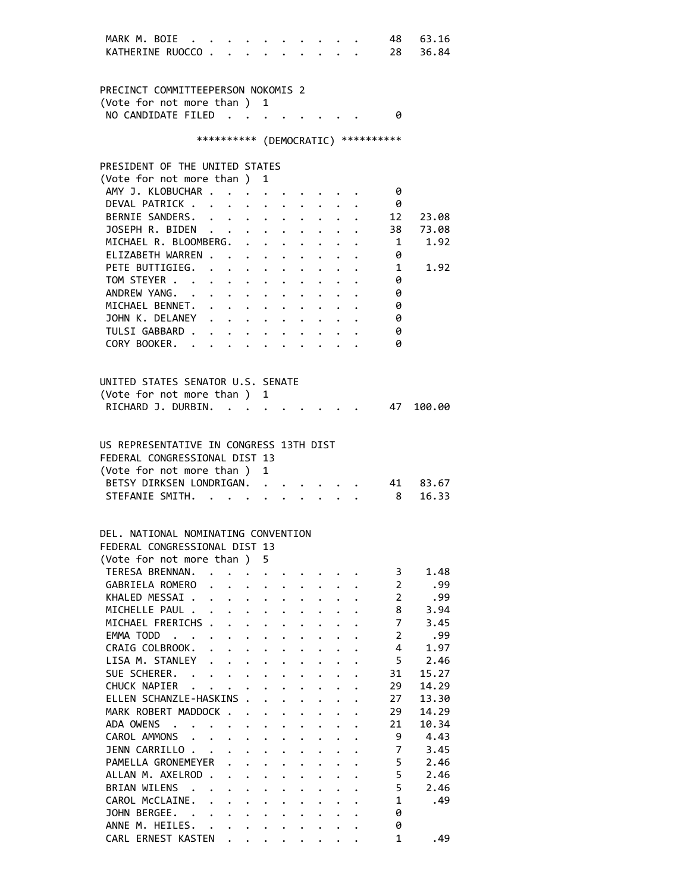| MARK M. BOIE                                                           |                                                                 |                      |                      |                                                                 |                                          |                      |                                 | 48                                  | 63.16    |
|------------------------------------------------------------------------|-----------------------------------------------------------------|----------------------|----------------------|-----------------------------------------------------------------|------------------------------------------|----------------------|---------------------------------|-------------------------------------|----------|
| KATHERINE RUOCCO                                                       |                                                                 | $\cdots$             |                      |                                                                 |                                          |                      |                                 | 28                                  | 36.84    |
|                                                                        |                                                                 |                      |                      |                                                                 |                                          |                      |                                 |                                     |          |
|                                                                        |                                                                 |                      |                      |                                                                 |                                          |                      |                                 |                                     |          |
| PRECINCT COMMITTEEPERSON NOKOMIS 2                                     |                                                                 |                      |                      |                                                                 |                                          |                      |                                 |                                     |          |
|                                                                        |                                                                 |                      |                      |                                                                 |                                          |                      |                                 |                                     |          |
| (Vote for not more than ) 1                                            |                                                                 |                      |                      |                                                                 |                                          |                      |                                 |                                     |          |
| NO CANDIDATE FILED                                                     |                                                                 |                      |                      |                                                                 |                                          |                      |                                 | - 0                                 |          |
|                                                                        |                                                                 |                      |                      |                                                                 |                                          |                      |                                 |                                     |          |
|                                                                        |                                                                 |                      |                      |                                                                 |                                          |                      |                                 | *********** (DEMOCRATIC) ********** |          |
|                                                                        |                                                                 |                      |                      |                                                                 |                                          |                      |                                 |                                     |          |
| PRESIDENT OF THE UNITED STATES                                         |                                                                 |                      |                      |                                                                 |                                          |                      |                                 |                                     |          |
| (Vote for not more than ) 1                                            |                                                                 |                      |                      |                                                                 |                                          |                      |                                 |                                     |          |
| AMY J. KLOBUCHAR                                                       |                                                                 |                      |                      |                                                                 |                                          |                      |                                 | - 0                                 |          |
| DEVAL PATRICK                                                          |                                                                 |                      |                      |                                                                 |                                          |                      |                                 | - 0                                 |          |
| BERNIE SANDERS.                                                        |                                                                 |                      |                      |                                                                 |                                          |                      |                                 | 12                                  | 23.08    |
| JOSEPH R. BIDEN                                                        |                                                                 |                      |                      |                                                                 |                                          |                      |                                 | 38                                  | 73.08    |
| MICHAEL R. BLOOMBERG. .                                                |                                                                 |                      |                      | $\bullet$ .<br><br><br><br><br><br><br><br><br><br><br><br><br> |                                          |                      |                                 | 1                                   | 1.92     |
| ELIZABETH WARREN                                                       |                                                                 |                      |                      |                                                                 |                                          |                      |                                 | 0                                   |          |
| PETE BUTTIGIEG.                                                        |                                                                 |                      |                      |                                                                 |                                          |                      |                                 | 1                                   | 1.92     |
|                                                                        |                                                                 |                      |                      |                                                                 |                                          |                      |                                 |                                     |          |
| TOM STEYER                                                             | $\cdot$ $\cdot$ $\cdot$ $\cdot$ $\cdot$ $\cdot$                 |                      |                      |                                                                 |                                          |                      |                                 | 0                                   |          |
| ANDREW YANG.                                                           |                                                                 |                      |                      |                                                                 | $\ddot{\phantom{0}}$                     |                      |                                 | 0                                   |          |
| MICHAEL BENNET.                                                        |                                                                 |                      |                      |                                                                 |                                          |                      |                                 | 0                                   |          |
| JOHN K. DELANEY                                                        |                                                                 |                      |                      |                                                                 |                                          |                      | $\cdot$ $\cdot$ $\cdot$ $\cdot$ | 0                                   |          |
| TULSI GABBARD .                                                        | $\cdot$ $\cdot$ $\cdot$ $\cdot$ $\cdot$ $\cdot$ $\cdot$ $\cdot$ |                      |                      |                                                                 |                                          |                      |                                 | 0                                   |          |
| CORY BOOKER.                                                           |                                                                 |                      |                      |                                                                 |                                          |                      |                                 | ø                                   |          |
|                                                                        |                                                                 |                      |                      |                                                                 |                                          |                      |                                 |                                     |          |
|                                                                        |                                                                 |                      |                      |                                                                 |                                          |                      |                                 |                                     |          |
| UNITED STATES SENATOR U.S. SENATE                                      |                                                                 |                      |                      |                                                                 |                                          |                      |                                 |                                     |          |
| (Vote for not more than ) 1                                            |                                                                 |                      |                      |                                                                 |                                          |                      |                                 |                                     |          |
| RICHARD J. DURBIN.                                                     |                                                                 |                      |                      |                                                                 |                                          |                      |                                 | 47                                  | 100.00   |
|                                                                        |                                                                 |                      |                      |                                                                 |                                          |                      |                                 |                                     |          |
|                                                                        |                                                                 |                      |                      |                                                                 |                                          |                      |                                 |                                     |          |
|                                                                        |                                                                 |                      |                      |                                                                 |                                          |                      |                                 |                                     |          |
| US REPRESENTATIVE IN CONGRESS 13TH DIST                                |                                                                 |                      |                      |                                                                 |                                          |                      |                                 |                                     |          |
| FEDERAL CONGRESSIONAL DIST 13                                          |                                                                 |                      |                      |                                                                 |                                          |                      |                                 |                                     |          |
| (Vote for not more than ) 1                                            |                                                                 |                      |                      |                                                                 |                                          |                      |                                 |                                     |          |
| BETSY DIRKSEN LONDRIGAN.                                               |                                                                 |                      |                      |                                                                 |                                          |                      |                                 |                                     | 41 83.67 |
| STEFANIE SMITH.                                                        |                                                                 |                      |                      | $\mathbf{r}$                                                    |                                          |                      |                                 | 8 <sup>1</sup>                      | 16.33    |
|                                                                        |                                                                 |                      |                      |                                                                 |                                          |                      |                                 |                                     |          |
|                                                                        |                                                                 |                      |                      |                                                                 |                                          |                      |                                 |                                     |          |
| DEL. NATIONAL NOMINATING CONVENTION                                    |                                                                 |                      |                      |                                                                 |                                          |                      |                                 |                                     |          |
| FEDERAL CONGRESSIONAL DIST 13                                          |                                                                 |                      |                      |                                                                 |                                          |                      |                                 |                                     |          |
| (Vote for not more than) 5                                             |                                                                 |                      |                      |                                                                 |                                          |                      |                                 |                                     |          |
| TERESA BRENNAN.                                                        |                                                                 |                      |                      |                                                                 |                                          |                      |                                 | 3                                   | 1.48     |
| GABRIELA ROMERO                                                        |                                                                 |                      |                      |                                                                 |                                          |                      |                                 | $\overline{2}$                      | .99      |
| KHALED MESSAI                                                          |                                                                 |                      | $\ddot{\phantom{a}}$ | $\ddot{\phantom{0}}$                                            |                                          |                      |                                 | $\overline{2}$                      | .99      |
| MICHELLE PAUL                                                          |                                                                 |                      | $\ddot{\phantom{0}}$ | $\ddot{\phantom{0}}$                                            | $\ddot{\phantom{a}}$                     |                      |                                 | 8                                   | 3.94     |
| MICHAEL FRERICHS .                                                     | $\ddot{\phantom{a}}$                                            | $\mathbf{r}$         | $\ddot{\phantom{a}}$ | $\ddot{\phantom{0}}$                                            |                                          |                      |                                 | 7                                   | 3.45     |
| EMMA TODD<br>$\sim$<br>$\cdots$                                        | $\ddot{\phantom{0}}$                                            | $\ddot{\phantom{0}}$ | $\ddot{\phantom{0}}$ | $\ddot{\phantom{0}}$                                            |                                          | $\ddot{\phantom{0}}$ |                                 | 2                                   | .99      |
| CRAIG COLBROOK.<br>$\ddot{\phantom{a}}$                                |                                                                 |                      |                      |                                                                 |                                          |                      |                                 | 4                                   | 1.97     |
|                                                                        |                                                                 | $\ddot{\phantom{a}}$ | $\ddot{\phantom{0}}$ | $\ddot{\phantom{0}}$                                            |                                          | $\ddot{\phantom{0}}$ |                                 | 5                                   |          |
| LISA M. STANLEY                                                        | $\ddot{\phantom{0}}$<br>$\ddot{\phantom{0}}$                    | $\ddot{\phantom{a}}$ | $\ddot{\phantom{0}}$ |                                                                 |                                          |                      |                                 |                                     | 2.46     |
| SUE SCHERER. .                                                         | $\ddot{\phantom{0}}$                                            | $\ddot{\phantom{a}}$ | $\ddot{\phantom{0}}$ |                                                                 |                                          |                      |                                 | 31                                  | 15.27    |
| CHUCK NAPIER                                                           |                                                                 |                      |                      |                                                                 |                                          |                      |                                 | 29                                  | 14.29    |
| ELLEN SCHANZLE-HASKINS .                                               |                                                                 |                      | $\ddot{\phantom{a}}$ | $\ddot{\phantom{0}}$                                            |                                          | $\ddot{\phantom{a}}$ | $\ddot{\phantom{a}}$            | 27                                  | 13.30    |
| MARK ROBERT MADDOCK                                                    |                                                                 |                      | $\ddot{\phantom{0}}$ | $\ddot{\phantom{0}}$                                            | $\ddot{\phantom{a}}$                     | $\ddot{\phantom{0}}$ | $\ddot{\phantom{a}}$            | 29                                  | 14.29    |
| ADA OWENS<br>$\mathbf{r}$ , $\mathbf{r}$ , $\mathbf{r}$ , $\mathbf{r}$ |                                                                 | $\ddot{\phantom{0}}$ | $\ddot{\phantom{a}}$ | $\ddot{\phantom{a}}$                                            |                                          | $\ddot{\phantom{0}}$ | $\mathbf{L}$                    | 21                                  | 10.34    |
| CAROL AMMONS                                                           |                                                                 | $\ddot{\phantom{0}}$ | $\ddot{\phantom{a}}$ | $\ddot{\phantom{0}}$                                            |                                          | $\ddot{\phantom{0}}$ | $\ddot{\phantom{0}}$            | 9                                   | 4.43     |
| JENN CARRILLO.                                                         | $\sim 10^{-10}$ km s $^{-1}$                                    | $\ddot{\phantom{0}}$ |                      |                                                                 |                                          | $\ddot{\phantom{0}}$ |                                 | 7                                   | 3.45     |
| PAMELLA GRONEMEYER                                                     |                                                                 |                      | $\ddot{\phantom{a}}$ |                                                                 |                                          |                      |                                 | 5                                   | 2.46     |
| ALLAN M. AXELROD.                                                      |                                                                 | $\ddot{\phantom{a}}$ | $\ddot{\phantom{0}}$ |                                                                 |                                          |                      |                                 | 5                                   | 2.46     |
| BRIAN WILENS .                                                         |                                                                 | $\ddot{\phantom{a}}$ | $\ddot{\phantom{a}}$ | $\ddot{\phantom{a}}$                                            |                                          |                      |                                 | 5                                   | 2.46     |
| CAROL McCLAINE.                                                        | $\mathbf{r}$<br>$\ddot{\phantom{a}}$                            | $\ddot{\phantom{0}}$ | $\ddot{\phantom{0}}$ | $\ddot{\phantom{a}}$                                            |                                          |                      | $\ddot{\phantom{a}}$            | $\mathbf{1}$                        | .49      |
| JOHN BERGEE.                                                           |                                                                 | $\mathbf{L}$         | $\ddot{\phantom{0}}$ | $\ddot{\phantom{a}}$                                            | $\ddot{\phantom{a}}$                     | $\ddot{\phantom{0}}$ | $\ddot{\phantom{0}}$            | 0                                   |          |
| ANNE M. HEILES.                                                        |                                                                 | $\ddot{\phantom{0}}$ | $\ddot{\phantom{0}}$ | $\ddot{\phantom{0}}$                                            | $\ddot{\phantom{a}}$                     | $\ddot{\phantom{0}}$ | $\ddot{\phantom{0}}$            | 0                                   |          |
| CARL ERNEST KASTEN                                                     | $\ddot{\phantom{0}}$                                            | $\ddot{\phantom{0}}$ |                      |                                                                 | $\mathbf{r} = \mathbf{r} + \mathbf{r}$ . |                      |                                 | $\mathbf{1}$                        | .49      |
|                                                                        |                                                                 |                      |                      |                                                                 |                                          | $\ddot{\phantom{0}}$ | $\ddot{\phantom{0}}$            |                                     |          |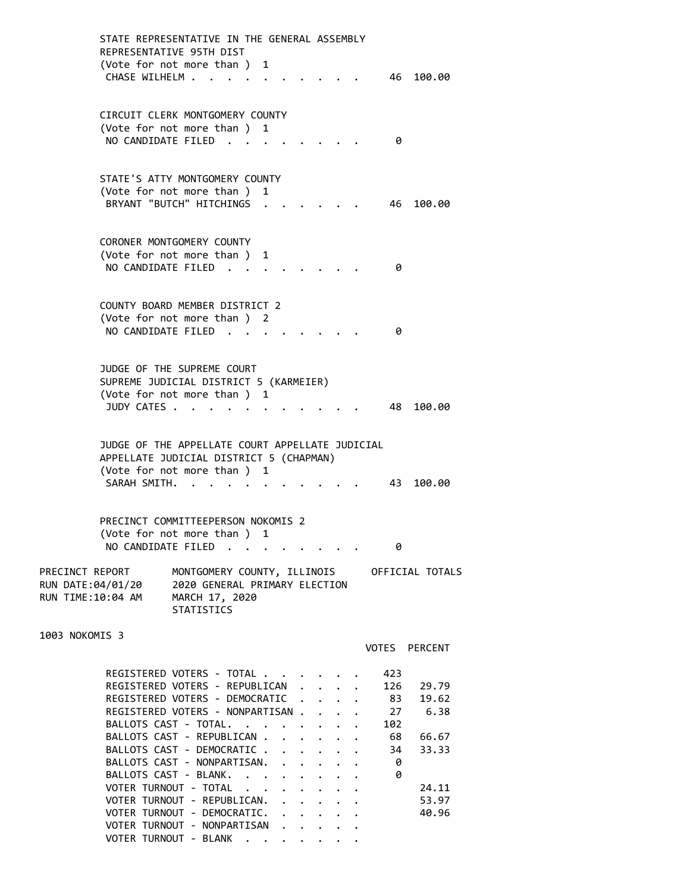|                   | STATE REPRESENTATIVE IN THE GENERAL ASSEMBLY<br>REPRESENTATTVE 95TH DIST |                                                                      |   |  |  |            |               |
|-------------------|--------------------------------------------------------------------------|----------------------------------------------------------------------|---|--|--|------------|---------------|
|                   | (Vote for not more than) 1<br>CHASE WILHELM                              |                                                                      |   |  |  |            | 46 100.00     |
|                   | CIRCUIT CLERK MONTGOMERY COUNTY<br>(Vote for not more than ) 1           |                                                                      |   |  |  |            |               |
|                   | NO CANDIDATE FILED.                                                      |                                                                      |   |  |  | 0          |               |
|                   | STATE'S ATTY MONTGOMERY COUNTY                                           |                                                                      |   |  |  |            |               |
|                   | (Vote for not more than )<br>BRYANT "BUTCH" HITCHINGS                    |                                                                      | 1 |  |  | 46         | 100.00        |
|                   | CORONER MONTGOMERY COUNTY                                                |                                                                      |   |  |  |            |               |
|                   | (Vote for not more than)<br>NO CANDIDATE FILED                           |                                                                      | 1 |  |  | 0          |               |
|                   |                                                                          |                                                                      |   |  |  |            |               |
|                   | COUNTY BOARD MEMBER DISTRICT 2                                           |                                                                      |   |  |  |            |               |
|                   | (Vote for not more than ) 2<br>NO CANDIDATE FILED                        |                                                                      |   |  |  | 0          |               |
|                   |                                                                          |                                                                      |   |  |  |            |               |
|                   | JUDGE OF THE SUPREME COURT<br>SUPREME JUDICIAL DISTRICT 5 (KARMEIER)     |                                                                      |   |  |  |            |               |
|                   | (Vote for not more than ) 1                                              |                                                                      |   |  |  |            |               |
|                   | JUDY CATES .                                                             |                                                                      |   |  |  | 48         | 100.00        |
|                   | JUDGE OF THE APPELLATE COURT APPELLATE JUDICIAL                          |                                                                      |   |  |  |            |               |
|                   | APPELLATE JUDICIAL DISTRICT 5 (CHAPMAN)                                  |                                                                      |   |  |  |            |               |
|                   | (Vote for not more than ) 1<br>SARAH SMITH.                              |                                                                      |   |  |  | 43         | 100.00        |
|                   | PRECINCT COMMITTEEPERSON NOKOMIS 2                                       |                                                                      |   |  |  |            |               |
|                   | (Vote for not more than ) 1<br>NO CANDIDATE FILED                        |                                                                      |   |  |  | 0          |               |
|                   | PRECINCT REPORT                                                          | MONTGOMERY COUNTY, ILLINOIS OFFICIAL TOTALS                          |   |  |  |            |               |
| RUN TIME:10:04 AM | RUN DATE:04/01/20                                                        | 2020 GENERAL PRIMARY ELECTION<br>MARCH 17, 2020<br><b>STATISTICS</b> |   |  |  |            |               |
| 1003 NOKOMIS 3    |                                                                          |                                                                      |   |  |  |            |               |
|                   |                                                                          |                                                                      |   |  |  |            | VOTES PERCENT |
|                   | REGISTERED VOTERS - TOTAL                                                |                                                                      |   |  |  | 423<br>126 | 29.79         |
|                   | REGISTERED VOTERS - REPUBLICAN<br>REGISTERED VOTERS - DEMOCRATIC         |                                                                      |   |  |  | 83         | 19.62         |
|                   | REGISTERED VOTERS - NONPARTISAN                                          |                                                                      |   |  |  | 27         | 6.38          |
|                   | BALLOTS CAST - TOTAL.                                                    |                                                                      |   |  |  | 102        |               |
|                   | BALLOTS CAST - REPUBLICAN                                                |                                                                      |   |  |  | 68         | 66.67         |
|                   | BALLOTS CAST - DEMOCRATIC<br>BALLOTS CAST - NONPARTISAN.                 |                                                                      |   |  |  | 34<br>- 0  | 33.33         |
|                   | BALLOTS CAST - BLANK.                                                    |                                                                      |   |  |  | - 0        |               |
|                   | VOTER TURNOUT - TOTAL                                                    |                                                                      |   |  |  |            | 24.11         |
|                   | VOTER TURNOUT - REPUBLICAN.                                              |                                                                      |   |  |  |            | 53.97         |
|                   | VOTER TURNOUT - DEMOCRATIC.<br>VOTER TURNOUT - NONPARTISAN               |                                                                      |   |  |  |            | 40.96         |
|                   | VOTER TURNOUT - BLANK                                                    |                                                                      |   |  |  |            |               |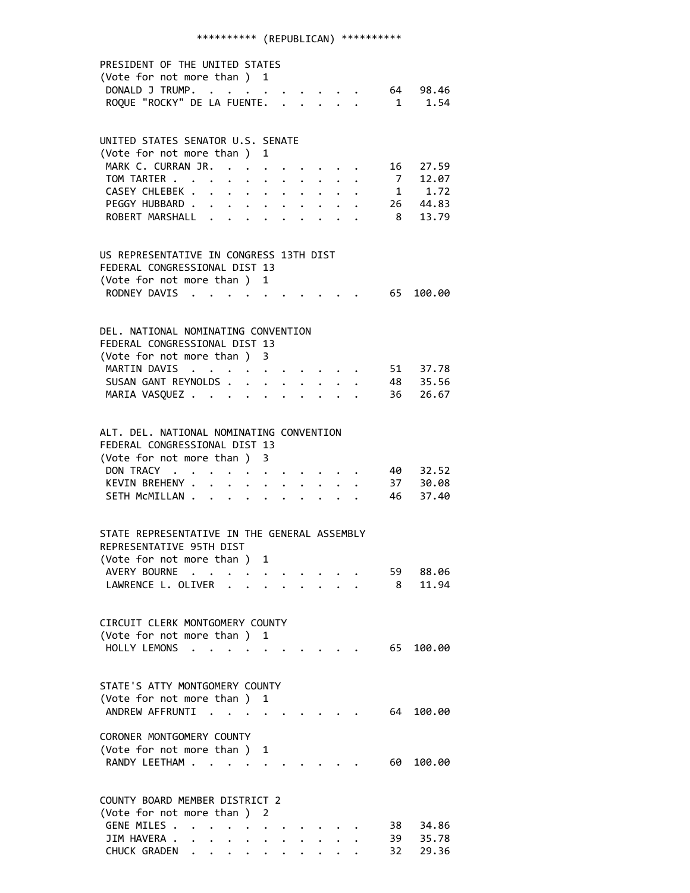## \*\*\*\*\*\*\*\*\*\* (REPUBLICAN) \*\*\*\*\*\*\*\*\*\*

| PRESIDENT OF THE UNITED STATES<br>(Vote for not more than ) 1 |                      |                                         |                               |   |                      |                                                                                                                 |                                                |  |      |                                  |  |
|---------------------------------------------------------------|----------------------|-----------------------------------------|-------------------------------|---|----------------------|-----------------------------------------------------------------------------------------------------------------|------------------------------------------------|--|------|----------------------------------|--|
| DONALD J TRUMP.                                               |                      |                                         |                               |   |                      |                                                                                                                 |                                                |  |      | 64 98.46                         |  |
| ROQUE "ROCKY" DE LA FUENTE.                                   |                      |                                         |                               |   |                      |                                                                                                                 | $\mathbf{r}$ and $\mathbf{r}$ and $\mathbf{r}$ |  |      | 1 1.54                           |  |
|                                                               |                      |                                         |                               |   |                      |                                                                                                                 |                                                |  |      |                                  |  |
| UNITED STATES SENATOR U.S. SENATE                             |                      |                                         |                               |   |                      |                                                                                                                 |                                                |  |      |                                  |  |
| (Vote for not more than ) 1                                   |                      |                                         |                               |   |                      |                                                                                                                 |                                                |  |      |                                  |  |
| MARK C. CURRAN JR. .<br>TOM TARTER                            |                      |                                         |                               |   |                      |                                                                                                                 |                                                |  |      | 16 27.59<br>7 12.07              |  |
| CASEY CHLEBEK .                                               | $\mathbf{r}$         |                                         | $\ddot{\phantom{a}}$          |   |                      |                                                                                                                 |                                                |  |      | $\frac{1}{1}$ $\frac{1}{1}$ , 72 |  |
| PEGGY HUBBARD                                                 |                      |                                         | $\bullet$ $\bullet$ $\bullet$ |   | $\ddot{\phantom{0}}$ |                                                                                                                 | $\cdot$ $\cdot$ $\cdot$                        |  |      | 26 44.83                         |  |
| ROBERT MARSHALL                                               | $\sim$ $\sim$ $\sim$ |                                         | $\cdot$ $\cdot$ $\cdot$       |   |                      |                                                                                                                 |                                                |  |      | 8 13.79                          |  |
|                                                               |                      |                                         |                               |   |                      |                                                                                                                 |                                                |  |      |                                  |  |
| US REPRESENTATIVE IN CONGRESS 13TH DIST                       |                      |                                         |                               |   |                      |                                                                                                                 |                                                |  |      |                                  |  |
| FEDERAL CONGRESSIONAL DIST 13                                 |                      |                                         |                               |   |                      |                                                                                                                 |                                                |  |      |                                  |  |
| (Vote for not more than )                                     |                      |                                         |                               | 1 |                      |                                                                                                                 |                                                |  |      |                                  |  |
| RODNEY DAVIS                                                  | $\sim$ $\sim$        |                                         |                               |   |                      |                                                                                                                 |                                                |  | 65   | 100.00                           |  |
| DEL. NATIONAL NOMINATING CONVENTION                           |                      |                                         |                               |   |                      |                                                                                                                 |                                                |  |      |                                  |  |
| FEDERAL CONGRESSIONAL DIST 13                                 |                      |                                         |                               |   |                      |                                                                                                                 |                                                |  |      |                                  |  |
| (Vote for not more than) 3                                    |                      |                                         |                               |   |                      |                                                                                                                 |                                                |  |      |                                  |  |
| MARTIN DAVIS                                                  |                      |                                         |                               |   |                      |                                                                                                                 |                                                |  |      |                                  |  |
| SUSAN GANT REYNOLDS.                                          |                      |                                         | $\ddot{\phantom{a}}$          |   |                      |                                                                                                                 |                                                |  |      | 51 37.78<br>48 35.56             |  |
| MARIA VASQUEZ                                                 |                      |                                         | $\ddot{\phantom{a}}$          |   |                      |                                                                                                                 |                                                |  |      | 36 26.67                         |  |
|                                                               |                      |                                         |                               |   |                      |                                                                                                                 |                                                |  |      |                                  |  |
| ALT. DEL. NATIONAL NOMINATING CONVENTION                      |                      |                                         |                               |   |                      |                                                                                                                 |                                                |  |      |                                  |  |
| FEDERAL CONGRESSIONAL DIST 13                                 |                      |                                         |                               |   |                      |                                                                                                                 |                                                |  |      |                                  |  |
| (Vote for not more than ) 3                                   |                      |                                         |                               |   |                      |                                                                                                                 |                                                |  |      |                                  |  |
| DON TRACY.                                                    |                      |                                         |                               |   |                      | $\begin{array}{cccccccccccccc} \bullet & \bullet & \bullet & \bullet & \bullet & \bullet & \bullet \end{array}$ |                                                |  | 40 — | 32.52                            |  |
| KEVIN BREHENY .                                               | $\mathbf{r}$         |                                         |                               |   |                      |                                                                                                                 |                                                |  |      | 37 30.08<br>46 37.40             |  |
| SETH MCMILLAN.                                                | $\ddot{\phantom{a}}$ |                                         |                               |   |                      |                                                                                                                 |                                                |  |      |                                  |  |
|                                                               |                      |                                         |                               |   |                      |                                                                                                                 |                                                |  |      |                                  |  |
| STATE REPRESENTATIVE IN THE GENERAL ASSEMBLY                  |                      |                                         |                               |   |                      |                                                                                                                 |                                                |  |      |                                  |  |
| REPRESENTATIVE 95TH DIST                                      |                      |                                         |                               |   |                      |                                                                                                                 |                                                |  |      |                                  |  |
| (Vote for not more than ) 1                                   |                      |                                         |                               |   |                      |                                                                                                                 |                                                |  |      |                                  |  |
| AVERY BOURNE.                                                 |                      |                                         |                               |   |                      |                                                                                                                 |                                                |  | 59 - | 88.06<br>11.94                   |  |
| LAWRENCE L. OLIVER                                            |                      |                                         |                               |   |                      |                                                                                                                 |                                                |  | -8   |                                  |  |
| CIRCUIT CLERK MONTGOMERY COUNTY                               |                      |                                         |                               |   |                      |                                                                                                                 |                                                |  |      |                                  |  |
| (Vote for not more than) 1                                    |                      |                                         |                               |   |                      |                                                                                                                 |                                                |  |      |                                  |  |
| HOLLY LEMONS                                                  |                      |                                         |                               |   |                      |                                                                                                                 |                                                |  | 65   | 100.00                           |  |
|                                                               |                      |                                         |                               |   |                      |                                                                                                                 |                                                |  |      |                                  |  |
| STATE'S ATTY MONTGOMERY COUNTY                                |                      |                                         |                               |   |                      |                                                                                                                 |                                                |  |      |                                  |  |
| (Vote for not more than ) 1                                   |                      |                                         |                               |   |                      |                                                                                                                 |                                                |  |      |                                  |  |
| ANDREW AFFRUNTI                                               |                      |                                         |                               |   |                      |                                                                                                                 |                                                |  | 64   | 100.00                           |  |
| CORONER MONTGOMERY COUNTY                                     |                      |                                         |                               |   |                      |                                                                                                                 |                                                |  |      |                                  |  |
| (Vote for not more than)                                      |                      |                                         |                               | 1 |                      |                                                                                                                 |                                                |  |      |                                  |  |
| RANDY LEETHAM.                                                |                      |                                         |                               |   |                      |                                                                                                                 |                                                |  | 60   | 100.00                           |  |
|                                                               |                      |                                         |                               |   |                      |                                                                                                                 |                                                |  |      |                                  |  |
| COUNTY BOARD MEMBER DISTRICT 2                                |                      |                                         |                               |   |                      |                                                                                                                 |                                                |  |      |                                  |  |
| (Vote for not more than) 2                                    |                      |                                         |                               |   |                      |                                                                                                                 |                                                |  |      |                                  |  |
| GENE MILES .                                                  |                      |                                         |                               |   |                      |                                                                                                                 |                                                |  | 38 — | 34.86                            |  |
| JIM HAVERA .                                                  |                      |                                         |                               |   |                      |                                                                                                                 |                                                |  | 39 — | 35.78                            |  |
| CHUCK GRADEN.                                                 | $\bullet$            | $\bullet$ .<br><br><br><br><br><br><br> |                               |   |                      |                                                                                                                 |                                                |  | 32   | 29.36                            |  |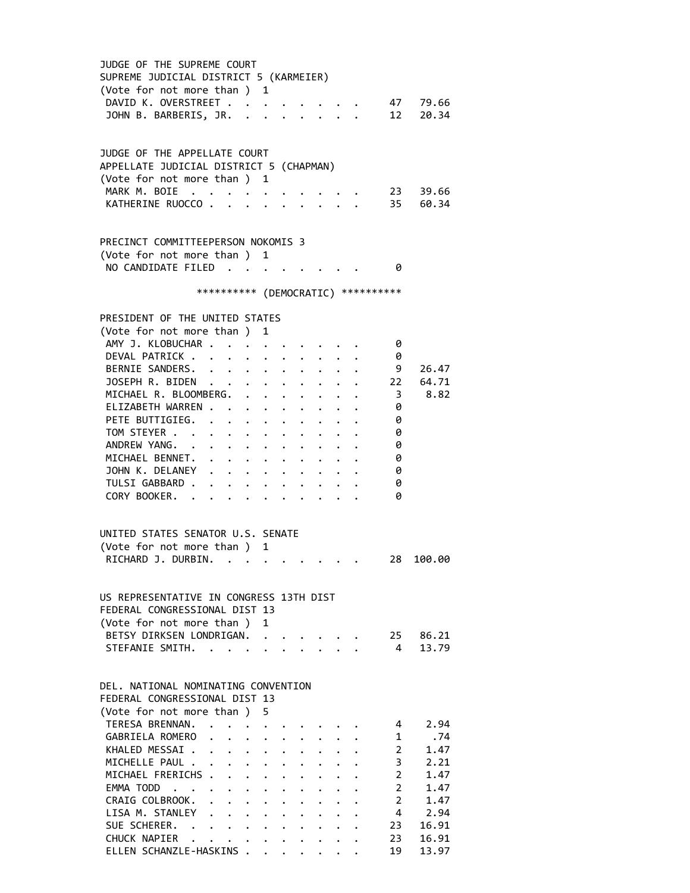JUDGE OF THE SUPREME COURT SUPREME JUDICIAL DISTRICT 5 (KARMEIER) (Vote for not more than ) 1 DAVID K. OVERSTREET . . . . . . . . 47 79.66 JOHN B. BARBERIS, JR. . . . . . . . 12 20.34 JUDGE OF THE APPELLATE COURT APPELLATE JUDICIAL DISTRICT 5 (CHAPMAN) (Vote for not more than ) 1 MARK M. BOIE . . . . . . . . . . 23 39.66 KATHERINE RUOCCO . . . . . . . . . 35 60.34 PRECINCT COMMITTEEPERSON NOKOMIS 3 (Vote for not more than ) 1 NO CANDIDATE FILED . . . . . . . . 0 \*\*\*\*\*\*\*\*\*\* (DEMOCRATIC) \*\*\*\*\*\*\*\*\*\* PRESIDENT OF THE UNITED STATES (Vote for not more than ) 1 AMY J. KLOBUCHAR . . . . . . . . . 0 DEVAL PATRICK . . . . . . . . . . 0 BERNIE SANDERS. . . . . . . . . . 9 26.47 JOSEPH R. BIDEN . . . . . . . . . 22 64.71 MICHAEL R. BLOOMBERG. . . . . . . . 3 8.82 ELIZABETH WARREN . . . . . . . . . 0 PETE BUTTIGIEG. . . . . . . . . . 0 TOM STEYER . . . . . . . . . . . 0 ANDREW YANG. . . . . . . . . . . 0 MICHAEL BENNET. . . . . . . . . . 0 JOHN K. DELANEY . . . . . . . . . 0<br>TULSI GABBARD . . . . . . . . . . 0 TULSI GABBARD . . . . . . . . . . 0<br>CORY BOOKER. . . . . . . . . . . . 0 CORY BOOKER. . . . . . . . . . . UNITED STATES SENATOR U.S. SENATE (Vote for not more than ) 1 RICHARD J. DURBIN. . . . . . . . . . 28 100.00 US REPRESENTATIVE IN CONGRESS 13TH DIST FEDERAL CONGRESSIONAL DIST 13 (Vote for not more than ) 1 BETSY DIRKSEN LONDRIGAN. . . . . . . 25 86.21 STEFANIE SMITH. . . . . . . . . . . 4 13.79 DEL. NATIONAL NOMINATING CONVENTION FEDERAL CONGRESSIONAL DIST 13 (Vote for not more than ) 5 TERESA BRENNAN. . . . . . . . . . . 4 2.94 GABRIELA ROMERO . . . . . . . . . 1 .74 KHALED MESSAI . . . . . . . . . . 2 1.47 MICHELLE PAUL . . . . . . . . . . . 3 2.21 MICHAEL FRERICHS . . . . . . . . . 2 1.47 EMMA TODD . . . . . . . . . . . . 2 1.47 CRAIG COLBROOK. . . . . . . . . . 2 1.47 LISA M. STANLEY . . . . . . . . . . 4 2.94 SUE SCHERER. . . . . . . . . . . 23 16.91<br>CHUCK NAPIER . . . . . . . . . . 23 16.91 CHUCK NAPIER . . . . . . . . . . 23 16.91 ELLEN SCHANZLE-HASKINS . . . . . . . 19 13.97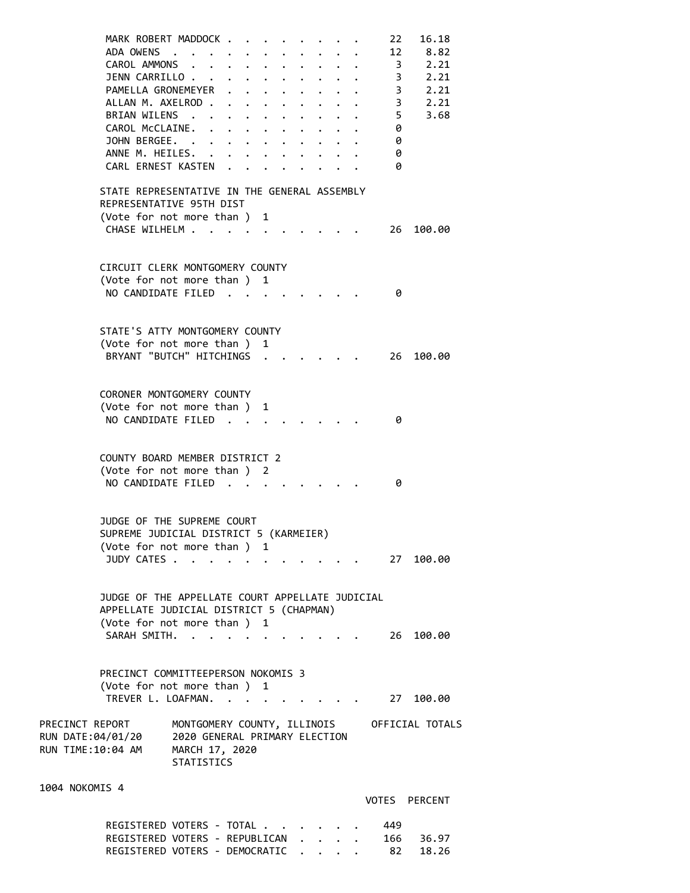MARK ROBERT MADDOCK . . . . . . . . 22 16.18<br>ADA OWENS . . . . . . . . . . . 12 8.82 ADA OWENS . . . . . . . . . . . 12<br>CAROL AMMONS . . . . . . . . . . 3<br>JENN CARRILLO . . . . . . . . . . 3 CAROL AMMONS . . . . . . . . . . 3 2.21 JENN CARRILLO . . . . . . . . . . . 3 2.21<br>PAMELLA GRONEMEYER . . . . . . . . 3 2.21 PAMELLA GRONEMEYER . . . . . . . . 3 2.21<br>ALLAN M. AXELROD . . . . . . . . . . 3 2.21 ALLAN M. AXELROD . . . . . . . . . BRIAN WILENS . . . . . . . . . . . 5 3.68 CAROL McCLAINE. . . . . . . . . . 0 JOHN BERGEE. . . . . . . . . . . 0 ANNE M. HEILES. . . . . . . . . . 0 CARL ERNEST KASTEN . . . . . . . . 0 STATE REPRESENTATIVE IN THE GENERAL ASSEMBLY REPRESENTATIVE 95TH DIST (Vote for not more than ) 1 CHASE WILHELM . . . . . . . . . . 26 100.00 CIRCUIT CLERK MONTGOMERY COUNTY (Vote for not more than ) 1 NO CANDIDATE FILED . . . . . . . . 0 STATE'S ATTY MONTGOMERY COUNTY (Vote for not more than ) 1 BRYANT "BUTCH" HITCHINGS . . . . . . 26 100.00 CORONER MONTGOMERY COUNTY (Vote for not more than ) 1 NO CANDIDATE FILED . . . . . . . . 0 COUNTY BOARD MEMBER DISTRICT 2 (Vote for not more than ) 2 NO CANDIDATE FILED . . . . . . . . 0 JUDGE OF THE SUPREME COURT SUPREME JUDICIAL DISTRICT 5 (KARMEIER) (Vote for not more than ) 1 JUDY CATES . . . . . . . . . . . . 27 100.00 JUDGE OF THE APPELLATE COURT APPELLATE JUDICIAL APPELLATE JUDICIAL DISTRICT 5 (CHAPMAN) (Vote for not more than ) 1 SARAH SMITH. . . . . . . . . . . 26 100.00 PRECINCT COMMITTEEPERSON NOKOMIS 3 (Vote for not more than ) 1 TREVER L. LOAFMAN. . . . . . . . . . 27 100.00 PRECINCT REPORT MONTGOMERY COUNTY, ILLINOIS OFFICIAL TOTALS RUN DATE:04/01/20 2020 GENERAL PRIMARY ELECTION RUN TIME:10:04 AM MARCH 17, 2020 STATISTICS 1004 NOKOMIS 4 VOTES PERCENT REGISTERED VOTERS - TOTAL . . . . . . 449

REGISTERED VOTERS - REPUBLICAN . . . . 166 36.97 REGISTERED VOTERS - DEMOCRATIC . . . . 82 18.26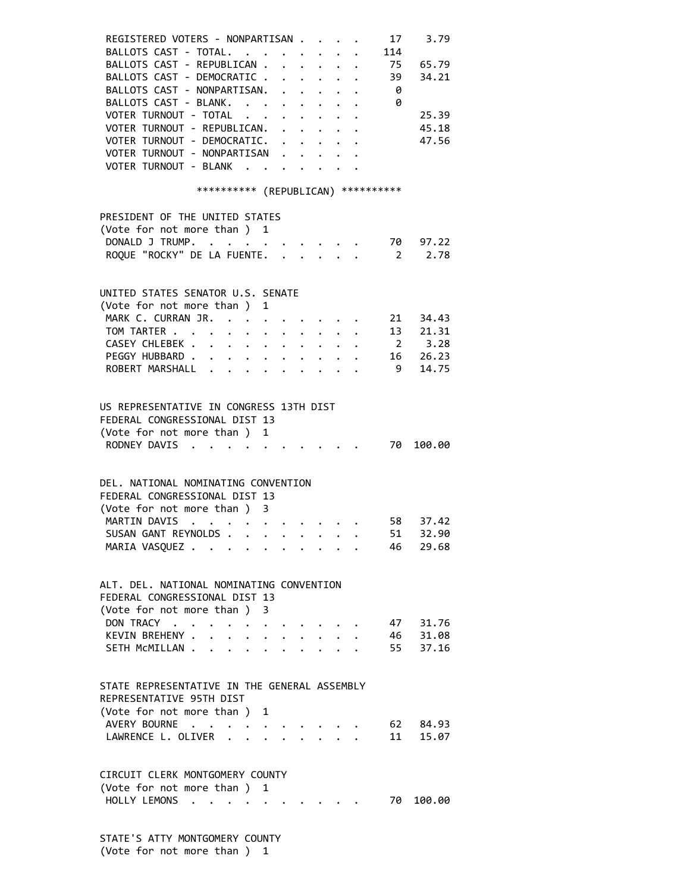| REGISTERED VOTERS - NONPARTISAN                                                                          |                                                                                              |                      |                                                                                                                                                                                                                                        |  | 17   | 3.79        |
|----------------------------------------------------------------------------------------------------------|----------------------------------------------------------------------------------------------|----------------------|----------------------------------------------------------------------------------------------------------------------------------------------------------------------------------------------------------------------------------------|--|------|-------------|
| BALLOTS CAST - TOTAL.                                                                                    |                                                                                              |                      |                                                                                                                                                                                                                                        |  | 114  |             |
| BALLOTS CAST - REPUBLICAN .                                                                              |                                                                                              |                      | $\cdot$ $\cdot$ $\cdot$ $\cdot$ $\cdot$                                                                                                                                                                                                |  |      | 75 65.79    |
| BALLOTS CAST - DEMOCRATIC                                                                                |                                                                                              |                      |                                                                                                                                                                                                                                        |  | 39   | 34.21       |
| BALLOTS CAST - NONPARTISAN.                                                                              |                                                                                              | $\ddot{\phantom{0}}$ | $\mathbf{r} = \mathbf{r} + \mathbf{r}$ , where $\mathbf{r} = \mathbf{r}$                                                                                                                                                               |  | - 0  |             |
| BALLOTS CAST - BLANK.                                                                                    |                                                                                              |                      | $\cdot$ $\cdot$ $\cdot$ $\cdot$ $\cdot$                                                                                                                                                                                                |  | - 0  |             |
| VOTER TURNOUT - TOTAL                                                                                    | $\mathbf{r} = \mathbf{r} + \mathbf{r} + \mathbf{r} + \mathbf{r} + \mathbf{r} + \mathbf{r}$ . |                      |                                                                                                                                                                                                                                        |  |      | 25.39       |
| VOTER TURNOUT - REPUBLICAN.                                                                              |                                                                                              |                      | $\cdot$ $\cdot$ $\cdot$ $\cdot$                                                                                                                                                                                                        |  |      | 45.18       |
| VOTER TURNOUT - DEMOCRATIC.                                                                              |                                                                                              |                      |                                                                                                                                                                                                                                        |  |      | 47.56       |
| VOTER TURNOUT - NONPARTISAN                                                                              |                                                                                              |                      |                                                                                                                                                                                                                                        |  |      |             |
| VOTER TURNOUT - BLANK                                                                                    |                                                                                              |                      |                                                                                                                                                                                                                                        |  |      |             |
|                                                                                                          |                                                                                              |                      |                                                                                                                                                                                                                                        |  |      |             |
| *********** (REPUBLICAN) **********                                                                      |                                                                                              |                      |                                                                                                                                                                                                                                        |  |      |             |
| PRESIDENT OF THE UNITED STATES                                                                           |                                                                                              |                      |                                                                                                                                                                                                                                        |  |      |             |
| (Vote for not more than) 1                                                                               |                                                                                              |                      |                                                                                                                                                                                                                                        |  |      |             |
| DONALD J TRUMP. 70 97.22                                                                                 |                                                                                              |                      |                                                                                                                                                                                                                                        |  |      |             |
| ROQUE "ROCKY" DE LA FUENTE.                                                                              |                                                                                              |                      |                                                                                                                                                                                                                                        |  |      | 2 2.78      |
|                                                                                                          |                                                                                              |                      |                                                                                                                                                                                                                                        |  |      |             |
| UNITED STATES SENATOR U.S. SENATE                                                                        |                                                                                              |                      |                                                                                                                                                                                                                                        |  |      |             |
|                                                                                                          |                                                                                              |                      |                                                                                                                                                                                                                                        |  |      |             |
| (Vote for not more than ) 1                                                                              |                                                                                              |                      |                                                                                                                                                                                                                                        |  |      | 21 34.43    |
| MARK C. CURRAN JR.                                                                                       |                                                                                              |                      |                                                                                                                                                                                                                                        |  |      |             |
| TOM TARTER                                                                                               |                                                                                              |                      |                                                                                                                                                                                                                                        |  |      | 13 21.31    |
| CASEY CHLEBEK                                                                                            |                                                                                              |                      |                                                                                                                                                                                                                                        |  |      | $2 \t 3.28$ |
| PEGGY HUBBARD                                                                                            |                                                                                              |                      |                                                                                                                                                                                                                                        |  |      | 16 26.23    |
| ROBERT MARSHALL                                                                                          |                                                                                              |                      |                                                                                                                                                                                                                                        |  | 9    | 14.75       |
|                                                                                                          |                                                                                              |                      |                                                                                                                                                                                                                                        |  |      |             |
| US REPRESENTATIVE IN CONGRESS 13TH DIST                                                                  |                                                                                              |                      |                                                                                                                                                                                                                                        |  |      |             |
| FEDERAL CONGRESSIONAL DIST 13                                                                            |                                                                                              |                      |                                                                                                                                                                                                                                        |  |      |             |
| (Vote for not more than ) 1                                                                              |                                                                                              |                      |                                                                                                                                                                                                                                        |  |      |             |
| RODNEY DAVIS                                                                                             |                                                                                              |                      |                                                                                                                                                                                                                                        |  |      | 70 100.00   |
|                                                                                                          |                                                                                              |                      |                                                                                                                                                                                                                                        |  |      |             |
| DEL. NATIONAL NOMINATING CONVENTION                                                                      |                                                                                              |                      |                                                                                                                                                                                                                                        |  |      |             |
| FEDERAL CONGRESSIONAL DIST 13                                                                            |                                                                                              |                      |                                                                                                                                                                                                                                        |  |      |             |
| (Vote for not more than ) 3                                                                              |                                                                                              |                      |                                                                                                                                                                                                                                        |  |      |             |
| MARTIN DAVIS<br>$\mathcal{A}^{\mathcal{A}}$ . As a set of the set of the set of the set of $\mathcal{A}$ |                                                                                              |                      |                                                                                                                                                                                                                                        |  | 58 — | 37.42       |
| SUSAN GANT REYNOLDS                                                                                      |                                                                                              |                      |                                                                                                                                                                                                                                        |  |      | 51 32.90    |
| MARIA VASQUEZ                                                                                            |                                                                                              |                      |                                                                                                                                                                                                                                        |  | 46   | 29.68       |
|                                                                                                          |                                                                                              |                      |                                                                                                                                                                                                                                        |  |      |             |
| ALT. DEL. NATIONAL NOMINATING CONVENTION                                                                 |                                                                                              |                      |                                                                                                                                                                                                                                        |  |      |             |
| FEDERAL CONGRESSIONAL DIST 13                                                                            |                                                                                              |                      |                                                                                                                                                                                                                                        |  |      |             |
|                                                                                                          |                                                                                              |                      |                                                                                                                                                                                                                                        |  |      |             |
| (Vote for not more than ) 3                                                                              |                                                                                              |                      |                                                                                                                                                                                                                                        |  |      |             |
| DON TRACY                                                                                                |                                                                                              |                      |                                                                                                                                                                                                                                        |  |      | 47 31.76    |
| KEVIN BREHENY                                                                                            |                                                                                              |                      | $\ddot{\phantom{0}}$                                                                                                                                                                                                                   |  |      | 46 31.08    |
| SETH MCMILLAN                                                                                            |                                                                                              |                      | $\ddot{\phantom{a}}$ . The contract of the contract of the contract of the contract of the contract of the contract of the contract of the contract of the contract of the contract of the contract of the contract of the contract of |  | 55   | 37.16       |
|                                                                                                          |                                                                                              |                      |                                                                                                                                                                                                                                        |  |      |             |
| STATE REPRESENTATIVE IN THE GENERAL ASSEMBLY                                                             |                                                                                              |                      |                                                                                                                                                                                                                                        |  |      |             |
| REPRESENTATIVE 95TH DIST                                                                                 |                                                                                              |                      |                                                                                                                                                                                                                                        |  |      |             |
| (Vote for not more than ) 1                                                                              |                                                                                              |                      |                                                                                                                                                                                                                                        |  |      |             |
| AVERY BOURNE                                                                                             |                                                                                              |                      |                                                                                                                                                                                                                                        |  | 62   | 84.93       |
|                                                                                                          |                                                                                              |                      |                                                                                                                                                                                                                                        |  | 11   |             |
| LAWRENCE L. OLIVER                                                                                       |                                                                                              |                      |                                                                                                                                                                                                                                        |  |      | 15.07       |
|                                                                                                          |                                                                                              |                      |                                                                                                                                                                                                                                        |  |      |             |
| CIRCUIT CLERK MONTGOMERY COUNTY                                                                          |                                                                                              |                      |                                                                                                                                                                                                                                        |  |      |             |
| (Vote for not more than ) 1                                                                              |                                                                                              |                      |                                                                                                                                                                                                                                        |  |      |             |
| HOLLY LEMONS                                                                                             | $\bullet$ , $\bullet$ , $\bullet$ , $\bullet$ , $\bullet$                                    |                      |                                                                                                                                                                                                                                        |  | 70   | 100.00      |

 STATE'S ATTY MONTGOMERY COUNTY (Vote for not more than ) 1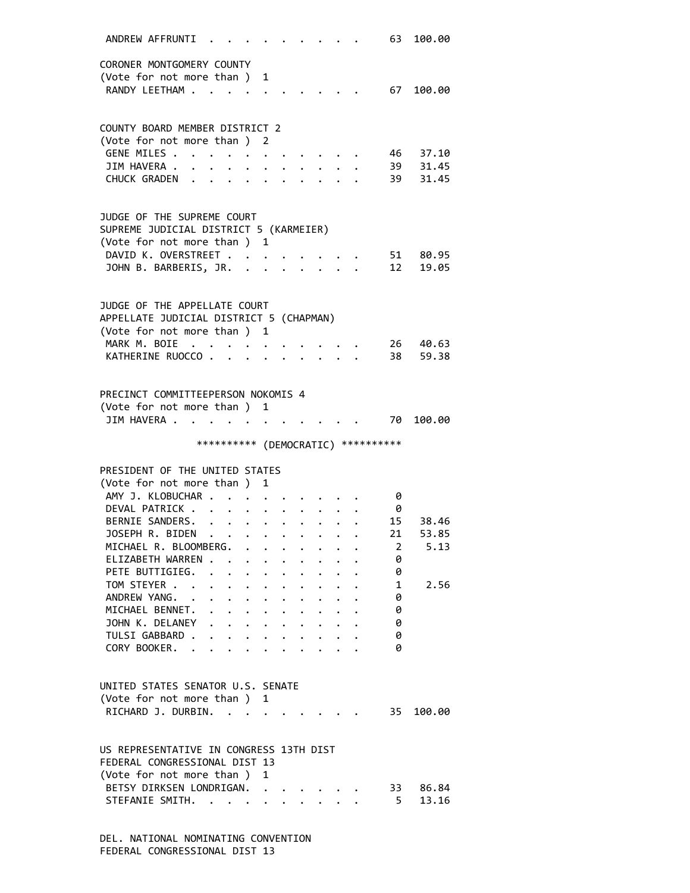| ANDREW AFFRUNTI                                              |                      |                                                                        |              |              |              |                                 |                         | 63                                  | 100.00    |
|--------------------------------------------------------------|----------------------|------------------------------------------------------------------------|--------------|--------------|--------------|---------------------------------|-------------------------|-------------------------------------|-----------|
| CORONER MONTGOMERY COUNTY                                    |                      |                                                                        |              |              |              |                                 |                         |                                     |           |
| (Vote for not more than)                                     |                      |                                                                        | 1            |              |              |                                 |                         |                                     |           |
| RANDY LEETHAM .                                              |                      |                                                                        |              |              |              |                                 |                         | 67                                  | 100.00    |
|                                                              |                      |                                                                        |              |              |              |                                 |                         |                                     |           |
|                                                              |                      |                                                                        |              |              |              |                                 |                         |                                     |           |
| COUNTY BOARD MEMBER DISTRICT 2<br>(Vote for not more than) 2 |                      |                                                                        |              |              |              |                                 |                         |                                     |           |
| GENE MILES .                                                 |                      |                                                                        |              |              |              |                                 |                         |                                     | 46 37.10  |
| JIM HAVERA .                                                 |                      |                                                                        |              |              |              |                                 |                         |                                     | 39 31.45  |
| CHUCK GRADEN                                                 |                      | $\ddot{\phantom{a}}$<br>$\sim$                                         |              |              |              |                                 |                         | 39                                  | 31.45     |
|                                                              |                      |                                                                        |              |              |              |                                 |                         |                                     |           |
| JUDGE OF THE SUPREME COURT                                   |                      |                                                                        |              |              |              |                                 |                         |                                     |           |
| SUPREME JUDICIAL DISTRICT 5 (KARMEIER)                       |                      |                                                                        |              |              |              |                                 |                         |                                     |           |
| (Vote for not more than ) 1                                  |                      |                                                                        |              |              |              |                                 |                         |                                     |           |
| DAVID K. OVERSTREET                                          |                      |                                                                        |              |              |              |                                 |                         |                                     | 51 80.95  |
| JOHN B. BARBERIS, JR. .                                      |                      |                                                                        |              |              |              |                                 | $\cdot$ $\cdot$ $\cdot$ | 12                                  | 19.05     |
|                                                              |                      |                                                                        |              |              |              |                                 |                         |                                     |           |
| JUDGE OF THE APPELLATE COURT                                 |                      |                                                                        |              |              |              |                                 |                         |                                     |           |
| APPELLATE JUDICIAL DISTRICT 5 (CHAPMAN)                      |                      |                                                                        |              |              |              |                                 |                         |                                     |           |
| (Vote for not more than ) 1                                  |                      |                                                                        |              |              |              |                                 |                         |                                     |           |
| MARK M. BOIE                                                 |                      |                                                                        |              |              |              |                                 |                         | 26                                  | 40.63     |
| KATHERINE RUOCCO.                                            |                      |                                                                        |              |              |              |                                 |                         | 38                                  | 59.38     |
|                                                              |                      |                                                                        |              |              |              |                                 |                         |                                     |           |
| PRECINCT COMMITTEEPERSON NOKOMIS 4                           |                      |                                                                        |              |              |              |                                 |                         |                                     |           |
| (Vote for not more than ) 1                                  |                      |                                                                        |              |              |              |                                 |                         |                                     |           |
| JIM HAVERA                                                   |                      |                                                                        |              |              |              |                                 |                         |                                     | 70 100.00 |
|                                                              |                      |                                                                        |              |              |              |                                 |                         |                                     |           |
|                                                              |                      |                                                                        |              |              |              |                                 |                         |                                     |           |
|                                                              |                      |                                                                        |              |              |              |                                 |                         | *********** (DEMOCRATIC) ********** |           |
|                                                              |                      |                                                                        |              |              |              |                                 |                         |                                     |           |
| PRESIDENT OF THE UNITED STATES                               |                      |                                                                        | 1            |              |              |                                 |                         |                                     |           |
| (Vote for not more than)<br>AMY J. KLOBUCHAR .               |                      |                                                                        |              |              |              |                                 |                         | 0                                   |           |
| DEVAL PATRICK.                                               |                      |                                                                        |              |              |              |                                 |                         | 0                                   |           |
| BERNIE SANDERS.                                              | $\ddot{\phantom{a}}$ | $\bullet$<br>$\mathbf{r}$ , $\mathbf{r}$ , $\mathbf{r}$ , $\mathbf{r}$ |              |              |              |                                 |                         | 15                                  | 38.46     |
| JOSEPH R. BIDEN                                              | $\sim$ $\sim$        |                                                                        |              |              |              |                                 |                         | 21                                  | 53.85     |
| MICHAEL R. BLOOMBERG.                                        |                      |                                                                        |              |              |              |                                 |                         | $\overline{2}$                      | 5.13      |
| ELIZABETH WARREN                                             |                      |                                                                        |              |              |              |                                 |                         | 0                                   |           |
| PETE BUTTIGIEG.                                              |                      | .                                                                      |              |              |              |                                 |                         | 0                                   |           |
| TOM STEYER                                                   |                      |                                                                        |              |              |              |                                 |                         | 1                                   | 2.56      |
| ANDREW YANG.                                                 |                      |                                                                        |              |              |              |                                 |                         | 0                                   |           |
| MICHAEL BENNET.                                              |                      |                                                                        |              |              |              |                                 |                         | 0                                   |           |
| JOHN K. DELANEY                                              |                      | $\cdot$ $\cdot$ $\cdot$ $\cdot$                                        |              | $\bullet$ .  |              | $\cdot$ $\cdot$ $\cdot$ $\cdot$ |                         | 0<br>0                              |           |
| TULSI GABBARD .<br>CORY BOOKER.                              |                      | $\ddot{\phantom{0}}$                                                   | $\mathbf{L}$ | $\mathbf{L}$ | $\mathbf{A}$ |                                 |                         | 0                                   |           |
|                                                              |                      |                                                                        |              |              |              |                                 |                         |                                     |           |
|                                                              |                      |                                                                        |              |              |              |                                 |                         |                                     |           |
| UNITED STATES SENATOR U.S. SENATE                            |                      |                                                                        |              |              |              |                                 |                         |                                     |           |
| (Vote for not more than ) 1                                  |                      |                                                                        |              |              |              |                                 |                         |                                     |           |
| RICHARD J. DURBIN.                                           |                      |                                                                        |              |              |              |                                 |                         |                                     | 35 100.00 |
|                                                              |                      |                                                                        |              |              |              |                                 |                         |                                     |           |
| US REPRESENTATIVE IN CONGRESS 13TH DIST                      |                      |                                                                        |              |              |              |                                 |                         |                                     |           |
| FEDERAL CONGRESSIONAL DIST 13                                |                      |                                                                        |              |              |              |                                 |                         |                                     |           |
| (Vote for not more than)                                     |                      |                                                                        | 1            |              |              |                                 |                         |                                     |           |
| BETSY DIRKSEN LONDRIGAN.                                     |                      |                                                                        |              |              |              |                                 |                         | 33                                  | 86.84     |
| STEFANIE SMITH.                                              |                      |                                                                        |              |              |              |                                 |                         | 5                                   | 13.16     |

 DEL. NATIONAL NOMINATING CONVENTION FEDERAL CONGRESSIONAL DIST 13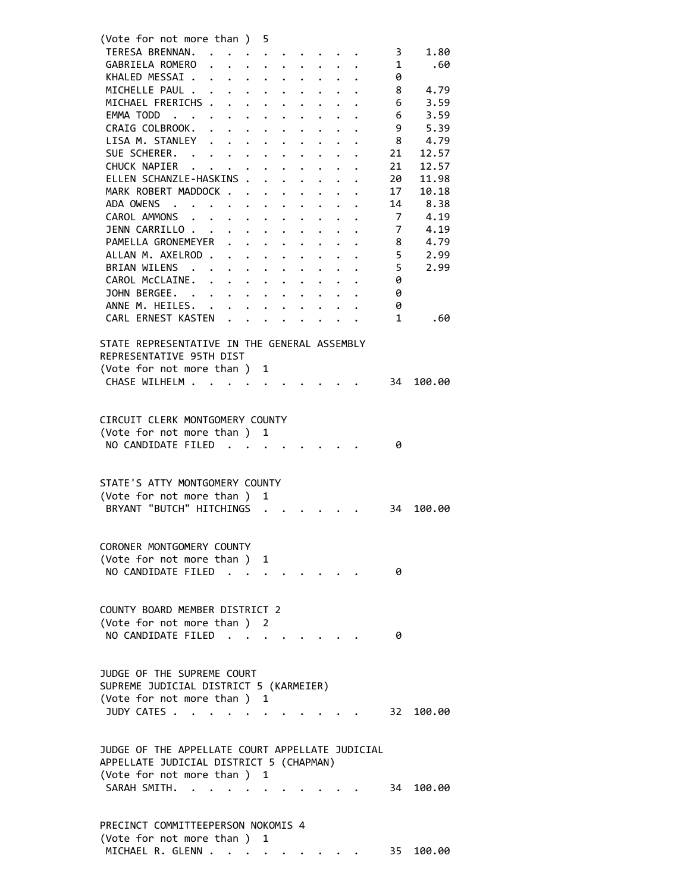| (Vote for not more than ) 5                     |                                                           |                                                                          |              |                      |                      |                                                                                                                           |              |                      |                         |        |  |
|-------------------------------------------------|-----------------------------------------------------------|--------------------------------------------------------------------------|--------------|----------------------|----------------------|---------------------------------------------------------------------------------------------------------------------------|--------------|----------------------|-------------------------|--------|--|
| TERESA BRENNAN.                                 |                                                           |                                                                          |              |                      |                      |                                                                                                                           |              |                      | $\overline{\mathbf{3}}$ | 1.80   |  |
| GABRIELA ROMERO                                 |                                                           |                                                                          |              |                      |                      |                                                                                                                           |              |                      | $\mathbf{1}$            | .60    |  |
| KHALED MESSAI                                   |                                                           |                                                                          |              |                      |                      |                                                                                                                           |              |                      | 0                       |        |  |
| MICHELLE PAUL                                   |                                                           |                                                                          |              |                      |                      |                                                                                                                           |              |                      | - 8                     | 4.79   |  |
| MICHAEL FRERICHS                                |                                                           |                                                                          |              |                      |                      | $\cdot$ $\cdot$ $\cdot$ $\cdot$                                                                                           |              |                      | 6                       | 3.59   |  |
| EMMA TODD                                       |                                                           |                                                                          |              |                      |                      | $\begin{array}{cccccccccccccc} \bullet & \bullet & \bullet & \bullet & \bullet & \bullet & \bullet & \bullet \end{array}$ |              |                      | 6                       | 3.59   |  |
| CRAIG COLBROOK.                                 | $\ddot{\phantom{a}}$                                      | $\mathbf{r} = \mathbf{r} + \mathbf{r}$ , where $\mathbf{r} = \mathbf{r}$ |              | $\bullet$ .          |                      |                                                                                                                           |              |                      | 9                       | 5.39   |  |
| LISA M. STANLEY                                 | $\mathbf{r}$ , $\mathbf{r}$ , $\mathbf{r}$ , $\mathbf{r}$ |                                                                          |              |                      |                      |                                                                                                                           |              |                      | -8                      | 4.79   |  |
| SUE SCHERER. .                                  | $\cdot$ $\cdot$ $\cdot$ $\cdot$ $\cdot$                   |                                                                          |              | $\bullet$ .          |                      |                                                                                                                           |              |                      | 21                      | 12.57  |  |
| CHUCK NAPIER                                    | $\mathbf{r}$ , $\mathbf{r}$                               |                                                                          |              |                      | $\ddot{\phantom{a}}$ |                                                                                                                           |              |                      | 21                      | 12.57  |  |
| ELLEN SCHANZLE-HASKINS                          |                                                           |                                                                          |              |                      |                      | $\ddot{\phantom{1}}$                                                                                                      | $\mathbf{L}$ | $\ddot{\phantom{a}}$ | 20                      | 11.98  |  |
| MARK ROBERT MADDOCK                             |                                                           |                                                                          |              |                      |                      |                                                                                                                           |              |                      | 17                      | 10.18  |  |
| ADA OWENS                                       |                                                           |                                                                          |              |                      |                      |                                                                                                                           |              |                      | 14                      | 8.38   |  |
| CAROL AMMONS                                    |                                                           |                                                                          |              |                      |                      |                                                                                                                           |              |                      | $7\overline{ }$         | 4.19   |  |
| JENN CARRILLO                                   |                                                           |                                                                          |              |                      |                      |                                                                                                                           |              |                      | 7                       | 4.19   |  |
| PAMELLA GRONEMEYER                              |                                                           | $\mathbf{L} = \mathbf{L} \times \mathbf{L}$                              |              |                      |                      |                                                                                                                           |              |                      | 8                       | 4.79   |  |
| ALLAN M. AXELROD.                               |                                                           | $\ddot{\phantom{a}}$                                                     | $\sim$       | $\ddot{\phantom{0}}$ |                      |                                                                                                                           |              |                      | 5                       | 2.99   |  |
| BRIAN WILENS                                    |                                                           | $\mathbf{r} = \mathbf{r} + \mathbf{r}$ .                                 | $\bullet$ .  | $\bullet$ .          | $\ddot{\phantom{0}}$ |                                                                                                                           |              |                      | 5                       | 2.99   |  |
| CAROL McCLAINE.                                 |                                                           |                                                                          |              |                      |                      |                                                                                                                           |              |                      | 0                       |        |  |
| JOHN BERGEE.                                    |                                                           |                                                                          |              |                      |                      |                                                                                                                           |              |                      | 0                       |        |  |
| ANNE M. HEILES.                                 |                                                           |                                                                          |              |                      |                      |                                                                                                                           |              |                      | 0                       |        |  |
| CARL ERNEST KASTEN                              |                                                           |                                                                          |              |                      |                      |                                                                                                                           |              |                      | 1                       | .60    |  |
|                                                 |                                                           |                                                                          |              |                      |                      |                                                                                                                           |              |                      |                         |        |  |
| STATE REPRESENTATIVE IN THE GENERAL ASSEMBLY    |                                                           |                                                                          |              |                      |                      |                                                                                                                           |              |                      |                         |        |  |
| REPRESENTATIVE 95TH DIST                        |                                                           |                                                                          |              |                      |                      |                                                                                                                           |              |                      |                         |        |  |
| (Vote for not more than ) 1                     |                                                           |                                                                          |              |                      |                      |                                                                                                                           |              |                      |                         |        |  |
| CHASE WILHELM                                   |                                                           |                                                                          | $\mathbf{A}$ |                      |                      |                                                                                                                           |              |                      | 34                      | 100.00 |  |
|                                                 |                                                           |                                                                          |              |                      |                      |                                                                                                                           |              |                      |                         |        |  |
|                                                 |                                                           |                                                                          |              |                      |                      |                                                                                                                           |              |                      |                         |        |  |
| CIRCUIT CLERK MONTGOMERY COUNTY                 |                                                           |                                                                          |              |                      |                      |                                                                                                                           |              |                      |                         |        |  |
| (Vote for not more than ) 1                     |                                                           |                                                                          |              |                      |                      |                                                                                                                           |              |                      |                         |        |  |
| NO CANDIDATE FILED                              |                                                           |                                                                          |              |                      |                      |                                                                                                                           |              |                      | 0                       |        |  |
|                                                 |                                                           |                                                                          |              |                      |                      |                                                                                                                           |              |                      |                         |        |  |
|                                                 |                                                           |                                                                          |              |                      |                      |                                                                                                                           |              |                      |                         |        |  |
| STATE'S ATTY MONTGOMERY COUNTY                  |                                                           |                                                                          |              |                      |                      |                                                                                                                           |              |                      |                         |        |  |
| (Vote for not more than ) 1                     |                                                           |                                                                          |              |                      |                      |                                                                                                                           |              |                      |                         |        |  |
| BRYANT "BUTCH" HITCHINGS                        |                                                           |                                                                          |              |                      |                      |                                                                                                                           |              |                      | 34                      | 100.00 |  |
|                                                 |                                                           |                                                                          |              |                      |                      |                                                                                                                           |              |                      |                         |        |  |
| CORONER MONTGOMERY COUNTY                       |                                                           |                                                                          |              |                      |                      |                                                                                                                           |              |                      |                         |        |  |
| (Vote for not more than ) 1                     |                                                           |                                                                          |              |                      |                      |                                                                                                                           |              |                      |                         |        |  |
| NO CANDIDATE FILED.                             |                                                           |                                                                          |              |                      |                      |                                                                                                                           |              |                      | 0                       |        |  |
|                                                 |                                                           |                                                                          |              |                      |                      |                                                                                                                           |              |                      |                         |        |  |
|                                                 |                                                           |                                                                          |              |                      |                      |                                                                                                                           |              |                      |                         |        |  |
| COUNTY BOARD MEMBER DISTRICT 2                  |                                                           |                                                                          |              |                      |                      |                                                                                                                           |              |                      |                         |        |  |
| (Vote for not more than) 2                      |                                                           |                                                                          |              |                      |                      |                                                                                                                           |              |                      |                         |        |  |
| NO CANDIDATE FILED                              |                                                           |                                                                          |              |                      |                      |                                                                                                                           |              |                      | 0                       |        |  |
|                                                 |                                                           |                                                                          |              |                      |                      |                                                                                                                           |              |                      |                         |        |  |
|                                                 |                                                           |                                                                          |              |                      |                      |                                                                                                                           |              |                      |                         |        |  |
| JUDGE OF THE SUPREME COURT                      |                                                           |                                                                          |              |                      |                      |                                                                                                                           |              |                      |                         |        |  |
| SUPREME JUDICIAL DISTRICT 5 (KARMEIER)          |                                                           |                                                                          |              |                      |                      |                                                                                                                           |              |                      |                         |        |  |
| (Vote for not more than ) 1                     |                                                           |                                                                          |              |                      |                      |                                                                                                                           |              |                      |                         |        |  |
| JUDY CATES                                      |                                                           | $\ddotsc$                                                                |              |                      |                      |                                                                                                                           |              |                      | 32                      | 100.00 |  |
|                                                 |                                                           |                                                                          |              |                      |                      |                                                                                                                           |              |                      |                         |        |  |
|                                                 |                                                           |                                                                          |              |                      |                      |                                                                                                                           |              |                      |                         |        |  |
| JUDGE OF THE APPELLATE COURT APPELLATE JUDICIAL |                                                           |                                                                          |              |                      |                      |                                                                                                                           |              |                      |                         |        |  |
| APPELLATE JUDICIAL DISTRICT 5 (CHAPMAN)         |                                                           |                                                                          |              |                      |                      |                                                                                                                           |              |                      |                         |        |  |
| (Vote for not more than ) 1                     |                                                           |                                                                          |              |                      |                      |                                                                                                                           |              |                      |                         |        |  |
| SARAH SMITH.                                    |                                                           |                                                                          |              |                      |                      |                                                                                                                           |              |                      | 34                      | 100.00 |  |
|                                                 |                                                           |                                                                          |              |                      |                      |                                                                                                                           |              |                      |                         |        |  |
|                                                 |                                                           |                                                                          |              |                      |                      |                                                                                                                           |              |                      |                         |        |  |
| PRECINCT COMMITTEEPERSON NOKOMIS 4              |                                                           |                                                                          |              |                      |                      |                                                                                                                           |              |                      |                         |        |  |
| (Vote for not more than) 1                      |                                                           |                                                                          |              |                      |                      |                                                                                                                           |              |                      |                         |        |  |
|                                                 |                                                           |                                                                          |              |                      |                      |                                                                                                                           |              |                      |                         |        |  |

MICHAEL R. GLENN . . . . . . . . . 35 100.00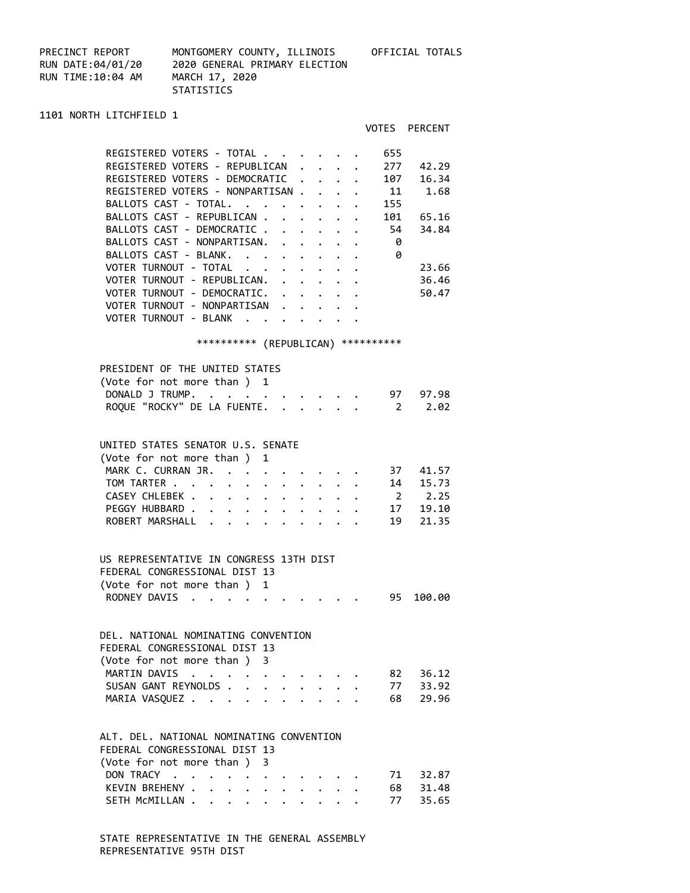| PRECINCT REPORT   | MONTGOMERY COUNTY, ILLINOIS   | OFFICIAL TOTALS |
|-------------------|-------------------------------|-----------------|
| RUN DATE:04/01/20 | 2020 GENERAL PRIMARY ELECTION |                 |
| RUN TIME:10:04 AM | MARCH 17, 2020                |                 |
|                   | <b>STATISTICS</b>             |                 |

VOTES PERCENT

1101 NORTH LITCHFIELD 1

| REGISTERED VOTERS - TOTAL.<br>655     |       |
|---------------------------------------|-------|
| REGISTERED VOTERS - REPUBLICAN<br>277 | 42.29 |
| REGISTERED VOTERS - DEMOCRATIC<br>107 | 16.34 |
| REGISTERED VOTERS - NONPARTISAN<br>11 | 1.68  |
| BALLOTS CAST - TOTAL.<br>155          |       |
| BALLOTS CAST - REPUBLICAN .<br>101    | 65.16 |
| BALLOTS CAST - DEMOCRATIC.<br>54      | 34.84 |
| BALLOTS CAST - NONPARTISAN.<br>0      |       |
| 0<br>BALLOTS CAST - BLANK.            |       |
| VOTER TURNOUT - TOTAL                 | 23.66 |
| VOTER TURNOUT - REPUBLICAN.           | 36.46 |
| VOTER TURNOUT - DEMOCRATIC.           | 50.47 |
| VOTER TURNOUT - NONPARTISAN           |       |
| VOTER TURNOUT - BLANK                 |       |
|                                       |       |

### \*\*\*\*\*\*\*\*\*\* (REPUBLICAN) \*\*\*\*\*\*\*\*\*\*

| PRESIDENT OF THE UNITED STATES     |  |
|------------------------------------|--|
| (Vote for not more than ) 1        |  |
| DONALD J TRUMP. 97 97.98           |  |
| ROQUE "ROCKY" DE LA FUENTE. 2 2.02 |  |
|                                    |  |

# UNITED STATES SENATOR U.S. SENATE

| (Vote for not more than) 1  |  |  |  |  |  |  |
|-----------------------------|--|--|--|--|--|--|
| MARK C. CURRAN JR. 37 41.57 |  |  |  |  |  |  |
| TOM TARTER 14 15.73         |  |  |  |  |  |  |
| CASEY CHLEBEK 2 2.25        |  |  |  |  |  |  |
| PEGGY HUBBARD 17 19.10      |  |  |  |  |  |  |
| ROBERT MARSHALL 19 21.35    |  |  |  |  |  |  |

### US REPRESENTATIVE IN CONGRESS 13TH DIST FEDERAL CONGRESSIONAL DIST 13 (Vote for not more than ) 1 RODNEY DAVIS . . . . . . . . . . 95 100.00

#### DEL. NATIONAL NOMINATING CONVENTION

|  | (Vote for not more than) 3 | FEDERAL CONGRESSIONAL DIST 13 |  |  | MARTIN DAVIS 82 36.12<br>SUSAN GANT REYNOLDS 77 33.92<br>MARIA VASQUEZ 68 29.96 |
|--|----------------------------|-------------------------------|--|--|---------------------------------------------------------------------------------|

#### ALT. DEL. NATIONAL NOMINATING CONVENTION FEDERAL CONGRESSIONAL DIST 13

|                             | LLULINAL CUNUNLSSIUNAL DIST IS |  |  |  |  |  |                        |                        |
|-----------------------------|--------------------------------|--|--|--|--|--|------------------------|------------------------|
| (Vote for not more than ) 3 |                                |  |  |  |  |  |                        |                        |
|                             |                                |  |  |  |  |  | DON TRACY 71 32.87     |                        |
|                             |                                |  |  |  |  |  | KEVIN BREHENY 68 31.48 |                        |
|                             |                                |  |  |  |  |  |                        | SETH MCMILLAN 77 35.65 |
|                             |                                |  |  |  |  |  |                        |                        |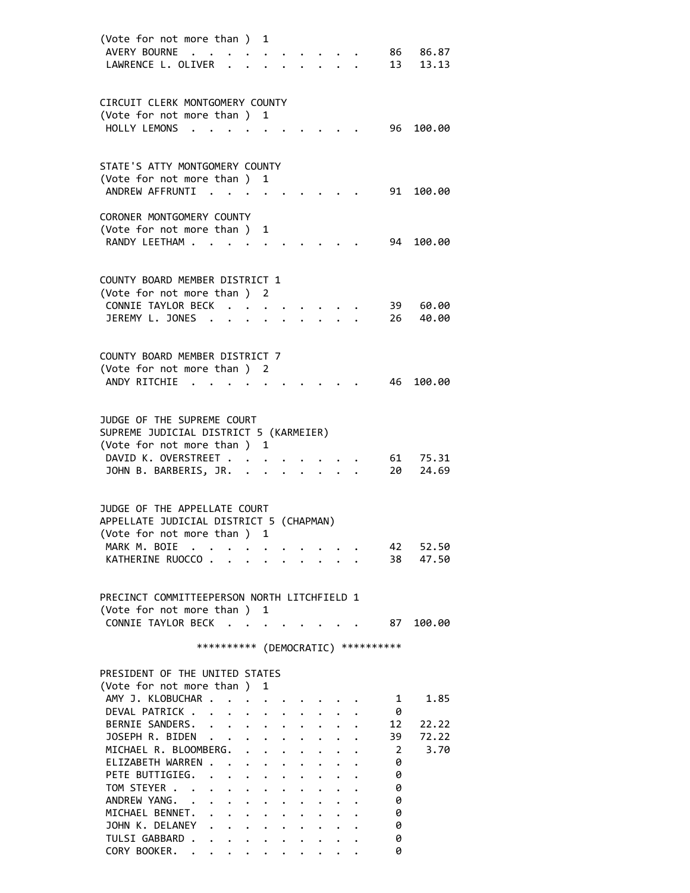| (Vote for not more than )<br>AVERY BOURNE<br>$\ddot{\phantom{a}}$<br>LAWRENCE L. OLIVER                                                               | 1                                                                        |                                                                                              |  | 86 -<br>13     | 86.87<br>13.13 |
|-------------------------------------------------------------------------------------------------------------------------------------------------------|--------------------------------------------------------------------------|----------------------------------------------------------------------------------------------|--|----------------|----------------|
| CIRCUIT CLERK MONTGOMERY COUNTY<br>(Vote for not more than ) 1<br>HOLLY LEMONS<br>$\sim$ $\sim$                                                       |                                                                          |                                                                                              |  | 96 -           | 100.00         |
| STATE'S ATTY MONTGOMERY COUNTY<br>(Vote for not more than ) 1<br>ANDREW AFFRUNTI<br>$\sim$ $\sim$                                                     |                                                                          |                                                                                              |  | 91             | 100.00         |
| CORONER MONTGOMERY COUNTY<br>(Vote for not more than)<br>RANDY LEETHAM                                                                                | 1                                                                        |                                                                                              |  | 94             | 100.00         |
| COUNTY BOARD MEMBER DISTRICT 1<br>(Vote for not more than ) 2<br>CONNIE TAYLOR BECK<br>JEREMY L. JONES .                                              |                                                                          |                                                                                              |  | 39<br>26       | 60.00<br>40.00 |
| COUNTY BOARD MEMBER DISTRICT 7<br>(Vote for not more than ) 2<br>ANDY RITCHIE                                                                         |                                                                          |                                                                                              |  | 46             | 100.00         |
| JUDGE OF THE SUPREME COURT<br>SUPREME JUDICIAL DISTRICT 5 (KARMEIER)<br>(Vote for not more than ) 1<br>DAVID K. OVERSTREET<br>JOHN B. BARBERIS, JR. . |                                                                          |                                                                                              |  | 61<br>20       | 75.31<br>24.69 |
| JUDGE OF THE APPELLATE COURT<br>APPELLATE JUDICIAL DISTRICT 5 (CHAPMAN)<br>(Vote for not more than ) 1                                                |                                                                          |                                                                                              |  |                |                |
| MARK M. BOIE<br>KATHERINE RUOCCO                                                                                                                      |                                                                          |                                                                                              |  | 42<br>38 —     | 52.50<br>47.50 |
| PRECINCT COMMITTEEPERSON NORTH LITCHFIELD 1<br>(Vote for not more than ) 1<br>CONNIE TAYLOR BECK                                                      |                                                                          |                                                                                              |  | 87             | 100.00         |
| *********** (DEMOCRATIC) **********                                                                                                                   |                                                                          |                                                                                              |  |                |                |
| PRESIDENT OF THE UNITED STATES<br>(Vote for not more than ) 1                                                                                         |                                                                          |                                                                                              |  |                |                |
| AMY J. KLOBUCHAR<br>DEVAL PATRICK<br>$\mathbf{L}$<br>BERNIE SANDERS.                                                                                  | $\mathbf{r}$ , $\mathbf{r}$ , $\mathbf{r}$ , $\mathbf{r}$ , $\mathbf{r}$ |                                                                                              |  | 1<br>- 0<br>12 | 1.85<br>22.22  |
| JOSEPH R. BIDEN<br>MICHAEL R. BLOOMBERG.                                                                                                              |                                                                          | $\mathbf{r} = \mathbf{r} + \mathbf{r}$                                                       |  | 39<br>2        | 72.22<br>3.70  |
| ELIZABETH WARREN<br>PETE BUTTIGIEG.<br>TOM STEYER                                                                                                     |                                                                          | $\cdot$ $\cdot$ $\cdot$ $\cdot$<br>$\bullet$ , $\bullet$ , $\bullet$ , $\bullet$ , $\bullet$ |  | 0<br>0<br>0    |                |
| ANDREW YANG. .<br>$\ddot{\phantom{0}}$<br>MICHAEL BENNET.                                                                                             | $\mathbf{r} = \mathbf{r} + \mathbf{r}$ , where $\mathbf{r} = \mathbf{r}$ | $\bullet$ $\bullet$ $\bullet$ $\bullet$ $\bullet$<br>$\ddot{\phantom{a}}$                    |  | 0<br>0         |                |
| JOHN K. DELANEY<br>TULSI GABBARD<br>CORY BOOKER.                                                                                                      |                                                                          |                                                                                              |  | 0<br>0<br>0    |                |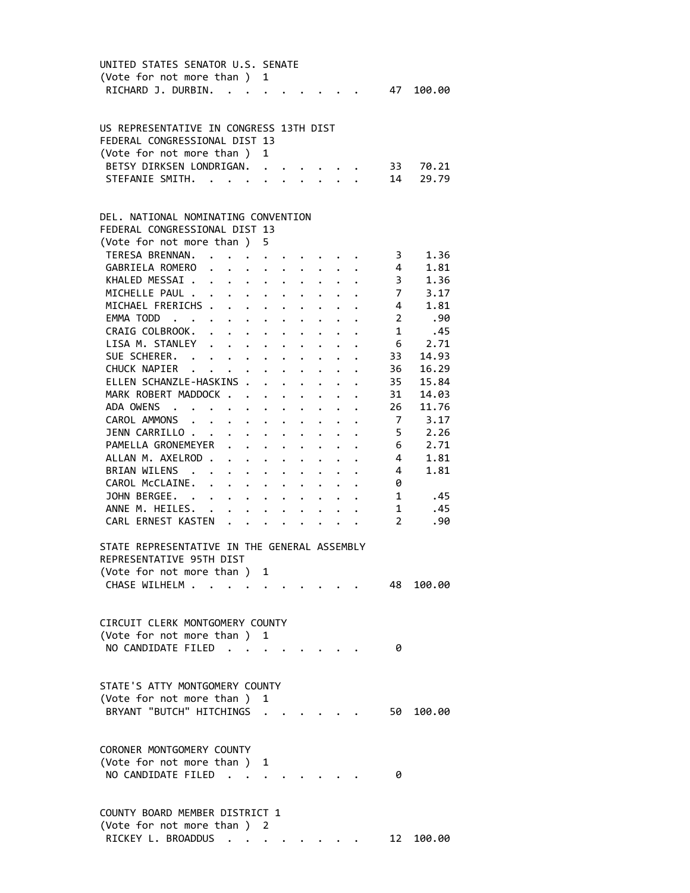| UNITED STATES SENATOR U.S. SENATE            |               |                                                                                                        |                                                                                                                                                         |                                                                                                                                                                                                                                       |                      |                                                                     |                      |                     |                |
|----------------------------------------------|---------------|--------------------------------------------------------------------------------------------------------|---------------------------------------------------------------------------------------------------------------------------------------------------------|---------------------------------------------------------------------------------------------------------------------------------------------------------------------------------------------------------------------------------------|----------------------|---------------------------------------------------------------------|----------------------|---------------------|----------------|
| (Vote for not more than ) 1                  |               |                                                                                                        |                                                                                                                                                         |                                                                                                                                                                                                                                       |                      |                                                                     |                      |                     |                |
| RICHARD J. DURBIN.                           |               |                                                                                                        |                                                                                                                                                         |                                                                                                                                                                                                                                       |                      |                                                                     |                      | 47                  | 100.00         |
|                                              |               |                                                                                                        |                                                                                                                                                         |                                                                                                                                                                                                                                       |                      |                                                                     |                      |                     |                |
|                                              |               |                                                                                                        |                                                                                                                                                         |                                                                                                                                                                                                                                       |                      |                                                                     |                      |                     |                |
| US REPRESENTATIVE IN CONGRESS 13TH DIST      |               |                                                                                                        |                                                                                                                                                         |                                                                                                                                                                                                                                       |                      |                                                                     |                      |                     |                |
| FEDERAL CONGRESSIONAL DIST 13                |               |                                                                                                        |                                                                                                                                                         |                                                                                                                                                                                                                                       |                      |                                                                     |                      |                     |                |
| (Vote for not more than)                     |               |                                                                                                        | 1                                                                                                                                                       |                                                                                                                                                                                                                                       |                      |                                                                     |                      |                     |                |
| BETSY DIRKSEN LONDRIGAN.                     |               |                                                                                                        |                                                                                                                                                         |                                                                                                                                                                                                                                       |                      |                                                                     |                      | 33                  | 70.21          |
| STEFANIE SMITH. .                            |               |                                                                                                        |                                                                                                                                                         |                                                                                                                                                                                                                                       |                      |                                                                     |                      | 14                  | 29.79          |
|                                              |               |                                                                                                        |                                                                                                                                                         |                                                                                                                                                                                                                                       |                      |                                                                     |                      |                     |                |
|                                              |               |                                                                                                        |                                                                                                                                                         |                                                                                                                                                                                                                                       |                      |                                                                     |                      |                     |                |
| DEL. NATIONAL NOMINATING CONVENTION          |               |                                                                                                        |                                                                                                                                                         |                                                                                                                                                                                                                                       |                      |                                                                     |                      |                     |                |
| FEDERAL CONGRESSIONAL DIST 13                |               |                                                                                                        |                                                                                                                                                         |                                                                                                                                                                                                                                       |                      |                                                                     |                      |                     |                |
| (Vote for not more than ) 5                  |               |                                                                                                        |                                                                                                                                                         |                                                                                                                                                                                                                                       |                      |                                                                     |                      |                     |                |
| TERESA BRENNAN.                              |               |                                                                                                        |                                                                                                                                                         |                                                                                                                                                                                                                                       |                      |                                                                     |                      |                     | 1.36           |
| GABRIELA ROMERO                              |               | $\mathbf{r} = \mathbf{r} + \mathbf{r} + \mathbf{r} + \mathbf{r} + \mathbf{r} + \mathbf{r}$             |                                                                                                                                                         |                                                                                                                                                                                                                                       |                      |                                                                     |                      | 3 <sup>7</sup><br>4 | 1.81           |
| KHALED MESSAI.                               |               |                                                                                                        |                                                                                                                                                         |                                                                                                                                                                                                                                       |                      |                                                                     |                      | $\frac{1}{3}$       | 1.36           |
|                                              |               | $\mathbf{r} = \mathbf{r} + \mathbf{r}$ , where $\mathbf{r} = \mathbf{r}$                               |                                                                                                                                                         | $\ddotsc$                                                                                                                                                                                                                             |                      |                                                                     |                      |                     | $7 \t3.17$     |
| MICHELLE PAUL .                              |               | $\mathbf{r} = \mathbf{r} + \mathbf{r} + \mathbf{r} + \mathbf{r} + \mathbf{r}$                          |                                                                                                                                                         |                                                                                                                                                                                                                                       |                      |                                                                     |                      |                     |                |
| MICHAEL FRERICHS                             |               |                                                                                                        |                                                                                                                                                         |                                                                                                                                                                                                                                       |                      |                                                                     |                      | $\overline{4}$      | 1.81           |
| EMMA TODD                                    |               |                                                                                                        |                                                                                                                                                         |                                                                                                                                                                                                                                       |                      | $\mathbf{1}$ $\mathbf{1}$ $\mathbf{1}$                              |                      | $\overline{2}$      | .90            |
| CRAIG COLBROOK.                              |               | $\mathbf{r}$ , and $\mathbf{r}$ , and $\mathbf{r}$ , and $\mathbf{r}$                                  |                                                                                                                                                         |                                                                                                                                                                                                                                       |                      |                                                                     |                      | 1                   | .45            |
| LISA M. STANLEY                              |               |                                                                                                        |                                                                                                                                                         |                                                                                                                                                                                                                                       |                      | $\bullet$ .<br><br><br><br><br><br><br><br><br><br><br><br><br><br> |                      |                     | $6\qquad 2.71$ |
| SUE SCHERER.                                 |               | $\mathbf{r} = \mathbf{r} + \mathbf{r} + \mathbf{r} + \mathbf{r} + \mathbf{r}$                          |                                                                                                                                                         |                                                                                                                                                                                                                                       |                      |                                                                     |                      | 33                  | 14.93          |
| CHUCK NAPIER                                 |               |                                                                                                        |                                                                                                                                                         | $\bullet$ , $\bullet$ , $\bullet$                                                                                                                                                                                                     |                      |                                                                     |                      | 36                  | 16.29          |
| ELLEN SCHANZLE-HASKINS .                     |               |                                                                                                        | $\ddot{\phantom{0}}$                                                                                                                                    | $\ddot{\bullet}$ . The set of the set of the set of the set of the set of the set of the set of the set of the set of the set of the set of the set of the set of the set of the set of the set of the set of the set of the set of t |                      |                                                                     |                      | 35                  | 15.84          |
| MARK ROBERT MADDOCK                          |               |                                                                                                        |                                                                                                                                                         |                                                                                                                                                                                                                                       |                      | $\ddot{\phantom{0}}$                                                |                      | 31                  | 14.03          |
| ADA OWENS                                    |               | $\mathbf{r}$ , $\mathbf{r}$ , $\mathbf{r}$ , $\mathbf{r}$ , $\mathbf{r}$ , $\mathbf{r}$ , $\mathbf{r}$ |                                                                                                                                                         |                                                                                                                                                                                                                                       |                      |                                                                     |                      | 26                  | 11.76          |
| CAROL AMMONS .                               |               | $\begin{array}{cccccccccccccccccc} . & . & . & . & . & . & . & . & . & . & . & . & . \end{array}$      |                                                                                                                                                         |                                                                                                                                                                                                                                       |                      |                                                                     |                      |                     | 7 3.17         |
| JENN CARRILLO                                |               | $\mathbf{r}$ , and $\mathbf{r}$ , and $\mathbf{r}$ , and $\mathbf{r}$                                  |                                                                                                                                                         |                                                                                                                                                                                                                                       |                      |                                                                     |                      | $5 -$               | 2.26           |
| PAMELLA GRONEMEYER                           |               | $\ddot{\phantom{0}}$                                                                                   | $\begin{array}{cccccccccccccc} \bullet & \bullet & \bullet & \bullet & \bullet & \bullet & \bullet & \bullet & \bullet & \bullet & \bullet \end{array}$ |                                                                                                                                                                                                                                       |                      |                                                                     |                      | $6\overline{6}$     | 2.71           |
| ALLAN M. AXELROD.                            |               | $\mathbf{r} = \mathbf{r} + \mathbf{r} + \mathbf{r} + \mathbf{r}$ .                                     |                                                                                                                                                         |                                                                                                                                                                                                                                       |                      |                                                                     |                      | $\overline{4}$      | 1.81           |
| BRIAN WILENS .                               |               |                                                                                                        |                                                                                                                                                         |                                                                                                                                                                                                                                       |                      |                                                                     |                      | $4\overline{ }$     | 1.81           |
| CAROL McCLAINE.                              |               | $\cdot$ $\cdot$ $\cdot$ $\cdot$ $\cdot$ $\cdot$                                                        |                                                                                                                                                         |                                                                                                                                                                                                                                       |                      |                                                                     |                      |                     |                |
| JOHN BERGEE. .                               |               | <b>All All Annual</b>                                                                                  |                                                                                                                                                         | $\ddot{\phantom{0}}$                                                                                                                                                                                                                  |                      |                                                                     |                      | 0                   |                |
|                                              |               | $\cdot$ $\cdot$ $\cdot$ $\cdot$ $\cdot$ $\cdot$                                                        |                                                                                                                                                         |                                                                                                                                                                                                                                       | $\mathbf{L}$         |                                                                     |                      | $1 \quad$           | .45            |
| ANNE M. HEILES.                              | $\sim$ $\sim$ | $\cdot$ $\cdot$ $\cdot$ $\cdot$ $\cdot$                                                                |                                                                                                                                                         |                                                                                                                                                                                                                                       | $\ddot{\phantom{0}}$ |                                                                     | $\ddot{\phantom{0}}$ | 1                   | .45            |
| CARL ERNEST KASTEN                           |               |                                                                                                        |                                                                                                                                                         |                                                                                                                                                                                                                                       | $\ddot{\phantom{0}}$ | $\ddotsc$                                                           |                      | $\mathbf{2}$        | .90            |
|                                              |               |                                                                                                        |                                                                                                                                                         |                                                                                                                                                                                                                                       |                      |                                                                     |                      |                     |                |
| STATE REPRESENTATIVE IN THE GENERAL ASSEMBLY |               |                                                                                                        |                                                                                                                                                         |                                                                                                                                                                                                                                       |                      |                                                                     |                      |                     |                |
| REPRESENTATIVE 95TH DIST                     |               |                                                                                                        |                                                                                                                                                         |                                                                                                                                                                                                                                       |                      |                                                                     |                      |                     |                |
| (Vote for not more than ) 1                  |               |                                                                                                        |                                                                                                                                                         |                                                                                                                                                                                                                                       |                      |                                                                     |                      |                     |                |
| CHASE WILHELM                                |               |                                                                                                        |                                                                                                                                                         |                                                                                                                                                                                                                                       |                      |                                                                     |                      | 48                  | 100.00         |
|                                              |               |                                                                                                        |                                                                                                                                                         |                                                                                                                                                                                                                                       |                      |                                                                     |                      |                     |                |
|                                              |               |                                                                                                        |                                                                                                                                                         |                                                                                                                                                                                                                                       |                      |                                                                     |                      |                     |                |
| CIRCUIT CLERK MONTGOMERY COUNTY              |               |                                                                                                        |                                                                                                                                                         |                                                                                                                                                                                                                                       |                      |                                                                     |                      |                     |                |
| (Vote for not more than)                     |               |                                                                                                        | 1                                                                                                                                                       |                                                                                                                                                                                                                                       |                      |                                                                     |                      |                     |                |
| NO CANDIDATE FILED.                          |               |                                                                                                        | $\mathcal{L}^{\mathcal{L}}$ , and $\mathcal{L}^{\mathcal{L}}$ , and $\mathcal{L}^{\mathcal{L}}$                                                         |                                                                                                                                                                                                                                       |                      |                                                                     |                      | 0                   |                |
|                                              |               |                                                                                                        |                                                                                                                                                         |                                                                                                                                                                                                                                       |                      |                                                                     |                      |                     |                |
|                                              |               |                                                                                                        |                                                                                                                                                         |                                                                                                                                                                                                                                       |                      |                                                                     |                      |                     |                |
| STATE'S ATTY MONTGOMERY COUNTY               |               |                                                                                                        |                                                                                                                                                         |                                                                                                                                                                                                                                       |                      |                                                                     |                      |                     |                |
| (Vote for not more than ) 1                  |               |                                                                                                        |                                                                                                                                                         |                                                                                                                                                                                                                                       |                      |                                                                     |                      |                     |                |
| BRYANT "BUTCH" HITCHINGS .                   |               |                                                                                                        |                                                                                                                                                         |                                                                                                                                                                                                                                       |                      |                                                                     |                      | 50 -                | 100.00         |
|                                              |               |                                                                                                        |                                                                                                                                                         |                                                                                                                                                                                                                                       |                      |                                                                     |                      |                     |                |
|                                              |               |                                                                                                        |                                                                                                                                                         |                                                                                                                                                                                                                                       |                      |                                                                     |                      |                     |                |
| CORONER MONTGOMERY COUNTY                    |               |                                                                                                        |                                                                                                                                                         |                                                                                                                                                                                                                                       |                      |                                                                     |                      |                     |                |
| (Vote for not more than )                    |               |                                                                                                        | 1                                                                                                                                                       |                                                                                                                                                                                                                                       |                      |                                                                     |                      |                     |                |
| NO CANDIDATE FILED.                          |               |                                                                                                        |                                                                                                                                                         |                                                                                                                                                                                                                                       |                      |                                                                     |                      | 0                   |                |
|                                              |               |                                                                                                        |                                                                                                                                                         |                                                                                                                                                                                                                                       |                      |                                                                     |                      |                     |                |
|                                              |               |                                                                                                        |                                                                                                                                                         |                                                                                                                                                                                                                                       |                      |                                                                     |                      |                     |                |
| COUNTY BOARD MEMBER DISTRICT 1               |               |                                                                                                        |                                                                                                                                                         |                                                                                                                                                                                                                                       |                      |                                                                     |                      |                     |                |
|                                              |               |                                                                                                        |                                                                                                                                                         |                                                                                                                                                                                                                                       |                      |                                                                     |                      |                     |                |
| (Vote for not more than )                    |               |                                                                                                        | 2                                                                                                                                                       |                                                                                                                                                                                                                                       |                      |                                                                     |                      |                     |                |
| RICKEY L. BROADDUS                           |               |                                                                                                        |                                                                                                                                                         |                                                                                                                                                                                                                                       |                      |                                                                     |                      | 12                  | 100.00         |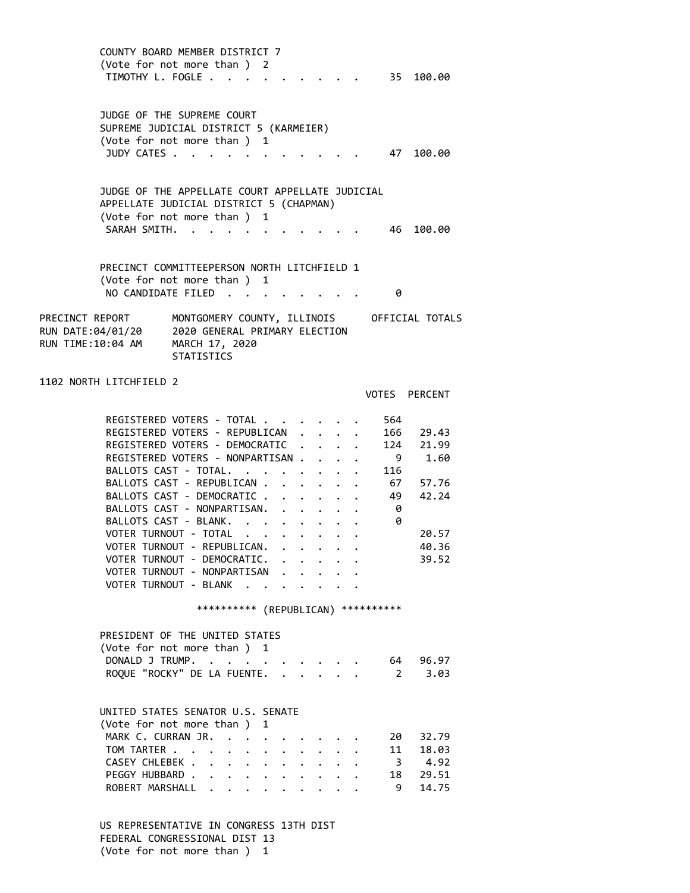COUNTY BOARD MEMBER DISTRICT 7 (Vote for not more than ) 2 TIMOTHY L. FOGLE . . . . . . . . . . 35 100.00 JUDGE OF THE SUPREME COURT SUPREME JUDICIAL DISTRICT 5 (KARMEIER) (Vote for not more than ) 1 JUDY CATES . . . . . . . . . . . . 47 100.00 JUDGE OF THE APPELLATE COURT APPELLATE JUDICIAL APPELLATE JUDICIAL DISTRICT 5 (CHAPMAN) (Vote for not more than ) 1 SARAH SMITH. . . . . . . . . . . . 46 100.00 PRECINCT COMMITTEEPERSON NORTH LITCHFIELD 1 (Vote for not more than ) 1 NO CANDIDATE FILED . . . . . . . . 0 PRECINCT REPORT MONTGOMERY COUNTY, ILLINOIS OFFICIAL TOTALS RUN DATE:04/01/20 2020 GENERAL PRIMARY ELECTION RUN TIME:10:04 AM MARCH 17, 2020 **STATISTICS** 1102 NORTH LITCHFIELD 2 VOTES PERCENT REGISTERED VOTERS - TOTAL . . . . . . 564 REGISTERED VOTERS - REPUBLICAN . . . . 166 29.43 REGISTERED VOTERS - DEMOCRATIC . . . . 124 21.99 REGISTERED VOTERS - NONPARTISAN . . . . 9 1.60 BALLOTS CAST - TOTAL. . . . . . . . 116 BALLOTS CAST - REPUBLICAN . . . . . . 67 57.76 BALLOTS CAST - DEMOCRATIC . . . . . . 49 42.24<br>BALLOTS CAST - NONPARTISAN. . . . . . . 0<br>BALLOTS CAST - BLANK. . . . . . . . 0<br>VOTER TURNOUT - TOTAL . . . . . . . . 20.57<br>COTER TURNOUT - TOTAL . . . . . . . . . 20.57 BALLOTS CAST - NONPARTISAN. . . . . . BALLOTS CAST - BLANK. . . . . . . . VOTER TURNOUT - TOTAL . . . . . . . . 20.57 VOTER TURNOUT - REPUBLICAN. . . . . . 40.36 VOTER TURNOUT - DEMOCRATIC. . . . . . 39.52 VOTER TURNOUT - NONPARTISAN . . . . . VOTER TURNOUT - BLANK . . . . . . . \*\*\*\*\*\*\*\*\*\* (REPUBLICAN) \*\*\*\*\*\*\*\*\*\* PRESIDENT OF THE UNITED STATES (Vote for not more than ) 1 DONALD J TRUMP. . . . . . . . . . . 64 96.97 ROQUE "ROCKY" DE LA FUENTE. . . . . . 2 3.03 UNITED STATES SENATOR U.S. SENATE (Vote for not more than ) 1 MARK C. CURRAN JR. . . . . . . . . . 20 32.79 TOM TARTER . . . . . . . . . . . . 11 18.03 CASEY CHLEBEK . . . . . . . . . . 3 4.92 PEGGY HUBBARD . . . . . . . . . . 18 29.51 ROBERT MARSHALL . . . . . . . . . 9 14.75 US REPRESENTATIVE IN CONGRESS 13TH DIST FEDERAL CONGRESSIONAL DIST 13 (Vote for not more than ) 1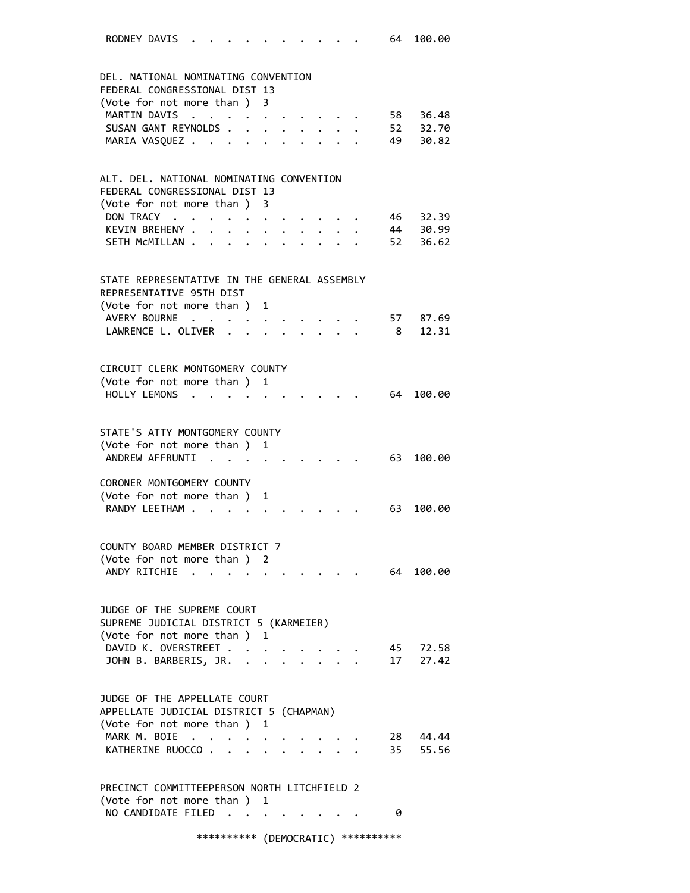| RODNEY DAVIS |  |  | . |  |  |  |  |  |  |  |  |  | 64 100.00 |
|--------------|--|--|---|--|--|--|--|--|--|--|--|--|-----------|
|--------------|--|--|---|--|--|--|--|--|--|--|--|--|-----------|

| DEL, NATIONAL NOMINATING CONVENTION                                        |                                             |                                   |                                  |                      |                               |  |                |          |
|----------------------------------------------------------------------------|---------------------------------------------|-----------------------------------|----------------------------------|----------------------|-------------------------------|--|----------------|----------|
| FEDERAL CONGRESSIONAL DIST 13                                              |                                             |                                   |                                  |                      |                               |  |                |          |
| (Vote for not more than) 3                                                 |                                             |                                   |                                  |                      |                               |  |                |          |
| MARTIN DAVIS                                                               | $\ddot{\phantom{a}}$ . $\ddot{\phantom{a}}$ |                                   | $\cdot$ $\cdot$                  |                      |                               |  |                | 58 36.48 |
| SUSAN GANT REYNOLDS.                                                       |                                             | $\ddot{\phantom{0}}$              | $\ddot{\phantom{0}}$             | $\ddot{\phantom{0}}$ | $\ddot{\phantom{0}}$          |  |                | 52 32.70 |
| MARIA VASQUEZ                                                              |                                             | $\sim 100$ km s $^{-1}$           | $\bullet$ .                      |                      | $\bullet$ $\bullet$ $\bullet$ |  | 49             | 30.82    |
|                                                                            |                                             |                                   |                                  |                      |                               |  |                |          |
| ALT. DEL. NATIONAL NOMINATING CONVENTION                                   |                                             |                                   |                                  |                      |                               |  |                |          |
| FEDERAL CONGRESSIONAL DIST 13                                              |                                             |                                   |                                  |                      |                               |  |                |          |
| (Vote for not more than )                                                  |                                             |                                   | 3                                |                      |                               |  |                |          |
| DON TRACY                                                                  |                                             | $\bullet$ . The set of $\bullet$  | $\bullet$                        |                      |                               |  |                | 46 32.39 |
| KEVIN BREHENY .                                                            |                                             | $\ddot{\phantom{0}}$<br>$\bullet$ | $\ddot{\phantom{0}}$             | $\ddot{\phantom{0}}$ |                               |  |                | 44 30.99 |
| SETH MCMILLAN                                                              |                                             |                                   | $\bullet$ . The set of $\bullet$ |                      | $\ddot{\phantom{1}}$          |  |                | 52 36.62 |
|                                                                            |                                             |                                   |                                  |                      |                               |  |                |          |
| STATE REPRESENTATIVE IN THE GENERAL ASSEMBLY                               |                                             |                                   |                                  |                      |                               |  |                |          |
| REPRESENTATIVE 95TH DIST                                                   |                                             |                                   |                                  |                      |                               |  |                |          |
| (Vote for not more than) 1<br>AVERY BOURNE                                 | $\cdot$ $\cdot$                             |                                   |                                  |                      |                               |  |                | 57 87.69 |
| LAWRENCE L. OLIVER.                                                        |                                             | $\sim$                            |                                  |                      |                               |  | 8 <sup>1</sup> | 12.31    |
|                                                                            |                                             |                                   |                                  |                      |                               |  |                |          |
|                                                                            |                                             |                                   |                                  |                      |                               |  |                |          |
| CIRCUIT CLERK MONTGOMERY COUNTY                                            |                                             |                                   |                                  |                      |                               |  |                |          |
| (Vote for not more than ) 1<br>HOLLY LEMONS<br>$\sim$                      |                                             |                                   |                                  |                      |                               |  | 64             | 100.00   |
|                                                                            |                                             |                                   |                                  |                      |                               |  |                |          |
|                                                                            |                                             |                                   |                                  |                      |                               |  |                |          |
| STATE'S ATTY MONTGOMERY COUNTY                                             |                                             |                                   |                                  |                      |                               |  |                |          |
| (Vote for not more than )                                                  |                                             |                                   | 1                                |                      |                               |  |                |          |
| ANDREW AFFRUNTI                                                            |                                             |                                   |                                  |                      |                               |  | 63             | 100.00   |
| CORONER MONTGOMERY COUNTY                                                  |                                             |                                   |                                  |                      |                               |  |                |          |
| (Vote for not more than ) 1                                                |                                             |                                   |                                  |                      |                               |  |                |          |
| RANDY LEETHAM .                                                            | $\sim$<br>$\sim$                            |                                   |                                  |                      |                               |  | 63             | 100.00   |
|                                                                            |                                             |                                   |                                  |                      |                               |  |                |          |
| COUNTY BOARD MEMBER DISTRICT 7                                             |                                             |                                   |                                  |                      |                               |  |                |          |
| (Vote for not more than )                                                  |                                             |                                   |                                  |                      |                               |  |                |          |
| ANDY RITCHIE .                                                             |                                             |                                   |                                  |                      |                               |  | 64             | 100.00   |
|                                                                            |                                             |                                   |                                  |                      |                               |  |                |          |
|                                                                            |                                             |                                   |                                  |                      |                               |  |                |          |
| JUDGE OF THE SUPREME COURT                                                 |                                             |                                   |                                  |                      |                               |  |                |          |
| SUPREME JUDICIAL DISTRICT 5 (KARMEIER)<br>(Vote for not more than ) 1      |                                             |                                   |                                  |                      |                               |  |                |          |
| DAVID K. OVERSTREET .                                                      |                                             | $\ddot{\phantom{a}}$              |                                  |                      |                               |  | 45 —           | 72.58    |
| JOHN B. BARBERIS, JR.                                                      |                                             |                                   |                                  |                      |                               |  | 17             | 27.42    |
|                                                                            |                                             |                                   |                                  |                      |                               |  |                |          |
|                                                                            |                                             |                                   |                                  |                      |                               |  |                |          |
| JUDGE OF THE APPELLATE COURT<br>APPELLATE JUDICIAL DISTRICT 5 (CHAPMAN)    |                                             |                                   |                                  |                      |                               |  |                |          |
| (Vote for not more than)                                                   |                                             |                                   | 1                                |                      |                               |  |                |          |
| MARK M. BOIE                                                               |                                             |                                   |                                  |                      |                               |  |                | 28 44.44 |
| KATHERINE RUOCCO                                                           |                                             |                                   |                                  |                      |                               |  | 35             | 55.56    |
|                                                                            |                                             |                                   |                                  |                      |                               |  |                |          |
|                                                                            |                                             |                                   |                                  |                      |                               |  |                |          |
| PRECINCT COMMITTEEPERSON NORTH LITCHFIELD 2<br>(Vote for not more than ) 1 |                                             |                                   |                                  |                      |                               |  |                |          |
| NO CANDIDATE FILED                                                         |                                             | $\ddot{\phantom{a}}$              | $\ddot{\phantom{1}}$             |                      |                               |  | 0              |          |
|                                                                            |                                             |                                   |                                  |                      |                               |  |                |          |

\*\*\*\*\*\*\*\*\*\* (DEMOCRATIC) \*\*\*\*\*\*\*\*\*\*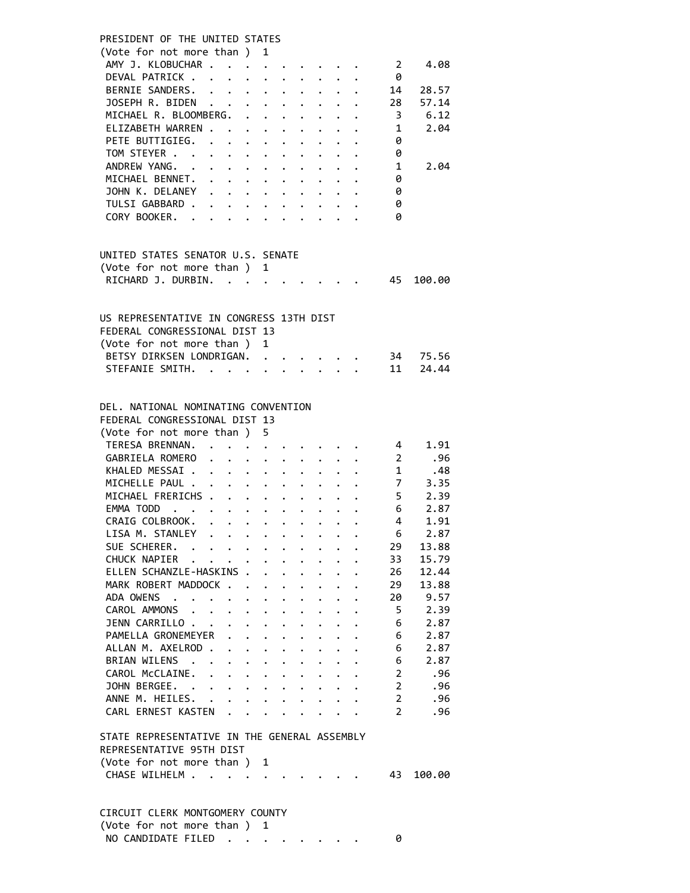| PRESIDENT OF THE UNITED STATES                                                                                                                                                                                              |  |
|-----------------------------------------------------------------------------------------------------------------------------------------------------------------------------------------------------------------------------|--|
| (Vote for not more than ) 1                                                                                                                                                                                                 |  |
| AMY J. KLOBUCHAR<br>$\overline{2}$<br>4.08                                                                                                                                                                                  |  |
| DEVAL PATRICK<br>0                                                                                                                                                                                                          |  |
| BERNIE SANDERS.<br>14<br>28.57                                                                                                                                                                                              |  |
| JOSEPH R. BIDEN<br>28<br>57.14<br>$\cdot$ $\cdot$ $\cdot$ $\cdot$ $\cdot$ $\cdot$ $\cdot$                                                                                                                                   |  |
| MICHAEL R. BLOOMBERG. .<br>6.12<br>3<br>$\ddot{\phantom{0}}$<br>$\cdot$ $\cdot$ $\cdot$ $\cdot$                                                                                                                             |  |
| ELIZABETH WARREN.<br>2.04<br>1<br>$\sim 10^{-11}$ and $\sim 10^{-11}$<br>$\cdot$ $\cdot$ $\cdot$ $\cdot$ $\cdot$                                                                                                            |  |
| PETE BUTTIGIEG. .<br>0<br>$\ddot{\phantom{0}}$<br>$\mathbf{L}^{\text{max}}$<br>$\bullet$ .<br>$\ddot{\phantom{0}}$                                                                                                          |  |
| TOM STEYER<br>0<br>$\mathbf{r} = \mathbf{r} + \mathbf{r}$<br>$\ddot{\phantom{0}}$                                                                                                                                           |  |
| ANDREW YANG.<br>1<br>2.04<br>$\cdot$ $\cdot$                                                                                                                                                                                |  |
| MICHAEL BENNET.<br>0                                                                                                                                                                                                        |  |
| JOHN K. DELANEY<br>0                                                                                                                                                                                                        |  |
|                                                                                                                                                                                                                             |  |
| TULSI GABBARD<br>0                                                                                                                                                                                                          |  |
| CORY BOOKER.<br>ø                                                                                                                                                                                                           |  |
|                                                                                                                                                                                                                             |  |
| UNITED STATES SENATOR U.S. SENATE                                                                                                                                                                                           |  |
| (Vote for not more than ) 1                                                                                                                                                                                                 |  |
| RICHARD J. DURBIN.<br>$\mathbf{r}$ . The set of the set of $\mathbf{r}$<br>45<br>100.00                                                                                                                                     |  |
|                                                                                                                                                                                                                             |  |
| US REPRESENTATIVE IN CONGRESS 13TH DIST                                                                                                                                                                                     |  |
| FEDERAL CONGRESSIONAL DIST 13                                                                                                                                                                                               |  |
| (Vote for not more than)<br>$\mathbf{1}$                                                                                                                                                                                    |  |
| BETSY DIRKSEN LONDRIGAN.<br>34<br>75.56                                                                                                                                                                                     |  |
| 11<br>24.44<br>STEFANIE SMITH.<br>$\mathbf{r} = \mathbf{r}$<br>$\mathbf{r}$ and $\mathbf{r}$<br>$\ddot{\phantom{a}}$                                                                                                        |  |
|                                                                                                                                                                                                                             |  |
| DEL. NATIONAL NOMINATING CONVENTION                                                                                                                                                                                         |  |
| FEDERAL CONGRESSIONAL DIST 13                                                                                                                                                                                               |  |
|                                                                                                                                                                                                                             |  |
| (Vote for not more than ) 5<br>TERESA BRENNAN. .<br>1.91<br>$\overline{4}$                                                                                                                                                  |  |
|                                                                                                                                                                                                                             |  |
| GABRIELA ROMERO<br>$\overline{2}$<br>.96<br>$\ddot{\phantom{0}}$<br>$\mathbf{L}$<br>$\ddot{\phantom{0}}$<br>$\ddot{\phantom{0}}$<br>$\ddot{\phantom{0}}$                                                                    |  |
| $\overline{1}$<br>.48<br>KHALED MESSAI<br>$1 - 1 - 1$<br>$\ddot{\phantom{a}}$                                                                                                                                               |  |
| MICHELLE PAUL<br>$\overline{7}$<br>3.35                                                                                                                                                                                     |  |
| MICHAEL FRERICHS<br>$5 -$<br>2.39                                                                                                                                                                                           |  |
| 2.87<br>EMMA TODD<br>6                                                                                                                                                                                                      |  |
| CRAIG COLBROOK.<br>4<br>1.91                                                                                                                                                                                                |  |
| LISA M. STANLEY .<br>6<br>2.87<br>$\bullet$ , $\bullet$ , $\bullet$ , $\bullet$ , $\bullet$ , $\bullet$<br>$\bullet$ , $\bullet$ , $\bullet$ , $\bullet$<br>$\bullet$ . $\bullet$                                           |  |
| SUE SCHERER.<br>29<br>13.88<br>$\mathcal{A}=\mathcal{A}=\mathcal{A}=\mathcal{A}$ . The $\mathcal{A}=\mathcal{A}$                                                                                                            |  |
| CHUCK NAPIER<br>15.79<br>33                                                                                                                                                                                                 |  |
| ELLEN SCHANZLE-HASKINS .<br>12.44<br>26<br>$\ddot{\phantom{0}}$<br>$\ddot{\phantom{a}}$<br>$\ddot{\phantom{0}}$<br>$\ddot{\phantom{0}}$<br>$\ddot{\phantom{0}}$<br>$\cdot$                                                  |  |
| MARK ROBERT MADDOCK<br>29<br>13.88<br>$\ddot{\phantom{0}}$<br>$\ddot{\phantom{0}}$<br>$\ddot{\phantom{0}}$<br>$\ddot{\phantom{0}}$<br>$\ddot{\phantom{0}}$                                                                  |  |
| ADA OWENS<br>20<br>9.57<br>$\ddot{\phantom{a}}$<br>$\ddot{\phantom{0}}$<br>$\ddot{\phantom{a}}$<br>$\ddot{\phantom{0}}$<br>$\ddot{\phantom{0}}$<br>$\ddot{\phantom{0}}$<br>$\ddot{\phantom{0}}$<br><b>Contract Contract</b> |  |
| 5<br>2.39<br>CAROL AMMONS .<br>$\ddot{\phantom{1}}$<br>$\bullet$ .<br>$\ddot{\phantom{0}}$<br>$\ddot{\phantom{0}}$<br>$\bullet$<br>$\bullet$                                                                                |  |
| 2.87<br>JENN CARRILLO<br>6<br>$\ddot{\phantom{0}}$                                                                                                                                                                          |  |
| $\ddot{\phantom{0}}$<br>$\ddot{\phantom{0}}$<br>$\bullet$<br>$\bullet$ .<br>PAMELLA GRONEMEYER                                                                                                                              |  |
| 2.87<br>6<br>$\ddot{\phantom{0}}$                                                                                                                                                                                           |  |
| ALLAN M. AXELROD.<br>6<br>2.87<br>$\ddot{\phantom{a}}$<br>$\ddot{\phantom{0}}$                                                                                                                                              |  |
| 2.87<br>BRIAN WILENS<br>6<br>$\sim$<br>$\ddot{\phantom{0}}$<br>$\ddot{\phantom{0}}$<br>$\ddot{\phantom{a}}$<br>$\ddot{\phantom{a}}$                                                                                         |  |
| CAROL McCLAINE.<br>$\overline{2}$<br>.96<br>$\mathbf{L}$ and $\mathbf{L}$<br>$\cdot$ $\cdot$<br>$\ddot{\phantom{0}}$<br>$\ddot{\phantom{0}}$<br>$\ddot{\phantom{0}}$<br>$\ddot{\phantom{0}}$                                |  |
| $\overline{2}$<br>JOHN BERGEE.<br>.96<br>$\cdot$ $\cdot$ $\cdot$<br>$\ddot{\phantom{0}}$<br>$\ddot{\phantom{0}}$<br>$\ddot{\phantom{0}}$<br>$\sim$                                                                          |  |
| ANNE M. HEILES.<br>$\overline{2}$<br>.96<br>$\sim$ $\sim$<br>$\ddot{\phantom{0}}$<br>$\ddot{\phantom{0}}$<br>$\ddot{\phantom{0}}$<br>$\ddot{\phantom{0}}$<br>$\ddot{\phantom{a}}$                                           |  |
| $\overline{2}$<br>CARL ERNEST KASTEN<br>.96<br>$\ddot{\phantom{0}}$<br>$\mathbf{L} = \mathbf{L} \mathbf{L} + \mathbf{L} \mathbf{L}$<br>$\ddot{\phantom{0}}$                                                                 |  |
| STATE REPRESENTATIVE IN THE GENERAL ASSEMBLY                                                                                                                                                                                |  |
| REPRESENTATIVE 95TH DIST                                                                                                                                                                                                    |  |
| (Vote for not more than )<br>1                                                                                                                                                                                              |  |
| CHASE WILHELM<br>43<br>100.00                                                                                                                                                                                               |  |
|                                                                                                                                                                                                                             |  |
|                                                                                                                                                                                                                             |  |
| CIRCUIT CLERK MONTGOMERY COUNTY                                                                                                                                                                                             |  |
|                                                                                                                                                                                                                             |  |

NO CANDIDATE FILED . . . . . . . . 0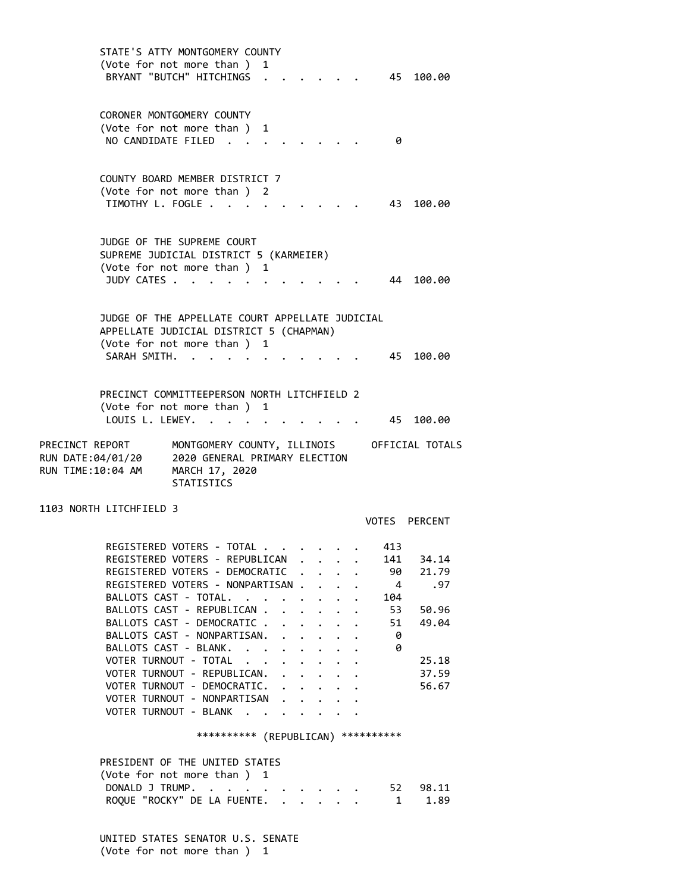STATE'S ATTY MONTGOMERY COUNTY (Vote for not more than ) 1 BRYANT "BUTCH" HITCHINGS . . . . . . 45 100.00 CORONER MONTGOMERY COUNTY (Vote for not more than ) 1 NO CANDIDATE FILED . . . . . . . . 0 COUNTY BOARD MEMBER DISTRICT 7 (Vote for not more than ) 2 TIMOTHY L. FOGLE . . . . . . . . . . 43 100.00 JUDGE OF THE SUPREME COURT SUPREME JUDICIAL DISTRICT 5 (KARMEIER) (Vote for not more than ) 1 JUDY CATES . . . . . . . . . . . . 44 100.00 JUDGE OF THE APPELLATE COURT APPELLATE JUDICIAL APPELLATE JUDICIAL DISTRICT 5 (CHAPMAN) (Vote for not more than ) 1 SARAH SMITH. . . . . . . . . . . . 45 100.00 PRECINCT COMMITTEEPERSON NORTH LITCHFIELD 2 (Vote for not more than ) 1 LOUIS L. LEWEY. . . . . . . . . . . 45 100.00 PRECINCT REPORT MONTGOMERY COUNTY, ILLINOIS OFFICIAL TOTALS RUN DATE:04/01/20 2020 GENERAL PRIMARY ELECTION RUN TIME:10:04 AM MARCH 17, 2020 STATISTICS 1103 NORTH LITCHFIELD 3 VOTES PERCENT REGISTERED VOTERS - TOTAL . . . . . . 413 REGISTERED VOTERS - REPUBLICAN . . . . 141 34.14 REGISTERED VOTERS - DEMOCRATIC . . . . 90 21.79 REGISTERED VOTERS - NONPARTISAN . . . . 4 .97 BALLOTS CAST - TOTAL. . . . . . . . 104 BALLOTS CAST - REPUBLICAN . . . . . . 53 50.96 BALLOTS CAST - DEMOCRATIC . . . . . . 51 49.04 BALLOTS CAST - NONPARTISAN. . . . . . 0<br>BALLOTS CAST - BLANK. . . . . . . . 0 BALLOTS CAST - BLANK. . . . . . . . VOTER TURNOUT - TOTAL . . . . . . . . 25.18 VOTER TURNOUT - REPUBLICAN. . . . . . 37.59 VOTER TURNOUT - DEMOCRATIC. . . . . . 56.67 VOTER TURNOUT - NONPARTISAN . . . . . VOTER TURNOUT - BLANK . . . . . \*\*\*\*\*\*\*\*\*\* (REPUBLICAN) \*\*\*\*\*\*\*\*\*\* PRESIDENT OF THE UNITED STATES (Vote for not more than ) 1 DONALD J TRUMP. . . . . . . . . . . 52 98.11 ROQUE "ROCKY" DE LA FUENTE. . . . . . 1 1.89

> UNITED STATES SENATOR U.S. SENATE (Vote for not more than ) 1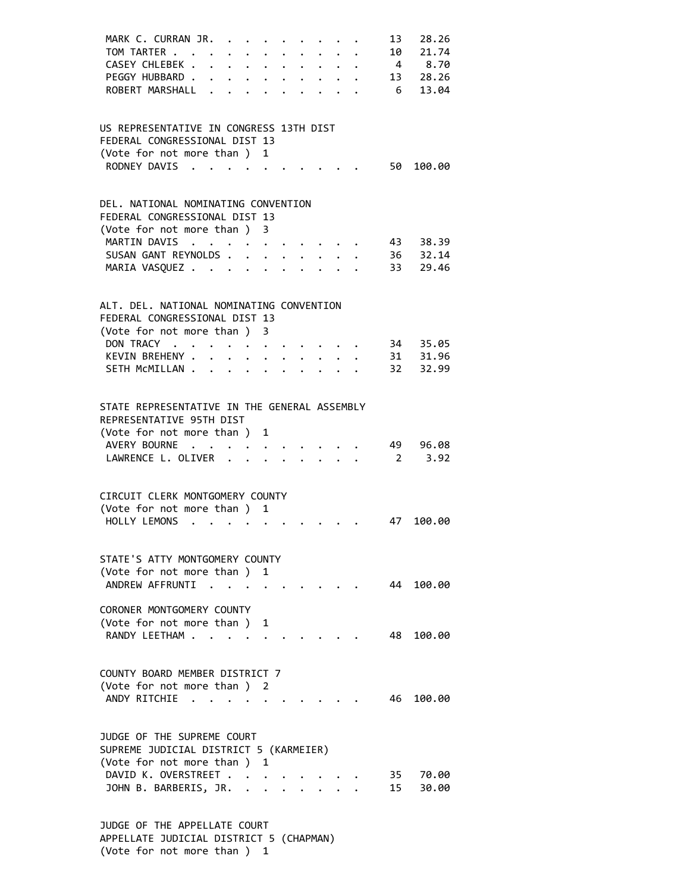| MARK C. CURRAN JR.<br>TOM TARTER .                                   | $\sim$ $\sim$                           | $\sim$               | $\ddot{\phantom{0}}$                                                                    | $\bullet$ . The set of $\bullet$<br>$\ddot{\phantom{0}}$              | $\ddot{\phantom{0}}$ | $\bullet$ . The set of $\bullet$ |                                                             | $\ddot{\phantom{a}}$ | 13<br>10             | 28.26<br>21.74 |
|----------------------------------------------------------------------|-----------------------------------------|----------------------|-----------------------------------------------------------------------------------------|-----------------------------------------------------------------------|----------------------|----------------------------------|-------------------------------------------------------------|----------------------|----------------------|----------------|
| CASEY CHLEBEK.                                                       | $\ddot{\phantom{a}}$                    |                      | $\cdot$ $\cdot$ $\cdot$ $\cdot$                                                         |                                                                       |                      | $\bullet$                        | $\bullet$                                                   | $\mathbf{L}$         |                      | 4 8.70         |
| PEGGY HUBBARD.                                                       | $\ddot{\phantom{0}}$                    |                      |                                                                                         | $\bullet$ , $\bullet$ , $\bullet$ , $\bullet$ , $\bullet$ , $\bullet$ |                      |                                  | $\bullet$ .<br><br><br><br><br><br><br><br><br><br><br><br> |                      |                      | 13 28.26       |
| ROBERT MARSHALL .                                                    |                                         | $\ddot{\phantom{a}}$ |                                                                                         |                                                                       |                      |                                  |                                                             |                      | 6 <sup>6</sup>       | 13.04          |
|                                                                      |                                         |                      |                                                                                         |                                                                       |                      |                                  |                                                             |                      |                      |                |
|                                                                      |                                         |                      |                                                                                         |                                                                       |                      |                                  |                                                             |                      |                      |                |
| US REPRESENTATIVE IN CONGRESS 13TH DIST                              |                                         |                      |                                                                                         |                                                                       |                      |                                  |                                                             |                      |                      |                |
| FEDERAL CONGRESSIONAL DIST 13                                        |                                         |                      |                                                                                         |                                                                       |                      |                                  |                                                             |                      |                      |                |
| (Vote for not more than) 1                                           |                                         |                      |                                                                                         |                                                                       |                      |                                  |                                                             |                      |                      |                |
| RODNEY DAVIS                                                         |                                         |                      | $\cdot$ $\cdot$ $\cdot$ $\cdot$                                                         |                                                                       |                      |                                  |                                                             |                      | 50                   | 100.00         |
|                                                                      |                                         |                      |                                                                                         |                                                                       |                      |                                  |                                                             |                      |                      |                |
|                                                                      |                                         |                      |                                                                                         |                                                                       |                      |                                  |                                                             |                      |                      |                |
| DEL. NATIONAL NOMINATING CONVENTION<br>FEDERAL CONGRESSIONAL DIST 13 |                                         |                      |                                                                                         |                                                                       |                      |                                  |                                                             |                      |                      |                |
| (Vote for not more than ) 3                                          |                                         |                      |                                                                                         |                                                                       |                      |                                  |                                                             |                      |                      |                |
| MARTIN DAVIS                                                         | $\mathcal{A}=\mathcal{A}=\mathcal{A}$ . |                      |                                                                                         | $\cdot$ $\cdot$ $\cdot$ $\cdot$ $\cdot$ $\cdot$                       |                      |                                  |                                                             |                      |                      | 43 38.39       |
| SUSAN GANT REYNOLDS                                                  |                                         |                      |                                                                                         |                                                                       |                      |                                  |                                                             |                      |                      | 36 32.14       |
| MARIA VASQUEZ                                                        |                                         |                      |                                                                                         |                                                                       |                      | $\bullet$ . The set of $\bullet$ |                                                             | $\ddot{\phantom{a}}$ | 33                   | 29.46          |
|                                                                      |                                         |                      |                                                                                         |                                                                       |                      |                                  |                                                             |                      |                      |                |
|                                                                      |                                         |                      |                                                                                         |                                                                       |                      |                                  |                                                             |                      |                      |                |
| ALT. DEL. NATIONAL NOMINATING CONVENTION                             |                                         |                      |                                                                                         |                                                                       |                      |                                  |                                                             |                      |                      |                |
| FEDERAL CONGRESSIONAL DIST 13                                        |                                         |                      |                                                                                         |                                                                       |                      |                                  |                                                             |                      |                      |                |
| (Vote for not more than ) 3                                          |                                         |                      |                                                                                         |                                                                       |                      |                                  |                                                             |                      |                      |                |
| DON TRACY                                                            |                                         | $\sim$ $\sim$ $\sim$ | $\ddot{\phantom{0}}$                                                                    |                                                                       |                      |                                  |                                                             |                      |                      | 34 35.05       |
| KEVIN BREHENY .                                                      |                                         |                      | $\mathbf{r}$ , $\mathbf{r}$ , $\mathbf{r}$ , $\mathbf{r}$ , $\mathbf{r}$ , $\mathbf{r}$ |                                                                       |                      |                                  |                                                             | $\ddot{\phantom{a}}$ |                      | 31 31.96       |
| SETH MCMILLAN                                                        |                                         |                      |                                                                                         |                                                                       |                      | $\ddot{\phantom{0}}$             |                                                             | $\ddot{\phantom{a}}$ | 32                   | 32.99          |
|                                                                      |                                         |                      |                                                                                         |                                                                       |                      |                                  |                                                             |                      |                      |                |
|                                                                      |                                         |                      |                                                                                         |                                                                       |                      |                                  |                                                             |                      |                      |                |
| STATE REPRESENTATIVE IN THE GENERAL ASSEMBLY                         |                                         |                      |                                                                                         |                                                                       |                      |                                  |                                                             |                      |                      |                |
| REPRESENTATIVE 95TH DIST                                             |                                         |                      |                                                                                         |                                                                       |                      |                                  |                                                             |                      |                      |                |
| (Vote for not more than ) 1<br>AVERY BOURNE                          |                                         |                      |                                                                                         |                                                                       |                      |                                  |                                                             |                      |                      |                |
| LAWRENCE L. OLIVER .                                                 | $\cdot$ $\cdot$ $\cdot$                 | $\sim$               |                                                                                         | $\cdot$ $\cdot$ $\cdot$ $\cdot$ $\cdot$                               |                      |                                  |                                                             |                      | 49<br>$\overline{2}$ | 96.08<br>3.92  |
|                                                                      |                                         |                      |                                                                                         |                                                                       |                      |                                  |                                                             |                      |                      |                |
|                                                                      |                                         |                      |                                                                                         |                                                                       |                      |                                  |                                                             |                      |                      |                |
| CIRCUIT CLERK MONTGOMERY COUNTY                                      |                                         |                      |                                                                                         |                                                                       |                      |                                  |                                                             |                      |                      |                |
| (Vote for not more than ) 1                                          |                                         |                      |                                                                                         |                                                                       |                      |                                  |                                                             |                      |                      |                |
| HOLLY LEMONS                                                         |                                         |                      |                                                                                         |                                                                       |                      |                                  |                                                             |                      | 47                   | 100.00         |
|                                                                      |                                         |                      |                                                                                         |                                                                       |                      |                                  |                                                             |                      |                      |                |
|                                                                      |                                         |                      |                                                                                         |                                                                       |                      |                                  |                                                             |                      |                      |                |
| STATE'S ATTY MONTGOMERY COUNTY                                       |                                         |                      |                                                                                         |                                                                       |                      |                                  |                                                             |                      |                      |                |
| (Vote for not more than)                                             |                                         |                      |                                                                                         | 1                                                                     |                      |                                  |                                                             |                      |                      |                |
| ANDREW AFFRUNTI                                                      |                                         |                      |                                                                                         |                                                                       |                      |                                  |                                                             |                      |                      | 44 100.00      |
|                                                                      |                                         |                      |                                                                                         |                                                                       |                      |                                  |                                                             |                      |                      |                |
| CORONER MONTGOMERY COUNTY                                            |                                         |                      |                                                                                         |                                                                       |                      |                                  |                                                             |                      |                      |                |
| (Vote for not more than)                                             |                                         |                      |                                                                                         | 1                                                                     |                      |                                  |                                                             |                      |                      |                |
| RANDY LEFTHAM.                                                       |                                         |                      |                                                                                         |                                                                       |                      |                                  |                                                             |                      | 48.                  | 100.00         |
|                                                                      |                                         |                      |                                                                                         |                                                                       |                      |                                  |                                                             |                      |                      |                |
| COUNTY BOARD MEMBER DISTRICT 7                                       |                                         |                      |                                                                                         |                                                                       |                      |                                  |                                                             |                      |                      |                |
| (Vote for not more than) 2                                           |                                         |                      |                                                                                         |                                                                       |                      |                                  |                                                             |                      |                      |                |
| ANDY RITCHIE                                                         |                                         |                      |                                                                                         |                                                                       |                      |                                  |                                                             |                      | 46                   | 100.00         |
|                                                                      |                                         |                      |                                                                                         |                                                                       |                      |                                  |                                                             |                      |                      |                |
|                                                                      |                                         |                      |                                                                                         |                                                                       |                      |                                  |                                                             |                      |                      |                |
| JUDGE OF THE SUPREME COURT                                           |                                         |                      |                                                                                         |                                                                       |                      |                                  |                                                             |                      |                      |                |
| SUPREME JUDICIAL DISTRICT 5 (KARMEIER)                               |                                         |                      |                                                                                         |                                                                       |                      |                                  |                                                             |                      |                      |                |
| (Vote for not more than )                                            |                                         |                      |                                                                                         | 1                                                                     |                      |                                  |                                                             |                      |                      |                |
| DAVID K. OVERSTREET.                                                 |                                         |                      |                                                                                         |                                                                       |                      |                                  |                                                             |                      |                      | 35 70.00       |
| JOHN B. BARBERIS, JR. .                                              |                                         |                      |                                                                                         |                                                                       | $\ddot{\phantom{a}}$ |                                  |                                                             |                      | 15                   | 30.00          |
|                                                                      |                                         |                      |                                                                                         |                                                                       |                      |                                  |                                                             |                      |                      |                |
|                                                                      |                                         |                      |                                                                                         |                                                                       |                      |                                  |                                                             |                      |                      |                |
| OF THE ADDELLATE COUDT                                               |                                         |                      |                                                                                         |                                                                       |                      |                                  |                                                             |                      |                      |                |

 JUDGE OF THE APPELLATE COURT APPELLATE JUDICIAL DISTRICT 5 (CHAPMAN) (Vote for not more than ) 1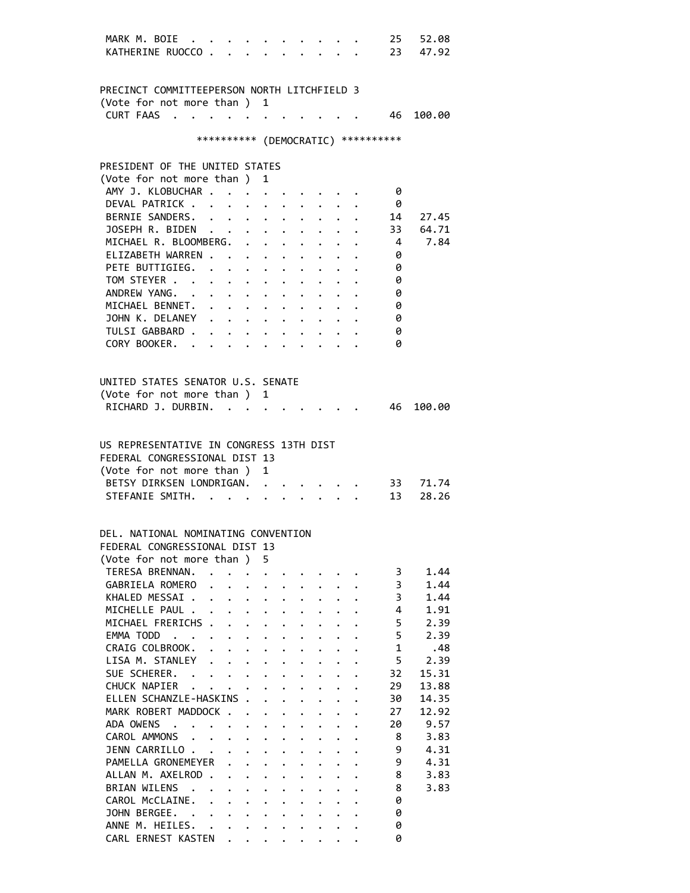| MARK M. BOIE                                                            | $\ddot{\phantom{a}}$            |                      |                           |                                            |                           |                      |                                     |                      |                      |                      | 25                                  | 52.08          |
|-------------------------------------------------------------------------|---------------------------------|----------------------|---------------------------|--------------------------------------------|---------------------------|----------------------|-------------------------------------|----------------------|----------------------|----------------------|-------------------------------------|----------------|
| KATHERINE RUOCCO.                                                       |                                 |                      | $\overline{a}$            |                                            |                           |                      |                                     |                      |                      |                      | 23                                  | 47.92          |
|                                                                         |                                 |                      |                           |                                            |                           |                      |                                     |                      |                      |                      |                                     |                |
|                                                                         |                                 |                      |                           |                                            |                           |                      |                                     |                      |                      |                      |                                     |                |
| PRECINCT COMMITTEEPERSON NORTH LITCHFIELD 3                             |                                 |                      |                           |                                            |                           |                      |                                     |                      |                      |                      |                                     |                |
|                                                                         |                                 |                      |                           |                                            |                           |                      |                                     |                      |                      |                      |                                     |                |
| (Vote for not more than ) 1                                             |                                 |                      |                           |                                            |                           |                      |                                     |                      |                      |                      |                                     |                |
| <b>CURT FAAS</b><br>$\sim$                                              |                                 |                      |                           |                                            |                           |                      |                                     |                      |                      |                      |                                     | 46 100.00      |
|                                                                         |                                 |                      |                           |                                            |                           |                      |                                     |                      |                      |                      |                                     |                |
|                                                                         |                                 |                      |                           |                                            |                           |                      |                                     |                      |                      |                      | *********** (DEMOCRATIC) ********** |                |
|                                                                         |                                 |                      |                           |                                            |                           |                      |                                     |                      |                      |                      |                                     |                |
| PRESIDENT OF THE UNITED STATES                                          |                                 |                      |                           |                                            |                           |                      |                                     |                      |                      |                      |                                     |                |
| (Vote for not more than)                                                |                                 |                      |                           |                                            | 1                         |                      |                                     |                      |                      |                      |                                     |                |
|                                                                         |                                 |                      |                           |                                            |                           |                      |                                     |                      |                      |                      |                                     |                |
| AMY J. KLOBUCHAR .                                                      |                                 |                      |                           |                                            |                           |                      |                                     |                      |                      |                      | 0                                   |                |
| DEVAL PATRICK.                                                          |                                 |                      |                           |                                            |                           |                      |                                     |                      |                      |                      | 0                                   |                |
| BERNIE SANDERS.                                                         |                                 |                      | $\ddot{\phantom{0}}$      |                                            |                           |                      |                                     |                      |                      |                      | 14                                  | 27.45          |
| JOSEPH R. BIDEN                                                         |                                 |                      |                           |                                            |                           |                      |                                     |                      |                      |                      | 33                                  | 64.71          |
| MICHAEL R. BLOOMBERG. .                                                 |                                 |                      |                           |                                            | $\mathbf{A}$              | $\ddot{\phantom{0}}$ | $\ddot{\phantom{0}}$                |                      |                      |                      | $\overline{4}$                      | 7.84           |
| ELIZABETH WARREN.                                                       |                                 |                      | $\sim$ $\sim$             |                                            | $\ddot{\phantom{0}}$      |                      |                                     |                      |                      |                      | 0                                   |                |
| PETE BUTTIGIEG.                                                         |                                 |                      |                           |                                            |                           |                      |                                     |                      |                      |                      | 0                                   |                |
|                                                                         |                                 |                      | $\ddot{\phantom{0}}$      |                                            | $\ddot{\phantom{0}}$      |                      | $\ddot{\phantom{0}}$                | $\ddot{\phantom{0}}$ |                      |                      |                                     |                |
| TOM STEYER                                                              |                                 |                      |                           |                                            | $\bullet$ .               | $\bullet$            | $\bullet$ .<br><br><br><br><br><br> |                      |                      |                      | 0                                   |                |
| ANDREW YANG. .                                                          |                                 |                      |                           | $\mathbf{r}$ , $\mathbf{r}$ , $\mathbf{r}$ | $\bullet$ .               |                      |                                     |                      |                      |                      | 0                                   |                |
| MICHAEL BENNET. .                                                       |                                 |                      | $\ddot{\phantom{0}}$      | $\bullet$ .                                |                           |                      |                                     |                      |                      |                      | 0                                   |                |
| JOHN K. DELANEY                                                         |                                 |                      | $\mathbf{L}^{\text{max}}$ | $\bullet$ .                                | $\ddot{\phantom{0}}$      |                      |                                     |                      |                      |                      | 0                                   |                |
| TULSI GABBARD.                                                          |                                 |                      |                           |                                            |                           |                      |                                     |                      |                      |                      | 0                                   |                |
| CORY BOOKER.                                                            |                                 |                      |                           | $\mathbf{L}^{\text{max}}$                  |                           |                      |                                     |                      |                      |                      | 0                                   |                |
|                                                                         |                                 |                      |                           |                                            |                           |                      |                                     |                      |                      |                      |                                     |                |
|                                                                         |                                 |                      |                           |                                            |                           |                      |                                     |                      |                      |                      |                                     |                |
|                                                                         |                                 |                      |                           |                                            |                           |                      |                                     |                      |                      |                      |                                     |                |
| UNITED STATES SENATOR U.S. SENATE                                       |                                 |                      |                           |                                            |                           |                      |                                     |                      |                      |                      |                                     |                |
| (Vote for not more than )                                               |                                 |                      |                           |                                            | 1                         |                      |                                     |                      |                      |                      |                                     |                |
| RICHARD J. DURBIN.                                                      |                                 |                      |                           |                                            |                           |                      |                                     |                      |                      |                      | 46                                  | 100.00         |
|                                                                         |                                 |                      |                           |                                            |                           |                      |                                     |                      |                      |                      |                                     |                |
| (Vote for not more than)<br>BETSY DIRKSEN LONDRIGAN.<br>STEFANIE SMITH. |                                 |                      |                           |                                            | 1<br>$\ddot{\phantom{a}}$ |                      |                                     |                      |                      |                      | 33<br>13                            | 71.74<br>28.26 |
|                                                                         |                                 |                      |                           |                                            | $\ddot{\phantom{0}}$      |                      |                                     |                      |                      |                      |                                     |                |
|                                                                         |                                 |                      |                           |                                            |                           |                      |                                     |                      |                      |                      |                                     |                |
|                                                                         |                                 |                      |                           |                                            |                           |                      |                                     |                      |                      |                      |                                     |                |
| DEL, NATIONAL NOMINATING CONVENTION                                     |                                 |                      |                           |                                            |                           |                      |                                     |                      |                      |                      |                                     |                |
| FEDERAL CONGRESSIONAL DIST 13                                           |                                 |                      |                           |                                            |                           |                      |                                     |                      |                      |                      |                                     |                |
| (Vote for not more than)                                                |                                 |                      |                           |                                            | 5.                        |                      |                                     |                      |                      |                      |                                     |                |
| TERESA BRENNAN.                                                         |                                 | $\ddot{\phantom{a}}$ |                           | $\mathbf{z} = \mathbf{z} + \mathbf{z}$     | $\bullet$                 |                      |                                     |                      |                      |                      | 3                                   | 1.44           |
| GABRIELA ROMERO                                                         |                                 | $\ddot{\phantom{a}}$ | $\ddot{\phantom{0}}$      |                                            |                           |                      |                                     |                      |                      |                      | 3                                   | 1.44           |
|                                                                         |                                 |                      |                           |                                            | $\ddot{\phantom{0}}$      | $\ddot{\phantom{a}}$ |                                     |                      |                      | $\ddot{\phantom{0}}$ |                                     |                |
| KHALED MESSAI. .                                                        |                                 |                      | $\mathbf{L}^{\text{max}}$ | $\ddot{\phantom{0}}$                       | $\ddot{\phantom{0}}$      | $\ddot{\phantom{0}}$ |                                     |                      |                      |                      | 3                                   | 1.44           |
| MICHELLE PAUL .                                                         |                                 |                      |                           |                                            | $\ddot{\phantom{0}}$      |                      |                                     |                      |                      |                      | 4                                   | 1.91           |
| MICHAEL FRERICHS .                                                      |                                 |                      | $\ddot{\phantom{a}}$      |                                            | $\ddot{\phantom{0}}$      |                      |                                     |                      |                      |                      | 5                                   | 2.39           |
| EMMA TODD                                                               |                                 |                      |                           | $\ddot{\phantom{0}}$                       | $\ddot{\phantom{a}}$      | $\ddot{\phantom{a}}$ |                                     |                      |                      |                      | 5                                   | 2.39           |
| CRAIG COLBROOK.                                                         |                                 | $\ddot{\phantom{a}}$ | $\mathbf{r}$              | $\mathbf{L}$                               | $\ddot{\phantom{a}}$      | $\ddot{\phantom{a}}$ | $\ddot{\phantom{a}}$                | $\ddot{\phantom{0}}$ | $\ddot{\phantom{0}}$ |                      | $\mathbf 1$                         | .48            |
| LISA M. STANLEY                                                         |                                 |                      |                           |                                            | $\ddot{\phantom{a}}$      | $\ddot{\phantom{a}}$ | $\ddot{\phantom{a}}$                |                      | $\mathbf{L}$         |                      | 5                                   | 2.39           |
|                                                                         |                                 |                      |                           |                                            |                           |                      |                                     |                      |                      |                      |                                     |                |
| SUE SCHERER.                                                            | $\cdot$ $\cdot$ $\cdot$ $\cdot$ |                      |                           |                                            | $\ddot{\phantom{0}}$      | $\ddot{\phantom{a}}$ | $\ddot{\phantom{0}}$                | $\ddot{\phantom{0}}$ | $\ddot{\phantom{0}}$ |                      | 32                                  | 15.31          |
| CHUCK NAPIER                                                            | $\ddot{\phantom{0}}$            |                      | $\ddot{\phantom{0}}$      |                                            |                           | $\ddot{\phantom{a}}$ | $\ddot{\phantom{a}}$                | $\ddot{\phantom{a}}$ | $\ddot{\phantom{0}}$ | $\ddot{\phantom{0}}$ | 29                                  | 13.88          |
| ELLEN SCHANZLE-HASKINS .                                                |                                 |                      |                           |                                            |                           | $\ddot{\phantom{a}}$ | $\ddot{\phantom{0}}$                | $\ddot{\phantom{0}}$ | $\bullet$            |                      | 30                                  | 14.35          |
| MARK ROBERT MADDOCK                                                     |                                 |                      |                           |                                            | $\ddot{\phantom{0}}$      | $\ddot{\phantom{a}}$ |                                     |                      |                      |                      | 27                                  | 12.92          |
| ADA OWENS<br>$\sim$                                                     | $\ddot{\phantom{0}}$            |                      | $\ddot{\phantom{0}}$      |                                            | $\ddot{\phantom{0}}$      |                      |                                     | $\ddot{\phantom{a}}$ |                      |                      | 20                                  | 9.57           |
| CAROL AMMONS                                                            | $\ddot{\phantom{0}}$            | $\mathbf{r}$         | $\ddot{\phantom{a}}$      | $\mathbf{r}$                               | $\ddot{\phantom{0}}$      | $\ddot{\phantom{a}}$ |                                     | $\ddot{\phantom{0}}$ |                      |                      | 8                                   | 3.83           |
| JENN CARRILLO                                                           |                                 |                      |                           |                                            | $\ddot{\phantom{a}}$      | $\ddot{\phantom{a}}$ | $\ddot{\phantom{a}}$                | $\ddot{\phantom{0}}$ | $\ddot{\phantom{a}}$ |                      | 9                                   | 4.31           |
|                                                                         |                                 |                      |                           |                                            |                           |                      |                                     |                      |                      |                      |                                     |                |
| PAMELLA GRONEMEYER                                                      |                                 |                      |                           | $\mathbf{r}$                               | $\ddot{\phantom{0}}$      | $\ddot{\phantom{a}}$ | $\ddot{\phantom{a}}$                | $\ddot{\phantom{0}}$ | $\mathbf{L}$         |                      | 9                                   | 4.31           |
| ALLAN M. AXELROD.                                                       |                                 |                      | $\ddot{\phantom{0}}$      | $\ddot{\phantom{0}}$                       | $\ddot{\phantom{0}}$      | $\ddot{\phantom{a}}$ | $\ddot{\phantom{a}}$                | $\ddot{\phantom{a}}$ | $\ddot{\phantom{0}}$ |                      | 8                                   | 3.83           |
| BRIAN WILENS                                                            | $\sim$                          |                      | $\ddot{\phantom{0}}$      | $\ddot{\phantom{0}}$                       | $\ddot{\phantom{0}}$      | $\ddot{\phantom{0}}$ | $\ddot{\phantom{a}}$                | $\ddot{\phantom{0}}$ | $\ddot{\phantom{0}}$ | $\ddot{\phantom{0}}$ | 8                                   | 3.83           |
| CAROL McCLAINE. .                                                       |                                 |                      | $\ddot{\phantom{0}}$      | $\ddot{\phantom{0}}$                       | $\ddot{\phantom{0}}$      | $\ddot{\phantom{a}}$ | $\ddot{\phantom{0}}$                | $\ddot{\phantom{0}}$ |                      |                      | 0                                   |                |
| JOHN BERGEE.                                                            | $\sim$ $\sim$ $\sim$ $\sim$     |                      | $\ddot{\phantom{0}}$      |                                            | $\ddot{\phantom{0}}$      |                      | $\ddot{\phantom{0}}$                |                      |                      |                      | 0                                   |                |
| ANNE M. HEILES.                                                         |                                 |                      |                           |                                            |                           |                      |                                     |                      |                      |                      | 0                                   |                |
|                                                                         |                                 |                      |                           |                                            |                           |                      |                                     |                      |                      |                      |                                     |                |

CARL ERNEST KASTEN . . . . . . . . 0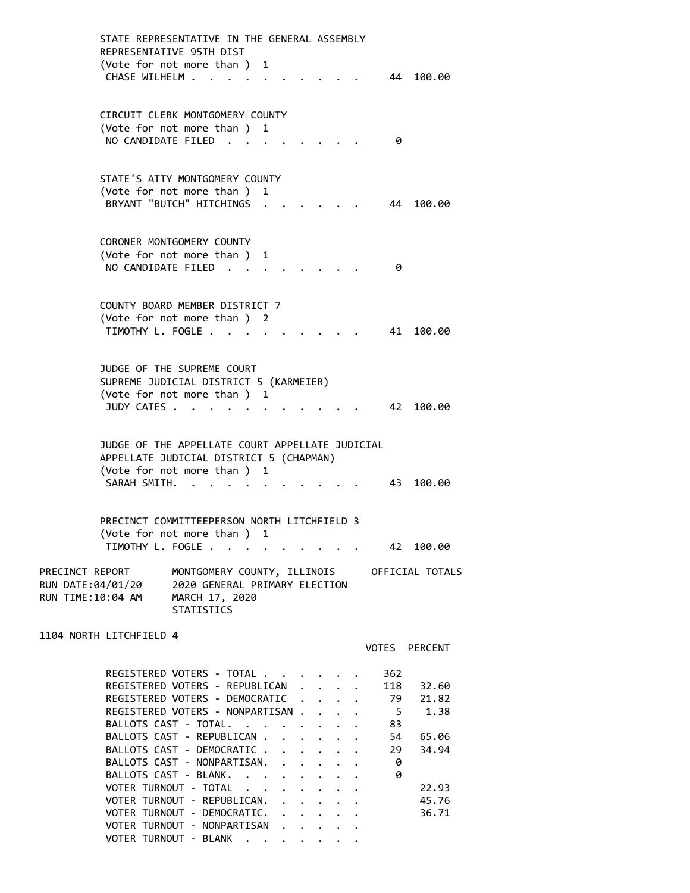|                                                           | CHASE WILHELM.     | STATE REPRESENTATIVE IN THE GENERAL ASSEMBLY<br>REPRESENTATIVE 95TH DIST<br>(Vote for not more than ) 1                                                                                                                                                                                                                                                                                               |        |   |              |                      |                                        |                  | 44                                                             | 100.00                                                              |
|-----------------------------------------------------------|--------------------|-------------------------------------------------------------------------------------------------------------------------------------------------------------------------------------------------------------------------------------------------------------------------------------------------------------------------------------------------------------------------------------------------------|--------|---|--------------|----------------------|----------------------------------------|------------------|----------------------------------------------------------------|---------------------------------------------------------------------|
|                                                           |                    | CIRCUIT CLERK MONTGOMERY COUNTY<br>(Vote for not more than ) 1<br>NO CANDIDATE FILED.                                                                                                                                                                                                                                                                                                                 |        |   |              |                      |                                        |                  | 0                                                              |                                                                     |
|                                                           |                    | STATE'S ATTY MONTGOMERY COUNTY<br>(Vote for not more than)<br>BRYANT "BUTCH" HITCHINGS                                                                                                                                                                                                                                                                                                                |        | 1 |              |                      |                                        |                  | 44                                                             | 100.00                                                              |
|                                                           | NO CANDIDATE FILED | CORONER MONTGOMERY COUNTY<br>(Vote for not more than ) 1                                                                                                                                                                                                                                                                                                                                              | $\sim$ |   |              |                      |                                        |                  | 0                                                              |                                                                     |
|                                                           | TIMOTHY L. FOGLE.  | COUNTY BOARD MEMBER DISTRICT 7<br>(Vote for not more than ) 2                                                                                                                                                                                                                                                                                                                                         |        |   |              |                      |                                        |                  | 41                                                             | 100.00                                                              |
|                                                           | JUDY CATES         | JUDGE OF THE SUPREME COURT<br>SUPREME JUDICIAL DISTRICT 5 (KARMEIER)<br>(Vote for not more than ) 1                                                                                                                                                                                                                                                                                                   |        |   |              |                      |                                        |                  | 42                                                             | 100.00                                                              |
|                                                           | SARAH SMITH.       | JUDGE OF THE APPELLATE COURT APPELLATE JUDICIAL<br>APPELLATE JUDICIAL DISTRICT 5 (CHAPMAN)<br>(Vote for not more than)                                                                                                                                                                                                                                                                                |        | 1 |              |                      |                                        |                  | 43                                                             | 100.00                                                              |
|                                                           |                    | PRECINCT COMMITTEEPERSON NORTH LITCHFIELD 3<br>(Vote for not more than )<br>TIMOTHY L. FOGLE                                                                                                                                                                                                                                                                                                          |        | 1 |              |                      |                                        |                  | 42                                                             | 100.00                                                              |
| PRECINCT REPORT<br>RUN DATE:04/01/20<br>RUN TIME:10:04 AM |                    | 2020 GENERAL PRIMARY ELECTION<br>MARCH 17, 2020<br><b>STATISTICS</b>                                                                                                                                                                                                                                                                                                                                  |        |   |              |                      |                                        |                  |                                                                | MONTGOMERY COUNTY, ILLINOIS OFFICIAL TOTALS                         |
| 1104 NORTH LITCHFIELD 4                                   |                    |                                                                                                                                                                                                                                                                                                                                                                                                       |        |   |              |                      |                                        |                  |                                                                | VOTES PERCENT                                                       |
|                                                           |                    | REGISTERED VOTERS - TOTAL<br>REGISTERED VOTERS - REPUBLICAN<br>REGISTERED VOTERS - DEMOCRATIC<br>REGISTERED VOTERS - NONPARTISAN<br>BALLOTS CAST - TOTAL.<br>BALLOTS CAST - REPUBLICAN .<br>BALLOTS CAST - DEMOCRATIC<br>BALLOTS CAST - NONPARTISAN.<br>BALLOTS CAST - BLANK.<br>VOTER TURNOUT - TOTAL<br>VOTER TURNOUT - REPUBLICAN. .<br>VOTER TURNOUT - DEMOCRATIC.<br>VOTER TURNOUT - NONPARTISAN |        |   | $\mathbf{A}$ | $\ddot{\phantom{0}}$ | $\mathbf{1}$ . The set of $\mathbf{1}$ | $\ddot{\bullet}$ | 362<br>118<br>79<br>$5^{\circ}$<br>83<br>54<br>29<br>- 0<br>-0 | 32.60<br>21.82<br>1.38<br>65.06<br>34.94<br>22.93<br>45.76<br>36.71 |
|                                                           |                    | VOTER TURNOUT - BLANK                                                                                                                                                                                                                                                                                                                                                                                 |        |   |              |                      |                                        |                  |                                                                |                                                                     |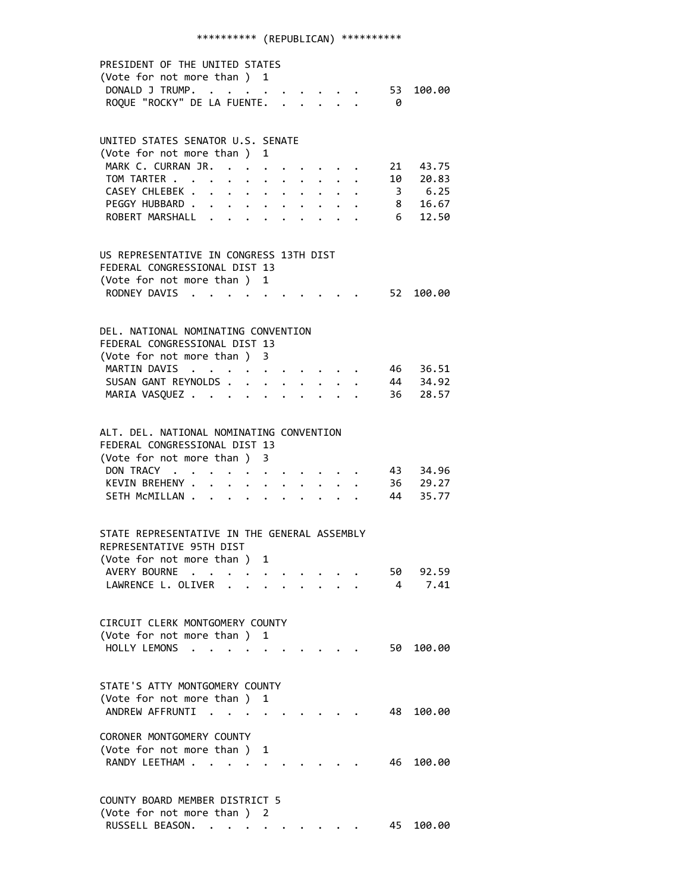## \*\*\*\*\*\*\*\*\*\* (REPUBLICAN) \*\*\*\*\*\*\*\*\*\*

| PRESIDENT OF THE UNITED STATES<br>(Vote for not more than ) 1<br>DONALD J TRUMP. 53<br>ROQUE "ROCKY" DE LA FUENTE.      |                      |  |   |  |                                                                                                                                     | - 0                   | 100.00             |
|-------------------------------------------------------------------------------------------------------------------------|----------------------|--|---|--|-------------------------------------------------------------------------------------------------------------------------------------|-----------------------|--------------------|
| UNITED STATES SENATOR U.S. SENATE                                                                                       |                      |  |   |  |                                                                                                                                     |                       |                    |
| (Vote for not more than ) 1                                                                                             |                      |  |   |  |                                                                                                                                     |                       |                    |
| MARK C. CURRAN JR.                                                                                                      |                      |  |   |  | $\begin{array}{cccccccccccccc} \bullet & \bullet & \bullet & \bullet & \bullet & \bullet & \bullet & \bullet & \bullet \end{array}$ |                       | 21 43.75           |
| TOM TARTER                                                                                                              |                      |  |   |  |                                                                                                                                     |                       | 10 20.83           |
| CASEY CHLEBEK                                                                                                           |                      |  |   |  |                                                                                                                                     |                       | 3, 6.25            |
| PEGGY HUBBARD<br>ROBERT MARSHALL                                                                                        |                      |  |   |  |                                                                                                                                     |                       | 8 16.67<br>6 12.50 |
|                                                                                                                         |                      |  |   |  |                                                                                                                                     |                       |                    |
| US REPRESENTATIVE IN CONGRESS 13TH DIST                                                                                 |                      |  |   |  |                                                                                                                                     |                       |                    |
| FEDERAL CONGRESSIONAL DIST 13                                                                                           |                      |  |   |  |                                                                                                                                     |                       |                    |
| (Vote for not more than ) 1                                                                                             |                      |  |   |  |                                                                                                                                     |                       |                    |
| RODNEY DAVIS                                                                                                            |                      |  |   |  |                                                                                                                                     |                       | . 52 100.00        |
| DEL, NATIONAL NOMINATING CONVENTION                                                                                     |                      |  |   |  |                                                                                                                                     |                       |                    |
| FEDERAL CONGRESSIONAL DIST 13                                                                                           |                      |  |   |  |                                                                                                                                     |                       |                    |
| (Vote for not more than ) 3                                                                                             |                      |  |   |  |                                                                                                                                     |                       |                    |
| MARTIN DAVIS                                                                                                            |                      |  |   |  |                                                                                                                                     |                       | 46 36.51           |
| SUSAN GANT REYNOLDS                                                                                                     |                      |  |   |  |                                                                                                                                     |                       | 44 34.92           |
| MARIA VASQUEZ                                                                                                           |                      |  |   |  |                                                                                                                                     |                       | 36 28.57           |
| ALT. DEL. NATIONAL NOMINATING CONVENTION<br>FEDERAL CONGRESSIONAL DIST 13<br>(Vote for not more than ) 3<br>DON TRACY   |                      |  |   |  |                                                                                                                                     |                       | 43 34.96           |
| KEVIN BREHENY                                                                                                           |                      |  |   |  | $\cdot$ $\cdot$ $\cdot$ $\cdot$ $\cdot$ $\cdot$                                                                                     |                       | 36 29.27           |
| SETH MCMILLAN                                                                                                           |                      |  |   |  |                                                                                                                                     |                       | 44 35.77           |
| STATE REPRESENTATIVE IN THE GENERAL ASSEMBLY<br>REPRESENTATIVE 95TH DIST<br>(Vote for not more than ) 1<br>AVERY BOURNE |                      |  |   |  |                                                                                                                                     |                       | 92.59              |
| LAWRENCE L. OLIVER                                                                                                      |                      |  |   |  |                                                                                                                                     | 50.<br>$\overline{4}$ | 7.41               |
| CIRCUIT CLERK MONTGOMERY COUNTY<br>(Vote for not more than) 1<br>HOLLY LEMONS                                           |                      |  |   |  |                                                                                                                                     | 50 -                  | 100.00             |
| STATE'S ATTY MONTGOMERY COUNTY                                                                                          |                      |  |   |  |                                                                                                                                     |                       |                    |
| (Vote for not more than )<br>ANDREW AFFRUNTI                                                                            | $\ddot{\phantom{a}}$ |  | 1 |  |                                                                                                                                     | 48 -                  | 100.00             |
| CORONER MONTGOMERY COUNTY<br>(Vote for not more than ) 1<br>RANDY LEETHAM .                                             |                      |  |   |  |                                                                                                                                     | 46                    | 100.00             |
| COUNTY BOARD MEMBER DISTRICT 5                                                                                          |                      |  |   |  |                                                                                                                                     |                       |                    |
| (Vote for not more than ) 2<br>RUSSELL BEASON.                                                                          |                      |  |   |  |                                                                                                                                     | 45                    | 100.00             |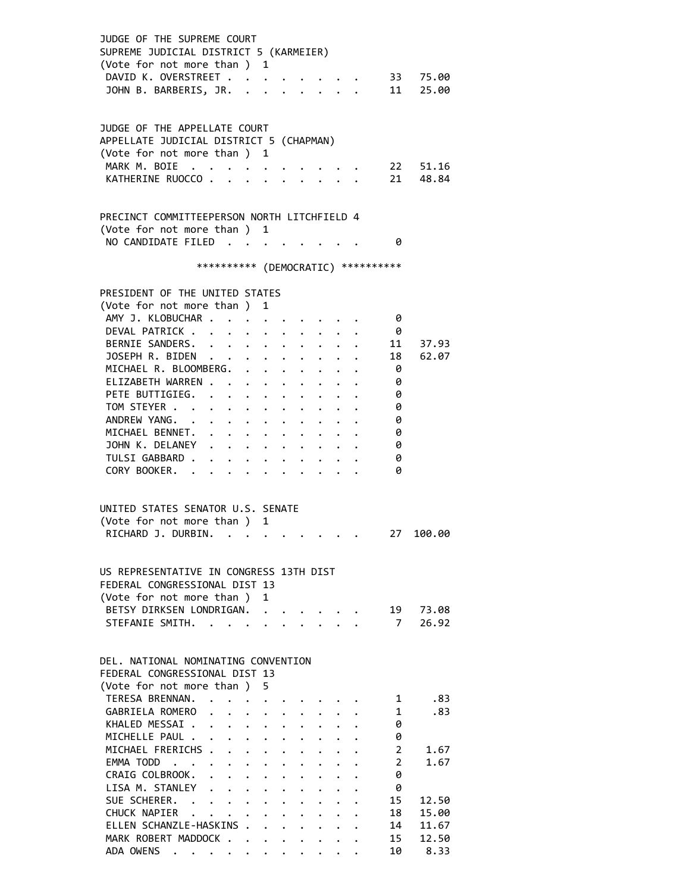| JUDGE OF THE SUPREME COURT<br>SUPREME JUDICIAL DISTRICT 5 (KARMEIER)<br>(Vote for not more than ) 1<br>DAVID K. OVERSTREET<br>JOHN B. BARBERIS, JR.                                                                                                                                                           |                                                                                                                                                                                                                |                              | $\cdots$                                       |                                                              |              |                                     |                                                                       | $\cdot$ 33 75.00<br>11 25.00             |
|---------------------------------------------------------------------------------------------------------------------------------------------------------------------------------------------------------------------------------------------------------------------------------------------------------------|----------------------------------------------------------------------------------------------------------------------------------------------------------------------------------------------------------------|------------------------------|------------------------------------------------|--------------------------------------------------------------|--------------|-------------------------------------|-----------------------------------------------------------------------|------------------------------------------|
| JUDGE OF THE APPELLATE COURT<br>APPELLATE JUDICIAL DISTRICT 5 (CHAPMAN)<br>(Vote for not more than ) 1<br>MARK M. BOIE<br>KATHERINE RUOCCO                                                                                                                                                                    |                                                                                                                                                                                                                |                              |                                                |                                                              |              |                                     | 22<br>21                                                              | 51.16<br>48.84                           |
| PRECINCT COMMITTEEPERSON NORTH LITCHFIELD 4<br>(Vote for not more than ) 1<br>NO CANDIDATE FILED                                                                                                                                                                                                              |                                                                                                                                                                                                                |                              |                                                |                                                              |              | - 0                                 |                                                                       |                                          |
|                                                                                                                                                                                                                                                                                                               |                                                                                                                                                                                                                |                              |                                                |                                                              |              | *********** (DEMOCRATIC) ********** |                                                                       |                                          |
| PRESIDENT OF THE UNITED STATES<br>(Vote for not more than ) 1<br>AMY J. KLOBUCHAR<br>DEVAL PATRICK<br>BERNIE SANDERS.<br>JOSEPH R. BIDEN<br>MICHAEL R. BLOOMBERG.<br>ELIZABETH WARREN<br>PETE BUTTIGIEG.<br>TOM STEYER<br>ANDREW YANG.<br>MICHAEL BENNET.<br>JOHN K. DELANEY<br>TULSI GABBARD<br>CORY BOOKER. |                                                                                                                                                                                                                | $\bullet$ .                  | $\cdot$ $\cdot$ $\cdot$ $\cdot$ $\cdot$        |                                                              |              |                                     | - 0<br>- 0<br>11<br>18<br>- 0<br>0<br>0<br>0<br>0<br>0<br>0<br>0<br>0 | 37.93<br>62.07                           |
| UNITED STATES SENATOR U.S. SENATE<br>(Vote for not more than) 1<br>RICHARD J. DURBIN.                                                                                                                                                                                                                         |                                                                                                                                                                                                                |                              |                                                |                                                              |              |                                     | 27                                                                    | 100.00                                   |
| US REPRESENTATIVE IN CONGRESS 13TH DIST<br>FEDERAL CONGRESSIONAL DIST 13<br>(Vote for not more than)<br>BETSY DIRKSEN LONDRIGAN.<br>STEFANIE SMITH.<br>DEL. NATIONAL NOMINATING CONVENTION                                                                                                                    |                                                                                                                                                                                                                | $\mathbf{1}$<br>$\mathbf{L}$ | $\mathbf{r}$ and $\mathbf{r}$ and $\mathbf{r}$ |                                                              |              |                                     | 19<br>7 <sup>7</sup>                                                  | 73.08<br>26.92                           |
| FEDERAL CONGRESSIONAL DIST 13<br>(Vote for not more than )<br>TERESA BRENNAN.<br>GABRIELA ROMERO<br>KHALED MESSAI .<br>MICHELLE PAUL .<br>MICHAEL FRERICHS<br>EMMA TODD                                                                                                                                       | $\begin{array}{cccccccccccccc} . & . & . & . & . & . & . & . \end{array}$<br>$\mathbf{r}$ , $\mathbf{r}$ , $\mathbf{r}$ , $\mathbf{r}$ , $\mathbf{r}$<br>$\mathbf{r}$ , and $\mathbf{r}$ , and $\mathbf{r}$    |                              |                                                | $\mathbf{r}$<br>$\ddot{\phantom{a}}$<br>$\ddot{\phantom{0}}$ |              |                                     | 1<br>1<br>0<br>0<br>$\overline{2}$<br>$\overline{2}$                  | .83<br>.83<br>1.67<br>1.67               |
| CRAIG COLBROOK.<br>$\ddot{\phantom{0}}$<br>LISA M. STANLEY<br>SUE SCHERER. .<br>CHUCK NAPIER<br>ELLEN SCHANZLE-HASKINS<br>MARK ROBERT MADDOCK<br>ADA OWENS                                                                                                                                                    | $\mathbf{r} = \mathbf{r} + \mathbf{r} + \mathbf{r} + \mathbf{r}$ .<br>$\mathbf{r} = \mathbf{r} + \mathbf{r} + \mathbf{r} + \mathbf{r} + \mathbf{r}$<br>$\cdot$ $\cdot$ $\cdot$ $\cdot$ $\cdot$ $\cdot$ $\cdot$ |                              |                                                |                                                              | $\mathbf{L}$ |                                     | 0<br>0<br>15<br>18<br>14<br>15<br>10                                  | 12.50<br>15.00<br>11.67<br>12.50<br>8.33 |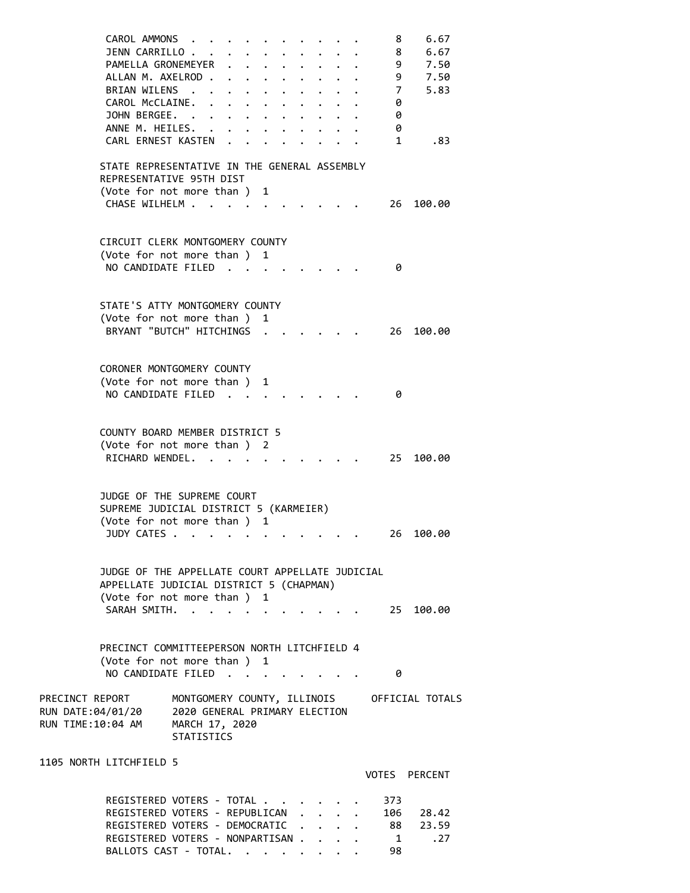| CAROL AMMONS                                     |                               |           |                                  |   |  |        |  | 8               | 6.67            |
|--------------------------------------------------|-------------------------------|-----------|----------------------------------|---|--|--------|--|-----------------|-----------------|
| JENN CARRILLO.                                   |                               |           |                                  |   |  |        |  | 8               | 6.67            |
| PAMELLA GRONEMEYER                               |                               |           | $\ddot{\phantom{0}}$             |   |  |        |  | 9               | 7.50            |
| ALLAN M. AXELROD.                                |                               |           | $\bullet$ . The set of $\bullet$ |   |  |        |  | 9               | 7.50            |
| BRIAN WILENS.                                    |                               |           | $\ddot{\phantom{0}}$             |   |  |        |  | $7\overline{ }$ | 5.83            |
| CAROL McCLAINE.                                  | $\bullet$                     | $\bullet$ | $\bullet$ . The set of $\bullet$ |   |  |        |  | 0               |                 |
| JOHN BERGEE. .                                   |                               |           |                                  |   |  |        |  | 0               |                 |
| ANNE M. HEILES. .                                |                               |           |                                  |   |  |        |  | 0               |                 |
| CARL ERNEST KASTEN                               |                               |           |                                  |   |  |        |  | $\mathbf{1}$    | .83             |
|                                                  |                               |           |                                  |   |  |        |  |                 |                 |
| STATE REPRESENTATIVE IN THE GENERAL ASSEMBLY     |                               |           |                                  |   |  |        |  |                 |                 |
| REPRESENTATIVE 95TH DIST                         |                               |           |                                  |   |  |        |  |                 |                 |
| (Vote for not more than) 1<br>CHASE WILHELM      |                               |           |                                  |   |  |        |  |                 |                 |
|                                                  |                               |           |                                  |   |  |        |  | 26              | 100.00          |
|                                                  |                               |           |                                  |   |  |        |  |                 |                 |
| CIRCUIT CLERK MONTGOMERY COUNTY                  |                               |           |                                  |   |  |        |  |                 |                 |
| (Vote for not more than ) 1                      |                               |           |                                  |   |  |        |  |                 |                 |
| NO CANDIDATE FILED.                              |                               |           |                                  |   |  |        |  | 0               |                 |
|                                                  |                               |           |                                  |   |  |        |  |                 |                 |
|                                                  |                               |           |                                  |   |  |        |  |                 |                 |
| STATE'S ATTY MONTGOMERY COUNTY                   |                               |           |                                  |   |  |        |  |                 |                 |
| (Vote for not more than )                        |                               |           |                                  | 1 |  |        |  |                 |                 |
| BRYANT "BUTCH" HITCHINGS                         |                               |           |                                  |   |  |        |  | 26              | 100.00          |
|                                                  |                               |           |                                  |   |  |        |  |                 |                 |
|                                                  |                               |           |                                  |   |  |        |  |                 |                 |
| CORONER MONTGOMERY COUNTY                        |                               |           |                                  |   |  |        |  |                 |                 |
| (Vote for not more than )<br>NO CANDIDATE FILED. |                               |           |                                  | 1 |  |        |  | 0               |                 |
|                                                  |                               |           | $\sim$ $\sim$                    |   |  |        |  |                 |                 |
|                                                  |                               |           |                                  |   |  |        |  |                 |                 |
| COUNTY BOARD MEMBER DISTRICT 5                   |                               |           |                                  |   |  |        |  |                 |                 |
| (Vote for not more than) 2                       |                               |           |                                  |   |  |        |  |                 |                 |
| RICHARD WENDEL.                                  |                               |           |                                  |   |  |        |  | 25              | 100.00          |
|                                                  |                               |           |                                  |   |  |        |  |                 |                 |
|                                                  |                               |           |                                  |   |  |        |  |                 |                 |
| JUDGE OF THE SUPREME COURT                       |                               |           |                                  |   |  |        |  |                 |                 |
| SUPREME JUDICIAL DISTRICT 5 (KARMEIER)           |                               |           |                                  |   |  |        |  |                 |                 |
| (Vote for not more than ) 1                      |                               |           |                                  |   |  |        |  |                 |                 |
| JUDY CATES .                                     | $\sim$                        |           |                                  |   |  |        |  | 26              | 100.00          |
|                                                  |                               |           |                                  |   |  |        |  |                 |                 |
| JUDGE OF THE APPELLATE COURT APPELLATE JUDICIAL  |                               |           |                                  |   |  |        |  |                 |                 |
| APPELLATE JUDICIAL DISTRICT 5 (CHAPMAN)          |                               |           |                                  |   |  |        |  |                 |                 |
| (Vote for not more than)                         |                               |           |                                  | 1 |  |        |  |                 |                 |
| SARAH SMTTH.                                     |                               |           |                                  |   |  |        |  | 25              | 100.00          |
|                                                  |                               |           |                                  |   |  |        |  |                 |                 |
|                                                  |                               |           |                                  |   |  |        |  |                 |                 |
| PRECINCT COMMITTEEPERSON NORTH LITCHFIELD 4      |                               |           |                                  |   |  |        |  |                 |                 |
| (Vote for not more than ) 1                      |                               |           |                                  |   |  |        |  |                 |                 |
| NO CANDIDATE FILED                               |                               |           |                                  |   |  |        |  | 0               |                 |
|                                                  |                               |           |                                  |   |  |        |  |                 |                 |
| PRECINCT REPORT                                  | MONTGOMERY COUNTY, ILLINOIS   |           |                                  |   |  |        |  |                 | OFFICIAL TOTALS |
| RUN DATE:04/01/20                                | 2020 GENERAL PRIMARY ELECTION |           |                                  |   |  |        |  |                 |                 |
| RUN TIME:10:04 AM                                | MARCH 17, 2020                |           |                                  |   |  |        |  |                 |                 |
|                                                  | <b>STATISTICS</b>             |           |                                  |   |  |        |  |                 |                 |
| 1105 NORTH LITCHFIELD 5                          |                               |           |                                  |   |  |        |  |                 |                 |
|                                                  |                               |           |                                  |   |  |        |  |                 | VOTES PERCENT   |
|                                                  |                               |           |                                  |   |  |        |  |                 |                 |
| REGISTERED VOTERS - TOTAL.                       |                               |           |                                  |   |  |        |  | 373             |                 |
| REGISTERED VOTERS - REPUBLICAN                   |                               |           |                                  |   |  |        |  |                 | 106 28.42       |
| REGISTERED VOTERS - DEMOCRATIC                   |                               |           |                                  |   |  |        |  |                 | 88 23.59        |
| REGISTERED VOTERS - NONPARTISAN .                |                               |           |                                  |   |  | $\sim$ |  | 1               | .27             |
| BALLOTS CAST - TOTAL.                            |                               |           |                                  |   |  |        |  | 98              |                 |
|                                                  |                               |           |                                  |   |  |        |  |                 |                 |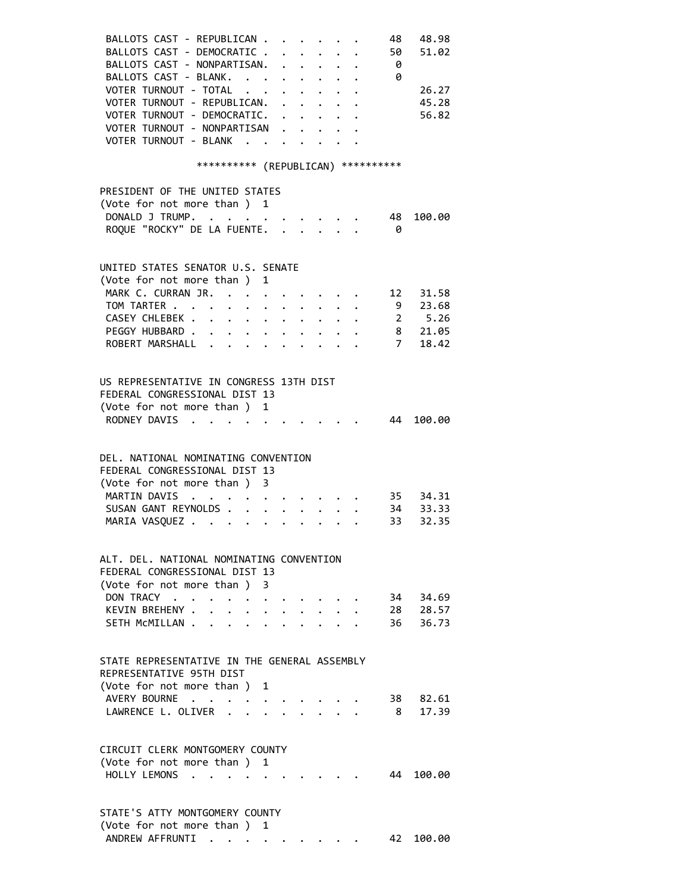| BALLOTS CAST - REPUBLICAN<br>BALLOTS CAST - DEMOCRATIC .      |                          |   |                      |                                                 |  | 48<br>50       | 48.98<br>51.02   |
|---------------------------------------------------------------|--------------------------|---|----------------------|-------------------------------------------------|--|----------------|------------------|
| BALLOTS CAST - NONPARTISAN.                                   |                          |   |                      | $\cdot$ $\cdot$ $\cdot$ $\cdot$ $\cdot$ $\cdot$ |  | - 0            |                  |
| BALLOTS CAST - BLANK.                                         |                          |   |                      |                                                 |  | $\theta$       |                  |
| VOTER TURNOUT - TOTAL                                         |                          |   |                      |                                                 |  |                | 26.27            |
|                                                               |                          |   |                      |                                                 |  |                |                  |
| VOTER TURNOUT - REPUBLICAN.                                   |                          |   |                      |                                                 |  |                | 45.28            |
| VOTER TURNOUT - DEMOCRATIC.                                   |                          |   |                      |                                                 |  |                | 56.82            |
| VOTER TURNOUT - NONPARTISAN                                   |                          |   |                      |                                                 |  |                |                  |
| VOTER TURNOUT - BLANK                                         |                          |   |                      |                                                 |  |                |                  |
|                                                               |                          |   |                      |                                                 |  |                |                  |
| *********** (REPUBLICAN) **********                           |                          |   |                      |                                                 |  |                |                  |
| PRESIDENT OF THE UNITED STATES                                |                          |   |                      |                                                 |  |                |                  |
| (Vote for not more than ) 1                                   |                          |   |                      |                                                 |  |                |                  |
| DONALD J TRUMP.                                               |                          |   |                      |                                                 |  | 48             | 100.00           |
| ROQUE "ROCKY" DE LA FUENTE.                                   |                          |   |                      |                                                 |  | - 0            |                  |
|                                                               |                          |   |                      |                                                 |  |                |                  |
|                                                               |                          |   |                      |                                                 |  |                |                  |
| UNITED STATES SENATOR U.S. SENATE                             |                          |   |                      |                                                 |  |                |                  |
| (Vote for not more than ) 1                                   |                          |   |                      |                                                 |  |                |                  |
| MARK C. CURRAN JR. 12 31.58                                   |                          |   |                      |                                                 |  |                |                  |
| TOM TARTER 9 23.68                                            |                          |   |                      |                                                 |  |                |                  |
| CASEY CHLEBEK 2 5.26                                          |                          |   |                      |                                                 |  |                |                  |
| PEGGY HUBBARD 8 21.05                                         |                          |   |                      |                                                 |  |                |                  |
| ROBERT MARSHALL                                               |                          |   |                      |                                                 |  | $\overline{7}$ | 18.42            |
|                                                               |                          |   |                      |                                                 |  |                |                  |
|                                                               |                          |   |                      |                                                 |  |                |                  |
| US REPRESENTATIVE IN CONGRESS 13TH DIST                       |                          |   |                      |                                                 |  |                |                  |
| FEDERAL CONGRESSIONAL DIST 13                                 |                          |   |                      |                                                 |  |                |                  |
| (Vote for not more than ) 1                                   |                          |   |                      |                                                 |  |                |                  |
| RODNEY DAVIS                                                  |                          |   |                      |                                                 |  |                | 44 100.00        |
|                                                               |                          |   |                      |                                                 |  |                |                  |
|                                                               |                          |   |                      |                                                 |  |                |                  |
| DEL. NATIONAL NOMINATING CONVENTION                           |                          |   |                      |                                                 |  |                |                  |
| FEDERAL CONGRESSIONAL DIST 13                                 |                          |   |                      |                                                 |  |                |                  |
| (Vote for not more than ) 3                                   |                          |   |                      |                                                 |  |                |                  |
| MARTIN DAVIS<br>$\mathbf{r}=\mathbf{r}+\mathbf{r}+\mathbf{r}$ |                          |   |                      |                                                 |  |                | $\cdot$ 35 34.31 |
| SUSAN GANT REYNOLDS 34 33.33                                  |                          |   |                      |                                                 |  |                |                  |
| MARIA VASQUEZ                                                 |                          |   |                      |                                                 |  |                | 33 32.35         |
|                                                               |                          |   |                      |                                                 |  |                |                  |
|                                                               |                          |   |                      |                                                 |  |                |                  |
| ALT. DEL. NATIONAL NOMINATING CONVENTION                      |                          |   |                      |                                                 |  |                |                  |
| FEDERAL CONGRESSIONAL DIST 13                                 |                          |   |                      |                                                 |  |                |                  |
| (Vote for not more than )                                     |                          | 3 |                      |                                                 |  |                |                  |
| DON TRACY                                                     |                          |   |                      |                                                 |  |                | 34 34.69         |
| KEVIN BREHENY .<br>$\ddot{\phantom{0}}$                       | $\ddot{\phantom{0}}$     |   | $\ddot{\phantom{0}}$ |                                                 |  |                | 28 28.57         |
| SETH MCMILLAN<br>$\ddot{\phantom{a}}$                         | <b>Contract Contract</b> |   |                      |                                                 |  |                | 36 36.73         |
|                                                               |                          |   |                      |                                                 |  |                |                  |
|                                                               |                          |   |                      |                                                 |  |                |                  |
| STATE REPRESENTATIVE IN THE GENERAL ASSEMBLY                  |                          |   |                      |                                                 |  |                |                  |
| REPRESENTATIVE 95TH DIST                                      |                          |   |                      |                                                 |  |                |                  |
| (Vote for not more than) 1                                    |                          |   |                      |                                                 |  |                |                  |
| AVERY BOURNE                                                  |                          |   |                      |                                                 |  |                | 38 82.61         |
| LAWRENCE L. OLIVER<br>$\ddot{\phantom{a}}$                    |                          |   |                      |                                                 |  | 8 <sup>2</sup> | 17.39            |
|                                                               |                          |   |                      |                                                 |  |                |                  |
|                                                               |                          |   |                      |                                                 |  |                |                  |
| CIRCUIT CLERK MONTGOMERY COUNTY                               |                          |   |                      |                                                 |  |                |                  |
| (Vote for not more than ) 1                                   |                          |   |                      |                                                 |  |                |                  |
| HOLLY LEMONS<br>$\sim$ $\sim$                                 |                          |   |                      |                                                 |  |                | 44 100.00        |
|                                                               |                          |   |                      |                                                 |  |                |                  |
|                                                               |                          |   |                      |                                                 |  |                |                  |
| STATE'S ATTY MONTGOMERY COUNTY                                |                          |   |                      |                                                 |  |                |                  |
| (Vote for not more than)                                      |                          | 1 |                      |                                                 |  |                |                  |
| ANDREW AFFRUNTI                                               |                          |   |                      |                                                 |  | 42             | 100.00           |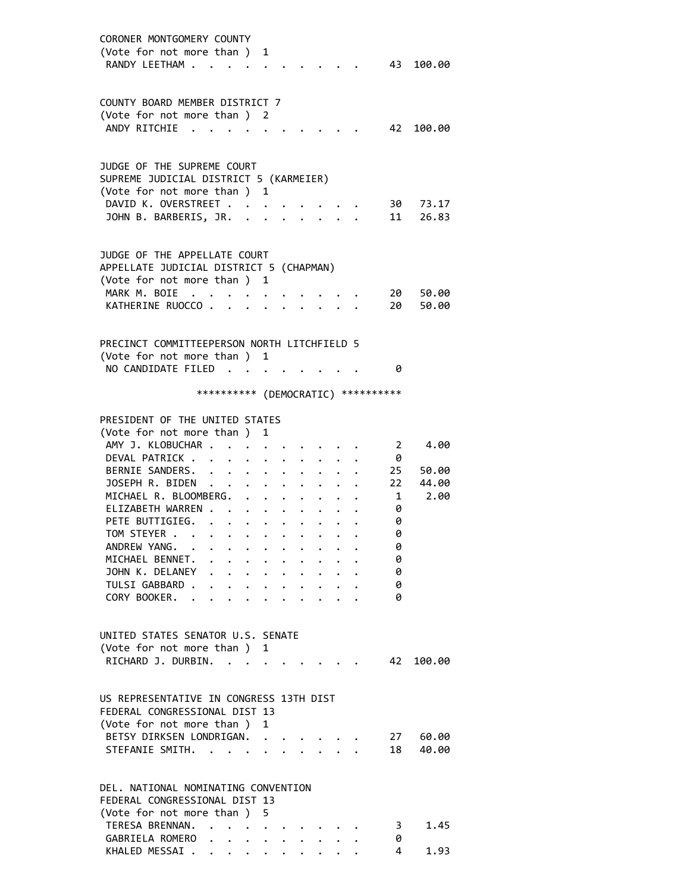| CORONER MONTGOMERY COUNTY<br>(Vote for not more than) 1<br>RANDY LEETHAM                             |                                                                                          |                                                                                                                                 |                                                             |                      |                                                                                                                                                                                                                                                                                                                                                                                                                              |              | 43                      | 100.00         |
|------------------------------------------------------------------------------------------------------|------------------------------------------------------------------------------------------|---------------------------------------------------------------------------------------------------------------------------------|-------------------------------------------------------------|----------------------|------------------------------------------------------------------------------------------------------------------------------------------------------------------------------------------------------------------------------------------------------------------------------------------------------------------------------------------------------------------------------------------------------------------------------|--------------|-------------------------|----------------|
| COUNTY BOARD MEMBER DISTRICT 7<br>(Vote for not more than ) 2<br>ANDY RITCHIE<br>$\sim$              |                                                                                          |                                                                                                                                 |                                                             |                      |                                                                                                                                                                                                                                                                                                                                                                                                                              |              | 42                      | 100.00         |
| JUDGE OF THE SUPREME COURT<br>SUPREME JUDICIAL DISTRICT 5 (KARMEIER)<br>(Vote for not more than ) 1  |                                                                                          |                                                                                                                                 |                                                             |                      |                                                                                                                                                                                                                                                                                                                                                                                                                              |              |                         |                |
| DAVID K. OVERSTREET<br>JOHN B. BARBERIS, JR.                                                         |                                                                                          |                                                                                                                                 |                                                             |                      | $\ddotsc$                                                                                                                                                                                                                                                                                                                                                                                                                    |              | 30<br>11                | 73.17<br>26.83 |
| JUDGE OF THE APPELLATE COURT<br>APPELLATE JUDICIAL DISTRICT 5 (CHAPMAN)                              |                                                                                          |                                                                                                                                 |                                                             |                      |                                                                                                                                                                                                                                                                                                                                                                                                                              |              |                         |                |
| (Vote for not more than ) 1<br>MARK M. BOIE<br>KATHERINE RUOCCO                                      | $\mathcal{A}=\mathcal{A}=\mathcal{A}=\mathcal{A}=\mathcal{A}$<br>$\sim 100$ km s $^{-1}$ |                                                                                                                                 |                                                             |                      | $\mathbf{a} = \mathbf{a} + \mathbf{a} + \mathbf{a} + \mathbf{a} + \mathbf{a} + \mathbf{a} + \mathbf{a} + \mathbf{a} + \mathbf{a} + \mathbf{a} + \mathbf{a} + \mathbf{a} + \mathbf{a} + \mathbf{a} + \mathbf{a} + \mathbf{a} + \mathbf{a} + \mathbf{a} + \mathbf{a} + \mathbf{a} + \mathbf{a} + \mathbf{a} + \mathbf{a} + \mathbf{a} + \mathbf{a} + \mathbf{a} + \mathbf{a} + \mathbf{a} + \mathbf{a} + \mathbf{a} + \mathbf$ |              | 20<br>20                | 50.00<br>50.00 |
| PRECINCT COMMITTEEPERSON NORTH LITCHFIELD 5<br>(Vote for not more than ) 1                           |                                                                                          |                                                                                                                                 |                                                             |                      |                                                                                                                                                                                                                                                                                                                                                                                                                              |              |                         |                |
| NO CANDIDATE FILED                                                                                   | *********** (DEMOCRATIC) **********                                                      |                                                                                                                                 |                                                             |                      |                                                                                                                                                                                                                                                                                                                                                                                                                              |              | 0                       |                |
| PRESIDENT OF THE UNITED STATES<br>(Vote for not more than )                                          |                                                                                          | 1                                                                                                                               |                                                             |                      |                                                                                                                                                                                                                                                                                                                                                                                                                              |              |                         |                |
| AMY J. KLOBUCHAR .<br>DEVAL PATRICK.<br>BERNIE SANDERS.                                              | $\ddot{\phantom{0}}$                                                                     |                                                                                                                                 |                                                             |                      |                                                                                                                                                                                                                                                                                                                                                                                                                              |              | $\mathbf{2}$<br>0<br>25 | 4.00<br>50.00  |
| JOSEPH R. BIDEN<br>MICHAEL R. BLOOMBERG.<br>ELIZABETH WARREN .                                       |                                                                                          |                                                                                                                                 | $\mathbf{r} = \mathbf{r} + \mathbf{r}$ , where $\mathbf{r}$ | $\ddot{\phantom{a}}$ | $\cdot$ $\cdot$ $\cdot$                                                                                                                                                                                                                                                                                                                                                                                                      |              | 22<br>1<br>0            | 44.00<br>2.00  |
| PETE BUTTIGIEG.<br>TOM STEYER<br>ANDREW YANG.                                                        |                                                                                          |                                                                                                                                 |                                                             |                      |                                                                                                                                                                                                                                                                                                                                                                                                                              |              | 0<br>0<br>0             |                |
| MICHAEL BENNET.<br>JOHN K. DELANEY<br>TULSI GABBARD .                                                | $\mathbf{r}$ , $\mathbf{r}$ , $\mathbf{r}$ , $\mathbf{r}$ , $\mathbf{r}$<br>.            |                                                                                                                                 |                                                             |                      | $\ddot{\phantom{0}}$                                                                                                                                                                                                                                                                                                                                                                                                         | $\mathbf{L}$ | 0<br>0<br>0             |                |
| CORY BOOKER.                                                                                         | $\cdot$ $\cdot$ $\cdot$ $\cdot$ $\cdot$                                                  | $\ddot{\phantom{0}}$                                                                                                            |                                                             | $\cdot$ $\cdot$      | $\sim$                                                                                                                                                                                                                                                                                                                                                                                                                       |              | 0                       |                |
| UNITED STATES SENATOR U.S. SENATE<br>(Vote for not more than)<br>RICHARD J. DURBIN. .                |                                                                                          | 1                                                                                                                               |                                                             |                      |                                                                                                                                                                                                                                                                                                                                                                                                                              |              | 42                      | 100.00         |
| US REPRESENTATIVE IN CONGRESS 13TH DIST<br>FEDERAL CONGRESSIONAL DIST 13<br>(Vote for not more than) |                                                                                          | 1                                                                                                                               |                                                             |                      |                                                                                                                                                                                                                                                                                                                                                                                                                              |              |                         |                |
| BETSY DIRKSEN LONDRIGAN.<br>STEFANIE SMITH.                                                          |                                                                                          |                                                                                                                                 |                                                             |                      |                                                                                                                                                                                                                                                                                                                                                                                                                              |              | 27<br>18                | 60.00<br>40.00 |
| DEL, NATIONAL NOMINATING CONVENTION<br>FEDERAL CONGRESSIONAL DIST 13                                 |                                                                                          |                                                                                                                                 |                                                             |                      |                                                                                                                                                                                                                                                                                                                                                                                                                              |              |                         |                |
| (Vote for not more than)<br>TERESA BRENNAN.<br>$\ddot{\phantom{1}}$<br>GABRIELA ROMERO.              | $\bullet$                                                                                | 5.<br>$\begin{array}{cccccccccccccc} \bullet & \bullet & \bullet & \bullet & \bullet & \bullet & \bullet & \bullet \end{array}$ |                                                             |                      |                                                                                                                                                                                                                                                                                                                                                                                                                              |              | 3.<br>0                 | 1.45           |

KHALED MESSAI . . . . . . . . . . 4 1.93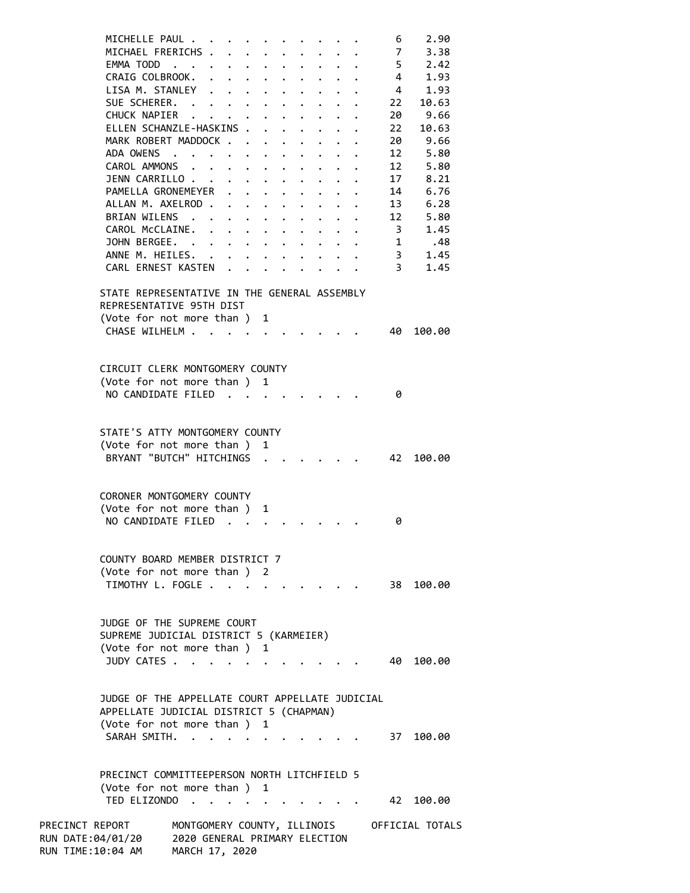| MICHELLE PAUL                                                                                                            |                                                                                |                      |                      |             |                                                                                                        |             |                      |                      |                                                                       | 6              | 2.90            |
|--------------------------------------------------------------------------------------------------------------------------|--------------------------------------------------------------------------------|----------------------|----------------------|-------------|--------------------------------------------------------------------------------------------------------|-------------|----------------------|----------------------|-----------------------------------------------------------------------|----------------|-----------------|
| MICHAEL FRERICHS                                                                                                         |                                                                                |                      |                      |             |                                                                                                        |             |                      |                      |                                                                       | $\overline{7}$ | 3.38            |
| EMMA TODD                                                                                                                |                                                                                |                      |                      |             |                                                                                                        |             |                      |                      |                                                                       | 5 <sup>5</sup> | 2.42            |
| CRAIG COLBROOK. .                                                                                                        |                                                                                |                      |                      |             | $\mathbf{r}$ , $\mathbf{r}$ , $\mathbf{r}$ , $\mathbf{r}$ , $\mathbf{r}$ , $\mathbf{r}$ , $\mathbf{r}$ |             |                      |                      |                                                                       | $\overline{4}$ | 1.93            |
| LISA M. STANLEY                                                                                                          |                                                                                |                      |                      |             |                                                                                                        |             | $\ddot{\phantom{0}}$ |                      | $\cdot$ $\cdot$ $\cdot$ $\cdot$                                       | $\overline{4}$ | 1.93            |
| SUE SCHERER.                                                                                                             |                                                                                |                      |                      |             |                                                                                                        |             |                      |                      |                                                                       | 22             | 10.63           |
| CHUCK NAPIER                                                                                                             |                                                                                |                      |                      |             |                                                                                                        | $\bullet$ . |                      |                      | $\bullet$ , $\bullet$ , $\bullet$ , $\bullet$ , $\bullet$ , $\bullet$ | 20             | 9.66            |
| ELLEN SCHANZLE-HASKINS .                                                                                                 |                                                                                |                      |                      |             | $\mathbf{r}$                                                                                           |             |                      |                      |                                                                       | 22             | 10.63           |
| MARK ROBERT MADDOCK                                                                                                      |                                                                                |                      |                      |             | $\ddot{\phantom{0}}$                                                                                   | $\bullet$   |                      |                      |                                                                       | 20             | 9.66            |
| ADA OWENS                                                                                                                |                                                                                |                      |                      |             | $\mathbf{L}^{\text{max}}$                                                                              |             |                      |                      |                                                                       | 12             | 5.80            |
| CAROL AMMONS                                                                                                             |                                                                                |                      | $\ddot{\phantom{0}}$ | $\bullet$ . |                                                                                                        | $\bullet$ . | $\bullet$            | $\ddot{\phantom{a}}$ |                                                                       | 12             | 5.80            |
| JENN CARRILLO                                                                                                            |                                                                                |                      |                      |             |                                                                                                        |             |                      |                      | $\sim$                                                                | 17             | 8.21            |
|                                                                                                                          |                                                                                |                      |                      |             |                                                                                                        |             |                      |                      |                                                                       |                | 6.76            |
| PAMELLA GRONEMEYER                                                                                                       |                                                                                |                      |                      |             |                                                                                                        |             |                      | $\ddot{\phantom{a}}$ | $\ddot{\phantom{0}}$                                                  | 14             |                 |
| ALLAN M. AXELROD                                                                                                         |                                                                                |                      |                      |             |                                                                                                        |             |                      |                      |                                                                       | 13             | 6.28            |
| BRIAN WILENS .                                                                                                           |                                                                                |                      |                      |             | $\cdot$ $\cdot$ $\cdot$ $\cdot$ $\cdot$                                                                |             |                      |                      |                                                                       | 12             | 5.80            |
| CAROL MCCLAINE.                                                                                                          |                                                                                | $\ddot{\phantom{0}}$ |                      |             | $\cdot$ $\cdot$ $\cdot$ $\cdot$ $\cdot$ $\cdot$                                                        |             |                      |                      |                                                                       | 3 <sup>7</sup> | 1.45            |
| JOHN BERGEE. .                                                                                                           |                                                                                |                      |                      |             | $\mathbf{r} = \mathbf{r} + \mathbf{r}$ , where $\mathbf{r} = \mathbf{r}$                               |             |                      |                      |                                                                       | $\mathbf{1}$   | .48             |
| ANNE M. HEILES.                                                                                                          |                                                                                |                      |                      |             | $\mathbf{L} = \mathbf{L} \times \mathbf{L}$                                                            |             |                      |                      |                                                                       | $\overline{3}$ | 1.45            |
| CARL ERNEST KASTEN                                                                                                       |                                                                                |                      |                      |             |                                                                                                        |             |                      |                      |                                                                       | 3              | 1.45            |
| STATE REPRESENTATIVE IN THE GENERAL ASSEMBLY<br>REPRESENTATIVE 95TH DIST<br>(Vote for not more than ) 1<br>CHASE WILHELM |                                                                                |                      |                      |             |                                                                                                        |             |                      |                      |                                                                       | 40             | 100.00          |
|                                                                                                                          |                                                                                |                      |                      |             |                                                                                                        |             |                      |                      |                                                                       |                |                 |
| CIRCUIT CLERK MONTGOMERY COUNTY                                                                                          |                                                                                |                      |                      |             |                                                                                                        |             |                      |                      |                                                                       |                |                 |
| (Vote for not more than ) 1                                                                                              |                                                                                |                      |                      |             |                                                                                                        |             |                      |                      |                                                                       |                |                 |
| NO CANDIDATE FILED                                                                                                       |                                                                                |                      |                      |             |                                                                                                        |             |                      |                      |                                                                       | 0              |                 |
|                                                                                                                          |                                                                                |                      |                      |             |                                                                                                        |             |                      |                      |                                                                       |                |                 |
|                                                                                                                          |                                                                                |                      |                      |             |                                                                                                        |             |                      |                      |                                                                       |                |                 |
| STATE'S ATTY MONTGOMERY COUNTY                                                                                           |                                                                                |                      |                      |             |                                                                                                        |             |                      |                      |                                                                       |                |                 |
| (Vote for not more than ) 1                                                                                              |                                                                                |                      |                      |             |                                                                                                        |             |                      |                      |                                                                       |                |                 |
| BRYANT "BUTCH" HITCHINGS .                                                                                               |                                                                                |                      |                      |             |                                                                                                        |             |                      |                      |                                                                       | 42             | 100.00          |
|                                                                                                                          |                                                                                |                      |                      |             |                                                                                                        |             |                      |                      |                                                                       |                |                 |
|                                                                                                                          |                                                                                |                      |                      |             |                                                                                                        |             |                      |                      |                                                                       |                |                 |
| CORONER MONTGOMERY COUNTY                                                                                                |                                                                                |                      |                      |             |                                                                                                        |             |                      |                      |                                                                       |                |                 |
| (Vote for not more than)                                                                                                 |                                                                                |                      |                      |             | 1                                                                                                      |             |                      |                      |                                                                       |                |                 |
| NO CANDIDATE FILED                                                                                                       |                                                                                |                      |                      |             |                                                                                                        |             |                      |                      |                                                                       |                |                 |
|                                                                                                                          |                                                                                |                      |                      |             |                                                                                                        |             |                      |                      |                                                                       | 0              |                 |
|                                                                                                                          |                                                                                |                      |                      |             |                                                                                                        |             |                      |                      |                                                                       |                |                 |
|                                                                                                                          |                                                                                |                      |                      |             |                                                                                                        |             |                      |                      |                                                                       |                |                 |
| COUNTY BOARD MEMBER DISTRICT 7                                                                                           |                                                                                |                      |                      |             |                                                                                                        |             |                      |                      |                                                                       |                |                 |
| (Vote for not more than ) 2                                                                                              |                                                                                |                      |                      |             |                                                                                                        |             |                      |                      |                                                                       |                |                 |
| TIMOTHY L. FOGLE.                                                                                                        |                                                                                |                      |                      |             |                                                                                                        |             |                      |                      |                                                                       | 38             | 100.00          |
|                                                                                                                          |                                                                                |                      |                      |             |                                                                                                        |             |                      |                      |                                                                       |                |                 |
| JUDGE OF THE SUPREME COURT<br>SUPREME JUDICIAL DISTRICT 5 (KARMEIER)<br>(Vote for not more than ) 1<br>JUDY CATES        |                                                                                |                      |                      |             |                                                                                                        |             |                      |                      |                                                                       | 40             | 100.00          |
|                                                                                                                          |                                                                                |                      |                      |             |                                                                                                        |             |                      |                      |                                                                       |                |                 |
| JUDGE OF THE APPELLATE COURT APPELLATE JUDICIAL<br>APPELLATE JUDICIAL DISTRICT 5 (CHAPMAN)                               |                                                                                |                      |                      |             |                                                                                                        |             |                      |                      |                                                                       |                |                 |
| (Vote for not more than ) 1                                                                                              |                                                                                |                      |                      |             |                                                                                                        |             |                      |                      |                                                                       |                |                 |
| SARAH SMITH.                                                                                                             |                                                                                |                      |                      |             |                                                                                                        |             |                      |                      |                                                                       |                | 37 100.00       |
|                                                                                                                          |                                                                                |                      |                      |             |                                                                                                        |             |                      |                      |                                                                       |                |                 |
|                                                                                                                          |                                                                                |                      |                      |             |                                                                                                        |             |                      |                      |                                                                       |                |                 |
| PRECINCT COMMITTEEPERSON NORTH LITCHFIELD 5                                                                              |                                                                                |                      |                      |             |                                                                                                        |             |                      |                      |                                                                       |                |                 |
| (Vote for not more than )                                                                                                |                                                                                |                      |                      |             | 1                                                                                                      |             |                      |                      |                                                                       |                |                 |
| TED ELIZONDO                                                                                                             |                                                                                |                      |                      |             |                                                                                                        |             |                      |                      |                                                                       | 42             | 100.00          |
|                                                                                                                          |                                                                                |                      |                      |             |                                                                                                        |             |                      |                      |                                                                       |                |                 |
| PRECINCT REPORT<br>RUN DATE:04/01/20<br>RUN TIME:10:04 AM                                                                | MONTGOMERY COUNTY, ILLINOIS<br>2020 GENERAL PRIMARY ELECTION<br>MARCH 17, 2020 |                      |                      |             |                                                                                                        |             |                      |                      |                                                                       |                | OFFICIAL TOTALS |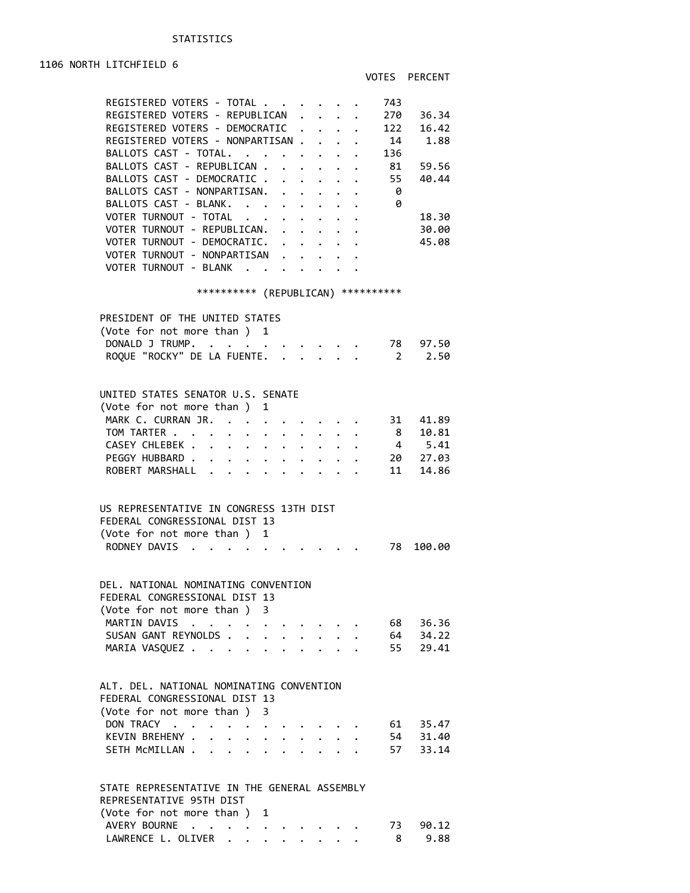1106 NORTH LITCHFIELD 6

| REGISTERED VOTERS - TOTAL                                                                                                                                                                                                                                |                      |                                              |                      | 743            |          |
|----------------------------------------------------------------------------------------------------------------------------------------------------------------------------------------------------------------------------------------------------------|----------------------|----------------------------------------------|----------------------|----------------|----------|
| REGISTERED VOTERS - REPUBLICAN                                                                                                                                                                                                                           | $\ddot{\phantom{a}}$ | $\mathbf{r} = \mathbf{r} \cdot \mathbf{r}$ . |                      | 270            | 36.34    |
| REGISTERED VOTERS - DEMOCRATIC                                                                                                                                                                                                                           | $\ddot{\phantom{0}}$ |                                              |                      | 122            | 16.42    |
| REGISTERED VOTERS - NONPARTISAN .                                                                                                                                                                                                                        |                      | $\ddot{\phantom{0}}$                         |                      | - 14           | 1.88     |
| BALLOTS CAST - TOTAL.                                                                                                                                                                                                                                    |                      |                                              |                      | 136            |          |
| BALLOTS CAST - REPUBLICAN .<br>$\mathbf{r}$                                                                                                                                                                                                              |                      |                                              |                      | 81             | 59.56    |
| BALLOTS CAST - DEMOCRATIC .                                                                                                                                                                                                                              |                      |                                              |                      | 55             | 40.44    |
| $\ddot{\phantom{0}}$                                                                                                                                                                                                                                     | $\mathbf{L}$         | $\ddot{\phantom{0}}$                         | $\ddot{\phantom{0}}$ |                |          |
| BALLOTS CAST - NONPARTISAN.                                                                                                                                                                                                                              |                      | $\ddot{\phantom{a}}$                         |                      | - 0            |          |
| BALLOTS CAST - BLANK.<br>$\mathbf{L}^{\text{max}}$ , $\mathbf{L}^{\text{max}}$<br>$\ddot{\phantom{0}}$                                                                                                                                                   | $\ddot{\phantom{0}}$ |                                              |                      | - 0            |          |
| VOTER TURNOUT - TOTAL                                                                                                                                                                                                                                    |                      |                                              |                      |                | 18.30    |
| VOTER TURNOUT - REPUBLICAN.<br>$\ddot{\phantom{0}}$                                                                                                                                                                                                      |                      |                                              |                      |                | 30.00    |
| VOTER TURNOUT - DEMOCRATIC.                                                                                                                                                                                                                              |                      |                                              |                      |                | 45.08    |
| VOTER TURNOUT - NONPARTISAN                                                                                                                                                                                                                              |                      |                                              |                      |                |          |
| VOTER TURNOUT - BLANK                                                                                                                                                                                                                                    |                      |                                              |                      |                |          |
|                                                                                                                                                                                                                                                          |                      |                                              |                      |                |          |
| *********** (REPUBLICAN) ***********                                                                                                                                                                                                                     |                      |                                              |                      |                |          |
|                                                                                                                                                                                                                                                          |                      |                                              |                      |                |          |
| PRESIDENT OF THE UNITED STATES                                                                                                                                                                                                                           |                      |                                              |                      |                |          |
| (Vote for not more than )<br>1                                                                                                                                                                                                                           |                      |                                              |                      |                |          |
| DONALD J TRUMP.                                                                                                                                                                                                                                          |                      |                                              |                      | 78             | 97.50    |
|                                                                                                                                                                                                                                                          |                      |                                              |                      |                |          |
| ROQUE "ROCKY" DE LA FUENTE.<br>$\mathbb{R}^{n \times n}$                                                                                                                                                                                                 |                      | $\mathbf{r}$                                 |                      | 2              | 2.50     |
|                                                                                                                                                                                                                                                          |                      |                                              |                      |                |          |
|                                                                                                                                                                                                                                                          |                      |                                              |                      |                |          |
| UNITED STATES SENATOR U.S. SENATE                                                                                                                                                                                                                        |                      |                                              |                      |                |          |
| (Vote for not more than)<br>1                                                                                                                                                                                                                            |                      |                                              |                      |                |          |
| MARK C. CURRAN JR.<br>$\sim$<br>$\ddot{\phantom{0}}$                                                                                                                                                                                                     |                      |                                              |                      | 31             | 41.89    |
| TOM TARTER<br>$\bullet$ $\bullet$ $\bullet$<br>$\ddot{\phantom{0}}$                                                                                                                                                                                      |                      |                                              |                      | 8 <sup>7</sup> | 10.81    |
| CASEY CHLEBEK .<br>$\ddot{\bullet}$ . The set of the set of the set of the set of the set of the set of the set of the set of the set of the set of the set of the set of the set of the set of the set of the set of the set of the set of the set of t |                      |                                              |                      | 4              | 5.41     |
| PEGGY HUBBARD.                                                                                                                                                                                                                                           |                      |                                              |                      | 20             | 27.03    |
| ROBERT MARSHALL<br>$\mathbf{r}$                                                                                                                                                                                                                          |                      |                                              |                      | 11             | 14.86    |
|                                                                                                                                                                                                                                                          |                      |                                              |                      |                |          |
|                                                                                                                                                                                                                                                          |                      |                                              |                      |                |          |
| US REPRESENTATIVE IN CONGRESS 13TH DIST                                                                                                                                                                                                                  |                      |                                              |                      |                |          |
|                                                                                                                                                                                                                                                          |                      |                                              |                      |                |          |
| FEDERAL CONGRESSIONAL DIST 13                                                                                                                                                                                                                            |                      |                                              |                      |                |          |
| (Vote for not more than)<br>1                                                                                                                                                                                                                            |                      |                                              |                      |                |          |
| RODNEY DAVIS                                                                                                                                                                                                                                             |                      |                                              |                      | 78             | 100.00   |
|                                                                                                                                                                                                                                                          |                      |                                              |                      |                |          |
|                                                                                                                                                                                                                                                          |                      |                                              |                      |                |          |
| DEL. NATIONAL NOMINATING CONVENTION                                                                                                                                                                                                                      |                      |                                              |                      |                |          |
| FEDERAL CONGRESSIONAL DIST 13                                                                                                                                                                                                                            |                      |                                              |                      |                |          |
| (Vote for not more than ) 3                                                                                                                                                                                                                              |                      |                                              |                      |                |          |
| MARTIN DAVIS<br>$\mathcal{L}(\mathcal{L})$ , and $\mathcal{L}(\mathcal{L})$                                                                                                                                                                              |                      |                                              |                      | 68             | 36.36    |
| SUSAN GANT REYNOLDS<br>$\ddotsc$ . The contract of $\ddotsc$                                                                                                                                                                                             |                      |                                              |                      | 64             | 34.22    |
| MARIA VASQUEZ                                                                                                                                                                                                                                            |                      |                                              |                      | 55             | 29.41    |
|                                                                                                                                                                                                                                                          |                      |                                              |                      |                |          |
|                                                                                                                                                                                                                                                          |                      |                                              |                      |                |          |
| ALT. DEL. NATIONAL NOMINATING CONVENTION                                                                                                                                                                                                                 |                      |                                              |                      |                |          |
| FEDERAL CONGRESSIONAL DIST 13                                                                                                                                                                                                                            |                      |                                              |                      |                |          |
|                                                                                                                                                                                                                                                          |                      |                                              |                      |                |          |
| (Vote for not more than ) 3                                                                                                                                                                                                                              |                      |                                              |                      |                |          |
| DON TRACY                                                                                                                                                                                                                                                |                      |                                              |                      |                | 61 35.47 |
| KEVIN BREHENY .<br>$\ddot{\phantom{0}}$<br>$\bullet$ . The set of $\bullet$                                                                                                                                                                              |                      |                                              |                      |                | 54 31.40 |
| SETH MCMILLAN<br>$\mathbf{L} = \mathbf{L} \mathbf{L}$                                                                                                                                                                                                    |                      |                                              |                      |                | 57 33.14 |
|                                                                                                                                                                                                                                                          |                      |                                              |                      |                |          |
|                                                                                                                                                                                                                                                          |                      |                                              |                      |                |          |
| STATE REPRESENTATIVE IN THE GENERAL ASSEMBLY                                                                                                                                                                                                             |                      |                                              |                      |                |          |
| REPRESENTATIVE 95TH DIST                                                                                                                                                                                                                                 |                      |                                              |                      |                |          |
| (Vote for not more than ) 1                                                                                                                                                                                                                              |                      |                                              |                      |                |          |

| $\sqrt{2}$ and $\sqrt{2}$ and $\sqrt{2}$ and $\sqrt{2}$ and $\sqrt{2}$ |  |  |  |  |  |                           |
|------------------------------------------------------------------------|--|--|--|--|--|---------------------------|
|                                                                        |  |  |  |  |  | AVERY BOURNE 73 90.12     |
|                                                                        |  |  |  |  |  | LAWRENCE L. OLIVER 8 9.88 |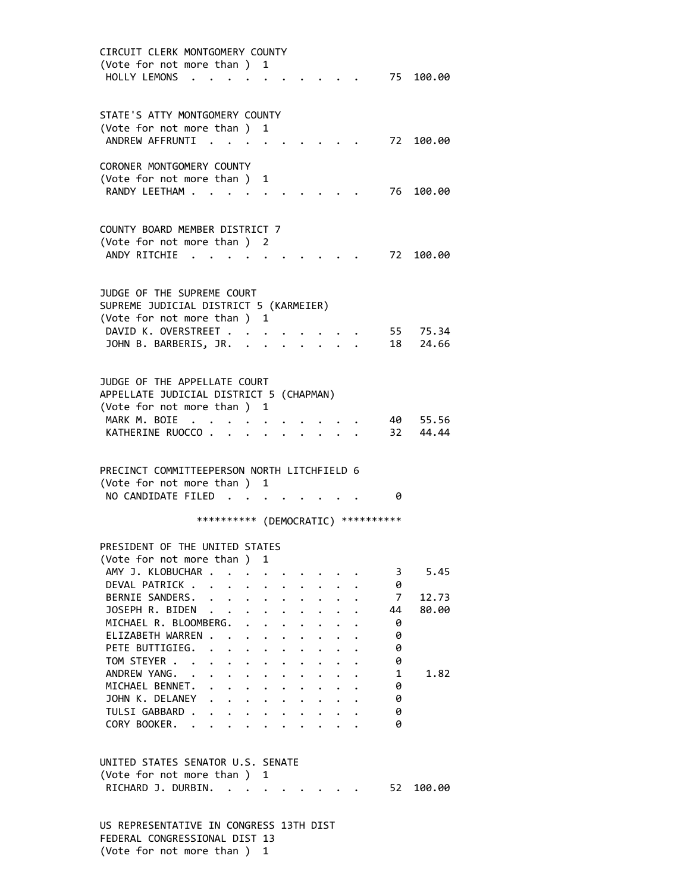| CIRCUIT CLERK MONTGOMERY COUNTY<br>(Vote for not more than ) 1<br>HOLLY LEMONS .                                                                     |                                                                                                                                                        |                                   |                                                                                                         |                                         |                                 |                                     |                                  | 75 100.00      |
|------------------------------------------------------------------------------------------------------------------------------------------------------|--------------------------------------------------------------------------------------------------------------------------------------------------------|-----------------------------------|---------------------------------------------------------------------------------------------------------|-----------------------------------------|---------------------------------|-------------------------------------|----------------------------------|----------------|
| STATE'S ATTY MONTGOMERY COUNTY<br>(Vote for not more than)<br>ANDREW AFFRUNTI                                                                        |                                                                                                                                                        | 1                                 |                                                                                                         |                                         |                                 |                                     | 72                               | 100.00         |
| CORONER MONTGOMERY COUNTY<br>(Vote for not more than)<br>RANDY LEETHAM                                                                               |                                                                                                                                                        | 1                                 |                                                                                                         |                                         |                                 |                                     | 76 -                             | 100.00         |
| COUNTY BOARD MEMBER DISTRICT 7<br>(Vote for not more than ) 2<br>ANDY RITCHIE                                                                        |                                                                                                                                                        |                                   |                                                                                                         |                                         |                                 |                                     |                                  | 72 100.00      |
| JUDGE OF THE SUPREME COURT<br>SUPREME JUDICIAL DISTRICT 5 (KARMEIER)<br>(Vote for not more than)<br>DAVID K. OVERSTREET .<br>JOHN B. BARBERIS, JR. . |                                                                                                                                                        | 1<br>$\ddot{\phantom{a}}$         |                                                                                                         |                                         |                                 |                                     | 55<br>18                         | 75.34<br>24.66 |
| JUDGE OF THE APPELLATE COURT<br>APPELLATE JUDICIAL DISTRICT 5 (CHAPMAN)<br>(Vote for not more than )                                                 |                                                                                                                                                        | 1                                 |                                                                                                         |                                         |                                 |                                     |                                  |                |
| MARK M. BOIE<br>KATHERINE RUOCCO                                                                                                                     |                                                                                                                                                        |                                   |                                                                                                         |                                         |                                 |                                     | 40 -<br>32                       | 55.56<br>44.44 |
| PRECINCT COMMITTEEPERSON NORTH LITCHFIELD 6<br>(Vote for not more than) 1<br>NO CANDIDATE FILED                                                      | $\sim$                                                                                                                                                 | <b>Contract Contract Contract</b> |                                                                                                         |                                         |                                 |                                     | 0                                |                |
|                                                                                                                                                      |                                                                                                                                                        |                                   |                                                                                                         |                                         |                                 | *********** (DEMOCRATIC) ********** |                                  |                |
| PRESIDENT OF THE UNITED STATES<br>(Vote for not more than ) 1<br>AMY J. KLOBUCHAR                                                                    |                                                                                                                                                        |                                   | $\bullet$ .<br><br><br><br><br><br><br><br><br><br><br><br><br><br><br><br><br>                         |                                         |                                 |                                     | 3                                | 5.45           |
| DEVAL PATRICK<br>BERNIE SANDERS.<br>JOSEPH R. BIDEN<br>MICHAEL R. BLOOMBERG. .                                                                       |                                                                                                                                                        |                                   | $\ddot{\phantom{0}}$<br>$\ddot{\phantom{0}}$<br>$\cdot$ $\cdot$ $\cdot$ $\cdot$ $\cdot$ $\cdot$ $\cdot$ |                                         | $\cdot$ $\cdot$ $\cdot$         |                                     | 0<br>$\overline{7}$<br>44<br>0   | 12.73<br>80.00 |
| ELIZABETH WARREN .<br>PETE BUTTIGIEG.<br>TOM STEYER                                                                                                  | $\mathbf{r}$ , and $\mathbf{r}$ , and $\mathbf{r}$ , and $\mathbf{r}$<br>$\mathbf{r} = \mathbf{r} + \mathbf{r} + \mathbf{r} + \mathbf{r} + \mathbf{r}$ |                                   |                                                                                                         | $\cdot$ $\cdot$ $\cdot$ $\cdot$ $\cdot$ |                                 |                                     | 0<br>0<br>0                      |                |
| ANDREW YANG. .<br>MICHAEL BENNET.<br>JOHN K. DELANEY<br>TULSI GABBARD<br>CORY BOOKER.                                                                | $\cdot$ $\cdot$ $\cdot$ $\cdot$                                                                                                                        |                                   | $\bullet$ .                                                                                             |                                         | $\cdot$ $\cdot$ $\cdot$ $\cdot$ |                                     | $\mathbf{1}$<br>0<br>0<br>0<br>0 | 1.82           |
| UNITED STATES SENATOR U.S. SENATE<br>(Vote for not more than ) 1                                                                                     |                                                                                                                                                        |                                   |                                                                                                         |                                         |                                 |                                     |                                  |                |
| RICHARD J. DURBIN.                                                                                                                                   |                                                                                                                                                        |                                   |                                                                                                         |                                         |                                 |                                     | 52                               | 100.00         |
| US REPRESENTATIVE IN CONGRESS 13TH DIST<br>FEDERAL CONGRESSIONAL DIST 13<br>(Vote for not more than ) 1                                              |                                                                                                                                                        |                                   |                                                                                                         |                                         |                                 |                                     |                                  |                |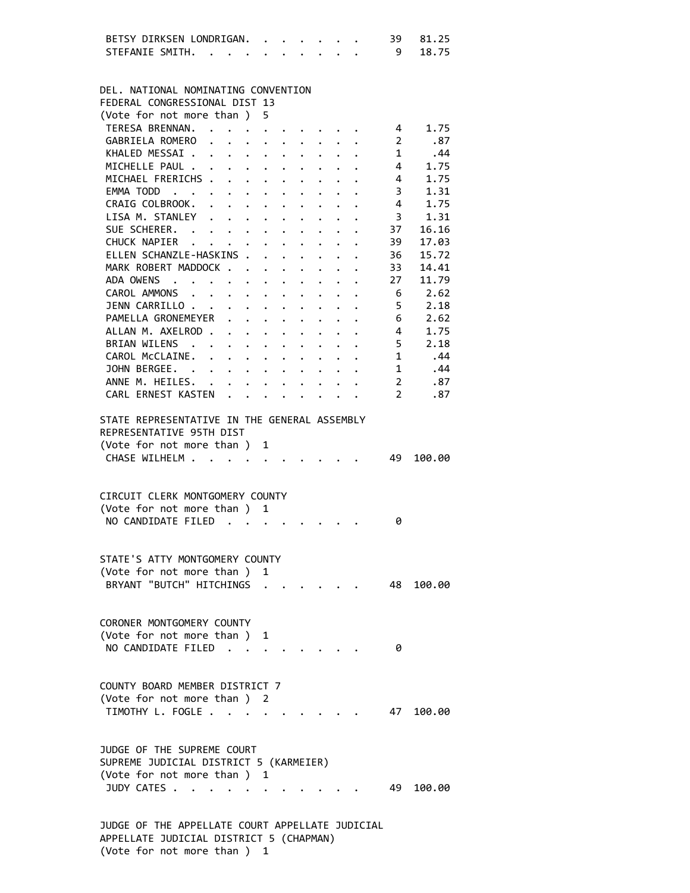|                                                 | BETSY DIRKSEN LONDRIGAN. . |  |                                                                          |               |        |                                                                                                                                                                                                                                       | $\cdots$                                                                                                                                                                     |                                                                 |                      | 39                       | 81.25     |
|-------------------------------------------------|----------------------------|--|--------------------------------------------------------------------------|---------------|--------|---------------------------------------------------------------------------------------------------------------------------------------------------------------------------------------------------------------------------------------|------------------------------------------------------------------------------------------------------------------------------------------------------------------------------|-----------------------------------------------------------------|----------------------|--------------------------|-----------|
| STEFANIE SMITH.                                 |                            |  |                                                                          |               |        |                                                                                                                                                                                                                                       |                                                                                                                                                                              |                                                                 |                      | - 9                      | 18.75     |
|                                                 |                            |  |                                                                          |               |        |                                                                                                                                                                                                                                       |                                                                                                                                                                              |                                                                 |                      |                          |           |
|                                                 |                            |  |                                                                          |               |        |                                                                                                                                                                                                                                       |                                                                                                                                                                              |                                                                 |                      |                          |           |
| DEL. NATIONAL NOMINATING CONVENTION             |                            |  |                                                                          |               |        |                                                                                                                                                                                                                                       |                                                                                                                                                                              |                                                                 |                      |                          |           |
| FEDERAL CONGRESSIONAL DIST 13                   |                            |  |                                                                          |               |        |                                                                                                                                                                                                                                       |                                                                                                                                                                              |                                                                 |                      |                          |           |
| (Vote for not more than)                        |                            |  |                                                                          |               | 5      |                                                                                                                                                                                                                                       |                                                                                                                                                                              |                                                                 |                      |                          |           |
| TERESA BRENNAN.                                 |                            |  |                                                                          |               |        |                                                                                                                                                                                                                                       |                                                                                                                                                                              |                                                                 |                      | $\overline{4}$           | 1.75      |
|                                                 |                            |  |                                                                          |               |        |                                                                                                                                                                                                                                       | $\mathbf{a}^{\prime}=\mathbf{a}^{\prime}=\mathbf{a}^{\prime}=\mathbf{a}^{\prime}=\mathbf{a}^{\prime}=\mathbf{a}^{\prime}=\mathbf{a}^{\prime}=\mathbf{a}^{\prime}=\mathbf{a}$ |                                                                 |                      |                          |           |
| GABRIELA ROMERO                                 |                            |  | $\mathbf{z} = \mathbf{z} + \mathbf{z}$ , where $\mathbf{z} = \mathbf{z}$ |               |        |                                                                                                                                                                                                                                       | $\cdot$ $\cdot$ $\cdot$ $\cdot$ $\cdot$                                                                                                                                      |                                                                 |                      | $\overline{\phantom{a}}$ | .87       |
| KHALED MESSAI                                   |                            |  |                                                                          |               |        |                                                                                                                                                                                                                                       |                                                                                                                                                                              |                                                                 |                      | $\mathbf{1}$             | .44       |
| MICHELLE PAUL                                   |                            |  |                                                                          |               |        | $\ddot{\bullet}$ . The set of the set of the set of the set of the set of the set of the set of the set of the set of the set of the set of the set of the set of the set of the set of the set of the set of the set of the set of t |                                                                                                                                                                              |                                                                 |                      | 4                        | 1.75      |
| MICHAEL FRERICHS                                |                            |  |                                                                          |               | $\sim$ | $\bullet$ .                                                                                                                                                                                                                           |                                                                                                                                                                              |                                                                 |                      | $\overline{4}$           | 1.75      |
| EMMA TODD                                       |                            |  |                                                                          |               |        | $\mathbf{r}$ , $\mathbf{r}$ , $\mathbf{r}$ , $\mathbf{r}$                                                                                                                                                                             | $\ddot{\phantom{0}}$                                                                                                                                                         |                                                                 | $\ddot{\phantom{0}}$ | $\overline{3}$           | 1.31      |
| CRAIG COLBROOK.                                 |                            |  |                                                                          |               |        |                                                                                                                                                                                                                                       |                                                                                                                                                                              |                                                                 |                      | $\overline{4}$           | 1.75      |
| LISA M. STANLEY                                 |                            |  |                                                                          |               |        |                                                                                                                                                                                                                                       |                                                                                                                                                                              | $\cdot$ $\cdot$ $\cdot$ $\cdot$                                 |                      | $\overline{3}$           | 1.31      |
| SUE SCHERER.                                    |                            |  |                                                                          |               |        |                                                                                                                                                                                                                                       |                                                                                                                                                                              |                                                                 |                      | 37                       | 16.16     |
| CHUCK NAPIER                                    |                            |  |                                                                          |               |        |                                                                                                                                                                                                                                       | $\cdot$ $\cdot$ $\cdot$ $\cdot$ $\cdot$                                                                                                                                      |                                                                 |                      | 39                       | 17.03     |
| ELLEN SCHANZLE-HASKINS .                        |                            |  |                                                                          |               |        |                                                                                                                                                                                                                                       | $\mathbf{r} = \mathbf{r} + \mathbf{r}$                                                                                                                                       |                                                                 |                      | 36                       | 15.72     |
| MARK ROBERT MADDOCK                             |                            |  |                                                                          |               |        |                                                                                                                                                                                                                                       |                                                                                                                                                                              |                                                                 |                      | 33                       | 14.41     |
|                                                 |                            |  |                                                                          |               |        | $\ddot{\phantom{0}}$                                                                                                                                                                                                                  |                                                                                                                                                                              |                                                                 |                      | 27                       |           |
| ADA OWENS                                       |                            |  |                                                                          |               |        | $\ddot{\phantom{a}}$                                                                                                                                                                                                                  |                                                                                                                                                                              |                                                                 |                      |                          | 11.79     |
| CAROL AMMONS                                    |                            |  |                                                                          |               |        |                                                                                                                                                                                                                                       | $\mathbf{L}$                                                                                                                                                                 |                                                                 | $\cdot$ $\cdot$      | - 6                      | 2.62      |
| JENN CARRILLO                                   |                            |  |                                                                          |               |        |                                                                                                                                                                                                                                       |                                                                                                                                                                              |                                                                 |                      | 5.                       | 2.18      |
| PAMELLA GRONEMEYER                              |                            |  |                                                                          |               |        |                                                                                                                                                                                                                                       |                                                                                                                                                                              | $\mathbf{r}$ , $\mathbf{r}$ , $\mathbf{r}$                      |                      | 6                        | 2.62      |
| ALLAN M. AXELROD                                |                            |  |                                                                          |               |        |                                                                                                                                                                                                                                       |                                                                                                                                                                              |                                                                 |                      | $\overline{4}$           | 1.75      |
| BRIAN WILENS .                                  |                            |  | $\mathbf{r} = \mathbf{r} + \mathbf{r}$ , where $\mathbf{r}$              |               |        | $\ddot{\phantom{0}}$                                                                                                                                                                                                                  |                                                                                                                                                                              | $\bullet$ .<br><br><br><br><br><br><br><br><br><br><br><br><br> |                      | 5                        | 2.18      |
| CAROL McCLAINE.                                 |                            |  |                                                                          |               |        |                                                                                                                                                                                                                                       |                                                                                                                                                                              | $\bullet$ .<br><br><br><br><br><br><br><br><br><br><br><br><br> |                      | $\mathbf{1}$             | .44       |
| JOHN BERGEE.                                    |                            |  |                                                                          |               |        |                                                                                                                                                                                                                                       |                                                                                                                                                                              |                                                                 |                      | 1                        | .44       |
|                                                 |                            |  |                                                                          |               |        |                                                                                                                                                                                                                                       |                                                                                                                                                                              |                                                                 |                      |                          |           |
| ANNE M. HEILES. .                               |                            |  |                                                                          |               |        |                                                                                                                                                                                                                                       |                                                                                                                                                                              |                                                                 |                      | $\overline{2}$           | .87       |
| CARL ERNEST KASTEN                              |                            |  | $\ddot{\phantom{a}}$                                                     | $\sim$ $\sim$ |        | $\mathbf{r}$                                                                                                                                                                                                                          |                                                                                                                                                                              |                                                                 |                      | $\mathbf{2}$             | .87       |
|                                                 |                            |  |                                                                          |               |        |                                                                                                                                                                                                                                       |                                                                                                                                                                              |                                                                 |                      |                          |           |
| STATE REPRESENTATIVE IN THE GENERAL ASSEMBLY    |                            |  |                                                                          |               |        |                                                                                                                                                                                                                                       |                                                                                                                                                                              |                                                                 |                      |                          |           |
| REPRESENTATIVE 95TH DIST                        |                            |  |                                                                          |               |        |                                                                                                                                                                                                                                       |                                                                                                                                                                              |                                                                 |                      |                          |           |
| (Vote for not more than) 1                      |                            |  |                                                                          |               |        |                                                                                                                                                                                                                                       |                                                                                                                                                                              |                                                                 |                      |                          |           |
|                                                 |                            |  |                                                                          |               |        |                                                                                                                                                                                                                                       |                                                                                                                                                                              |                                                                 |                      |                          |           |
| CHASE WILHELM                                   |                            |  |                                                                          |               |        |                                                                                                                                                                                                                                       |                                                                                                                                                                              |                                                                 |                      | 49                       | 100.00    |
|                                                 |                            |  |                                                                          |               |        |                                                                                                                                                                                                                                       |                                                                                                                                                                              |                                                                 |                      |                          |           |
|                                                 |                            |  |                                                                          |               |        |                                                                                                                                                                                                                                       |                                                                                                                                                                              |                                                                 |                      |                          |           |
|                                                 |                            |  |                                                                          |               |        |                                                                                                                                                                                                                                       |                                                                                                                                                                              |                                                                 |                      |                          |           |
| CIRCUIT CLERK MONTGOMERY COUNTY                 |                            |  |                                                                          |               |        |                                                                                                                                                                                                                                       |                                                                                                                                                                              |                                                                 |                      |                          |           |
| (Vote for not more than ) 1                     |                            |  |                                                                          |               |        |                                                                                                                                                                                                                                       |                                                                                                                                                                              |                                                                 |                      |                          |           |
| NO CANDIDATE FILED                              |                            |  |                                                                          |               |        |                                                                                                                                                                                                                                       |                                                                                                                                                                              |                                                                 |                      | 0                        |           |
|                                                 |                            |  |                                                                          |               |        |                                                                                                                                                                                                                                       |                                                                                                                                                                              |                                                                 |                      |                          |           |
|                                                 |                            |  |                                                                          |               |        |                                                                                                                                                                                                                                       |                                                                                                                                                                              |                                                                 |                      |                          |           |
| STATE'S ATTY MONTGOMERY COUNTY                  |                            |  |                                                                          |               |        |                                                                                                                                                                                                                                       |                                                                                                                                                                              |                                                                 |                      |                          |           |
| (Vote for not more than) 1                      |                            |  |                                                                          |               |        |                                                                                                                                                                                                                                       |                                                                                                                                                                              |                                                                 |                      |                          |           |
| BRYANT "BUTCH" HITCHINGS                        |                            |  |                                                                          |               |        |                                                                                                                                                                                                                                       |                                                                                                                                                                              |                                                                 |                      |                          | 48 100.00 |
|                                                 |                            |  |                                                                          |               |        |                                                                                                                                                                                                                                       |                                                                                                                                                                              |                                                                 |                      |                          |           |
|                                                 |                            |  |                                                                          |               |        |                                                                                                                                                                                                                                       |                                                                                                                                                                              |                                                                 |                      |                          |           |
|                                                 |                            |  |                                                                          |               |        |                                                                                                                                                                                                                                       |                                                                                                                                                                              |                                                                 |                      |                          |           |
| CORONER MONTGOMERY COUNTY                       |                            |  |                                                                          |               |        |                                                                                                                                                                                                                                       |                                                                                                                                                                              |                                                                 |                      |                          |           |
| (Vote for not more than)                        |                            |  |                                                                          |               | 1      |                                                                                                                                                                                                                                       |                                                                                                                                                                              |                                                                 |                      |                          |           |
| NO CANDIDATE FILED                              |                            |  |                                                                          |               |        |                                                                                                                                                                                                                                       |                                                                                                                                                                              |                                                                 |                      | ø                        |           |
|                                                 |                            |  |                                                                          |               |        |                                                                                                                                                                                                                                       |                                                                                                                                                                              |                                                                 |                      |                          |           |
|                                                 |                            |  |                                                                          |               |        |                                                                                                                                                                                                                                       |                                                                                                                                                                              |                                                                 |                      |                          |           |
| COUNTY BOARD MEMBER DISTRICT 7                  |                            |  |                                                                          |               |        |                                                                                                                                                                                                                                       |                                                                                                                                                                              |                                                                 |                      |                          |           |
| (Vote for not more than) 2                      |                            |  |                                                                          |               |        |                                                                                                                                                                                                                                       |                                                                                                                                                                              |                                                                 |                      |                          |           |
| TIMOTHY L. FOGLE                                |                            |  |                                                                          |               |        |                                                                                                                                                                                                                                       |                                                                                                                                                                              |                                                                 |                      | 47                       | 100.00    |
|                                                 |                            |  |                                                                          |               |        |                                                                                                                                                                                                                                       |                                                                                                                                                                              |                                                                 |                      |                          |           |
|                                                 |                            |  |                                                                          |               |        |                                                                                                                                                                                                                                       |                                                                                                                                                                              |                                                                 |                      |                          |           |
|                                                 |                            |  |                                                                          |               |        |                                                                                                                                                                                                                                       |                                                                                                                                                                              |                                                                 |                      |                          |           |
| JUDGE OF THE SUPREME COURT                      |                            |  |                                                                          |               |        |                                                                                                                                                                                                                                       |                                                                                                                                                                              |                                                                 |                      |                          |           |
| SUPREME JUDICIAL DISTRICT 5 (KARMEIER)          |                            |  |                                                                          |               |        |                                                                                                                                                                                                                                       |                                                                                                                                                                              |                                                                 |                      |                          |           |
| (Vote for not more than ) 1                     |                            |  |                                                                          |               |        |                                                                                                                                                                                                                                       |                                                                                                                                                                              |                                                                 |                      |                          |           |
| JUDY CATES                                      |                            |  |                                                                          |               |        |                                                                                                                                                                                                                                       |                                                                                                                                                                              |                                                                 |                      | 49                       | 100.00    |
|                                                 |                            |  |                                                                          |               |        |                                                                                                                                                                                                                                       |                                                                                                                                                                              |                                                                 |                      |                          |           |
| JUDGE OF THE APPELLATE COURT APPELLATE JUDICIAL |                            |  |                                                                          |               |        |                                                                                                                                                                                                                                       |                                                                                                                                                                              |                                                                 |                      |                          |           |

 APPELLATE JUDICIAL DISTRICT 5 (CHAPMAN) (Vote for not more than ) 1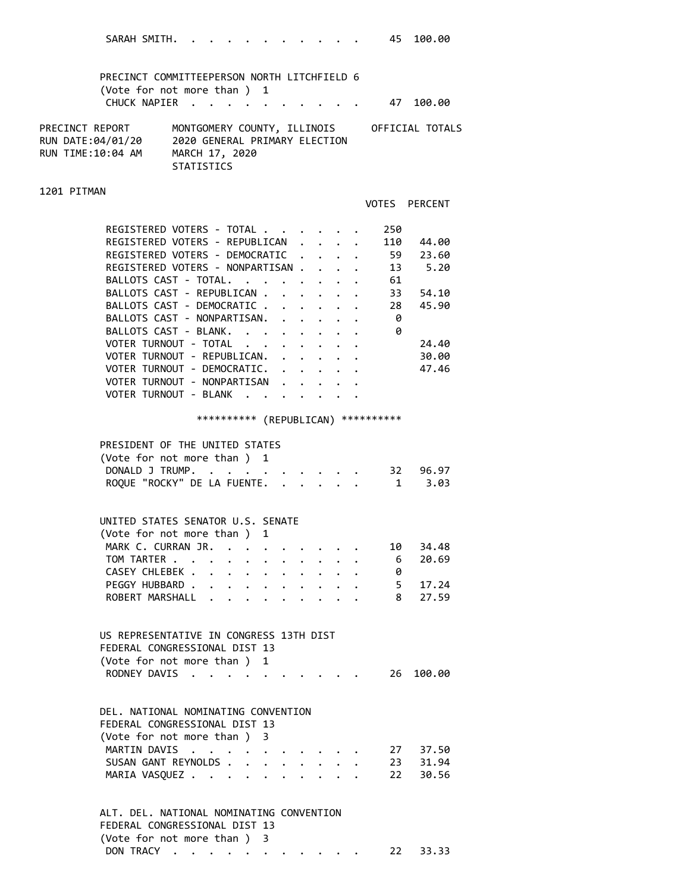| SARAH SMITH.                                                                               |                                                                                                                                                                                                                                    |                 |              |               |                      | $\cdots$                                                         | 45                                                                                                  | 100.00                                      |
|--------------------------------------------------------------------------------------------|------------------------------------------------------------------------------------------------------------------------------------------------------------------------------------------------------------------------------------|-----------------|--------------|---------------|----------------------|------------------------------------------------------------------|-----------------------------------------------------------------------------------------------------|---------------------------------------------|
| PRECINCT COMMITTEEPERSON NORTH LITCHFIELD 6<br>(Vote for not more than ) 1<br>CHUCK NAPIER | $\sim$ $\sim$ $\sim$                                                                                                                                                                                                               |                 |              |               |                      |                                                                  | 47                                                                                                  | 100.00                                      |
|                                                                                            |                                                                                                                                                                                                                                    |                 |              |               |                      |                                                                  |                                                                                                     |                                             |
| PRECINCT REPORT<br>RUN DATE:04/01/20<br>RUN TIME:10:04 AM                                  | 2020 GENERAL PRIMARY ELECTION<br>MARCH 17, 2020<br>STATISTICS                                                                                                                                                                      |                 |              |               |                      |                                                                  |                                                                                                     | MONTGOMERY COUNTY, ILLINOIS OFFICIAL TOTALS |
| 1201 PITMAN                                                                                |                                                                                                                                                                                                                                    |                 |              |               |                      |                                                                  |                                                                                                     |                                             |
|                                                                                            |                                                                                                                                                                                                                                    |                 |              |               |                      |                                                                  |                                                                                                     | VOTES PERCENT                               |
| REGISTERED VOTERS - TOTAL                                                                  |                                                                                                                                                                                                                                    |                 |              |               |                      |                                                                  | 250                                                                                                 |                                             |
| REGISTERED VOTERS - REPUBLICAN                                                             |                                                                                                                                                                                                                                    |                 |              |               |                      |                                                                  | 110                                                                                                 | 44.00                                       |
| REGISTERED VOTERS - DEMOCRATIC                                                             |                                                                                                                                                                                                                                    |                 |              |               |                      |                                                                  | 59                                                                                                  | 23.60                                       |
| REGISTERED VOTERS - NONPARTISAN                                                            |                                                                                                                                                                                                                                    |                 |              |               |                      |                                                                  |                                                                                                     | 13 5.20                                     |
| BALLOTS CAST - TOTAL.<br>BALLOTS CAST - REPUBLICAN                                         |                                                                                                                                                                                                                                    |                 |              | $\sim$ $\sim$ |                      |                                                                  | 61<br>$\mathbf{r}$ , $\mathbf{r}$ , $\mathbf{r}$ , $\mathbf{r}$ , $\mathbf{r}$ , $\mathbf{r}$<br>33 | 54.10                                       |
| BALLOTS CAST - DEMOCRATIC                                                                  |                                                                                                                                                                                                                                    |                 |              |               |                      |                                                                  | 28                                                                                                  | 45.90                                       |
| BALLOTS CAST - NONPARTISAN.                                                                |                                                                                                                                                                                                                                    |                 |              |               |                      | $\mathbf{r} = \mathbf{r} + \mathbf{r} + \mathbf{r}$ .            | - 0                                                                                                 |                                             |
| BALLOTS CAST - BLANK.                                                                      |                                                                                                                                                                                                                                    |                 |              |               |                      | $\mathbf{r} = \mathbf{r} + \mathbf{r} + \mathbf{r} + \mathbf{r}$ | - 0                                                                                                 |                                             |
| VOTER TURNOUT - TOTAL                                                                      |                                                                                                                                                                                                                                    |                 |              |               |                      |                                                                  |                                                                                                     | 24.40                                       |
| VOTER TURNOUT - REPUBLICAN.                                                                |                                                                                                                                                                                                                                    |                 |              |               |                      |                                                                  |                                                                                                     | 30.00                                       |
| VOTER TURNOUT - DEMOCRATIC.                                                                |                                                                                                                                                                                                                                    |                 |              |               |                      |                                                                  |                                                                                                     | 47.46                                       |
| VOTER TURNOUT - NONPARTISAN                                                                |                                                                                                                                                                                                                                    |                 |              |               |                      |                                                                  |                                                                                                     |                                             |
| VOTER TURNOUT - BLANK                                                                      |                                                                                                                                                                                                                                    |                 |              |               |                      |                                                                  |                                                                                                     |                                             |
|                                                                                            |                                                                                                                                                                                                                                    |                 |              |               |                      |                                                                  | *********** (REPUBLICAN) ***********                                                                |                                             |
| PRESIDENT OF THE UNITED STATES                                                             |                                                                                                                                                                                                                                    |                 |              |               |                      |                                                                  |                                                                                                     |                                             |
| (Vote for not more than ) 1                                                                |                                                                                                                                                                                                                                    |                 |              |               |                      |                                                                  |                                                                                                     |                                             |
| DONALD J TRUMP.                                                                            |                                                                                                                                                                                                                                    | $\cdot$ $\cdot$ |              |               |                      |                                                                  |                                                                                                     | $\cdot$ 32 96.97                            |
| ROQUE "ROCKY" DE LA FUENTE. 1 3.03                                                         |                                                                                                                                                                                                                                    |                 |              |               |                      |                                                                  |                                                                                                     |                                             |
|                                                                                            |                                                                                                                                                                                                                                    |                 |              |               |                      |                                                                  |                                                                                                     |                                             |
| UNITED STATES SENATOR U.S. SENATE                                                          |                                                                                                                                                                                                                                    |                 |              |               |                      |                                                                  |                                                                                                     |                                             |
| (Vote for not more than)                                                                   |                                                                                                                                                                                                                                    |                 | $\mathbf{1}$ |               |                      |                                                                  |                                                                                                     |                                             |
| MARK C. CURRAN JR.                                                                         |                                                                                                                                                                                                                                    |                 |              |               |                      |                                                                  | 10                                                                                                  | 34.48                                       |
| TOM TARTER                                                                                 |                                                                                                                                                                                                                                    |                 |              |               |                      | $\ddot{\phantom{a}}$                                             | 6                                                                                                   | 20.69                                       |
| CASEY CHLEBEK<br>PEGGY HUBBARD                                                             |                                                                                                                                                                                                                                    |                 |              |               |                      |                                                                  | 0<br>$5 -$                                                                                          | 17.24                                       |
| ROBERT MARSHALL                                                                            |                                                                                                                                                                                                                                    |                 |              |               |                      |                                                                  | 8                                                                                                   | 27.59                                       |
|                                                                                            |                                                                                                                                                                                                                                    |                 |              |               |                      |                                                                  |                                                                                                     |                                             |
| US REPRESENTATIVE IN CONGRESS 13TH DIST                                                    |                                                                                                                                                                                                                                    |                 |              |               |                      |                                                                  |                                                                                                     |                                             |
| FEDERAL CONGRESSIONAL DIST 13                                                              |                                                                                                                                                                                                                                    |                 |              |               |                      |                                                                  |                                                                                                     |                                             |
| (Vote for not more than) 1                                                                 |                                                                                                                                                                                                                                    |                 |              |               |                      |                                                                  |                                                                                                     |                                             |
| RODNEY DAVIS                                                                               |                                                                                                                                                                                                                                    |                 |              |               |                      |                                                                  | 26                                                                                                  | 100.00                                      |
|                                                                                            |                                                                                                                                                                                                                                    |                 |              |               |                      |                                                                  |                                                                                                     |                                             |
| DEL, NATIONAL NOMINATING CONVENTION                                                        |                                                                                                                                                                                                                                    |                 |              |               |                      |                                                                  |                                                                                                     |                                             |
| FEDERAL CONGRESSIONAL DIST 13<br>(Vote for not more than ) 3                               |                                                                                                                                                                                                                                    |                 |              |               |                      |                                                                  |                                                                                                     |                                             |
| MARTIN DAVIS                                                                               | $\mathcal{A}$ . The contribution of the contribution of the contribution of the contribution of the contribution of the contribution of the contribution of the contribution of the contribution of the contribution of the contri |                 |              |               |                      |                                                                  |                                                                                                     | 27 37.50                                    |
| SUSAN GANT REYNOLDS                                                                        |                                                                                                                                                                                                                                    |                 |              |               |                      |                                                                  |                                                                                                     | 23 31.94                                    |
| MARIA VASQUEZ                                                                              |                                                                                                                                                                                                                                    |                 |              |               | $\ddot{\phantom{0}}$ | $\cdot$ $\cdot$ $\cdot$                                          | 22                                                                                                  | 30.56                                       |
|                                                                                            |                                                                                                                                                                                                                                    |                 |              |               |                      |                                                                  |                                                                                                     |                                             |
| ALT. DEL. NATIONAL NOMINATING CONVENTION                                                   |                                                                                                                                                                                                                                    |                 |              |               |                      |                                                                  |                                                                                                     |                                             |
| FEDERAL CONGRESSIONAL DIST 13                                                              |                                                                                                                                                                                                                                    |                 |              |               |                      |                                                                  |                                                                                                     |                                             |

DON TRACY . . . . . . . . . . . 22 33.33

(Vote for not more than ) 3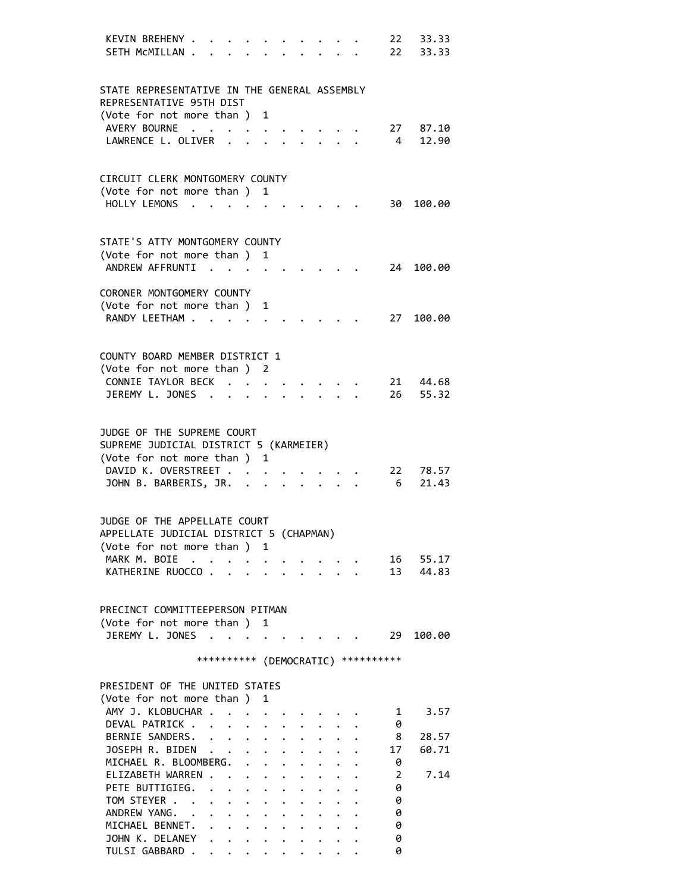| KEVIN BREHENY .                                                      |            |                                                                                                                                                                                                                                                                                                                                                                                                                                                                                                                                       |                                        |                      |                                 |  |                                 |                                     | 22 33.33            |
|----------------------------------------------------------------------|------------|---------------------------------------------------------------------------------------------------------------------------------------------------------------------------------------------------------------------------------------------------------------------------------------------------------------------------------------------------------------------------------------------------------------------------------------------------------------------------------------------------------------------------------------|----------------------------------------|----------------------|---------------------------------|--|---------------------------------|-------------------------------------|---------------------|
| SETH MCMILLAN .                                                      |            |                                                                                                                                                                                                                                                                                                                                                                                                                                                                                                                                       |                                        |                      |                                 |  |                                 |                                     | 22 33.33            |
|                                                                      |            |                                                                                                                                                                                                                                                                                                                                                                                                                                                                                                                                       |                                        |                      |                                 |  |                                 |                                     |                     |
| STATE REPRESENTATIVE IN THE GENERAL ASSEMBLY                         |            |                                                                                                                                                                                                                                                                                                                                                                                                                                                                                                                                       |                                        |                      |                                 |  |                                 |                                     |                     |
| REPRESENTATIVE 95TH DIST                                             |            |                                                                                                                                                                                                                                                                                                                                                                                                                                                                                                                                       |                                        |                      |                                 |  |                                 |                                     |                     |
| (Vote for not more than ) 1                                          |            |                                                                                                                                                                                                                                                                                                                                                                                                                                                                                                                                       |                                        |                      |                                 |  |                                 |                                     |                     |
| AVERY BOURNE<br>LAWRENCE L. OLIVER .                                 |            |                                                                                                                                                                                                                                                                                                                                                                                                                                                                                                                                       | $\mathbf{r} = \mathbf{r} - \mathbf{r}$ |                      |                                 |  |                                 |                                     | 27 87.10<br>4 12.90 |
|                                                                      |            |                                                                                                                                                                                                                                                                                                                                                                                                                                                                                                                                       |                                        |                      |                                 |  |                                 |                                     |                     |
|                                                                      |            |                                                                                                                                                                                                                                                                                                                                                                                                                                                                                                                                       |                                        |                      |                                 |  |                                 |                                     |                     |
| CIRCUIT CLERK MONTGOMERY COUNTY                                      |            |                                                                                                                                                                                                                                                                                                                                                                                                                                                                                                                                       |                                        |                      |                                 |  |                                 |                                     |                     |
| (Vote for not more than ) 1                                          |            |                                                                                                                                                                                                                                                                                                                                                                                                                                                                                                                                       |                                        |                      |                                 |  |                                 |                                     |                     |
| HOLLY LEMONS                                                         |            |                                                                                                                                                                                                                                                                                                                                                                                                                                                                                                                                       |                                        |                      |                                 |  |                                 |                                     | 30 100.00           |
|                                                                      |            |                                                                                                                                                                                                                                                                                                                                                                                                                                                                                                                                       |                                        |                      |                                 |  |                                 |                                     |                     |
| STATE'S ATTY MONTGOMERY COUNTY                                       |            |                                                                                                                                                                                                                                                                                                                                                                                                                                                                                                                                       |                                        |                      |                                 |  |                                 |                                     |                     |
| (Vote for not more than ) 1                                          |            |                                                                                                                                                                                                                                                                                                                                                                                                                                                                                                                                       |                                        |                      |                                 |  |                                 |                                     |                     |
| ANDREW AFFRUNTI                                                      |            |                                                                                                                                                                                                                                                                                                                                                                                                                                                                                                                                       | $\ddot{\phantom{0}}$                   |                      |                                 |  |                                 |                                     | 24 100.00           |
| CORONER MONTGOMERY COUNTY                                            |            |                                                                                                                                                                                                                                                                                                                                                                                                                                                                                                                                       |                                        |                      |                                 |  |                                 |                                     |                     |
| (Vote for not more than ) 1                                          |            |                                                                                                                                                                                                                                                                                                                                                                                                                                                                                                                                       |                                        |                      |                                 |  |                                 |                                     |                     |
| RANDY LEETHAM                                                        |            |                                                                                                                                                                                                                                                                                                                                                                                                                                                                                                                                       |                                        |                      |                                 |  |                                 | 27                                  | 100.00              |
|                                                                      |            |                                                                                                                                                                                                                                                                                                                                                                                                                                                                                                                                       |                                        |                      |                                 |  |                                 |                                     |                     |
|                                                                      |            |                                                                                                                                                                                                                                                                                                                                                                                                                                                                                                                                       |                                        |                      |                                 |  |                                 |                                     |                     |
| COUNTY BOARD MEMBER DISTRICT 1                                       |            |                                                                                                                                                                                                                                                                                                                                                                                                                                                                                                                                       |                                        |                      |                                 |  |                                 |                                     |                     |
| (Vote for not more than ) 2<br>CONNIE TAYLOR BECK                    |            |                                                                                                                                                                                                                                                                                                                                                                                                                                                                                                                                       | $\ddot{\phantom{0}}$                   |                      |                                 |  |                                 |                                     | 21 44.68            |
| JEREMY L. JONES                                                      |            |                                                                                                                                                                                                                                                                                                                                                                                                                                                                                                                                       |                                        |                      |                                 |  | $\cdot$ $\cdot$ $\cdot$ $\cdot$ |                                     | 26 55.32            |
|                                                                      |            |                                                                                                                                                                                                                                                                                                                                                                                                                                                                                                                                       |                                        |                      |                                 |  |                                 |                                     |                     |
|                                                                      |            |                                                                                                                                                                                                                                                                                                                                                                                                                                                                                                                                       |                                        |                      |                                 |  |                                 |                                     |                     |
| JUDGE OF THE SUPREME COURT<br>SUPREME JUDICIAL DISTRICT 5 (KARMEIER) |            |                                                                                                                                                                                                                                                                                                                                                                                                                                                                                                                                       |                                        |                      |                                 |  |                                 |                                     |                     |
| (Vote for not more than ) 1                                          |            |                                                                                                                                                                                                                                                                                                                                                                                                                                                                                                                                       |                                        |                      |                                 |  |                                 |                                     |                     |
| DAVID K. OVERSTREET                                                  |            |                                                                                                                                                                                                                                                                                                                                                                                                                                                                                                                                       |                                        |                      |                                 |  |                                 |                                     | 22 78.57            |
| JOHN B. BARBERIS, JR.                                                |            |                                                                                                                                                                                                                                                                                                                                                                                                                                                                                                                                       |                                        |                      | $\cdot$ $\cdot$ $\cdot$ $\cdot$ |  |                                 | 6                                   | 21.43               |
|                                                                      |            |                                                                                                                                                                                                                                                                                                                                                                                                                                                                                                                                       |                                        |                      |                                 |  |                                 |                                     |                     |
| JUDGE OF THE APPELLATE COURT                                         |            |                                                                                                                                                                                                                                                                                                                                                                                                                                                                                                                                       |                                        |                      |                                 |  |                                 |                                     |                     |
| APPELLATE JUDICIAL DISTRICT 5 (CHAPMAN)                              |            |                                                                                                                                                                                                                                                                                                                                                                                                                                                                                                                                       |                                        |                      |                                 |  |                                 |                                     |                     |
| (Vote for not more than )                                            |            |                                                                                                                                                                                                                                                                                                                                                                                                                                                                                                                                       | 1                                      |                      |                                 |  |                                 |                                     |                     |
| MARK M. BOIE                                                         | $\sim 100$ |                                                                                                                                                                                                                                                                                                                                                                                                                                                                                                                                       |                                        |                      |                                 |  |                                 |                                     | 16 55.17            |
| KATHERINE RUOCCO.                                                    |            |                                                                                                                                                                                                                                                                                                                                                                                                                                                                                                                                       |                                        |                      |                                 |  |                                 |                                     | 13 44.83            |
|                                                                      |            |                                                                                                                                                                                                                                                                                                                                                                                                                                                                                                                                       |                                        |                      |                                 |  |                                 |                                     |                     |
| PRECINCT COMMITTEEPERSON PITMAN                                      |            |                                                                                                                                                                                                                                                                                                                                                                                                                                                                                                                                       |                                        |                      |                                 |  |                                 |                                     |                     |
| (Vote for not more than ) 1                                          |            |                                                                                                                                                                                                                                                                                                                                                                                                                                                                                                                                       |                                        |                      |                                 |  |                                 |                                     |                     |
| JEREMY L. JONES .                                                    |            | $\mathcal{L}(\mathbf{X})$ , and $\mathcal{L}(\mathbf{X})$ , and $\mathcal{L}(\mathbf{X})$                                                                                                                                                                                                                                                                                                                                                                                                                                             |                                        |                      |                                 |  |                                 | 29                                  | 100.00              |
|                                                                      |            |                                                                                                                                                                                                                                                                                                                                                                                                                                                                                                                                       |                                        |                      |                                 |  |                                 | *********** (DEMOCRATIC) ********** |                     |
|                                                                      |            |                                                                                                                                                                                                                                                                                                                                                                                                                                                                                                                                       |                                        |                      |                                 |  |                                 |                                     |                     |
| PRESIDENT OF THE UNITED STATES                                       |            |                                                                                                                                                                                                                                                                                                                                                                                                                                                                                                                                       |                                        |                      |                                 |  |                                 |                                     |                     |
| (Vote for not more than)                                             |            |                                                                                                                                                                                                                                                                                                                                                                                                                                                                                                                                       | 1                                      |                      |                                 |  |                                 |                                     |                     |
| AMY J. KLOBUCHAR .                                                   |            |                                                                                                                                                                                                                                                                                                                                                                                                                                                                                                                                       |                                        |                      |                                 |  |                                 | $\mathbf{1}$                        | 3.57                |
| DEVAL PATRICK .<br>BERNIE SANDERS.                                   |            | $\ddot{\phantom{0}}$<br>$\bullet$ .                                                                                                                                                                                                                                                                                                                                                                                                                                                                                                   |                                        |                      |                                 |  |                                 | 0<br>8                              | 28.57               |
| JOSEPH R. BIDEN                                                      |            |                                                                                                                                                                                                                                                                                                                                                                                                                                                                                                                                       |                                        |                      |                                 |  |                                 | 17                                  | 60.71               |
| MICHAEL R. BLOOMBERG.                                                |            |                                                                                                                                                                                                                                                                                                                                                                                                                                                                                                                                       |                                        |                      |                                 |  |                                 | 0                                   |                     |
| ELIZABETH WARREN                                                     |            |                                                                                                                                                                                                                                                                                                                                                                                                                                                                                                                                       | $\ddot{\phantom{0}}$                   | $\ddot{\phantom{0}}$ |                                 |  |                                 | $\overline{2}$                      | 7.14                |
| PETE BUTTIGIEG.                                                      |            |                                                                                                                                                                                                                                                                                                                                                                                                                                                                                                                                       |                                        | $\ddot{\phantom{0}}$ |                                 |  |                                 | 0                                   |                     |
| TOM STEYER<br>ANDREW YANG. .                                         |            | $\cdot$ $\cdot$ $\cdot$ $\cdot$                                                                                                                                                                                                                                                                                                                                                                                                                                                                                                       |                                        |                      |                                 |  |                                 | 0                                   |                     |
| MICHAEL BENNET. .                                                    |            | $\mathbf{r}^{\prime}=\mathbf{r}^{\prime}+\mathbf{r}^{\prime}+\mathbf{r}^{\prime}+\mathbf{r}^{\prime}+\mathbf{r}^{\prime}+\mathbf{r}^{\prime}+\mathbf{r}^{\prime}+\mathbf{r}^{\prime}+\mathbf{r}^{\prime}+\mathbf{r}^{\prime}+\mathbf{r}^{\prime}+\mathbf{r}^{\prime}+\mathbf{r}^{\prime}+\mathbf{r}^{\prime}+\mathbf{r}^{\prime}+\mathbf{r}^{\prime}+\mathbf{r}^{\prime}+\mathbf{r}^{\prime}+\mathbf{r}^{\prime}+\mathbf{r}^{\prime}+\mathbf{r}^{\prime}$<br>$\mathbf{r} = \mathbf{r} + \mathbf{r}$ , where $\mathbf{r} = \mathbf{r}$ |                                        |                      |                                 |  |                                 | 0<br>0                              |                     |
| JOHN K. DELANEY .                                                    |            | $\bullet$ . $\bullet$                                                                                                                                                                                                                                                                                                                                                                                                                                                                                                                 |                                        |                      |                                 |  |                                 | 0                                   |                     |
| TULSI GABBARD .                                                      |            |                                                                                                                                                                                                                                                                                                                                                                                                                                                                                                                                       |                                        |                      |                                 |  |                                 | 0                                   |                     |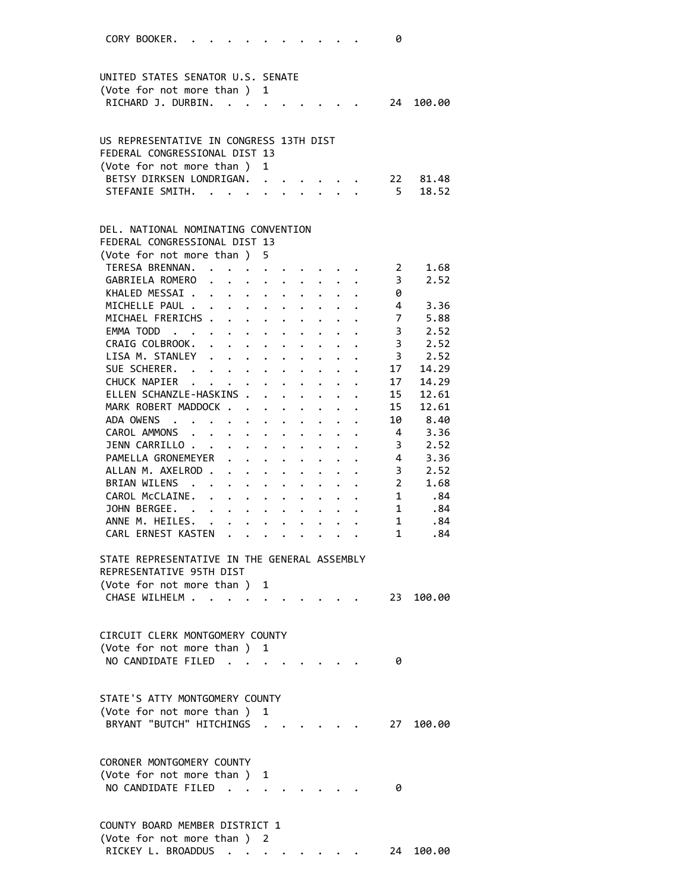| CORY BOOKER.<br>0                                                                                                                                                                                                                                                                                                                                                 |  |
|-------------------------------------------------------------------------------------------------------------------------------------------------------------------------------------------------------------------------------------------------------------------------------------------------------------------------------------------------------------------|--|
| UNITED STATES SENATOR U.S. SENATE                                                                                                                                                                                                                                                                                                                                 |  |
|                                                                                                                                                                                                                                                                                                                                                                   |  |
| (Vote for not more than)<br>1                                                                                                                                                                                                                                                                                                                                     |  |
| RICHARD J. DURBIN.<br>24<br>100.00                                                                                                                                                                                                                                                                                                                                |  |
|                                                                                                                                                                                                                                                                                                                                                                   |  |
| US REPRESENTATIVE IN CONGRESS 13TH DIST                                                                                                                                                                                                                                                                                                                           |  |
| FEDERAL CONGRESSIONAL DIST 13                                                                                                                                                                                                                                                                                                                                     |  |
| (Vote for not more than)<br>1                                                                                                                                                                                                                                                                                                                                     |  |
| BETSY DIRKSEN LONDRIGAN.<br>22<br>81.48                                                                                                                                                                                                                                                                                                                           |  |
| STEFANIE SMITH.<br>$-5$<br>18.52                                                                                                                                                                                                                                                                                                                                  |  |
|                                                                                                                                                                                                                                                                                                                                                                   |  |
| DEL. NATIONAL NOMINATING CONVENTION                                                                                                                                                                                                                                                                                                                               |  |
| FEDERAL CONGRESSIONAL DIST 13                                                                                                                                                                                                                                                                                                                                     |  |
| (Vote for not more than)<br>5.                                                                                                                                                                                                                                                                                                                                    |  |
| TERESA BRENNAN.<br>1.68<br>$\overline{\mathbf{2}}$<br>and the contract of the contract of                                                                                                                                                                                                                                                                         |  |
| GABRIELA ROMERO<br>2.52<br>3<br>$\ddot{\phantom{0}}$<br>$\cdot$ $\cdot$ $\cdot$ $\cdot$                                                                                                                                                                                                                                                                           |  |
| KHALED MESSAI .<br>0<br>$\mathbf{r}$ . The set of $\mathbf{r}$<br>$\mathbf{r} = \mathbf{r} + \mathbf{r}$ .<br>$\ddot{\phantom{0}}$                                                                                                                                                                                                                                |  |
| MICHELLE PAUL .<br>$\overline{4}$<br>3.36<br>$\ddot{\phantom{0}}$                                                                                                                                                                                                                                                                                                 |  |
| $\begin{array}{c} 7 \\ 3 \end{array}$<br>MICHAEL FRERICHS .<br>5.88<br>$\mathbf{L}$<br>$\ddot{\phantom{0}}$                                                                                                                                                                                                                                                       |  |
| 2.52<br>EMMA TODD<br>$\sim$ $-$<br>$\ddot{\phantom{0}}$                                                                                                                                                                                                                                                                                                           |  |
| 3, 2.52<br>CRAIG COLBROOK.<br>$\mathbf{r}$ and $\mathbf{r}$ and $\mathbf{r}$<br>$\mathbf{L}$ and $\mathbf{L}$<br>$\mathbf{L}$<br>$\ddot{\phantom{0}}$                                                                                                                                                                                                             |  |
| LISA M. STANLEY<br>.<br>3, 2.52<br>$\mathbf{r}$                                                                                                                                                                                                                                                                                                                   |  |
| SUE SCHERER. .<br>14.29<br>17<br>$\mathbf{L} = \mathbf{L}$<br>$\cdot$ $\cdot$ $\cdot$ $\cdot$ $\cdot$ $\cdot$ $\cdot$                                                                                                                                                                                                                                             |  |
| CHUCK NAPIER<br>17<br>14.29<br>$\mathbf{r} = \mathbf{r} + \mathbf{r}$ , where $\mathbf{r} = \mathbf{r}$<br>$\ddot{\phantom{a}}$<br>$\ddot{\phantom{0}}$                                                                                                                                                                                                           |  |
| ELLEN SCHANZLE-HASKINS .<br>15<br>12.61<br>$\mathbf{r}$<br>$\cdot$ $\cdot$                                                                                                                                                                                                                                                                                        |  |
| MARK ROBERT MADDOCK.<br>15<br>12.61<br>$\ddot{\bullet}$ . The set of the set of the set of the set of the set of the set of the set of the set of the set of the set of the set of the set of the set of the set of the set of the set of the set of the set of the set of t                                                                                      |  |
| ADA OWENS<br>10<br>8.40<br>$\ddot{\phantom{0}}$                                                                                                                                                                                                                                                                                                                   |  |
| 3.36<br>CAROL AMMONS<br>$\overline{4}$<br>$\sim$<br>$\ddot{\phantom{0}}$                                                                                                                                                                                                                                                                                          |  |
| 2.52<br>JENN CARRILLO.<br>3<br>$\ddot{\phantom{a}}$<br>$\mathbf{1}$ $\mathbf{1}$ $\mathbf{1}$ $\mathbf{1}$<br>$\cdot$ $\cdot$<br>$\mathbf{L}$                                                                                                                                                                                                                     |  |
| 3.36<br>PAMELLA GRONEMEYER<br>4<br>$\sim$ $\sim$<br>$\cdot$ $\cdot$ $\cdot$<br>$\mathbf{L}$ $\mathbf{L}$<br>$\ddot{\phantom{0}}$                                                                                                                                                                                                                                  |  |
| ALLAN M. AXELROD.<br>$3^{\circ}$<br>2.52                                                                                                                                                                                                                                                                                                                          |  |
| $\mathbf{1}$ , $\mathbf{1}$ , $\mathbf{1}$<br>$\ddotsc$<br>$\ddot{\phantom{0}}$<br>$\mathbf{L}^{\text{max}}$<br><b>BRIAN WILENS</b><br>1.68                                                                                                                                                                                                                       |  |
| $\overline{2}$<br>$\ddot{\phantom{0}}$<br>$\ddot{\phantom{0}}$<br>$\cdot$ $\cdot$                                                                                                                                                                                                                                                                                 |  |
| CAROL McCLAINE.<br>$1 \quad \blacksquare$<br>.84<br>$\ddot{\phantom{0}}$<br>$\ddot{\phantom{0}}$<br>$\ddot{\phantom{0}}$<br>$\ddot{\bullet}$ . The set of the set of the set of the set of the set of the set of the set of the set of the set of the set of the set of the set of the set of the set of the set of the set of the set of the set of the set of t |  |
| JOHN BERGEE. .<br>$1 \quad$<br>.84<br>$\sim 100$ km s $^{-1}$                                                                                                                                                                                                                                                                                                     |  |
| ANNE M. HEILES.<br>1<br>.84<br>$\ddot{\phantom{0}}$<br>$\ddot{\phantom{0}}$                                                                                                                                                                                                                                                                                       |  |
| $\mathbf{1}$<br>CARL ERNEST KASTEN<br>.84                                                                                                                                                                                                                                                                                                                         |  |
| STATE REPRESENTATIVE IN THE GENERAL ASSEMBLY<br>REPRESENTATIVE 95TH DIST                                                                                                                                                                                                                                                                                          |  |
| (Vote for not more than)<br>1                                                                                                                                                                                                                                                                                                                                     |  |
| CHASE WILHELM.<br>23 100.00                                                                                                                                                                                                                                                                                                                                       |  |
|                                                                                                                                                                                                                                                                                                                                                                   |  |
|                                                                                                                                                                                                                                                                                                                                                                   |  |
| CIRCUIT CLERK MONTGOMERY COUNTY                                                                                                                                                                                                                                                                                                                                   |  |
| (Vote for not more than) 1                                                                                                                                                                                                                                                                                                                                        |  |
| NO CANDIDATE FILED<br>0                                                                                                                                                                                                                                                                                                                                           |  |
|                                                                                                                                                                                                                                                                                                                                                                   |  |
|                                                                                                                                                                                                                                                                                                                                                                   |  |
| STATE'S ATTY MONTGOMERY COUNTY                                                                                                                                                                                                                                                                                                                                    |  |
| (Vote for not more than)<br>1                                                                                                                                                                                                                                                                                                                                     |  |
| BRYANT "BUTCH" HITCHINGS<br>27<br>100.00                                                                                                                                                                                                                                                                                                                          |  |
|                                                                                                                                                                                                                                                                                                                                                                   |  |
| CORONER MONTGOMERY COUNTY                                                                                                                                                                                                                                                                                                                                         |  |
| (Vote for not more than)<br>1                                                                                                                                                                                                                                                                                                                                     |  |
| NO CANDIDATE FILED<br>0                                                                                                                                                                                                                                                                                                                                           |  |
|                                                                                                                                                                                                                                                                                                                                                                   |  |
|                                                                                                                                                                                                                                                                                                                                                                   |  |
| COUNTY BOARD MEMBER DISTRICT 1                                                                                                                                                                                                                                                                                                                                    |  |
| (Vote for not more than ) 2                                                                                                                                                                                                                                                                                                                                       |  |
| RICKEY L. BROADDUS<br>100.00<br>24                                                                                                                                                                                                                                                                                                                                |  |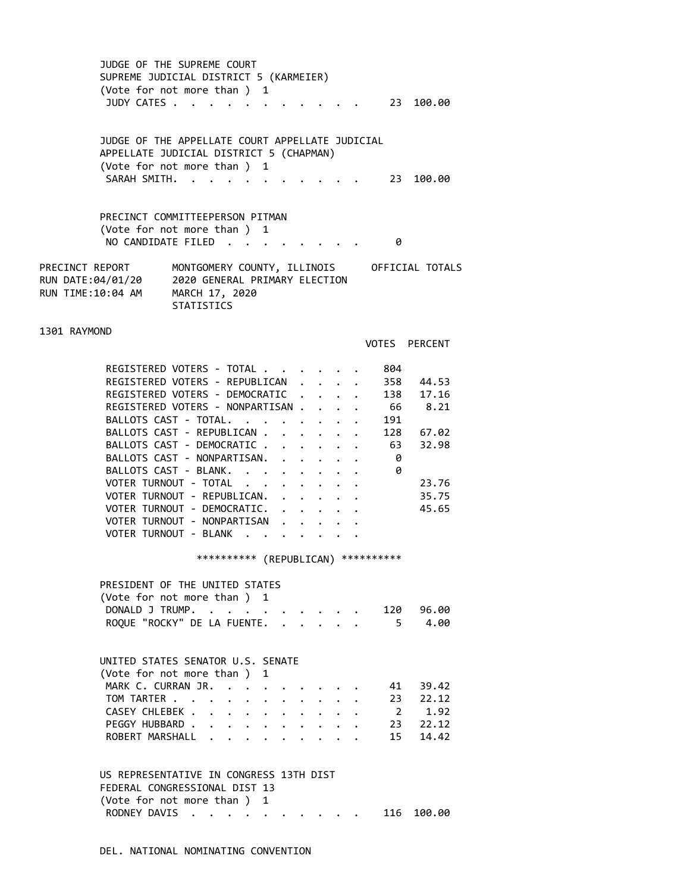JUDGE OF THE SUPREME COURT SUPREME JUDICIAL DISTRICT 5 (KARMEIER) (Vote for not more than ) 1 JUDY CATES . . . . . . . . . . . 23 100.00

 JUDGE OF THE APPELLATE COURT APPELLATE JUDICIAL APPELLATE JUDICIAL DISTRICT 5 (CHAPMAN) (Vote for not more than ) 1 SARAH SMITH. . . . . . . . . . . 23 100.00

 PRECINCT COMMITTEEPERSON PITMAN (Vote for not more than ) 1 NO CANDIDATE FILED . . . . . . . . 0

PRECINCT REPORT MONTGOMERY COUNTY, ILLINOIS OFFICIAL TOTALS RUN DATE:04/01/20 2020 GENERAL PRIMARY ELECTION RUN TIME:10:04 AM MARCH 17, 2020 **STATISTICS** 

1301 RAYMOND

VOTES PERCENT

| REGISTERED VOTERS - TOTAL        |  |  | 804 |       |
|----------------------------------|--|--|-----|-------|
| REGISTERED VOTERS - REPUBLICAN   |  |  | 358 | 44.53 |
| REGISTERED VOTERS - DEMOCRATIC.  |  |  | 138 | 17.16 |
| REGISTERED VOTERS - NONPARTISAN. |  |  | 66  | 8.21  |
| BALLOTS CAST - TOTAL.            |  |  | 191 |       |
| BALLOTS CAST - REPUBLICAN        |  |  | 128 | 67.02 |
| BALLOTS CAST - DEMOCRATIC        |  |  | 63  | 32.98 |
| BALLOTS CAST - NONPARTISAN.      |  |  | 0   |       |
| BALLOTS CAST - BLANK             |  |  | 0   |       |
| VOTER TURNOUT - TOTAL            |  |  |     | 23.76 |
| VOTER TURNOUT - REPUBLICAN.      |  |  |     | 35.75 |
| VOTER TURNOUT - DEMOCRATIC.      |  |  |     | 45.65 |
| VOTER TURNOUT - NONPARTISAN      |  |  |     |       |
| VOTER TURNOUT - BLANK            |  |  |     |       |

\*\*\*\*\*\*\*\*\*\* (REPUBLICAN) \*\*\*\*\*\*\*\*\*\*

| PRESIDENT OF THE UNITED STATES     |  |  |  |
|------------------------------------|--|--|--|
| (Vote for not more than ) 1        |  |  |  |
| DONALD J TRUMP. 120 96.00          |  |  |  |
| ROQUE "ROCKY" DE LA FUENTE. 5 4.00 |  |  |  |

| UNITED STATES SENATOR U.S. SENATE |  |  |  |  |  |  |
|-----------------------------------|--|--|--|--|--|--|
| (Vote for not more than) 1        |  |  |  |  |  |  |
| MARK C. CURRAN JR. 41 39.42       |  |  |  |  |  |  |
| TOM TARTER 23 22.12               |  |  |  |  |  |  |
| CASEY CHLEBEK 2 1.92              |  |  |  |  |  |  |
| PEGGY HUBBARD 23 22.12            |  |  |  |  |  |  |
| ROBERT MARSHALL 15 14.42          |  |  |  |  |  |  |

 US REPRESENTATIVE IN CONGRESS 13TH DIST FEDERAL CONGRESSIONAL DIST 13 (Vote for not more than ) 1 RODNEY DAVIS . . . . . . . . . . 116 100.00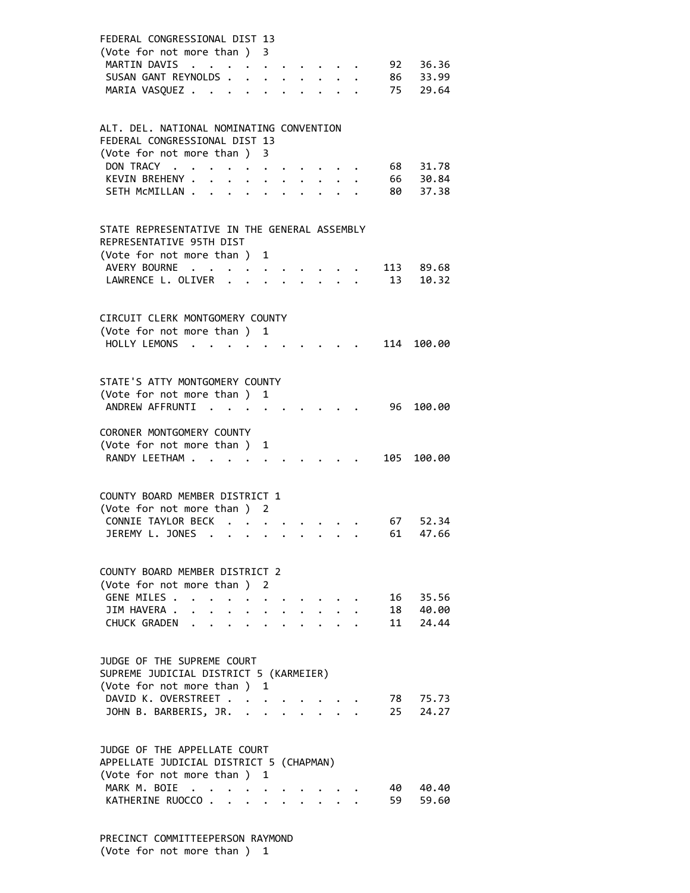| FEDERAL CONGRESSIONAL DIST 13<br>(Vote for not more than) 3<br>MARTIN DAVIS<br>SUSAN GANT REYNOLDS.<br>MARIA VASQUEZ       |                      | $\bullet$ |                      |                         |                           |  |              |                      |
|----------------------------------------------------------------------------------------------------------------------------|----------------------|-----------|----------------------|-------------------------|---------------------------|--|--------------|----------------------|
| ALT. DEL. NATIONAL NOMINATING CONVENTION                                                                                   |                      |           |                      |                         |                           |  |              |                      |
| FEDERAL CONGRESSIONAL DIST 13<br>(Vote for not more than )                                                                 |                      |           |                      |                         |                           |  |              |                      |
| DON TRACY                                                                                                                  |                      |           | 3                    |                         |                           |  |              | 68 31.78             |
| KEVIN BREHENY .                                                                                                            |                      |           |                      |                         |                           |  |              | 66 30.84<br>80 37.38 |
| SETH MCMILLAN .                                                                                                            | $\ddot{\phantom{0}}$ |           |                      |                         |                           |  |              |                      |
| STATE REPRESENTATIVE IN THE GENERAL ASSEMBLY<br>REPRESENTATIVE 95TH DIST                                                   |                      |           |                      |                         |                           |  |              |                      |
| (Vote for not more than) 1<br>AVERY BOURNE                                                                                 |                      |           |                      |                         |                           |  |              | 113 89.68            |
| LAWRENCE L. OLIVER .                                                                                                       |                      |           |                      |                         |                           |  | 13           | 10.32                |
| CIRCUIT CLERK MONTGOMERY COUNTY                                                                                            |                      |           |                      |                         |                           |  |              |                      |
| (Vote for not more than ) 1                                                                                                |                      |           |                      |                         |                           |  |              |                      |
| HOLLY LEMONS                                                                                                               | $\cdot$ .            |           |                      |                         |                           |  | 114          | 100.00               |
|                                                                                                                            |                      |           |                      |                         |                           |  |              |                      |
| STATE'S ATTY MONTGOMERY COUNTY                                                                                             |                      |           |                      |                         |                           |  |              |                      |
| (Vote for not more than ) 1                                                                                                |                      |           |                      |                         |                           |  |              |                      |
| ANDREW AFFRUNTI                                                                                                            | $\sim$ $\sim$        |           |                      |                         |                           |  | 96           | 100.00               |
| CORONER MONTGOMERY COUNTY                                                                                                  |                      |           |                      |                         |                           |  |              |                      |
| (Vote for not more than ) 1                                                                                                |                      |           |                      |                         |                           |  |              |                      |
| RANDY LEETHAM                                                                                                              |                      |           |                      |                         |                           |  | 105          | 100.00               |
|                                                                                                                            |                      |           |                      |                         |                           |  |              |                      |
| COUNTY BOARD MEMBER DISTRICT 1                                                                                             |                      |           |                      |                         |                           |  |              |                      |
| (Vote for not more than ) 2                                                                                                |                      |           |                      |                         |                           |  |              |                      |
| CONNIE TAYLOR BECK<br>JEREMY L. JONES                                                                                      |                      |           | $\ddot{\phantom{a}}$ |                         |                           |  | 67 —<br>61 — | 52.34<br>47.66       |
|                                                                                                                            |                      |           |                      |                         |                           |  |              |                      |
|                                                                                                                            |                      |           |                      |                         |                           |  |              |                      |
| COUNTY BOARD MEMBER DISTRICT 2<br>(Vote for not more than ) 2                                                              |                      |           |                      |                         |                           |  |              |                      |
| GENE MILES                                                                                                                 | $\bullet$            |           |                      |                         |                           |  |              | 16 35.56             |
| JIM HAVERA .                                                                                                               | $\ddot{\phantom{0}}$ |           |                      | $\ddot{\phantom{a}}$    | $\cdot$ $\cdot$ $\cdot$   |  |              | 18 40.00             |
| CHUCK GRADEN                                                                                                               |                      |           |                      |                         | 2.121                     |  |              | 11 24.44             |
| JUDGE OF THE SUPREME COURT<br>SUPREME JUDICIAL DISTRICT 5 (KARMEIER)<br>(Vote for not more than ) 1<br>DAVID K. OVERSTREET |                      |           |                      |                         |                           |  |              | 78 75.73             |
| JOHN B. BARBERIS, JR. .                                                                                                    |                      |           | $\ddot{\phantom{a}}$ | $\sim 100$ km s $^{-1}$ | $\mathbf{r} = \mathbf{r}$ |  | 25           | 24.27                |
|                                                                                                                            |                      |           |                      |                         |                           |  |              |                      |
| JUDGE OF THE APPELLATE COURT                                                                                               |                      |           |                      |                         |                           |  |              |                      |
| APPELLATE JUDICIAL DISTRICT 5 (CHAPMAN)<br>(Vote for not more than ) 1                                                     |                      |           |                      |                         |                           |  |              |                      |
| MARK M. BOIE                                                                                                               |                      |           |                      |                         |                           |  | 40 -         | 40.40                |
| KATHERINE RUOCCO                                                                                                           |                      |           |                      | $\ddot{\phantom{0}}$    |                           |  | 59 —         | 59.60                |
|                                                                                                                            |                      |           |                      |                         |                           |  |              |                      |

 PRECINCT COMMITTEEPERSON RAYMOND (Vote for not more than ) 1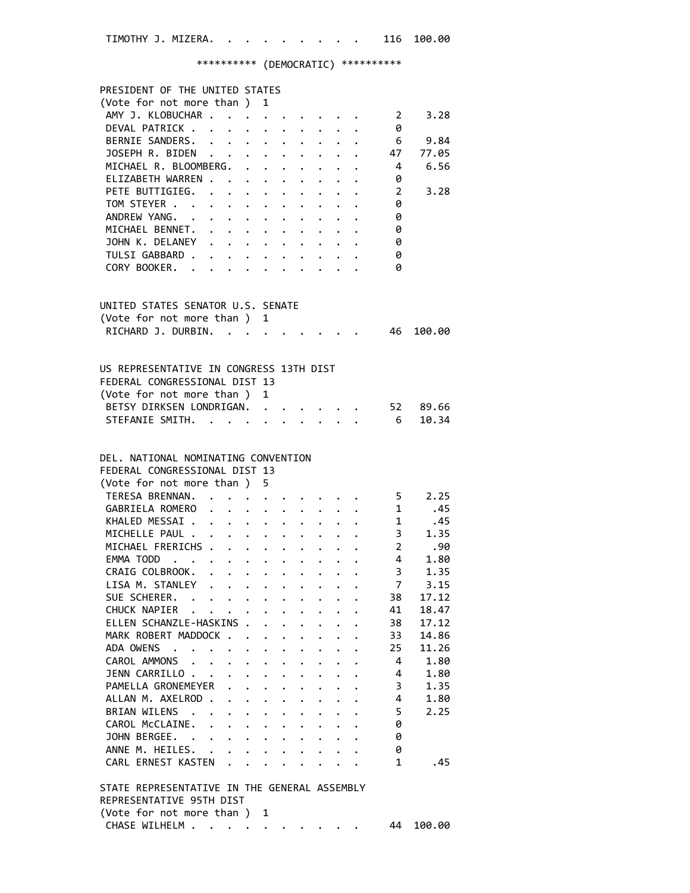TIMOTHY J. MIZERA. . . . . . . . . 116 100.00

\*\*\*\*\*\*\*\*\*\* (DEMOCRATIC) \*\*\*\*\*\*\*\*\*\*

| PRESIDENT OF THE UNITED STATES                                                         |                      |                                                                          |                      |                                                                                                                                                                                 |              |                             |                         |         |
|----------------------------------------------------------------------------------------|----------------------|--------------------------------------------------------------------------|----------------------|---------------------------------------------------------------------------------------------------------------------------------------------------------------------------------|--------------|-----------------------------|-------------------------|---------|
| (Vote for not more than ) 1                                                            |                      |                                                                          |                      |                                                                                                                                                                                 |              |                             |                         |         |
| AMY J. KLOBUCHAR                                                                       |                      |                                                                          |                      |                                                                                                                                                                                 |              |                             | $\overline{\mathbf{2}}$ | 3.28    |
| DEVAL PATRICK                                                                          |                      |                                                                          |                      |                                                                                                                                                                                 |              |                             | 0                       |         |
| BERNIE SANDERS. 6 9.84<br>JOSEPH R. BIDEN 47 77.05                                     |                      |                                                                          |                      |                                                                                                                                                                                 |              |                             |                         |         |
|                                                                                        |                      |                                                                          |                      |                                                                                                                                                                                 |              |                             |                         |         |
| MICHAEL R. BLOOMBERG. 4                                                                |                      |                                                                          |                      |                                                                                                                                                                                 |              |                             |                         | 6.56    |
| ELIZABETH WARREN 0                                                                     |                      |                                                                          |                      |                                                                                                                                                                                 |              |                             |                         |         |
| PETE BUTTIGIEG. 2                                                                      |                      |                                                                          |                      |                                                                                                                                                                                 |              |                             |                         | 3.28    |
| TOM STEYER 0                                                                           |                      |                                                                          |                      |                                                                                                                                                                                 |              |                             |                         |         |
| ANDREW YANG. 0                                                                         |                      |                                                                          |                      |                                                                                                                                                                                 |              |                             |                         |         |
|                                                                                        |                      |                                                                          |                      |                                                                                                                                                                                 |              |                             | $\theta$                |         |
| MICHAEL BENNET.<br>JOHN K. DELANEY                                                     |                      |                                                                          |                      |                                                                                                                                                                                 |              |                             | - 0                     |         |
| TULSI GABBARD                                                                          |                      |                                                                          |                      |                                                                                                                                                                                 |              |                             | - 0                     |         |
| CORY BOOKER.                                                                           |                      |                                                                          |                      |                                                                                                                                                                                 |              |                             | - 0                     |         |
|                                                                                        |                      |                                                                          |                      |                                                                                                                                                                                 |              |                             |                         |         |
|                                                                                        |                      |                                                                          |                      |                                                                                                                                                                                 |              |                             |                         |         |
| UNITED STATES SENATOR U.S. SENATE                                                      |                      |                                                                          |                      |                                                                                                                                                                                 |              |                             |                         |         |
| (Vote for not more than ) 1                                                            |                      |                                                                          |                      |                                                                                                                                                                                 |              |                             |                         |         |
| RICHARD J. DURBIN. 46                                                                  |                      |                                                                          |                      |                                                                                                                                                                                 |              |                             |                         | 100.00  |
|                                                                                        |                      |                                                                          |                      |                                                                                                                                                                                 |              |                             |                         |         |
|                                                                                        |                      |                                                                          |                      |                                                                                                                                                                                 |              |                             |                         |         |
| US REPRESENTATIVE IN CONGRESS 13TH DIST                                                |                      |                                                                          |                      |                                                                                                                                                                                 |              |                             |                         |         |
| FEDERAL CONGRESSIONAL DIST 13                                                          |                      |                                                                          |                      |                                                                                                                                                                                 |              |                             |                         |         |
| (Vote for not more than ) 1                                                            |                      |                                                                          |                      |                                                                                                                                                                                 |              |                             |                         |         |
| BETSY DIRKSEN LONDRIGAN. 52 89.66                                                      |                      |                                                                          |                      |                                                                                                                                                                                 |              |                             |                         |         |
| STEFANIE SMITH.                                                                        |                      |                                                                          |                      |                                                                                                                                                                                 |              | $\mathbf{r}$ , $\mathbf{r}$ |                         | 6 10.34 |
|                                                                                        |                      |                                                                          |                      |                                                                                                                                                                                 |              |                             |                         |         |
|                                                                                        |                      |                                                                          |                      |                                                                                                                                                                                 |              |                             |                         |         |
| DEL. NATIONAL NOMINATING CONVENTION                                                    |                      |                                                                          |                      |                                                                                                                                                                                 |              |                             |                         |         |
| FEDERAL CONGRESSIONAL DIST 13                                                          |                      |                                                                          |                      |                                                                                                                                                                                 |              |                             |                         |         |
| (Vote for not more than ) 5                                                            |                      |                                                                          |                      |                                                                                                                                                                                 |              |                             |                         |         |
| TERESA BRENNAN. 5                                                                      |                      |                                                                          |                      |                                                                                                                                                                                 |              |                             |                         | 2.25    |
| GABRIELA ROMERO 1                                                                      |                      |                                                                          |                      |                                                                                                                                                                                 |              |                             |                         | .45     |
|                                                                                        |                      |                                                                          |                      |                                                                                                                                                                                 |              |                             |                         |         |
| MICHELLE PAUL 45<br>MICHELLE PAUL 3 1.35<br>MICHAEL FRERICHS 2 .90<br>EMMA TODD 4 1.80 |                      |                                                                          |                      |                                                                                                                                                                                 |              |                             |                         |         |
|                                                                                        |                      |                                                                          |                      |                                                                                                                                                                                 |              |                             |                         |         |
|                                                                                        |                      |                                                                          |                      |                                                                                                                                                                                 |              |                             |                         |         |
|                                                                                        |                      |                                                                          |                      |                                                                                                                                                                                 |              |                             | 3 <sup>7</sup>          |         |
| CRAIG COLBROOK.                                                                        |                      |                                                                          |                      |                                                                                                                                                                                 |              |                             |                         | 1.35    |
| LISA M. STANLEY 7                                                                      |                      |                                                                          |                      |                                                                                                                                                                                 |              |                             |                         | 3.15    |
| SUE SCHERER.                                                                           |                      |                                                                          |                      |                                                                                                                                                                                 |              |                             | 38                      | 17.12   |
| CHUCK NAPIER                                                                           |                      |                                                                          |                      |                                                                                                                                                                                 |              |                             | 41                      | 18.47   |
| ELLEN SCHANZLE-HASKINS                                                                 |                      |                                                                          |                      |                                                                                                                                                                                 |              |                             | 38                      | 17.12   |
| MARK ROBERT MADDOCK                                                                    |                      |                                                                          |                      |                                                                                                                                                                                 |              |                             | 33                      | 14.86   |
| ADA OWENS                                                                              |                      | $\mathbf{r} = \mathbf{r} + \mathbf{r}$ , where $\mathbf{r} = \mathbf{r}$ |                      | $\ddotsc$ .                                                                                                                                                                     |              |                             | 25                      | 11.26   |
| CAROL AMMONS                                                                           |                      |                                                                          |                      |                                                                                                                                                                                 | $\mathbf{L}$ | $\ddot{\phantom{0}}$        | 4                       | 1.80    |
| JENN CARRILLO                                                                          |                      |                                                                          |                      |                                                                                                                                                                                 |              |                             | 4                       | 1.80    |
| PAMELLA GRONEMEYER                                                                     |                      |                                                                          |                      |                                                                                                                                                                                 |              |                             | $\overline{\mathbf{3}}$ | 1.35    |
| ALLAN M. AXELROD                                                                       |                      |                                                                          |                      | $\mathbf{r}$ , and $\mathbf{r}$ , and $\mathbf{r}$ , and $\mathbf{r}$                                                                                                           |              |                             | $\overline{4}$          | 1.80    |
| BRIAN WILENS                                                                           |                      |                                                                          |                      | $\begin{array}{cccccccccccccccccc} \bullet & \bullet & \bullet & \bullet & \bullet & \bullet & \bullet & \bullet & \bullet & \bullet & \bullet & \bullet & \bullet \end{array}$ |              |                             | 5 <sup>5</sup>          | 2.25    |
|                                                                                        |                      |                                                                          |                      |                                                                                                                                                                                 |              |                             | 0                       |         |
| CAROL MCCLAINE.                                                                        |                      |                                                                          |                      |                                                                                                                                                                                 |              |                             |                         |         |
| JOHN BERGEE.                                                                           |                      |                                                                          |                      |                                                                                                                                                                                 |              |                             | 0                       |         |
| ANNE M. HEILES. .                                                                      | $\ddot{\phantom{0}}$ |                                                                          |                      | $\mathbf{r} = \mathbf{r} \cdot \mathbf{r}$                                                                                                                                      |              |                             | 0                       |         |
| CARL ERNEST KASTEN                                                                     |                      | $\mathbf{L}$                                                             | $\ddot{\phantom{a}}$ | $\mathbf{r} = \mathbf{r}$                                                                                                                                                       | $\mathbf{L}$ |                             | $\mathbf{1}$            | .45     |
| STATE REPRESENTATIVE IN THE GENERAL ASSEMBLY                                           |                      |                                                                          |                      |                                                                                                                                                                                 |              |                             |                         |         |
| REPRESENTATIVE 95TH DIST                                                               |                      |                                                                          |                      |                                                                                                                                                                                 |              |                             |                         |         |
| (Vote for not more than ) 1                                                            |                      |                                                                          |                      |                                                                                                                                                                                 |              |                             |                         |         |
| CHASE WILHELM                                                                          |                      |                                                                          |                      |                                                                                                                                                                                 |              |                             | 44                      | 100.00  |
|                                                                                        |                      |                                                                          |                      |                                                                                                                                                                                 |              |                             |                         |         |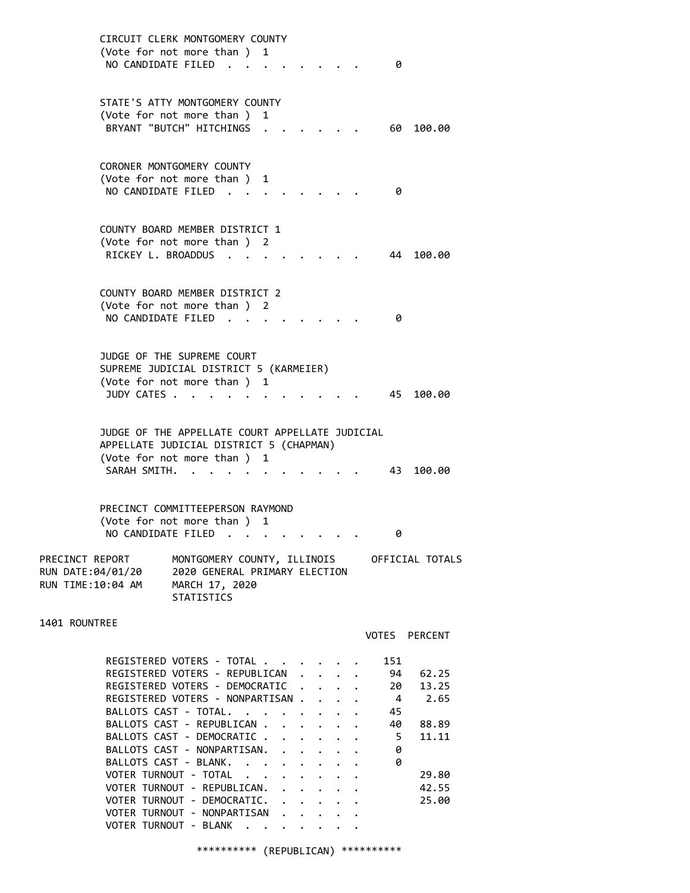CIRCUIT CLERK MONTGOMERY COUNTY (Vote for not more than ) 1 NO CANDIDATE FILED . . . . . . . . 0 STATE'S ATTY MONTGOMERY COUNTY (Vote for not more than ) 1 BRYANT "BUTCH" HITCHINGS . . . . . . 60 100.00 CORONER MONTGOMERY COUNTY (Vote for not more than ) 1 NO CANDIDATE FILED . . . . . . . . 0 COUNTY BOARD MEMBER DISTRICT 1 (Vote for not more than ) 2 RICKEY L. BROADDUS . . . . . . . . 44 100.00 COUNTY BOARD MEMBER DISTRICT 2 (Vote for not more than ) 2 NO CANDIDATE FILED . . . . . . . . 0 JUDGE OF THE SUPREME COURT SUPREME JUDICIAL DISTRICT 5 (KARMEIER) (Vote for not more than ) 1 JUDY CATES . . . . . . . . . . . 45 100.00 JUDGE OF THE APPELLATE COURT APPELLATE JUDICIAL APPELLATE JUDICIAL DISTRICT 5 (CHAPMAN) (Vote for not more than ) 1 SARAH SMITH. . . . . . . . . . . 43 100.00 PRECINCT COMMITTEEPERSON RAYMOND (Vote for not more than ) 1 NO CANDIDATE FILED . . . . . . . . 0 PRECINCT REPORT MONTGOMERY COUNTY, ILLINOIS OFFICIAL TOTALS RUN DATE:04/01/20 2020 GENERAL PRIMARY ELECTION RUN TIME:10:04 AM MARCH 17, 2020 **STATISTICS** 1401 ROUNTREE VOTES PERCENT REGISTERED VOTERS - TOTAL . . . . . . 151 REGISTERED VOTERS - REPUBLICAN . . . . 94 62.25 REGISTERED VOTERS - DEMOCRATIC . . . . 20 13.25 REGISTERED VOTERS - NONPARTISAN . . . . 4 2.65 BALLOTS CAST - TOTAL. . . . . . . . . 45<br>BALLOTS CAST - REPUBLICAN . . . . . . 40 88.89 BALLOTS CAST - REPUBLICAN . . . . . . 40 88.89<br>BALLOTS CAST - DEMOCRATIC . . . . . . 5 11.11<br>BALLOTS CAST - NONPARTISAN. . . . . . 0 BALLOTS CAST - DEMOCRATIC . . . . . . BALLOTS CAST - NONPARTISAN. . . . . . BALLOTS CAST - BLANK. . . . . . . . . 0<br>VOTER TURNOUT - TOTAL . . . . . . . . 29.80 VOTER TURNOUT - TOTAL . . . . . . . VOTER TURNOUT - REPUBLICAN. . . . . . 42.55 VOTER TURNOUT - DEMOCRATIC. . . . . . 25.00 VOTER TURNOUT - NONPARTISAN . . . . . VOTER TURNOUT - BLANK . . . .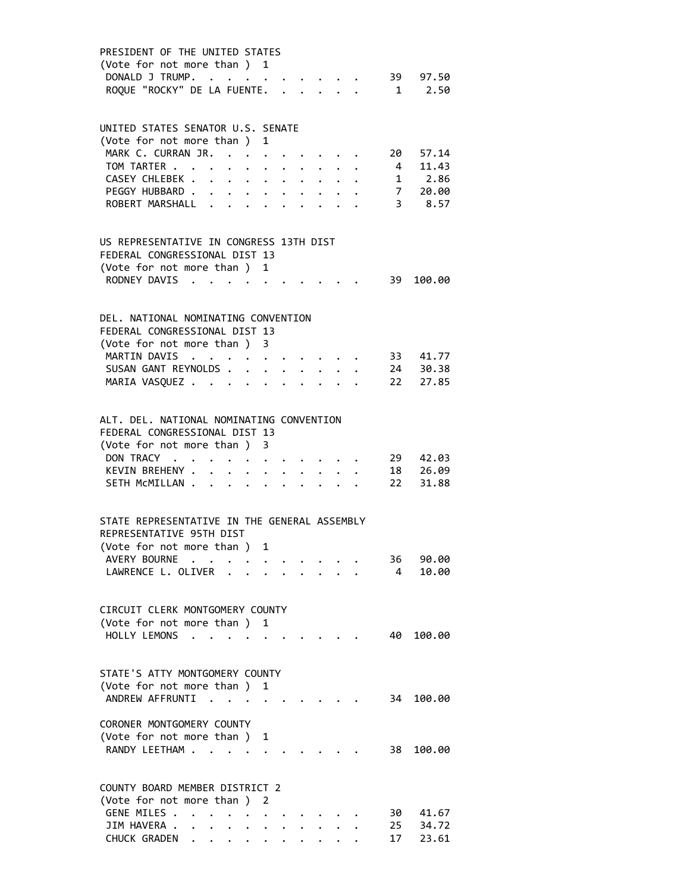| PRESIDENT OF THE UNITED STATES<br>(Vote for not more than ) 1 |                                                                 |                      |                                                 |                      |           |                                                                                                                                                                                                                                 |                |                      |
|---------------------------------------------------------------|-----------------------------------------------------------------|----------------------|-------------------------------------------------|----------------------|-----------|---------------------------------------------------------------------------------------------------------------------------------------------------------------------------------------------------------------------------------|----------------|----------------------|
| DONALD J TRUMP.                                               | $\sim$ $\sim$ $\sim$ $\sim$ $\sim$                              |                      |                                                 |                      |           |                                                                                                                                                                                                                                 |                | . 39 97.50           |
| ROQUE "ROCKY" DE LA FUENTE.                                   |                                                                 |                      |                                                 |                      |           |                                                                                                                                                                                                                                 |                | $1 \t 2.50$          |
|                                                               |                                                                 |                      |                                                 |                      |           |                                                                                                                                                                                                                                 |                |                      |
| UNITED STATES SENATOR U.S. SENATE                             |                                                                 |                      |                                                 |                      |           |                                                                                                                                                                                                                                 |                |                      |
| (Vote for not more than ) 1                                   |                                                                 |                      |                                                 |                      |           |                                                                                                                                                                                                                                 |                |                      |
| MARK C. CURRAN JR.                                            | $\sim$ $\sim$ $\sim$                                            |                      | $\bullet$                                       |                      |           |                                                                                                                                                                                                                                 |                | 20 57.14             |
| TOM TARTER                                                    | $\bullet$ . The set of $\bullet$                                |                      | $\ddot{\phantom{a}}$                            | $\ddot{\phantom{0}}$ |           |                                                                                                                                                                                                                                 |                | 4 11.43              |
| CASEY CHLEBEK                                                 | $\mathcal{A}=\mathcal{A}=\mathcal{A}=\mathcal{A}=\mathcal{A}$ . |                      |                                                 |                      |           |                                                                                                                                                                                                                                 |                | 1 2.86               |
| PEGGY HUBBARD                                                 |                                                                 |                      |                                                 | $\bullet$ .          |           |                                                                                                                                                                                                                                 |                | 7 20.00              |
| ROBERT MARSHALL                                               |                                                                 |                      |                                                 |                      |           |                                                                                                                                                                                                                                 |                | $3$ 8.57             |
|                                                               |                                                                 |                      |                                                 |                      |           |                                                                                                                                                                                                                                 |                |                      |
| US REPRESENTATIVE IN CONGRESS 13TH DIST                       |                                                                 |                      |                                                 |                      |           |                                                                                                                                                                                                                                 |                |                      |
| FEDERAL CONGRESSIONAL DIST 13                                 |                                                                 |                      |                                                 |                      |           |                                                                                                                                                                                                                                 |                |                      |
| (Vote for not more than )                                     |                                                                 |                      | 1                                               |                      |           |                                                                                                                                                                                                                                 |                |                      |
| RODNEY DAVIS<br>$\cdot$ .                                     |                                                                 |                      | $\cdots$                                        |                      |           |                                                                                                                                                                                                                                 | 39             | 100.00               |
|                                                               |                                                                 |                      |                                                 |                      |           |                                                                                                                                                                                                                                 |                |                      |
| DEL. NATIONAL NOMINATING CONVENTION                           |                                                                 |                      |                                                 |                      |           |                                                                                                                                                                                                                                 |                |                      |
| FEDERAL CONGRESSIONAL DIST 13                                 |                                                                 |                      |                                                 |                      |           |                                                                                                                                                                                                                                 |                |                      |
| (Vote for not more than ) 3                                   |                                                                 |                      |                                                 |                      |           |                                                                                                                                                                                                                                 |                |                      |
| MARTIN DAVIS<br>$\sim$ $\sim$                                 |                                                                 |                      |                                                 |                      |           | $\mathbf{r} = \mathbf{r} + \mathbf{r} + \mathbf{r} + \mathbf{r} + \mathbf{r}$                                                                                                                                                   |                | 33 41.77             |
| SUSAN GANT REYNOLDS.<br>MARIA VASQUEZ                         |                                                                 | $\ddot{\phantom{0}}$ | $\cdot$ $\cdot$ $\cdot$<br>$\ddot{\phantom{a}}$ | $\ddot{\phantom{a}}$ | $\bullet$ | $\ddotsc$ . The contract of the contract of the contract of the contract of the contract of the contract of the contract of the contract of the contract of the contract of the contract of the contract of the contract of the |                | 24 30.38<br>22 27.85 |
|                                                               |                                                                 |                      |                                                 |                      |           |                                                                                                                                                                                                                                 |                |                      |
|                                                               |                                                                 |                      |                                                 |                      |           |                                                                                                                                                                                                                                 |                |                      |
| ALT. DEL. NATIONAL NOMINATING CONVENTION                      |                                                                 |                      |                                                 |                      |           |                                                                                                                                                                                                                                 |                |                      |
| FEDERAL CONGRESSIONAL DIST 13<br>(Vote for not more than ) 3  |                                                                 |                      |                                                 |                      |           |                                                                                                                                                                                                                                 |                |                      |
| DON TRACY                                                     |                                                                 | $\bullet$            |                                                 |                      |           | $\begin{array}{cccccccccccccc} \bullet & \bullet & \bullet & \bullet & \bullet & \bullet & \bullet & \bullet & \bullet & \bullet \end{array}$                                                                                   | 29             | 42.03                |
| KEVIN BREHENY .                                               | $\mathbf{L}$<br>$\ddot{\phantom{0}}$                            | $\ddot{\phantom{0}}$ | $\ddot{\phantom{0}}$                            |                      |           |                                                                                                                                                                                                                                 | 18             | 26.09                |
| SETH MCMILLAN                                                 |                                                                 |                      |                                                 |                      |           |                                                                                                                                                                                                                                 | 22             | 31.88                |
|                                                               |                                                                 |                      |                                                 |                      |           |                                                                                                                                                                                                                                 |                |                      |
| STATE REPRESENTATIVE IN THE GENERAL ASSEMBLY                  |                                                                 |                      |                                                 |                      |           |                                                                                                                                                                                                                                 |                |                      |
| REPRESENTATIVE 95TH DIST                                      |                                                                 |                      |                                                 |                      |           |                                                                                                                                                                                                                                 |                |                      |
| (Vote for not more than )                                     |                                                                 |                      | 1                                               |                      |           |                                                                                                                                                                                                                                 |                |                      |
| AVERY BOURNE<br>$\mathbf{r} = \mathbf{r}$                     | $\bullet$                                                       |                      |                                                 |                      |           |                                                                                                                                                                                                                                 | 36             | 90.00                |
| LAWRENCE L. OLIVER .                                          |                                                                 |                      |                                                 |                      |           |                                                                                                                                                                                                                                 | $\overline{4}$ | 10.00                |
|                                                               |                                                                 |                      |                                                 |                      |           |                                                                                                                                                                                                                                 |                |                      |
| CIRCUIT CLERK MONTGOMERY COUNTY                               |                                                                 |                      |                                                 |                      |           |                                                                                                                                                                                                                                 |                |                      |
| (Vote for not more than)                                      |                                                                 |                      | 1                                               |                      |           |                                                                                                                                                                                                                                 |                |                      |
| HOLLY LEMONS                                                  |                                                                 |                      |                                                 |                      |           |                                                                                                                                                                                                                                 | 40             | 100.00               |
|                                                               |                                                                 |                      |                                                 |                      |           |                                                                                                                                                                                                                                 |                |                      |
| STATE'S ATTY MONTGOMERY COUNTY                                |                                                                 |                      |                                                 |                      |           |                                                                                                                                                                                                                                 |                |                      |
| (Vote for not more than)                                      |                                                                 |                      | 1                                               |                      |           |                                                                                                                                                                                                                                 |                |                      |
| ANDREW AFFRUNTI                                               | $\cdots$ $\cdots$                                               |                      |                                                 |                      |           |                                                                                                                                                                                                                                 | 34             | 100.00               |
|                                                               |                                                                 |                      |                                                 |                      |           |                                                                                                                                                                                                                                 |                |                      |
| CORONER MONTGOMERY COUNTY<br>(Vote for not more than ) 1      |                                                                 |                      |                                                 |                      |           |                                                                                                                                                                                                                                 |                |                      |
| RANDY LEETHAM                                                 |                                                                 |                      |                                                 |                      |           |                                                                                                                                                                                                                                 | 38             | 100.00               |
|                                                               |                                                                 |                      |                                                 |                      |           |                                                                                                                                                                                                                                 |                |                      |
|                                                               |                                                                 |                      |                                                 |                      |           |                                                                                                                                                                                                                                 |                |                      |
| COUNTY BOARD MEMBER DISTRICT 2                                |                                                                 |                      |                                                 |                      |           |                                                                                                                                                                                                                                 |                |                      |
| (Vote for not more than)<br>GENE MILES .                      |                                                                 |                      | 2                                               |                      |           |                                                                                                                                                                                                                                 | 30 -           | 41.67                |
| JIM HAVERA .                                                  | $\bullet$ .                                                     |                      |                                                 |                      |           |                                                                                                                                                                                                                                 | 25             | 34.72                |
| CHUCK GRADEN                                                  | $\ddot{\phantom{0}}$                                            |                      |                                                 |                      |           |                                                                                                                                                                                                                                 | 17             | 23.61                |
|                                                               |                                                                 |                      |                                                 |                      |           |                                                                                                                                                                                                                                 |                |                      |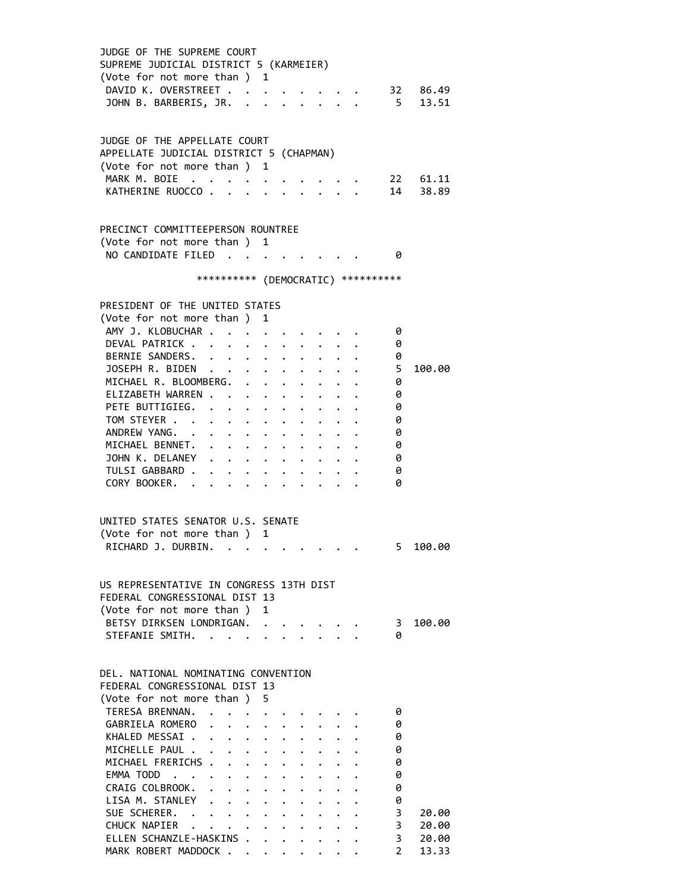| JUDGE OF THE SUPREME COURT<br>SUPREME JUDICIAL DISTRICT 5 (KARMEIER)<br>(Vote for not more than ) 1 |  |                                                                 |  |                                                 |                      |                                     |                |
|-----------------------------------------------------------------------------------------------------|--|-----------------------------------------------------------------|--|-------------------------------------------------|----------------------|-------------------------------------|----------------|
| DAVID K. OVERSTREET 32 86.49<br>JOHN B. BARBERIS, JR. 5 13.51                                       |  |                                                                 |  |                                                 |                      |                                     |                |
| JUDGE OF THE APPELLATE COURT<br>APPELLATE JUDICIAL DISTRICT 5 (CHAPMAN)                             |  |                                                                 |  |                                                 |                      |                                     |                |
| (Vote for not more than ) 1                                                                         |  |                                                                 |  |                                                 |                      |                                     |                |
| MARK M. BOIE $\cdots$                                                                               |  |                                                                 |  |                                                 |                      |                                     | 22 61.11       |
| KATHERINE RUOCCO                                                                                    |  |                                                                 |  |                                                 |                      |                                     | 14 38.89       |
| PRECINCT COMMITTEEPERSON ROUNTREE                                                                   |  |                                                                 |  |                                                 |                      |                                     |                |
| (Vote for not more than ) 1                                                                         |  |                                                                 |  |                                                 |                      |                                     |                |
| NO CANDIDATE FILED 0                                                                                |  |                                                                 |  |                                                 |                      |                                     |                |
|                                                                                                     |  |                                                                 |  |                                                 |                      | *********** (DEMOCRATIC) ********** |                |
| PRESIDENT OF THE UNITED STATES                                                                      |  |                                                                 |  |                                                 |                      |                                     |                |
| (Vote for not more than ) 1                                                                         |  |                                                                 |  |                                                 |                      |                                     |                |
| AMY J. KLOBUCHAR                                                                                    |  |                                                                 |  |                                                 |                      | - 0                                 |                |
| DEVAL PATRICK                                                                                       |  |                                                                 |  |                                                 |                      | 0                                   |                |
| BERNIE SANDERS.                                                                                     |  |                                                                 |  |                                                 |                      | 0                                   |                |
| JOSEPH R. BIDEN                                                                                     |  |                                                                 |  |                                                 |                      | 5                                   | 100.00         |
| MICHAEL R. BLOOMBERG.                                                                               |  |                                                                 |  |                                                 |                      | 0                                   |                |
| ELIZABETH WARREN                                                                                    |  |                                                                 |  |                                                 |                      | 0                                   |                |
| PETE BUTTIGIEG.                                                                                     |  |                                                                 |  |                                                 |                      | 0                                   |                |
| TOM STEYER                                                                                          |  |                                                                 |  |                                                 |                      | 0                                   |                |
| ANDREW YANG.                                                                                        |  |                                                                 |  |                                                 |                      | 0                                   |                |
| MICHAEL BENNET.                                                                                     |  |                                                                 |  |                                                 |                      | 0                                   |                |
| JOHN K. DELANEY                                                                                     |  |                                                                 |  |                                                 |                      | 0                                   |                |
| TULSI GABBARD                                                                                       |  |                                                                 |  |                                                 |                      | 0                                   |                |
| CORY BOOKER.                                                                                        |  |                                                                 |  |                                                 |                      | ø                                   |                |
| UNITED STATES SENATOR U.S. SENATE                                                                   |  |                                                                 |  |                                                 |                      |                                     |                |
| (Vote for not more than ) 1                                                                         |  |                                                                 |  |                                                 |                      |                                     |                |
| RICHARD J. DURBIN.                                                                                  |  |                                                                 |  |                                                 |                      |                                     | 5 100.00       |
|                                                                                                     |  |                                                                 |  |                                                 |                      |                                     |                |
| US REPRESENTATIVE IN CONGRESS 13TH DIST                                                             |  |                                                                 |  |                                                 |                      |                                     |                |
| FEDERAL CONGRESSIONAL DIST 13                                                                       |  |                                                                 |  |                                                 |                      |                                     |                |
| (Vote for not more than ) 1                                                                         |  |                                                                 |  |                                                 |                      |                                     |                |
| BETSY DIRKSEN LONDRIGAN.                                                                            |  |                                                                 |  |                                                 |                      | - 3                                 | 100.00         |
| STEFANIE SMITH.                                                                                     |  |                                                                 |  | $\cdot$ $\cdot$ $\cdot$ $\cdot$ $\cdot$ $\cdot$ |                      | 0                                   |                |
| DEL. NATIONAL NOMINATING CONVENTION                                                                 |  |                                                                 |  |                                                 |                      |                                     |                |
| FEDERAL CONGRESSIONAL DIST 13                                                                       |  |                                                                 |  |                                                 |                      |                                     |                |
| (Vote for not more than ) 5                                                                         |  |                                                                 |  |                                                 |                      |                                     |                |
| TERESA BRENNAN. .                                                                                   |  |                                                                 |  |                                                 |                      | 0                                   |                |
| GABRIELA ROMERO                                                                                     |  |                                                                 |  |                                                 |                      | 0                                   |                |
| KHALED MESSAI<br>MICHELLE PAUL                                                                      |  |                                                                 |  |                                                 |                      | 0                                   |                |
|                                                                                                     |  |                                                                 |  |                                                 | $\ddot{\phantom{0}}$ | 0                                   |                |
| MICHAEL FRERICHS                                                                                    |  |                                                                 |  |                                                 |                      | 0                                   |                |
| EMMA TODD                                                                                           |  |                                                                 |  |                                                 |                      | 0                                   |                |
| CRAIG COLBROOK.<br>LISA M. STANLEY                                                                  |  |                                                                 |  |                                                 |                      | 0                                   |                |
|                                                                                                     |  |                                                                 |  |                                                 |                      | 0                                   |                |
| SUE SCHERER.                                                                                        |  | $\cdot$ $\cdot$ $\cdot$ $\cdot$ $\cdot$ $\cdot$ $\cdot$ $\cdot$ |  |                                                 |                      | 3                                   | 20.00          |
| CHUCK NAPIER<br>ELLEN SCHANZLE-HASKINS                                                              |  |                                                                 |  |                                                 |                      | 3<br>3 <sup>7</sup>                 | 20.00<br>20.00 |
| MARK ROBERT MADDOCK                                                                                 |  |                                                                 |  |                                                 |                      | $2^{\circ}$                         | 13.33          |
|                                                                                                     |  |                                                                 |  |                                                 |                      |                                     |                |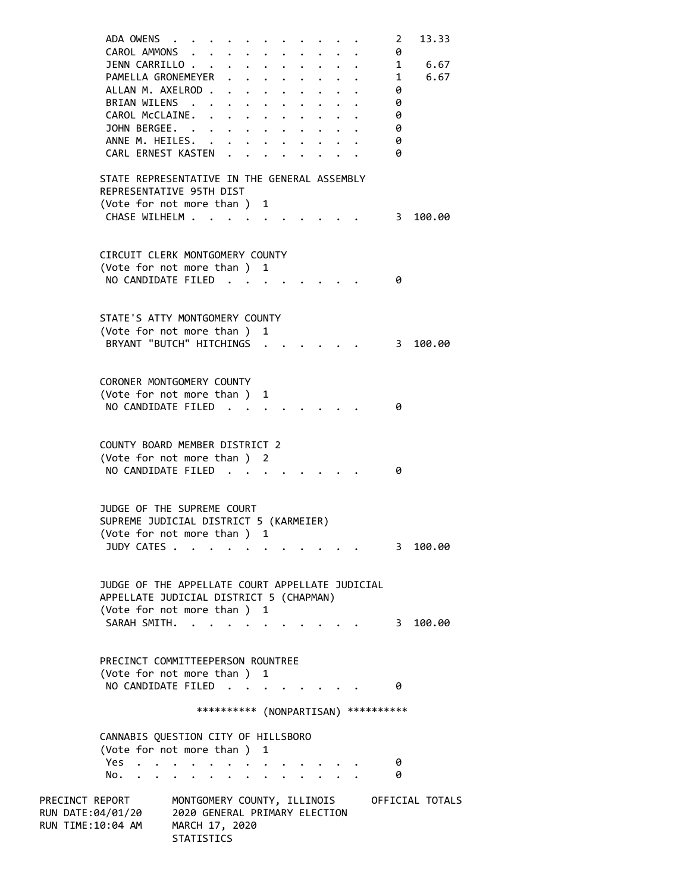|                   | ADA OWENS                                       |                               |               |   |                         |  |                                       | 2            | 13.33           |
|-------------------|-------------------------------------------------|-------------------------------|---------------|---|-------------------------|--|---------------------------------------|--------------|-----------------|
|                   | CAROL AMMONS                                    |                               |               |   |                         |  |                                       | 0            |                 |
|                   | JENN CARRILLO                                   |                               |               |   |                         |  |                                       | $\mathbf{1}$ | 6.67            |
|                   | PAMELLA GRONEMEYER .                            |                               | $\sim$ $\sim$ |   | $\ddot{\phantom{1}}$    |  | $\overline{\phantom{a}}$              |              | 6.67            |
|                   | ALLAN M. AXELROD                                |                               | $\sim$ $\sim$ |   | $\cdot$ $\cdot$ $\cdot$ |  |                                       | $\theta$     |                 |
|                   | BRIAN WILENS                                    |                               |               |   |                         |  |                                       | 0            |                 |
|                   | CAROL McCLAINE.                                 |                               |               |   |                         |  |                                       | 0            |                 |
|                   | JOHN BERGEE.                                    |                               |               |   |                         |  |                                       | 0            |                 |
|                   | ANNE M. HEILES.                                 |                               |               |   |                         |  |                                       | 0            |                 |
|                   | CARL ERNEST KASTEN .                            |                               |               |   |                         |  |                                       | 0            |                 |
|                   |                                                 |                               |               |   |                         |  |                                       |              |                 |
|                   | STATE REPRESENTATIVE IN THE GENERAL ASSEMBLY    |                               |               |   |                         |  |                                       |              |                 |
|                   | REPRESENTATIVE 95TH DIST                        |                               |               |   |                         |  |                                       |              |                 |
|                   | (Vote for not more than) 1                      |                               |               |   |                         |  |                                       |              |                 |
|                   | CHASE WILHELM                                   |                               |               |   |                         |  | $\overline{\phantom{a}}$ 3            |              | 100.00          |
|                   |                                                 |                               |               |   |                         |  |                                       |              |                 |
|                   |                                                 |                               |               |   |                         |  |                                       |              |                 |
|                   | CIRCUIT CLERK MONTGOMERY COUNTY                 |                               |               |   |                         |  |                                       |              |                 |
|                   | (Vote for not more than ) 1                     |                               |               |   |                         |  |                                       |              |                 |
|                   | NO CANDIDATE FILED                              |                               |               |   |                         |  |                                       | 0            |                 |
|                   |                                                 |                               |               |   |                         |  |                                       |              |                 |
|                   |                                                 |                               |               |   |                         |  |                                       |              |                 |
|                   | STATE'S ATTY MONTGOMERY COUNTY                  |                               |               |   |                         |  |                                       |              |                 |
|                   | (Vote for not more than ) 1                     |                               |               |   |                         |  |                                       |              |                 |
|                   | BRYANT "BUTCH" HITCHINGS                        |                               |               |   |                         |  |                                       | 3            | 100.00          |
|                   |                                                 |                               |               |   |                         |  |                                       |              |                 |
|                   |                                                 |                               |               |   |                         |  |                                       |              |                 |
|                   | CORONER MONTGOMERY COUNTY                       |                               |               |   |                         |  |                                       |              |                 |
|                   |                                                 |                               |               |   |                         |  |                                       |              |                 |
|                   | (Vote for not more than ) 1                     |                               |               |   |                         |  |                                       |              |                 |
|                   | NO CANDIDATE FILED                              |                               |               |   |                         |  |                                       | 0            |                 |
|                   |                                                 |                               |               |   |                         |  |                                       |              |                 |
|                   |                                                 |                               |               |   |                         |  |                                       |              |                 |
|                   | COUNTY BOARD MEMBER DISTRICT 2                  |                               |               |   |                         |  |                                       |              |                 |
|                   | (Vote for not more than ) 2                     |                               |               |   |                         |  |                                       |              |                 |
|                   | NO CANDIDATE FILED                              |                               |               |   |                         |  |                                       | 0            |                 |
|                   |                                                 |                               |               |   |                         |  |                                       |              |                 |
|                   |                                                 |                               |               |   |                         |  |                                       |              |                 |
|                   | JUDGE OF THE SUPREME COURT                      |                               |               |   |                         |  |                                       |              |                 |
|                   | SUPREME JUDICIAL DISTRICT 5 (KARMEIER)          |                               |               |   |                         |  |                                       |              |                 |
|                   | (Vote for not more than )                       |                               |               | 1 |                         |  |                                       |              |                 |
|                   | JUDY CATES .                                    |                               |               |   |                         |  |                                       | 3            | 100.00          |
|                   |                                                 |                               |               |   |                         |  |                                       |              |                 |
|                   |                                                 |                               |               |   |                         |  |                                       |              |                 |
|                   | JUDGE OF THE APPELLATE COURT APPELLATE JUDICIAL |                               |               |   |                         |  |                                       |              |                 |
|                   | APPELLATE JUDICIAL DISTRICT 5 (CHAPMAN)         |                               |               |   |                         |  |                                       |              |                 |
|                   | (Vote for not more than)                        |                               |               | 1 |                         |  |                                       |              |                 |
|                   | SARAH SMITH.                                    |                               |               |   |                         |  |                                       | 3            | 100.00          |
|                   |                                                 |                               |               |   |                         |  |                                       |              |                 |
|                   |                                                 |                               |               |   |                         |  |                                       |              |                 |
|                   | PRECINCT COMMITTEEPERSON ROUNTREE               |                               |               |   |                         |  |                                       |              |                 |
|                   | (Vote for not more than) 1                      |                               |               |   |                         |  |                                       |              |                 |
|                   | NO CANDIDATE FILED                              |                               |               |   |                         |  |                                       | 0            |                 |
|                   |                                                 |                               |               |   |                         |  |                                       |              |                 |
|                   |                                                 |                               |               |   |                         |  | *********** (NONPARTISAN) *********** |              |                 |
|                   |                                                 |                               |               |   |                         |  |                                       |              |                 |
|                   | CANNABIS QUESTION CITY OF HILLSBORO             |                               |               |   |                         |  |                                       |              |                 |
|                   | (Vote for not more than ) 1                     |                               |               |   |                         |  |                                       |              |                 |
|                   | <b>Yes</b>                                      |                               |               |   |                         |  |                                       | 0            |                 |
|                   | No.                                             |                               |               |   |                         |  |                                       | 0            |                 |
|                   |                                                 |                               |               |   |                         |  |                                       |              |                 |
| PRECINCT REPORT   |                                                 | MONTGOMERY COUNTY, ILLINOIS   |               |   |                         |  |                                       |              | OFFICIAL TOTALS |
| RUN DATE:04/01/20 |                                                 | 2020 GENERAL PRIMARY ELECTION |               |   |                         |  |                                       |              |                 |
| RUN TIME:10:04 AM |                                                 | MARCH 17, 2020                |               |   |                         |  |                                       |              |                 |
|                   |                                                 | STATISTICS                    |               |   |                         |  |                                       |              |                 |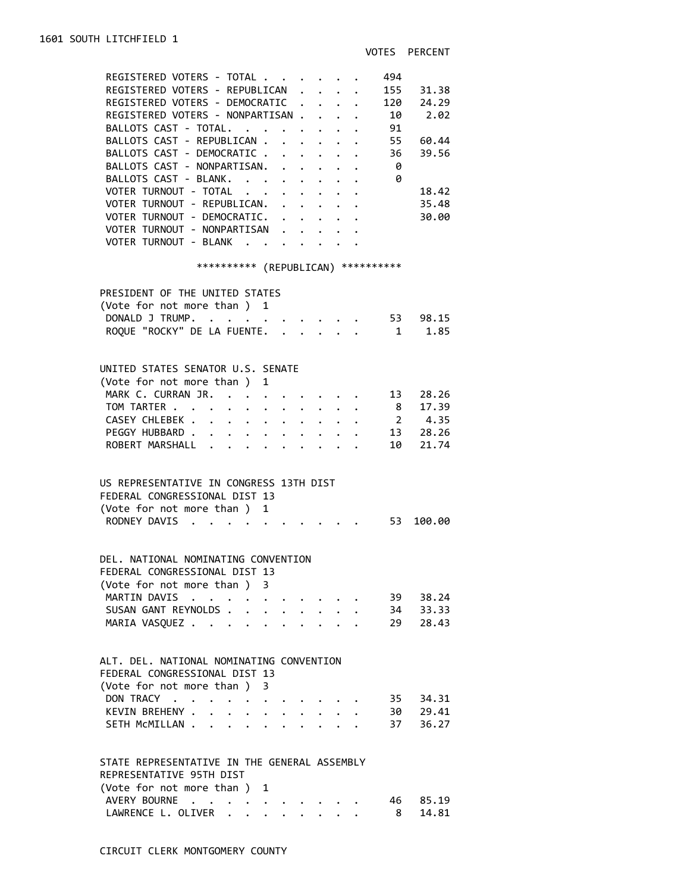| REGISTERED VOTERS - TOTAL<br>REGISTERED VOTERS - REPUBLICAN<br>REGISTERED VOTERS - DEMOCRATIC .<br>REGISTERED VOTERS - NONPARTISAN<br>BALLOTS CAST - TOTAL.<br>BALLOTS CAST - REPUBLICAN .<br>BALLOTS CAST - DEMOCRATIC .                 | 494<br>155 31.38<br>$\mathbf{r}$<br>120 24.29<br>$\ddot{\phantom{0}}$<br>10 2.02<br>91<br>55<br>60.44<br>$\sim$<br>36<br>39.56<br>$\mathbf{r} = \mathbf{r} + \mathbf{r}$ , where $\mathbf{r}$ |
|-------------------------------------------------------------------------------------------------------------------------------------------------------------------------------------------------------------------------------------------|-----------------------------------------------------------------------------------------------------------------------------------------------------------------------------------------------|
| BALLOTS CAST - NONPARTISAN.<br>BALLOTS CAST - BLANK.<br>VOTER TURNOUT - TOTAL<br>VOTER TURNOUT - REPUBLICAN.<br>VOTER TURNOUT - DEMOCRATIC.<br>VOTER TURNOUT - NONPARTISAN                                                                | $\mathbf{r}$ , $\mathbf{r}$ , $\mathbf{r}$ , $\mathbf{r}$<br>- 0<br>- 0<br>18.42<br>35.48<br>$\bullet$ .<br><br><br><br><br><br><br><br><br><br><br><br><br><br>30.00                         |
| VOTER TURNOUT - BLANK                                                                                                                                                                                                                     |                                                                                                                                                                                               |
|                                                                                                                                                                                                                                           | *********** (REPUBLICAN) **********                                                                                                                                                           |
| PRESIDENT OF THE UNITED STATES<br>(Vote for not more than ) 1<br>DONALD J TRUMP.<br>ROQUE "ROCKY" DE LA FUENTE.                                                                                                                           | . 53 98.15<br>1.85<br>$\sim$ 1                                                                                                                                                                |
| UNITED STATES SENATOR U.S. SENATE                                                                                                                                                                                                         |                                                                                                                                                                                               |
| (Vote for not more than ) 1<br>MARK C. CURRAN JR.<br>TOM TARTER 8 17.39<br>CASEY CHLEBEK<br>PEGGY HUBBARD<br>$\mathbf{L} = \mathbf{L}$<br>ROBERT MARSHALL                                                                                 | $\cdot$ $\cdot$ $\cdot$ $\cdot$ $\cdot$ $\cdot$ 13<br>28.26<br>$\frac{1}{2}$ 4.35<br>13 28.26<br>$\cdot$ $\cdot$ $\cdot$ $\cdot$<br>10 21.74                                                  |
| US REPRESENTATIVE IN CONGRESS 13TH DIST<br>FEDERAL CONGRESSIONAL DIST 13<br>(Vote for not more than ) 1                                                                                                                                   |                                                                                                                                                                                               |
| RODNEY DAVIS                                                                                                                                                                                                                              | . 53 100.00                                                                                                                                                                                   |
| DEL, NATIONAL NOMINATING CONVENTION<br>FEDERAL CONGRESSIONAL DIST 13<br>(Vote for not more than ) 3                                                                                                                                       |                                                                                                                                                                                               |
| MARTIN DAVIS<br>SUSAN GANT REYNOLDS.<br>$\ddot{\phantom{a}}$<br>MARIA VASQUEZ                                                                                                                                                             | 39 38.24<br>34 33.33<br>29 28.43<br>$\cdot$ $\cdot$ $\cdot$ $\cdot$ $\cdot$                                                                                                                   |
| ALT. DEL. NATIONAL NOMINATING CONVENTION<br>FEDERAL CONGRESSIONAL DIST 13<br>(Vote for not more than ) 3                                                                                                                                  |                                                                                                                                                                                               |
| DON TRACY<br>$\ddot{\phantom{a}}$<br>$\mathbf{r} = \mathbf{r} + \mathbf{r}$ , where $\mathbf{r} = \mathbf{r}$<br>KEVIN BREHENY .<br>$\mathbf{r}$<br>$\ddot{\phantom{0}}$<br>$\ddot{\phantom{a}}$<br>SETH MCMILLAN<br>$\ddot{\phantom{0}}$ | 35 34.31<br>30 29.41<br>36.27<br>37                                                                                                                                                           |
| STATE REPRESENTATIVE IN THE GENERAL ASSEMBLY<br>REPRESENTATIVE 95TH DIST<br>(Vote for not more than) 1                                                                                                                                    |                                                                                                                                                                                               |
| AVERY BOURNE                                                                                                                                                                                                                              | 46<br>85.19                                                                                                                                                                                   |

LAWRENCE L. OLIVER . . . . . . . . 8 14.81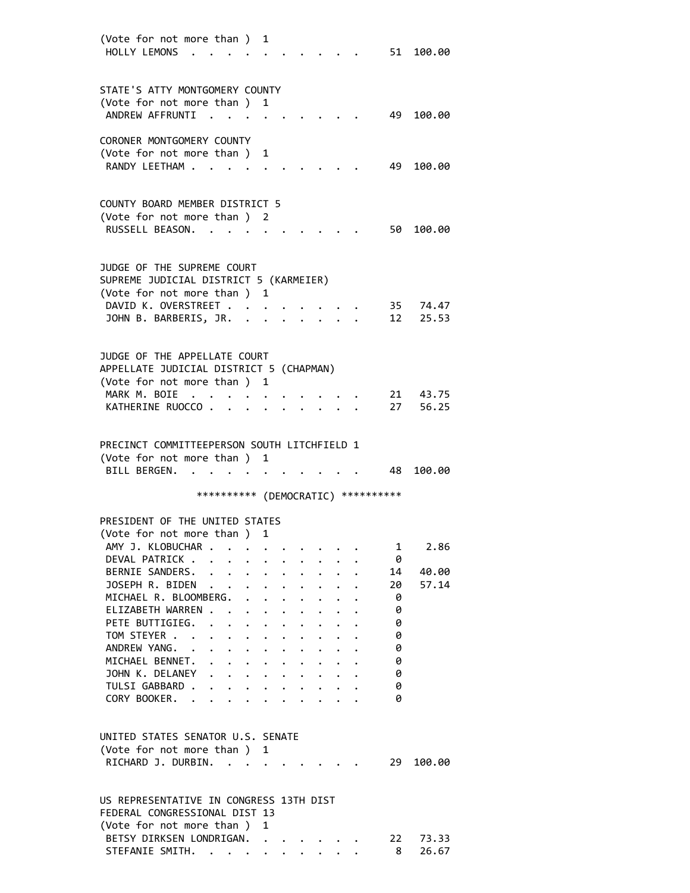| (Vote for not more than )                                                                                          | 1                    |                                                             |                      |           |                           |    |          |
|--------------------------------------------------------------------------------------------------------------------|----------------------|-------------------------------------------------------------|----------------------|-----------|---------------------------|----|----------|
| HOLLY LEMONS                                                                                                       |                      |                                                             |                      |           |                           | 51 | 100.00   |
|                                                                                                                    |                      |                                                             |                      |           |                           |    |          |
|                                                                                                                    |                      |                                                             |                      |           |                           |    |          |
|                                                                                                                    |                      |                                                             |                      |           |                           |    |          |
| STATE'S ATTY MONTGOMERY COUNTY                                                                                     |                      |                                                             |                      |           |                           |    |          |
|                                                                                                                    |                      |                                                             |                      |           |                           |    |          |
| (Vote for not more than)                                                                                           | 1                    |                                                             |                      |           |                           |    |          |
| ANDREW AFFRUNTI                                                                                                    |                      |                                                             |                      |           |                           | 49 | 100.00   |
|                                                                                                                    |                      |                                                             |                      |           |                           |    |          |
| CORONER MONTGOMERY COUNTY                                                                                          |                      |                                                             |                      |           |                           |    |          |
|                                                                                                                    |                      |                                                             |                      |           |                           |    |          |
| (Vote for not more than )                                                                                          | 1                    |                                                             |                      |           |                           |    |          |
| RANDY LEETHAM.                                                                                                     |                      |                                                             |                      |           |                           | 49 | 100.00   |
|                                                                                                                    |                      |                                                             |                      |           |                           |    |          |
|                                                                                                                    |                      |                                                             |                      |           |                           |    |          |
|                                                                                                                    |                      |                                                             |                      |           |                           |    |          |
| COUNTY BOARD MEMBER DISTRICT 5                                                                                     |                      |                                                             |                      |           |                           |    |          |
| (Vote for not more than ) 2                                                                                        |                      |                                                             |                      |           |                           |    |          |
| RUSSELL BEASON.                                                                                                    |                      |                                                             |                      |           |                           | 50 | 100.00   |
|                                                                                                                    |                      |                                                             |                      |           |                           |    |          |
|                                                                                                                    |                      |                                                             |                      |           |                           |    |          |
|                                                                                                                    |                      |                                                             |                      |           |                           |    |          |
| JUDGE OF THE SUPREME COURT                                                                                         |                      |                                                             |                      |           |                           |    |          |
| SUPREME JUDICIAL DISTRICT 5 (KARMEIER)                                                                             |                      |                                                             |                      |           |                           |    |          |
|                                                                                                                    |                      |                                                             |                      |           |                           |    |          |
| (Vote for not more than ) 1                                                                                        |                      |                                                             |                      |           |                           |    |          |
| DAVID K. OVERSTREET.                                                                                               |                      |                                                             |                      |           |                           | 35 | 74.47    |
| JOHN B. BARBERIS, JR.                                                                                              |                      |                                                             |                      |           |                           | 12 | 25.53    |
|                                                                                                                    |                      |                                                             |                      |           |                           |    |          |
|                                                                                                                    |                      |                                                             |                      |           |                           |    |          |
|                                                                                                                    |                      |                                                             |                      |           |                           |    |          |
| JUDGE OF THE APPELLATE COURT                                                                                       |                      |                                                             |                      |           |                           |    |          |
|                                                                                                                    |                      |                                                             |                      |           |                           |    |          |
| APPELLATE JUDICIAL DISTRICT 5 (CHAPMAN)                                                                            |                      |                                                             |                      |           |                           |    |          |
| (Vote for not more than)                                                                                           | 1                    |                                                             |                      |           |                           |    |          |
| MARK M. BOIE<br>$\sim$                                                                                             |                      |                                                             |                      |           |                           |    | 21 43.75 |
| KATHERINE RUOCCO.                                                                                                  |                      |                                                             |                      |           |                           | 27 | 56.25    |
|                                                                                                                    |                      |                                                             |                      |           |                           |    |          |
|                                                                                                                    |                      |                                                             |                      |           |                           |    |          |
|                                                                                                                    |                      |                                                             |                      |           |                           |    |          |
| PRECINCT COMMITTEEPERSON SOUTH LITCHFIELD 1                                                                        |                      |                                                             |                      |           |                           |    |          |
| (Vote for not more than ) 1                                                                                        |                      |                                                             |                      |           |                           |    |          |
|                                                                                                                    |                      |                                                             |                      |           |                           |    |          |
| BILL BERGEN.                                                                                                       |                      |                                                             |                      |           |                           | 48 | 100.00   |
|                                                                                                                    |                      |                                                             |                      |           |                           |    |          |
| *********** (DEMOCRATIC) ***********                                                                               |                      |                                                             |                      |           |                           |    |          |
|                                                                                                                    |                      |                                                             |                      |           |                           |    |          |
|                                                                                                                    |                      |                                                             |                      |           |                           |    |          |
| PRESIDENT OF THE UNITED STATES                                                                                     |                      |                                                             |                      |           |                           |    |          |
| (Vote for not more than )                                                                                          | 1                    |                                                             |                      |           |                           |    |          |
| AMY J. KLOBUCHAR .<br>$\mathcal{L}(\mathcal{A})$ , and $\mathcal{A}(\mathcal{A})$ , and $\mathcal{A}(\mathcal{A})$ |                      |                                                             |                      |           |                           | 1  | 2.86     |
|                                                                                                                    |                      |                                                             |                      |           |                           |    |          |
| DEVAL PATRICK                                                                                                      |                      |                                                             |                      |           |                           | 0  |          |
| BERNIE SANDERS.                                                                                                    |                      | $\bullet$ .<br><br><br><br><br><br><br><br><br><br><br><br> | $\ddot{\phantom{0}}$ |           | $\ddot{\phantom{a}}$      | 14 | 40.00    |
| JOSEPH R. BIDEN                                                                                                    |                      | $\bullet$ .                                                 | $\bullet$ .          | $\bullet$ |                           | 20 | 57.14    |
| MICHAEL R. BLOOMBERG.<br>$\mathbf{r}$                                                                              | $\ddot{\phantom{0}}$ |                                                             |                      |           |                           | 0  |          |
|                                                                                                                    |                      | $\ddot{\phantom{0}}$                                        |                      |           |                           |    |          |
| ELIZABETH WARREN.<br>$\bullet$ .                                                                                   |                      |                                                             |                      |           |                           | 0  |          |
| PETE BUTTIGIEG.<br>$\ddot{\phantom{0}}$                                                                            | $\ddot{\phantom{0}}$ |                                                             |                      |           |                           | 0  |          |
| TOM STEYER<br>$\bullet$ $\bullet$ $\bullet$                                                                        |                      | $\ddot{\phantom{0}}$                                        |                      |           |                           | 0  |          |
|                                                                                                                    |                      |                                                             |                      |           |                           |    |          |
| ANDREW YANG. .<br>$\cdot$ $\cdot$ $\cdot$ $\cdot$ $\cdot$ $\cdot$                                                  |                      |                                                             | $\ddot{\phantom{0}}$ |           |                           | 0  |          |
| MICHAEL BENNET.                                                                                                    |                      |                                                             |                      |           | $\mathbf{L}$ $\mathbf{L}$ | 0  |          |
| JOHN K. DELANEY                                                                                                    |                      |                                                             |                      |           |                           | 0  |          |
| TULSI GABBARD .                                                                                                    |                      |                                                             |                      |           |                           | 0  |          |
|                                                                                                                    |                      | $\cdot$ $\cdot$ $\cdot$ $\cdot$ $\cdot$ $\cdot$ $\cdot$     |                      |           |                           |    |          |
| CORY BOOKER. .                                                                                                     |                      | $\mathbf{r}$ , $\mathbf{r}$ , $\mathbf{r}$ , $\mathbf{r}$   |                      |           |                           | ø  |          |
|                                                                                                                    |                      |                                                             |                      |           |                           |    |          |
|                                                                                                                    |                      |                                                             |                      |           |                           |    |          |
|                                                                                                                    |                      |                                                             |                      |           |                           |    |          |
| UNITED STATES SENATOR U.S. SENATE                                                                                  |                      |                                                             |                      |           |                           |    |          |
| (Vote for not more than ) 1                                                                                        |                      |                                                             |                      |           |                           |    |          |
| RICHARD J. DURBIN.<br>$\cdot$                                                                                      |                      |                                                             |                      |           |                           | 29 | 100.00   |
|                                                                                                                    |                      |                                                             |                      |           |                           |    |          |
|                                                                                                                    |                      |                                                             |                      |           |                           |    |          |
|                                                                                                                    |                      |                                                             |                      |           |                           |    |          |
| US REPRESENTATIVE IN CONGRESS 13TH DIST                                                                            |                      |                                                             |                      |           |                           |    |          |
| FEDERAL CONGRESSIONAL DIST 13                                                                                      |                      |                                                             |                      |           |                           |    |          |
|                                                                                                                    |                      |                                                             |                      |           |                           |    |          |
| (Vote for not more than ) 1<br>BETSY DIRKSEN LONDRIGAN.                                                            |                      |                                                             |                      |           |                           |    |          |
|                                                                                                                    |                      |                                                             |                      |           |                           | 22 | 73.33    |

STEFANIE SMITH. . . . . . . . . . 8 26.67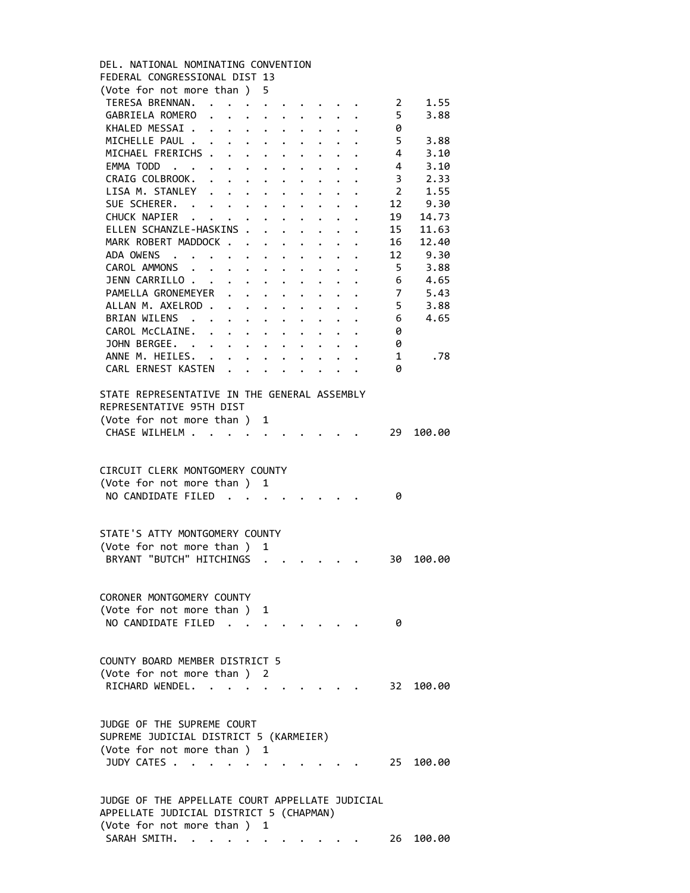| DEL, NATIONAL NOMINATING CONVENTION             |                      |                      |                      |                      |                      |                      |                      |  |                |           |
|-------------------------------------------------|----------------------|----------------------|----------------------|----------------------|----------------------|----------------------|----------------------|--|----------------|-----------|
| FEDERAL CONGRESSIONAL DIST 13                   |                      |                      |                      |                      |                      |                      |                      |  |                |           |
| (Vote for not more than )                       |                      |                      |                      | 5                    |                      |                      |                      |  |                |           |
| TERESA BRENNAN.                                 |                      |                      |                      | $\bullet$            |                      |                      |                      |  | 2              | 1.55      |
| GABRIELA ROMERO                                 | $\ddot{\phantom{a}}$ |                      |                      | $\ddot{\phantom{0}}$ | $\bullet$            |                      |                      |  | 5              | 3.88      |
| KHALED MESSAI.                                  | $\bullet$            | $\bullet$            | $\ddot{\phantom{0}}$ |                      |                      |                      |                      |  | 0              |           |
| MICHELLE PAUL .                                 |                      |                      |                      |                      |                      |                      |                      |  | 5              | 3.88      |
| MICHAEL FRERICHS .                              |                      | $\ddot{\phantom{a}}$ |                      |                      |                      |                      |                      |  | 4              | 3.10      |
| EMMA TODD                                       |                      |                      | $\ddot{\phantom{0}}$ | $\ddot{\phantom{a}}$ |                      |                      |                      |  | 4              | 3.10      |
| CRAIG COLBROOK.                                 |                      |                      | $\ddot{\phantom{0}}$ | $\ddot{\phantom{0}}$ |                      | $\ddot{\phantom{a}}$ |                      |  | 3              | 2.33      |
| LISA M. STANLEY                                 |                      |                      |                      |                      |                      | $\ddot{\phantom{0}}$ |                      |  | $\overline{2}$ | 1.55      |
| SUE SCHERER.                                    |                      |                      |                      |                      |                      |                      |                      |  | 12             | 9.30      |
| CHUCK NAPIER                                    | $\ddot{\phantom{a}}$ | $\ddot{\phantom{a}}$ | $\bullet$ .          | $\ddot{\phantom{0}}$ | $\bullet$            | $\bullet$            |                      |  | 19             | 14.73     |
|                                                 | $\ddot{\phantom{a}}$ |                      |                      |                      | $\ddot{\phantom{0}}$ | $\bullet$            |                      |  |                |           |
| ELLEN SCHANZLE-HASKINS .                        |                      |                      |                      |                      |                      | $\ddot{\phantom{0}}$ |                      |  | 15             | 11.63     |
| MARK ROBERT MADDOCK .                           |                      |                      |                      |                      |                      |                      |                      |  | 16             | 12.40     |
| ADA OWENS.                                      |                      |                      |                      |                      |                      |                      |                      |  | 12             | 9.30      |
| CAROL AMMONS                                    |                      |                      |                      | $\ddot{\phantom{0}}$ |                      |                      |                      |  | 5              | 3.88      |
| JENN CARRILLO.                                  | $\sim$ $\sim$        |                      | $\ddot{\phantom{a}}$ | $\ddot{\phantom{0}}$ |                      |                      |                      |  | 6              | 4.65      |
| PAMELLA GRONEMEYER                              |                      |                      |                      |                      |                      | $\ddot{\phantom{0}}$ | $\ddot{\phantom{0}}$ |  | 7              | 5.43      |
| ALLAN M. AXELROD.                               |                      |                      |                      | $\ddot{\phantom{0}}$ | $\ddot{\phantom{a}}$ | $\bullet$            | $\bullet$            |  | 5              | 3.88      |
| BRIAN WILENS                                    |                      | $\bullet$            |                      | $\ddot{\phantom{0}}$ | $\bullet$            | $\bullet$            |                      |  | 6              | 4.65      |
| CAROL McCLAINE.                                 | $\bullet$            | $\ddot{\phantom{0}}$ | $\bullet$            |                      |                      |                      |                      |  | 0              |           |
| JOHN BERGEE. .                                  | $\bullet$            |                      |                      |                      |                      |                      |                      |  | 0              |           |
| ANNE M. HEILES.                                 |                      |                      |                      |                      |                      |                      |                      |  | 1              | .78       |
| CARL ERNEST KASTEN                              |                      |                      |                      |                      |                      |                      |                      |  | 0              |           |
|                                                 |                      |                      |                      |                      |                      |                      |                      |  |                |           |
| STATE REPRESENTATIVE IN THE GENERAL ASSEMBLY    |                      |                      |                      |                      |                      |                      |                      |  |                |           |
| REPRESENTATIVE 95TH DIST                        |                      |                      |                      |                      |                      |                      |                      |  |                |           |
| (Vote for not more than )                       |                      |                      |                      | 1                    |                      |                      |                      |  |                |           |
| CHASE WILHELM                                   |                      | $\ddot{\phantom{a}}$ |                      |                      |                      |                      |                      |  | 29             | 100.00    |
|                                                 |                      |                      |                      |                      |                      |                      |                      |  |                |           |
|                                                 |                      |                      |                      |                      |                      |                      |                      |  |                |           |
| CIRCUIT CLERK MONTGOMERY COUNTY                 |                      |                      |                      |                      |                      |                      |                      |  |                |           |
| (Vote for not more than ) 1                     |                      |                      |                      |                      |                      |                      |                      |  |                |           |
| NO CANDIDATE FILED                              |                      | $\overline{a}$       |                      | $\cdot$ .            |                      |                      |                      |  | 0              |           |
|                                                 |                      |                      | $\ddot{\phantom{a}}$ |                      |                      |                      |                      |  |                |           |
|                                                 |                      |                      |                      |                      |                      |                      |                      |  |                |           |
|                                                 |                      |                      |                      |                      |                      |                      |                      |  |                |           |
| STATE'S ATTY MONTGOMERY COUNTY                  |                      |                      |                      |                      |                      |                      |                      |  |                |           |
| (Vote for not more than)                        |                      |                      |                      | 1                    |                      |                      |                      |  |                |           |
| BRYANT "BUTCH" HITCHINGS                        |                      |                      |                      |                      |                      |                      |                      |  | 30             | 100.00    |
|                                                 |                      |                      |                      |                      |                      |                      |                      |  |                |           |
|                                                 |                      |                      |                      |                      |                      |                      |                      |  |                |           |
| CORONER MONTGOMERY COUNTY                       |                      |                      |                      |                      |                      |                      |                      |  |                |           |
| (Vote for not more than )                       |                      |                      |                      | 1                    |                      |                      |                      |  |                |           |
| NO CANDIDATE FILED.                             |                      |                      |                      |                      |                      |                      |                      |  | 0              |           |
|                                                 |                      |                      |                      |                      |                      |                      |                      |  |                |           |
|                                                 |                      |                      |                      |                      |                      |                      |                      |  |                |           |
| COUNTY BOARD MEMBER DISTRICT 5                  |                      |                      |                      |                      |                      |                      |                      |  |                |           |
| (Vote for not more than) 2                      |                      |                      |                      |                      |                      |                      |                      |  |                |           |
| RICHARD WENDEL. .                               |                      |                      |                      |                      |                      |                      |                      |  |                | 32 100.00 |
|                                                 |                      |                      |                      |                      |                      |                      |                      |  |                |           |
|                                                 |                      |                      |                      |                      |                      |                      |                      |  |                |           |
| JUDGE OF THE SUPREME COURT                      |                      |                      |                      |                      |                      |                      |                      |  |                |           |
| SUPREME JUDICIAL DISTRICT 5 (KARMEIER)          |                      |                      |                      |                      |                      |                      |                      |  |                |           |
| (Vote for not more than ) 1                     |                      |                      |                      |                      |                      |                      |                      |  |                |           |
| JUDY CATES                                      |                      |                      |                      |                      |                      |                      |                      |  |                | 25 100.00 |
|                                                 |                      |                      |                      |                      |                      |                      |                      |  |                |           |
|                                                 |                      |                      |                      |                      |                      |                      |                      |  |                |           |
| JUDGE OF THE APPELLATE COURT APPELLATE JUDICIAL |                      |                      |                      |                      |                      |                      |                      |  |                |           |
| APPELLATE JUDICIAL DISTRICT 5 (CHAPMAN)         |                      |                      |                      |                      |                      |                      |                      |  |                |           |
| (Vote for not more than ) 1                     |                      |                      |                      |                      |                      |                      |                      |  |                |           |
|                                                 |                      |                      |                      |                      |                      |                      |                      |  |                |           |

SARAH SMITH. . . . . . . . . . . 26 100.00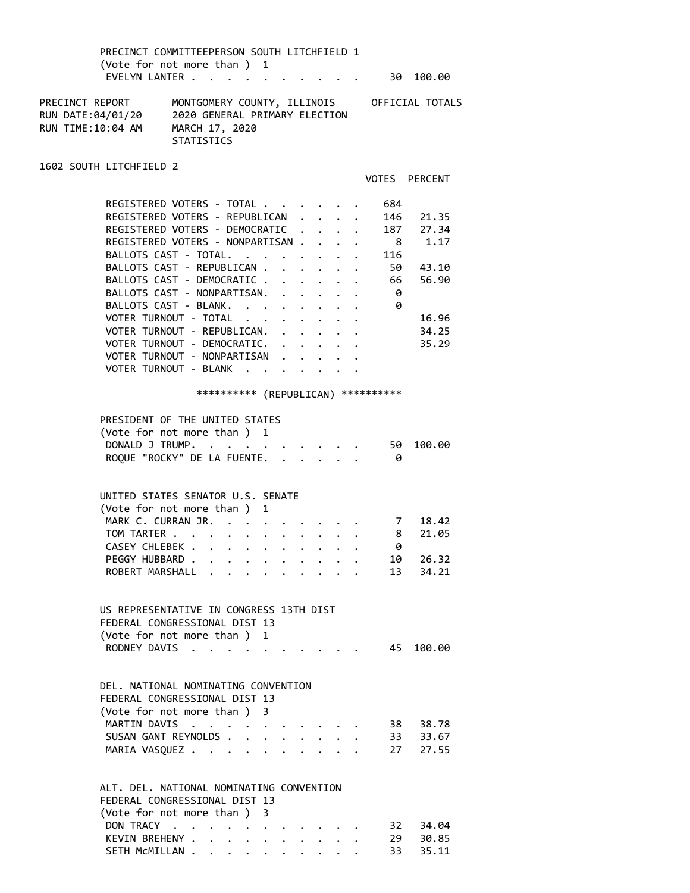PRECINCT COMMITTEEPERSON SOUTH LITCHFIELD 1 (Vote for not more than ) 1 EVELYN LANTER . . . . . . . . . . . 30 100.00 PRECINCT REPORT MONTGOMERY COUNTY, ILLINOIS OFFICIAL TOTALS RUN DATE:04/01/20 2020 GENERAL PRIMARY ELECTION RUN TIME:10:04 AM MARCH 17, 2020 **STATISTICS** 1602 SOUTH LITCHFIELD 2 VOTES PERCENT REGISTERED VOTERS - TOTAL . . . . . . 684 REGISTERED VOTERS - REPUBLICAN . . . . 146 21.35 REGISTERED VOTERS - DEMOCRATIC . . . . 187 27.34 REGISTERED VOTERS - NONPARTISAN . . . . 8 1.17<br>BALLOTS CAST - TOTAL. . . . . . . . 116 BALLOTS CAST - TOTAL. . . . . . . . 116 BALLOTS CAST - REPUBLICAN . . . . . . 50 43.10 BALLOTS CAST - DEMOCRATIC . . . . . . 66 56.90 BALLOTS CAST - NONPARTISAN. . . . . . 0 BALLOTS CAST - BLANK. . . . . . . . . 0 VOTER TURNOUT - TOTAL . . . . . . . 16.96 VOTER TURNOUT - REPUBLICAN. . . . . . 34.25 VOTER TURNOUT - DEMOCRATIC. . . . . . 35.29 VOTER TURNOUT - NONPARTISAN . . . . . VOTER TURNOUT - BLANK . . . . . . \*\*\*\*\*\*\*\*\*\* (REPUBLICAN) \*\*\*\*\*\*\*\*\*\* PRESIDENT OF THE UNITED STATES (Vote for not more than ) 1 DONALD J TRUMP. . . . . . . . . . 50 100.00 ROQUE "ROCKY" DE LA FUENTE. . . . . . 0 UNITED STATES SENATOR U.S. SENATE (Vote for not more than ) 1 MARK C. CURRAN JR. . . . . . . . . . 7 18.42<br>TOM TARTER . . . . . . . . . . . 8 21.05 TOM TARTER . . . . . . . . . . . . 8<br>CASEY CHLEBEK . . . . . . . . . . . 0 CASEY CHLEBEK . . . . . . . . . . . 0<br>PEGGY HUBBARD . . . . . . . . . . 10 26.32 PEGGY HUBBARD . . . . . . . . . . 10 26.32 ROBERT MARSHALL . . . . . . . . . 13 34.21 US REPRESENTATIVE IN CONGRESS 13TH DIST FEDERAL CONGRESSIONAL DIST 13 (Vote for not more than ) 1 RODNEY DAVIS . . . . . . . . . . 45 100.00 DEL. NATIONAL NOMINATING CONVENTION FEDERAL CONGRESSIONAL DIST 13 (Vote for not more than ) 3 MARTIN DAVIS . . . . . . . . . . 38 38.78<br>SUSAN GANT REYNOLDS . . . . . . . . 33 33.67<br>MARTA VASOUEZ SUSAN GANT REYNOLDS . . . . . . . . 33 33.67 MARIA VASQUEZ . . . . . . . . . . 27 27.55 ALT. DEL. NATIONAL NOMINATING CONVENTION FEDERAL CONGRESSIONAL DIST 13 (Vote for not more than ) 3 DON TRACY . . . . . . . . . . . 32 34.04<br>KEVIN BREHENY . . . . . . . . . . 29 30.85 KEVIN BREHENY . . . . . . . . . . 29 30.85

SETH MCMILLAN . . . . . . . . . . 33 35.11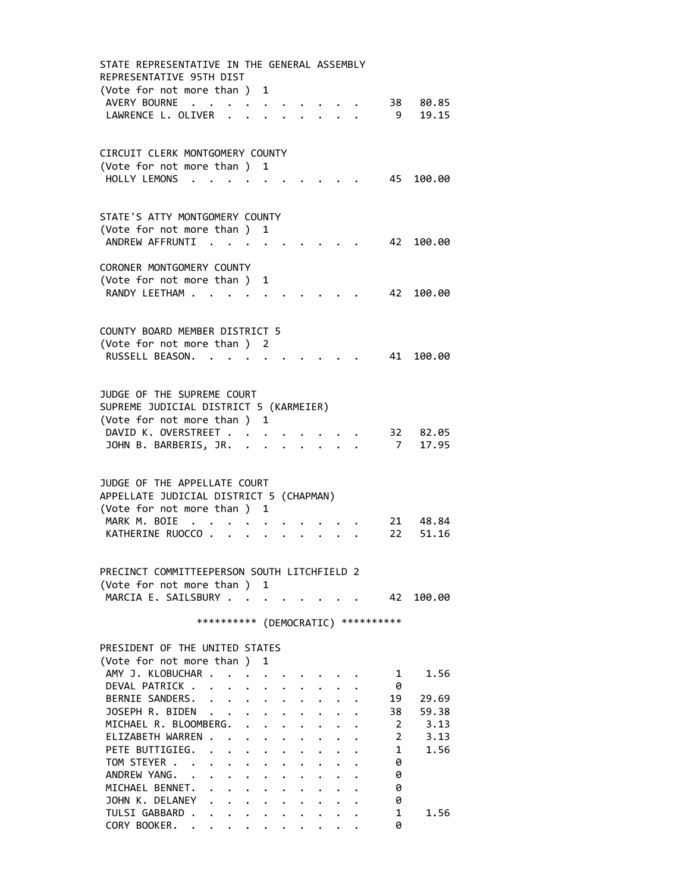STATE REPRESENTATIVE IN THE GENERAL ASSEMBLY REPRESENTATIVE 95TH DIST (Vote for not more than ) 1 AVERY BOURNE . . . . . . . . . . 38 80.85 LAWRENCE L. OLIVER . . . . . . . . 9 19.15 CIRCUIT CLERK MONTGOMERY COUNTY (Vote for not more than ) 1 HOLLY LEMONS . . . . . . . . . . 45 100.00 STATE'S ATTY MONTGOMERY COUNTY (Vote for not more than ) 1 ANDREW AFFRUNTI . . . . . . . . . 42 100.00 CORONER MONTGOMERY COUNTY (Vote for not more than ) 1 RANDY LEETHAM . . . . . . . . . . . 42 100.00 COUNTY BOARD MEMBER DISTRICT 5 (Vote for not more than ) 2 RUSSELL BEASON. . . . . . . . . . 41 100.00 JUDGE OF THE SUPREME COURT SUPREME JUDICIAL DISTRICT 5 (KARMEIER) (Vote for not more than ) 1 DAVID K. OVERSTREET . . . . . . . . 32 82.05 JOHN B. BARBERIS, JR. . . . . . . . 7 17.95 JUDGE OF THE APPELLATE COURT APPELLATE JUDICIAL DISTRICT 5 (CHAPMAN) (Vote for not more than ) 1 MARK M. BOIE . . . . . . . . . . . 21 48.84<br>KATHERINE RUOCCO . . . . . . . . . 22 51.16 KATHERINE RUOCCO . . . . . . . . . PRECINCT COMMITTEEPERSON SOUTH LITCHFIELD 2 (Vote for not more than ) 1 MARCIA E. SAILSBURY . . . . . . . . . 42 100.00 \*\*\*\*\*\*\*\*\*\* (DEMOCRATIC) \*\*\*\*\*\*\*\*\*\* PRESIDENT OF THE UNITED STATES (Vote for not more than ) 1 AMY J. KLOBUCHAR . . . . . . . . . . 1 1.56 DEVAL PATRICK . . . . . . . . . . 0 BERNIE SANDERS. . . . . . . . . . 19 29.69 JOSEPH R. BIDEN . . . . . . . . . . 38 59.38 MICHAEL R. BLOOMBERG. . . . . . . . 2 3.13 ELIZABETH WARREN . . . . . . . . . 2 3.13 PETE BUTTIGIEG. . . . . . . . . . 1 1.56 TOM STEYER . . . . . . . . . . . 0 ANDREW YANG. . . . . . . . . . . 0 MICHAEL BENNET. . . . . . . . . . 0 JOHN K. DELANEY . . . . . . . . . 0 TULSI GABBARD . . . . . . . . . . 1 1.56 CORY BOOKER. . . . . . . . . . . 0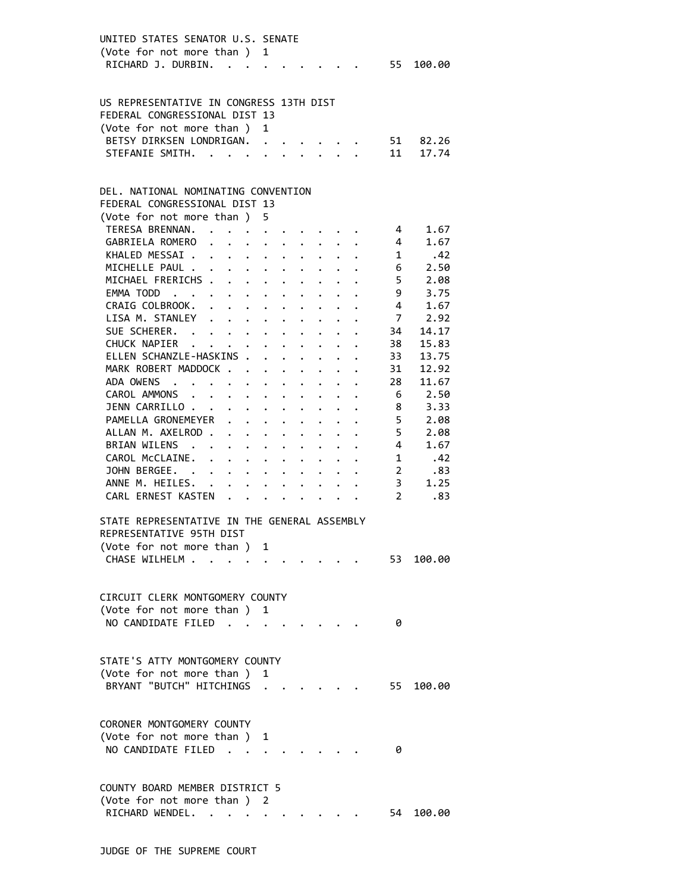| UNITED STATES SENATOR U.S. SENATE<br>(Vote for not more than ) 1<br>RICHARD J. DURBIN. 55 100.00                                                       |                                                                    |   |                      |                                 |                                                                       |                                                                                         |                                                                   |                                          |
|--------------------------------------------------------------------------------------------------------------------------------------------------------|--------------------------------------------------------------------|---|----------------------|---------------------------------|-----------------------------------------------------------------------|-----------------------------------------------------------------------------------------|-------------------------------------------------------------------|------------------------------------------|
| US REPRESENTATIVE IN CONGRESS 13TH DIST<br>FEDERAL CONGRESSIONAL DIST 13<br>(Vote for not more than ) 1<br>BETSY DIRKSEN LONDRIGAN.<br>STEFANIE SMITH. |                                                                    |   |                      |                                 |                                                                       |                                                                                         | 51<br>11                                                          | 82.26<br>17.74                           |
| DEL. NATIONAL NOMINATING CONVENTION<br>FEDERAL CONGRESSIONAL DIST 13<br>(Vote for not more than ) 5<br>TERESA BRENNAN. 4<br>GABRIELA ROMERO            |                                                                    |   |                      |                                 |                                                                       | . 4                                                                                     |                                                                   | 1.67<br>1.67                             |
| KHALED MESSAI. 1<br>MICHELLE PAUL<br>MICHAEL FRERICHS<br>EMMA TODD<br>CRAIG COLBROOK.                                                                  | $\mathbf{r} = \mathbf{r} + \mathbf{r} + \mathbf{r} + \mathbf{r}$ . |   | $\ddot{\phantom{0}}$ |                                 |                                                                       |                                                                                         | $6\overline{6}$<br>5 <sub>5</sub><br>- 9<br>$\overline{4}$        | .42<br>2.50<br>2.08<br>3.75<br>1.67      |
| LISA M. STANLEY<br>SUE SCHERER.<br>CHUCK NAPIER<br>ELLEN SCHANZLE-HASKINS .<br>MARK ROBERT MADDOCK                                                     |                                                                    |   |                      |                                 |                                                                       | $\mathbf{r}$ , $\mathbf{r}$ , $\mathbf{r}$ , $\mathbf{r}$ , $\mathbf{r}$ , $\mathbf{r}$ | $\overline{7}$<br>34<br>38<br>33<br>31                            | 2.92<br>14.17<br>15.83<br>13.75<br>12.92 |
| ADA OWENS<br>CAROL AMMONS<br>JENN CARRILLO<br>PAMELLA GRONEMEYER<br>ALLAN M. AXELROD                                                                   |                                                                    |   | $\ddot{\phantom{0}}$ | $\cdot$ $\cdot$ $\cdot$ $\cdot$ | $\bullet$ , $\bullet$ , $\bullet$ , $\bullet$ , $\bullet$ , $\bullet$ |                                                                                         | 28<br>$6\overline{6}$<br>$\overline{\mathbf{8}}$<br>5<br>- 5      | 11.67<br>2.50<br>3.33<br>2.08<br>2.08    |
| BRIAN WILENS<br>CAROL McCLAINE.<br>JOHN BERGEE.<br>ANNE M. HEILES.<br>CARL ERNEST KASTEN                                                               |                                                                    |   |                      |                                 |                                                                       |                                                                                         | 4<br>$1 \quad$<br>$2^{\circ}$<br>3 <sup>7</sup><br>$\overline{2}$ | 1.67<br>.42<br>.83<br>1.25<br>.83        |
| STATE REPRESENTATIVE IN THE GENERAL ASSEMBLY<br>REPRESENTATIVE 95TH DIST<br>(Vote for not more than ) 1<br>CHASE WILHELM                               |                                                                    |   |                      |                                 |                                                                       |                                                                                         | 53                                                                | 100.00                                   |
| CIRCUIT CLERK MONTGOMERY COUNTY<br>(Vote for not more than ) 1<br>NO CANDIDATE FILED                                                                   |                                                                    |   |                      |                                 |                                                                       |                                                                                         | 0                                                                 |                                          |
| STATE'S ATTY MONTGOMERY COUNTY<br>(Vote for not more than)<br>BRYANT "BUTCH" HITCHINGS                                                                 |                                                                    | 1 |                      |                                 |                                                                       |                                                                                         | 55                                                                | 100.00                                   |
| CORONER MONTGOMERY COUNTY<br>(Vote for not more than ) 1<br>NO CANDIDATE FILED                                                                         |                                                                    |   |                      |                                 |                                                                       |                                                                                         | 0                                                                 |                                          |
| COUNTY BOARD MEMBER DISTRICT 5<br>(Vote for not more than ) 2<br>RICHARD WENDEL. .                                                                     |                                                                    |   |                      |                                 |                                                                       |                                                                                         | 54                                                                | 100.00                                   |
|                                                                                                                                                        |                                                                    |   |                      |                                 |                                                                       |                                                                                         |                                                                   |                                          |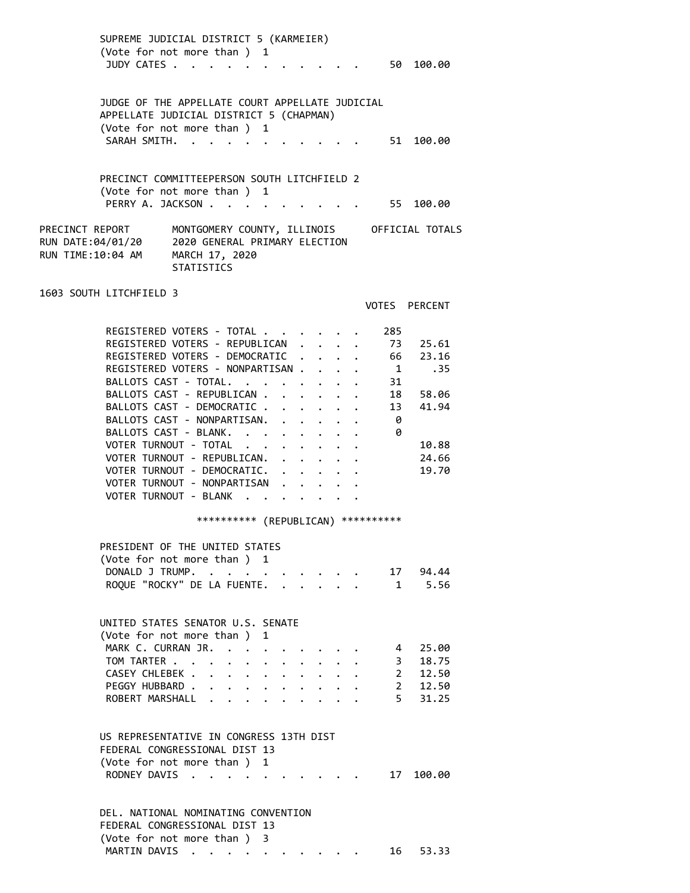SUPREME JUDICIAL DISTRICT 5 (KARMEIER) (Vote for not more than ) 1 JUDY CATES . . . . . . . . . . . 50 100.00 JUDGE OF THE APPELLATE COURT APPELLATE JUDICIAL APPELLATE JUDICIAL DISTRICT 5 (CHAPMAN) (Vote for not more than ) 1 SARAH SMITH. . . . . . . . . . . 51 100.00 PRECINCT COMMITTEEPERSON SOUTH LITCHFIELD 2 (Vote for not more than ) 1 PERRY A. JACKSON . . . . . . . . . . 55 100.00 PRECINCT REPORT MONTGOMERY COUNTY, ILLINOIS OFFICIAL TOTALS RUN DATE:04/01/20 2020 GENERAL PRIMARY ELECTION RUN TIME:10:04 AM MARCH 17, 2020 **STATISTICS** 1603 SOUTH LITCHFIELD 3 VOTES PERCENT REGISTERED VOTERS - TOTAL . . . . . . 285 REGISTERED VOTERS - REPUBLICAN . . . . 73 25.61 REGISTERED VOTERS - DEMOCRATIC . . . . 66 23.16 REGISTERED VOTERS - NONPARTISAN . . . . 1 .35 BALLOTS CAST - TOTAL. . . . . . . . 31 BALLOTS CAST - REPUBLICAN . . . . . . 18 58.06 BALLOTS CAST - DEMOCRATIC . . . . . . 13 41.94 BALLOTS CAST - NONPARTISAN. . . . . . 0<br>BALLOTS CAST - BLANK. . . . . . . . 0 BALLOTS CAST - BLANK. . . . . . . . VOTER TURNOUT - TOTAL . . . . . . . 10.88 VOTER TURNOUT - REPUBLICAN. . . . . . 24.66 VOTER TURNOUT - DEMOCRATIC. . . . . . 19.70 VOTER TURNOUT - NONPARTISAN . . . . . VOTER TURNOUT - BLANK . . . . . . . \*\*\*\*\*\*\*\*\*\* (REPUBLICAN) \*\*\*\*\*\*\*\*\*\* PRESIDENT OF THE UNITED STATES (Vote for not more than ) 1 DONALD J TRUMP. . . . . . . . . . . 17 94.44 ROQUE "ROCKY" DE LA FUENTE. . . . . . 1 5.56 UNITED STATES SENATOR U.S. SENATE (Vote for not more than ) 1 MARK C. CURRAN JR. . . . . . . . . 4 25.00 TOM TARTER . . . . . . . . . . . 3 18.75 CASEY CHLEBEK . . . . . . . . . . 2 12.50 PEGGY HUBBARD . . . . . . . . . . 2 12.50 ROBERT MARSHALL . . . . . . . . . 5 31.25 US REPRESENTATIVE IN CONGRESS 13TH DIST FEDERAL CONGRESSIONAL DIST 13 (Vote for not more than ) 1 RODNEY DAVIS . . . . . . . . . . 17 100.00 DEL. NATIONAL NOMINATING CONVENTION FEDERAL CONGRESSIONAL DIST 13

MARTIN DAVIS . . . . . . . . . . . 16 53.33

(Vote for not more than ) 3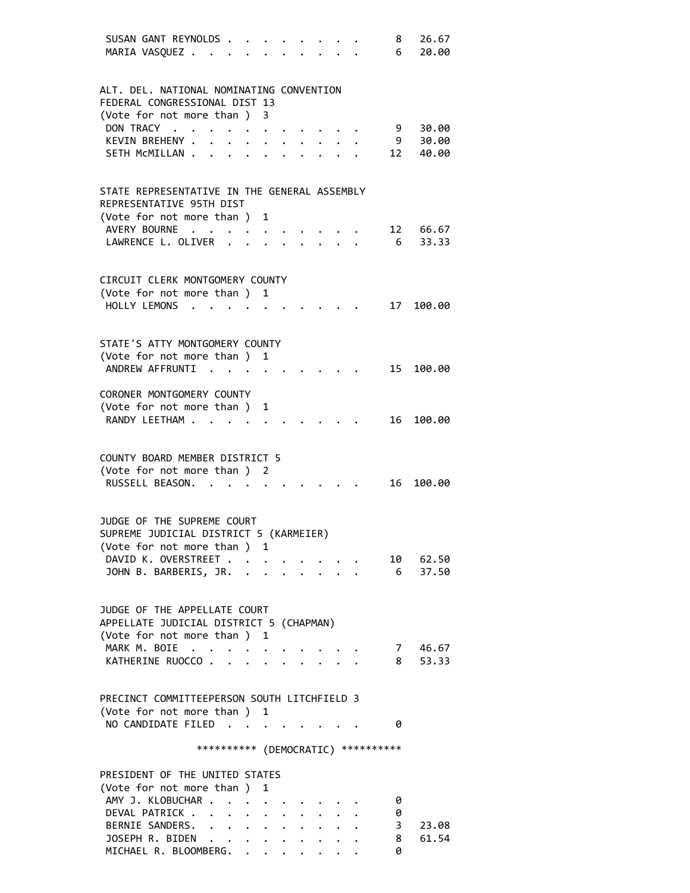|  | SUSAN GANT REYNOLDS.                         |                                  |                                                              |              |  |                               | 8                                   | 26.67    |
|--|----------------------------------------------|----------------------------------|--------------------------------------------------------------|--------------|--|-------------------------------|-------------------------------------|----------|
|  | MARIA VASQUEZ                                |                                  |                                                              |              |  |                               | 6                                   | 20.00    |
|  |                                              |                                  |                                                              |              |  |                               |                                     |          |
|  |                                              |                                  |                                                              |              |  |                               |                                     |          |
|  | ALT. DEL. NATIONAL NOMINATING CONVENTION     |                                  |                                                              |              |  |                               |                                     |          |
|  | FEDERAL CONGRESSIONAL DIST 13                |                                  |                                                              |              |  |                               |                                     |          |
|  | (Vote for not more than )                    |                                  |                                                              | 3            |  |                               |                                     |          |
|  | DON TRACY .                                  |                                  |                                                              |              |  |                               | 9                                   | 30.00    |
|  | KEVIN BREHENY .                              |                                  |                                                              |              |  |                               | 9                                   |          |
|  |                                              |                                  |                                                              |              |  |                               |                                     | 30.00    |
|  | SETH MCMILLAN                                |                                  |                                                              |              |  |                               | 12                                  | 40.00    |
|  |                                              |                                  |                                                              |              |  |                               |                                     |          |
|  |                                              |                                  |                                                              |              |  |                               |                                     |          |
|  | STATE REPRESENTATIVE IN THE GENERAL ASSEMBLY |                                  |                                                              |              |  |                               |                                     |          |
|  | REPRESENTATIVE 95TH DIST                     |                                  |                                                              |              |  |                               |                                     |          |
|  | (Vote for not more than ) 1                  |                                  |                                                              |              |  |                               |                                     |          |
|  | AVERY BOURNE                                 |                                  |                                                              |              |  |                               |                                     | 12 66.67 |
|  | LAWRENCE L. OLIVER                           |                                  |                                                              |              |  |                               | 6                                   | 33.33    |
|  |                                              |                                  |                                                              |              |  |                               |                                     |          |
|  |                                              |                                  |                                                              |              |  |                               |                                     |          |
|  | CIRCUIT CLERK MONTGOMERY COUNTY              |                                  |                                                              |              |  |                               |                                     |          |
|  | (Vote for not more than)                     |                                  |                                                              |              |  |                               |                                     |          |
|  |                                              |                                  |                                                              | 1            |  |                               |                                     |          |
|  | HOLLY LEMONS                                 |                                  |                                                              |              |  |                               | 17                                  | 100.00   |
|  |                                              |                                  |                                                              |              |  |                               |                                     |          |
|  |                                              |                                  |                                                              |              |  |                               |                                     |          |
|  | STATE'S ATTY MONTGOMERY COUNTY               |                                  |                                                              |              |  |                               |                                     |          |
|  | (Vote for not more than ) 1                  |                                  |                                                              |              |  |                               |                                     |          |
|  | ANDREW AFFRUNTI                              |                                  |                                                              |              |  |                               | 15                                  | 100.00   |
|  |                                              |                                  |                                                              |              |  |                               |                                     |          |
|  | CORONER MONTGOMERY COUNTY                    |                                  |                                                              |              |  |                               |                                     |          |
|  | (Vote for not more than )                    |                                  |                                                              | 1            |  |                               |                                     |          |
|  | RANDY LEETHAM                                |                                  |                                                              |              |  |                               | 16                                  | 100.00   |
|  |                                              |                                  |                                                              |              |  |                               |                                     |          |
|  |                                              |                                  |                                                              |              |  |                               |                                     |          |
|  |                                              |                                  |                                                              |              |  |                               |                                     |          |
|  | COUNTY BOARD MEMBER DISTRICT 5               |                                  |                                                              |              |  |                               |                                     |          |
|  | (Vote for not more than ) 2                  |                                  |                                                              |              |  |                               |                                     |          |
|  | RUSSELL BEASON.                              | $\ddot{\phantom{a}}$             |                                                              |              |  |                               | 16                                  | 100.00   |
|  |                                              |                                  |                                                              |              |  |                               |                                     |          |
|  |                                              |                                  |                                                              |              |  |                               |                                     |          |
|  | JUDGE OF THE SUPREME COURT                   |                                  |                                                              |              |  |                               |                                     |          |
|  | SUPREME JUDICIAL DISTRICT 5 (KARMEIER)       |                                  |                                                              |              |  |                               |                                     |          |
|  | (Vote for not more than )                    |                                  |                                                              | 1            |  |                               |                                     |          |
|  | DAVID K. OVERSTREET                          |                                  |                                                              |              |  |                               | 10 -                                | 62.50    |
|  |                                              |                                  |                                                              |              |  |                               |                                     |          |
|  | JOHN B. BARBERIS, JR. .                      |                                  |                                                              | $\mathbf{r}$ |  | $\mathbf{r}$ and $\mathbf{r}$ | 6                                   | 37.50    |
|  |                                              |                                  |                                                              |              |  |                               |                                     |          |
|  |                                              |                                  |                                                              |              |  |                               |                                     |          |
|  | JUDGE OF THE APPELLATE COURT                 |                                  |                                                              |              |  |                               |                                     |          |
|  | APPELLATE JUDICIAL DISTRICT 5 (CHAPMAN)      |                                  |                                                              |              |  |                               |                                     |          |
|  | (Vote for not more than ) 1                  |                                  |                                                              |              |  |                               |                                     |          |
|  | MARK M. BOIE                                 |                                  |                                                              |              |  |                               | 7                                   | 46.67    |
|  | KATHERINE RUOCCO.                            |                                  |                                                              |              |  |                               | 8                                   | 53.33    |
|  |                                              |                                  |                                                              |              |  |                               |                                     |          |
|  |                                              |                                  |                                                              |              |  |                               |                                     |          |
|  | PRECINCT COMMITTEEPERSON SOUTH LITCHFIELD 3  |                                  |                                                              |              |  |                               |                                     |          |
|  | (Vote for not more than ) 1                  |                                  |                                                              |              |  |                               |                                     |          |
|  |                                              |                                  |                                                              |              |  |                               |                                     |          |
|  | NO CANDIDATE FILED                           |                                  |                                                              |              |  |                               | 0                                   |          |
|  |                                              |                                  |                                                              |              |  |                               |                                     |          |
|  |                                              |                                  |                                                              |              |  |                               | *********** (DEMOCRATIC) ********** |          |
|  |                                              |                                  |                                                              |              |  |                               |                                     |          |
|  | PRESIDENT OF THE UNITED STATES               |                                  |                                                              |              |  |                               |                                     |          |
|  | (Vote for not more than)                     |                                  |                                                              | 1            |  |                               |                                     |          |
|  | AMY J. KLOBUCHAR .                           |                                  | $\ddot{\phantom{0}}$                                         |              |  |                               | 0                                   |          |
|  | DEVAL PATRICK                                |                                  |                                                              |              |  |                               | 0                                   |          |
|  | BERNIE SANDERS.                              | $\bullet$ . The set of $\bullet$ | $\bullet$ .                                                  |              |  |                               | 3 <sup>7</sup>                      | 23.08    |
|  | JOSEPH R. BIDEN                              |                                  | $\mathbf{r} = \mathbf{r} \mathbf{r} + \mathbf{r} \mathbf{r}$ |              |  |                               | 8                                   | 61.54    |
|  |                                              |                                  |                                                              |              |  |                               |                                     |          |

MICHAEL R. BLOOMBERG. . . . . . . . 0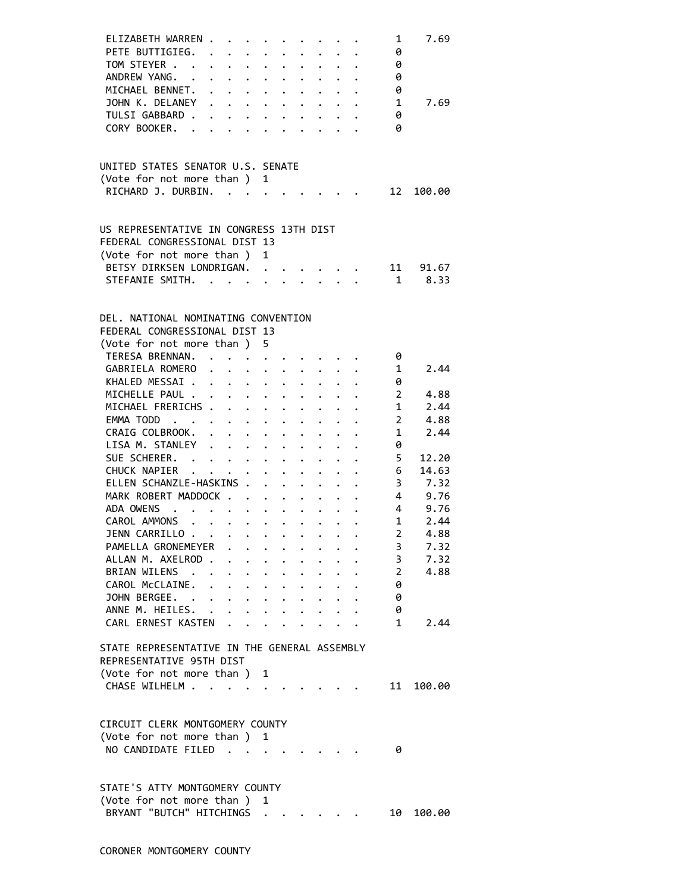| ELIZABETH WARREN .<br>$\mathbf{r}$ , and $\mathbf{r}$ , and $\mathbf{r}$ , and $\mathbf{r}$ , and $\mathbf{r}$                               |                      |                      |                      |                        |                                                                 | 1               | 7.69      |
|----------------------------------------------------------------------------------------------------------------------------------------------|----------------------|----------------------|----------------------|------------------------|-----------------------------------------------------------------|-----------------|-----------|
| PETE BUTTIGIEG.                                                                                                                              |                      |                      |                      |                        |                                                                 | 0               |           |
| TOM STEYER                                                                                                                                   |                      |                      |                      |                        |                                                                 | 0               |           |
| ANDREW YANG.                                                                                                                                 |                      |                      |                      |                        |                                                                 | 0               |           |
| MICHAEL BENNET. .<br>$\mathbf{r} = \mathbf{r} - \mathbf{r}$ , where $\mathbf{r} = \mathbf{r} - \mathbf{r}$ , where $\mathbf{r} = \mathbf{r}$ |                      |                      |                      |                        |                                                                 | 0               |           |
| JOHN K. DELANEY                                                                                                                              |                      |                      |                      |                        |                                                                 | 1               | 7.69      |
|                                                                                                                                              |                      |                      |                      |                        |                                                                 |                 |           |
| TULSI GABBARD .                                                                                                                              | $\ddot{\phantom{0}}$ |                      |                      |                        |                                                                 | 0               |           |
| CORY BOOKER. .                                                                                                                               | $\mathbf{L}$         |                      | $\ddot{\phantom{0}}$ |                        |                                                                 | 0               |           |
|                                                                                                                                              |                      |                      |                      |                        |                                                                 |                 |           |
|                                                                                                                                              |                      |                      |                      |                        |                                                                 |                 |           |
| UNITED STATES SENATOR U.S. SENATE                                                                                                            |                      |                      |                      |                        |                                                                 |                 |           |
| (Vote for not more than ) 1                                                                                                                  |                      |                      |                      |                        |                                                                 |                 |           |
| RICHARD J. DURBIN.                                                                                                                           |                      |                      |                      |                        |                                                                 |                 | 12 100.00 |
|                                                                                                                                              |                      |                      |                      |                        |                                                                 |                 |           |
| US REPRESENTATIVE IN CONGRESS 13TH DIST                                                                                                      |                      |                      |                      |                        |                                                                 |                 |           |
|                                                                                                                                              |                      |                      |                      |                        |                                                                 |                 |           |
| FEDERAL CONGRESSIONAL DIST 13                                                                                                                |                      |                      |                      |                        |                                                                 |                 |           |
| (Vote for not more than)                                                                                                                     | $\mathbf{1}$         |                      |                      |                        |                                                                 |                 |           |
| BETSY DIRKSEN LONDRIGAN.                                                                                                                     |                      |                      |                      |                        |                                                                 |                 | 11 91.67  |
| STEFANIE SMITH.                                                                                                                              |                      |                      |                      | $\ddot{\phantom{1}}$ . |                                                                 | $\overline{1}$  | 8.33      |
|                                                                                                                                              |                      |                      |                      |                        |                                                                 |                 |           |
|                                                                                                                                              |                      |                      |                      |                        |                                                                 |                 |           |
| DEL. NATIONAL NOMINATING CONVENTION                                                                                                          |                      |                      |                      |                        |                                                                 |                 |           |
| FEDERAL CONGRESSIONAL DIST 13                                                                                                                |                      |                      |                      |                        |                                                                 |                 |           |
| (Vote for not more than ) 5                                                                                                                  |                      |                      |                      |                        |                                                                 |                 |           |
| TERESA BRENNAN.                                                                                                                              |                      |                      |                      |                        |                                                                 | 0               |           |
| GABRIELA ROMERO                                                                                                                              |                      |                      |                      |                        |                                                                 | 1               | 2.44      |
| KHALED MESSAI                                                                                                                                |                      |                      |                      |                        |                                                                 | 0               |           |
| MICHELLE PAUL                                                                                                                                |                      |                      |                      |                        |                                                                 | $\overline{2}$  | 4.88      |
| MICHAEL FRERICHS                                                                                                                             |                      |                      |                      |                        |                                                                 | $\mathbf{1}$    | 2.44      |
| EMMA TODD                                                                                                                                    |                      |                      |                      |                        |                                                                 | $\overline{2}$  | 4.88      |
| CRAIG COLBROOK.                                                                                                                              |                      |                      |                      |                        |                                                                 | $\mathbf{1}$    | 2.44      |
| $\mathbf{r} = \mathbf{r} + \mathbf{r} + \mathbf{r} + \mathbf{r}$<br>LISA M. STANLEY                                                          |                      | $\ddot{\phantom{0}}$ |                      |                        |                                                                 |                 |           |
|                                                                                                                                              |                      |                      |                      |                        |                                                                 | 0               |           |
| SUE SCHERER.                                                                                                                                 |                      |                      |                      |                        |                                                                 | 5               | 12.20     |
| CHUCK NAPIER                                                                                                                                 |                      |                      |                      |                        | $\cdot$ $\cdot$ $\cdot$ $\cdot$ $\cdot$ $\cdot$ $\cdot$ $\cdot$ | 6               | 14.63     |
| ELLEN SCHANZLE-HASKINS .                                                                                                                     | $\ddot{\phantom{0}}$ |                      |                      |                        |                                                                 | 3               | 7.32      |
| MARK ROBERT MADDOCK                                                                                                                          |                      |                      |                      |                        | $\cdot$ $\cdot$ $\cdot$ $\cdot$ $\cdot$ $\cdot$                 | $4\overline{ }$ | 9.76      |
| ADA OWENS                                                                                                                                    |                      |                      |                      |                        |                                                                 | $4\overline{ }$ | 9.76      |
| CAROL AMMONS<br>$\mathbf{r}$<br>$\mathbf{L}$                                                                                                 |                      |                      |                      |                        |                                                                 | 1               | 2.44      |
| JENN CARRILLO                                                                                                                                |                      |                      |                      |                        |                                                                 | $\overline{2}$  | 4.88      |
| PAMELLA GRONEMEYER                                                                                                                           |                      |                      |                      |                        |                                                                 | 3               | 7.32      |
| ALLAN M. AXELROD.<br>$\ddot{\phantom{0}}$                                                                                                    |                      |                      |                      |                        |                                                                 | 3               | 7.32      |
| BRIAN WILENS .<br>$\ddot{\phantom{0}}$                                                                                                       | $\ddot{\phantom{0}}$ |                      |                      |                        |                                                                 | $\overline{2}$  | 4.88      |
| CAROL MCCLAINE.<br>$\ddot{\phantom{0}}$<br>$\ddotsc$ . The contract of $\ddotsc$                                                             | $\ddot{\phantom{0}}$ |                      |                      |                        |                                                                 | 0               |           |
| JOHN BERGEE.                                                                                                                                 |                      | $\ddot{\phantom{0}}$ |                      |                        |                                                                 | 0               |           |
| ANNE M. HEILES.                                                                                                                              | $\bullet$ .          |                      |                      |                        |                                                                 | 0               |           |
|                                                                                                                                              |                      |                      |                      |                        |                                                                 |                 |           |
| CARL ERNEST KASTEN                                                                                                                           |                      |                      |                      |                        |                                                                 | $\mathbf{1}$    | 2.44      |
|                                                                                                                                              |                      |                      |                      |                        |                                                                 |                 |           |
| STATE REPRESENTATIVE IN THE GENERAL ASSEMBLY                                                                                                 |                      |                      |                      |                        |                                                                 |                 |           |
| REPRESENTATIVE 95TH DIST                                                                                                                     |                      |                      |                      |                        |                                                                 |                 |           |
| (Vote for not more than )                                                                                                                    | 1                    |                      |                      |                        |                                                                 |                 |           |
| CHASE WILHELM                                                                                                                                |                      |                      |                      |                        |                                                                 | 11              | 100.00    |
|                                                                                                                                              |                      |                      |                      |                        |                                                                 |                 |           |
|                                                                                                                                              |                      |                      |                      |                        |                                                                 |                 |           |
| CIRCUIT CLERK MONTGOMERY COUNTY                                                                                                              |                      |                      |                      |                        |                                                                 |                 |           |
| (Vote for not more than ) 1                                                                                                                  |                      |                      |                      |                        |                                                                 |                 |           |
| NO CANDIDATE FILED.<br>$\ddot{\phantom{a}}$                                                                                                  |                      |                      |                      |                        |                                                                 | 0               |           |
|                                                                                                                                              |                      |                      |                      |                        |                                                                 |                 |           |
|                                                                                                                                              |                      |                      |                      |                        |                                                                 |                 |           |
| STATE'S ATTY MONTGOMERY COUNTY                                                                                                               |                      |                      |                      |                        |                                                                 |                 |           |
| (Vote for not more than)                                                                                                                     | 1                    |                      |                      |                        |                                                                 |                 |           |
| BRYANT "BUTCH" HITCHINGS                                                                                                                     |                      |                      |                      |                        |                                                                 | 10              | 100.00    |
|                                                                                                                                              |                      |                      |                      |                        |                                                                 |                 |           |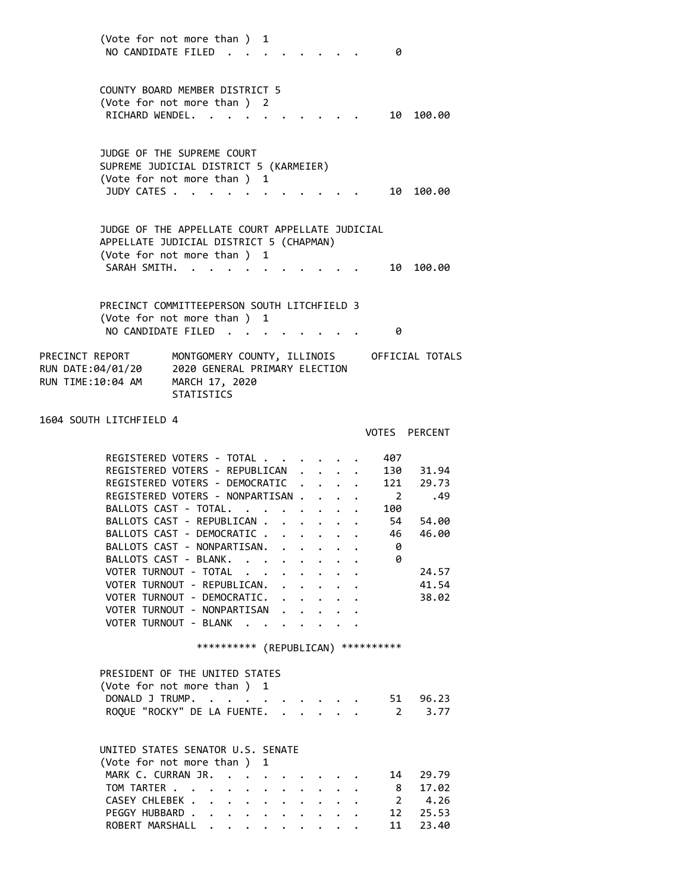(Vote for not more than ) 1 NO CANDIDATE FILED . . . . . . . . 0 COUNTY BOARD MEMBER DISTRICT 5 (Vote for not more than ) 2 RICHARD WENDEL. . . . . . . . . . 10 100.00 JUDGE OF THE SUPREME COURT SUPREME JUDICIAL DISTRICT 5 (KARMEIER) (Vote for not more than ) 1 JUDY CATES . . . . . . . . . . . . 10 100.00 JUDGE OF THE APPELLATE COURT APPELLATE JUDICIAL APPELLATE JUDICIAL DISTRICT 5 (CHAPMAN) (Vote for not more than ) 1 SARAH SMITH. . . . . . . . . . . . 10 100.00 PRECINCT COMMITTEEPERSON SOUTH LITCHFIELD 3 (Vote for not more than ) 1 NO CANDIDATE FILED . . . . . . . . 0 PRECINCT REPORT MONTGOMERY COUNTY, ILLINOIS OFFICIAL TOTALS<br>RUN DATE:04/01/20 2020 GENERAL PRIMARY ELECTION 2020 GENERAL PRIMARY ELECTION RUN TIME:10:04 AM MARCH 17, 2020 STATISTICS 1604 SOUTH LITCHFIELD 4 VOTES PERCENT REGISTERED VOTERS - TOTAL . . . . . . 407 REGISTERED VOTERS - REPUBLICAN . . . . 130 31.94 REGISTERED VOTERS - DEMOCRATIC . . . . 121 29.73 REGISTERED VOTERS - NONPARTISAN . . . . 2 .49 BALLOTS CAST - TOTAL. . . . . . . . 100 BALLOTS CAST - REPUBLICAN . . . . . . 54 54.00 BALLOTS CAST - DEMOCRATIC . . . . . . 46 46.00<br>BALLOTS CAST - NONPARTISAN. . . . . . 0<br>BALLOTS CAST - BLANK. . . . . . . . 0 BALLOTS CAST - NONPARTISAN. . . . . .

BALLOTS CAST - BLANK. . . . . . . . . 0<br>VOTER TURNOUT - TOTAL . . . . . . . . 24.57 VOTER TURNOUT - TOTAL . . . . . . . VOTER TURNOUT - REPUBLICAN. . . . . . 41.54 VOTER TURNOUT - DEMOCRATIC. . . . . . 38.02 VOTER TURNOUT - NONPARTISAN . . . . . VOTER TURNOUT - BLANK . . . . . .

\*\*\*\*\*\*\*\*\*\* (REPUBLICAN) \*\*\*\*\*\*\*\*\*\*

| PRESIDENT OF THE UNITED STATES     |  |
|------------------------------------|--|
| (Vote for not more than ) 1        |  |
| DONALD J TRUMP. 51 96.23           |  |
| ROQUE "ROCKY" DE LA FUENTE. 2 3.77 |  |

UNITED STATES SENATOR U.S. SENATE

| (Vote for not more than) 1  |  |  |  |  |  |  |
|-----------------------------|--|--|--|--|--|--|
| MARK C. CURRAN JR. 14 29.79 |  |  |  |  |  |  |
| TOM TARTER 8 17.02          |  |  |  |  |  |  |
| CASEY CHLEBEK 2 4.26        |  |  |  |  |  |  |
| PEGGY HUBBARD 12 25.53      |  |  |  |  |  |  |
| ROBERT MARSHALL 11 23.40    |  |  |  |  |  |  |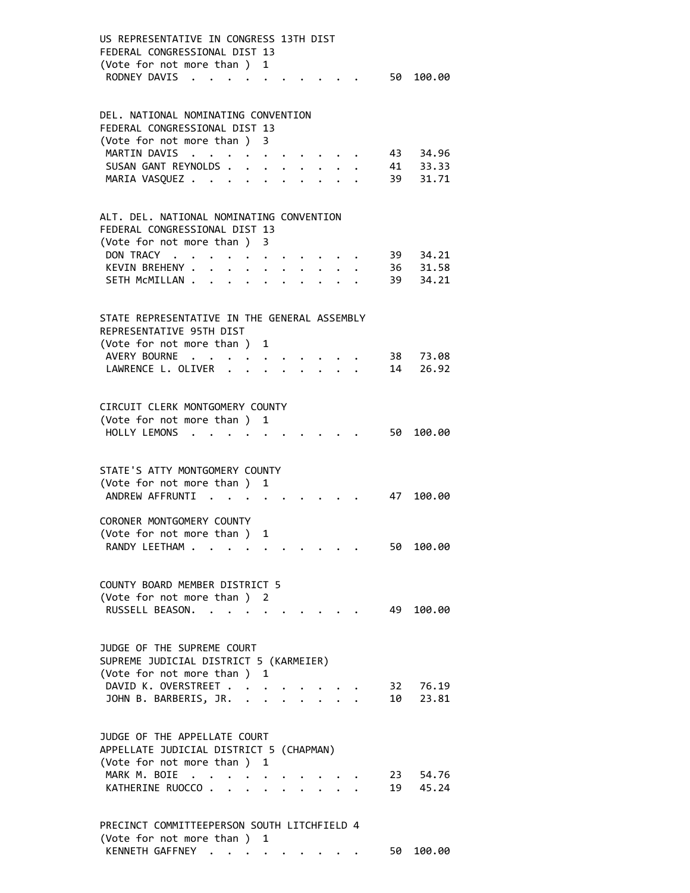| US REPRESENTATIVE IN CONGRESS 13TH DIST<br>FEDERAL CONGRESSIONAL DIST 13<br>(Vote for not more than) 1 |                                                                                                     |                                                   |                                                         |  |  |      |                      |
|--------------------------------------------------------------------------------------------------------|-----------------------------------------------------------------------------------------------------|---------------------------------------------------|---------------------------------------------------------|--|--|------|----------------------|
| RODNEY DAVIS                                                                                           |                                                                                                     |                                                   |                                                         |  |  |      | 50 100.00            |
| DEL. NATIONAL NOMINATING CONVENTION<br>FEDERAL CONGRESSIONAL DIST 13                                   |                                                                                                     |                                                   |                                                         |  |  |      |                      |
| (Vote for not more than ) 3<br>MARTIN DAVIS                                                            | $\mathcal{A}=\mathcal{A}=\mathcal{A}=\mathcal{A}=\mathcal{A}=\mathcal{A}=\mathcal{A}=\mathcal{A}$ . |                                                   |                                                         |  |  |      | 43 34.96             |
| SUSAN GANT REYNOLDS                                                                                    |                                                                                                     |                                                   | $\cdot$ $\cdot$ $\cdot$ $\cdot$ $\cdot$ $\cdot$ $\cdot$ |  |  |      | 41 33.33             |
| MARIA VASQUEZ                                                                                          |                                                                                                     |                                                   | $\cdot$ $\cdot$ $\cdot$ $\cdot$ $\cdot$                 |  |  |      | 39 31.71             |
| ALT. DEL. NATIONAL NOMINATING CONVENTION<br>FEDERAL CONGRESSIONAL DIST 13                              |                                                                                                     |                                                   |                                                         |  |  |      |                      |
| (Vote for not more than) 3                                                                             |                                                                                                     |                                                   |                                                         |  |  |      |                      |
| DON TRACY                                                                                              |                                                                                                     |                                                   |                                                         |  |  |      | 39 34.21             |
| KEVIN BREHENY .                                                                                        |                                                                                                     | $\bullet$ $\bullet$ $\bullet$ $\bullet$ $\bullet$ |                                                         |  |  |      | 36 31.58             |
| SETH MCMILLAN                                                                                          |                                                                                                     |                                                   |                                                         |  |  |      | 39 34.21             |
| STATE REPRESENTATIVE IN THE GENERAL ASSEMBLY<br>REPRESENTATIVE 95TH DIST                               |                                                                                                     |                                                   |                                                         |  |  |      |                      |
| (Vote for not more than) 1                                                                             |                                                                                                     |                                                   |                                                         |  |  |      |                      |
| AVERY BOURNE                                                                                           |                                                                                                     |                                                   |                                                         |  |  |      | 38 73.08             |
| LAWRENCE L. OLIVER                                                                                     |                                                                                                     |                                                   |                                                         |  |  |      | 14 26.92             |
| CIRCUIT CLERK MONTGOMERY COUNTY<br>(Vote for not more than ) 1                                         |                                                                                                     |                                                   |                                                         |  |  |      |                      |
| HOLLY LEMONS                                                                                           |                                                                                                     |                                                   |                                                         |  |  | 50   | 100.00               |
| STATE'S ATTY MONTGOMERY COUNTY                                                                         |                                                                                                     |                                                   |                                                         |  |  |      |                      |
| (Vote for not more than ) 1                                                                            |                                                                                                     |                                                   |                                                         |  |  |      |                      |
| ANDREW AFFRUNTI.                                                                                       |                                                                                                     |                                                   |                                                         |  |  | 47   | 100.00               |
| CORONER MONTGOMERY COUNTY                                                                              |                                                                                                     |                                                   |                                                         |  |  |      |                      |
| (Vote for not more than ) 1<br>RANDY LEETHAM                                                           |                                                                                                     |                                                   |                                                         |  |  | 50 - | 100.00               |
|                                                                                                        |                                                                                                     |                                                   |                                                         |  |  |      |                      |
| COUNTY BOARD MEMBER DISTRICT 5<br>(Vote for not more than ) 2                                          |                                                                                                     |                                                   |                                                         |  |  |      |                      |
| RUSSELL BEASON.                                                                                        |                                                                                                     |                                                   |                                                         |  |  | 49   | 100.00               |
|                                                                                                        |                                                                                                     |                                                   |                                                         |  |  |      |                      |
| JUDGE OF THE SUPREME COURT<br>SUPREME JUDICIAL DISTRICT 5 (KARMEIER)                                   |                                                                                                     |                                                   |                                                         |  |  |      |                      |
| (Vote for not more than ) 1                                                                            |                                                                                                     |                                                   |                                                         |  |  |      |                      |
| DAVID K. OVERSTREET<br>JOHN B. BARBERIS, JR.                                                           |                                                                                                     |                                                   |                                                         |  |  |      | 32 76.19<br>10 23.81 |
|                                                                                                        |                                                                                                     |                                                   |                                                         |  |  |      |                      |
| JUDGE OF THE APPELLATE COURT<br>APPELLATE JUDICIAL DISTRICT 5 (CHAPMAN)                                |                                                                                                     |                                                   |                                                         |  |  |      |                      |
| (Vote for not more than ) 1                                                                            |                                                                                                     |                                                   |                                                         |  |  |      |                      |
| MARK M. BOIE<br>KATHERINE RUOCCO                                                                       |                                                                                                     |                                                   |                                                         |  |  |      | 23 54.76<br>19 45.24 |
|                                                                                                        |                                                                                                     |                                                   |                                                         |  |  |      |                      |
| PRECINCT COMMITTEEPERSON SOUTH LITCHFIELD 4<br>(Vote for not more than ) 1                             |                                                                                                     |                                                   |                                                         |  |  |      |                      |

KENNETH GAFFNEY . . . . . . . . . 50 100.00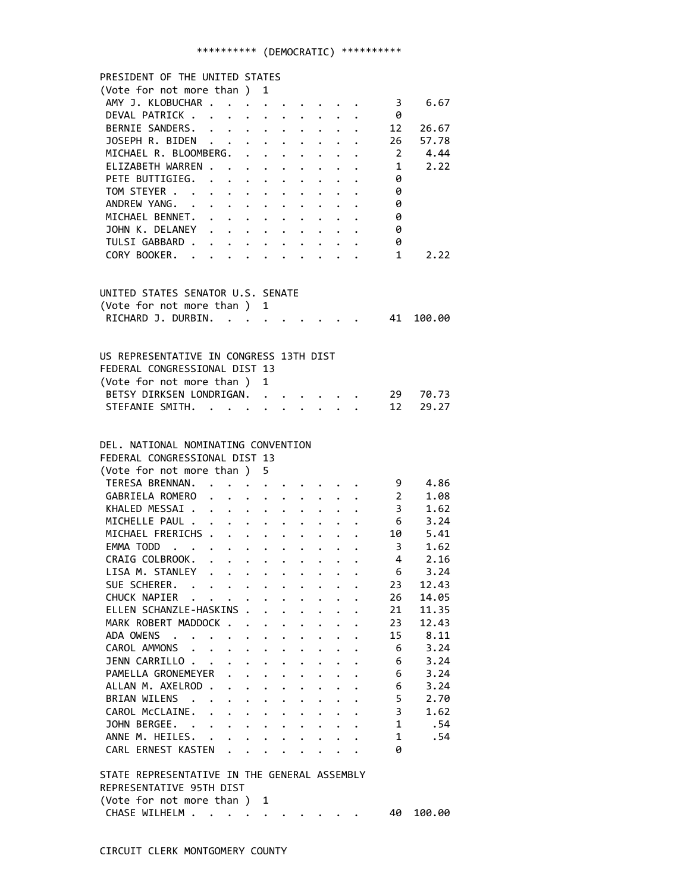# \*\*\*\*\*\*\*\*\*\* (DEMOCRATIC) \*\*\*\*\*\*\*\*\*\*

| PRESIDENT OF THE UNITED STATES                                                                                                          |                                                                  |                      |                                                                                                                                                                                                                                       |                      |                                                         |                      |                           |                         |          |
|-----------------------------------------------------------------------------------------------------------------------------------------|------------------------------------------------------------------|----------------------|---------------------------------------------------------------------------------------------------------------------------------------------------------------------------------------------------------------------------------------|----------------------|---------------------------------------------------------|----------------------|---------------------------|-------------------------|----------|
| (Vote for not more than ) 1                                                                                                             |                                                                  |                      |                                                                                                                                                                                                                                       |                      |                                                         |                      |                           |                         |          |
| AMY J. KLOBUCHAR 3                                                                                                                      |                                                                  |                      |                                                                                                                                                                                                                                       |                      |                                                         |                      |                           |                         | 6.67     |
| DEVAL PATRICK                                                                                                                           |                                                                  |                      |                                                                                                                                                                                                                                       |                      |                                                         |                      |                           | - 0                     |          |
| BERNIE SANDERS.                                                                                                                         |                                                                  |                      |                                                                                                                                                                                                                                       |                      |                                                         |                      |                           | 12                      | 26.67    |
| JOSEPH R. BIDEN                                                                                                                         |                                                                  |                      |                                                                                                                                                                                                                                       |                      |                                                         |                      |                           | 26                      | 57.78    |
| MICHAEL R. BLOOMBERG.                                                                                                                   |                                                                  |                      |                                                                                                                                                                                                                                       |                      |                                                         |                      |                           | $\overline{2}$          | 4.44     |
| ELIZABETH WARREN                                                                                                                        |                                                                  |                      |                                                                                                                                                                                                                                       |                      |                                                         |                      |                           | $\mathbf{1}$            | 2.22     |
| PETE BUTTIGIEG. .                                                                                                                       | $\mathbf{r} = \mathbf{r} + \mathbf{r} + \mathbf{r} + \mathbf{r}$ |                      |                                                                                                                                                                                                                                       | $\ddot{\phantom{0}}$ |                                                         |                      |                           | 0                       |          |
| TOM STEYER                                                                                                                              |                                                                  |                      |                                                                                                                                                                                                                                       |                      |                                                         |                      |                           | 0                       |          |
| ANDREW YANG.                                                                                                                            |                                                                  |                      |                                                                                                                                                                                                                                       |                      |                                                         |                      |                           | 0                       |          |
| MICHAEL BENNET.                                                                                                                         |                                                                  |                      |                                                                                                                                                                                                                                       |                      |                                                         |                      |                           | 0                       |          |
| JOHN K. DELANEY                                                                                                                         |                                                                  |                      |                                                                                                                                                                                                                                       |                      |                                                         |                      |                           | 0                       |          |
| TULSI GABBARD .<br>$\mathbf{r} = \mathbf{r} - \mathbf{r} = \mathbf{r} - \mathbf{r} = \mathbf{r} - \mathbf{r} = \mathbf{r} - \mathbf{r}$ |                                                                  |                      |                                                                                                                                                                                                                                       |                      |                                                         |                      |                           | 0                       |          |
| CORY BOOKER.                                                                                                                            |                                                                  |                      |                                                                                                                                                                                                                                       |                      |                                                         |                      |                           | $\mathbf{1}$            | 2.22     |
|                                                                                                                                         |                                                                  |                      |                                                                                                                                                                                                                                       |                      |                                                         |                      |                           |                         |          |
|                                                                                                                                         |                                                                  |                      |                                                                                                                                                                                                                                       |                      |                                                         |                      |                           |                         |          |
| UNITED STATES SENATOR U.S. SENATE                                                                                                       |                                                                  |                      |                                                                                                                                                                                                                                       |                      |                                                         |                      |                           |                         |          |
| (Vote for not more than ) 1                                                                                                             |                                                                  |                      |                                                                                                                                                                                                                                       |                      |                                                         |                      |                           |                         |          |
| RICHARD J. DURBIN.<br>$\mathbf{r}$ , $\mathbf{r}$ , $\mathbf{r}$ , $\mathbf{r}$ , $\mathbf{r}$                                          |                                                                  |                      |                                                                                                                                                                                                                                       |                      |                                                         |                      |                           | 41                      | 100.00   |
|                                                                                                                                         |                                                                  |                      |                                                                                                                                                                                                                                       |                      |                                                         |                      |                           |                         |          |
|                                                                                                                                         |                                                                  |                      |                                                                                                                                                                                                                                       |                      |                                                         |                      |                           |                         |          |
| US REPRESENTATIVE IN CONGRESS 13TH DIST                                                                                                 |                                                                  |                      |                                                                                                                                                                                                                                       |                      |                                                         |                      |                           |                         |          |
| FEDERAL CONGRESSIONAL DIST 13                                                                                                           |                                                                  |                      |                                                                                                                                                                                                                                       |                      |                                                         |                      |                           |                         |          |
| (Vote for not more than)                                                                                                                |                                                                  | 1                    |                                                                                                                                                                                                                                       |                      |                                                         |                      |                           |                         |          |
| BETSY DIRKSEN LONDRIGAN.                                                                                                                |                                                                  |                      |                                                                                                                                                                                                                                       |                      |                                                         |                      |                           |                         | 29 70.73 |
| STEFANIE SMITH.                                                                                                                         |                                                                  |                      |                                                                                                                                                                                                                                       |                      | $\cdot$ $\cdot$ $\cdot$ $\cdot$ $\cdot$ $\cdot$ $\cdot$ |                      |                           | 12                      | 29.27    |
|                                                                                                                                         |                                                                  |                      |                                                                                                                                                                                                                                       |                      |                                                         |                      |                           |                         |          |
|                                                                                                                                         |                                                                  |                      |                                                                                                                                                                                                                                       |                      |                                                         |                      |                           |                         |          |
| DEL. NATIONAL NOMINATING CONVENTION                                                                                                     |                                                                  |                      |                                                                                                                                                                                                                                       |                      |                                                         |                      |                           |                         |          |
| FEDERAL CONGRESSIONAL DIST 13                                                                                                           |                                                                  |                      |                                                                                                                                                                                                                                       |                      |                                                         |                      |                           |                         |          |
| (Vote for not more than ) 5                                                                                                             |                                                                  |                      |                                                                                                                                                                                                                                       |                      |                                                         |                      |                           |                         |          |
| TERESA BRENNAN. .                                                                                                                       |                                                                  |                      |                                                                                                                                                                                                                                       |                      |                                                         |                      |                           | 9                       | 4.86     |
| GABRIELA ROMERO<br>$\ddot{\phantom{0}}$                                                                                                 | $\ddot{\phantom{a}}$                                             |                      | $\cdot$ $\cdot$ $\cdot$                                                                                                                                                                                                               |                      |                                                         |                      |                           | $\overline{2}$          | 1.08     |
| KHALED MESSAI                                                                                                                           |                                                                  |                      | $\ddot{\bullet}$ . The set of the set of the set of the set of the set of the set of the set of the set of the set of the set of the set of the set of the set of the set of the set of the set of the set of the set of the set of t | $\ddot{\phantom{0}}$ |                                                         |                      | $\cdot \cdot \cdot$ 3     |                         | 1.62     |
| MICHELLE PAUL                                                                                                                           |                                                                  |                      |                                                                                                                                                                                                                                       | $\ddot{\phantom{0}}$ |                                                         |                      | $\cdot$ $\cdot$ $\cdot$ 6 |                         | 3.24     |
| MICHAEL FRERICHS                                                                                                                        |                                                                  |                      |                                                                                                                                                                                                                                       |                      |                                                         |                      |                           | 10                      | 5.41     |
| EMMA TODD                                                                                                                               |                                                                  |                      |                                                                                                                                                                                                                                       |                      |                                                         |                      |                           | $\overline{\mathbf{3}}$ | 1.62     |
| $\ddot{\phantom{0}}$<br>CRAIG COLBROOK.                                                                                                 |                                                                  |                      |                                                                                                                                                                                                                                       |                      |                                                         |                      |                           | $4\overline{ }$         | 2.16     |
| LISA M. STANLEY<br>$\bullet$ , $\bullet$ , $\bullet$ , $\bullet$ , $\bullet$                                                            |                                                                  |                      | $\bullet$ , $\bullet$ , $\bullet$ , $\bullet$ , $\bullet$                                                                                                                                                                             |                      |                                                         |                      |                           | 6                       | 3.24     |
| SUE SCHERER.                                                                                                                            |                                                                  |                      |                                                                                                                                                                                                                                       |                      |                                                         |                      |                           | 23                      | 12.43    |
| CHUCK NAPIER<br>$\ddot{\phantom{a}}$                                                                                                    |                                                                  |                      | $\ddot{\phantom{0}}$                                                                                                                                                                                                                  | $\ddot{\phantom{0}}$ | $\mathbf{r}$                                            |                      |                           | 26                      | 14.05    |
| ELLEN SCHANZLE-HASKINS .                                                                                                                |                                                                  |                      | $\ddot{\phantom{0}}$                                                                                                                                                                                                                  | $\ddot{\phantom{0}}$ | $\ddot{\phantom{0}}$                                    | $\ddot{\phantom{0}}$ | $\ddot{\phantom{0}}$      | 21                      | 11.35    |
| MARK ROBERT MADDOCK                                                                                                                     |                                                                  | $\ddot{\phantom{0}}$ | $\ddot{\phantom{0}}$                                                                                                                                                                                                                  | $\ddot{\phantom{0}}$ | $\mathbf{L}$                                            | $\ddot{\phantom{0}}$ |                           | 23                      | 12.43    |
| ADA OWENS<br>$\sim$ $\sim$<br>$\sim$<br>$\bullet$ .                                                                                     | $\bullet$                                                        | $\ddot{\phantom{0}}$ | $\bullet$ .                                                                                                                                                                                                                           | $\ddot{\phantom{0}}$ | $\bullet$ .                                             | $\bullet$            | $\ddot{\phantom{0}}$      | 15                      | 8.11     |
| CAROL AMMONS .<br>$\ddot{\phantom{0}}$<br>$\sim$                                                                                        | $\bullet$ .                                                      | $\ddot{\phantom{0}}$ | $\ddot{\phantom{0}}$                                                                                                                                                                                                                  | $\ddot{\phantom{0}}$ | $\ddot{\phantom{0}}$                                    | $\ddot{\phantom{0}}$ | $\bullet$                 | 6                       | 3.24     |
| JENN CARRILLO<br>$\bullet$                                                                                                              | $\bullet$                                                        | $\ddot{\phantom{0}}$ | $\bullet$ .                                                                                                                                                                                                                           | $\ddot{\phantom{0}}$ |                                                         |                      |                           | 6                       | 3.24     |
| PAMELLA GRONEMEYER                                                                                                                      |                                                                  | $\ddot{\phantom{a}}$ |                                                                                                                                                                                                                                       |                      |                                                         |                      |                           | 6                       | 3.24     |
| ALLAN M. AXELROD.<br>$\ddot{\phantom{a}}$                                                                                               | $\ddot{\phantom{0}}$                                             | $\bullet$            |                                                                                                                                                                                                                                       | $\ddot{\phantom{0}}$ |                                                         |                      |                           | 6                       | 3.24     |
| BRIAN WILENS .<br>$\ddot{\phantom{0}}$<br>$\ddot{\phantom{a}}$                                                                          | $\ddot{\phantom{0}}$                                             | $\ddot{\phantom{a}}$ | $\cdot$                                                                                                                                                                                                                               | $\ddot{\phantom{0}}$ | $\ddot{\phantom{a}}$                                    |                      |                           | 5                       | 2.70     |
| CAROL McCLAINE.<br>$\cdot$ $\cdot$                                                                                                      | $\mathbf{L}$                                                     | $\ddot{\phantom{0}}$ | $\ddot{\phantom{0}}$                                                                                                                                                                                                                  | $\ddot{\phantom{0}}$ | $\ddot{\phantom{a}}$                                    | $\ddot{\phantom{0}}$ | $\ddot{\phantom{0}}$      | 3                       | 1.62     |
| JOHN BERGEE.<br>$\ddot{\phantom{0}}$                                                                                                    | $\ddot{\phantom{0}}$                                             | $\ddot{\phantom{0}}$ | $\ddot{\phantom{0}}$                                                                                                                                                                                                                  | $\ddot{\phantom{0}}$ | $\ddot{\phantom{0}}$                                    | $\ddot{\phantom{0}}$ |                           | 1                       | .54      |
| ANNE M. HEILES. .                                                                                                                       | $\ddot{\phantom{0}}$                                             | $\ddot{\phantom{0}}$ | $\ddot{\phantom{0}}$                                                                                                                                                                                                                  | $\ddot{\phantom{a}}$ | $\ddot{\phantom{a}}$                                    | $\ddot{\phantom{0}}$ |                           | $\mathbf{1}$            | .54      |
| CARL ERNEST KASTEN<br>$\bullet$                                                                                                         | $\ddot{\phantom{0}}$                                             |                      |                                                                                                                                                                                                                                       |                      |                                                         |                      |                           | 0                       |          |
|                                                                                                                                         |                                                                  |                      |                                                                                                                                                                                                                                       |                      |                                                         |                      |                           |                         |          |
| STATE REPRESENTATIVE IN THE GENERAL ASSEMBLY                                                                                            |                                                                  |                      |                                                                                                                                                                                                                                       |                      |                                                         |                      |                           |                         |          |
| REPRESENTATIVE 95TH DIST                                                                                                                |                                                                  |                      |                                                                                                                                                                                                                                       |                      |                                                         |                      |                           |                         |          |
| (Vote for not more than)                                                                                                                |                                                                  | 1                    |                                                                                                                                                                                                                                       |                      |                                                         |                      |                           |                         |          |
| CHASE WILHELM                                                                                                                           |                                                                  |                      |                                                                                                                                                                                                                                       |                      |                                                         |                      |                           | 40                      | 100.00   |
|                                                                                                                                         |                                                                  |                      |                                                                                                                                                                                                                                       |                      |                                                         |                      |                           |                         |          |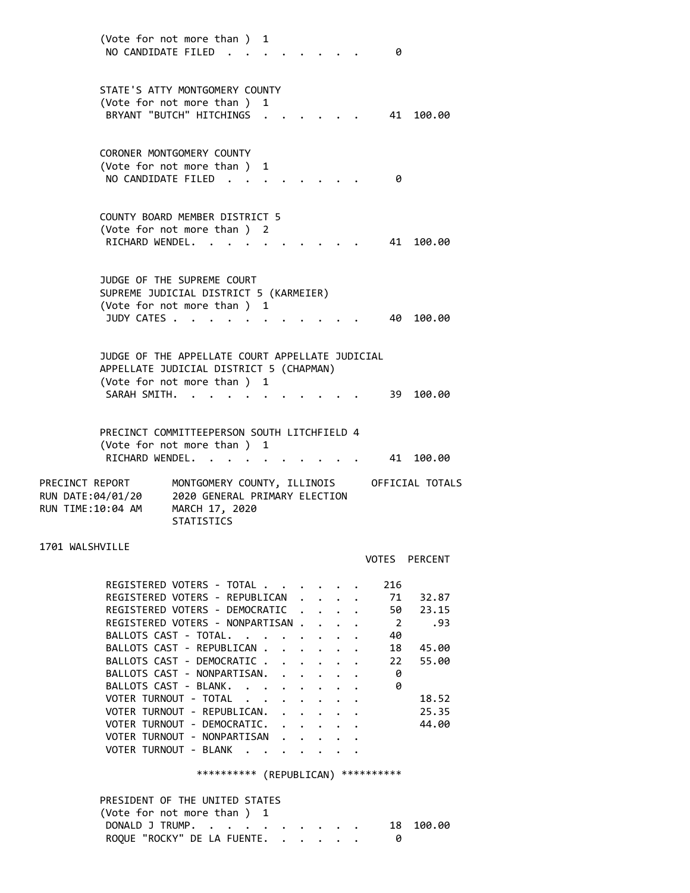(Vote for not more than ) 1 NO CANDIDATE FILED . . . . . . . . 0 STATE'S ATTY MONTGOMERY COUNTY (Vote for not more than ) 1 BRYANT "BUTCH" HITCHINGS . . . . . . 41 100.00 CORONER MONTGOMERY COUNTY (Vote for not more than ) 1 NO CANDIDATE FILED . . . . . . . . 0 COUNTY BOARD MEMBER DISTRICT 5 (Vote for not more than ) 2 RICHARD WENDEL. . . . . . . . . . 41 100.00 JUDGE OF THE SUPREME COURT SUPREME JUDICIAL DISTRICT 5 (KARMEIER) (Vote for not more than ) 1 JUDY CATES . . . . . . . . . . . 40 100.00 JUDGE OF THE APPELLATE COURT APPELLATE JUDICIAL APPELLATE JUDICIAL DISTRICT 5 (CHAPMAN) (Vote for not more than ) 1 SARAH SMITH. . . . . . . . . . . . 39 100.00 PRECINCT COMMITTEEPERSON SOUTH LITCHFIELD 4 (Vote for not more than ) 1 RICHARD WENDEL. . . . . . . . . . 41 100.00 PRECINCT REPORT MONTGOMERY COUNTY, ILLINOIS OFFICIAL TOTALS RUN DATE:04/01/20 2020 GENERAL PRIMARY ELECTION RUN TIME:10:04 AM MARCH 17, 2020 STATISTICS VOTES PERCENT REGISTERED VOTERS - TOTAL . . . . . . 216 REGISTERED VOTERS - REPUBLICAN . . . . 71 32.87 REGISTERED VOTERS - DEMOCRATIC . . . . 50 23.15 REGISTERED VOTERS - NONPARTISAN . . . . 2 .93 BALLOTS CAST - TOTAL. . . . . . . . 40 BALLOTS CAST - REPUBLICAN . . . . . . 18 45.00 BALLOTS CAST - DEMOCRATIC . . . . . . 22 55.00

1701 WALSHVILLE

|  | REGISTERED VOTERS - TOTAL .      |  |  | $\sim$ $\sim$ $\sim$ $\sim$ $\sim$ $\sim$ |  | 216            |       |
|--|----------------------------------|--|--|-------------------------------------------|--|----------------|-------|
|  | REGISTERED VOTERS - REPUBLICAN.  |  |  |                                           |  | 71             | 32.87 |
|  | REGISTERED VOTERS - DEMOCRATIC   |  |  |                                           |  | 50             | 23.15 |
|  | REGISTERED VOTERS - NONPARTISAN. |  |  |                                           |  | $\overline{2}$ | .93   |
|  | BALLOTS CAST - TOTAL.            |  |  |                                           |  | 40             |       |
|  | BALLOTS CAST - REPUBLICAN.       |  |  |                                           |  | 18             | 45.00 |
|  | BALLOTS CAST - DEMOCRATIC.       |  |  |                                           |  | 22             | 55.00 |
|  | BALLOTS CAST - NONPARTISAN.      |  |  |                                           |  | 0              |       |
|  | BALLOTS CAST - BLANK.            |  |  |                                           |  | 0              |       |
|  | VOTER TURNOUT - TOTAL            |  |  |                                           |  |                | 18.52 |
|  | VOTER TURNOUT - REPUBLICAN.      |  |  |                                           |  |                | 25.35 |
|  | VOTER TURNOUT - DEMOCRATIC.      |  |  |                                           |  |                | 44.00 |
|  | VOTER TURNOUT - NONPARTISAN      |  |  |                                           |  |                |       |
|  | VOTER TURNOUT - BLANK            |  |  |                                           |  |                |       |

\*\*\*\*\*\*\*\*\*\* (REPUBLICAN) \*\*\*\*\*\*\*\*\*\*

| PRESIDENT OF THE UNITED STATES |  |
|--------------------------------|--|
| (Vote for not more than ) 1    |  |
| DONALD J TRUMP. 18 100.00      |  |
| ROQUE "ROCKY" DE LA FUENTE.    |  |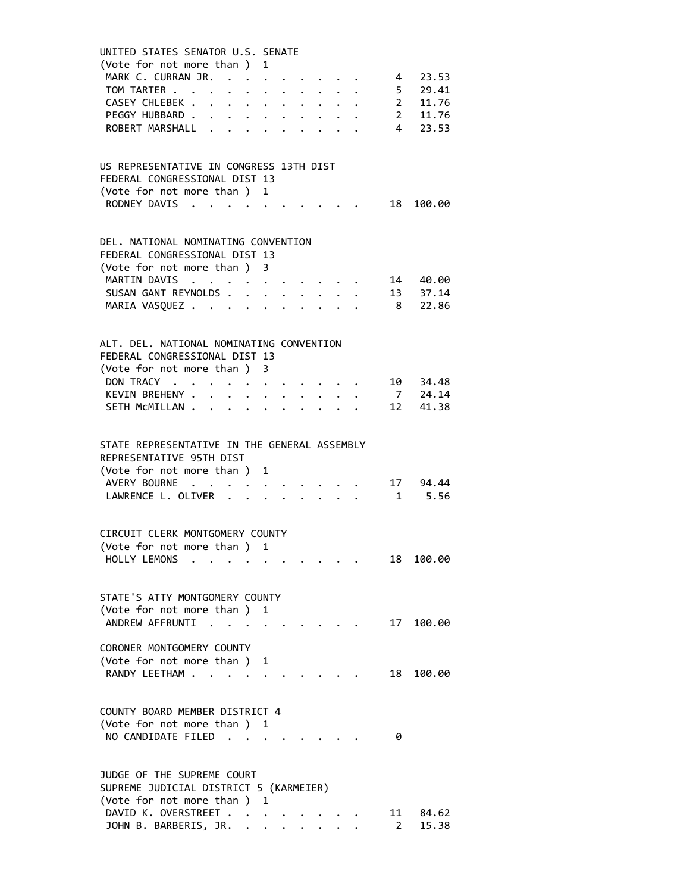| UNITED STATES SENATOR U.S. SENATE<br>(Vote for not more than ) 1     |              |                      |                                                                                                                                                                                                                                       |                                                                    |  |                                                                                                                                                                           |                |                                                                                   |  |
|----------------------------------------------------------------------|--------------|----------------------|---------------------------------------------------------------------------------------------------------------------------------------------------------------------------------------------------------------------------------------|--------------------------------------------------------------------|--|---------------------------------------------------------------------------------------------------------------------------------------------------------------------------|----------------|-----------------------------------------------------------------------------------|--|
| MARK C. CURRAN JR. 4 23.53                                           |              |                      |                                                                                                                                                                                                                                       |                                                                    |  |                                                                                                                                                                           |                |                                                                                   |  |
| TOM TARTER                                                           |              |                      |                                                                                                                                                                                                                                       |                                                                    |  |                                                                                                                                                                           |                |                                                                                   |  |
| CASEY CHLEBEK .<br>$\mathbf{r}$                                      |              |                      |                                                                                                                                                                                                                                       |                                                                    |  |                                                                                                                                                                           |                |                                                                                   |  |
| PEGGY HUBBARD                                                        |              |                      |                                                                                                                                                                                                                                       |                                                                    |  | $\mathbf{1}$ $\mathbf{1}$ $\mathbf{1}$ $\mathbf{1}$                                                                                                                       |                | $\begin{array}{ccc} 4 & 23.53 \\ 5 & 29.41 \\ 2 & 11.76 \\ 2 & 11.76 \end{array}$ |  |
| ROBERT MARSHALL                                                      |              |                      |                                                                                                                                                                                                                                       |                                                                    |  |                                                                                                                                                                           |                | 4 23.53                                                                           |  |
|                                                                      |              |                      |                                                                                                                                                                                                                                       |                                                                    |  |                                                                                                                                                                           |                |                                                                                   |  |
| US REPRESENTATIVE IN CONGRESS 13TH DIST                              |              |                      |                                                                                                                                                                                                                                       |                                                                    |  |                                                                                                                                                                           |                |                                                                                   |  |
| FEDERAL CONGRESSIONAL DIST 13                                        |              |                      |                                                                                                                                                                                                                                       |                                                                    |  |                                                                                                                                                                           |                |                                                                                   |  |
| (Vote for not more than ) 1                                          |              |                      |                                                                                                                                                                                                                                       |                                                                    |  |                                                                                                                                                                           |                |                                                                                   |  |
| RODNEY DAVIS                                                         |              |                      |                                                                                                                                                                                                                                       |                                                                    |  |                                                                                                                                                                           |                | 18 100.00                                                                         |  |
|                                                                      |              |                      |                                                                                                                                                                                                                                       |                                                                    |  |                                                                                                                                                                           |                |                                                                                   |  |
| DEL. NATIONAL NOMINATING CONVENTION<br>FEDERAL CONGRESSIONAL DIST 13 |              |                      |                                                                                                                                                                                                                                       |                                                                    |  |                                                                                                                                                                           |                |                                                                                   |  |
| (Vote for not more than ) 3                                          |              |                      |                                                                                                                                                                                                                                       |                                                                    |  |                                                                                                                                                                           |                |                                                                                   |  |
| MARTIN DAVIS                                                         |              |                      |                                                                                                                                                                                                                                       |                                                                    |  |                                                                                                                                                                           |                | 14 40.00                                                                          |  |
| SUSAN GANT REYNOLDS                                                  |              |                      |                                                                                                                                                                                                                                       |                                                                    |  |                                                                                                                                                                           |                |                                                                                   |  |
| MARIA VASQUEZ                                                        |              |                      | $\ddot{\bullet}$ . The set of the set of the set of the set of the set of the set of the set of the set of the set of the set of the set of the set of the set of the set of the set of the set of the set of the set of the set of t |                                                                    |  |                                                                                                                                                                           |                | 13 37.14<br>8 22.86                                                               |  |
|                                                                      |              |                      |                                                                                                                                                                                                                                       |                                                                    |  |                                                                                                                                                                           |                |                                                                                   |  |
| ALT. DEL. NATIONAL NOMINATING CONVENTION                             |              |                      |                                                                                                                                                                                                                                       |                                                                    |  |                                                                                                                                                                           |                |                                                                                   |  |
| FEDERAL CONGRESSIONAL DIST 13                                        |              |                      |                                                                                                                                                                                                                                       |                                                                    |  |                                                                                                                                                                           |                |                                                                                   |  |
| (Vote for not more than ) 3                                          |              |                      |                                                                                                                                                                                                                                       |                                                                    |  |                                                                                                                                                                           |                |                                                                                   |  |
| DON TRACY                                                            |              |                      |                                                                                                                                                                                                                                       |                                                                    |  | $\mathbf{a} = \mathbf{a} \times \mathbf{a} \times \mathbf{a} \times \mathbf{a} \times \mathbf{a} \times \mathbf{a} \times \mathbf{a} \times \mathbf{a} \times \mathbf{a}$ |                | 10 34.48                                                                          |  |
| KEVIN BREHENY                                                        | $\mathbf{L}$ | $\bullet$ .          |                                                                                                                                                                                                                                       | $\mathbf{r} = \mathbf{r} + \mathbf{r} + \mathbf{r} + \mathbf{r}$ . |  |                                                                                                                                                                           |                |                                                                                   |  |
| SETH MCMILLAN                                                        | $\sim$       | $\ddot{\phantom{0}}$ |                                                                                                                                                                                                                                       |                                                                    |  |                                                                                                                                                                           |                | 7 24.14<br>12 41.38                                                               |  |
|                                                                      |              |                      |                                                                                                                                                                                                                                       |                                                                    |  |                                                                                                                                                                           |                |                                                                                   |  |
| STATE REPRESENTATIVE IN THE GENERAL ASSEMBLY                         |              |                      |                                                                                                                                                                                                                                       |                                                                    |  |                                                                                                                                                                           |                |                                                                                   |  |
| REPRESENTATIVE 95TH DIST                                             |              |                      |                                                                                                                                                                                                                                       |                                                                    |  |                                                                                                                                                                           |                |                                                                                   |  |
| (Vote for not more than ) 1                                          |              |                      |                                                                                                                                                                                                                                       |                                                                    |  |                                                                                                                                                                           |                |                                                                                   |  |
| AVERY BOURNE                                                         |              |                      |                                                                                                                                                                                                                                       |                                                                    |  |                                                                                                                                                                           |                | 17 94.44                                                                          |  |
| LAWRENCE L. OLIVER                                                   |              |                      |                                                                                                                                                                                                                                       | $\cdot$ $\cdot$ $\cdot$ $\cdot$ $\cdot$                            |  |                                                                                                                                                                           | $\overline{1}$ | 5.56                                                                              |  |
|                                                                      |              |                      |                                                                                                                                                                                                                                       |                                                                    |  |                                                                                                                                                                           |                |                                                                                   |  |
| CIRCUIT CLERK MONTGOMERY COUNTY                                      |              |                      |                                                                                                                                                                                                                                       |                                                                    |  |                                                                                                                                                                           |                |                                                                                   |  |
| (Vote for not more than ) 1                                          |              |                      |                                                                                                                                                                                                                                       |                                                                    |  |                                                                                                                                                                           |                |                                                                                   |  |
| HOLLY LEMONS                                                         |              |                      |                                                                                                                                                                                                                                       |                                                                    |  |                                                                                                                                                                           | 18             | 100.00                                                                            |  |
| STATE'S ATTY MONTGOMERY COUNTY                                       |              |                      |                                                                                                                                                                                                                                       |                                                                    |  |                                                                                                                                                                           |                |                                                                                   |  |
| (Vote for not more than ) 1                                          |              |                      |                                                                                                                                                                                                                                       |                                                                    |  |                                                                                                                                                                           |                |                                                                                   |  |
| ANDREW AFFRUNTI                                                      |              |                      |                                                                                                                                                                                                                                       |                                                                    |  |                                                                                                                                                                           | 17             | 100.00                                                                            |  |
|                                                                      |              |                      |                                                                                                                                                                                                                                       |                                                                    |  |                                                                                                                                                                           |                |                                                                                   |  |
| CORONER MONTGOMERY COUNTY                                            |              |                      |                                                                                                                                                                                                                                       |                                                                    |  |                                                                                                                                                                           |                |                                                                                   |  |
| (Vote for not more than ) 1                                          |              |                      |                                                                                                                                                                                                                                       |                                                                    |  |                                                                                                                                                                           |                |                                                                                   |  |
| RANDY LEETHAM                                                        |              |                      |                                                                                                                                                                                                                                       |                                                                    |  |                                                                                                                                                                           | 18             | 100.00                                                                            |  |
|                                                                      |              |                      |                                                                                                                                                                                                                                       |                                                                    |  |                                                                                                                                                                           |                |                                                                                   |  |
| COUNTY BOARD MEMBER DISTRICT 4                                       |              |                      |                                                                                                                                                                                                                                       |                                                                    |  |                                                                                                                                                                           |                |                                                                                   |  |
| (Vote for not more than ) 1                                          |              |                      |                                                                                                                                                                                                                                       |                                                                    |  |                                                                                                                                                                           |                |                                                                                   |  |
| NO CANDIDATE FILED                                                   |              |                      |                                                                                                                                                                                                                                       |                                                                    |  |                                                                                                                                                                           | 0              |                                                                                   |  |
|                                                                      |              |                      |                                                                                                                                                                                                                                       |                                                                    |  |                                                                                                                                                                           |                |                                                                                   |  |
| JUDGE OF THE SUPREME COURT                                           |              |                      |                                                                                                                                                                                                                                       |                                                                    |  |                                                                                                                                                                           |                |                                                                                   |  |
| SUPREME JUDICIAL DISTRICT 5 (KARMEIER)                               |              |                      |                                                                                                                                                                                                                                       |                                                                    |  |                                                                                                                                                                           |                |                                                                                   |  |
| (Vote for not more than ) 1                                          |              |                      |                                                                                                                                                                                                                                       |                                                                    |  |                                                                                                                                                                           |                |                                                                                   |  |
| DAVID K. OVERSTREET                                                  |              |                      |                                                                                                                                                                                                                                       |                                                                    |  |                                                                                                                                                                           | 11             | 84.62                                                                             |  |
| JOHN B. BARBERIS, JR. .                                              |              |                      |                                                                                                                                                                                                                                       |                                                                    |  |                                                                                                                                                                           | $2^{\circ}$    | 15.38                                                                             |  |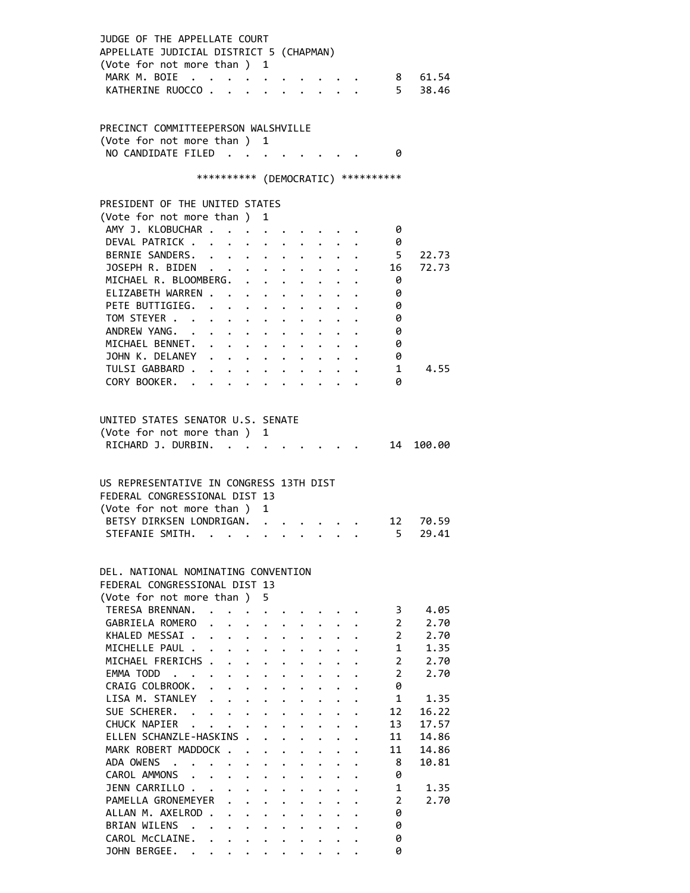| JUDGE OF THE APPELLATE COURT<br>APPELLATE JUDICIAL DISTRICT 5 (CHAPMAN)<br>(Vote for not more than ) 1<br>MARK M. BOIE<br>KATHERINE RUOCCO |                      |                                                         |                                      |                      | $\cdot$ $\cdot$ $\cdot$ $\cdot$ $\cdot$ $\cdot$ $\cdot$               |                      |                      |                      |                                                    |                                     |                     | 8 61.54<br>5 38.46 |
|--------------------------------------------------------------------------------------------------------------------------------------------|----------------------|---------------------------------------------------------|--------------------------------------|----------------------|-----------------------------------------------------------------------|----------------------|----------------------|----------------------|----------------------------------------------------|-------------------------------------|---------------------|--------------------|
| PRECINCT COMMITTEEPERSON WALSHVILLE<br>(Vote for not more than ) 1                                                                         |                      |                                                         |                                      |                      |                                                                       |                      |                      |                      |                                                    |                                     |                     |                    |
| NO CANDIDATE FILED                                                                                                                         |                      |                                                         |                                      |                      |                                                                       |                      |                      |                      |                                                    |                                     | - 0                 |                    |
|                                                                                                                                            |                      |                                                         |                                      |                      |                                                                       |                      |                      |                      |                                                    | *********** (DEMOCRATIC) ********** |                     |                    |
| PRESIDENT OF THE UNITED STATES                                                                                                             |                      |                                                         |                                      |                      |                                                                       |                      |                      |                      |                                                    |                                     |                     |                    |
| (Vote for not more than)                                                                                                                   |                      |                                                         |                                      |                      | 1                                                                     |                      |                      |                      |                                                    |                                     |                     |                    |
| AMY J. KLOBUCHAR                                                                                                                           |                      |                                                         |                                      |                      |                                                                       |                      |                      |                      |                                                    |                                     | 0                   |                    |
| DEVAL PATRICK                                                                                                                              |                      |                                                         | $\bullet$ .                          | $\ddot{\phantom{0}}$ |                                                                       | $\bullet$ .          |                      |                      |                                                    |                                     | 0                   |                    |
| BERNIE SANDERS.                                                                                                                            |                      |                                                         |                                      |                      |                                                                       | $\ddot{\phantom{0}}$ |                      |                      |                                                    |                                     | 5                   | 22.73              |
| JOSEPH R. BIDEN                                                                                                                            |                      |                                                         |                                      |                      |                                                                       |                      |                      |                      |                                                    |                                     | 16                  | 72.73              |
| MICHAEL R. BLOOMBERG.                                                                                                                      |                      |                                                         |                                      |                      |                                                                       |                      |                      |                      |                                                    |                                     | 0                   |                    |
| ELIZABETH WARREN.                                                                                                                          |                      |                                                         |                                      |                      | $\mathbf{r}$ , and $\mathbf{r}$ , and $\mathbf{r}$ , and $\mathbf{r}$ |                      |                      |                      |                                                    |                                     | 0                   |                    |
| PETE BUTTIGIEG.                                                                                                                            |                      |                                                         |                                      |                      |                                                                       |                      |                      |                      |                                                    |                                     | 0                   |                    |
| TOM STEYER                                                                                                                                 |                      |                                                         |                                      |                      |                                                                       |                      |                      |                      |                                                    |                                     | 0                   |                    |
| ANDREW YANG.                                                                                                                               | $\ddot{\phantom{0}}$ | $\cdot$ $\cdot$ $\cdot$ $\cdot$ $\cdot$                 |                                      |                      |                                                                       |                      |                      |                      |                                                    |                                     | 0                   |                    |
| MICHAEL BENNET.                                                                                                                            |                      |                                                         |                                      |                      |                                                                       |                      |                      |                      |                                                    |                                     | 0                   |                    |
| JOHN K. DELANEY                                                                                                                            |                      |                                                         |                                      |                      |                                                                       |                      |                      |                      |                                                    |                                     | 0                   |                    |
| TULSI GABBARD .                                                                                                                            |                      | $\cdot$ $\cdot$ $\cdot$ $\cdot$ $\cdot$ $\cdot$ $\cdot$ |                                      |                      |                                                                       |                      |                      |                      | $\ddot{\bullet}$ $\ddot{\bullet}$ $\ddot{\bullet}$ |                                     | -1                  | 4.55               |
| CORY BOOKER.                                                                                                                               |                      |                                                         |                                      |                      | $\cdot$ $\cdot$ $\cdot$ $\cdot$ $\cdot$ $\cdot$                       |                      |                      |                      | $\ddot{\phantom{a}}$                               |                                     | 0                   |                    |
| (Vote for not more than ) 1<br>RICHARD J. DURBIN. .<br>US REPRESENTATIVE IN CONGRESS 13TH DIST<br>FEDERAL CONGRESSIONAL DIST 13            |                      |                                                         |                                      |                      |                                                                       |                      |                      |                      |                                                    |                                     | 14                  | 100.00             |
| (Vote for not more than ) 1                                                                                                                |                      |                                                         |                                      |                      |                                                                       |                      |                      |                      |                                                    |                                     |                     |                    |
| BETSY DIRKSEN LONDRIGAN.                                                                                                                   |                      |                                                         |                                      |                      |                                                                       |                      |                      |                      |                                                    |                                     |                     | 12 70.59           |
| STEFANIE SMITH. .                                                                                                                          |                      |                                                         |                                      |                      |                                                                       |                      |                      |                      |                                                    |                                     | 5 <sub>5</sub>      | 29.41              |
| DEL, NATIONAL NOMINATING CONVENTION<br>FEDERAL CONGRESSIONAL DIST 13<br>(Vote for not more than)<br>TERESA BRENNAN.                        |                      |                                                         |                                      |                      | 5                                                                     |                      |                      |                      |                                                    |                                     |                     |                    |
| GABRIELA ROMERO                                                                                                                            |                      | $\cdot$ $\cdot$ $\cdot$ $\cdot$                         |                                      |                      |                                                                       |                      |                      |                      |                                                    |                                     | 3<br>$\overline{2}$ | 4.05<br>2.70       |
| KHALED MESSAI.                                                                                                                             |                      |                                                         | $\mathbf{L} = \mathbf{L} \mathbf{L}$ |                      | $\ddot{\phantom{0}}$                                                  |                      |                      |                      |                                                    |                                     | $\overline{2}$      | 2.70               |
| MICHELLE PAUL .                                                                                                                            |                      |                                                         | $\mathbf{L} = \mathbf{L} \mathbf{L}$ |                      | $\sim$                                                                | $\ddot{\phantom{0}}$ |                      |                      |                                                    |                                     | $\mathbf{1}$        | 1.35               |
| MICHAEL FRERICHS .                                                                                                                         |                      |                                                         |                                      |                      | $\cdot$ $\cdot$ $\cdot$                                               | $\ddot{\phantom{0}}$ |                      |                      |                                                    |                                     | $\overline{2}$      | 2.70               |
| EMMA TODD                                                                                                                                  |                      |                                                         |                                      |                      |                                                                       | $\ddot{\phantom{0}}$ | $\mathbf{L}$         |                      |                                                    |                                     | $\overline{2}$      | 2.70               |
| CRAIG COLBROOK.                                                                                                                            |                      |                                                         |                                      |                      |                                                                       | $\ddot{\phantom{0}}$ | $\ddot{\phantom{0}}$ | $\ddot{\phantom{0}}$ |                                                    |                                     | 0                   |                    |
| LISA M. STANLEY                                                                                                                            |                      |                                                         |                                      | $\ddot{\phantom{0}}$ | $\ddot{\phantom{0}}$                                                  | $\ddot{\phantom{0}}$ |                      | $\ddot{\phantom{0}}$ |                                                    |                                     | 1                   | 1.35               |
| SUE SCHERER.                                                                                                                               |                      |                                                         |                                      |                      |                                                                       | $\ddot{\phantom{0}}$ | $\ddot{\bullet}$     | $\bullet$ .          |                                                    |                                     | 12                  | 16.22              |
| CHUCK NAPIER                                                                                                                               |                      |                                                         |                                      |                      |                                                                       |                      | $\bullet$ .          |                      |                                                    |                                     | 13                  | 17.57              |
| ELLEN SCHANZLE-HASKINS .                                                                                                                   |                      |                                                         |                                      |                      | $\mathbf{A}$                                                          | $\ddot{\phantom{0}}$ |                      |                      |                                                    |                                     | 11                  | 14.86              |
| MARK ROBERT MADDOCK                                                                                                                        |                      |                                                         |                                      |                      | $\ddot{\phantom{0}}$                                                  | $\ddot{\phantom{0}}$ |                      |                      |                                                    |                                     | 11                  | 14.86              |
| ADA OWENS                                                                                                                                  |                      | $\cdot$ $\cdot$                                         |                                      |                      | $\ddot{\phantom{a}}$                                                  | $\ddot{\phantom{0}}$ | $\ddot{\phantom{0}}$ | $\mathbf{L}$         | $\ddot{\phantom{0}}$                               |                                     | 8                   | 10.81              |
| CAROL AMMONS                                                                                                                               |                      |                                                         |                                      |                      |                                                                       |                      | $\ddot{\phantom{0}}$ |                      |                                                    |                                     | 0                   |                    |
| JENN CARRILLO                                                                                                                              |                      |                                                         |                                      |                      | $\ddot{\phantom{a}}$                                                  | $\ddot{\phantom{0}}$ |                      | $\ddot{\phantom{0}}$ |                                                    |                                     | 1                   | 1.35               |
| PAMELLA GRONEMEYER                                                                                                                         |                      |                                                         |                                      | $\ddot{\phantom{0}}$ | $\ddot{\phantom{0}}$                                                  | $\ddot{\phantom{0}}$ |                      |                      |                                                    |                                     | $\overline{2}$      | 2.70               |
| ALLAN M. AXELROD                                                                                                                           |                      |                                                         |                                      | $\ddot{\phantom{0}}$ | $\ddot{\phantom{0}}$                                                  | $\ddot{\phantom{0}}$ |                      |                      |                                                    |                                     | 0                   |                    |
| BRIAN WILENS .                                                                                                                             |                      |                                                         |                                      |                      | $\mathbf{L} = \mathbf{L} \mathbf{L}$                                  |                      |                      |                      |                                                    |                                     | 0                   |                    |
| CAROL McCLAINE.                                                                                                                            |                      | $\ddot{\phantom{0}}$                                    |                                      |                      |                                                                       |                      |                      |                      |                                                    |                                     | 0                   |                    |
| JOHN BERGEE. .                                                                                                                             |                      | $\mathbf{L}^{\text{max}}$                               |                                      | $\ddot{\phantom{0}}$ |                                                                       |                      |                      |                      |                                                    |                                     | ø                   |                    |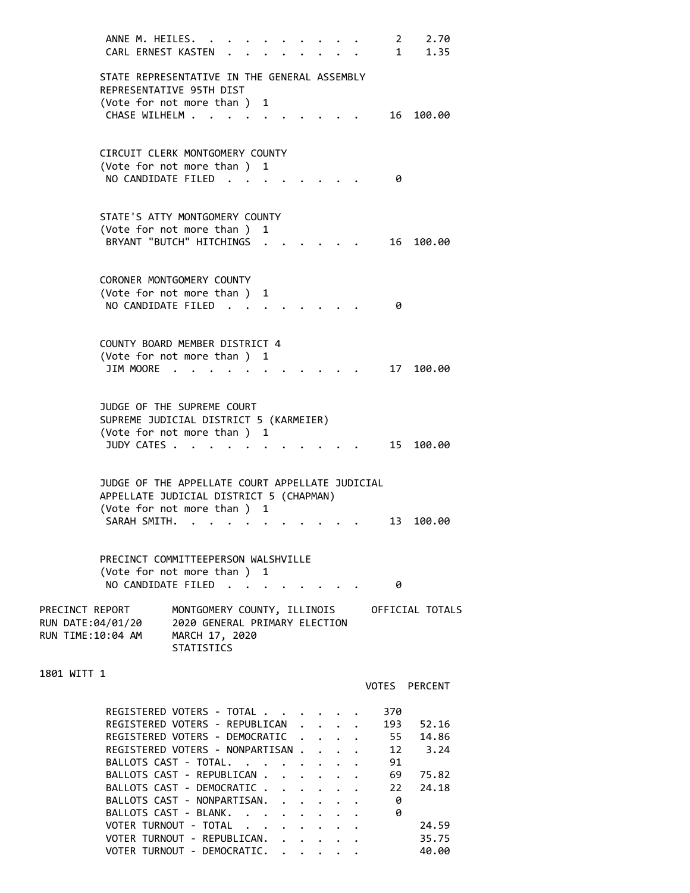ANNE M. HEILES. . . . . . . . . . 2 2.70 CARL ERNEST KASTEN . . . . . . . . 1 1.35 STATE REPRESENTATIVE IN THE GENERAL ASSEMBLY REPRESENTATIVE 95TH DIST (Vote for not more than ) 1 CHASE WILHELM . . . . . . . . . . 16 100.00 CIRCUIT CLERK MONTGOMERY COUNTY (Vote for not more than ) 1 NO CANDIDATE FILED . . . . . . . . 0 STATE'S ATTY MONTGOMERY COUNTY (Vote for not more than ) 1 BRYANT "BUTCH" HITCHINGS . . . . . . 16 100.00 CORONER MONTGOMERY COUNTY (Vote for not more than ) 1 NO CANDIDATE FILED . . . . . . . . 0 COUNTY BOARD MEMBER DISTRICT 4 (Vote for not more than ) 1 JIM MOORE . . . . . . . . . . . . 17 100.00 JUDGE OF THE SUPREME COURT SUPREME JUDICIAL DISTRICT 5 (KARMEIER) (Vote for not more than ) 1 JUDY CATES . . . . . . . . . . . . 15 100.00 JUDGE OF THE APPELLATE COURT APPELLATE JUDICIAL APPELLATE JUDICIAL DISTRICT 5 (CHAPMAN) (Vote for not more than ) 1 SARAH SMITH. . . . . . . . . . . 13 100.00 PRECINCT COMMITTEEPERSON WALSHVILLE (Vote for not more than ) 1 NO CANDIDATE FILED . . . . . . . . 0 PRECINCT REPORT MONTGOMERY COUNTY, ILLINOIS OFFICIAL TOTALS RUN DATE:04/01/20 2020 GENERAL PRIMARY ELECTION RUN TIME:10:04 AM MARCH 17, 2020 STATISTICS 1801 WITT 1 VOTES PERCENT REGISTERED VOTERS - TOTAL . . . . . . 370 REGISTERED VOTERS - REPUBLICAN . . . . 193 52.16<br>REGISTERED VOTERS - DEMOCRATIC . . . . 55 14.86 REGISTERED VOTERS - DEMOCRATIC . . . . REGISTERED VOTERS - NONPARTISAN . . . . 12 3.24<br>BALLOTS CAST - TOTAL. . . . . . . . 91 BALLOTS CAST - TOTAL. . . . . . . . BALLOTS CAST - REPUBLICAN . . . . . . 69 75.82 BALLOTS CAST - DEMOCRATIC . . . . . . 22 24.18 BALLOTS CAST - NONPARTISAN. . . . . . 0 BALLOTS CAST - BLANK. . . . . . . . 0 VOTER TURNOUT - TOTAL . . . . . . . . 24.59 VOTER TURNOUT - REPUBLICAN. . . . . . 35.75

VOTER TURNOUT - DEMOCRATIC. . . . . . 40.00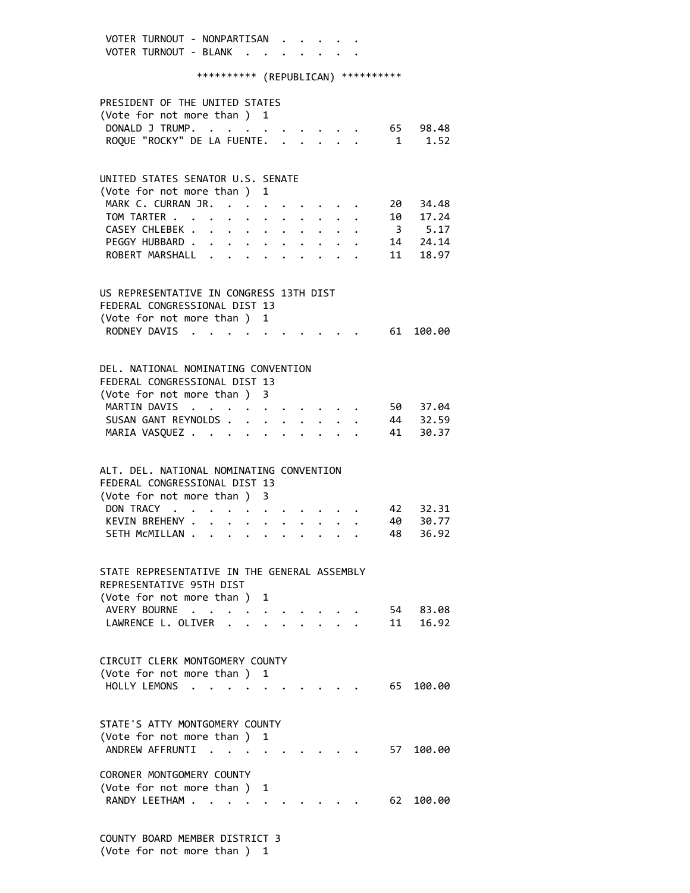VOTER TURNOUT - NONPARTISAN . . . . . VOTER TURNOUT - BLANK . . . . . \*\*\*\*\*\*\*\*\*\* (REPUBLICAN) \*\*\*\*\*\*\*\*\*\* PRESIDENT OF THE UNITED STATES (Vote for not more than ) 1 DONALD J TRUMP. . . . . . . . . . . 65 98.48 ROQUE "ROCKY" DE LA FUENTE. . . . . . 1 1.52 UNITED STATES SENATOR U.S. SENATE (Vote for not more than ) 1 MARK C. CURRAN JR. . . . . . . . . 20 34.48 TOM TARTER . . . . . . . . . . . . 10 17.24 CASEY CHLEBEK . . . . . . . . . . . 3 5.17<br>PEGGY HUBBARD . . . . . . . . . . . 14 24.14 PEGGY HUBBARD . . . . . . . . . . . ROBERT MARSHALL . . . . . . . . . 11 18.97 US REPRESENTATIVE IN CONGRESS 13TH DIST FEDERAL CONGRESSIONAL DIST 13 (Vote for not more than ) 1 RODNEY DAVIS . . . . . . . . . . 61 100.00 DEL. NATIONAL NOMINATING CONVENTION FEDERAL CONGRESSIONAL DIST 13 (Vote for not more than ) 3 MARTIN DAVIS . . . . . . . . . . 50 37.04 SUSAN GANT REYNOLDS . . . . . . . . 44 32.59 MARIA VASQUEZ . . . . . . . . . . 41 30.37 ALT. DEL. NATIONAL NOMINATING CONVENTION FEDERAL CONGRESSIONAL DIST 13 (Vote for not more than ) 3 DON TRACY . . . . . . . . . . . 42 32.31 KEVIN BREHENY . . . . . . . . . . 40 30.77 SETH MCMILLAN . . . . . . . . . . 48 36.92 STATE REPRESENTATIVE IN THE GENERAL ASSEMBLY REPRESENTATIVE 95TH DIST (Vote for not more than ) 1 AVERY BOURNE . . . . . . . . . . 54 83.08 LAWRENCE L. OLIVER . . . . . . . . 11 16.92 CIRCUIT CLERK MONTGOMERY COUNTY (Vote for not more than ) 1 HOLLY LEMONS . . . . . . . . . . . 65 100.00 STATE'S ATTY MONTGOMERY COUNTY (Vote for not more than ) 1 ANDREW AFFRUNTI . . . . . . . . . 57 100.00 CORONER MONTGOMERY COUNTY (Vote for not more than ) 1 RANDY LEETHAM . . . . . . . . . . . 62 100.00

 COUNTY BOARD MEMBER DISTRICT 3 (Vote for not more than ) 1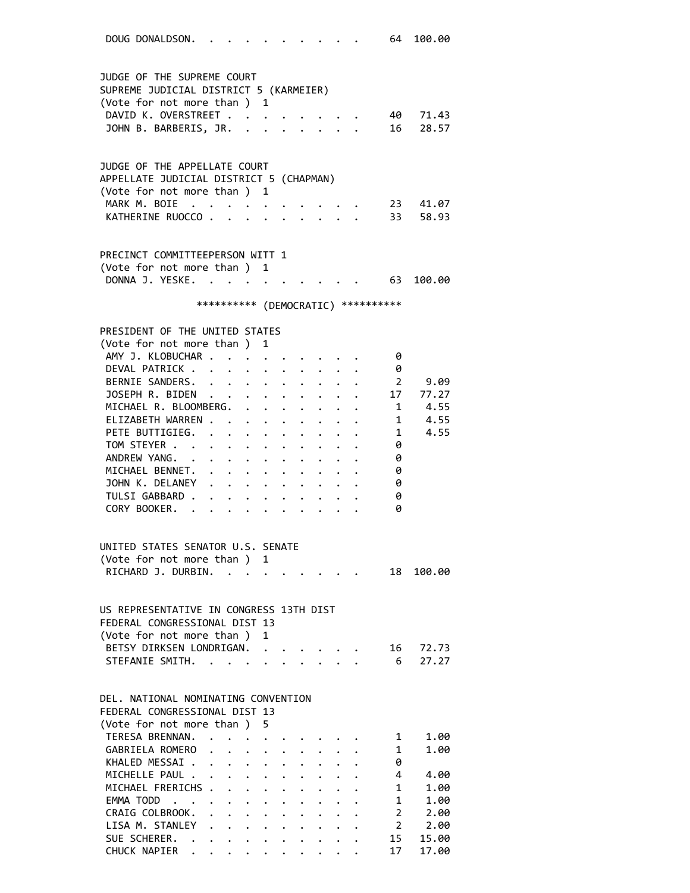DOUG DONALDSON. . . . . . . . . . . 64 100.00 JUDGE OF THE SUPREME COURT SUPREME JUDICIAL DISTRICT 5 (KARMEIER) (Vote for not more than ) 1 DAVID K. OVERSTREET . . . . . . . . 40 71.43 JOHN B. BARBERIS, JR. . . . . . . . 16 28.57 JUDGE OF THE APPELLATE COURT APPELLATE JUDICIAL DISTRICT 5 (CHAPMAN) (Vote for not more than ) 1 MARK M. BOIE . . . . . . . . . . 23 41.07 KATHERINE RUOCCO . . . . . . . . . 33 58.93 PRECINCT COMMITTEEPERSON WITT 1 (Vote for not more than ) 1 DONNA J. YESKE. . . . . . . . . . . 63 100.00 \*\*\*\*\*\*\*\*\*\* (DEMOCRATIC) \*\*\*\*\*\*\*\*\*\* PRESIDENT OF THE UNITED STATES (Vote for not more than ) 1 AMY J. KLOBUCHAR . . . . . . . . . . 0 DEVAL PATRICK . . . . . . . . . . 0 BERNIE SANDERS. . . . . . . . . . 2 9.09 JOSEPH R. BIDEN . . . . . . . . . 17 77.27<br>MICHAEL R. BLOOMBERG. . . . . . . . 1 4.55 MICHAEL R. BLOOMBERG. . . . . . . . . ELIZABETH WARREN . . . . . . . . . 1 4.55 PETE BUTTIGIEG. . . . . . . . . . 1 4.55<br>TOM STEYER . . . . . . . . . . . 0 TOM STEYER . . . . . . . . . . . ANDREW YANG. . . . . . . . . . . 0 MICHAEL BENNET. . . . . . . . . . 0<br>JOHN K. DELANEY . . . . . . . . . 0 JOHN K. DELANEY . . . . . . . . . . 0<br>TULSI GABBARD . . . . . . . . . . . 0 TULSI GABBARD . . . . . . . . . . CORY BOOKER. . . . . . . . . . . 0 UNITED STATES SENATOR U.S. SENATE (Vote for not more than ) 1 RICHARD J. DURBIN. . . . . . . . . . 18 100.00 US REPRESENTATIVE IN CONGRESS 13TH DIST FEDERAL CONGRESSIONAL DIST 13 (Vote for not more than ) 1 BETSY DIRKSEN LONDRIGAN. . . . . . . 16 72.73 STEFANIE SMITH. . . . . . . . . . . 6 27.27 DEL. NATIONAL NOMINATING CONVENTION FEDERAL CONGRESSIONAL DIST 13 (Vote for not more than ) 5 TERESA BRENNAN. . . . . . . . . . . 1 1.00 GABRIELA ROMERO . . . . . . . . . 1 1.00 KHALED MESSAI . . . . . . . . . . 0 MICHELLE PAUL . . . . . . . . . . . 4 4.00 MICHAEL FRERICHS . . . . . . . . . 1 1.00 EMMA TODD . . . . . . . . . . . . 1 1.00 CRAIG COLBROOK. . . . . . . . . . 2 2.00 LISA M. STANLEY . . . . . . . . . . 2 2.00<br>SUE SCHERER. . . . . . . . . . . 15 15.00 SUE SCHERER. . . . . . . . . . . 15 15.00 CHUCK NAPIER . . . . . . . . . . 17 17.00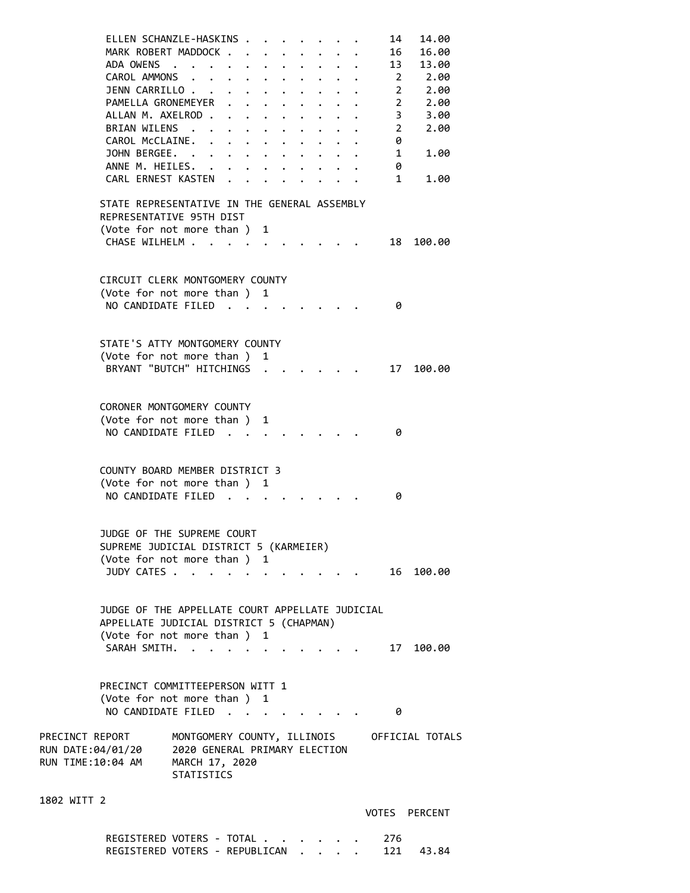|                                                           | ELLEN SCHANZLE-HASKINS<br>MARK ROBERT MADDOCK<br>ADA OWENS<br>CAROL AMMONS<br>JENN CARRILLO<br>PAMELLA GRONEMEYER<br>ALLAN M. AXELROD.<br>BRIAN WILENS .<br>CAROL McCLAINE.<br>JOHN BERGEE. .<br>ANNE M. HEILES.<br>CARL ERNEST KASTEN | $\sim$ $\sim$                                                                                       | $\cdot$ $\cdot$ $\cdot$ $\cdot$ | $\mathbf{L}^{\text{max}}$<br>$\cdot$ $\cdot$ $\cdot$ | $\bullet$<br>$\bullet$<br>$\bullet$ .<br>$\ddot{\phantom{0}}$ | $\ddot{\phantom{a}}$<br>$\ddot{\phantom{0}}$ |  | $\ddot{\phantom{1}}$ |  | 14<br>16<br>13<br>$\sim$ 2<br>2<br>2<br>3<br>2<br>0<br>1<br>0<br>1 | 14.00<br>16.00<br>13.00<br>2.00<br>2.00<br>2.00<br>3.00<br>2.00<br>1.00<br>1.00 |  |
|-----------------------------------------------------------|----------------------------------------------------------------------------------------------------------------------------------------------------------------------------------------------------------------------------------------|-----------------------------------------------------------------------------------------------------|---------------------------------|------------------------------------------------------|---------------------------------------------------------------|----------------------------------------------|--|----------------------|--|--------------------------------------------------------------------|---------------------------------------------------------------------------------|--|
|                                                           | STATE REPRESENTATIVE IN THE GENERAL ASSEMBLY                                                                                                                                                                                           |                                                                                                     |                                 |                                                      |                                                               |                                              |  |                      |  |                                                                    |                                                                                 |  |
|                                                           | REPRESENTATIVE 95TH DIST                                                                                                                                                                                                               |                                                                                                     |                                 |                                                      |                                                               |                                              |  |                      |  |                                                                    |                                                                                 |  |
|                                                           | (Vote for not more than) 1                                                                                                                                                                                                             |                                                                                                     |                                 |                                                      |                                                               |                                              |  |                      |  |                                                                    |                                                                                 |  |
|                                                           | CHASE WILHELM                                                                                                                                                                                                                          |                                                                                                     |                                 | $\sim$ $\sim$                                        |                                                               |                                              |  |                      |  | 18                                                                 | 100.00                                                                          |  |
|                                                           | CIRCUIT CLERK MONTGOMERY COUNTY                                                                                                                                                                                                        |                                                                                                     |                                 |                                                      |                                                               |                                              |  |                      |  |                                                                    |                                                                                 |  |
|                                                           | (Vote for not more than ) 1                                                                                                                                                                                                            |                                                                                                     |                                 |                                                      |                                                               |                                              |  |                      |  |                                                                    |                                                                                 |  |
|                                                           | NO CANDIDATE FILED.                                                                                                                                                                                                                    |                                                                                                     |                                 |                                                      |                                                               |                                              |  |                      |  | 0                                                                  |                                                                                 |  |
|                                                           |                                                                                                                                                                                                                                        |                                                                                                     |                                 |                                                      |                                                               |                                              |  |                      |  |                                                                    |                                                                                 |  |
|                                                           | STATE'S ATTY MONTGOMERY COUNTY                                                                                                                                                                                                         |                                                                                                     |                                 |                                                      |                                                               |                                              |  |                      |  |                                                                    |                                                                                 |  |
|                                                           | (Vote for not more than ) 1                                                                                                                                                                                                            |                                                                                                     |                                 |                                                      |                                                               |                                              |  |                      |  |                                                                    |                                                                                 |  |
|                                                           | BRYANT "BUTCH" HITCHINGS.                                                                                                                                                                                                              |                                                                                                     |                                 |                                                      |                                                               |                                              |  |                      |  | 17                                                                 | 100.00                                                                          |  |
|                                                           |                                                                                                                                                                                                                                        |                                                                                                     |                                 |                                                      |                                                               |                                              |  |                      |  |                                                                    |                                                                                 |  |
|                                                           | CORONER MONTGOMERY COUNTY                                                                                                                                                                                                              |                                                                                                     |                                 |                                                      |                                                               |                                              |  |                      |  |                                                                    |                                                                                 |  |
|                                                           | (Vote for not more than )                                                                                                                                                                                                              |                                                                                                     |                                 |                                                      | 1                                                             |                                              |  |                      |  |                                                                    |                                                                                 |  |
|                                                           | NO CANDIDATE FILED                                                                                                                                                                                                                     |                                                                                                     |                                 |                                                      |                                                               |                                              |  |                      |  | 0                                                                  |                                                                                 |  |
|                                                           |                                                                                                                                                                                                                                        |                                                                                                     |                                 |                                                      |                                                               |                                              |  |                      |  |                                                                    |                                                                                 |  |
|                                                           | COUNTY BOARD MEMBER DISTRICT 3<br>(Vote for not more than)<br>NO CANDIDATE FILED.                                                                                                                                                      |                                                                                                     |                                 | <b>Contract Contract</b>                             | 1                                                             |                                              |  |                      |  | 0                                                                  |                                                                                 |  |
|                                                           | JUDGE OF THE SUPREME COURT                                                                                                                                                                                                             |                                                                                                     |                                 |                                                      |                                                               |                                              |  |                      |  |                                                                    |                                                                                 |  |
|                                                           | SUPREME JUDICIAL DISTRICT 5 (KARMEIER)                                                                                                                                                                                                 |                                                                                                     |                                 |                                                      |                                                               |                                              |  |                      |  |                                                                    |                                                                                 |  |
|                                                           | (Vote for not more than ) 1                                                                                                                                                                                                            |                                                                                                     |                                 |                                                      |                                                               |                                              |  |                      |  |                                                                    |                                                                                 |  |
|                                                           | JUDY CATES .                                                                                                                                                                                                                           | $\sim$ $\sim$ $\sim$                                                                                |                                 |                                                      |                                                               |                                              |  |                      |  | 16                                                                 | 100.00                                                                          |  |
|                                                           |                                                                                                                                                                                                                                        |                                                                                                     |                                 |                                                      |                                                               |                                              |  |                      |  |                                                                    |                                                                                 |  |
|                                                           | JUDGE OF THE APPELLATE COURT APPELLATE JUDICIAL                                                                                                                                                                                        |                                                                                                     |                                 |                                                      |                                                               |                                              |  |                      |  |                                                                    |                                                                                 |  |
|                                                           | APPELLATE JUDICIAL DISTRICT 5 (CHAPMAN)                                                                                                                                                                                                |                                                                                                     |                                 |                                                      |                                                               |                                              |  |                      |  |                                                                    |                                                                                 |  |
|                                                           | (Vote for not more than ) 1                                                                                                                                                                                                            |                                                                                                     |                                 |                                                      |                                                               |                                              |  |                      |  |                                                                    |                                                                                 |  |
|                                                           | SARAH SMITH.                                                                                                                                                                                                                           | $\sim$ $\sim$                                                                                       |                                 |                                                      |                                                               |                                              |  |                      |  | 17                                                                 | 100.00                                                                          |  |
|                                                           |                                                                                                                                                                                                                                        |                                                                                                     |                                 |                                                      |                                                               |                                              |  |                      |  |                                                                    |                                                                                 |  |
|                                                           | PRECINCT COMMITTEEPERSON WITT 1<br>(Vote for not more than ) 1<br>NO CANDIDATE FILED                                                                                                                                                   |                                                                                                     |                                 |                                                      |                                                               |                                              |  |                      |  | 0                                                                  |                                                                                 |  |
|                                                           |                                                                                                                                                                                                                                        |                                                                                                     |                                 |                                                      |                                                               |                                              |  |                      |  |                                                                    |                                                                                 |  |
| PRECINCT REPORT<br>RUN DATE:04/01/20<br>RUN TIME:10:04 AM |                                                                                                                                                                                                                                        | MONTGOMERY COUNTY, ILLINOIS<br>2020 GENERAL PRIMARY ELECTION<br>MARCH 17, 2020<br><b>STATISTICS</b> |                                 |                                                      |                                                               |                                              |  |                      |  |                                                                    | OFFICIAL TOTALS                                                                 |  |
| 1802 WITT 2                                               |                                                                                                                                                                                                                                        |                                                                                                     |                                 |                                                      |                                                               |                                              |  |                      |  |                                                                    |                                                                                 |  |
|                                                           |                                                                                                                                                                                                                                        |                                                                                                     |                                 |                                                      |                                                               |                                              |  |                      |  |                                                                    | VOTES PERCENT                                                                   |  |

REGISTERED VOTERS - TOTAL . . . . . . 276 REGISTERED VOTERS - REPUBLICAN . . . . 121 43.84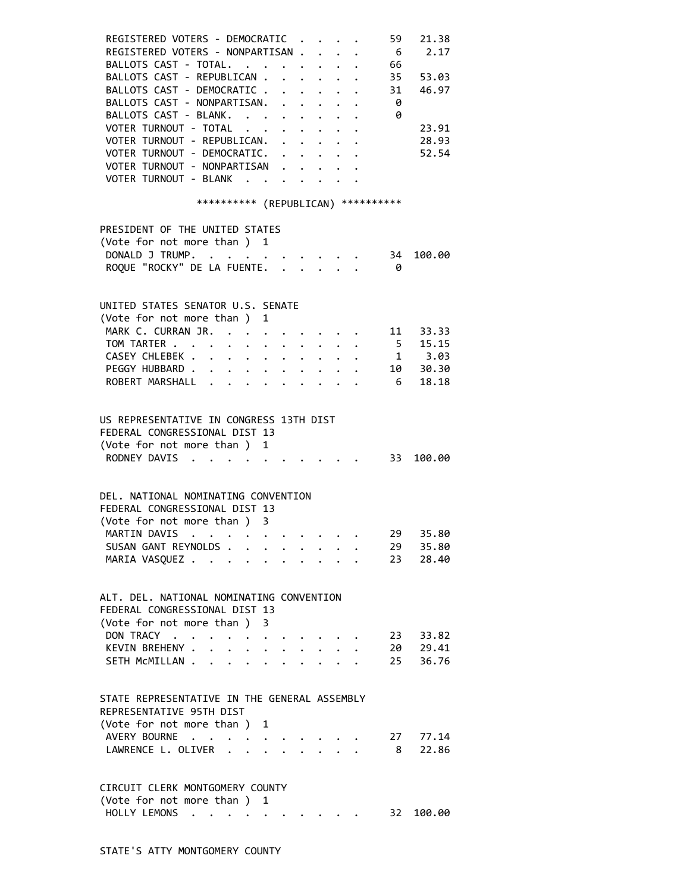| REGISTERED VOTERS - DEMOCRATIC                                                                                                                                                                                                                | 21.38<br>59                                                          |
|-----------------------------------------------------------------------------------------------------------------------------------------------------------------------------------------------------------------------------------------------|----------------------------------------------------------------------|
| REGISTERED VOTERS - NONPARTISAN.                                                                                                                                                                                                              | 2.17<br>- 6                                                          |
| BALLOTS CAST - TOTAL.                                                                                                                                                                                                                         | 66                                                                   |
| BALLOTS CAST - REPUBLICAN 35 53.03                                                                                                                                                                                                            |                                                                      |
| BALLOTS CAST - DEMOCRATIC 31 46.97                                                                                                                                                                                                            |                                                                      |
| BALLOTS CAST - NONPARTISAN.                                                                                                                                                                                                                   | $\cdot$ 0                                                            |
| BALLOTS CAST - BLANK. 0                                                                                                                                                                                                                       |                                                                      |
| VOTER TURNOUT - TOTAL                                                                                                                                                                                                                         | 23.91                                                                |
| VOTER TURNOUT - REPUBLICAN.                                                                                                                                                                                                                   | 28.93                                                                |
| VOTER TURNOUT - DEMOCRATIC.                                                                                                                                                                                                                   | 52.54                                                                |
| VOTER TURNOUT - NONPARTISAN                                                                                                                                                                                                                   |                                                                      |
| VOTER TURNOUT - BLANK                                                                                                                                                                                                                         |                                                                      |
|                                                                                                                                                                                                                                               | *********** (REPUBLICAN) ***********                                 |
|                                                                                                                                                                                                                                               |                                                                      |
| PRESIDENT OF THE UNITED STATES                                                                                                                                                                                                                |                                                                      |
| (Vote for not more than ) 1                                                                                                                                                                                                                   |                                                                      |
| DONALD J TRUMP. 34                                                                                                                                                                                                                            | 100.00                                                               |
| ROQUE "ROCKY" DE LA FUENTE.                                                                                                                                                                                                                   | - 0                                                                  |
|                                                                                                                                                                                                                                               |                                                                      |
| UNITED STATES SENATOR U.S. SENATE                                                                                                                                                                                                             |                                                                      |
| (Vote for not more than ) 1                                                                                                                                                                                                                   |                                                                      |
| MARK C. CURRAN JR.                                                                                                                                                                                                                            | 11 33.33                                                             |
| TOM TARTER                                                                                                                                                                                                                                    | $\begin{array}{ccc} 5 & 15.15 \\ 1 & 3.03 \\ 10 & 30.30 \end{array}$ |
| CASEY CHLEBEK                                                                                                                                                                                                                                 |                                                                      |
| PEGGY HUBBARD<br>$\mathbf{L} = \mathbf{L} \mathbf{L}$ .<br>$\bullet$ .                                                                                                                                                                        |                                                                      |
| ROBERT MARSHALL                                                                                                                                                                                                                               | $6$ 18.18<br>$\mathbf{r}$ and $\mathbf{r}$ and $\mathbf{r}$          |
|                                                                                                                                                                                                                                               |                                                                      |
| US REPRESENTATIVE IN CONGRESS 13TH DIST                                                                                                                                                                                                       |                                                                      |
| FEDERAL CONGRESSIONAL DIST 13                                                                                                                                                                                                                 |                                                                      |
| (Vote for not more than ) 1                                                                                                                                                                                                                   |                                                                      |
| RODNEY DAVIS                                                                                                                                                                                                                                  | $\cdot \cdot \cdot \cdot \cdot 33 \quad 100.00$                      |
|                                                                                                                                                                                                                                               |                                                                      |
|                                                                                                                                                                                                                                               |                                                                      |
| DEL. NATIONAL NOMINATING CONVENTION                                                                                                                                                                                                           |                                                                      |
| FEDERAL CONGRESSIONAL DIST 13                                                                                                                                                                                                                 |                                                                      |
| (Vote for not more than ) 3                                                                                                                                                                                                                   |                                                                      |
| MARTIN DAVIS<br>. The contract of the contract of the contract of the contract of the contract of the contract of the contract of the contract of the contract of the contract of the contract of the contract of the contract of the contrac | 29<br>35.80                                                          |
| SUSAN GANT REYNOLDS                                                                                                                                                                                                                           | 35.80<br>29 -                                                        |
| MARIA VASQUEZ                                                                                                                                                                                                                                 | 23 28.40                                                             |
|                                                                                                                                                                                                                                               |                                                                      |
| ALT. DEL. NATIONAL NOMINATING CONVENTION                                                                                                                                                                                                      |                                                                      |
| FEDERAL CONGRESSIONAL DIST 13                                                                                                                                                                                                                 |                                                                      |
| (Vote for not more than ) 3                                                                                                                                                                                                                   |                                                                      |
| DON TRACY                                                                                                                                                                                                                                     | 23 33.82                                                             |
| KEVIN BREHENY .                                                                                                                                                                                                                               | 20 29.41                                                             |
| SETH MCMILLAN.<br>$\ddot{\phantom{a}}$                                                                                                                                                                                                        | 25 36.76                                                             |
|                                                                                                                                                                                                                                               |                                                                      |
| STATE REPRESENTATIVE IN THE GENERAL ASSEMBLY                                                                                                                                                                                                  |                                                                      |
| REPRESENTATIVE 95TH DIST                                                                                                                                                                                                                      |                                                                      |
| (Vote for not more than ) 1                                                                                                                                                                                                                   |                                                                      |
| AVERY BOURNE                                                                                                                                                                                                                                  | 27 77.14                                                             |
| LAWRENCE L. OLIVER .                                                                                                                                                                                                                          | 22.86<br>- 8                                                         |
|                                                                                                                                                                                                                                               |                                                                      |
|                                                                                                                                                                                                                                               |                                                                      |
| CIRCUIT CLERK MONTGOMERY COUNTY                                                                                                                                                                                                               |                                                                      |
| (Vote for not more than ) 1                                                                                                                                                                                                                   |                                                                      |
| HOLLY LEMONS                                                                                                                                                                                                                                  | 32<br>100.00                                                         |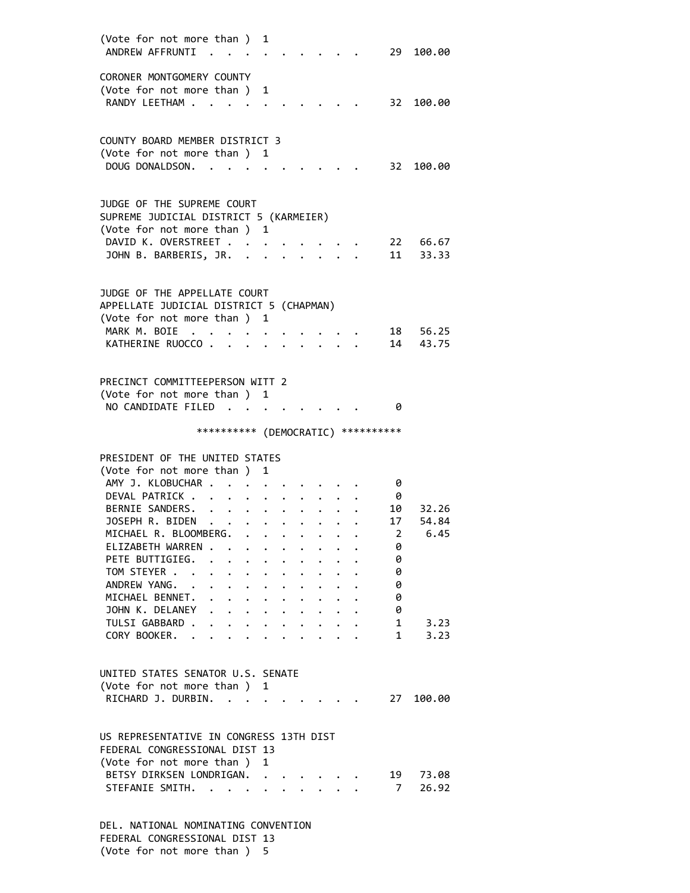| (Vote for not more than) 1<br>ANDREW AFFRUNTI                        | $\sim$               |                                                 |                          |                      |                      |                      |                      |                                                   |                                     | 29 100.00         |
|----------------------------------------------------------------------|----------------------|-------------------------------------------------|--------------------------|----------------------|----------------------|----------------------|----------------------|---------------------------------------------------|-------------------------------------|-------------------|
| CORONER MONTGOMERY COUNTY<br>(Vote for not more than) 1              |                      |                                                 |                          |                      |                      |                      |                      |                                                   |                                     |                   |
| RANDY LEETHAM .                                                      |                      |                                                 |                          |                      |                      |                      |                      |                                                   |                                     | 32 100.00         |
| COUNTY BOARD MEMBER DISTRICT 3<br>(Vote for not more than )          |                      |                                                 |                          | 1                    |                      |                      |                      |                                                   |                                     |                   |
| DOUG DONALDSON.                                                      |                      |                                                 |                          |                      |                      |                      |                      |                                                   | 32                                  | 100.00            |
| JUDGE OF THE SUPREME COURT<br>SUPREME JUDICIAL DISTRICT 5 (KARMEIER) |                      |                                                 |                          |                      |                      |                      |                      |                                                   |                                     |                   |
| (Vote for not more than ) 1                                          |                      |                                                 |                          |                      |                      |                      |                      |                                                   |                                     |                   |
| DAVID K. OVERSTREET                                                  |                      |                                                 |                          |                      |                      |                      |                      |                                                   |                                     | 22 66.67          |
| JOHN B. BARBERIS, JR. .                                              |                      |                                                 |                          |                      |                      |                      |                      |                                                   | 11                                  | 33.33             |
| JUDGE OF THE APPELLATE COURT                                         |                      |                                                 |                          |                      |                      |                      |                      |                                                   |                                     |                   |
| APPELLATE JUDICIAL DISTRICT 5 (CHAPMAN)                              |                      |                                                 |                          |                      |                      |                      |                      |                                                   |                                     |                   |
| (Vote for not more than)<br>MARK M. BOIE                             |                      |                                                 |                          | 1                    |                      |                      |                      |                                                   |                                     |                   |
| KATHERINE RUOCCO                                                     | $\ddot{\phantom{1}}$ |                                                 |                          |                      |                      |                      |                      |                                                   | 14                                  | 18 56.25<br>43.75 |
|                                                                      |                      |                                                 | <b>Contract Contract</b> |                      |                      |                      |                      |                                                   |                                     |                   |
| PRECINCT COMMITTEEPERSON WITT 2                                      |                      |                                                 |                          |                      |                      |                      |                      |                                                   |                                     |                   |
| (Vote for not more than ) 1                                          |                      |                                                 |                          |                      |                      |                      |                      |                                                   |                                     |                   |
| NO CANDIDATE FILED                                                   |                      |                                                 |                          |                      |                      |                      |                      |                                                   | 0                                   |                   |
|                                                                      |                      |                                                 |                          |                      |                      |                      |                      |                                                   | *********** (DEMOCRATIC) ********** |                   |
| PRESIDENT OF THE UNITED STATES                                       |                      |                                                 |                          |                      |                      |                      |                      |                                                   |                                     |                   |
|                                                                      |                      |                                                 |                          | 1                    |                      |                      |                      |                                                   |                                     |                   |
| (Vote for not more than)                                             |                      |                                                 |                          |                      |                      |                      |                      |                                                   |                                     |                   |
| AMY J. KLOBUCHAR                                                     |                      |                                                 |                          |                      |                      |                      |                      |                                                   | 0                                   |                   |
| DEVAL PATRICK                                                        |                      |                                                 |                          |                      |                      |                      |                      |                                                   | - 0                                 |                   |
| BERNIE SANDERS.                                                      |                      |                                                 |                          |                      |                      |                      |                      | $\ddotsc$                                         | 10                                  | 32.26             |
|                                                                      |                      |                                                 |                          |                      |                      |                      |                      |                                                   | 17                                  | 54.84             |
| JOSEPH R. BIDEN                                                      |                      |                                                 |                          |                      |                      |                      |                      | $\ddot{\phantom{0}}$                              |                                     |                   |
| MICHAEL R. BLOOMBERG.<br>ELIZABETH WARREN .                          |                      |                                                 |                          |                      |                      |                      |                      |                                                   | $\overline{\phantom{0}}$<br>0       | 6.45              |
| PETE BUTTIGIEG.                                                      |                      |                                                 |                          |                      |                      |                      |                      |                                                   | 0                                   |                   |
| TOM STEYER                                                           |                      |                                                 |                          |                      |                      |                      |                      |                                                   |                                     |                   |
|                                                                      |                      | $\ddot{\phantom{0}}$                            |                          |                      |                      |                      |                      |                                                   | 0<br>0                              |                   |
| ANDREW YANG.                                                         |                      | $\mathbf{r} = \mathbf{r} + \mathbf{r}$          |                          | $\ddot{\phantom{0}}$ |                      |                      |                      |                                                   |                                     |                   |
| MICHAEL BENNET.                                                      |                      | $\ddot{\phantom{a}}$                            |                          |                      | $\ddot{\phantom{0}}$ | $\ddot{\phantom{0}}$ | $\ddot{\phantom{0}}$ |                                                   | 0                                   |                   |
| JOHN K. DELANEY                                                      |                      | $\ddot{\phantom{a}}$                            |                          |                      |                      |                      |                      | $\ddot{\phantom{a}}$                              | 0                                   |                   |
| TULSI GABBARD .<br>CORY BOOKER.                                      |                      | $\cdot$ $\cdot$ $\cdot$ $\cdot$ $\cdot$ $\cdot$ |                          |                      |                      |                      |                      | $\mathbf{r}$ $\mathbf{r}$<br>$\ddot{\phantom{a}}$ | $\mathbf{1}$<br>$1 \quad$           | 3.23<br>3.23      |
|                                                                      |                      |                                                 |                          |                      |                      |                      |                      |                                                   |                                     |                   |
| UNITED STATES SENATOR U.S. SENATE                                    |                      |                                                 |                          |                      |                      |                      |                      |                                                   |                                     |                   |
| (Vote for not more than ) 1<br>RICHARD J. DURBIN.                    |                      | <b>Contract Contract Contract</b>               |                          |                      |                      |                      |                      |                                                   | 27                                  | 100.00            |
| US REPRESENTATIVE IN CONGRESS 13TH DIST                              |                      |                                                 |                          |                      |                      |                      |                      |                                                   |                                     |                   |
| FEDERAL CONGRESSIONAL DIST 13                                        |                      |                                                 |                          |                      |                      |                      |                      |                                                   |                                     |                   |
| (Vote for not more than ) 1                                          |                      |                                                 |                          |                      |                      |                      |                      |                                                   |                                     |                   |
| BETSY DIRKSEN LONDRIGAN.                                             |                      |                                                 |                          |                      |                      |                      |                      |                                                   |                                     | 19 73.08          |
| STEFANIE SMITH.                                                      |                      |                                                 |                          |                      |                      |                      |                      |                                                   | 7 <sup>7</sup>                      | 26.92             |

 DEL. NATIONAL NOMINATING CONVENTION FEDERAL CONGRESSIONAL DIST 13 (Vote for not more than ) 5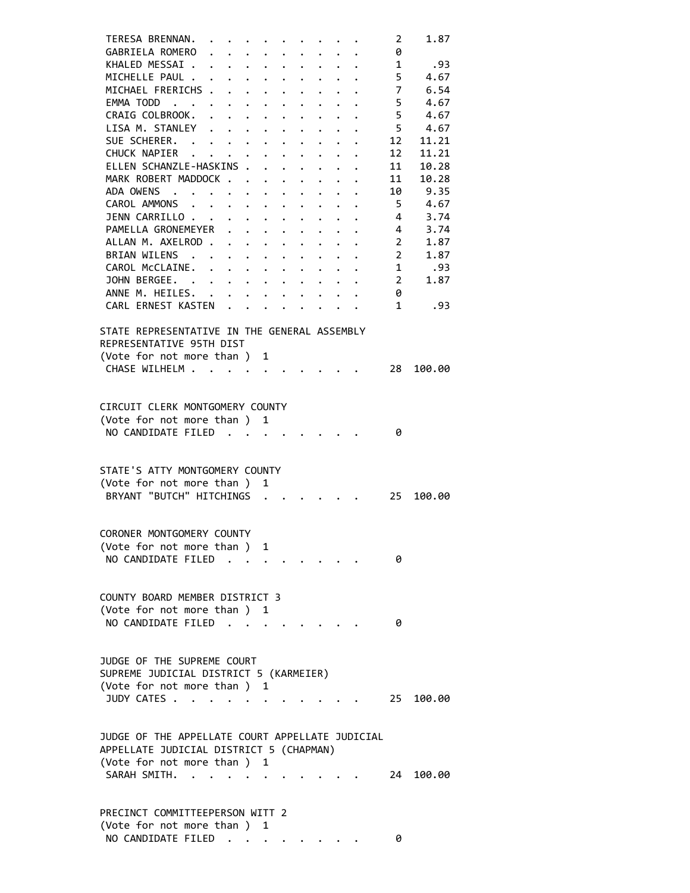| TERESA BRENNAN.                                 |                                        |                                                                  |                                                           |                      |                      |                                               |                      | 2              | 1.87      |
|-------------------------------------------------|----------------------------------------|------------------------------------------------------------------|-----------------------------------------------------------|----------------------|----------------------|-----------------------------------------------|----------------------|----------------|-----------|
| GABRIELA ROMERO                                 |                                        |                                                                  |                                                           |                      |                      |                                               |                      | 0              |           |
|                                                 |                                        |                                                                  |                                                           |                      |                      |                                               |                      |                |           |
| KHALED MESSAI                                   |                                        |                                                                  |                                                           |                      |                      |                                               |                      | $\mathbf{1}$   | .93       |
| MICHELLE PAUL                                   |                                        |                                                                  |                                                           |                      |                      |                                               |                      | 5              | 4.67      |
| MICHAEL FRERICHS                                |                                        |                                                                  |                                                           |                      |                      |                                               |                      | $\overline{7}$ | 6.54      |
| EMMA TODD                                       |                                        |                                                                  |                                                           |                      | $\mathbf{L}$         |                                               |                      | 5              | 4.67      |
| CRAIG COLBROOK.                                 |                                        |                                                                  |                                                           |                      |                      |                                               |                      | $5^{\circ}$    | 4.67      |
| LISA M. STANLEY                                 |                                        |                                                                  |                                                           |                      |                      |                                               | $\ddot{\phantom{a}}$ |                | 5 4.67    |
| SUE SCHERER.                                    |                                        |                                                                  |                                                           |                      |                      |                                               |                      | 12             | 11.21     |
| CHUCK NAPIER                                    |                                        |                                                                  |                                                           |                      |                      |                                               |                      | 12             | 11.21     |
|                                                 |                                        |                                                                  |                                                           |                      |                      |                                               |                      |                |           |
| ELLEN SCHANZLE-HASKINS .                        |                                        |                                                                  | $\mathbf{r}$                                              | $\ddot{\phantom{0}}$ |                      | $\bullet$ , $\bullet$ , $\bullet$ , $\bullet$ |                      | 11             | 10.28     |
| MARK ROBERT MADDOCK                             |                                        |                                                                  |                                                           | $\ddot{\phantom{a}}$ |                      |                                               |                      | 11             | 10.28     |
| ADA OWENS                                       | $\mathbf{z} = \mathbf{z} + \mathbf{z}$ |                                                                  | $\mathbf{L}^{\text{max}}$ , and $\mathbf{L}^{\text{max}}$ |                      |                      |                                               |                      | 10             | 9.35      |
| CAROL AMMONS                                    |                                        |                                                                  |                                                           |                      | $\ddot{\phantom{0}}$ | $\bullet$                                     | $\ddot{\phantom{0}}$ | 5 <sub>1</sub> | 4.67      |
| JENN CARRILLO                                   |                                        |                                                                  |                                                           |                      |                      |                                               |                      | $\overline{4}$ | 3.74      |
| PAMELLA GRONEMEYER                              |                                        |                                                                  |                                                           |                      |                      |                                               |                      | $\overline{4}$ | 3.74      |
| ALLAN M. AXELROD                                |                                        |                                                                  |                                                           |                      |                      |                                               |                      | $\overline{2}$ | 1.87      |
| BRIAN WILENS                                    |                                        |                                                                  |                                                           |                      |                      |                                               |                      | $2^{\circ}$    | 1.87      |
|                                                 |                                        |                                                                  |                                                           |                      |                      |                                               |                      |                |           |
| CAROL McCLAINE.                                 |                                        |                                                                  |                                                           |                      |                      |                                               |                      | 1              | .93       |
| JOHN BERGEE.                                    |                                        |                                                                  |                                                           |                      |                      |                                               |                      | $\mathbf{2}$   | 1.87      |
| ANNE M. HEILES. .                               |                                        | $\mathbf{r} = \mathbf{r} + \mathbf{r} + \mathbf{r} + \mathbf{r}$ |                                                           |                      |                      |                                               |                      | 0              |           |
| CARL ERNEST KASTEN                              |                                        |                                                                  |                                                           |                      |                      |                                               |                      | $\mathbf{1}$   | .93       |
|                                                 |                                        |                                                                  |                                                           |                      |                      |                                               |                      |                |           |
| STATE REPRESENTATIVE IN THE GENERAL ASSEMBLY    |                                        |                                                                  |                                                           |                      |                      |                                               |                      |                |           |
| REPRESENTATIVE 95TH DIST                        |                                        |                                                                  |                                                           |                      |                      |                                               |                      |                |           |
| (Vote for not more than)                        |                                        |                                                                  | 1                                                         |                      |                      |                                               |                      |                |           |
|                                                 |                                        |                                                                  |                                                           |                      |                      |                                               |                      |                |           |
| CHASE WILHELM                                   |                                        |                                                                  |                                                           |                      |                      |                                               |                      | 28             | 100.00    |
|                                                 |                                        |                                                                  |                                                           |                      |                      |                                               |                      |                |           |
|                                                 |                                        |                                                                  |                                                           |                      |                      |                                               |                      |                |           |
| CIRCUIT CLERK MONTGOMERY COUNTY                 |                                        |                                                                  |                                                           |                      |                      |                                               |                      |                |           |
| (Vote for not more than ) 1                     |                                        |                                                                  |                                                           |                      |                      |                                               |                      |                |           |
| NO CANDIDATE FILED                              |                                        |                                                                  |                                                           |                      |                      |                                               |                      | 0              |           |
|                                                 |                                        |                                                                  |                                                           |                      |                      |                                               |                      |                |           |
|                                                 |                                        |                                                                  |                                                           |                      |                      |                                               |                      |                |           |
| STATE'S ATTY MONTGOMERY COUNTY                  |                                        |                                                                  |                                                           |                      |                      |                                               |                      |                |           |
|                                                 |                                        |                                                                  |                                                           |                      |                      |                                               |                      |                |           |
| (Vote for not more than ) 1                     |                                        |                                                                  |                                                           |                      |                      |                                               |                      |                |           |
| BRYANT "BUTCH" HITCHINGS                        |                                        |                                                                  |                                                           |                      |                      |                                               |                      | 25             | 100.00    |
|                                                 |                                        |                                                                  |                                                           |                      |                      |                                               |                      |                |           |
|                                                 |                                        |                                                                  |                                                           |                      |                      |                                               |                      |                |           |
| CORONER MONTGOMERY COUNTY                       |                                        |                                                                  |                                                           |                      |                      |                                               |                      |                |           |
| (Vote for not more than ) 1                     |                                        |                                                                  |                                                           |                      |                      |                                               |                      |                |           |
| NO CANDIDATE FILED                              |                                        |                                                                  |                                                           |                      |                      |                                               |                      | 0              |           |
|                                                 |                                        |                                                                  |                                                           |                      |                      |                                               |                      |                |           |
|                                                 |                                        |                                                                  |                                                           |                      |                      |                                               |                      |                |           |
|                                                 |                                        |                                                                  |                                                           |                      |                      |                                               |                      |                |           |
| COUNTY BOARD MEMBER DISTRICT 3                  |                                        |                                                                  |                                                           |                      |                      |                                               |                      |                |           |
| (Vote for not more than ) 1                     |                                        |                                                                  |                                                           |                      |                      |                                               |                      |                |           |
| NO CANDIDATE FILED                              |                                        |                                                                  |                                                           |                      |                      |                                               |                      | 0              |           |
|                                                 |                                        |                                                                  |                                                           |                      |                      |                                               |                      |                |           |
|                                                 |                                        |                                                                  |                                                           |                      |                      |                                               |                      |                |           |
|                                                 |                                        |                                                                  |                                                           |                      |                      |                                               |                      |                |           |
| JUDGE OF THE SUPREME COURT                      |                                        |                                                                  |                                                           |                      |                      |                                               |                      |                |           |
| SUPREME JUDICIAL DISTRICT 5 (KARMEIER)          |                                        |                                                                  |                                                           |                      |                      |                                               |                      |                |           |
| (Vote for not more than ) 1                     |                                        |                                                                  |                                                           |                      |                      |                                               |                      |                |           |
| JUDY CATES                                      |                                        |                                                                  |                                                           |                      |                      |                                               |                      | 25             | 100.00    |
|                                                 |                                        |                                                                  |                                                           |                      |                      |                                               |                      |                |           |
|                                                 |                                        |                                                                  |                                                           |                      |                      |                                               |                      |                |           |
| JUDGE OF THE APPELLATE COURT APPELLATE JUDICIAL |                                        |                                                                  |                                                           |                      |                      |                                               |                      |                |           |
| APPELLATE JUDICIAL DISTRICT 5 (CHAPMAN)         |                                        |                                                                  |                                                           |                      |                      |                                               |                      |                |           |
|                                                 |                                        |                                                                  |                                                           |                      |                      |                                               |                      |                |           |
| (Vote for not more than ) 1                     |                                        |                                                                  |                                                           |                      |                      |                                               |                      |                |           |
| SARAH SMITH.                                    |                                        |                                                                  |                                                           |                      |                      |                                               |                      |                | 24 100.00 |
|                                                 |                                        |                                                                  |                                                           |                      |                      |                                               |                      |                |           |
|                                                 |                                        |                                                                  |                                                           |                      |                      |                                               |                      |                |           |
| PRECINCT COMMITTEEPERSON WITT 2                 |                                        |                                                                  |                                                           |                      |                      |                                               |                      |                |           |
| (Vote for not more than ) 1                     |                                        |                                                                  |                                                           |                      |                      |                                               |                      |                |           |
| NO CANDIDATE FILED                              |                                        |                                                                  |                                                           |                      |                      |                                               |                      | 0              |           |
|                                                 |                                        |                                                                  |                                                           |                      |                      |                                               |                      |                |           |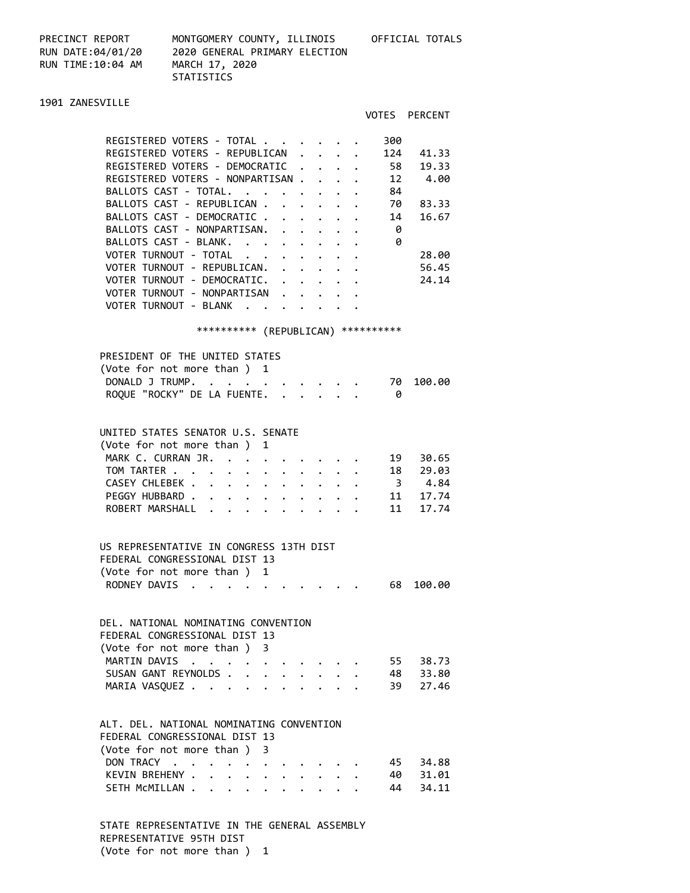PRECINCT REPORT MONTGOMERY COUNTY, ILLINOIS OFFICIAL TOTALS RUN TIME:10:04 AM MARCH 17, 2020

RUN DATE:04/01/20 2020 GENERAL PRIMARY ELECTION STATISTICS

### 1901 ZANESVILLE

|                                               |  |  | VOTES | <b>PERCENT</b> |
|-----------------------------------------------|--|--|-------|----------------|
| REGISTERED VOTERS - TOTAL.                    |  |  | 300   |                |
| REGISTERED VOTERS - REPUBLICAN                |  |  | 124   | 41.33          |
| REGISTERED VOTERS - DEMOCRATIC                |  |  | 58    | 19.33          |
| REGISTERED VOTERS - NONPARTISAN               |  |  | 12    | 4.00           |
| BALLOTS CAST - TOTAL.                         |  |  | 84    |                |
| BALLOTS CAST - REPUBLICAN                     |  |  | 70    | 83.33          |
| BALLOTS CAST - DEMOCRATIC                     |  |  | 14    | 16.67          |
| BALLOTS CAST - NONPARTISAN.                   |  |  | 0     |                |
| BALLOTS CAST - BLANK.                         |  |  | 0     |                |
| VOTER TURNOUT - TOTAL                         |  |  |       | 28.00          |
| VOTER TURNOUT - REPUBLICAN.                   |  |  |       | 56.45          |
| VOTER TURNOUT - DEMOCRATIC.                   |  |  |       | 24.14          |
| VOTER TURNOUT<br><b>NONPARTTSAN</b><br>$\sim$ |  |  |       |                |
| VOTER TURNOUT<br>- BIANK                      |  |  |       |                |
|                                               |  |  |       |                |

#### \*\*\*\*\*\*\*\*\*\* (REPUBLICAN) \*\*\*\*\*\*\*\*\*\*

| PRESIDENT OF THE UNITED STATES |  |
|--------------------------------|--|
| (Vote for not more than ) 1    |  |
| DONALD J TRUMP. 70 100.00      |  |
| ROQUE "ROCKY" DE LA FUENTE.    |  |

#### UNITED STATES SENATOR U.S. SENATE

|  | (Vote for not more than) 1  |  |  |  |  |  |  |
|--|-----------------------------|--|--|--|--|--|--|
|  | MARK C. CURRAN JR. 19 30.65 |  |  |  |  |  |  |
|  | TOM TARTER 18 29.03         |  |  |  |  |  |  |
|  | CASEY CHLEBEK 3 4.84        |  |  |  |  |  |  |
|  | PEGGY HUBBARD 11 17.74      |  |  |  |  |  |  |
|  | ROBERT MARSHALL 11 17.74    |  |  |  |  |  |  |
|  |                             |  |  |  |  |  |  |

## US REPRESENTATIVE IN CONGRESS 13TH DIST FEDERAL CONGRESSIONAL DIST 13 (Vote for not more than ) 1 RODNEY DAVIS . . . . . . . . . . . 68 100.00

#### DEL. NATIONAL NOMINATING CONVENTION FEDERAL CONGRESSIONAL DIST 13 (Vote for not more than ) 3 MARTIN DAVIS . . . . . . . . . . 55 38.73

|  |  |  |  |  |  | SUSAN GANT REYNOLDS 48 33.80 |
|--|--|--|--|--|--|------------------------------|
|  |  |  |  |  |  | MARIA VASOUEZ 39 27.46       |

## ALT. DEL. NATIONAL NOMINATING CONVENTION FEDERAL CONGRESSIONAL DIST 13

| (Vote for not more than ) 3 |  |  |  |  |  |
|-----------------------------|--|--|--|--|--|
| DON TRACY 45 34.88          |  |  |  |  |  |
| KEVIN BREHENY 40 31.01      |  |  |  |  |  |
| SETH MCMILLAN 44 34.11      |  |  |  |  |  |

 STATE REPRESENTATIVE IN THE GENERAL ASSEMBLY REPRESENTATIVE 95TH DIST (Vote for not more than ) 1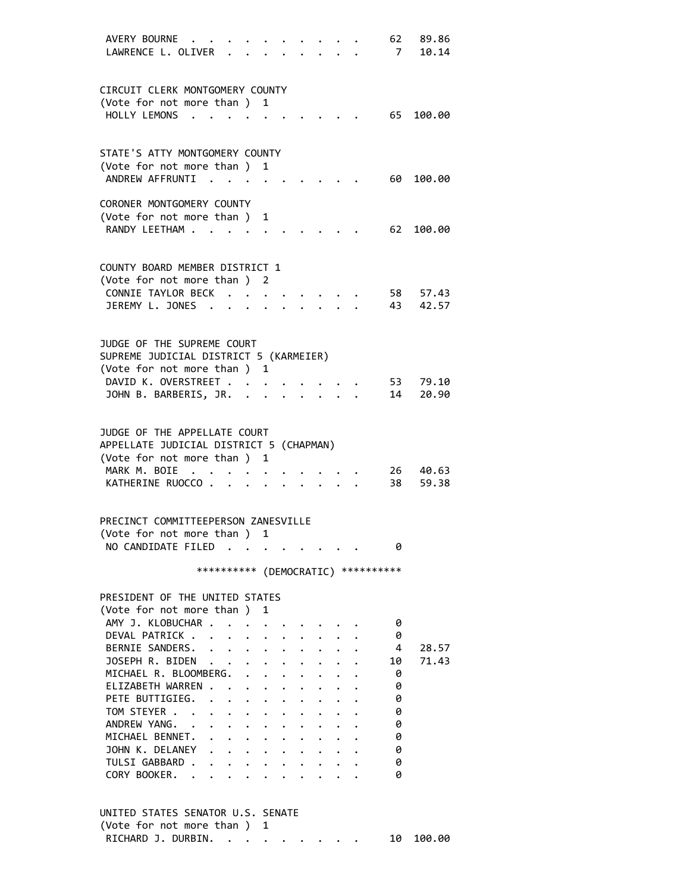| AVERY BOURNE<br>LAWRENCE L. OLIVER                                     |                                                                                                                                                                                                                                                                                                                                                                                                                                                     |  |                      | 62<br>7                             | 89.86<br>10.14 |
|------------------------------------------------------------------------|-----------------------------------------------------------------------------------------------------------------------------------------------------------------------------------------------------------------------------------------------------------------------------------------------------------------------------------------------------------------------------------------------------------------------------------------------------|--|----------------------|-------------------------------------|----------------|
|                                                                        |                                                                                                                                                                                                                                                                                                                                                                                                                                                     |  |                      |                                     |                |
| CIRCUIT CLERK MONTGOMERY COUNTY                                        |                                                                                                                                                                                                                                                                                                                                                                                                                                                     |  |                      |                                     |                |
| (Vote for not more than ) 1                                            |                                                                                                                                                                                                                                                                                                                                                                                                                                                     |  |                      |                                     |                |
| HOLLY LEMONS<br>$\cdot$ .                                              |                                                                                                                                                                                                                                                                                                                                                                                                                                                     |  |                      | 65                                  | 100.00         |
|                                                                        |                                                                                                                                                                                                                                                                                                                                                                                                                                                     |  |                      |                                     |                |
| STATE'S ATTY MONTGOMERY COUNTY<br>(Vote for not more than ) 1          |                                                                                                                                                                                                                                                                                                                                                                                                                                                     |  |                      |                                     |                |
| ANDREW AFFRUNTI.                                                       |                                                                                                                                                                                                                                                                                                                                                                                                                                                     |  |                      | 60                                  | 100.00         |
|                                                                        |                                                                                                                                                                                                                                                                                                                                                                                                                                                     |  |                      |                                     |                |
| CORONER MONTGOMERY COUNTY                                              |                                                                                                                                                                                                                                                                                                                                                                                                                                                     |  |                      |                                     |                |
| (Vote for not more than)<br>RANDY LEETHAM                              | 1                                                                                                                                                                                                                                                                                                                                                                                                                                                   |  |                      | 62                                  | 100.00         |
|                                                                        |                                                                                                                                                                                                                                                                                                                                                                                                                                                     |  |                      |                                     |                |
| COUNTY BOARD MEMBER DISTRICT 1                                         |                                                                                                                                                                                                                                                                                                                                                                                                                                                     |  |                      |                                     |                |
| (Vote for not more than ) 2                                            |                                                                                                                                                                                                                                                                                                                                                                                                                                                     |  |                      |                                     |                |
| CONNIE TAYLOR BECK                                                     |                                                                                                                                                                                                                                                                                                                                                                                                                                                     |  |                      | 58                                  | 57.43          |
| JEREMY L. JONES                                                        |                                                                                                                                                                                                                                                                                                                                                                                                                                                     |  |                      | 43                                  | 42.57          |
|                                                                        |                                                                                                                                                                                                                                                                                                                                                                                                                                                     |  |                      |                                     |                |
| JUDGE OF THE SUPREME COURT<br>SUPREME JUDICIAL DISTRICT 5 (KARMEIER)   |                                                                                                                                                                                                                                                                                                                                                                                                                                                     |  |                      |                                     |                |
| (Vote for not more than ) 1                                            |                                                                                                                                                                                                                                                                                                                                                                                                                                                     |  |                      |                                     |                |
| DAVID K. OVERSTREET                                                    |                                                                                                                                                                                                                                                                                                                                                                                                                                                     |  |                      | 53                                  | 79.10          |
| JOHN B. BARBERIS, JR. .                                                |                                                                                                                                                                                                                                                                                                                                                                                                                                                     |  |                      | 14                                  | 20.90          |
|                                                                        |                                                                                                                                                                                                                                                                                                                                                                                                                                                     |  |                      |                                     |                |
| JUDGE OF THE APPELLATE COURT                                           |                                                                                                                                                                                                                                                                                                                                                                                                                                                     |  |                      |                                     |                |
| APPELLATE JUDICIAL DISTRICT 5 (CHAPMAN)<br>(Vote for not more than ) 1 |                                                                                                                                                                                                                                                                                                                                                                                                                                                     |  |                      |                                     |                |
| MARK M. BOIE .                                                         |                                                                                                                                                                                                                                                                                                                                                                                                                                                     |  |                      | 26                                  | 40.63          |
| KATHERINE RUOCCO.                                                      |                                                                                                                                                                                                                                                                                                                                                                                                                                                     |  |                      | 38                                  | 59.38          |
|                                                                        |                                                                                                                                                                                                                                                                                                                                                                                                                                                     |  |                      |                                     |                |
| PRECINCT COMMITTEEPERSON ZANESVILLE                                    |                                                                                                                                                                                                                                                                                                                                                                                                                                                     |  |                      |                                     |                |
| (Vote for not more than)<br>NO CANDIDATE FILED                         | 1                                                                                                                                                                                                                                                                                                                                                                                                                                                   |  |                      | 0                                   |                |
|                                                                        |                                                                                                                                                                                                                                                                                                                                                                                                                                                     |  |                      |                                     |                |
|                                                                        |                                                                                                                                                                                                                                                                                                                                                                                                                                                     |  |                      | *********** (DEMOCRATIC) ********** |                |
| PRESIDENT OF THE UNITED STATES                                         |                                                                                                                                                                                                                                                                                                                                                                                                                                                     |  |                      |                                     |                |
| (Vote for not more than )                                              | 1                                                                                                                                                                                                                                                                                                                                                                                                                                                   |  |                      |                                     |                |
| AMY J. KLOBUCHAR                                                       |                                                                                                                                                                                                                                                                                                                                                                                                                                                     |  |                      | 0                                   |                |
| DEVAL PATRICK                                                          |                                                                                                                                                                                                                                                                                                                                                                                                                                                     |  |                      | 0<br>4                              | 28.57          |
| BERNIE SANDERS.<br>JOSEPH R. BIDEN                                     |                                                                                                                                                                                                                                                                                                                                                                                                                                                     |  |                      | 10                                  | 71.43          |
| MICHAEL R. BLOOMBERG.                                                  |                                                                                                                                                                                                                                                                                                                                                                                                                                                     |  |                      | 0                                   |                |
| ELIZABETH WARREN                                                       |                                                                                                                                                                                                                                                                                                                                                                                                                                                     |  |                      | 0                                   |                |
| PETE BUTTIGIEG.                                                        |                                                                                                                                                                                                                                                                                                                                                                                                                                                     |  |                      | 0                                   |                |
| TOM STEYER<br>ANDREW YANG. .                                           | $\label{eq:reduced} \begin{array}{lllllllllllllllllllll} \mathbf{1}_{\mathbf{1}_{\mathbf{1}_{\mathbf{1}_{\mathbf{1}_{\mathbf{1}}\mathbf{1}_{\mathbf{1}}\mathbf{1}_{\mathbf{1}}\mathbf{1}_{\mathbf{1}}\mathbf{1}_{\mathbf{1}}\mathbf{1}_{\mathbf{1}}\mathbf{1}_{\mathbf{1}}\mathbf{1}_{\mathbf{1}}\mathbf{1}_{\mathbf{1}}\mathbf{1}_{\mathbf{1}}\mathbf{1}_{\mathbf{1}}\mathbf{1}_{\mathbf{1}}\mathbf{1}_{\mathbf{1}}\mathbf{1}_{\mathbf{1}}\mathbf$ |  | $\ddot{\phantom{a}}$ | 0<br>0                              |                |
| MICHAEL BENNET. .                                                      | $\mathbf{r} = \mathbf{r} + \mathbf{r} + \mathbf{r} + \mathbf{r}$ .                                                                                                                                                                                                                                                                                                                                                                                  |  |                      | 0                                   |                |
| JOHN K. DELANEY                                                        |                                                                                                                                                                                                                                                                                                                                                                                                                                                     |  |                      | 0                                   |                |
| TULSI GABBARD .                                                        |                                                                                                                                                                                                                                                                                                                                                                                                                                                     |  |                      | 0                                   |                |
| CORY BOOKER. .                                                         |                                                                                                                                                                                                                                                                                                                                                                                                                                                     |  |                      | 0                                   |                |
|                                                                        |                                                                                                                                                                                                                                                                                                                                                                                                                                                     |  |                      |                                     |                |

| UNITED STATES SENATOR U.S. SENATE |           |
|-----------------------------------|-----------|
| (Vote for not more than) 1        |           |
| RICHARD J. DURBIN.                | 10 100.00 |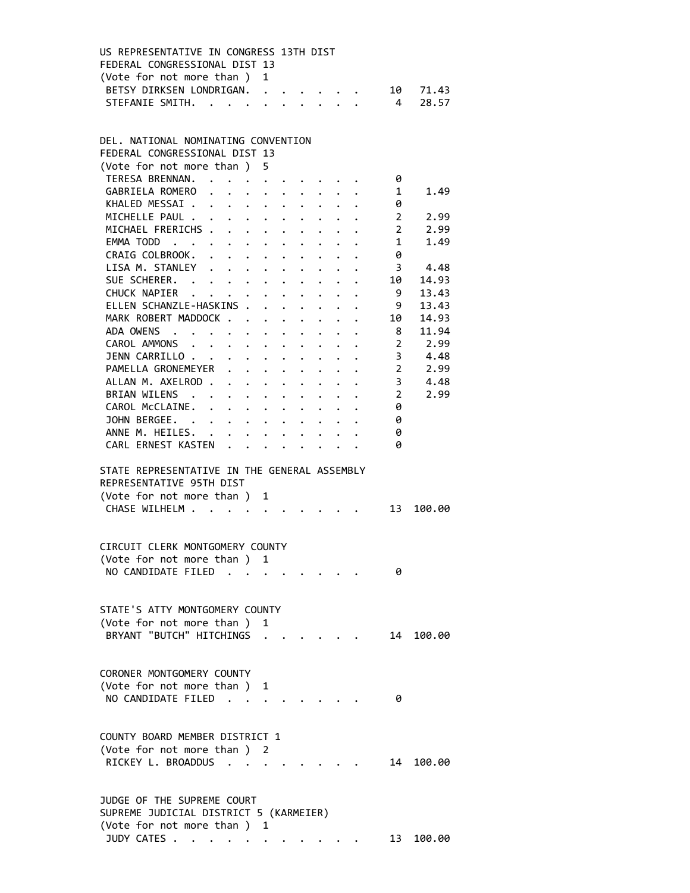| US REPRESENTATIVE IN CONGRESS 13TH DIST |  |  |  |  |
|-----------------------------------------|--|--|--|--|
| FEDERAL CONGRESSIONAL DIST 13           |  |  |  |  |
| (Vote for not more than ) 1             |  |  |  |  |
| BETSY DIRKSEN LONDRIGAN. 10 71.43       |  |  |  |  |
| STEFANIE SMITH. 4 28.57                 |  |  |  |  |

## DEL. NATIONAL NOMINATING CONVENTION FEDERAL CONGRESSIONAL DIST 13 (Vote for not more than ) 5 TERESA BRENNAN. . . . . . . . . . 0 GABRIELA ROMERO . . . . . . . . . 1 1.49 KHALED MESSAI . . . . . . . . . . 0 MICHELLE PAUL . . . . . . . . . . 2 2.99 MICHAEL FRERICHS . . . . . . . . . 2 2.99 EMMA TODD . . . . . . . . . . . . 1 1.49 CRAIG COLBROOK. . . . . . . . . . 0 LISA M. STANLEY . . . . . . . . . . 3 4.48 SUE SCHERER. . . . . . . . . . . 10 14.93 CHUCK NAPIER . . . . . . . . . . 9 13.43 ELLEN SCHANZLE-HASKINS . . . . . . . 9 13.43 MARK ROBERT MADDOCK . . . . . . . . 10 14.93 ADA OWENS . . . . . . . . . . . . 8 11.94 CAROL AMMONS . . . . . . . . . . 2 2.99 JENN CARRILLO . . . . . . . . . . . 3 4.48 PAMELLA GRONEMEYER . . . . . . . . 2 2.99<br>ALLAN M. AXELROD . . . . . . . . . . 3 4.48 ALLAN M. AXELROD . . . . . . . . . . 3 BRIAN WILENS . . . . . . . . . . 2 2.99 CAROL McCLAINE. . . . . . . . . . 0 JOHN BERGEE. . . . . . . . . . . 0 ANNE M. HEILES. . . . . . . . . . 0 CARL ERNEST KASTEN . . . . . . . . 0 STATE REPRESENTATIVE IN THE GENERAL ASSEMBLY REPRESENTATIVE 95TH DIST (Vote for not more than ) 1 CHASE WILHELM . . . . . . . . . . . 13 100.00 CIRCUIT CLERK MONTGOMERY COUNTY (Vote for not more than ) 1 NO CANDIDATE FILED . . . . . . . . 0 STATE'S ATTY MONTGOMERY COUNTY (Vote for not more than ) 1 BRYANT "BUTCH" HITCHINGS . . . . . . 14 100.00 CORONER MONTGOMERY COUNTY (Vote for not more than ) 1 NO CANDIDATE FILED . . . . . . . . 0 COUNTY BOARD MEMBER DISTRICT 1 (Vote for not more than ) 2 RICKEY L. BROADDUS . . . . . . . . 14 100.00 JUDGE OF THE SUPREME COURT SUPREME JUDICIAL DISTRICT 5 (KARMEIER) (Vote for not more than ) 1

JUDY CATES . . . . . . . . . . . . 13 100.00